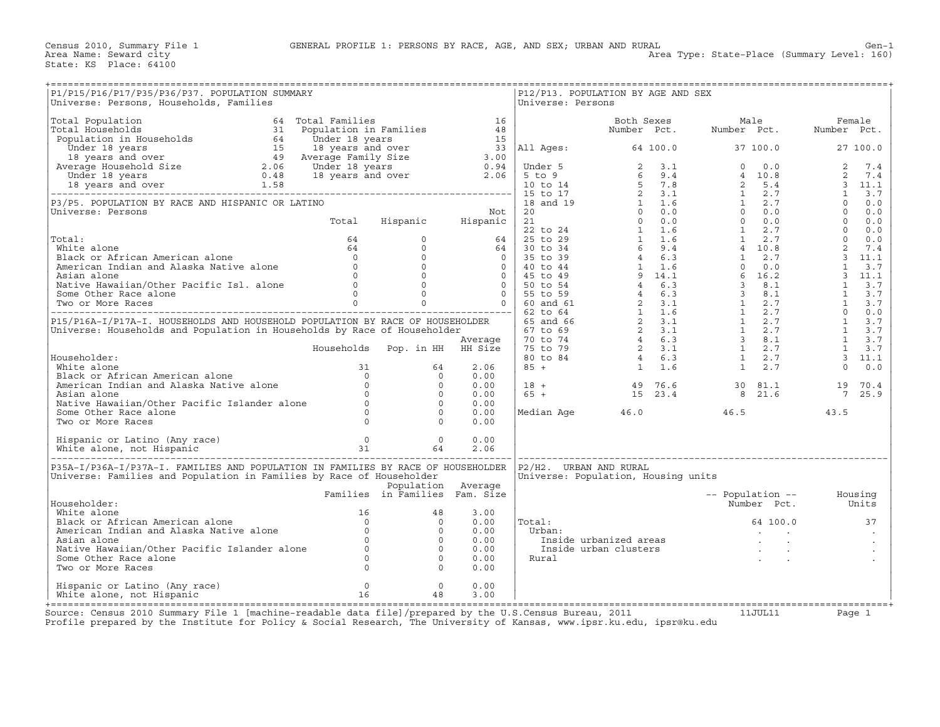| P1/P15/P16/P17/P35/P36/P37. POPULATION SUMMARY<br>Universe: Persons, Households, Families                                                                                                                                                                     |                      |                                      | Universe: Persons         | P12/P13. POPULATION BY AGE AND SEX                                                                                        |                                   |                   |
|---------------------------------------------------------------------------------------------------------------------------------------------------------------------------------------------------------------------------------------------------------------|----------------------|--------------------------------------|---------------------------|---------------------------------------------------------------------------------------------------------------------------|-----------------------------------|-------------------|
|                                                                                                                                                                                                                                                               |                      |                                      |                           |                                                                                                                           |                                   |                   |
|                                                                                                                                                                                                                                                               |                      |                                      |                           |                                                                                                                           |                                   |                   |
|                                                                                                                                                                                                                                                               |                      |                                      |                           |                                                                                                                           |                                   |                   |
|                                                                                                                                                                                                                                                               |                      |                                      |                           |                                                                                                                           |                                   |                   |
|                                                                                                                                                                                                                                                               |                      |                                      |                           |                                                                                                                           |                                   |                   |
|                                                                                                                                                                                                                                                               |                      |                                      |                           |                                                                                                                           |                                   |                   |
| Fouseholder:<br>White alone<br>Black or African American alone<br>American Indian and Alaska Native alone<br>Asian alone<br>Native Hawaiian/Other Pacific Islander alone<br>Some Other Race alone<br>Two or More Races<br>0<br>0<br>0<br>0<br>0<br>0<br>0<br> |                      | 0.00<br>0.00                         |                           | $\begin{array}{cccccccc} 18 & + & & & & 49 & 76.6 & & & 30 & 81.1 \\ 65 & + & & & & 15 & 23.4 & & & 8 & 21.6 \end{array}$ |                                   | 19 70.4<br>7 25.9 |
|                                                                                                                                                                                                                                                               |                      | 0.00<br>0.00<br>0.00                 |                           |                                                                                                                           | Median Age $46.0$ 46.5            | 43.5              |
|                                                                                                                                                                                                                                                               |                      | 0.00<br>2.06                         |                           |                                                                                                                           | --------------------------------- |                   |
| P35A-I/P36A-I/P37A-I. FAMILIES AND POPULATION IN FAMILIES BY RACE OF HOUSEHOLDER<br>Universe: Families and Population in Families by Race of Householder<br>Population Average<br>Families in Families Fam.Size                                               | Population Average   |                                      | $P2/H2$ . URBAN AND RURAL | Universe: Population, Housing units                                                                                       | -- Population -- Housing          |                   |
|                                                                                                                                                                                                                                                               |                      | 3.00<br>0.00                         | $  \text{\tt Total}:$     |                                                                                                                           | Number Pct. Units<br>64 100.0     | 37                |
| Fouseholder:<br>White alone<br>Black or African American alone<br>American Indian and Alaska Native alone<br>Asian alone<br>Native Hawaiian/Other Pacific Islander alone<br>Come Other Race alone<br>Come Other Race alone<br>0 0<br>0<br>0<br>0<br>0<br>     |                      | 0.00<br>0.00<br>0.00<br>0.00<br>0.00 | Urban:<br>Rural           | rban:<br>Inside urbanized areas<br>Inside urban clusters<br>ural                                                          | and the state of the state        |                   |
| Hispanic or Latino (Any race) 0<br>White alone, not Hispanic 16                                                                                                                                                                                               | $\overline{0}$<br>48 | 0.00<br>3.00                         |                           |                                                                                                                           |                                   |                   |

+===================================================================================================================================================+Source: Census 2010 Summary File 1 [machine−readable data file]/prepared by the U.S.Census Bureau, 2011 11JUL11 Page 1 Profile prepared by the Institute for Policy & Social Research, The University of Kansas, www.ipsr.ku.edu, ipsr@ku.edu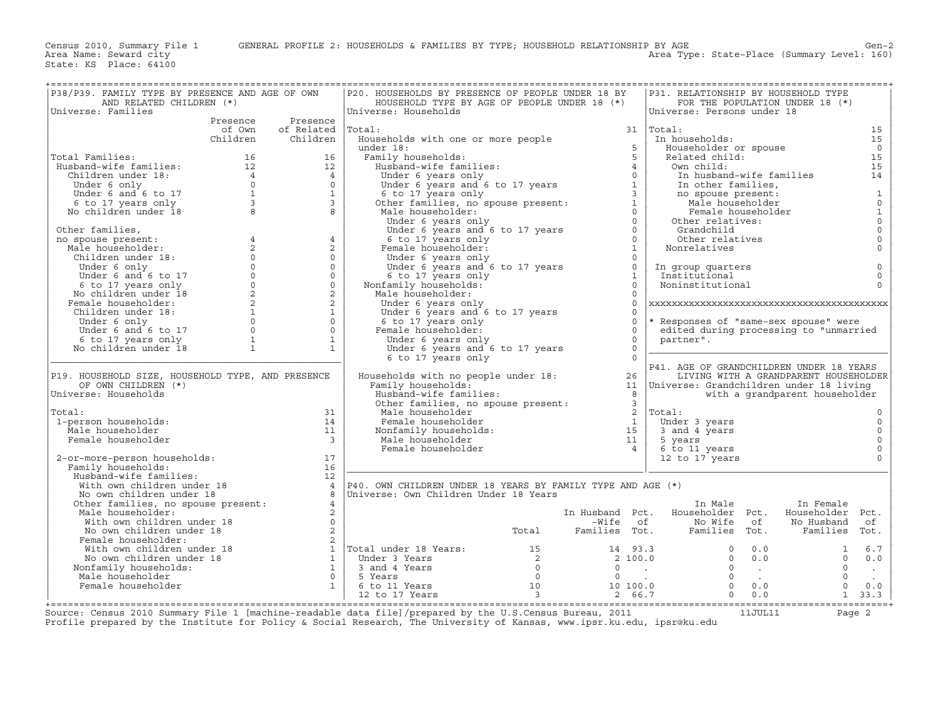Area Type: State-Place (Summary Level: 160)

| P38/P39. FAMILY TYPE BY PRESENCE AND AGE OF OWN                                                                                                                                                                                |                  |                                             | P20. HOUSEHOLDS BY PRESENCE OF PEOPLE UNDER 18 BY           |                                                         | P31. RELATIONSHIP BY HOUSEHOLD TYPE               |                                       |                |                                            |
|--------------------------------------------------------------------------------------------------------------------------------------------------------------------------------------------------------------------------------|------------------|---------------------------------------------|-------------------------------------------------------------|---------------------------------------------------------|---------------------------------------------------|---------------------------------------|----------------|--------------------------------------------|
| AND RELATED CHILDREN (*)                                                                                                                                                                                                       |                  |                                             | HOUSEHOLD TYPE BY AGE OF PEOPLE UNDER 18 (*)                |                                                         |                                                   | FOR THE POPULATION UNDER 18 (*)       |                |                                            |
| Universe: Families                                                                                                                                                                                                             |                  |                                             | Universe: Households                                        |                                                         | Universe: Persons under 18                        |                                       |                |                                            |
|                                                                                                                                                                                                                                | Presence         | Presence                                    |                                                             |                                                         |                                                   |                                       |                |                                            |
|                                                                                                                                                                                                                                | of Own           | of Related                                  | Total:                                                      |                                                         | $31$ Total:                                       |                                       |                | 15                                         |
|                                                                                                                                                                                                                                | Children         | Children                                    | Households with one or more people                          |                                                         | In households:                                    |                                       |                | 15                                         |
|                                                                                                                                                                                                                                |                  |                                             | under 18:                                                   | 5                                                       | Householder or spouse                             |                                       |                | $\overline{0}$                             |
| Total Families:                                                                                                                                                                                                                | 16               | 16                                          | Family households:                                          | $\overline{5}$                                          | Related child:                                    |                                       |                | 15                                         |
| Husband-wife families:                                                                                                                                                                                                         | 12 <sup>12</sup> | 12                                          | Husband-wife families:                                      | $\overline{4}$                                          | Own child:                                        |                                       |                | 15                                         |
| Children under 18:                                                                                                                                                                                                             | $\overline{4}$   | $\overline{4}$                              | Under 6 years only                                          | $\Omega$                                                |                                                   | In husband-wife families              |                | 14                                         |
| and the only the distribution of the distribution of the distribution of the distribution of the distribution of the distribution of the distribution of the distribution of the distribution of the distribution of the distr |                  | $\Omega$                                    | Under 6 years and 6 to 17 years                             | $\mathbf{1}$                                            | In other families,                                |                                       |                |                                            |
|                                                                                                                                                                                                                                |                  | $\mathbf{1}$                                |                                                             | $\overline{3}$                                          |                                                   |                                       |                |                                            |
|                                                                                                                                                                                                                                |                  | $\overline{3}$                              | 6 to 17 years only                                          | $\mathbf{1}$                                            | no spouse present:<br>Male householder            |                                       |                | $\begin{smallmatrix}1\0\end{smallmatrix}$  |
|                                                                                                                                                                                                                                |                  | 8                                           | Other families, no spouse present:                          |                                                         |                                                   |                                       |                |                                            |
| No children under 18                                                                                                                                                                                                           |                  |                                             | Male householder:                                           | $\Omega$                                                |                                                   | Female householder                    |                |                                            |
|                                                                                                                                                                                                                                |                  |                                             | Under 6 years only                                          | $\Omega$                                                | Other relatives:                                  |                                       |                |                                            |
| Other families,                                                                                                                                                                                                                |                  |                                             | Under 6 years and 6 to 17 years                             | $\Omega$                                                | Grandchild                                        |                                       |                | $\begin{bmatrix} 1\\0\\0\\0 \end{bmatrix}$ |
| no spouse present:                                                                                                                                                                                                             | $\overline{4}$   | $\overline{4}$                              | 6 to 17 years only                                          | $\circ$                                                 | Other relatives                                   |                                       |                |                                            |
| Male householder:                                                                                                                                                                                                              | 2                | $\overline{a}$                              | Female householder:                                         | $\mathbf{1}$                                            | Nonrelatives                                      |                                       |                | $\circ$                                    |
| Children under 18:                                                                                                                                                                                                             | $\Omega$         | $\Omega$                                    | Under 6 years only                                          | $\circ$                                                 |                                                   |                                       |                |                                            |
| Under 6 only                                                                                                                                                                                                                   | $\Omega$         | $\circ$                                     | Under 6 years and 6 to 17 years                             | $\circ$                                                 | In group quarters                                 |                                       |                | $\mathsf{O}\xspace$                        |
| Under 6 and 6 to 17                                                                                                                                                                                                            | $\Omega$         | $\circ$                                     | 6 to 17 years only                                          | $\mathbf{1}$                                            | Institutional                                     |                                       |                | $\circ$                                    |
| 6 to 17 years only                                                                                                                                                                                                             | $\circ$          | $\circ$                                     | Nonfamily households:                                       | $\Omega$                                                | Noninstitutional                                  |                                       |                | $\Omega$                                   |
| No children under 18                                                                                                                                                                                                           | $\overline{2}$   | $\overline{a}$                              | Male householder:                                           | $\Omega$                                                |                                                   |                                       |                |                                            |
| Female householder:                                                                                                                                                                                                            | $\overline{2}$   | $\overline{a}$                              | Under 6 years only                                          | $\Omega$                                                |                                                   |                                       |                |                                            |
| Children under 18:                                                                                                                                                                                                             | $\mathbf{1}$     | $\mathbf{1}$                                | Under 6 years and 6 to 17 years                             | $\Omega$                                                |                                                   |                                       |                |                                            |
| Under 6 only                                                                                                                                                                                                                   | $\Omega$         | $\circ$                                     | 6 to 17 years only                                          | $\circ$                                                 | * Responses of "same-sex spouse" were             |                                       |                |                                            |
| Under 6 and 6 to 17                                                                                                                                                                                                            | $\circ$          | $\circ$                                     | Female householder:                                         | $\circ$                                                 | edited during processing to "unmarried            |                                       |                |                                            |
| 6 to 17 years only                                                                                                                                                                                                             | $\mathbf{1}$     | $\mathbf{1}$                                | Under 6 years only                                          | $\circ$                                                 | partner".                                         |                                       |                |                                            |
| No children under 18                                                                                                                                                                                                           | $\mathbf{1}$     | $\mathbf{1}$                                | Under 6 years and 6 to 17 years                             | $\Omega$                                                |                                                   |                                       |                |                                            |
|                                                                                                                                                                                                                                |                  |                                             | 6 to 17 years only                                          | $\Omega$                                                |                                                   |                                       |                |                                            |
|                                                                                                                                                                                                                                |                  |                                             |                                                             |                                                         | P41. AGE OF GRANDCHILDREN UNDER 18 YEARS          |                                       |                |                                            |
| P19. HOUSEHOLD SIZE, HOUSEHOLD TYPE, AND PRESENCE                                                                                                                                                                              |                  |                                             | Households with no people under 18:                         | 26                                                      |                                                   | LIVING WITH A GRANDPARENT HOUSEHOLDER |                |                                            |
| OF OWN CHILDREN (*)                                                                                                                                                                                                            |                  |                                             | Family households:                                          | 11                                                      | Universe: Grandchildren under 18 living           |                                       |                |                                            |
| Universe: Households                                                                                                                                                                                                           |                  |                                             | Husband-wife families:                                      | 8                                                       |                                                   | with a grandparent householder        |                |                                            |
|                                                                                                                                                                                                                                |                  |                                             |                                                             | $\overline{\mathbf{3}}$                                 |                                                   |                                       |                |                                            |
| Total:                                                                                                                                                                                                                         |                  |                                             | Other families, no spouse present:                          |                                                         |                                                   |                                       |                |                                            |
|                                                                                                                                                                                                                                |                  | 31                                          | Male householder                                            | 2                                                       | Total:                                            |                                       |                | $\circ$                                    |
| 1-person households:                                                                                                                                                                                                           |                  | 14                                          | Female householder                                          | $\mathbf{1}$                                            | Under 3 years                                     |                                       |                | $\circ$                                    |
| Male householder                                                                                                                                                                                                               |                  | 11                                          | Nonfamily households:                                       | 15                                                      | 3 and 4 years                                     |                                       |                | $\mathsf O$                                |
| Female householder                                                                                                                                                                                                             |                  | $\overline{3}$                              | Male householder                                            | 11                                                      | 5 years                                           |                                       |                | $\circ$                                    |
|                                                                                                                                                                                                                                |                  |                                             | Female householder                                          | $\overline{4}$                                          | 6 to 11 years                                     |                                       |                | $\circ$                                    |
| 2-or-more-person households:                                                                                                                                                                                                   |                  | 17                                          |                                                             |                                                         | 12 to 17 years                                    |                                       |                | $\Omega$                                   |
| Family households:                                                                                                                                                                                                             |                  | 16                                          |                                                             |                                                         |                                                   |                                       |                |                                            |
| Husband-wife families:                                                                                                                                                                                                         |                  | 12                                          |                                                             |                                                         |                                                   |                                       |                |                                            |
| With own children under 18                                                                                                                                                                                                     |                  | $\overline{4}$                              | P40. OWN CHILDREN UNDER 18 YEARS BY FAMILY TYPE AND AGE (*) |                                                         |                                                   |                                       |                |                                            |
| No own children under 18                                                                                                                                                                                                       |                  |                                             | Universe: Own Children Under 18 Years                       |                                                         |                                                   |                                       |                |                                            |
| Other families, no spouse present:                                                                                                                                                                                             |                  | $\overline{4}$                              |                                                             |                                                         | In Male                                           |                                       | In Female      |                                            |
| Male householder:                                                                                                                                                                                                              |                  | 2                                           |                                                             |                                                         | In Husband Pct. Householder Pct. Householder Pct. |                                       |                |                                            |
| With own children under 18                                                                                                                                                                                                     |                  | $\circ$                                     |                                                             | -Wife of                                                | No Wife of                                        |                                       | No Husband     | of                                         |
| No own children under 18                                                                                                                                                                                                       |                  | $\overline{a}$                              |                                                             | Total Families Tot.                                     |                                                   | Families Tot. Families Tot.           |                |                                            |
| Female householder:                                                                                                                                                                                                            |                  | 2                                           |                                                             |                                                         |                                                   |                                       |                |                                            |
| With own children under 18                                                                                                                                                                                                     |                  |                                             |                                                             |                                                         | $\circ$                                           | 0.0                                   | $\mathbf{1}$   | 6.7                                        |
| No own children under 18                                                                                                                                                                                                       |                  |                                             |                                                             | $\begin{array}{ccc} 14 & 93.3 \\ 2 & 100.0 \end{array}$ | $\overline{0}$                                    | 0.0                                   | $\circ$        | 0.0                                        |
| Nonfamily households:                                                                                                                                                                                                          |                  |                                             |                                                             | $0 \qquad \qquad .$                                     | $\overline{0}$                                    | $\sim 100$ km s $^{-1}$               | $\circ$        | $\sim 10^{-1}$                             |
| Male householder                                                                                                                                                                                                               |                  |                                             |                                                             | $\begin{array}{cccccccc}\n0 & & \end{array}$ .          | $\Omega$                                          | <b>Contractor</b>                     | $\Omega$       | $\sim 100$                                 |
| Female householder                                                                                                                                                                                                             |                  |                                             |                                                             | 10 100.0                                                |                                                   | $0 \t 0.0$                            | $\overline{0}$ | 0.0                                        |
|                                                                                                                                                                                                                                |                  | $\begin{bmatrix} 1 \\ 0 \\ 1 \end{bmatrix}$ |                                                             | 2 66.7                                                  | 0                                                 | 0.0                                   |                | $1 \quad 33.3$                             |
|                                                                                                                                                                                                                                |                  |                                             |                                                             |                                                         |                                                   |                                       |                |                                            |
| 2010 Summary File 1 [magbino readable data<br>C <sub>O</sub>                                                                                                                                                                   |                  |                                             | $f_{1}$ ] (propared by the H C Congua Bureau 2011           |                                                         |                                                   |                                       |                |                                            |

Source: Census 2010 Summary File 1 [machine-readable data file]/prepared by the U.S.Census Bureau, 2011 Page 2<br>Profile prepared by the Institute for Policy & Social Research, The University of Kansas, www.ip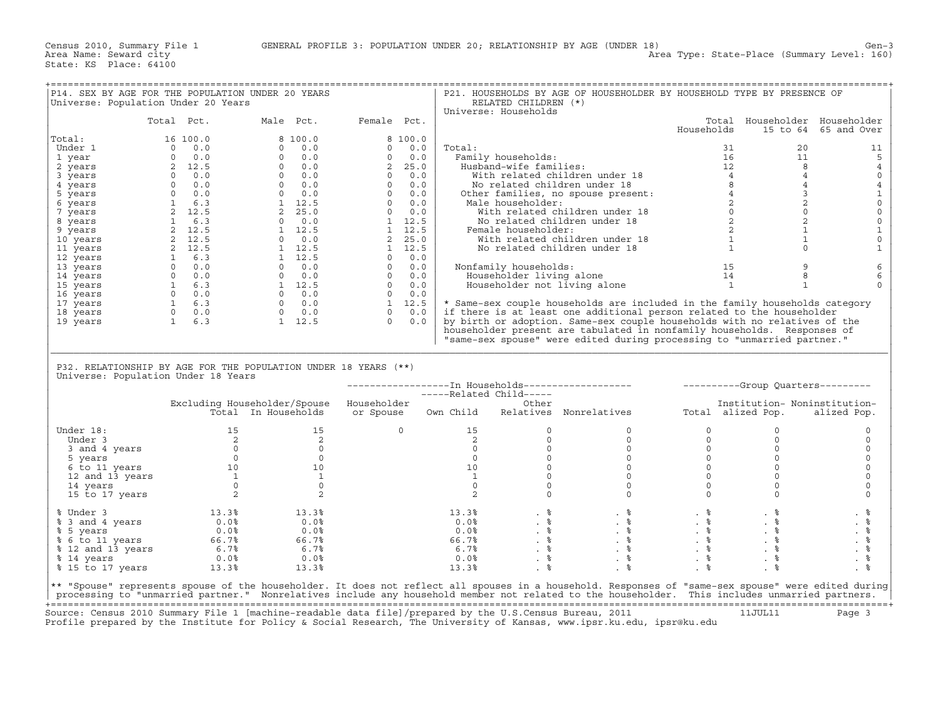| P14. SEX BY AGE FOR THE POPULATION UNDER 20 YEARS<br>Universe: Population Under 20 Years                |                                                                                                                                                                                                                                 |                                                                                                                                                                                                                                                         |                     |        | RELATED CHILDREN (*)                                                                   | P21. HOUSEHOLDS BY AGE OF HOUSEHOLDER BY HOUSEHOLD TYPE BY PRESENCE OF                                                                                                                                                         |                                                |                               |                      |
|---------------------------------------------------------------------------------------------------------|---------------------------------------------------------------------------------------------------------------------------------------------------------------------------------------------------------------------------------|---------------------------------------------------------------------------------------------------------------------------------------------------------------------------------------------------------------------------------------------------------|---------------------|--------|----------------------------------------------------------------------------------------|--------------------------------------------------------------------------------------------------------------------------------------------------------------------------------------------------------------------------------|------------------------------------------------|-------------------------------|----------------------|
|                                                                                                         |                                                                                                                                                                                                                                 |                                                                                                                                                                                                                                                         |                     |        | Universe: Households                                                                   |                                                                                                                                                                                                                                |                                                |                               |                      |
|                                                                                                         | Total Pct.                                                                                                                                                                                                                      | Male Pct.                                                                                                                                                                                                                                               | Female Pct.         |        |                                                                                        |                                                                                                                                                                                                                                |                                                | Total Householder Householder |                      |
|                                                                                                         |                                                                                                                                                                                                                                 |                                                                                                                                                                                                                                                         |                     |        |                                                                                        |                                                                                                                                                                                                                                | Households                                     |                               | 15 to 64 65 and Over |
| Total:                                                                                                  | 16 100.0                                                                                                                                                                                                                        | 8 100.0                                                                                                                                                                                                                                                 | 8 100.0             |        |                                                                                        |                                                                                                                                                                                                                                |                                                |                               |                      |
| Under 1                                                                                                 | $\overline{0}$<br>0.0                                                                                                                                                                                                           | 0.0<br>$\Omega$                                                                                                                                                                                                                                         | $0 \t 0.0$          | Total: |                                                                                        |                                                                                                                                                                                                                                |                                                | 31<br>20                      | 11                   |
| 1 year                                                                                                  | $0 \t 0.0$                                                                                                                                                                                                                      |                                                                                                                                                                                                                                                         |                     |        | Family households:                                                                     |                                                                                                                                                                                                                                |                                                | 11                            | 5                    |
| 2 years                                                                                                 |                                                                                                                                                                                                                                 |                                                                                                                                                                                                                                                         |                     |        |                                                                                        | % and the state of the state of the state of the state of the state of the state of the state of the state of the state of the state of the state of the state of the state of the state of the state of the state of the stat |                                                | $\overline{\phantom{0}}$      | $\overline{4}$       |
| 3 years                                                                                                 |                                                                                                                                                                                                                                 |                                                                                                                                                                                                                                                         |                     |        |                                                                                        |                                                                                                                                                                                                                                |                                                | $\overline{4}$                | 0                    |
| 4 years                                                                                                 |                                                                                                                                                                                                                                 |                                                                                                                                                                                                                                                         |                     |        |                                                                                        |                                                                                                                                                                                                                                |                                                | $\overline{4}$                | $\overline{4}$       |
| 5 years                                                                                                 |                                                                                                                                                                                                                                 |                                                                                                                                                                                                                                                         |                     |        |                                                                                        |                                                                                                                                                                                                                                |                                                | $\overline{3}$                | $\mathbf{1}$         |
| 6 years                                                                                                 |                                                                                                                                                                                                                                 |                                                                                                                                                                                                                                                         |                     |        |                                                                                        |                                                                                                                                                                                                                                |                                                | 2                             | $\mathsf{O}\xspace$  |
| 7 years                                                                                                 |                                                                                                                                                                                                                                 |                                                                                                                                                                                                                                                         |                     |        |                                                                                        |                                                                                                                                                                                                                                |                                                | $\Omega$                      | $\mathsf{O}\xspace$  |
| 8 years                                                                                                 |                                                                                                                                                                                                                                 |                                                                                                                                                                                                                                                         |                     |        |                                                                                        |                                                                                                                                                                                                                                |                                                | 2                             | $\mathsf{O}\xspace$  |
|                                                                                                         |                                                                                                                                                                                                                                 |                                                                                                                                                                                                                                                         |                     |        |                                                                                        |                                                                                                                                                                                                                                |                                                | $\mathbf{1}$                  | $1\,$                |
| 9 years                                                                                                 |                                                                                                                                                                                                                                 |                                                                                                                                                                                                                                                         |                     |        |                                                                                        |                                                                                                                                                                                                                                |                                                | $\mathbf{1}$                  | $\mathsf{O}\xspace$  |
| 10 years                                                                                                |                                                                                                                                                                                                                                 |                                                                                                                                                                                                                                                         |                     |        |                                                                                        |                                                                                                                                                                                                                                |                                                | $\Omega$                      |                      |
| 11 years                                                                                                |                                                                                                                                                                                                                                 |                                                                                                                                                                                                                                                         |                     |        |                                                                                        |                                                                                                                                                                                                                                |                                                |                               | $\mathbf{1}$         |
| 12 years                                                                                                |                                                                                                                                                                                                                                 |                                                                                                                                                                                                                                                         |                     |        |                                                                                        |                                                                                                                                                                                                                                | $\begin{array}{c}\n15 \\ 14 \\ 1\n\end{array}$ |                               |                      |
| 13 years                                                                                                |                                                                                                                                                                                                                                 |                                                                                                                                                                                                                                                         |                     |        | Nonfamily households:                                                                  |                                                                                                                                                                                                                                |                                                | 9                             | $\epsilon$           |
| 14 years                                                                                                |                                                                                                                                                                                                                                 |                                                                                                                                                                                                                                                         |                     |        | Householder living alone                                                               |                                                                                                                                                                                                                                |                                                | 8                             | 6                    |
| 15 years                                                                                                |                                                                                                                                                                                                                                 |                                                                                                                                                                                                                                                         |                     |        |                                                                                        | Householder not living alone                                                                                                                                                                                                   |                                                | $\mathbf{1}$                  | $\Omega$             |
| 16 years                                                                                                |                                                                                                                                                                                                                                 |                                                                                                                                                                                                                                                         |                     |        |                                                                                        |                                                                                                                                                                                                                                |                                                |                               |                      |
| 17 years                                                                                                |                                                                                                                                                                                                                                 |                                                                                                                                                                                                                                                         |                     |        |                                                                                        | * Same-sex couple households are included in the family households category                                                                                                                                                    |                                                |                               |                      |
| 18 years                                                                                                |                                                                                                                                                                                                                                 |                                                                                                                                                                                                                                                         |                     |        |                                                                                        | if there is at least one additional person related to the householder                                                                                                                                                          |                                                |                               |                      |
| 19 years                                                                                                | $\begin{array}{cccc} 0&0.0\\ 2&12.5\\ 0&0.0\\ 0&0.0\\ 0&0.0\\ 1&6.3\\ 2&12.5\\ 2&12.5\\ 2&12.5\\ 2&12.5\\ 2&12.5\\ 0&0.0\\ 0&0.0\\ 0&0.0\\ 1&6.3\\ 0&0.0\\ 1&6.3\\ 0&0.0\\ 1&6.3\\ 0&0.0\\ 1&6.3\\ 0&0.0\\ 1&6.3\\ \end{array}$ | $\begin{array}{cccccc} 6&10000&0&0&0&0&0\\ 0&0.0&0&0&0&0&0\\ 0&0.0&0&2&25.0\\ 0&0.0&0&0&0&0.0\\ 0&0.0&0&0&0.0\\ 0&0.0&0&0&0.0\\ 0&0.0&0&0&0.0\\ 2&25.0&0&0.0&0\\ 2&25.0&0&0.0&0\\ 0&0.0&0&1&12.5\\ 1&12.5&1&12.5&1&12.5\\ 1&12.5&1&12.5&1&12.5\\ 1&12.$ |                     |        |                                                                                        | by birth or adoption. Same-sex couple households with no relatives of the                                                                                                                                                      |                                                |                               |                      |
|                                                                                                         |                                                                                                                                                                                                                                 |                                                                                                                                                                                                                                                         |                     |        |                                                                                        | householder present are tabulated in nonfamily households. Responses of                                                                                                                                                        |                                                |                               |                      |
|                                                                                                         |                                                                                                                                                                                                                                 |                                                                                                                                                                                                                                                         |                     |        |                                                                                        | "same-sex spouse" were edited during processing to "unmarried partner."                                                                                                                                                        |                                                |                               |                      |
|                                                                                                         |                                                                                                                                                                                                                                 |                                                                                                                                                                                                                                                         |                     |        |                                                                                        |                                                                                                                                                                                                                                |                                                |                               |                      |
|                                                                                                         |                                                                                                                                                                                                                                 |                                                                                                                                                                                                                                                         |                     |        |                                                                                        |                                                                                                                                                                                                                                |                                                |                               |                      |
|                                                                                                         |                                                                                                                                                                                                                                 |                                                                                                                                                                                                                                                         |                     |        |                                                                                        |                                                                                                                                                                                                                                |                                                |                               |                      |
| P32. RELATIONSHIP BY AGE FOR THE POPULATION UNDER 18 YEARS (**)                                         |                                                                                                                                                                                                                                 |                                                                                                                                                                                                                                                         |                     |        |                                                                                        |                                                                                                                                                                                                                                |                                                |                               |                      |
|                                                                                                         |                                                                                                                                                                                                                                 |                                                                                                                                                                                                                                                         |                     |        |                                                                                        |                                                                                                                                                                                                                                |                                                |                               |                      |
| Universe: Population Under 18 Years                                                                     |                                                                                                                                                                                                                                 |                                                                                                                                                                                                                                                         |                     |        |                                                                                        |                                                                                                                                                                                                                                |                                                |                               |                      |
|                                                                                                         |                                                                                                                                                                                                                                 |                                                                                                                                                                                                                                                         |                     |        |                                                                                        | ------------------- In Households-------------------      ---------Group Quarters---------                                                                                                                                     |                                                |                               |                      |
|                                                                                                         |                                                                                                                                                                                                                                 |                                                                                                                                                                                                                                                         |                     |        | -----Related Child-----                                                                |                                                                                                                                                                                                                                |                                                |                               |                      |
|                                                                                                         |                                                                                                                                                                                                                                 | Excluding Householder/Spouse Householder                                                                                                                                                                                                                |                     |        | Other                                                                                  |                                                                                                                                                                                                                                |                                                | Institution- Noninstitution-  |                      |
|                                                                                                         |                                                                                                                                                                                                                                 | Total In Households                                                                                                                                                                                                                                     | or Spouse Own Child |        |                                                                                        | Relatives Nonrelatives                                                                                                                                                                                                         |                                                | Total alized Pop.             | alized Pop.          |
|                                                                                                         |                                                                                                                                                                                                                                 |                                                                                                                                                                                                                                                         |                     |        |                                                                                        |                                                                                                                                                                                                                                |                                                |                               |                      |
| Under 18:                                                                                               |                                                                                                                                                                                                                                 |                                                                                                                                                                                                                                                         | $\Omega$            | 15     | $\Omega$                                                                               | $\Omega$                                                                                                                                                                                                                       | $\Omega$                                       | $\Omega$                      | 0                    |
| Under 3                                                                                                 |                                                                                                                                                                                                                                 |                                                                                                                                                                                                                                                         |                     |        | $\circ$                                                                                | $\circ$                                                                                                                                                                                                                        | $\circ$                                        | $\circ$                       | 0                    |
| 3 and 4 years                                                                                           |                                                                                                                                                                                                                                 | $\begin{array}{c} 2 \\ 0 \end{array}$                                                                                                                                                                                                                   |                     |        | $\Omega$                                                                               | $\Omega$                                                                                                                                                                                                                       | $\overline{0}$                                 | $\Omega$                      | $\Omega$             |
| 5 years                                                                                                 |                                                                                                                                                                                                                                 |                                                                                                                                                                                                                                                         |                     |        | $\circ$                                                                                | $\circ$                                                                                                                                                                                                                        | $\circ$                                        | $\circ$                       | 0                    |
| 6 to 11 years                                                                                           |                                                                                                                                                                                                                                 |                                                                                                                                                                                                                                                         |                     | 10     | $\Omega$                                                                               | $\circ$                                                                                                                                                                                                                        | $\Omega$                                       | $\Omega$                      | $\Omega$             |
| 12 and 13 years                                                                                         |                                                                                                                                                                                                                                 |                                                                                                                                                                                                                                                         |                     |        | $\Omega$                                                                               | $\circ$                                                                                                                                                                                                                        | $\Omega$                                       | $\Omega$                      | $\mathbf 0$          |
| 14 years                                                                                                |                                                                                                                                                                                                                                 |                                                                                                                                                                                                                                                         |                     |        | $\Omega$                                                                               | $\Omega$                                                                                                                                                                                                                       | $\Omega$                                       | $\Omega$                      | $\Omega$             |
| 15 to 17 years                                                                                          |                                                                                                                                                                                                                                 |                                                                                                                                                                                                                                                         |                     | 2      | $\begin{bmatrix} 1 & 2 \\ 2 & 0 \\ 0 & 0 \\ 10 & 1 \\ 0 & 0 \end{bmatrix}$<br>$\Omega$ | $\Omega$                                                                                                                                                                                                                       | $\Omega$                                       | $\Omega$                      | $\Omega$             |
|                                                                                                         |                                                                                                                                                                                                                                 |                                                                                                                                                                                                                                                         |                     |        |                                                                                        |                                                                                                                                                                                                                                |                                                |                               |                      |
| % Under 3                                                                                               |                                                                                                                                                                                                                                 | 13.3%                                                                                                                                                                                                                                                   |                     |        |                                                                                        |                                                                                                                                                                                                                                |                                                |                               | . 응                  |
| % 3 and 4 years                                                                                         |                                                                                                                                                                                                                                 | 0.0%                                                                                                                                                                                                                                                    |                     |        |                                                                                        |                                                                                                                                                                                                                                |                                                |                               | . 응                  |
| % 5 years                                                                                               | $13.3%$<br>0.0%<br>0.0%                                                                                                                                                                                                         | 0.0%                                                                                                                                                                                                                                                    |                     |        | $13.3%$<br>0.0%                                                                        |                                                                                                                                                                                                                                |                                                |                               | . 응                  |
|                                                                                                         |                                                                                                                                                                                                                                 | 66.7%                                                                                                                                                                                                                                                   |                     |        |                                                                                        |                                                                                                                                                                                                                                |                                                |                               |                      |
|                                                                                                         |                                                                                                                                                                                                                                 |                                                                                                                                                                                                                                                         |                     |        |                                                                                        |                                                                                                                                                                                                                                |                                                |                               | $. \circ$            |
|                                                                                                         |                                                                                                                                                                                                                                 | 6.7%                                                                                                                                                                                                                                                    |                     |        |                                                                                        |                                                                                                                                                                                                                                |                                                |                               | . 응                  |
| 8 6 5 6 11 years<br>8 6 12 and 13 years<br>8 14 years 6.78<br>8 14 years 0.08                           |                                                                                                                                                                                                                                 | $0.0\%$                                                                                                                                                                                                                                                 |                     | 0.0%   |                                                                                        |                                                                                                                                                                                                                                | $\frac{8}{3}$                                  | $. \circ$                     | . $\frac{6}{6}$      |
| % 15 to 17 years 13.3%                                                                                  |                                                                                                                                                                                                                                 | 13.3%                                                                                                                                                                                                                                                   |                     | 13.3%  | . $\frac{6}{6}$                                                                        | . 응                                                                                                                                                                                                                            | $\frac{8}{3}$                                  | . 응                           | . 응                  |
|                                                                                                         |                                                                                                                                                                                                                                 |                                                                                                                                                                                                                                                         |                     |        |                                                                                        |                                                                                                                                                                                                                                |                                                |                               |                      |
|                                                                                                         |                                                                                                                                                                                                                                 |                                                                                                                                                                                                                                                         |                     |        |                                                                                        | ** "Spouse" represents spouse of the householder. It does not reflect all spouses in a household. Responses of "same-sex spouse" were edited during                                                                            |                                                |                               |                      |
|                                                                                                         |                                                                                                                                                                                                                                 |                                                                                                                                                                                                                                                         |                     |        |                                                                                        | processing to "unmarried partner." Nonrelatives include any household member not related to the householder. This includes unmarried partners.                                                                                 |                                                |                               |                      |
| Source: Census 2010 Summary File 1 [machine-readable data file]/prepared by the U.S.Census Bureau, 2011 |                                                                                                                                                                                                                                 |                                                                                                                                                                                                                                                         |                     |        |                                                                                        |                                                                                                                                                                                                                                |                                                | 11JUL11                       | Page 3               |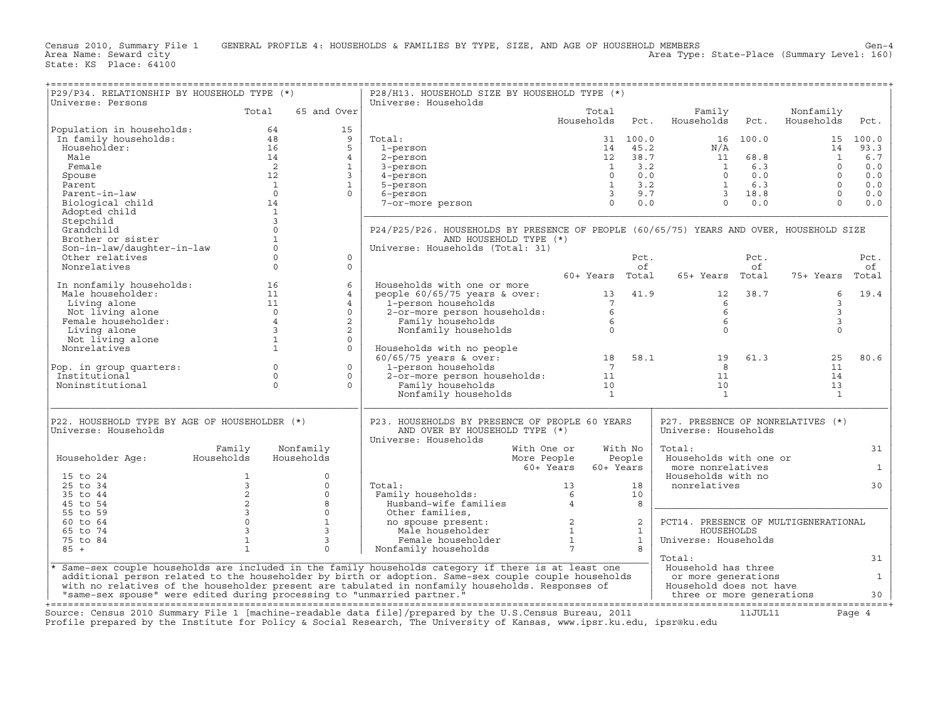Census 2010, Summary File 1 GENERAL PROFILE 4: HOUSEHOLDS & FAMILIES BY TYPE, SIZE, AND AGE OF HOUSEHOLD MEMBERS<br>Area Name: Seward city Area Type: State-Place (Summary Level: 160) State: KS Place: 64100

+===================================================================================================================================================+|P29/P34. RELATIONSHIP BY HOUSEHOLD TYPE (\*) | P28/H13. HOUSEHOLD SIZE BY HOUSEHOLD TYPE (\*) | |Universe: Persons | Universe: Households | | Total 65 and Over| Total Family Nonfamily | | | Households Pct. Households Pct. Households Pct. | |Population in households: 64 15 | | | In family households: 48 9 | Total: 31 100.0 16 100.0 15 100.0 | | Householder: 16 5 | 1−person 14 45.2 N/A 14 93.3 | | Male 14 4 | 2−person 12 38.7 11 68.8 1 6.7 | | Female 2 1 | 3−person 1 3.2 1 6.3 0 0.0 | | Spouse 12 3 | 4−person 0 0.0 0 0.0 0 0.0 | | Parent 1 1 | 5−person 1 3.2 1 6.3 0 0.0 | | Parent−in−law 0 0 | 6−person 3 9.7 3 18.8 0 0.0 | | Biological child 14 | 7−or−more person 0 0.0 0 0.0 0 0.0 | | Adopted child 1 |\_\_\_\_\_\_\_\_\_\_\_\_\_\_\_\_\_\_\_\_\_\_\_\_\_\_\_\_\_\_\_\_\_\_\_\_\_\_\_\_\_\_\_\_\_\_\_\_\_\_\_\_\_\_\_\_\_\_\_\_\_\_\_\_\_\_\_\_\_\_\_\_\_\_\_\_\_\_\_\_\_\_\_\_\_\_\_\_\_\_\_\_| | Stepchild 3 | | | Grandchild 0 | P24/P25/P26. HOUSEHOLDS BY PRESENCE OF PEOPLE (60/65/75) YEARS AND OVER, HOUSEHOLD SIZE | | Brother or sister 1 | AND HOUSEHOLD TYPE (\*) | | Son−in−law/daughter−in−law 0 | Universe: Households (Total: 31) | | Other relatives 0 0 | Pct. Pct. Pct. | | Nonrelatives 0 0 | of of of | | | 60+ Years Total 65+ Years Total 75+ Years Total | | In nonfamily households: 16 6 | Households with one or more | | Male householder: 11 4 | people 60/65/75 years & over: 13 41.9 12 38.7 6 19.4 | | Living alone 11 4 | 1−person households 7 6 3 | | Not living alone 0 0 | 2−or−more person households: 6 6 3 | | Female householder: 4 2 | Family households 6 6 3 | | Living alone 3 2 | Nonfamily households 0 0 0 | | Not living alone 1 0 | | | Nonrelatives 1 0 | Households with no people | | | 60/65/75 years & over: 18 58.1 19 61.3 25 80.6 | |Pop. in group quarters: 0 0 | 1−person households 7 8 11 | | Institutional 0 0 | 2−or−more person households: 11 11 14 | | Noninstitutional 0 0 | Family households 10 10 13 | | | Nonfamily households 1 1 1 | |\_\_\_\_\_\_\_\_\_\_\_\_\_\_\_\_\_\_\_\_\_\_\_\_\_\_\_\_\_\_\_\_\_\_\_\_\_\_\_\_\_\_\_\_\_\_\_\_\_\_\_\_\_\_|\_\_\_\_\_\_\_\_\_\_\_\_\_\_\_\_\_\_\_\_\_\_\_\_\_\_\_\_\_\_\_\_\_\_\_\_\_\_\_\_\_\_\_\_\_\_\_\_\_\_\_\_\_\_\_\_\_\_\_\_\_\_\_\_\_\_\_\_\_\_\_\_\_\_\_\_\_\_\_\_\_\_\_\_\_\_\_\_\_\_\_\_| | | | | |P22. HOUSEHOLD TYPE BY AGE OF HOUSEHOLDER (\*) | P23. HOUSEHOLDS BY PRESENCE OF PEOPLE 60 YEARS | P27. PRESENCE OF NONRELATIVES (\*) | |Universe: Households | AND OVER BY HOUSEHOLD TYPE (\*) | Universe: Households | | | Universe: Households | | | Family Nonfamily | With One or With No | Total: 31 | | Householder Age: Households Households | More People People | Households with one or | | | 60+ Years 60+ Years | more nonrelatives 1 | | 15 to 24 1 0 | | Households with no | | 25 to 34 3 0 | Total: 13 18 | nonrelatives 30 | | 35 to 44 2 0 | Family households: 6 10 | | | 45 to 54 2 8 | Husband−wife families 4 8 |\_\_\_\_\_\_\_\_\_\_\_\_\_\_\_\_\_\_\_\_\_\_\_\_\_\_\_\_\_\_\_\_\_\_\_\_\_\_\_\_\_| | 55 to 59 3 0 | Other families, | | | 60 to 64 0 1 | no spouse present: 2 2 | PCT14. PRESENCE OF MULTIGENERATIONAL | | 65 to 74 3 3 | Male householder 1 1 | HOUSEHOLDS | | 75 to 84 1 3 | Female householder 1 1 | Universe: Households | | 85 + 1 0 | Nonfamily households 7 8 | | |\_\_\_\_\_\_\_\_\_\_\_\_\_\_\_\_\_\_\_\_\_\_\_\_\_\_\_\_\_\_\_\_\_\_\_\_\_\_\_\_\_\_\_\_\_\_\_\_\_\_\_\_\_\_\_\_\_\_\_\_\_\_\_\_\_\_\_\_\_\_\_\_\_\_\_\_\_\_\_\_\_\_\_\_\_\_\_\_\_\_\_\_\_\_\_\_\_\_\_\_\_\_\_\_\_| Total: 31 | |\* Same−sex couple households are included in the family households category if there is at least one | Household has three | | additional person related to the householder by birth or adoption. Same−sex couple couple households | or more generations 1 | | with no relatives of the householder present are tabulated in nonfamily households. Responses of | Household does not have | | "same−sex spouse" were edited during processing to "unmarried partner." | three or more generations 30 |

+===================================================================================================================================================+

Source: Census 2010 Summary File 1 [machine-readable data file]/prepared by the U.S.Census Bureau, 2011 11JUL11 Page 4 Profile prepared by the Institute for Policy & Social Research, The University of Kansas, www.ipsr.ku.edu, ipsr@ku.edu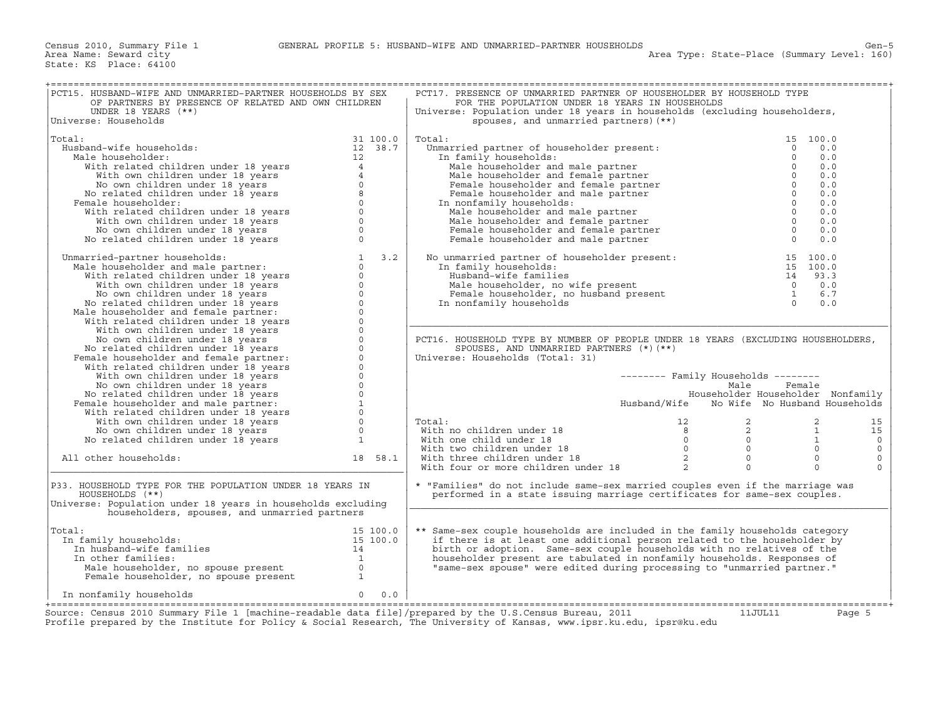| PCT15. HUSBAND-WIFE AND UNMARRIED-PARTNER HOUSEHOLDS BY SEX<br>OF PARTNERS BY PRESENCE OF RELATED AND OWN CHILDREN<br>UNDER 18 YEARS (**)                                                                                                                                                |                                                                      | PCT17. PRESENCE OF UNMARRIED PARTNER OF HOUSEHOLDER BY HOUSEHOLD TYPE<br>FOR THE POPULATION UNDER 18 YEARS IN HOUSEHOLDS<br>Universe: Population under 18 years in households (excluding householders,                                                                                                                                                                                    |                                                                                                     |          |          |
|------------------------------------------------------------------------------------------------------------------------------------------------------------------------------------------------------------------------------------------------------------------------------------------|----------------------------------------------------------------------|-------------------------------------------------------------------------------------------------------------------------------------------------------------------------------------------------------------------------------------------------------------------------------------------------------------------------------------------------------------------------------------------|-----------------------------------------------------------------------------------------------------|----------|----------|
| Universe: Households                                                                                                                                                                                                                                                                     |                                                                      | spouses, and unmarried partners) (**)                                                                                                                                                                                                                                                                                                                                                     |                                                                                                     |          |          |
|                                                                                                                                                                                                                                                                                          |                                                                      |                                                                                                                                                                                                                                                                                                                                                                                           |                                                                                                     |          |          |
| Total:                                                                                                                                                                                                                                                                                   | 31 100.0                                                             | Total:<br>Unmarried partner of householder present:                                                                                                                                                                                                                                                                                                                                       |                                                                                                     | 15 100.0 |          |
| Husband-wife households:                                                                                                                                                                                                                                                                 | 12 38.7                                                              |                                                                                                                                                                                                                                                                                                                                                                                           | $\Omega$                                                                                            | 0.0      |          |
| Male householder:                                                                                                                                                                                                                                                                        | 12                                                                   | In family households:                                                                                                                                                                                                                                                                                                                                                                     |                                                                                                     | 0.0      |          |
|                                                                                                                                                                                                                                                                                          |                                                                      | Male householder and male partner                                                                                                                                                                                                                                                                                                                                                         |                                                                                                     | 0.0      |          |
|                                                                                                                                                                                                                                                                                          |                                                                      | Male householder and female partner                                                                                                                                                                                                                                                                                                                                                       |                                                                                                     | 0.0      |          |
|                                                                                                                                                                                                                                                                                          |                                                                      | Female householder and female partner                                                                                                                                                                                                                                                                                                                                                     |                                                                                                     | 0.0      |          |
|                                                                                                                                                                                                                                                                                          |                                                                      | Female householder and male partner                                                                                                                                                                                                                                                                                                                                                       |                                                                                                     | 0.0      |          |
| Female householder:                                                                                                                                                                                                                                                                      |                                                                      | In nonfamily households:                                                                                                                                                                                                                                                                                                                                                                  |                                                                                                     | 0.0      |          |
|                                                                                                                                                                                                                                                                                          |                                                                      | Male householder and male partner                                                                                                                                                                                                                                                                                                                                                         | $\overline{0}$                                                                                      | 0.0      |          |
|                                                                                                                                                                                                                                                                                          |                                                                      |                                                                                                                                                                                                                                                                                                                                                                                           | $\overline{0}$                                                                                      | 0.0      |          |
|                                                                                                                                                                                                                                                                                          |                                                                      | Male householder and female partner                                                                                                                                                                                                                                                                                                                                                       |                                                                                                     |          |          |
|                                                                                                                                                                                                                                                                                          |                                                                      | Female householder and female partner                                                                                                                                                                                                                                                                                                                                                     | $\begin{matrix} 0 \\ 0 \end{matrix}$                                                                | 0.0      |          |
| iale householder:<br>With related children under 18 years<br>With own children under 18 years<br>No own children under 18 years<br>No related children under 18 years<br>emale householder:<br>With related children under 18 years<br>With                                              |                                                                      | Female householder and male partner                                                                                                                                                                                                                                                                                                                                                       |                                                                                                     | 0.0      |          |
|                                                                                                                                                                                                                                                                                          |                                                                      |                                                                                                                                                                                                                                                                                                                                                                                           |                                                                                                     |          |          |
| arried-partner households:<br>iale householder and male partner:<br>0<br>with related children under 18 years<br>with own children under 18 years<br>0<br>No own children under 18 years<br>0<br>No related children under 18 years<br>0<br>iale h<br>Unmarried-partner households:      | 3.2                                                                  | No unmarried partner of householder present:                                                                                                                                                                                                                                                                                                                                              |                                                                                                     | 15 100.0 |          |
| Male householder and male partner:                                                                                                                                                                                                                                                       |                                                                      | In family households:                                                                                                                                                                                                                                                                                                                                                                     |                                                                                                     | 15 100.0 |          |
|                                                                                                                                                                                                                                                                                          |                                                                      | Husband-wife families                                                                                                                                                                                                                                                                                                                                                                     |                                                                                                     |          |          |
|                                                                                                                                                                                                                                                                                          |                                                                      | Male householder, no wife present                                                                                                                                                                                                                                                                                                                                                         |                                                                                                     |          |          |
|                                                                                                                                                                                                                                                                                          |                                                                      | Female householder, no husband present                                                                                                                                                                                                                                                                                                                                                    |                                                                                                     |          |          |
|                                                                                                                                                                                                                                                                                          |                                                                      | In nonfamily households                                                                                                                                                                                                                                                                                                                                                                   | $\begin{array}{cccc} 12 & 13 & 3 \\ 14 & 93 & 3 \\ 0 & 0 & 0 \\ 1 & 6 & 7 \\ 0 & 0 & 0 \end{array}$ |          |          |
|                                                                                                                                                                                                                                                                                          |                                                                      |                                                                                                                                                                                                                                                                                                                                                                                           |                                                                                                     |          |          |
| Male householder and female partner:                                                                                                                                                                                                                                                     |                                                                      |                                                                                                                                                                                                                                                                                                                                                                                           |                                                                                                     |          |          |
|                                                                                                                                                                                                                                                                                          |                                                                      |                                                                                                                                                                                                                                                                                                                                                                                           |                                                                                                     |          |          |
|                                                                                                                                                                                                                                                                                          |                                                                      |                                                                                                                                                                                                                                                                                                                                                                                           |                                                                                                     |          |          |
|                                                                                                                                                                                                                                                                                          |                                                                      | PCT16. HOUSEHOLD TYPE BY NUMBER OF PEOPLE UNDER 18 YEARS (EXCLUDING HOUSEHOLDERS,                                                                                                                                                                                                                                                                                                         |                                                                                                     |          |          |
|                                                                                                                                                                                                                                                                                          |                                                                      | SPOUSES, AND UNMARRIED PARTNERS (*) (**)                                                                                                                                                                                                                                                                                                                                                  |                                                                                                     |          |          |
| Female householder and female partner:                                                                                                                                                                                                                                                   |                                                                      | Universe: Households (Total: 31)                                                                                                                                                                                                                                                                                                                                                          |                                                                                                     |          |          |
|                                                                                                                                                                                                                                                                                          |                                                                      |                                                                                                                                                                                                                                                                                                                                                                                           |                                                                                                     |          |          |
| With own children under 18 years                                                                                                                                                                                                                                                         | $\mathbf{0}$                                                         |                                                                                                                                                                                                                                                                                                                                                                                           | $------$ Family Households $------$                                                                 |          |          |
|                                                                                                                                                                                                                                                                                          |                                                                      |                                                                                                                                                                                                                                                                                                                                                                                           | Male                                                                                                | Female   |          |
|                                                                                                                                                                                                                                                                                          |                                                                      |                                                                                                                                                                                                                                                                                                                                                                                           | Householder Householder Nonfamily                                                                   |          |          |
|                                                                                                                                                                                                                                                                                          |                                                                      |                                                                                                                                                                                                                                                                                                                                                                                           |                                                                                                     |          |          |
| No own children under 18 years<br>No related children under 18 years<br>emale householder and male partner:<br>With related children under 18 years<br>With own children under 18 years<br>No own children under 18 years<br>No related children<br>Female householder and male partner: |                                                                      |                                                                                                                                                                                                                                                                                                                                                                                           | Husband/Wife No Wife No Husband Households                                                          |          |          |
|                                                                                                                                                                                                                                                                                          |                                                                      |                                                                                                                                                                                                                                                                                                                                                                                           |                                                                                                     |          |          |
|                                                                                                                                                                                                                                                                                          |                                                                      | Total:                                                                                                                                                                                                                                                                                                                                                                                    |                                                                                                     |          | 15       |
|                                                                                                                                                                                                                                                                                          |                                                                      |                                                                                                                                                                                                                                                                                                                                                                                           |                                                                                                     |          | 15       |
|                                                                                                                                                                                                                                                                                          |                                                                      |                                                                                                                                                                                                                                                                                                                                                                                           |                                                                                                     |          | $\circ$  |
|                                                                                                                                                                                                                                                                                          |                                                                      |                                                                                                                                                                                                                                                                                                                                                                                           |                                                                                                     |          | $\Omega$ |
| All other households:                                                                                                                                                                                                                                                                    | 18 58.1                                                              |                                                                                                                                                                                                                                                                                                                                                                                           |                                                                                                     |          | $\circ$  |
|                                                                                                                                                                                                                                                                                          |                                                                      | $\begin{array}{lllllllllllll} \text{Total:} & & & & 12 & & 2 & & 2 \\ \text{With no children under 18} & & & 8 & & 2 & & 1 \\ \text{With two children under 18} & & & 0 & & 0 & & 1 \\ \text{With two children under 18} & & & 0 & & 0 & & 0 \\ \text{With three children under 18} & & & 2 & & 0 & & 0 \\ \text{With four or more children under 18} & & & 2 & & 0 & & 0 \\ \end{array}$ |                                                                                                     |          |          |
|                                                                                                                                                                                                                                                                                          |                                                                      |                                                                                                                                                                                                                                                                                                                                                                                           |                                                                                                     |          |          |
| P33. HOUSEHOLD TYPE FOR THE POPULATION UNDER 18 YEARS IN                                                                                                                                                                                                                                 |                                                                      | * "Families" do not include same-sex married couples even if the marriage was                                                                                                                                                                                                                                                                                                             |                                                                                                     |          |          |
|                                                                                                                                                                                                                                                                                          |                                                                      |                                                                                                                                                                                                                                                                                                                                                                                           |                                                                                                     |          |          |
| HOUSEHOLDS (**)                                                                                                                                                                                                                                                                          |                                                                      | performed in a state issuing marriage certificates for same-sex couples.                                                                                                                                                                                                                                                                                                                  |                                                                                                     |          |          |
| Universe: Population under 18 years in households excluding                                                                                                                                                                                                                              |                                                                      |                                                                                                                                                                                                                                                                                                                                                                                           |                                                                                                     |          |          |
| householders, spouses, and unmarried partners                                                                                                                                                                                                                                            |                                                                      |                                                                                                                                                                                                                                                                                                                                                                                           |                                                                                                     |          |          |
|                                                                                                                                                                                                                                                                                          |                                                                      |                                                                                                                                                                                                                                                                                                                                                                                           |                                                                                                     |          |          |
| Total:                                                                                                                                                                                                                                                                                   | $\begin{array}{cccc} 15 & 100.0 \\ 15 & 100.0 \\ 14 & 1 \end{array}$ | ** Same-sex couple households are included in the family households category                                                                                                                                                                                                                                                                                                              |                                                                                                     |          |          |
| In family households:                                                                                                                                                                                                                                                                    |                                                                      | if there is at least one additional person related to the householder by                                                                                                                                                                                                                                                                                                                  |                                                                                                     |          |          |
| In husband-wife families                                                                                                                                                                                                                                                                 |                                                                      | birth or adoption. Same-sex couple households with no relatives of the                                                                                                                                                                                                                                                                                                                    |                                                                                                     |          |          |
| In other families:                                                                                                                                                                                                                                                                       |                                                                      | householder present are tabulated in nonfamily households. Responses of                                                                                                                                                                                                                                                                                                                   |                                                                                                     |          |          |
|                                                                                                                                                                                                                                                                                          |                                                                      | "same-sex spouse" were edited during processing to "unmarried partner."                                                                                                                                                                                                                                                                                                                   |                                                                                                     |          |          |
|                                                                                                                                                                                                                                                                                          |                                                                      |                                                                                                                                                                                                                                                                                                                                                                                           |                                                                                                     |          |          |
| Nale householder, no spouse present<br>Female householder, no spouse present<br>Temale householder, no spouse present<br>There is the contract of the contract of the contract of the contract of the contract of the contract of the c                                                  |                                                                      |                                                                                                                                                                                                                                                                                                                                                                                           |                                                                                                     |          |          |
|                                                                                                                                                                                                                                                                                          |                                                                      |                                                                                                                                                                                                                                                                                                                                                                                           |                                                                                                     |          |          |
| In nonfamily households                                                                                                                                                                                                                                                                  | $\circ$<br>0.0                                                       |                                                                                                                                                                                                                                                                                                                                                                                           |                                                                                                     |          |          |
|                                                                                                                                                                                                                                                                                          |                                                                      |                                                                                                                                                                                                                                                                                                                                                                                           |                                                                                                     |          |          |
| Source: Census 2010 Summary File 1 [machine-readable data file]/prepared by the U.S.Census Bureau, 2011<br>Profile prepared by the Institute for Policy & Social Research, The University of Kansas, www.ipsr.ku.edu, ipsr@ku.edu                                                        |                                                                      |                                                                                                                                                                                                                                                                                                                                                                                           | 11JUL11                                                                                             |          | Page 5   |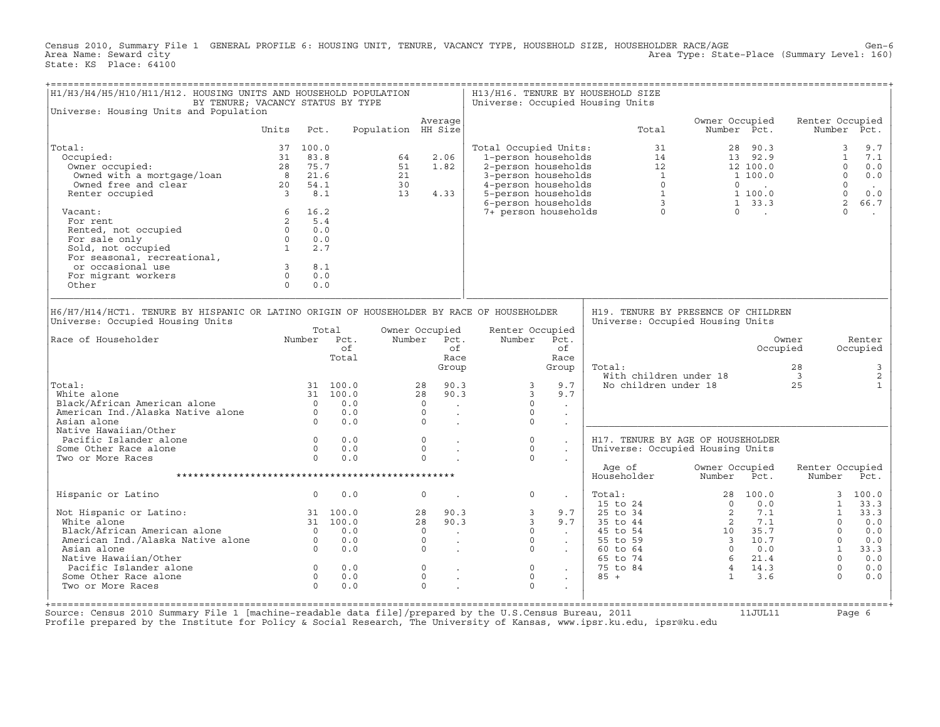Census 2010, Summary File 1 GENERAL PROFILE 6: HOUSING UNIT, TENURE, VACANCY TYPE, HOUSEHOLD SIZE, HOUSEHOLDER RACE/AGE Gen-6<br>Area Name: Seward city level: 160) Area Type: State-Place (Summary Level: 160) State: KS Place: 64100

| H1/H3/H4/H5/H10/H11/H12. HOUSING UNITS AND HOUSEHOLD POPULATION<br>BY TENURE; VACANCY STATUS BY TYPE                                                                                                                                                                                       |                         |                                        |                                                                                  |                    |                                                                                                                                             |                                                                                            |                                                                                 | H13/H16. TENURE BY HOUSEHOLD SIZE<br>Universe: Occupied Housing Units                                                               |                               |                                                |                                              |                                              |
|--------------------------------------------------------------------------------------------------------------------------------------------------------------------------------------------------------------------------------------------------------------------------------------------|-------------------------|----------------------------------------|----------------------------------------------------------------------------------|--------------------|---------------------------------------------------------------------------------------------------------------------------------------------|--------------------------------------------------------------------------------------------|---------------------------------------------------------------------------------|-------------------------------------------------------------------------------------------------------------------------------------|-------------------------------|------------------------------------------------|----------------------------------------------|----------------------------------------------|
| Universe: Housing Units and Population                                                                                                                                                                                                                                                     |                         |                                        |                                                                                  |                    | Average                                                                                                                                     |                                                                                            |                                                                                 |                                                                                                                                     | Owner Occupied<br>Number Pct. |                                                | Renter Occupied                              |                                              |
|                                                                                                                                                                                                                                                                                            | Units                   | Pct.                                   |                                                                                  | Population HH Size |                                                                                                                                             |                                                                                            |                                                                                 | Total                                                                                                                               |                               |                                                |                                              | Number Pct.                                  |
| Total:                                                                                                                                                                                                                                                                                     | 37                      | 100.0                                  |                                                                                  |                    |                                                                                                                                             | Total Occupied Units:                                                                      |                                                                                 | 31                                                                                                                                  |                               | 28 90.3                                        |                                              | 9.7<br>3                                     |
| Occupied:                                                                                                                                                                                                                                                                                  | 31                      | 83.8                                   |                                                                                  | 64                 | 2.06                                                                                                                                        | 1-person households                                                                        |                                                                                 | 14                                                                                                                                  |                               | 13 92.9                                        |                                              | 7.1<br>$\mathbf{1}$                          |
| Owner occupied:                                                                                                                                                                                                                                                                            | 28                      | 75.7                                   |                                                                                  | 51                 | 1.82                                                                                                                                        | 2-person households                                                                        |                                                                                 | 12                                                                                                                                  |                               | 12 100.0                                       |                                              | $\Omega$<br>0.0                              |
| Owned with a mortgage/loan                                                                                                                                                                                                                                                                 | 8 <sup>1</sup>          | 21.6                                   |                                                                                  | 21                 |                                                                                                                                             | 3-person households                                                                        |                                                                                 | $\overline{1}$                                                                                                                      |                               | 1 100.0                                        |                                              | $\Omega$<br>0.0                              |
| Owned free and clear                                                                                                                                                                                                                                                                       |                         | 20 54.1                                |                                                                                  | 30                 |                                                                                                                                             | 4-person households                                                                        |                                                                                 | $\Omega$                                                                                                                            |                               | $\begin{array}{ccc} 0 & & \dots & \end{array}$ |                                              | $\Omega$<br>$\sim$                           |
| Renter occupied                                                                                                                                                                                                                                                                            | $\overline{\mathbf{3}}$ | 8.1                                    |                                                                                  | 13                 | 4.33                                                                                                                                        | 5-person households                                                                        |                                                                                 | $\mathbf{1}$                                                                                                                        |                               | 1 100.0                                        |                                              | $\Omega$<br>0.0                              |
|                                                                                                                                                                                                                                                                                            |                         |                                        |                                                                                  |                    |                                                                                                                                             | 6-person households                                                                        |                                                                                 | $3^{\circ}$                                                                                                                         |                               | $1 \quad 33.3$                                 |                                              | 2<br>66.7                                    |
| Vacant:                                                                                                                                                                                                                                                                                    |                         | 6 16.2                                 |                                                                                  |                    |                                                                                                                                             | 7+ person households                                                                       |                                                                                 | $\Omega$                                                                                                                            |                               | $\Omega$ .                                     |                                              | $\Omega$<br>$\sim$                           |
| For rent                                                                                                                                                                                                                                                                                   | $\overline{2}$          | 5.4                                    |                                                                                  |                    |                                                                                                                                             |                                                                                            |                                                                                 |                                                                                                                                     |                               |                                                |                                              |                                              |
| Rented, not occupied                                                                                                                                                                                                                                                                       | $\Omega$                | 0.0                                    |                                                                                  |                    |                                                                                                                                             |                                                                                            |                                                                                 |                                                                                                                                     |                               |                                                |                                              |                                              |
| For sale only                                                                                                                                                                                                                                                                              | $\Omega$                | 0.0                                    |                                                                                  |                    |                                                                                                                                             |                                                                                            |                                                                                 |                                                                                                                                     |                               |                                                |                                              |                                              |
| Sold, not occupied                                                                                                                                                                                                                                                                         | 1                       | 2.7                                    |                                                                                  |                    |                                                                                                                                             |                                                                                            |                                                                                 |                                                                                                                                     |                               |                                                |                                              |                                              |
| For seasonal, recreational,                                                                                                                                                                                                                                                                |                         |                                        |                                                                                  |                    |                                                                                                                                             |                                                                                            |                                                                                 |                                                                                                                                     |                               |                                                |                                              |                                              |
| or occasional use                                                                                                                                                                                                                                                                          | $\overline{3}$          | 8.1                                    |                                                                                  |                    |                                                                                                                                             |                                                                                            |                                                                                 |                                                                                                                                     |                               |                                                |                                              |                                              |
| For migrant workers                                                                                                                                                                                                                                                                        | $\Omega$                | 0.0                                    |                                                                                  |                    |                                                                                                                                             |                                                                                            |                                                                                 |                                                                                                                                     |                               |                                                |                                              |                                              |
| Other                                                                                                                                                                                                                                                                                      | $\Omega$                | 0.0                                    |                                                                                  |                    |                                                                                                                                             |                                                                                            |                                                                                 |                                                                                                                                     |                               |                                                |                                              |                                              |
| H6/H7/H14/HCT1. TENURE BY HISPANIC OR LATINO ORIGIN OF HOUSEHOLDER BY RACE OF HOUSEHOLDER<br>Universe: Occupied Housing Units<br>Race of Householder<br>Total:<br>White alone<br>Black/African American alone<br>American Ind./Alaska Native alone<br>Asian alone<br>Native Hawaiian/Other |                         | $\Omega$<br>$\overline{0}$<br>$\Omega$ | Total<br>Number Pct.<br>of<br>Total<br>31 100.0<br>31 100.0<br>0.0<br>0.0<br>0.0 |                    | Owner Occupied<br>Number Pct.<br>of<br>Race<br>Group<br>90.3<br>28<br>90.3<br>28<br>$\Omega$<br>$\sim$<br>$\circ$<br>$\epsilon$<br>$\Omega$ | Renter Occupied<br>Number<br>3<br>$\overline{3}$<br>$\mathbf 0$<br>$\mathbf 0$<br>$\Omega$ | Pct.<br>of<br>Race<br>Group<br>9.7<br>9.7<br>$\sim$<br>$\mathbb{Z}^2$<br>$\sim$ | H19. TENURE BY PRESENCE OF CHILDREN<br>Universe: Occupied Housing Units<br>Total:<br>With children under 18<br>No children under 18 |                               | Occupied                                       | Owner<br>28<br>$\overline{\mathbf{3}}$<br>25 | Renter<br>Occupied<br>3<br>2<br>$\mathbf{1}$ |
| Pacific Islander alone                                                                                                                                                                                                                                                                     |                         | $\circ$                                | 0.0                                                                              |                    | $\circ$<br>$\ddot{\phantom{a}}$                                                                                                             | $\mathbf 0$                                                                                | $\ddot{\phantom{a}}$                                                            | H17. TENURE BY AGE OF HOUSEHOLDER                                                                                                   |                               |                                                |                                              |                                              |
| Some Other Race alone                                                                                                                                                                                                                                                                      |                         | $\Omega$                               | 0.0                                                                              |                    | $\Omega$                                                                                                                                    | $\Omega$                                                                                   | $\bullet$                                                                       | Universe: Occupied Housing Units                                                                                                    |                               |                                                |                                              |                                              |
| Two or More Races                                                                                                                                                                                                                                                                          |                         | $\Omega$                               | 0.0                                                                              |                    | $\Omega$                                                                                                                                    | $\Omega$                                                                                   |                                                                                 |                                                                                                                                     |                               |                                                |                                              |                                              |
|                                                                                                                                                                                                                                                                                            |                         |                                        |                                                                                  |                    |                                                                                                                                             |                                                                                            |                                                                                 | Age of<br>Householder                                                                                                               | Owner Occupied<br>Number      | Pct.                                           | Renter Occupied<br>Number                    | Pct.                                         |
| Hispanic or Latino                                                                                                                                                                                                                                                                         |                         | $\circ$                                | 0.0                                                                              |                    | $\circ$<br>$\ddot{\phantom{a}}$                                                                                                             | $\circ$                                                                                    | $\sim$                                                                          | Total:                                                                                                                              | $\Omega$                      | 28 100.0                                       | $\mathbf{3}$                                 | 100.0                                        |
|                                                                                                                                                                                                                                                                                            |                         |                                        | 31 100.0                                                                         |                    | 28<br>90.3                                                                                                                                  | $\mathbf{3}$                                                                               | 9.7                                                                             | 15 to 24<br>25 to 34                                                                                                                | 2                             | 0.0<br>7.1                                     | $\mathbf{1}$<br>$\mathbf{1}$                 | 33.3<br>33.3                                 |
| Not Hispanic or Latino:                                                                                                                                                                                                                                                                    |                         |                                        |                                                                                  |                    |                                                                                                                                             | $\mathbf{3}$                                                                               | 9.7                                                                             |                                                                                                                                     | 2                             | 7.1                                            | $\Omega$                                     |                                              |
| White alone<br>Black/African American alone                                                                                                                                                                                                                                                |                         | $\bigcirc$                             | 31 100.0<br>0.0                                                                  |                    | 28<br>90.3<br>$\Omega$                                                                                                                      | $\circ$                                                                                    |                                                                                 | 35 to 44<br>45 to 54                                                                                                                |                               | 10 35.7                                        | $\Omega$                                     | 0.0<br>0.0                                   |
| American Ind./Alaska Native alone                                                                                                                                                                                                                                                          |                         |                                        | 0.0                                                                              |                    | $\sim$<br>$\circ$                                                                                                                           | $\mathbf 0$                                                                                | $\sim 10^{-11}$                                                                 | 55 to 59                                                                                                                            |                               | 3 10.7                                         | $\Omega$                                     | 0.0                                          |
| Asian alone                                                                                                                                                                                                                                                                                |                         | $\overline{0}$<br>$\Omega$             | 0.0                                                                              |                    | $\circ$                                                                                                                                     | $\circ$                                                                                    | $\sim$<br>$\sim$                                                                | 60 to 64                                                                                                                            | $\Omega$                      | 0.0                                            | $\mathbf{1}$                                 | 33.3                                         |
| Native Hawaiian/Other                                                                                                                                                                                                                                                                      |                         |                                        |                                                                                  |                    |                                                                                                                                             |                                                                                            |                                                                                 | 65 to 74                                                                                                                            | 6 <sup>6</sup>                | 21.4                                           | $\Omega$                                     | 0.0                                          |
| Pacific Islander alone                                                                                                                                                                                                                                                                     |                         | $\circ$                                | 0.0                                                                              |                    | $\mathbb O$                                                                                                                                 | $\mathsf{O}$                                                                               |                                                                                 | 75 to 84                                                                                                                            | $\overline{4}$                | 14.3                                           | $\Omega$                                     | 0.0                                          |
| Some Other Race alone                                                                                                                                                                                                                                                                      |                         | $\Omega$                               | 0.0                                                                              |                    | $\Omega$                                                                                                                                    | $\Omega$                                                                                   |                                                                                 | $85 +$                                                                                                                              | $\mathbf{1}$                  | 3.6                                            | $\Omega$                                     | 0.0                                          |
| Two or More Races                                                                                                                                                                                                                                                                          |                         | $\Omega$                               | 0.0                                                                              |                    | $\Omega$                                                                                                                                    | $\Omega$                                                                                   | $\bullet$                                                                       |                                                                                                                                     |                               |                                                |                                              |                                              |
|                                                                                                                                                                                                                                                                                            |                         |                                        |                                                                                  |                    |                                                                                                                                             |                                                                                            |                                                                                 |                                                                                                                                     |                               |                                                |                                              |                                              |

+===================================================================================================================================================+ Source: Census 2010 Summary File 1 [machine−readable data file]/prepared by the U.S.Census Bureau, 2011 11JUL11 Page 6 Profile prepared by the Institute for Policy & Social Research, The University of Kansas, www.ipsr.ku.edu, ipsr@ku.edu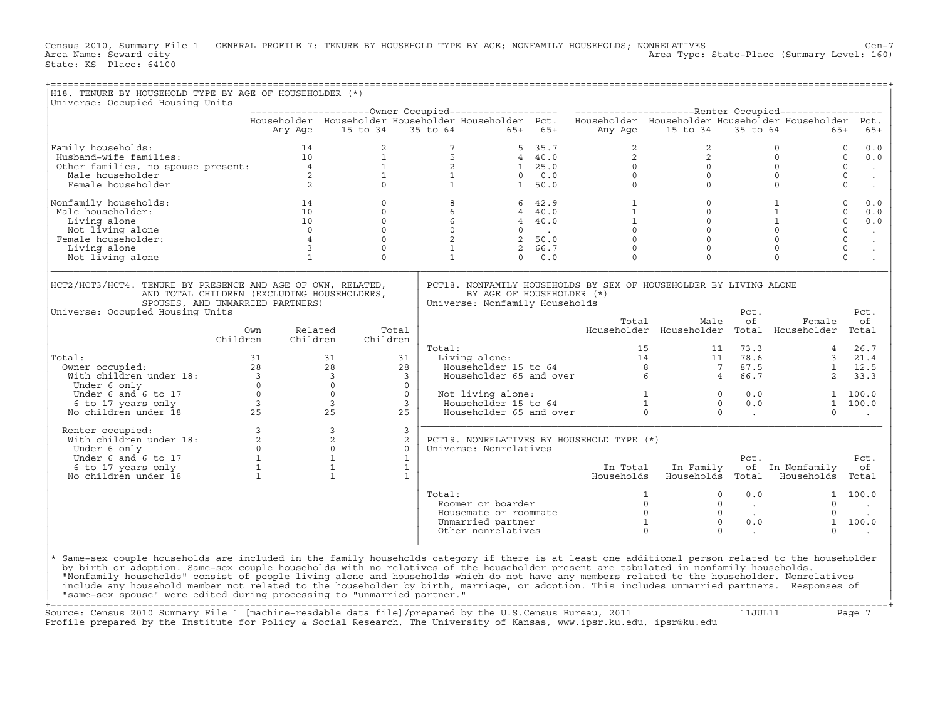Census 2010, Summary File 1 GENERAL PROFILE 7: TENURE BY HOUSEHOLD TYPE BY AGE; NONFAMILY HOUSEHOLDS; NONRELATIVES Gen−7<br>Area Name: Seward city Area Type: State-Place (Summary Level: 160) State: KS Place: 64100

| Universe: Occupied Housing Units                                                                                                                                                                                                                                                        |                                              |                                             |                                |                                                                |                                                                            |                                           |                                                                                                                                      |                                                  |                                   |                        |
|-----------------------------------------------------------------------------------------------------------------------------------------------------------------------------------------------------------------------------------------------------------------------------------------|----------------------------------------------|---------------------------------------------|--------------------------------|----------------------------------------------------------------|----------------------------------------------------------------------------|-------------------------------------------|--------------------------------------------------------------------------------------------------------------------------------------|--------------------------------------------------|-----------------------------------|------------------------|
|                                                                                                                                                                                                                                                                                         |                                              |                                             |                                |                                                                |                                                                            |                                           | Householder Householder Householder Householder Pct. Householder Householder Householder Householder Pct.                            |                                                  |                                   |                        |
|                                                                                                                                                                                                                                                                                         |                                              |                                             |                                | Any Age 15 to 34 35 to 64 65+ 65+                              |                                                                            | Any Age                                   | 15 to 34 35 to 64                                                                                                                    |                                                  | $65+$                             | $65+$                  |
| Family households:<br>Family households:<br>Husband-wife families: 10<br>Other families, no spouse present: 4<br>Male householder 2<br>Female householder 2                                                                                                                             |                                              | $\overline{a}$                              |                                | $7^{\circ}$                                                    | 5 35.7                                                                     | $\overline{2}$                            | 2                                                                                                                                    |                                                  | $\Omega$                          | $\Omega$<br>0.0        |
|                                                                                                                                                                                                                                                                                         |                                              |                                             | $\frac{1}{1}$                  | $\begin{array}{cccc} 5 & 4 & 40.0 \\ 2 & 1 & 25.0 \end{array}$ |                                                                            |                                           |                                                                                                                                      |                                                  | $\circ$                           | $\Omega$<br>0.0        |
|                                                                                                                                                                                                                                                                                         |                                              |                                             |                                |                                                                |                                                                            |                                           | $\begin{bmatrix} 2 \\ 0 \\ 0 \\ 0 \end{bmatrix}$                                                                                     | $\begin{bmatrix} 2 \\ 0 \\ 0 \\ 0 \end{bmatrix}$ | $\Omega$                          | $\Omega$<br>$\sim$     |
|                                                                                                                                                                                                                                                                                         |                                              |                                             | $\frac{1}{0}$                  | $\mathbf{1}$<br>$1 \qquad \qquad$                              | $0 \t 0.0$                                                                 | $\overline{0}$                            |                                                                                                                                      |                                                  | $\circ$<br>$\Omega$               | $\mathbf{0}$<br>$\sim$ |
|                                                                                                                                                                                                                                                                                         |                                              |                                             |                                |                                                                | 1, 50.0                                                                    |                                           |                                                                                                                                      |                                                  |                                   | $\circ$<br>$\sim$      |
| Nonfamily households:                                                                                                                                                                                                                                                                   | $\begin{array}{c} 14 \\ 10 \\ 1 \end{array}$ | $\circ$                                     |                                | 8                                                              | 6, 42.9                                                                    |                                           | $\begin{array}{ccc} 1 & & & 0 \\ 1 & & & 0 \\ 1 & & & 0 \\ 0 & & & 0 \\ 0 & & & & 0 \\ 0 & & & & & 0 \\ 0 & & & & & & 0 \end{array}$ |                                                  | $\mathbf{1}$                      | $\circ$<br>0.0         |
| Male householder:                                                                                                                                                                                                                                                                       |                                              | $\circ$                                     |                                | $6\overline{6}$<br>$6$<br>$6$<br>$0$<br>$2$<br>$1$             | $4 \quad 40.0$                                                             |                                           |                                                                                                                                      |                                                  | $\mathbf{1}$                      | $\circ$<br>0.0         |
| Living alone                                                                                                                                                                                                                                                                            |                                              | $\Omega$                                    |                                |                                                                | $4 \t 40.0$                                                                |                                           |                                                                                                                                      |                                                  | 1                                 | $\Omega$<br>0.0        |
| Not living alone                                                                                                                                                                                                                                                                        | $\frac{0}{4}$                                | $\circ$                                     |                                |                                                                |                                                                            |                                           |                                                                                                                                      |                                                  | $\circ$                           | $\mathbf{0}$<br>$\sim$ |
| Female householder:                                                                                                                                                                                                                                                                     |                                              | $\Omega$                                    |                                |                                                                |                                                                            |                                           |                                                                                                                                      |                                                  | $\Omega$                          | $\circ$<br>$\sim$      |
| Living alone                                                                                                                                                                                                                                                                            | $\overline{\mathbf{3}}$                      | $\mathbf 0$                                 |                                |                                                                | $\begin{array}{ccc} 0 & . & . \\ 2 & 50.0 & . \\ 2 & 66.7 & . \end{array}$ |                                           |                                                                                                                                      |                                                  | $\circ$                           | $\mathsf{O}$<br>$\sim$ |
| Not living alone                                                                                                                                                                                                                                                                        | $\mathbf{1}$                                 | $\Omega$                                    |                                | $\mathbf{1}$                                                   | $0 \t 0.0$                                                                 | $\Omega$                                  | $\Omega$                                                                                                                             |                                                  | $\Omega$                          | $\Omega$               |
| HCT2/HCT3/HCT4. TENURE BY PRESENCE AND AGE OF OWN, RELATED,<br>AND TOTAL CHILDREN (EXCLUDING HOUSEHOLDERS,<br>SPOUSES, AND UNMARRIED PARTNERS)<br>Universe: Occupied Housing Units                                                                                                      |                                              |                                             |                                | Universe: Nonfamily Households                                 | BY AGE OF HOUSEHOLDER (*)                                                  |                                           | PCT18. NONFAMILY HOUSEHOLDS BY SEX OF HOUSEHOLDER BY LIVING ALONE                                                                    | Pct.                                             |                                   | Pct.                   |
|                                                                                                                                                                                                                                                                                         | Own                                          | Related                                     | Total                          |                                                                |                                                                            | Total                                     | Male<br>Householder Householder Total Householder Total                                                                              | of                                               | Female                            | оf                     |
|                                                                                                                                                                                                                                                                                         | Children<br>Children                         | Children                                    |                                | Total:                                                         |                                                                            |                                           |                                                                                                                                      | 11 73.3                                          |                                   | 26.7                   |
| Total:                                                                                                                                                                                                                                                                                  |                                              | 31                                          | 31                             | Living alone:                                                  |                                                                            |                                           | tal: 15 11<br>Living alone: 15 11 11<br>Householder 15 to 64 8 7<br>Householder 65 and over 6 6 4                                    | 73.3<br>78.6<br>87.5                             | $4 \quad$                         | 3, 21.4                |
|                                                                                                                                                                                                                                                                                         |                                              | 28                                          | 2.8                            |                                                                |                                                                            |                                           |                                                                                                                                      |                                                  |                                   | $1 \quad 12.5$         |
|                                                                                                                                                                                                                                                                                         |                                              | $\overline{\mathbf{3}}$                     | $\overline{3}$                 |                                                                |                                                                            |                                           |                                                                                                                                      | 66.7                                             | $2^{\circ}$                       | 33.3                   |
|                                                                                                                                                                                                                                                                                         |                                              | $\overline{0}$                              | $\Omega$                       |                                                                |                                                                            |                                           |                                                                                                                                      |                                                  |                                   |                        |
|                                                                                                                                                                                                                                                                                         |                                              | $\circ$                                     | $\overline{0}$                 | Not living alone:                                              |                                                                            |                                           |                                                                                                                                      |                                                  |                                   | 1 100.0                |
|                                                                                                                                                                                                                                                                                         |                                              | $\overline{3}$                              | $\mathbf{3}$                   |                                                                |                                                                            |                                           |                                                                                                                                      |                                                  |                                   | 1 100.0                |
|                                                                                                                                                                                                                                                                                         |                                              | 25                                          | 25                             |                                                                |                                                                            |                                           | Not living alone:<br>Householder 15 to 64 1 0 0.0<br>Householder 65 and over 0 0 0.0                                                 |                                                  | $\Omega$                          |                        |
| Renter occupied:<br>With children under 18:<br>Under 6 and 6 to 17<br>Under 6 and 6 to 17<br>1 1 6 to 17 years only<br>No children under 18<br>1<br>Renter occupied:                                                                                                                    |                                              | $\overline{3}$<br>$\overline{2}$<br>$\circ$ | $\overline{3}$<br>2<br>$\circ$ | Universe: Nonrelatives                                         |                                                                            | PCT19. NONRELATIVES BY HOUSEHOLD TYPE (*) |                                                                                                                                      |                                                  |                                   |                        |
|                                                                                                                                                                                                                                                                                         |                                              | $\mathbf{1}$                                | $\mathbf{1}$                   |                                                                |                                                                            |                                           |                                                                                                                                      | Pct.                                             |                                   | Pct.                   |
|                                                                                                                                                                                                                                                                                         |                                              | $\mathbf{1}$                                | $\mathbf{1}$                   |                                                                |                                                                            | In Total                                  | In Family                                                                                                                            |                                                  | of In Nonfamily                   | оf                     |
|                                                                                                                                                                                                                                                                                         |                                              | $\overline{1}$                              | $\mathbf{1}$                   |                                                                |                                                                            | Households                                |                                                                                                                                      |                                                  | Households Total Households Total |                        |
|                                                                                                                                                                                                                                                                                         |                                              |                                             |                                | Total:                                                         |                                                                            |                                           | $\circ$                                                                                                                              | 0.0                                              |                                   | 1 100.0                |
|                                                                                                                                                                                                                                                                                         |                                              |                                             |                                | Roomer or boarder                                              |                                                                            |                                           | $\circ$                                                                                                                              | <b>Contract Contract</b>                         | $\circ$                           |                        |
|                                                                                                                                                                                                                                                                                         |                                              |                                             |                                | Housemate or roommate                                          |                                                                            |                                           | $\Omega$                                                                                                                             | $\sim$ $\sim$                                    | $\Omega$                          | $\sim$                 |
|                                                                                                                                                                                                                                                                                         |                                              |                                             |                                | Unmarried partner                                              |                                                                            |                                           | $\begin{array}{c} 1 \\ 0 \\ 0 \\ 1 \\ 0 \end{array}$<br>$\mathbf{0}$                                                                 | 0.0                                              |                                   | 1 100.0                |
|                                                                                                                                                                                                                                                                                         |                                              |                                             |                                | Other nonrelatives                                             |                                                                            |                                           | $\Omega$                                                                                                                             | <b>Contract Contract</b>                         | $\Omega$                          |                        |
| Same-sex couple households are included in the family households category if there is at least one additional person related to the householder<br>by birth or adoption. Same-sex couple households with no relatives of the householder present are tabulated in nonfamily households. |                                              |                                             |                                |                                                                |                                                                            |                                           |                                                                                                                                      |                                                  |                                   |                        |

+===================================================================================================================================================+ Source: Census 2010 Summary File 1 [machine-readable data file]/prepared by the U.S.Census Bureau, 2011 11JUL11 Page 7 Profile prepared by the Institute for Policy & Social Research, The University of Kansas, www.ipsr.ku.edu, ipsr@ku.edu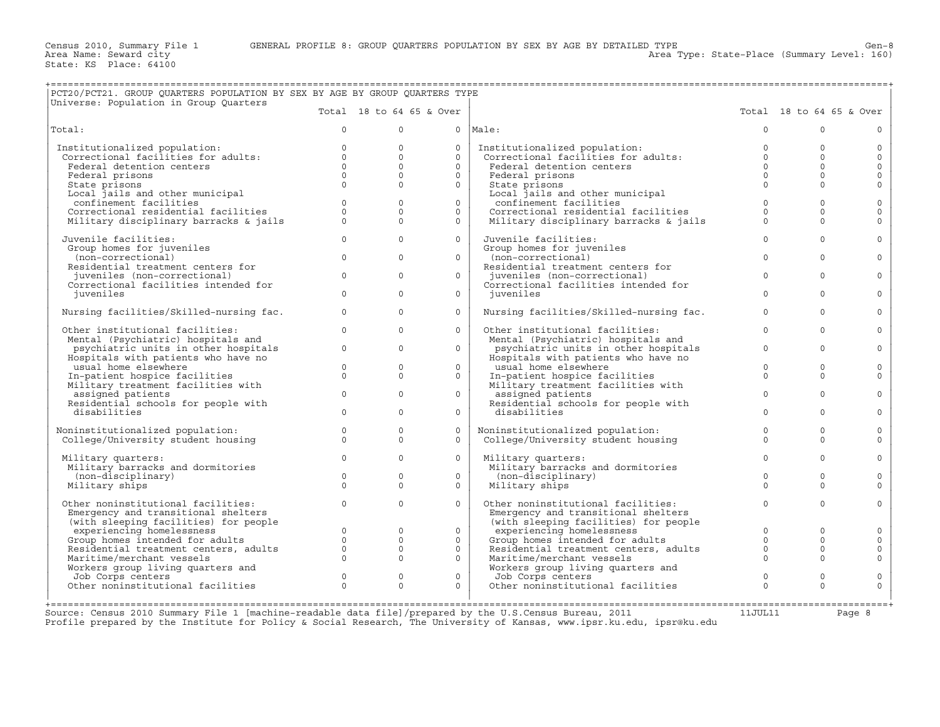| PCT20/PCT21. GROUP OUARTERS POPULATION BY SEX BY AGE BY GROUP OUARTERS TYPE<br>Universe: Population in Group Quarters |                          |                                     |                                |  |
|-----------------------------------------------------------------------------------------------------------------------|--------------------------|-------------------------------------|--------------------------------|--|
|                                                                                                                       | Total 18 to 64 65 & Over |                                     | Total $18$ to $64$ $65$ & Over |  |
| Total:                                                                                                                |                          | 0  Male:                            |                                |  |
| Institutionalized population:                                                                                         |                          | Institutionalized population:       |                                |  |
| Correctional facilities for adults:                                                                                   |                          | Correctional facilities for adults: |                                |  |
| Federal detention centers                                                                                             |                          | Federal detention centers           |                                |  |
| Federal prisons                                                                                                       |                          | Federal prisons                     |                                |  |

| PCT20/PCT21. GROUP QUARTERS POPULATION BY SEX BY AGE BY GROUP QUARTERS TYPE<br>Universe: Population in Group Quarters |                      |                      |                          |                                                         |                      |                          |                         |
|-----------------------------------------------------------------------------------------------------------------------|----------------------|----------------------|--------------------------|---------------------------------------------------------|----------------------|--------------------------|-------------------------|
|                                                                                                                       |                      |                      | Total 18 to 64 65 & Over |                                                         |                      | Total 18 to 64 65 & Over |                         |
| Total:                                                                                                                | $\Omega$             | $\mathbf 0$          | $\circ$                  | Male:                                                   | $\Omega$             | $\Omega$                 | $\circ$                 |
| Institutionalized population:                                                                                         | $\Omega$             | $\Omega$             | $\Omega$                 | Institutionalized population:                           | $\Omega$             | $\Omega$                 | $\circ$                 |
| Correctional facilities for adults:                                                                                   | $\circ$              | $\Omega$             | $\Omega$                 | Correctional facilities for adults:                     | $\circ$              | $\Omega$                 | $\circ$                 |
| Federal detention centers                                                                                             | $\Omega$<br>$\Omega$ | $\Omega$<br>$\Omega$ | $\Omega$<br>$\Omega$     | Federal detention centers<br>Federal prisons            | $\Omega$<br>$\Omega$ | $\Omega$<br>$\Omega$     | $\circ$<br>$\circ$      |
| Federal prisons<br>State prisons                                                                                      | $\Omega$             | $\Omega$             | $\Omega$                 | State prisons                                           | $\Omega$             | $\Omega$                 | $\circ$                 |
| Local jails and other municipal                                                                                       |                      |                      |                          | Local jails and other municipal                         |                      |                          |                         |
| confinement facilities                                                                                                | $\circ$              | $\Omega$             | $\Omega$                 | confinement facilities                                  | $\mathbf 0$          | $\Omega$                 | $\circ$                 |
| Correctional residential facilities                                                                                   | $\Omega$             | $\Omega$             | $\Omega$                 | Correctional residential facilities                     | $\Omega$             | $\Omega$                 | $\circ$                 |
| Military disciplinary barracks & jails                                                                                | $\Omega$             | $\Omega$             | $\Omega$                 | Military disciplinary barracks & jails                  | $\Omega$             | $\Omega$                 | $\circ$                 |
| Juvenile facilities:                                                                                                  | $\Omega$             | $\Omega$             | $\Omega$                 | Juvenile facilities:                                    | $\Omega$             | $\Omega$                 | $\circ$                 |
| Group homes for juveniles                                                                                             |                      |                      |                          | Group homes for juveniles                               |                      |                          |                         |
| (non-correctional)<br>Residential treatment centers for                                                               | $\circ$              | $\Omega$             | $\Omega$                 | (non-correctional)<br>Residential treatment centers for | $\Omega$             | $\Omega$                 | $\mathsf{O}$            |
| juveniles (non-correctional)                                                                                          | $\circ$              | $\Omega$             | $\Omega$                 | juveniles (non-correctional)                            | $\Omega$             | $\Omega$                 | $\circ$                 |
| Correctional facilities intended for                                                                                  |                      |                      |                          | Correctional facilities intended for                    |                      |                          |                         |
| juveniles                                                                                                             | $\circ$              | $\Omega$             | $\Omega$                 | juveniles                                               | $\Omega$             | $\Omega$                 | $\circ$                 |
| Nursing facilities/Skilled-nursing fac.                                                                               | $\circ$              | $\circ$              | $\circ$                  | Nursing facilities/Skilled-nursing fac.                 | $\circ$              | $\Omega$                 | $\mathsf O$             |
| Other institutional facilities:                                                                                       | $\Omega$             | $\Omega$             | $\Omega$                 | Other institutional facilities:                         | $\Omega$             | $\Omega$                 | $\circ$                 |
| Mental (Psychiatric) hospitals and                                                                                    |                      |                      |                          | Mental (Psychiatric) hospitals and                      |                      |                          |                         |
| psychiatric units in other hospitals                                                                                  | $\circ$              | $\Omega$             | $\Omega$                 | psychiatric units in other hospitals                    | $\Omega$             | $\Omega$                 | $\circ$                 |
| Hospitals with patients who have no                                                                                   |                      |                      | $\Omega$                 | Hospitals with patients who have no                     |                      | $\Omega$                 |                         |
| usual home elsewhere<br>In-patient hospice facilities                                                                 | $\circ$<br>$\Omega$  | $\circ$<br>$\Omega$  | $\circ$                  | usual home elsewhere<br>In-patient hospice facilities   | $\circ$<br>$\Omega$  | $\Omega$                 | $\mathsf{O}$<br>$\circ$ |
| Military treatment facilities with                                                                                    |                      |                      |                          | Military treatment facilities with                      |                      |                          |                         |
| assigned patients                                                                                                     | $\Omega$             | $\Omega$             | $\Omega$                 | assigned patients                                       | $\Omega$             | $\Omega$                 | $\Omega$                |
| Residential schools for people with                                                                                   |                      |                      |                          | Residential schools for people with                     |                      |                          |                         |
| disabilities                                                                                                          | $\Omega$             | $\Omega$             | $\Omega$                 | disabilities                                            | $\Omega$             | $\Omega$                 | $\circ$                 |
| Noninstitutionalized population:                                                                                      | $\circ$              | $\circ$              | $\circ$                  | Noninstitutionalized population:                        | $\mathbf 0$          | $\circ$                  | $\mathsf{O}\xspace$     |
| College/University student housing                                                                                    | $\Omega$             | $\Omega$             | $\Omega$                 | College/University student housing                      | $\Omega$             | $\Omega$                 | $\circ$                 |
| Military quarters:                                                                                                    | $\circ$              | $\Omega$             | $\Omega$                 | Military quarters:                                      | $\Omega$             | $\Omega$                 | $\mathsf{O}$            |
| Military barracks and dormitories                                                                                     |                      |                      |                          | Military barracks and dormitories                       |                      |                          |                         |
| (non-disciplinary)                                                                                                    | $\circ$              | $\circ$              | $\circ$                  | (non-disciplinary)                                      | $\mathbf 0$          | $\Omega$                 | $\circ$                 |
| Military ships                                                                                                        | $\Omega$             | $\Omega$             | $\Omega$                 | Military ships                                          | $\Omega$             | $\Omega$                 | $\Omega$                |
| Other noninstitutional facilities:                                                                                    | $\Omega$             | $\Omega$             | $\Omega$                 | Other noninstitutional facilities:                      | $\Omega$             | $\Omega$                 | $\circ$                 |
| Emergency and transitional shelters                                                                                   |                      |                      |                          | Emergency and transitional shelters                     |                      |                          |                         |
| (with sleeping facilities) for people                                                                                 |                      |                      |                          | (with sleeping facilities) for people                   |                      |                          |                         |
| experiencing homelessness                                                                                             | $\circ$              | $\circ$              | $\circ$                  | experiencing homelessness                               | $\circ$              | $\Omega$                 | $\circ$                 |
| Group homes intended for adults                                                                                       | $\circ$              | $\circ$              | $\circ$                  | Group homes intended for adults                         | $\circ$              | $\circ$                  | $\mathsf{O}\xspace$     |
| Residential treatment centers, adults                                                                                 | $\Omega$             | $\Omega$             | $\Omega$                 | Residential treatment centers, adults                   | $\Omega$             | $\Omega$                 | $\mathsf{O}\xspace$     |
| Maritime/merchant vessels                                                                                             | $\circ$              | $\Omega$             | $\Omega$                 | Maritime/merchant vessels                               | $\circ$              | $\Omega$                 | $\circ$                 |
| Workers group living quarters and                                                                                     |                      |                      |                          | Workers group living quarters and                       |                      |                          |                         |
| Job Corps centers                                                                                                     | $\circ$              | $\Omega$             | $\Omega$                 | Job Corps centers                                       | $\Omega$             | $\Omega$                 | $\circ$                 |
| Other noninstitutional facilities                                                                                     | $\Omega$             | $\Omega$             | $\Omega$                 | Other noninstitutional facilities                       | $\Omega$             | $\Omega$                 | $\circ$                 |
|                                                                                                                       |                      |                      |                          |                                                         |                      |                          |                         |

+===================================================================================================================================================+Source: Census 2010 Summary File 1 [machine−readable data file]/prepared by the U.S.Census Bureau, 2011 11JUL11 Page 8 Profile prepared by the Institute for Policy & Social Research, The University of Kansas, www.ipsr.ku.edu, ipsr@ku.edu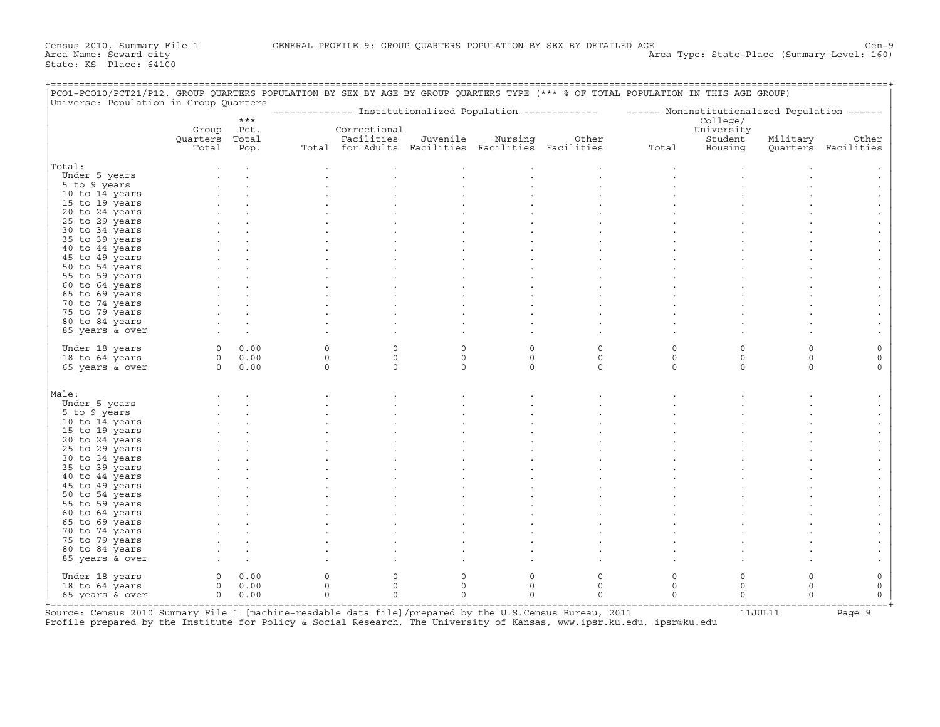| PCO1-PCO10/PCT21/P12. GROUP QUARTERS POPULATION BY SEX BY AGE BY GROUP QUARTERS TYPE (*** % OF TOTAL POPULATION IN THIS AGE GROUP) |                |             |              |              |          |             |                                                                                                           |              |            |             |                     |
|------------------------------------------------------------------------------------------------------------------------------------|----------------|-------------|--------------|--------------|----------|-------------|-----------------------------------------------------------------------------------------------------------|--------------|------------|-------------|---------------------|
| Universe: Population in Group Quarters                                                                                             |                |             |              |              |          |             | -------------- Institutionalized Population ------------- - ------ Noninstitutionalized Population ------ |              |            |             |                     |
|                                                                                                                                    |                | $***$       |              |              |          |             |                                                                                                           |              | College/   |             |                     |
|                                                                                                                                    | Group          | Pct.        |              | Correctional |          |             |                                                                                                           |              | University |             |                     |
|                                                                                                                                    | Ouarters Total |             |              | Facilities   | Juvenile | Nursing     | Other                                                                                                     |              | Student    | Military    | Other               |
|                                                                                                                                    | Total          | Pop.        |              |              |          |             | Total for Adults Facilities Facilities Facilities                                                         | Total        | Housing    |             | Quarters Facilities |
| Total:                                                                                                                             |                |             |              |              |          |             |                                                                                                           |              |            |             |                     |
| Under 5 years                                                                                                                      |                |             |              |              |          |             |                                                                                                           |              |            |             |                     |
| 5 to 9 years                                                                                                                       |                |             |              |              |          |             |                                                                                                           |              |            |             |                     |
| 10 to 14 years                                                                                                                     |                |             |              |              |          |             |                                                                                                           |              |            |             |                     |
|                                                                                                                                    |                |             |              |              |          |             |                                                                                                           |              |            |             |                     |
| 15 to 19 years                                                                                                                     |                |             |              |              |          |             |                                                                                                           |              |            |             |                     |
| 20 to 24 years                                                                                                                     |                |             |              |              |          |             |                                                                                                           |              |            |             |                     |
| 25 to 29 years                                                                                                                     |                |             |              |              |          |             |                                                                                                           |              |            |             |                     |
| 30 to 34 years                                                                                                                     |                |             |              |              |          |             |                                                                                                           |              |            |             |                     |
| 35 to 39 years                                                                                                                     |                |             |              |              |          |             |                                                                                                           |              |            |             |                     |
| 40 to 44 years                                                                                                                     |                |             |              |              |          |             |                                                                                                           |              |            |             |                     |
| 45 to 49 years                                                                                                                     |                |             |              |              |          |             |                                                                                                           |              |            |             |                     |
| 50 to 54 years                                                                                                                     |                |             |              |              |          |             |                                                                                                           |              |            |             |                     |
| 55 to 59 years                                                                                                                     |                |             |              |              |          |             |                                                                                                           |              |            |             |                     |
| 60 to 64 years                                                                                                                     |                |             |              |              |          |             |                                                                                                           |              |            |             |                     |
| 65 to 69 years                                                                                                                     |                |             |              |              |          |             |                                                                                                           |              |            |             |                     |
| 70 to 74 years                                                                                                                     |                |             |              |              |          |             |                                                                                                           |              |            |             |                     |
| 75 to 79 years                                                                                                                     |                |             |              |              |          |             |                                                                                                           |              |            |             |                     |
| 80 to 84 years                                                                                                                     |                |             |              |              |          |             |                                                                                                           |              |            |             |                     |
|                                                                                                                                    |                |             |              |              |          |             |                                                                                                           |              |            |             |                     |
| 85 years & over                                                                                                                    |                |             |              |              |          |             |                                                                                                           |              |            |             |                     |
| Under 18 years                                                                                                                     | $0 \t 0.00$    |             | $\mathbf{0}$ | $\mathbf 0$  | $\circ$  | $\circ$     | $\circ$                                                                                                   | $\mathsf O$  | $\circ$    | $\circ$     | $\mathsf O$         |
| 18 to 64 years                                                                                                                     |                | $0 \t 0.00$ | $\circ$      | $\mathbf 0$  | $\circ$  | $\mathbf 0$ | $\circ$                                                                                                   | $\mathbf 0$  | $\circ$    | $\circ$     | $\circ$             |
| 65 years & over                                                                                                                    | $0 \t 0.00$    |             | $\Omega$     | $\Omega$     | $\Omega$ | $\Omega$    | $\Omega$                                                                                                  | $\Omega$     | $\Omega$   | $\Omega$    | $\Omega$            |
|                                                                                                                                    |                |             |              |              |          |             |                                                                                                           |              |            |             |                     |
| Male:                                                                                                                              |                |             |              |              |          |             |                                                                                                           |              |            |             |                     |
| Under 5 years                                                                                                                      |                |             |              |              |          |             |                                                                                                           |              |            |             |                     |
| 5 to 9 years                                                                                                                       |                |             |              |              |          |             |                                                                                                           |              |            |             |                     |
| 10 to 14 years                                                                                                                     |                |             |              |              |          |             |                                                                                                           |              |            |             |                     |
| 15 to 19 years                                                                                                                     |                |             |              |              |          |             |                                                                                                           |              |            |             |                     |
| 20 to 24 years                                                                                                                     |                |             |              |              |          |             |                                                                                                           |              |            |             |                     |
| 25 to 29 years                                                                                                                     |                |             |              |              |          |             |                                                                                                           |              |            |             |                     |
| 30 to 34 years                                                                                                                     |                |             |              |              |          |             |                                                                                                           |              |            |             |                     |
|                                                                                                                                    |                |             |              |              |          |             |                                                                                                           |              |            |             |                     |
| 35 to 39 years                                                                                                                     |                |             |              |              |          |             |                                                                                                           |              |            |             |                     |
| 40 to 44 years                                                                                                                     |                |             |              |              |          |             |                                                                                                           |              |            |             |                     |
| 45 to 49 years                                                                                                                     |                |             |              |              |          |             |                                                                                                           |              |            |             |                     |
| 50 to 54 years                                                                                                                     |                |             |              |              |          |             |                                                                                                           |              |            |             |                     |
| 55 to 59 years                                                                                                                     |                |             |              |              |          |             |                                                                                                           |              |            |             |                     |
| 60 to 64 years                                                                                                                     |                |             |              |              |          |             |                                                                                                           |              |            |             |                     |
| 65 to 69 years                                                                                                                     |                |             |              |              |          |             |                                                                                                           |              |            |             |                     |
| 70 to 74 years                                                                                                                     |                |             |              |              |          |             |                                                                                                           |              |            |             |                     |
| 75 to 79 years                                                                                                                     |                |             |              |              |          |             |                                                                                                           |              |            |             |                     |
| 80 to 84 years                                                                                                                     |                |             |              |              |          |             |                                                                                                           |              |            |             |                     |
| 85 years & over                                                                                                                    |                |             |              |              |          |             |                                                                                                           |              |            |             |                     |
|                                                                                                                                    |                |             |              |              |          |             |                                                                                                           |              |            |             |                     |
| Under 18 years                                                                                                                     | 0              | 0.00        | $\mathsf{O}$ | 0            | 0        | 0           | $\circ$                                                                                                   | $\mathsf{O}$ | $\circ$    | $\mathsf O$ | $\circ$             |
| 18 to 64 years                                                                                                                     | $\Omega$       | 0.00        | $\mathbf{0}$ | $\Omega$     | $\circ$  | $\Omega$    | $\circ$                                                                                                   | $\circ$      | $\circ$    | $\circ$     | $\circ$             |
| 65 years & over                                                                                                                    | $\overline{0}$ | 0.00        | $\circ$      | $\Omega$     | $\Omega$ | $\Omega$    | $\Omega$                                                                                                  | $\circ$      | $\Omega$   | $\circ$     | $\circ$             |

+===================================================================================================================================================+ Source: Census 2010 Summary File 1 [machine-readable data file]/prepared by the U.S.Census Bureau, 2011 11JUL11 Page 9 Profile prepared by the Institute for Policy & Social Research, The University of Kansas, www.ipsr.ku.edu, ipsr@ku.edu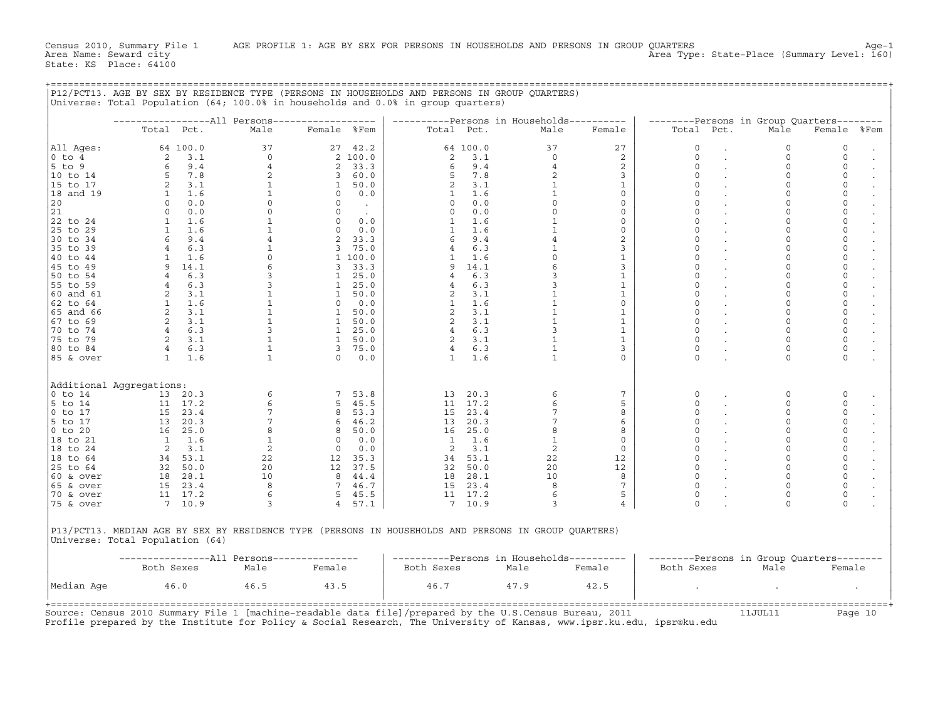|                                                                                                                                                                                               |                                            |                                                                                                                               |                                                                                                         |                                       |                                                                                                                          |                                      |                                                                                                                                 | ----------Persons in Households----------                                                                                                                 |                                                                                                                  |                                                                                                                       | --------Persons in Group Quarters--------                                                                                                |                                                                                                                                                                                                                         |  |
|-----------------------------------------------------------------------------------------------------------------------------------------------------------------------------------------------|--------------------------------------------|-------------------------------------------------------------------------------------------------------------------------------|---------------------------------------------------------------------------------------------------------|---------------------------------------|--------------------------------------------------------------------------------------------------------------------------|--------------------------------------|---------------------------------------------------------------------------------------------------------------------------------|-----------------------------------------------------------------------------------------------------------------------------------------------------------|------------------------------------------------------------------------------------------------------------------|-----------------------------------------------------------------------------------------------------------------------|------------------------------------------------------------------------------------------------------------------------------------------|-------------------------------------------------------------------------------------------------------------------------------------------------------------------------------------------------------------------------|--|
|                                                                                                                                                                                               | Total Pct.                                 |                                                                                                                               | Male                                                                                                    | Female %Fem                           |                                                                                                                          | Total Pct.                           |                                                                                                                                 | Male                                                                                                                                                      | Female                                                                                                           | Total Pct.                                                                                                            | Male                                                                                                                                     | Female %Fem                                                                                                                                                                                                             |  |
| All Aqes:                                                                                                                                                                                     |                                            | 64 100.0                                                                                                                      | 37                                                                                                      |                                       | 27 42.2                                                                                                                  |                                      | 64 100.0                                                                                                                        | 37                                                                                                                                                        | 27                                                                                                               | $\mathbf 0$                                                                                                           | $\mathbf 0$                                                                                                                              | $\mathbf 0$                                                                                                                                                                                                             |  |
| 0 to 4                                                                                                                                                                                        | 2                                          | 3.1                                                                                                                           | $\circ$                                                                                                 |                                       | 2 100.0                                                                                                                  | 2                                    | 3.1                                                                                                                             | $\Omega$                                                                                                                                                  | 2                                                                                                                | $\Omega$                                                                                                              | $\mathbf 0$                                                                                                                              | $\mathbf 0$                                                                                                                                                                                                             |  |
| 5 to 9                                                                                                                                                                                        | 6                                          | 9.4                                                                                                                           | 4                                                                                                       |                                       | 2 33.3                                                                                                                   | 6                                    | 9.4                                                                                                                             | 4                                                                                                                                                         | $\overline{a}$                                                                                                   | 0                                                                                                                     | $\mathbf 0$                                                                                                                              | 0                                                                                                                                                                                                                       |  |
| 10 to 14                                                                                                                                                                                      | 5                                          | 7.8                                                                                                                           | 2                                                                                                       |                                       | 3 60.0                                                                                                                   | 5                                    | 7.8                                                                                                                             | 2                                                                                                                                                         | 3                                                                                                                | 0                                                                                                                     | $\Omega$                                                                                                                                 | 0                                                                                                                                                                                                                       |  |
| 15 to 17                                                                                                                                                                                      |                                            | 3.1                                                                                                                           | $\mathbf{1}$                                                                                            |                                       | 1 50.0                                                                                                                   | $\overline{2}$                       | 3.1                                                                                                                             | $\mathbf{1}$                                                                                                                                              | $\mathbf{1}$                                                                                                     | 0                                                                                                                     | $\mathbf 0$                                                                                                                              | 0                                                                                                                                                                                                                       |  |
| $ 18$ and $19$                                                                                                                                                                                | $\mathbf{1}$                               | 1.6                                                                                                                           | $\mathbf{1}$                                                                                            |                                       | $0 \t 0.0$                                                                                                               | 1                                    | 1.6                                                                                                                             | $\mathbf{1}$                                                                                                                                              | $\circ$                                                                                                          | $\Omega$                                                                                                              | $\Omega$                                                                                                                                 | $\circ$                                                                                                                                                                                                                 |  |
| 20                                                                                                                                                                                            | $\circ$                                    | 0.0                                                                                                                           | $\circ$                                                                                                 | $\circ$                               | $\sim 100$                                                                                                               | $\circ$                              | 0.0                                                                                                                             | $\circ$                                                                                                                                                   | $\circ$                                                                                                          | $\mathbf 0$                                                                                                           | $\mathbf 0$                                                                                                                              | $\mathsf{O}\xspace$                                                                                                                                                                                                     |  |
| 21                                                                                                                                                                                            | $\circ$                                    | 0.0                                                                                                                           | $\circ$                                                                                                 | $\Omega$                              | $\sim$                                                                                                                   | $\Omega$                             | 0.0                                                                                                                             | $\circ$                                                                                                                                                   | $\circ$                                                                                                          | $\Omega$                                                                                                              | $\Omega$                                                                                                                                 | $\mathsf{O}\xspace$                                                                                                                                                                                                     |  |
| 22 to 24                                                                                                                                                                                      |                                            | $1 \quad 1.6$                                                                                                                 | $\mathbf{1}$                                                                                            | $0 \t 0.0$                            |                                                                                                                          | $\mathbf{1}$                         | 1.6                                                                                                                             | $\mathbf{1}$                                                                                                                                              | $\circ$                                                                                                          | $\mathbf 0$                                                                                                           | $\Omega$                                                                                                                                 | $\mathsf{O}\xspace$                                                                                                                                                                                                     |  |
| 25 to 29                                                                                                                                                                                      | 1                                          | 1.6                                                                                                                           | $\mathbf{1}$                                                                                            |                                       | $0 \qquad 0.0$                                                                                                           | 1                                    | 1.6                                                                                                                             |                                                                                                                                                           | $\circ$                                                                                                          | $\Omega$                                                                                                              |                                                                                                                                          | $\mathsf{O}\xspace$                                                                                                                                                                                                     |  |
| 30 to 34                                                                                                                                                                                      | 6                                          | 9.4                                                                                                                           | $4\overline{ }$                                                                                         |                                       | 2 33.3                                                                                                                   | 6                                    | 9.4                                                                                                                             | $\overline{4}$                                                                                                                                            | 2                                                                                                                | 0                                                                                                                     | $\Omega$                                                                                                                                 | 0                                                                                                                                                                                                                       |  |
| 35 to 39                                                                                                                                                                                      | $4\overline{ }$                            | 6.3                                                                                                                           | $\mathbf{1}$                                                                                            |                                       | 3 75.0                                                                                                                   | $4^{\circ}$                          | 6.3                                                                                                                             | $\mathbf{1}$                                                                                                                                              | 3                                                                                                                | $\mathbf 0$                                                                                                           | $\mathbf 0$                                                                                                                              | $\mathsf{O}\xspace$                                                                                                                                                                                                     |  |
| 40 to 44                                                                                                                                                                                      | 1                                          | 1.6                                                                                                                           | $\circ$                                                                                                 |                                       | 1 100.0                                                                                                                  | 1                                    | 1.6                                                                                                                             | $\Omega$                                                                                                                                                  | $\mathbf{1}$                                                                                                     | $\Omega$                                                                                                              | $\Omega$                                                                                                                                 | $\mathbf 0$                                                                                                                                                                                                             |  |
| 45 to 49                                                                                                                                                                                      |                                            | 9 14.1                                                                                                                        | $\epsilon$                                                                                              |                                       | 3, 33.3                                                                                                                  |                                      | 9 14.1                                                                                                                          |                                                                                                                                                           | 3                                                                                                                |                                                                                                                       |                                                                                                                                          | $\mathsf{O}\xspace$                                                                                                                                                                                                     |  |
|                                                                                                                                                                                               | $4\overline{ }$                            |                                                                                                                               |                                                                                                         |                                       |                                                                                                                          |                                      | 6.3                                                                                                                             | 3                                                                                                                                                         |                                                                                                                  | $\mathbf 0$                                                                                                           | $\Omega$                                                                                                                                 | $\mathsf{O}\xspace$                                                                                                                                                                                                     |  |
| 50 to 54                                                                                                                                                                                      |                                            | 6.3                                                                                                                           | $\mathbf{3}$<br>$\overline{3}$                                                                          |                                       | 1 25.0                                                                                                                   | 4                                    |                                                                                                                                 | $\overline{3}$                                                                                                                                            | $\mathbf{1}$                                                                                                     | $\Omega$                                                                                                              |                                                                                                                                          | $\mathsf{O}\xspace$                                                                                                                                                                                                     |  |
| 55 to 59                                                                                                                                                                                      |                                            | 6.3                                                                                                                           |                                                                                                         |                                       | 1, 25.0                                                                                                                  |                                      | 6.3                                                                                                                             |                                                                                                                                                           | $\mathbf{1}$                                                                                                     |                                                                                                                       | $\mathbf 0$                                                                                                                              |                                                                                                                                                                                                                         |  |
| 60 and 61                                                                                                                                                                                     | 2                                          | 3.1                                                                                                                           | $\mathbf 1$                                                                                             |                                       | 1 50.0                                                                                                                   | 2                                    | 3.1                                                                                                                             |                                                                                                                                                           | 1                                                                                                                | $\mathbf 0$                                                                                                           | $\mathbf 0$                                                                                                                              | $\mathsf{O}\xspace$                                                                                                                                                                                                     |  |
| 62 to 64                                                                                                                                                                                      |                                            | $1 \quad 1.6$                                                                                                                 | $\mathbf{1}$                                                                                            |                                       | $0 \quad 0.0$                                                                                                            | $\mathbf{1}$                         | 1.6                                                                                                                             | $\mathbf 1$                                                                                                                                               | $\circ$                                                                                                          | 0                                                                                                                     | 0                                                                                                                                        | $\mathsf{O}\xspace$                                                                                                                                                                                                     |  |
| 65 and 66                                                                                                                                                                                     | $\overline{c}$                             | 3.1                                                                                                                           | $\mathbf{1}$                                                                                            |                                       | 1 50.0                                                                                                                   | 2                                    | 3.1                                                                                                                             | $\mathbf{1}$                                                                                                                                              | $\mathbf{1}$                                                                                                     | $\mathbf 0$                                                                                                           | $\mathbf 0$                                                                                                                              | $\mathsf{O}\xspace$                                                                                                                                                                                                     |  |
| 67 to 69                                                                                                                                                                                      |                                            | 2, 3.1                                                                                                                        | $\mathbf{1}$                                                                                            | 1 50.0                                |                                                                                                                          | $\overline{2}$                       | 3.1                                                                                                                             | $\mathbf{1}$                                                                                                                                              | $\mathbf{1}$                                                                                                     | $\mathbf 0$                                                                                                           | $\mathbf 0$                                                                                                                              | $\mathsf{O}\xspace$                                                                                                                                                                                                     |  |
| 70 to 74                                                                                                                                                                                      |                                            | 4 6.3                                                                                                                         | $\overline{3}$                                                                                          |                                       | 1 25.0                                                                                                                   | $\overline{4}$                       | 6.3                                                                                                                             |                                                                                                                                                           | $\mathbf{1}$                                                                                                     | $\Omega$                                                                                                              | $\Omega$                                                                                                                                 | $\mathsf{O}\xspace$                                                                                                                                                                                                     |  |
| 75 to 79                                                                                                                                                                                      |                                            | $2 \t3.1$                                                                                                                     | $\mathbf{1}$                                                                                            |                                       | 1 50.0                                                                                                                   | $\mathbf{2}$                         | 3.1                                                                                                                             | 1                                                                                                                                                         | $\mathbf{1}$                                                                                                     | $\Omega$                                                                                                              | $\mathbf 0$                                                                                                                              | $\mathsf{O}\xspace$                                                                                                                                                                                                     |  |
| 180 to 84                                                                                                                                                                                     |                                            | 4 6.3                                                                                                                         | $\mathbf{1}$                                                                                            | $3 \t 75.0$                           |                                                                                                                          | $4\degree$                           | 6.3                                                                                                                             | 1                                                                                                                                                         | $\overline{3}$                                                                                                   | $\mathbf 0$                                                                                                           | $\mathbf 0$                                                                                                                              | $\mathsf{O}\xspace$                                                                                                                                                                                                     |  |
| 85 & over                                                                                                                                                                                     |                                            | $1 \quad 1.6$                                                                                                                 | $\mathbf{1}$                                                                                            |                                       | $0 \t 0.0$                                                                                                               | $\mathbf{1}$                         | 1.6                                                                                                                             | $\mathbf{1}$                                                                                                                                              | $\circ$                                                                                                          | $\Omega$                                                                                                              | $\Omega$                                                                                                                                 | $\circ$                                                                                                                                                                                                                 |  |
| Additional Aggregations:<br>0 to 14<br>$5$ to $14$<br> O to 17<br>5 to 17<br>0 to 20<br>18 to 21<br> 18 to 24<br>18 to 64<br>25 to 64<br>60 & over<br>$ 65 \& over$<br>70 & over<br>75 & over | 13<br>$\mathbf{1}$<br>$\overline{2}$<br>34 | 13 20.3<br>11 17.2<br>15 23.4<br>20.3<br>16 25.0<br>1.6<br>3.1<br>53.1<br>32 50.0<br>18 28.1<br>15 23.4<br>11 17.2<br>7, 10.9 | 6<br>6<br>$7\phantom{.0}$<br>$7\phantom{.0}$<br>8<br>$\mathbf{1}$<br>2<br>22<br>20<br>10<br>8<br>6<br>3 | $\overline{0}$<br>$\overline{0}$<br>4 | 7 53.8<br>5, 45.5<br>8 53.3<br>646.2<br>8 50.0<br>0.0<br>0.0<br>12 35.3<br>12 37.5<br>8 44.4<br>7 46.7<br>5 45.5<br>57.1 | 13<br>$\mathbf{1}$<br>$\overline{2}$ | 20.3<br>11 17.2<br>15 23.4<br>13 20.3<br>16 25.0<br>1.6<br>3.1<br>34 53.1<br>32 50.0<br>18 28.1<br>15 23.4<br>11 17.2<br>7 10.9 | 6<br>6<br>7<br>$7\overline{ }$<br>8<br>$\mathbf{1}$<br>2<br>22<br>20<br>10<br>8<br>6<br>3                                                                 | 7<br>5<br>8<br>6<br>8<br>$\circ$<br>$\circ$<br>12<br>12<br>8<br>$7\overline{ }$<br>$5^{\circ}$<br>$\overline{4}$ | 0<br>0<br>0<br>$\Omega$<br>0<br>0<br>$\mathbf 0$<br>$\Omega$<br>$\mathbf 0$<br>$\mathbf 0$<br>$\Omega$<br>$\mathbf 0$ | 0<br>$\Omega$<br>$\Omega$<br>$\circ$<br>$\mathbf 0$<br>$\Omega$<br>$\mathbf 0$<br>$\Omega$<br>$\circ$<br>0<br>$\mathbf 0$<br>$\mathbf 0$ | $\mathbf 0$<br>$\mathbf 0$<br>0<br>$\mathsf{O}\xspace$<br>$\mathsf{O}\xspace$<br>$\mathsf{O}\xspace$<br>$\mathsf{O}\xspace$<br>$\mathbf 0$<br>$\mathsf{O}\xspace$<br>$\mathsf 0$<br>$\mathsf{O}\xspace$<br>0<br>$\circ$ |  |
| Universe: Total Population (64)                                                                                                                                                               | Both Sexes                                 |                                                                                                                               | ----------------All Persons---------------<br>Male                                                      | Female                                |                                                                                                                          | Both Sexes                           |                                                                                                                                 | P13/PCT13. MEDIAN AGE BY SEX BY RESIDENCE TYPE (PERSONS IN HOUSEHOLDS AND PERSONS IN GROUP OUARTERS)<br>----------Persons in Households----------<br>Male | Female                                                                                                           | Both Sexes                                                                                                            | --------Persons in Group Quarters--------<br>Male                                                                                        | Female                                                                                                                                                                                                                  |  |
| Median Age                                                                                                                                                                                    |                                            | 46.0                                                                                                                          | 46.5                                                                                                    | 43.5                                  |                                                                                                                          | 46.7                                 |                                                                                                                                 | 47.9                                                                                                                                                      | 42.5                                                                                                             |                                                                                                                       |                                                                                                                                          |                                                                                                                                                                                                                         |  |
|                                                                                                                                                                                               |                                            |                                                                                                                               |                                                                                                         |                                       |                                                                                                                          |                                      |                                                                                                                                 |                                                                                                                                                           |                                                                                                                  |                                                                                                                       |                                                                                                                                          |                                                                                                                                                                                                                         |  |

+===================================================================================================================================================+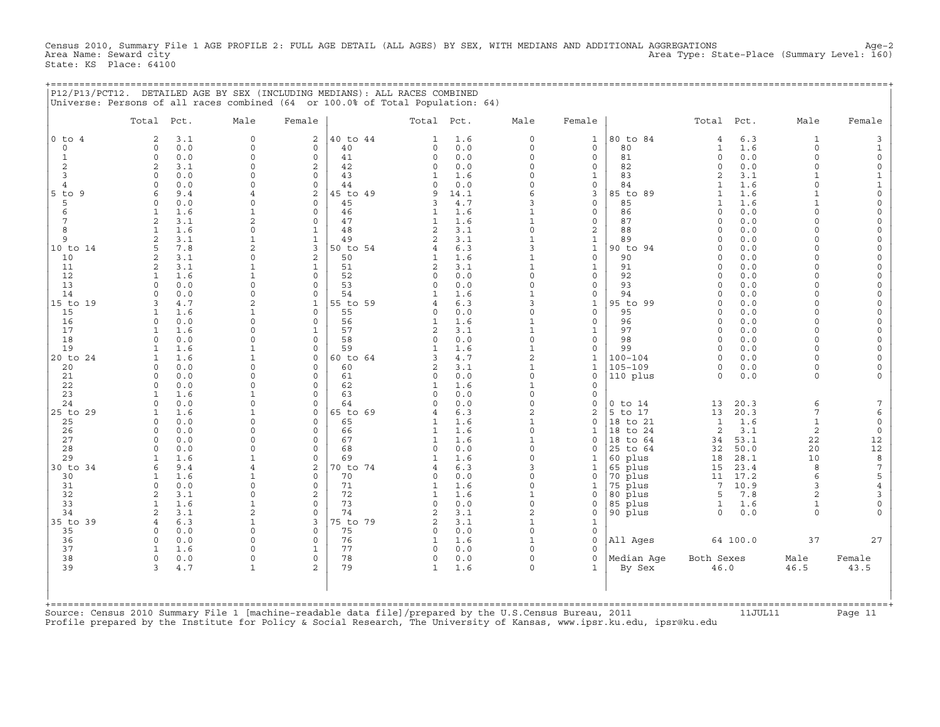Census 2010, Summary File 1 AGE PROFILE 2: FULL AGE DETAIL (ALL AGES) BY SEX, WITH MEDIANS AND ADDITIONAL AGGREGATIONS Age−2 Area Type: State-Place (Summary Level: 160) State: KS Place: 64100

+===================================================================================================================================================+

|                | Total Pct.                             | Male                          | Female                    |                | Total Pct.               |            | Male                     | Female                   |                      | Total Pct.                 |            | Male                     | Female                     |
|----------------|----------------------------------------|-------------------------------|---------------------------|----------------|--------------------------|------------|--------------------------|--------------------------|----------------------|----------------------------|------------|--------------------------|----------------------------|
| $0$ to $4$     | 3.1<br>$\mathfrak{D}$                  | $\circ$                       | $\overline{a}$            | 40 to 44       | $\mathbf{1}$             | 1.6        | $\mathbf 0$              | $\mathbf{1}$             | 80 to 84             | $\overline{4}$             | 6.3        | 1                        | 3                          |
| $\circ$        | 0.0<br>$\mathbf{0}$                    | $\circ$                       | $\circ$                   | 40             | $\Omega$                 | 0.0        | $\circ$                  | $\circ$                  | 80                   | $\mathbf{1}$               | 1.6        | $\circ$                  | $\mathbf{1}$               |
| 1              | 0.0<br>$\mathbf 0$                     | $\circ$                       | $\circ$                   | 41             | $\circ$                  | 0.0        | $\circ$                  | $\circ$                  | 81                   | $\circ$                    | 0.0        | $\circ$                  | $\circ$                    |
| 2<br>3         | 2<br>3.1<br>0.0<br>$\Omega$            | $\Omega$<br>$\Omega$          | $\overline{c}$<br>$\circ$ | 42<br>43       | $\Omega$<br>$\mathbf{1}$ | 0.0<br>1.6 | $\Omega$<br>$\Omega$     | $\Omega$<br>$\mathbf{1}$ | 82<br>83             | $\Omega$<br>$\overline{a}$ | 0.0<br>3.1 | $\Omega$<br>$\mathbf{1}$ | $\circ$<br>$\mathbf{1}$    |
| $\overline{4}$ | $\Omega$<br>0.0                        | $\circ$                       | $\Omega$                  | 44             | $\circ$                  | 0.0        | $\circ$                  | $\circ$                  | 84                   | $\mathbf{1}$               | 1.6        | $\Omega$                 | $\mathbf{1}$               |
| $5$ to $9$     | 9.4<br>6                               | 4                             | $\overline{a}$            | 45 to 49       | 9                        | 14.1       | 6                        | 3                        | 85 to 89             | $\mathbf{1}$               | 1.6        | $\mathbf{1}$             | $\circ$                    |
| 5              | 0.0<br>$\Omega$                        | 0                             | $\circ$                   | 45             | 3                        | 4.7        | 3                        | $\circ$                  | 85                   | $\mathbf{1}$               | 1.6        | $\mathbf{1}$             | $\mathbf 0$                |
| 6              | 1.6<br>1                               | $\mathbf{1}$                  | $\Omega$                  | 46             | 1                        | 1.6        | $\mathbf{1}$             | $\circ$                  | 86                   | $\Omega$                   | 0.0        | $\Omega$                 | $\mathbb O$                |
| 7              | 3.1<br>2                               | $\overline{2}$                | $\circ$                   | 47             | 1                        | 1.6        | $\mathbf{1}$             | $\circ$                  | 87                   | $\cap$                     | 0.0        | $\Omega$                 | $\circ$                    |
| 8              | 1.6                                    | $\circ$                       | $\mathbf 1$               | 48             | $\overline{a}$           | 3.1        | $\mathbf 0$              | $\mathbf 2$              | 88                   | $\Omega$                   | 0.0        | $\Omega$                 | $\circ$                    |
| 9              | 2<br>3.1                               | $\mathbf{1}$                  | $\mathbf{1}$              | 49             | $\overline{a}$           | 3.1        | $\mathbf{1}$             | $\mathbf{1}$             | 89                   | $\Omega$                   | 0.0        | $\Omega$                 | $\mathbb O$                |
| 10 to 14       | 5<br>7.8                               | $\overline{2}$                | 3                         | 50 to 54       | 4                        | 6.3        | 3                        | $\mathbf{1}$             | 90 to 94             | $\Omega$                   | 0.0        | $\Omega$                 | $\circ$                    |
| 10             | 3.1<br>2                               | 0                             | $\overline{c}$            | 50             | 1                        | 1.6        | $\mathbf{1}$             | $\circ$                  | 90                   | $\Omega$                   | 0.0        | $\Omega$                 | $\circ$                    |
| 11             | 2<br>3.1                               | $\mathbf 1$                   | $\mathbf{1}$              | 51             | 2                        | 3.1        | $\mathbf{1}$             | $\mathbf{1}$             | 91                   | $\Omega$                   | 0.0        | $\Omega$                 | $\mathbb O$                |
| 12             | 1.6<br>1                               | $\mathbf{1}$                  | $\Omega$                  | 52             | $\Omega$                 | 0.0        | $\circ$                  | $\circ$                  | 92                   | $\Omega$                   | 0.0        | $\Omega$                 | $\circ$                    |
| 13             | 0.0<br>$\Omega$                        | $\circ$                       | $\circ$                   | 53             | $\circ$                  | 0.0        | $\circ$                  | $\circ$                  | 93                   | $\Omega$                   | 0.0        | $\Omega$                 | $\circ$                    |
| 14<br>15 to 19 | 0.0<br>$\Omega$<br>4.7<br>$\mathbf{z}$ | $\mathbf 0$<br>$\overline{2}$ | $\circ$<br>$\mathbf{1}$   | 54<br>55 to 59 | 4                        | 1.6<br>6.3 | $\mathbf{1}$<br>3        | 0<br>$\mathbf{1}$        | 94<br>95 to 99       | $\Omega$<br>$\Omega$       | 0.0<br>0.0 | $\Omega$<br>$\Omega$     | $\mathbb O$<br>$\circ$     |
| 15             | $\mathbf{1}$<br>1.6                    | $\mathbf{1}$                  | $\circ$                   | 55             | $\circ$                  | 0.0        | $\circ$                  | $\circ$                  | 95                   | $\Omega$                   | 0.0        | $\Omega$                 | $\circ$                    |
| 16             | 0.0<br>0                               | 0                             | 0                         | 56             | 1                        | 1.6        | $\mathbf 1$              | 0                        | 96                   | $\Omega$                   | 0.0        | $\Omega$                 | $\circ$                    |
| 17             | 1.6<br>1                               | $\Omega$                      | $\mathbf{1}$              | 57             | $\overline{a}$           | 3.1        | $\mathbf{1}$             | $\mathbf{1}$             | 97                   | $\Omega$                   | 0.0        | $\Omega$                 | $\mathbf 0$                |
| 18             | 0.0<br>$\Omega$                        | $\Omega$                      | $\circ$                   | 58             | $\circ$                  | 0.0        | $\mathbf 0$              | $\circ$                  | 98                   | $\Omega$                   | 0.0        | $\Omega$                 | $\circ$                    |
| 19             | 1.6<br>1                               | $\mathbf{1}$                  | $\circ$                   | 59             | $\mathbf{1}$             | 1.6        | $\mathbf 1$              | $\circ$                  | 99                   | $\Omega$                   | 0.0        | $\Omega$                 | $\circ$                    |
| 20 to 24       | 1.6<br>1                               | $\mathbf{1}$                  | $\circ$                   | 60 to 64       | 3                        | 4.7        | $\overline{c}$           | $\mathbf{1}$             | $100 - 104$          | $\Omega$                   | 0.0        | $\Omega$                 | $\circ$                    |
| 20             | 0.0<br>$\Omega$                        | $\circ$                       | $\circ$                   | 60             | $\overline{a}$           | 3.1        | $\mathbf 1$              | $\mathbf{1}$             | $105 - 109$          | $\circ$                    | 0.0        | $\Omega$                 | $\circ$                    |
| 21             | $\Omega$<br>0.0                        | $\Omega$                      | $\Omega$                  | 61             | 0                        | 0.0        | $\circ$                  | $\Omega$                 | 110 plus             | $\Omega$                   | 0.0        | $\Omega$                 | $\Omega$                   |
| 22             | 0.0<br>$\Omega$                        | $\Omega$                      | $\circ$                   | 62             | $\mathbf{1}$             | 1.6        | $\mathbf{1}$             | $\circ$                  |                      |                            |            |                          |                            |
| 23             | 1.6<br>1                               | $\mathbf{1}$                  | $\Omega$                  | 63             | $\Omega$                 | 0.0        | $\circ$                  | $\circ$                  |                      |                            |            |                          |                            |
| 24             | 0.0<br>$\Omega$                        | $\circ$                       | $\Omega$                  | 64             | $\Omega$                 | 0.0        | $\circ$                  | $\circ$                  | $0$ to $14$          | 13                         | 20.3       | 6                        | 7                          |
| 25 to 29       | 1.6<br>1                               | $\mathbf{1}$<br>$\Omega$      | $\circ$                   | 65 to 69       | 4                        | 6.3        | $\overline{c}$           | 2<br>$\Omega$            | 5 to 17              | 13                         | 20.3       | $7\phantom{.0}$          | $\epsilon$                 |
| 25<br>26       | 0.0<br>$\Omega$<br>0.0<br>$\Omega$     | $\Omega$                      | $\circ$<br>$\circ$        | 65<br>66       | 1<br>1                   | 1.6<br>1.6 | $\mathbf{1}$<br>$\Omega$ | 1                        | 18 to 21<br>18 to 24 | $\mathbf{1}$<br>2          | 1.6<br>3.1 | $\mathbf{1}$<br>2        | $\mathbb O$<br>$\mathbb O$ |
| 27             | 0.0<br>$\Omega$                        | $\Omega$                      | $\circ$                   | 67             | $\mathbf{1}$             | 1.6        | $\mathbf{1}$             | $\circ$                  | 18 to 64             | 34                         | 53.1       | 22                       | $12\,$                     |
| 28             | 0.0<br>$\Omega$                        | $\Omega$                      | $\circ$                   | 68             | $\circ$                  | 0.0        | $\circ$                  | $\circ$                  | 25 to 64             | 32                         | 50.0       | 20                       | $12$                       |
| 29             | 1.6                                    | $\mathbf{1}$                  | $\Omega$                  | 69             | $\mathbf{1}$             | 1.6        | $\Omega$                 | 1                        | 60 plus              | 18                         | 28.1       | 10                       | $\,$ 8 $\,$                |
| 30 to 34       | 9.4<br>$\epsilon$                      | $\overline{4}$                | $\overline{2}$            | 70 to 74       | 4                        | 6.3        | 3                        | $\mathbf{1}$             | 65 plus              | 15                         | 23.4       | 8                        | $\sqrt{ }$                 |
| 30             | 1.6<br>1                               | 1                             | 0                         | 70             | 0                        | 0.0        | $\Omega$                 | 0                        | 70 plus              | 11                         | 17.2       | 6                        | 5                          |
| 31             | $\Omega$<br>0.0                        | $\Omega$                      | $\Omega$                  | 71             | 1                        | 1.6        | $\Omega$                 | $\mathbf{1}$             | 75 plus              | 7                          | 10.9       | 3                        | $\overline{4}$             |
| 32             | 3.1<br>2                               | $\mathbf 0$                   | $\overline{c}$            | 72             | $\mathbf{1}$             | 1.6        | $\mathbf{1}$             | 0                        | 80 plus              | 5                          | 7.8        | 2                        | $\overline{3}$             |
| 33             | 1.6<br>1                               | $\mathbf{1}$                  | $\circ$                   | 73             | $\circ$                  | 0.0        | $\circ$                  | 0                        | 85 plus              | 1                          | 1.6        | $\mathbf{1}$             | $\circ$                    |
| 34             | 3.1<br>$\overline{2}$                  | $\overline{2}$                | $\Omega$                  | 74             | 2                        | 3.1        | $\overline{c}$           | $\circ$                  | 90 plus              | $\Omega$                   | 0.0        | $\Omega$                 | $\Omega$                   |
| 35 to 39       | 6.3<br>$\overline{4}$                  | $\mathbf{1}$                  | 3                         | 75 to 79       | 2                        | 3.1        | $\mathbf{1}$             | $\mathbf{1}$             |                      |                            |            |                          |                            |
| 35             | 0.0<br>0                               | 0                             | 0                         | 75             | 0                        | 0.0        | $\circ$                  | 0                        |                      |                            |            |                          |                            |
| 36             | 0.0<br>$\Omega$                        | $\circ$                       | $\circ$                   | 76             | $\mathbf{1}$             | 1.6        | $\mathbf{1}$<br>$\Omega$ | $\circ$                  | All Ages             |                            | 64 100.0   | 37                       | 27                         |
| 37<br>38       | 1.6<br>0.0<br>$\mathbf 0$              | $\Omega$<br>$\Omega$          | $\mathbf{1}$<br>0         | 77<br>78       | $\Omega$<br>0            | 0.0<br>0.0 | 0                        | $\Omega$<br>$\circ$      | Median Age           | Both Sexes                 |            | Male                     | Female                     |
| 39             | 3<br>4.7                               | $\mathbf{1}$                  | $\overline{a}$            | 79             | $\mathbf{1}$             | 1.6        | $\Omega$                 | $\mathbf{1}$             | By Sex               | 46.0                       |            | 46.5                     | 43.5                       |
|                |                                        |                               |                           |                |                          |            |                          |                          |                      |                            |            |                          |                            |
|                |                                        |                               |                           |                |                          |            |                          |                          |                      |                            |            |                          |                            |

Source: Census 2010 Summary File 1 [machine−readable data file]/prepared by the U.S.Census Bureau, 2011 11JUL11 Page 11 Profile prepared by the Institute for Policy & Social Research, The University of Kansas, www.ipsr.ku.edu, ipsr@ku.edu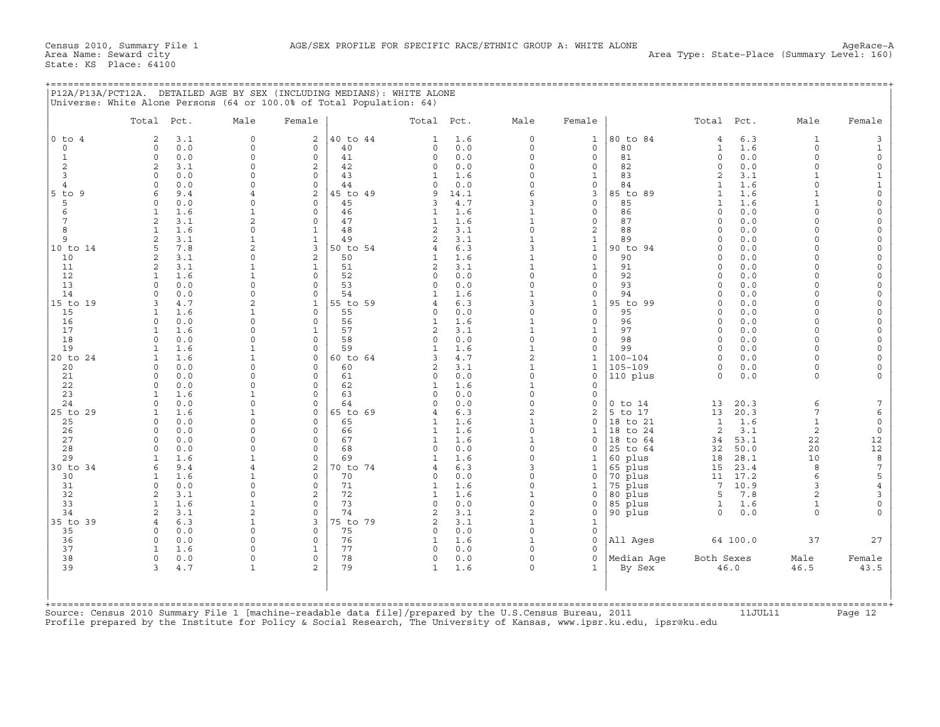## +===================================================================================================================================================+

|                | Total Pct.                        | Male                     | Female                  |                | Total Pct.                       |            | Male                                | Female                                  |                    | Total Pct.           |              | Male                 | Female                                |
|----------------|-----------------------------------|--------------------------|-------------------------|----------------|----------------------------------|------------|-------------------------------------|-----------------------------------------|--------------------|----------------------|--------------|----------------------|---------------------------------------|
| $0$ to $4$     | $\overline{2}$<br>3.1             | $\circ$                  | $\overline{2}$          | 40 to 44       | 1                                | 1.6        | 0                                   | $\mathbf{1}$                            | 80 to 84           | $\overline{4}$       | 6.3          | 1                    | 3                                     |
| $\circ$        | 0.0<br>$\Omega$                   | $\circ$                  | $\mathbf 0$             | 40             | $\Omega$                         | 0.0        | $\mathbf 0$                         | $\mathbf 0$                             | 80                 | $\mathbf{1}$         | 1.6          | $\Omega$             | $\mathbf{1}$                          |
| $\mathbf{1}$   | 0.0<br>$\Omega$                   | $\Omega$<br>$\Omega$     | $\circ$                 | 41<br>42       | $\Omega$                         | 0.0        | $\circ$<br>$\Omega$                 | $\circ$                                 | 81                 | $\circ$<br>$\Omega$  | 0.0          | $\Omega$<br>$\Omega$ | $\circ$                               |
| 2<br>3         | 3.1<br>2<br>0.0<br>$\Omega$       | $\Omega$                 | $\mathbf{2}$<br>$\circ$ | 43             | $\circ$<br>$\mathbf{1}$          | 0.0<br>1.6 | $\Omega$                            | $\circ$<br>$\mathbf{1}$                 | 82<br>83           | $\overline{2}$       | 0.0<br>3.1   | 1                    | $\mathbb O$<br>$1\,$                  |
| $\overline{4}$ | 0.0<br>$\Omega$                   | $\Omega$                 | $\Omega$                | 44             | $\Omega$                         | 0.0        | $\Omega$                            | $\circ$                                 | 84                 | $\mathbf{1}$         | 1.6          | $\Omega$             | $\mathbf{1}$                          |
| $5$ to $9$     | 6<br>9.4                          | 4                        | $\mathbf{2}$            | 45 to 49       | 9                                | 14.1       | 6                                   | $\mathbf{3}$                            | 85 to 89           | $\mathbf{1}$         | 1.6          | $\mathbf{1}$         | $\mathbb O$                           |
| 5              | 0.0<br>0                          | $\mathbf 0$              | $\circ$                 | 45             | 3                                | 4.7        | 3                                   | $\circ$                                 | 85                 | 1                    | 1.6          | $\mathbf{1}$         | $\circ$                               |
| 6              | 1.6<br>$\mathbf{1}$               | $\mathbf{1}$             | $\Omega$                | 46             | 1                                | 1.6        | $\mathbf{1}$                        | $\circ$                                 | 86                 | $\Omega$             | 0.0          | $\Omega$             | $\mathbb O$                           |
| 7              | 2<br>3.1                          | $\overline{c}$           | $\circ$                 | 47             | 1                                | 1.6        | $\mathbf 1$                         | $\mathsf O$                             | 87                 | $\Omega$             | 0.0          | $\Omega$             | $\mathbb O$                           |
| 8              | 1.6                               | $\mathbf 0$              | 1                       | 48             | $\overline{c}$<br>$\overline{a}$ | 3.1        | $\mathsf{O}\xspace$<br>$\mathbf{1}$ | $\overline{\mathbf{c}}$<br>$\mathbf{1}$ | 88                 | $\Omega$<br>$\Omega$ | 0.0          | $\Omega$<br>$\Omega$ | $\mathbb O$                           |
| 9<br>10 to 14  | 3.1<br>$\overline{2}$<br>7.8<br>5 | 1<br>$\overline{2}$      | $\mathbf{1}$<br>3       | 49<br>50 to 54 | $\overline{4}$                   | 3.1<br>6.3 | 3                                   | $\mathbf{1}$                            | 89<br>90 to 94     | $\Omega$             | 0.0<br>0.0   | $\Omega$             | $\mathbb O$<br>$\circ$                |
| 10             | 3.1<br>2                          | $\Omega$                 | $\sqrt{2}$              | 50             | 1                                | 1.6        | $\mathbf{1}$                        | $\circ$                                 | 90                 | $\Omega$             | 0.0          | $\Omega$             | $\mathbb O$                           |
| 11             | 3.1<br>2                          | 1                        | 1                       | 51             | $\overline{c}$                   | 3.1        | $\mathbf{1}$                        | $\mathbf{1}$                            | 91                 | $\Omega$             | 0.0          | $\Omega$             | $\mathbf 0$                           |
| 12             | 1.6                               | $\mathbf{1}$             | $\circ$                 | 52             | $\circ$                          | 0.0        | $\Omega$                            | $\circ$                                 | 92                 | $\Omega$             | 0.0          | $\Omega$             | $\mathbb O$                           |
| 13             | 0.0<br>$\Omega$                   | $\mathbf 0$              | $\circ$                 | 53             | $\circ$                          | 0.0        | $\mathsf{O}\xspace$                 | 0                                       | 93                 | $\Omega$             | 0.0          | $\Omega$             | $\mathbb O$                           |
| 14             | 0.0                               | $\Omega$                 | $\Omega$                | 54             |                                  | 1.6        | $\mathbf{1}$                        | $\circ$                                 | 94                 | $\Omega$             | 0.0          | $\Omega$             | $\circ$                               |
| 15 to 19       | 4.7<br>3                          | $\overline{2}$           | $\mathbf{1}$            | 55 to 59       | $\overline{4}$                   | 6.3        | 3                                   | $\mathbf{1}$                            | 95 to 99           | $\Omega$             | 0.0          | $\Omega$             | $\mathbf 0$                           |
| 15<br>16       | 1.6<br>1<br>0.0<br>$\Omega$       | $\mathbf{1}$<br>$\Omega$ | $\circ$<br>$\Omega$     | 55<br>56       | 0<br>1                           | 0.0<br>1.6 | $\mathsf{O}\xspace$<br>$\mathbf{1}$ | 0<br>$\circ$                            | 95<br>96           | $\Omega$<br>$\Omega$ | 0.0<br>0.0   | $\Omega$<br>$\Omega$ | $\mathbb O$<br>$\mathbb O$            |
| 17             | 1.6                               | $\Omega$                 | $\mathbf{1}$            | 57             | $\overline{a}$                   | 3.1        | $\mathbf{1}$                        | $\mathbf{1}$                            | 97                 | $\Omega$             | 0.0          | $\Omega$             | $\mathbb O$                           |
| 18             | 0.0<br>$\Omega$                   | $\Omega$                 | $\circ$                 | 58             | $\circ$                          | 0.0        | $\mathbf 0$                         | $\circ$                                 | 98                 | $\Omega$             | 0.0          | $\Omega$             | $\circ$                               |
| 19             | 1.6<br>1                          | 1                        | $\circ$                 | 59             | 1                                | 1.6        | $\mathbf 1$                         | 0                                       | 99                 | $\Omega$             | 0.0          | $\Omega$             | $\circ$                               |
| 20 to 24       | 1.6<br>1                          | $\mathbf{1}$             | $\circ$                 | 60 to 64       | 3                                | 4.7        | $\overline{a}$                      | $\mathbf{1}$                            | $100 - 104$        | $\Omega$             | 0.0          | $\Omega$             | $\mathbf{0}$                          |
| 20             | 0.0<br>$\Omega$                   | $\Omega$                 | $\circ$                 | 60             | $\overline{c}$                   | 3.1        | $\mathbf{1}$                        | $\mathbf{1}$                            | $105 - 109$        | $\circ$              | 0.0          | $\Omega$             | $\mathbb O$                           |
| 21             | $\mathbf 0$<br>0.0                | $\mathbf 0$              | 0                       | 61             | 0                                | 0.0        | $\mathsf{O}\xspace$                 | 0                                       | 110 plus           | $\Omega$             | 0.0          | $\circ$              | $\Omega$                              |
| 22             | 0.0<br>$\Omega$                   | $\Omega$<br>1            | $\Omega$<br>$\Omega$    | 62             | $\mathbf{1}$<br>$\Omega$         | 1.6<br>0.0 | $\mathbf{1}$<br>$\Omega$            | $\Omega$                                |                    |                      |              |                      |                                       |
| 23<br>24       | 1.6<br>0.0<br>$\Omega$            | $\mathbf 0$              | $\circ$                 | 63<br>64       | $\Omega$                         | 0.0        | $\mathsf{O}\xspace$                 | $\mathbf 0$<br>0                        | $0$ to $14$        | 13                   | 20.3         | 6                    | 7                                     |
| 25 to 29       | 1.6                               | 1                        | 0                       | 65 to 69       | $\overline{4}$                   | 6.3        | $\overline{c}$                      | 2                                       | 5 to 17            | 13                   | 20.3         | $7\phantom{.0}$      | $\epsilon$                            |
| 25             | 0.0<br>$\Omega$                   | $\Omega$                 | $\circ$                 | 65             |                                  | 1.6        | $\mathbf{1}$                        | $\circ$                                 | 18 to 21           | $\mathbf{1}$         | 1.6          | $\mathbf{1}$         | $\mathbb O$                           |
| 26             | 0.0<br>$\Omega$                   | $\Omega$                 | $\circ$                 | 66             | 1                                | 1.6        | $\circ$                             | $\mathbf{1}$                            | 18 to 24           | 2                    | 3.1          | $\overline{c}$       | $\mathbb O$                           |
| 27             | 0.0<br>$\Omega$                   | $\Omega$                 | $\Omega$                | 67             | $\mathbf{1}$                     | 1.6        | $\mathbf{1}$                        | $\Omega$                                | 18 to 64           | 34                   | 53.1         | 22                   | 12                                    |
| 28             | 0.0<br>$\Omega$                   | $\Omega$                 | $\Omega$                | 68             | 0                                | 0.0        | $\circ$                             | 0                                       | 25 to 64           | 32                   | 50.0         | 20                   | $\overline{12}$                       |
| 29             | 1.6                               | $\mathbf{1}$             | $\circ$                 | 69             | 1                                | 1.6        | $\circ$                             | 1                                       | 60 plus            | 18                   | 28.1         | 10                   | $\begin{array}{c} 8 \\ 7 \end{array}$ |
| 30 to 34<br>30 | 9.4<br>6<br>1.6                   | 4<br>1                   | 2<br>$\mathbf 0$        | 70 to 74<br>70 | 4<br>0                           | 6.3<br>0.0 | 3<br>$\circ$                        | 1<br>0                                  | 65 plus<br>70 plus | 15<br>11             | 23.4<br>17.2 | 8<br>6               | 5                                     |
| 31             | 0.0<br>$\Omega$                   | $\Omega$                 | $\mathbf 0$             | 71             | 1                                | 1.6        | $\Omega$                            | 1                                       | 75 plus            | 7                    | 10.9         | 3                    | $\bf 4$                               |
| 32             | 3.1<br>$\overline{2}$             | $\mathbf 0$              | $\overline{c}$          | 72             | 1                                | 1.6        | $\mathbf 1$                         | 0                                       | 80 plus            | 5                    | 7.8          | $\sqrt{2}$           | 3                                     |
| 33             | 1.6<br>$\mathbf{1}$               | $\mathbf{1}$             | $\circ$                 | 73             | $\Omega$                         | 0.0        | $\mathsf{O}\xspace$                 | 0                                       | 85 plus            | $\mathbf{1}$         | 1.6          | $\mathbf{1}$         | $\mathbb O$                           |
| 34             | 3.1<br>2                          | $\overline{c}$           | $\circ$                 | 74             | $\overline{2}$                   | 3.1        | $\overline{c}$                      | $\mathsf O$                             | 90 plus            | $\Omega$             | 0.0          | $\circ$              | $\Omega$                              |
| 35 to 39       | 6.3                               | $\mathbf 1$              | 3                       | 75 to 79       | $\overline{c}$                   | 3.1        | $\mathbf{1}$                        | $\mathbf{1}$                            |                    |                      |              |                      |                                       |
| 35             | 0.0<br>$\Omega$                   | $\circ$                  | $\mathbf 0$             | 75             | 0                                | 0.0        | $\circ$                             | $\mathbf 0$                             |                    |                      |              |                      |                                       |
| 36             | 0.0<br>$\Omega$                   | $\Omega$<br>$\Omega$     | $\circ$<br>$\mathbf{1}$ | 76             | $\mathbf{1}$<br>$\Omega$         | 1.6        | $\mathbf{1}$<br>$\Omega$            | 0<br>$\Omega$                           | All Ages           |                      | 64 100.0     | 37                   | 27                                    |
| 37<br>38       | 1.6<br>$\mathbf 0$<br>0.0         | $\Omega$                 | $\mathbf 0$             | 77<br>78       | $\circ$                          | 0.0<br>0.0 | $\mathbf 0$                         | $\Omega$                                | Median Age         | Both Sexes           |              | Male                 | Female                                |
| 39             | 3<br>4.7                          | 1                        | 2                       | 79             | $\mathbf{1}$                     | 1.6        | $\mathbf 0$                         | $\mathbf{1}$                            | By Sex             |                      | 46.0         | 46.5                 | 43.5                                  |
|                |                                   |                          |                         |                |                                  |            |                                     |                                         |                    |                      |              |                      |                                       |
|                |                                   |                          |                         |                |                                  |            |                                     |                                         |                    |                      |              |                      |                                       |

Source: Census 2010 Summary File 1 [machine−readable data file]/prepared by the U.S.Census Bureau, 2011 11JUL11 Page 12 Profile prepared by the Institute for Policy & Social Research, The University of Kansas, www.ipsr.ku.edu, ipsr@ku.edu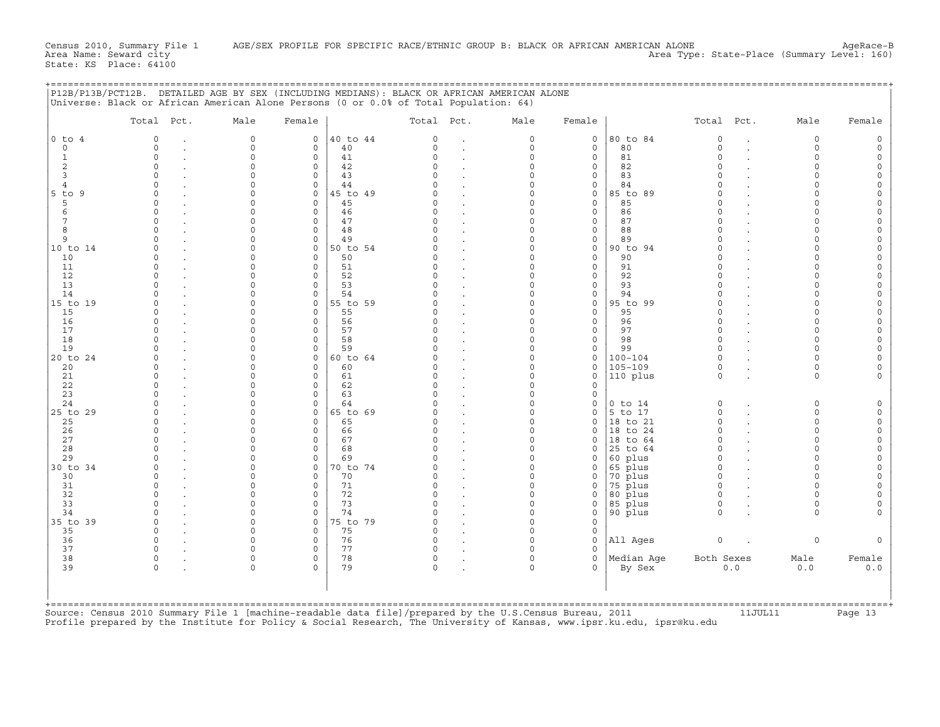|                     | Total Pct.           | Male                 | Female              |                | Total Pct.           |              | Male                 | Female                  |                      | Total Pct.           |                      | Male                 | Female                             |
|---------------------|----------------------|----------------------|---------------------|----------------|----------------------|--------------|----------------------|-------------------------|----------------------|----------------------|----------------------|----------------------|------------------------------------|
| $0$ to $4$          | $\Omega$             | $\circ$              | $\circ$             | 40 to 44       | $\circ$              | $\cdot$      | $\mathsf{O}$         | $\circ$                 | 80 to 84             | $\circ$              | $\ddot{\phantom{a}}$ | $\circ$              | $\mathsf O$                        |
| $\Omega$            | $\Omega$             | $\Omega$             | $\circ$             | 40             | $\Omega$             | $\bullet$    | $\mathbf 0$          | $\Omega$                | 80                   | $\Omega$             |                      | $\Omega$             | $\mathsf O$                        |
| 1                   | $\circ$              | $\circ$              | $\circ$             | 41             | $\Omega$             |              | $\Omega$             | $\circ$                 | 81                   | $\Omega$             |                      | $\Omega$             | $\mathsf{O}\xspace$                |
| 2                   | $\Omega$<br>$\Omega$ | $\Omega$<br>$\Omega$ | $\circ$             | 42             | $\Omega$<br>$\cap$   |              | $\Omega$<br>$\Omega$ | $\mathbf 0$             | 82<br>83             | $\Omega$<br>$\Omega$ |                      | $\Omega$<br>$\Omega$ | $\mathsf O$                        |
| $\overline{3}$<br>4 | $\Omega$             | $\Omega$             | $\circ$<br>$\circ$  | 43<br>44       | $\cap$               |              | $\Omega$             | $\circ$<br>$\circ$      | 84                   | $\Omega$             |                      | $\Omega$             | $\mathsf O$<br>$\mathsf O$         |
| 5 to 9              | $\Omega$             | $\Omega$             | $\circ$             | 45 to 49       | $\cap$               |              | $\Omega$             | $\circ$                 | 85 to 89             | $\Omega$             |                      | $\cap$               | $\mathsf O$                        |
| 5                   | $\Omega$             | $\Omega$             | 0                   | 45             | $\Omega$             |              | $\Omega$             | $\mathbf 0$             | 85                   | $\Omega$             |                      | $\cap$               | $\mathsf{O}\xspace$                |
| 6                   | $\Omega$             | $\Omega$             | $\circ$             | 46             | $\cap$               |              | $\Omega$             | $\mathbf 0$             | 86                   | $\Omega$             |                      |                      | 0                                  |
| $7\phantom{.0}$     | $\Omega$             | $\Omega$             | $\circ$             | 47             | $\circ$              | $\bullet$    | $\Omega$             | $\circ$                 | 87                   | $\circ$              |                      | $\Omega$             | $\mathsf O$                        |
| 8                   | $\Omega$             | $\Omega$             | $\circ$             | 48             | $\cap$               |              | $\Omega$             | $\mathbf 0$             | 88                   | $\Omega$             |                      | $\cap$               | $\mathsf{O}\xspace$                |
| 9                   | $\Omega$             | $\Omega$             | $\circ$             | 49             | $\cap$               |              | $\Omega$             | $\circ$                 | 89                   | $\Omega$             |                      | $\cap$               | 0                                  |
| 10 to 14            | $\Omega$             | $\Omega$             | $\circ$             | 50 to 54       | $\cap$               |              | $\Omega$             | $\mathbf 0$             | 90 to 94             | $\Omega$             |                      | $\cap$               | $\mathsf O$                        |
| 10                  | $\Omega$             | $\Omega$             | $\circ$             | 50             | $\Omega$             |              | $\Omega$             | $\circ$                 | 90                   | $\Omega$             |                      | $\cap$               | $\mathbb O$                        |
| 11                  | $\Omega$             | $\Omega$             | $\circ$             | 51             | $\Omega$             | $\cdot$      | $\Omega$             | $\mathsf O$             | 91                   | $\Omega$             |                      | $\Omega$             | $\mathsf O$                        |
| 12                  | $\Omega$             | $\Omega$             | 0                   | 52             | $\Omega$             |              | $\Omega$             | $\mathbf 0$             | 92                   | $\Omega$             |                      | $\Omega$             | $\mathsf{O}\xspace$                |
| 13                  | $\Omega$             | $\Omega$<br>$\Omega$ | $\circ$             | 53             | $\Omega$<br>$\cap$   | $\bullet$    | $\Omega$             | $\circ$                 | 93                   | $\Omega$             |                      | $\Omega$<br>$\Omega$ | 0                                  |
| 14<br>15 to 19      | $\Omega$             | $\Omega$             | $\circ$<br>$\circ$  | 54<br>55 to 59 | $\cap$               |              | $\Omega$<br>$\Omega$ | $\circ$<br>$\circ$      | 94<br>95 to 99       | $\Omega$<br>$\Omega$ |                      | $\Omega$             | $\mathsf O$<br>$\mathsf O$         |
| 15                  | $\Omega$             | $\Omega$             | $\circ$             | 55             | $\cap$               |              | $\Omega$             | $\mathbf 0$             | 95                   | $\Omega$             |                      | $\cap$               | $\mathsf O$                        |
| 16                  | $\Omega$             | $\Omega$             | 0                   | 56             | $\Omega$             |              | $\Omega$             | $\mathsf{O}$            | 96                   | $\Omega$             |                      | $\Omega$             | $\mathsf{O}\xspace$                |
| 17                  | $\Omega$             | $\Omega$             | $\circ$             | 57             | $\cap$               |              | $\Omega$             | $\mathbf 0$             | 97                   | $\Omega$             |                      | $\cap$               | $\mathsf O$                        |
| 18                  | $\Omega$             | $\Omega$             | $\circ$             | 58             | $\Omega$             |              | $\Omega$             | $\circ$                 | 98                   | $\Omega$             |                      | $\cap$               | $\mathsf O$                        |
| 19                  |                      | $\Omega$             | $\circ$             | 59             |                      |              | $\Omega$             | $\mathbf 0$             | 99                   | $\Omega$             |                      |                      | $\mathbf 0$                        |
| 20 to 24            |                      | $\Omega$             | $\circ$             | 60 to 64       |                      |              | $\Omega$             | $\mathbf 0$             | $100 - 104$          | $\Omega$             |                      | $\cap$               | $\mathsf{O}\xspace$                |
| 20                  | $\Omega$             | $\Omega$             | 0                   | 60             | $\Omega$             |              | $\Omega$             | $\circ$                 | $105 - 109$          | $\mathbf 0$          |                      | $\Omega$             | $\mathsf O$                        |
| 21                  | $\Omega$             | $\Omega$             | $\circ$             | 61             | $\Omega$             |              | $\Omega$             | $\circ$                 | 110 plus             | $\circ$              |                      | $\Omega$             | 0                                  |
| 22                  | $\Omega$             | $\Omega$             | $\circ$             | 62             | $\Omega$             |              | $\Omega$             | $\mathbf 0$             |                      |                      |                      |                      |                                    |
| 23                  | $\Omega$             | $\Omega$             | $\circ$             | 63             | $\cap$               |              | $\Omega$             | $\circ$                 |                      |                      |                      |                      |                                    |
| 24                  | $\Omega$             | $\Omega$             | $\circ$             | 64             | $\Omega$             |              | $\Omega$             | $\mathsf{O}$            | $0$ to $14$          | 0                    |                      | $\mathbf 0$          | $\mathsf{O}\xspace$                |
| 25 to 29            | $\Omega$<br>$\Omega$ | $\Omega$<br>$\Omega$ | 0                   | 65 to 69       | $\Omega$             |              | $\Omega$<br>$\Omega$ | $\mathbf 0$             | 5 to 17              | $\Omega$<br>$\Omega$ |                      | $\cap$               | $\mathsf O$                        |
| 25<br>26            | $\Omega$             | $\cap$               | 0<br>0              | 65<br>66       | $\cap$               |              | $\Omega$             | $\mathbf 0$<br>$\Omega$ | 18 to 21<br>18 to 24 | $\Omega$             |                      | $\Omega$<br>$\cap$   | $\mathsf{O}\xspace$<br>$\mathsf O$ |
| 27                  | $\Omega$             | $\Omega$             | 0                   | 67             | $\Omega$             |              | $\Omega$             | $\mathbf 0$             | 18 to 64             | $\Omega$             |                      | $\Omega$             | $\mathsf{O}\xspace$                |
| 28                  | $\Omega$             | $\Omega$             | $\Omega$            | 68             | $\cap$               |              | $\Omega$             | $\Omega$                | 25 to 64             | $\Omega$             |                      | $\cap$               | 0                                  |
| 29                  |                      | $\Omega$             | $\circ$             | 69             | $\cap$               |              | $\Omega$             | $\mathbf 0$             | 60 plus              | $\Omega$             |                      | $\Omega$             | $\mathsf O$                        |
| 30 to 34            |                      | $\Omega$             | 0                   | 70 to 74       | $\Omega$             |              | $\mathbf 0$          | 0                       | 65 plus              | $\Omega$             |                      | $\Omega$             | $\circ$                            |
| 30                  | $\Omega$             | $\Omega$             | $\circ$             | 70             | $\cap$               |              | $\Omega$             | $\mathbf 0$             | 70 plus              | $\Omega$             |                      | $\Omega$             | $\mathsf{O}\xspace$                |
| 31                  | $\Omega$             | $\Omega$             | 0                   | 71             | $\circ$              |              | $\Omega$             | $\mathsf{O}$            | 75 plus              | $\Omega$             |                      | $\Omega$             | $\mathbb O$                        |
| 32                  | $\Omega$             | $\Omega$             | 0                   | 72             | $\Omega$             |              | $\Omega$             | $\mathsf O$             | 80 plus              | $\Omega$             |                      | $\cap$               | 0                                  |
| 33                  | $\Omega$             | $\Omega$             | $\circ$             | 73             | $\cap$               |              | $\Omega$             | $\mathbf 0$             | $85$ plus            | $\Omega$             |                      | $\Omega$             | 0                                  |
| 34                  | $\Omega$             | $\Omega$             | $\circ$             | 74             | $\cap$               |              | $\Omega$             | $\mathbf 0$             | 90 plus              | $\Omega$             |                      | $\Omega$             | $\Omega$                           |
| 35 to 39            | $\Omega$             | $\Omega$             | $\circ$             | 75 to 79       | $\Omega$             |              | $\Omega$             | $\circ$                 |                      |                      |                      |                      |                                    |
| 35                  | $\Omega$<br>$\Omega$ | $\Omega$<br>$\Omega$ | $\circ$             | 75             | $\Omega$<br>$\Omega$ |              | $\Omega$             | $\mathbf 0$             |                      |                      |                      |                      |                                    |
| 36<br>37            | $\Omega$             | $\Omega$             | $\circ$<br>$\Omega$ | 76<br>77       | $\Omega$             |              | $\Omega$<br>$\Omega$ | $\mathbf 0$<br>$\Omega$ | All Ages             | $\circ$              |                      | $\mathsf{O}\xspace$  | $\circ$                            |
| 38                  | $\mathbf 0$          | $\circ$              | $\circ$             | 78             | $\circ$              |              | $\Omega$             | $\mathbf 0$             | Median Age           | Both Sexes           |                      | Male                 | Female                             |
| 39                  | $\Omega$             | $\circ$              | $\Omega$            | 79             | $\circ$              | $\mathbf{r}$ | $\mathbf 0$          | $\Omega$                | By Sex               |                      | 0.0                  | 0.0                  | 0.0                                |
|                     |                      |                      |                     |                |                      |              |                      |                         |                      |                      |                      |                      |                                    |

+===================================================================================================================================================+

+===================================================================================================================================================+Source: Census 2010 Summary File 1 [machine−readable data file]/prepared by the U.S.Census Bureau, 2011 11JUL11 Page 13 Profile prepared by the Institute for Policy & Social Research, The University of Kansas, www.ipsr.ku.edu, ipsr@ku.edu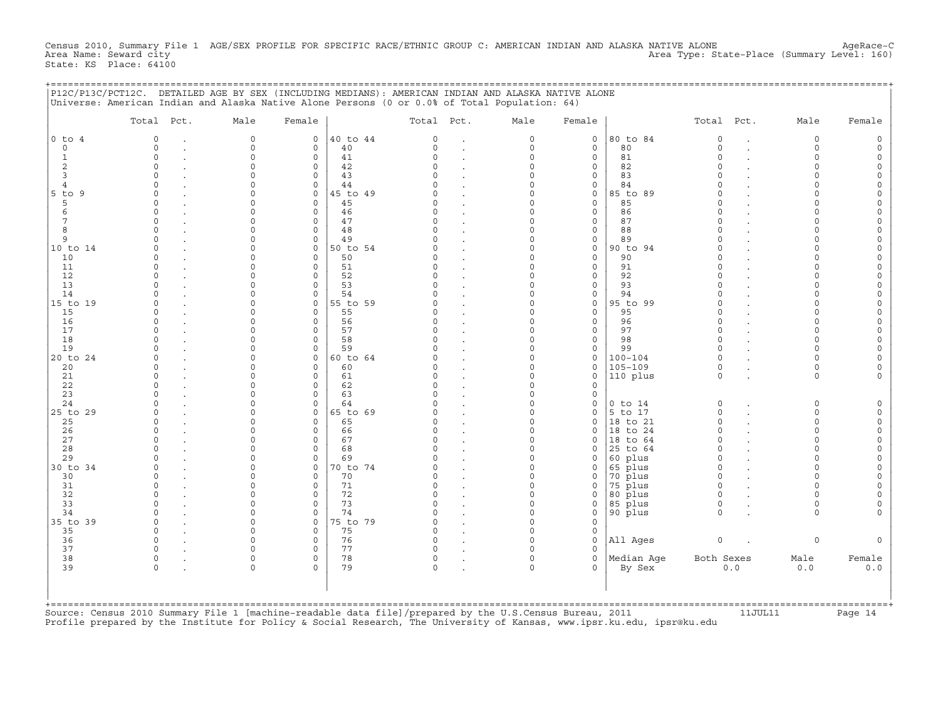Census 2010, Summary File 1 AGE/SEX PROFILE FOR SPECIFIC RACE/ETHNIC GROUP C: AMERICAN INDIAN AND ALASKA NATIVE ALONE AgeRace-C<br>Area Name: Seward city Area Type: State-Place (Summary Level: 160) State: KS Place: 64100

+===================================================================================================================================================+

| $PI2C/P13C/PCT12C$ .          | Universe: American Indian and Alaska Native Alone Persons (0 or 0.0% of Total Population: 64) |                         |                            | DETAILED AGE BY SEX (INCLUDING MEDIANS): AMERICAN INDIAN AND ALASKA NATIVE ALONE |                      |                      |                                            |                        |                    |                         |           |                         |                                    |
|-------------------------------|-----------------------------------------------------------------------------------------------|-------------------------|----------------------------|----------------------------------------------------------------------------------|----------------------|----------------------|--------------------------------------------|------------------------|--------------------|-------------------------|-----------|-------------------------|------------------------------------|
|                               | Total<br>Pct.                                                                                 | Male                    | Female                     |                                                                                  | Total                | Pct.                 | Male                                       | Female                 |                    | Total                   | Pct.      | Male                    | Female                             |
| $0$ to $4$                    | $\overline{0}$                                                                                | $\circ$                 | $\circ$                    | 40 to 44                                                                         | $\mathbf 0$          |                      | 0                                          | $\circ$                | 80 to 84           | $\circ$                 | $\bullet$ | 0                       | 0                                  |
| $\mathsf{O}\xspace$           | $\mathbf 0$<br>$\ddot{\phantom{a}}$                                                           | 0                       | $\circ$                    | 40                                                                               | 0                    | $\ddot{\phantom{a}}$ | $\mathsf{O}\xspace$                        | $\circ$                | 80                 | $\circ$                 | $\cdot$   | 0                       | $\mathsf{O}\xspace$                |
| $\mathbf 1$<br>$\overline{c}$ | $\mathbf 0$<br>$\mathbf 0$                                                                    | $\circ$<br>$\Omega$     | 0<br>0                     | 41<br>42                                                                         | 0<br>$\Omega$        |                      | $\mathsf{O}\xspace$<br>$\mathbf 0$         | $\mathsf O$<br>$\circ$ | 81<br>82           | $\mathbf 0$<br>$\Omega$ |           | $\mathbf 0$<br>0        | $\mathsf{O}\xspace$<br>$\mathsf O$ |
| 3                             | $\mathbf 0$                                                                                   | 0                       | $\circ$                    | 43                                                                               | 0                    |                      | $\mathsf{O}\xspace$                        | $\circ$                | 83                 | $\circ$                 |           | 0                       | $\mathsf O$                        |
| $\overline{4}$                | $\mathbf 0$                                                                                   | $\mathbf 0$             | $\circ$                    | 44                                                                               | $\Omega$             | $\bullet$            | $\mathsf{O}\xspace$                        | $\mathsf{O}$           | 84                 | $\Omega$                |           | $\mathbf 0$             | $\mathsf{O}\xspace$                |
| 5 to 9                        | $\Omega$                                                                                      | $\Omega$                | $\circ$                    | 45 to 49                                                                         | $\Omega$             |                      | $\circ$                                    | $\circ$                | 85 to 89           | $\Omega$                |           | $\Omega$                | 0                                  |
| 5                             | $\mathbf 0$                                                                                   | $\mathbf 0$             | $\mathbf 0$                | 45                                                                               | 0                    |                      | $\mathbf 0$                                | $\circ$                | 85                 | 0                       |           | 0                       | $\mathsf{O}\xspace$                |
| $\epsilon$<br>7               | $\mathbf 0$<br>$\Omega$                                                                       | $\mathbf 0$<br>$\Omega$ | $\circ$<br>$\mathbf 0$     | 46<br>47                                                                         | 0<br>$\Omega$        | $\bullet$            | $\mathsf{O}\xspace$<br>$\circ$             | $\mathsf O$<br>$\circ$ | 86<br>87           | $\Omega$<br>$\Omega$    |           | $\Omega$<br>$\Omega$    | $\mathsf{O}\xspace$<br>0           |
| 8                             | $\mathbf 0$                                                                                   | $\mathbf 0$             | $\mathbf 0$                | 48                                                                               | $\Omega$             |                      | 0                                          | $\circ$                | 88                 | $\Omega$                |           | 0                       | $\mathsf{O}\xspace$                |
| 9                             | $\mathbf 0$                                                                                   | $\mathbf 0$             | $\mathbf 0$                | 49                                                                               | $\Omega$             | $\bullet$            | $\mathsf{O}\xspace$                        | $\mathsf O$            | 89                 | $\Omega$                |           | $\mathbf 0$             | $\mathsf{O}\xspace$                |
| 10 to 14                      | $\Omega$                                                                                      | $\mathbf 0$             | $\mathbf 0$                | 50 to 54                                                                         | $\Omega$             | $\ddot{\phantom{a}}$ | $\mathbf 0$                                | $\circ$                | 90 to 94           | $\Omega$                |           | 0                       | 0                                  |
| 10                            | $\mathbf 0$                                                                                   | $\Omega$                | $\mathbf 0$                | 50                                                                               | $\Omega$             |                      | $\circ$                                    | $\circ$                | 90                 | $\Omega$                |           | $\Omega$                | $\mathsf O$                        |
| 11                            | $\mathbf 0$                                                                                   | 0                       | $\mathbf 0$                | 51                                                                               | 0                    | $\bullet$            | $\mathsf{O}\xspace$                        | $\mathsf O$            | 91                 | $\circ$                 |           | 0                       | $\mathsf{O}\xspace$                |
| 12<br>13                      | $\Omega$<br>$\Omega$                                                                          | $\circ$<br>$\Omega$     | $\mathbf 0$<br>$\mathbf 0$ | 52<br>53                                                                         | $\Omega$<br>$\Omega$ | $\ddot{\phantom{a}}$ | $\circ$<br>$\circ$                         | $\circ$<br>$\circ$     | 92<br>93           | $\Omega$<br>$\Omega$    |           | $\mathbf 0$<br>$\Omega$ | $\mathsf O$<br>$\mathsf O$         |
| 14                            | $\mathbf 0$                                                                                   | $\mathbf 0$             | $\circ$                    | 54                                                                               | $\Omega$             | $\bullet$            | $\mathsf{O}\xspace$                        | $\mathsf O$            | 94                 | $\circ$                 |           | 0                       | $\mathsf{O}\xspace$                |
| 15 to 19                      | 0                                                                                             | $\mathbf 0$             | 0                          | 55 to 59                                                                         | $\Omega$             |                      | $\mathsf{O}\xspace$                        | $\circ$                | 95 to 99           | $\Omega$                |           | $\circ$                 | $\mathsf{O}\xspace$                |
| 15                            | 0                                                                                             | $\Omega$                | $\circ$                    | 55                                                                               | 0                    |                      | $\circ$                                    | $\circ$                | 95                 | $\Omega$                |           | $\Omega$                | $\mathsf O$                        |
| 16                            | $\mathbf 0$                                                                                   | $\circ$                 | $\circ$                    | 56                                                                               | 0                    |                      | $\mathsf{O}\xspace$                        | $\mathsf O$            | 96                 | $\Omega$                |           | 0                       | $\mathsf O$                        |
| 17<br>18                      | $\mathbf 0$<br>$\Omega$                                                                       | $\circ$<br>$\circ$      | $\circ$<br>$\circ$         | 57<br>58                                                                         | 0<br>$\Omega$        |                      | $\mathsf{O}\xspace$<br>$\mathbf 0$         | $\circ$<br>$\circ$     | 97<br>98           | $\circ$<br>$\Omega$     |           | $\circ$<br>$\circ$      | $\mathsf{O}\xspace$<br>$\mathsf O$ |
| 19                            | $\mathbf 0$                                                                                   | $\circ$                 | $\circ$                    | 59                                                                               | $\Omega$             | $\ddot{\phantom{a}}$ | $\circ$                                    | $\circ$                | 99                 | $\Omega$                |           | 0                       | $\mathsf O$                        |
| 20 to 24                      | $\mathbf 0$                                                                                   | $\circ$                 | $\circ$                    | 60 to 64                                                                         | 0                    |                      | $\mathsf{O}\xspace$                        | $\mathsf O$            | $100 - 104$        | $\circ$                 |           | $\circ$                 | $\mathsf{O}\xspace$                |
| 20                            | $\mathbf 0$                                                                                   | $\Omega$                | $\circ$                    | 60                                                                               | $\Omega$             | $\ddot{\phantom{a}}$ | $\mathbf 0$                                | $\circ$                | $105 - 109$        | $\circ$                 |           | $\circ$                 | 0                                  |
| 21                            | $\mathbf 0$                                                                                   | $\circ$                 | $\Omega$                   | 61                                                                               | $\Omega$             |                      | $\circ$                                    | $\circ$                | 110 plus           | $\circ$                 |           | $\circ$                 | 0                                  |
| 22                            | $\mathbf 0$                                                                                   | $\circ$                 | 0                          | 62                                                                               | 0                    |                      | $\mathsf{O}\xspace$                        | $\circ$                |                    |                         |           |                         |                                    |
| 23<br>24                      | $\Omega$<br>$\Omega$                                                                          | $\mathbf 0$<br>$\Omega$ | $\mathbf 0$<br>$\circ$     | 63<br>64                                                                         | $\Omega$<br>$\Omega$ |                      | $\mathbf 0$<br>$\circ$                     | $\circ$<br>$\circ$     | $0$ to $14$        | $\circ$                 |           | $\mathbf 0$             | 0                                  |
| 25 to 29                      | 0                                                                                             | $\mathbf 0$             | 0                          | 65 to 69                                                                         | 0                    |                      | $\mathsf{O}\xspace$                        | $\mathsf O$            | 5 to 17            | $\mathsf O$             |           | $\mathsf{O}\xspace$     | $\mathsf{O}\xspace$                |
| 25                            | $\mathbf 0$                                                                                   | $\circ$                 | $\circ$                    | 65                                                                               | $\Omega$             | $\bullet$            | $\circ$                                    | 0                      | 18 to 21           | $\mathbf 0$             |           | $\mathbf 0$             | $\mathsf{O}\xspace$                |
| 26                            | $\Omega$                                                                                      | 0                       | $\circ$                    | 66                                                                               | $\Omega$             | $\ddot{\phantom{a}}$ | $\mathbf 0$                                | $\circ$                | to 24<br>18        | $\Omega$                |           | $\mathbf 0$             | $\mathsf{O}\xspace$                |
| 27                            | $\circ$                                                                                       | $\mathbf 0$             | 0                          | 67                                                                               | 0                    |                      | $\mathsf{O}\xspace$                        | 0                      | 18 to 64           | $\mathbf 0$             |           | $\Omega$                | $\mathsf{O}\xspace$                |
| 28                            | $\Omega$<br>$\Omega$                                                                          | $\Omega$                | $\circ$                    | 68                                                                               | $\Omega$<br>$\Omega$ |                      | $\circ$<br>$\circ$                         | $\circ$                | 25 to 64           | $\Omega$<br>$\Omega$    |           | $\Omega$                | $\mathsf{O}\xspace$                |
| 29<br>30 to 34                | $\mathbf 0$                                                                                   | $\circ$<br>$\circ$      | $\circ$<br>0               | 69<br>70 to 74                                                                   | 0                    | $\ddot{\phantom{a}}$ | $\mathsf{O}\xspace$                        | $\circ$<br>0           | 60 plus<br>65 plus | $\circ$                 |           | $\circ$<br>$\circ$      | $\mathsf{O}\xspace$<br>$\mathsf O$ |
| 30                            | $\mathbf 0$                                                                                   | $\Omega$                | $\circ$                    | 70                                                                               | $\Omega$             | $\bullet$            | $\circ$                                    | 0                      | 70 plus            | $\Omega$                |           | $\Omega$                | $\mathsf{O}\xspace$                |
| 31                            | $\mathbf 0$                                                                                   | $\circ$                 | $\circ$                    | 71                                                                               | 0                    |                      | 0                                          | $\circ$                | 75 plus            | $\circ$                 |           | 0                       | $\mathsf O$                        |
| 32                            | $\mathbf 0$                                                                                   | $\mathbf 0$             | $\mathbf 0$                | 72                                                                               | 0                    | $\ddot{\phantom{a}}$ | $\circ$                                    | $\circ$                | 80 plus            | $\circ$                 |           | $\mathbf 0$             | $\mathsf O$                        |
| 33                            | $\mathbf 0$                                                                                   | $\Omega$                | $\circ$                    | 73                                                                               | $\Omega$             |                      | $\circ$                                    | $\circ$                | 85 plus            | $\mathbf 0$             |           | $\mathbf 0$             | $\mathsf{O}\xspace$                |
| 34                            | $\mathbf 0$                                                                                   | $\mathbf 0$             | $\mathbf 0$                | 74                                                                               | $\Omega$<br>$\Omega$ |                      | 0                                          | $\mathsf O$            | 90 plus            | $\Omega$                |           | 0                       | 0                                  |
| 35 to 39<br>35                | $\mathbf 0$<br>$\circ$                                                                        | $\mathbf 0$<br>$\circ$  | $\mathbf 0$<br>$\circ$     | 75 to 79<br>75                                                                   | $\Omega$             | $\bullet$<br>$\cdot$ | $\mathsf{O}\xspace$<br>$\mathsf{O}\xspace$ | $\circ$<br>$\circ$     |                    |                         |           |                         |                                    |
| 36                            | $\mathbf 0$                                                                                   | $\mathbf 0$             | 0                          | 76                                                                               | 0                    |                      | $\mathsf{O}\xspace$                        | $\circ$                | All Ages           | $\mathsf{O}$            |           | 0                       | 0                                  |
| 37                            | $\mathbf 0$                                                                                   | $\mathbf 0$             | $\circ$                    | 77                                                                               | 0                    | $\cdot$              | $\mathbf 0$                                | $\Omega$               |                    |                         |           |                         |                                    |
| 38                            | $\mathbf 0$                                                                                   | $\circ$                 | $\circ$                    | 78                                                                               | 0                    | $\cdot$              | $\mathsf{O}\xspace$                        | $\circ$                | Median Age         | Both Sexes              |           | Male                    | Female                             |
| 39                            | $\mathsf{O}\xspace$                                                                           | $\circ$                 | $\Omega$                   | 79                                                                               | 0                    |                      | $\circ$                                    | $\Omega$               | By Sex             |                         | $0.0$     | 0.0                     | 0.0                                |
|                               |                                                                                               |                         |                            |                                                                                  |                      |                      |                                            |                        |                    |                         |           |                         |                                    |
|                               |                                                                                               |                         |                            |                                                                                  |                      |                      |                                            |                        |                    |                         |           |                         |                                    |
|                               |                                                                                               |                         |                            |                                                                                  |                      |                      |                                            |                        |                    |                         |           |                         |                                    |

+===================================================================================================================================================+ Source: Census 2010 Summary File 1 [machine-readable data file]/prepared by the U.S.Census Bureau, 2011 11JUL11 Page 14 Profile prepared by the Institute for Policy & Social Research, The University of Kansas, www.ipsr.ku.edu, ipsr@ku.edu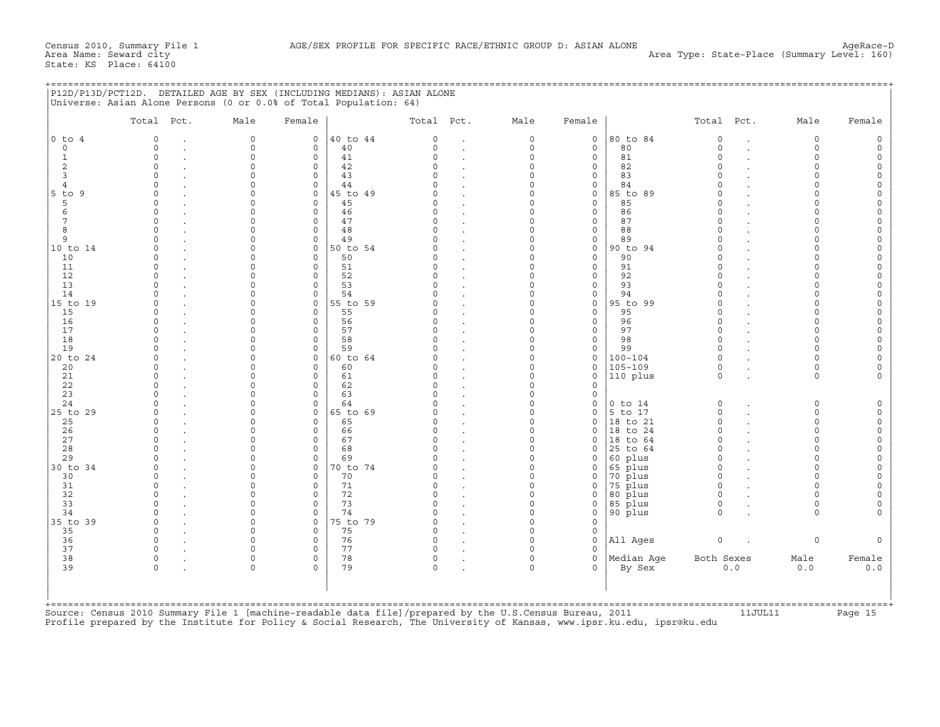|  | P12D/P13D/PCT12D. DETAILED AGE BY SEX (INCLUDING MEDIANS): ASIAN ALONE |  |  |
|--|------------------------------------------------------------------------|--|--|
|  | $\text{tr}_{\text{rel}}$                                               |  |  |

|                | Total Pct.                  | Male                 | Female              |          | Total Pct.         |                      | Male                 | Female                         |                    | Total Pct.         |                      | Male                 | Female             |
|----------------|-----------------------------|----------------------|---------------------|----------|--------------------|----------------------|----------------------|--------------------------------|--------------------|--------------------|----------------------|----------------------|--------------------|
| $0$ to $4$     | $\Omega$                    | $\circ$              | 0                   | 40 to 44 | $\circ$            | $\bullet$            | $\mathbf 0$          | $\mathbf 0$                    | 80 to 84           | $\Omega$           | $\sim$               | $\mathbf 0$          | 0                  |
| $\mathbb O$    | $\mathbf 0$<br>$\mathbf{r}$ | $\circ$              | $\circ$             | 40       | $\Omega$           | $\bullet$            | $\mathbf 0$          | $\circ$                        | 80                 | $\Omega$           | $\overline{a}$       | $\circ$              | $\circ$            |
| $\mathbf{1}$   | $\mathbf 0$                 | 0                    | $\circ$             | 41       | $\Omega$           |                      | $\mathbf 0$          | $\mathsf{O}\xspace$            | 81                 | $\Omega$           |                      | $\circ$              | $\circ$            |
| 2              | $\cap$                      | $\circ$              | $\Omega$            | 42       | $\Omega$           |                      | $\Omega$             | $\circ$                        | 82                 | $\cap$             |                      | $\Omega$             | $\circ$            |
| 3              | $\Omega$                    | $\circ$              | $\circ$             | 43       | $\cap$             |                      | $\Omega$             | $\circ$                        | 83                 | $\cap$             |                      | $\Omega$             | $\circ$            |
| $\overline{4}$ | $\Omega$                    | 0                    | $\circ$             | 44       | $\Omega$           |                      | $\Omega$             | $\mathsf{O}\xspace$            | 84                 | $\Omega$           |                      | $\Omega$             | $\circ$            |
| $5$ to $9$     | $\Omega$                    | $\circ$              | $\Omega$            | 45 to 49 | $\Omega$           | $\ddot{\phantom{a}}$ | $\Omega$             | $\circ$                        | 85 to 89           | $\Omega$           |                      | $\Omega$             | $\circ$            |
| 5              | $\Omega$                    | $\Omega$             | $\circ$             | 45       | $\Omega$           |                      | $\Omega$<br>$\Omega$ | $\circ$                        | 85                 |                    |                      | $\Omega$             | $\circ$            |
| 6<br>7         | $\Omega$                    | $\Omega$<br>$\Omega$ | $\Omega$            | 46       | $\cap$<br>$\Omega$ | $\cdot$              | $\Omega$             | $\circ$                        | 86                 | $\cap$<br>$\Omega$ |                      | $\Omega$<br>$\Omega$ | $\circ$            |
| 8              | $\Omega$<br>$\Omega$        |                      | $\circ$             | 47<br>48 | $\Omega$           | $\cdot$              | $\Omega$             | $\circ$                        | 87                 | $\Omega$           |                      |                      | $\circ$            |
| 9              | $\cap$                      | $\Omega$<br>$\Omega$ | $\circ$<br>$\Omega$ | 49       | $\cap$             |                      | $\Omega$             | $\mathsf{O}\xspace$<br>$\circ$ | 88<br>89           |                    |                      | $\Omega$<br>$\Omega$ | $\circ$            |
| 10 to 14       | $\Omega$                    | $\Omega$             | $\circ$             | 50 to 54 | $\cap$             | $\cdot$              | $\Omega$             | $\circ$                        | 90 to 94           | $\Omega$           |                      | $\Omega$             | $\circ$<br>$\circ$ |
| 10             | $\Omega$                    | $\Omega$             | 0                   | 50       | $\Omega$           |                      | $\Omega$             | $\circ$                        | 90                 | $\cap$             |                      | $\Omega$             | $\circ$            |
| 11             | $\Omega$                    | $\Omega$             | 0                   | 51       | $\cap$             | $\bullet$<br>$\cdot$ | $\Omega$             | $\mathsf{O}\xspace$            | 91                 | $\cap$             |                      | $\Omega$             | $\circ$            |
| 12             | $\Omega$                    | $\Omega$             | $\circ$             | 52       | $\Omega$           |                      | $\Omega$             | $\circ$                        | 92                 |                    |                      | $\Omega$             | $\circ$            |
| 13             | $\Omega$                    | $\Omega$             | $\circ$             | 53       | $\circ$            | $\bullet$            | $\Omega$             | $\circ$                        | 93                 | $\Omega$           |                      | $\mathbf 0$          | $\circ$            |
| 14             |                             | $\Omega$             | $\Omega$            | 54       | $\cap$             |                      | $\Omega$             | $\circ$                        | 94                 |                    |                      | $\Omega$             | $\circ$            |
| 15 to 19       | $\Omega$                    | $\circ$              | $\Omega$            | 55 to 59 | $\cap$             | $\bullet$            | $\Omega$             | $\circ$                        | 95 to 99           | $\Omega$           |                      | $\Omega$             | $\circ$            |
| 15             | $\Omega$                    | $\Omega$             | $\Omega$            | 55       | $\Omega$           | $\cdot$              | $\Omega$             | $\circ$                        | 95                 | $\Omega$           |                      | $\Omega$             | $\circ$            |
| 16             | $\Omega$                    | $\Omega$             | $\circ$             | 56       | $\Omega$           |                      | $\Omega$             | $\circ$                        | 96                 | $\Omega$           |                      | $\Omega$             | $\circ$            |
| 17             | $\Omega$                    | $\Omega$             | $\circ$             | 57       | $\Omega$           |                      | $\Omega$             | $\circ$                        | 97                 | $\Omega$           |                      | $\Omega$             | $\circ$            |
| 18             | $\Omega$                    | $\Omega$             | $\Omega$            | 58       | $\cap$             |                      | $\Omega$             | $\mathsf{O}\xspace$            | 98                 | $\Omega$           |                      | $\Omega$             | $\circ$            |
| 19             | $\Omega$                    | $\Omega$             | $\Omega$            | 59       | $\Omega$           | $\cdot$              | $\Omega$             | $\mathsf{O}\xspace$            | 99                 | $\Omega$           |                      | $\Omega$             | $\circ$            |
| 20 to 24       | $\Omega$                    | $\circ$              | 0                   | 60 to 64 | $\Omega$           | $\cdot$              | $\mathbf 0$          | $\mathsf{O}\xspace$            | $100 - 104$        | $\Omega$           |                      | $\Omega$             | $\circ$            |
| 20             | $\Omega$                    | $\Omega$             | $\Omega$            | 60       | $\Omega$           |                      | $\Omega$             | $\circ$                        | 105-109            | $\Omega$           |                      | $\Omega$             | $\circ$            |
| 21             | $\Omega$                    | $\Omega$             | $\Omega$            | 61       | $\Omega$           | $\bullet$            | $\Omega$             | $\circ$                        | $ 110\rangle$ plus | $\Omega$           |                      | $\Omega$             | $\Omega$           |
| 22             | $\Omega$                    | 0                    | 0                   | 62       | $\Omega$           | $\bullet$            | $\Omega$             | $\circ$                        |                    |                    |                      |                      |                    |
| 23             |                             | $\Omega$             | $\Omega$            | 63       | $\cap$             | $\cdot$              | $\Omega$             | $\circ$                        |                    |                    |                      |                      |                    |
| 24             | $\Omega$                    | $\Omega$             | $\circ$             | 64       | $\Omega$           | $\bullet$            | $\mathbf 0$          | $\circ$                        | $0$ to $14$        | $\circ$            | $\ddot{\phantom{0}}$ | $\mathsf{O}$         | $\circ$            |
| 25 to 29       | $\cap$                      | $\Omega$             | $\Omega$            | 65 to 69 | $\cap$             | $\cdot$              | $\Omega$             | $\circ$                        | $5$ to 17          | $\Omega$           |                      | $\Omega$             | $\Omega$           |
| 25             | $\Omega$                    | $\Omega$             | $\Omega$            | 65       | $\cap$             |                      | $\Omega$             | $\circ$                        | 18 to 21           | $\Omega$           |                      | $\Omega$             | $\circ$            |
| 26             | $\Omega$                    | $\Omega$             | $\circ$             | 66       | $\circ$            | $\bullet$            | $\Omega$             | $\circ$                        | $ 18$ to 24        | $\Omega$           |                      | $\mathbf 0$          | $\circ$            |
| 27             | $\Omega$                    | $\Omega$             | $\Omega$            | 67       | $\Omega$           | $\cdot$              | $\Omega$             | $\mathbf 0$                    | 18 to 64           | $\Omega$           |                      | $\Omega$             | $\circ$            |
| 28             | $\Omega$                    | $\Omega$             | $\circ$             | 68       | $\Omega$           | $\bullet$            | $\Omega$             | $\circ$                        | 25 to 64           | $\Omega$           |                      | $\Omega$             | $\circ$            |
| 29             | $\Omega$                    | $\Omega$             | $\circ$             | 69       | $\Omega$           |                      | $\Omega$             | 0                              | 60 plus            | $\Omega$           |                      | $\Omega$             | $\circ$            |
| 30 to 34       | $\Omega$                    | $\Omega$             | 0                   | 70 to 74 | $\cap$             |                      | $\Omega$             | $\circ$                        | 65 plus            | $\Omega$           |                      | $\Omega$             | $\circ$            |
| 30             | $\Omega$                    | $\circ$              | 0                   | 70       | $\Omega$           |                      | $\Omega$             | $\circ$                        | 70 plus            | $\Omega$           |                      | $\Omega$             | $\circ$            |
| 31             | $\Omega$                    | $\Omega$             | $\circ$             | 71       | $\Omega$           | $\bullet$            | $\Omega$             | $\circ$                        | 75 plus            | $\Omega$           |                      | $\Omega$             | $\Omega$           |
| 32             | $\Omega$                    | $\circ$              | $\circ$             | 72       | $\Omega$           | $\bullet$            | $\mathbf 0$          | $\mathsf{O}\xspace$            | 80 plus            | $\Omega$           |                      | $\Omega$             | $\Omega$           |
| 33             | $\Omega$                    | $\Omega$             | 0                   | 73       | $\Omega$           |                      | $\Omega$             | $\mathsf{O}\xspace$            | 85 plus            | $\mathbf 0$        |                      | $\Omega$             | $\circ$            |
| 34             | $\cap$                      | $\Omega$             | $\Omega$            | 74       | $\cap$             |                      | $\Omega$             | $\circ$                        | 90 plus            | $\Omega$           |                      | $\Omega$             |                    |
| 35 to 39       | $\Omega$                    | $\Omega$             | $\circ$             | 75 to 79 | $\Omega$           |                      | $\Omega$             | $\circ$                        |                    |                    |                      |                      |                    |
| 35             | $\Omega$                    | 0                    | 0                   | 75       | $\circ$            | $\cdot$              | $\Omega$             | $\circ$                        |                    |                    |                      |                      |                    |
| 36             | $\Omega$                    | $\Omega$             | $\Omega$            | 76       | $\cap$             | $\cdot$              | $\Omega$             | $\circ$                        | All Ages           | $\circ$            | $\sim$               | $\Omega$             | $\Omega$           |
| 37             | $\Omega$                    | $\Omega$             | $\Omega$            | 77       | $\Omega$           |                      | $\Omega$             | $\mathbf 0$                    |                    |                    |                      |                      |                    |
| 38             | $\mathsf{O}$                | 0                    | 0                   | 78       | $\circ$            | $\cdot$              | $\Omega$             | $\circ$                        | Median Age         | Both Sexes         |                      | Male                 | Female             |
| 39             | $\Omega$                    | $\Omega$             | $\Omega$            | 79       | $\Omega$           |                      | $\Omega$             | $\Omega$                       | By Sex             |                    | 0.0                  | 0.0                  | 0.0                |
|                |                             |                      |                     |          |                    |                      |                      |                                |                    |                    |                      |                      |                    |

Source: Census 2010 Summary File 1 [machine−readable data file]/prepared by the U.S.Census Bureau, 2011 11JUL11 Page 15 Profile prepared by the Institute for Policy & Social Research, The University of Kansas, www.ipsr.ku.edu, ipsr@ku.edu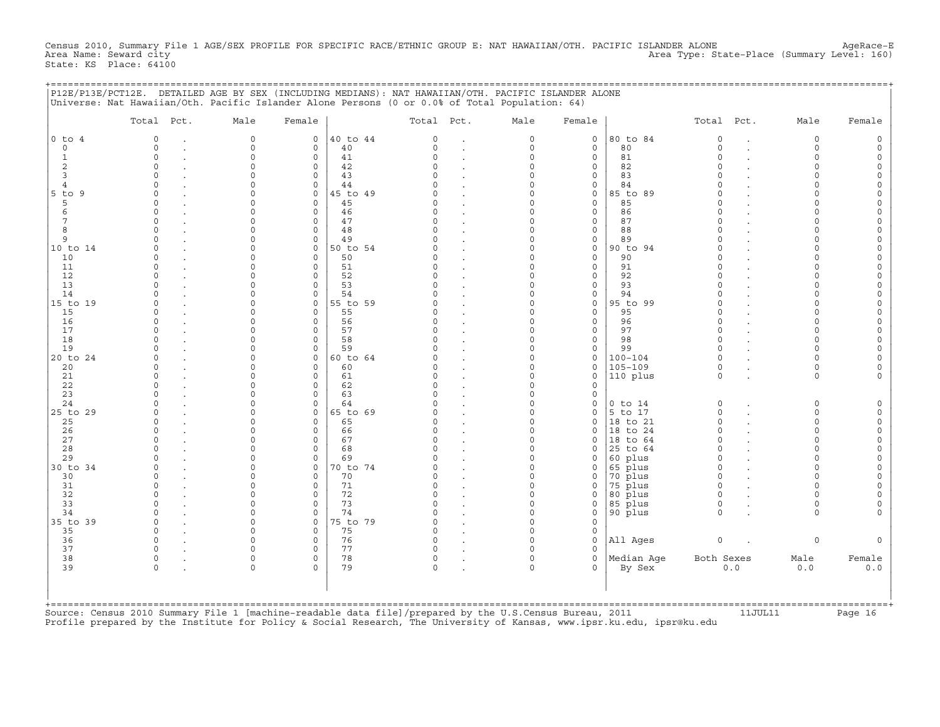Census 2010, Summary File 1 AGE/SEX PROFILE FOR SPECIFIC RACE/ETHNIC GROUP E: NAT HAWAIIAN/OTH. PACIFIC ISLANDER ALONE AgeRace-E<br>Area Name: Seward city Area Type: State-Place (Summary Level: 160) State: KS Place: 64100

+===================================================================================================================================================+

|                                                                                                                          | P12E/P13E/PCT12E. DETAILED AGE BY SEX (INCLUDING MEDIANS): NAT HAWAIIAN/OTH. PACIFIC ISLANDER ALONE<br>Universe: Nat Hawaiian/Oth. Pacific Islander Alone Persons (0 or 0.0% of Total Population: 64) |                                                                                                                                     |                                                                                                                    |                                                                            |                                                                                                             |                                                                                                                             |                                                                                                                                                                                     |                                                                                                                                           |                                                                                           |                                                                                                                   |                                 |                                                                                                                                    |                                                                                                                                                                      |
|--------------------------------------------------------------------------------------------------------------------------|-------------------------------------------------------------------------------------------------------------------------------------------------------------------------------------------------------|-------------------------------------------------------------------------------------------------------------------------------------|--------------------------------------------------------------------------------------------------------------------|----------------------------------------------------------------------------|-------------------------------------------------------------------------------------------------------------|-----------------------------------------------------------------------------------------------------------------------------|-------------------------------------------------------------------------------------------------------------------------------------------------------------------------------------|-------------------------------------------------------------------------------------------------------------------------------------------|-------------------------------------------------------------------------------------------|-------------------------------------------------------------------------------------------------------------------|---------------------------------|------------------------------------------------------------------------------------------------------------------------------------|----------------------------------------------------------------------------------------------------------------------------------------------------------------------|
|                                                                                                                          | Total Pct.                                                                                                                                                                                            | Male                                                                                                                                | Female                                                                                                             |                                                                            | Total Pct.                                                                                                  |                                                                                                                             | Male                                                                                                                                                                                | Female                                                                                                                                    |                                                                                           | Total Pct.                                                                                                        |                                 | Male                                                                                                                               | Female                                                                                                                                                               |
| $0$ to $4$<br>$\circ$<br>$\mathbf 1$<br>$\sqrt{2}$<br>$\overline{\mathbf{3}}$<br>$\overline{4}$<br>$5$ to<br>9<br>5<br>6 | $\overline{0}$<br>$\mathbf 0$<br>$\bullet$<br>$\mathsf{O}\xspace$<br>$\mathsf{O}$<br>$\mathbf 0$<br>$\Omega$<br>$\Omega$<br>$\Omega$<br>$\mathbf 0$                                                   | $\mathbf 0$<br>0<br>$\circ$<br>$\Omega$<br>$\circ$<br>$\Omega$<br>$\Omega$<br>$\Omega$<br>$\circ$                                   | $\mathbf 0$<br>$\circ$<br>0<br>$\circ$<br>$\circ$<br>$\circ$<br>$\circ$<br>$\circ$<br>0                            | 40 to 44<br>40<br>41<br>42<br>43<br>44<br>45 to 49<br>45<br>46             | $\mathbf 0$<br>0<br>0<br>$\Omega$<br>$\Omega$<br>$\Omega$<br>$\Omega$<br>$\Omega$<br>0                      | $\ddot{\phantom{a}}$<br>$\bullet$<br>$\ddot{\phantom{0}}$<br>$\ddot{\phantom{a}}$<br>$\overline{a}$                         | $\circ$<br>$\mathsf{O}\xspace$<br>$\mathsf{O}\xspace$<br>$\circ$<br>0<br>$\mathsf{O}\xspace$<br>$\circ$<br>$\mathbf 0$<br>$\mathsf{O}\xspace$                                       | $\circ$<br>$\circ$<br>$\mathsf O$<br>$\circ$<br>$\circ$<br>$\mathsf{O}$<br>$\circ$<br>$\circ$<br>$\circ$                                  | 80 to 84<br>80<br>81<br>82<br>83<br>84<br>85 to 89<br>85<br>86                            | $\circ$<br>$\mathbf 0$<br>$\mathsf O$<br>$\Omega$<br>$\Omega$<br>$\Omega$<br>$\Omega$<br>$\Omega$<br>$\circ$      | $\cdot$<br>$\cdot$              | 0<br>0<br>$\mathsf{O}\xspace$<br>$\circ$<br>$\circ$<br>$\circ$<br>$\Omega$<br>$\circ$<br>$\mathbf 0$                               | 0<br>$\mathsf O$<br>$\mathsf{O}\xspace$<br>$\mathsf{O}\xspace$<br>$\mathsf{O}\xspace$<br>$\mathsf O$<br>$\mathsf O$<br>$\mathsf O$<br>$\mathsf{O}\xspace$            |
| 7<br>8<br>9<br>10 to 14<br>10<br>11<br>12<br>13                                                                          | $\mathsf{O}$<br>$\circ$<br>$\mathbf 0$<br>$\Omega$<br>$\Omega$<br>$\Omega$<br>$\mathbf 0$<br>$\mathbf 0$                                                                                              | $\mathbf 0$<br>$\circ$<br>$\mathbf 0$<br>$\Omega$<br>$\mathbf 0$<br>$\Omega$<br>$\circ$<br>$\mathbf 0$                              | $\mathbf 0$<br>$\circ$<br>0<br>$\mathbf 0$<br>$\mathbf 0$<br>$\mathbf 0$<br>$\mathbf 0$<br>$\mathbf 0$             | 47<br>48<br>49<br>50 to 54<br>50<br>51<br>52<br>53                         | $\Omega$<br>$\Omega$<br>$\Omega$<br>$\Omega$<br>$\Omega$<br>0<br>$\Omega$<br>0                              | $\bullet$<br>$\ddot{\phantom{a}}$<br>$\ddot{\phantom{a}}$<br>$\ddot{\phantom{a}}$<br>$\ddot{\phantom{a}}$                   | $\mathsf{O}\xspace$<br>$\mathsf{O}\xspace$<br>$\mathsf{O}\xspace$<br>$\circ$<br>$\circ$<br>$\circ$<br>$\mathsf{O}\xspace$<br>$\mathsf{O}\xspace$                                    | $\circ$<br>$\circ$<br>$\mathsf{O}$<br>$\circ$<br>$\mathbf 0$<br>$\circ$<br>$\circ$<br>$\circ$                                             | 87<br>88<br>89<br>90 to 94<br>90<br>91<br>92<br>93                                        | $\Omega$<br>$\Omega$<br>$\Omega$<br>$\Omega$<br>$\Omega$<br>$\Omega$<br>$\Omega$<br>$\Omega$                      |                                 | $\mathbf 0$<br>$\mathbf 0$<br>$\mathbf 0$<br>$\Omega$<br>$\mathbf 0$<br>$\Omega$<br>$\mathbf 0$<br>$\mathbf 0$                     | $\mathsf{O}\xspace$<br>$\mathsf{O}\xspace$<br>$\mathsf{O}\xspace$<br>$\mathsf O$<br>$\mathsf{O}\xspace$<br>$\mathsf O$<br>$\mathsf{O}\xspace$<br>$\mathsf{O}\xspace$ |
| 14<br>15 to 19<br>15<br>16<br>17<br>18<br>19<br>20 to 24<br>20<br>21<br>22                                               | $\mathbf 0$<br>$\Omega$<br>$\Omega$<br>$\ddot{\phantom{a}}$<br>$\mathbf 0$<br>$\Omega$<br>$\mathbf 0$<br>$\mathbf 0$<br>$\mathbf 0$<br>$\Omega$<br>$\mathbf 0$<br>$\Omega$                            | $\circ$<br>$\Omega$<br>$\mathbf 0$<br>$\mathbf 0$<br>$\Omega$<br>0<br>$\circ$<br>$\Omega$<br>$\mathbf 0$<br>$\mathbf 0$<br>$\Omega$ | 0<br>$\mathbf 0$<br>$\mathbf 0$<br>$\mathbf 0$<br>$\Omega$<br>$\mathsf O$<br>0<br>0<br>$\circ$<br>0<br>$\mathbf 0$ | 54<br>55 to 59<br>55<br>56<br>57<br>58<br>59<br>60 to 64<br>60<br>61<br>62 | $\Omega$<br>$\Omega$<br>$\Omega$<br>0<br>$\Omega$<br>0<br>$\Omega$<br>$\Omega$<br>$\Omega$<br>0<br>$\Omega$ | $\ddot{\phantom{a}}$<br>$\ddot{\phantom{a}}$<br>$\ddot{\phantom{a}}$<br>$\ddot{\phantom{a}}$                                | $\mathsf{O}\xspace$<br>$\mathbf 0$<br>$\circ$<br>$\mathsf{O}\xspace$<br>$\circ$<br>$\mathsf{O}\xspace$<br>$\mathsf{O}\xspace$<br>$\mathbf 0$<br>0<br>$\mathsf{O}\xspace$<br>$\circ$ | $\mathsf O$<br>$\circ$<br>$\mathbf 0$<br>$\circ$<br>$\mathbf 0$<br>$\circ$<br>$\mathsf O$<br>$\circ$<br>$\circ$<br>$\mathsf O$<br>$\circ$ | 94<br>95 to 99<br>95<br>96<br>97<br>98<br>99<br>$100 - 104$<br>$105 - 109$<br>110 plus    | $\Omega$<br>$\Omega$<br>$\Omega$<br>$\Omega$<br>$\Omega$<br>$\circ$<br>$\Omega$<br>$\Omega$<br>$\circ$<br>$\circ$ | $\ddot{\phantom{a}}$<br>$\cdot$ | $\mathbf 0$<br>$\Omega$<br>$\mathbf 0$<br>$\mathbf 0$<br>$\Omega$<br>0<br>$\mathbf 0$<br>$\mathbf 0$<br>$\mathbf 0$<br>$\mathbf 0$ | $\mathsf{O}\xspace$<br>$\mathsf O$<br>$\mathsf O$<br>$\mathsf O$<br>$\mathsf O$<br>$\mathsf{O}\xspace$<br>$\mathsf{O}\xspace$<br>$\mathsf O$<br>0<br>$\mathsf O$     |
| 23<br>24<br>25 to 29<br>25<br>26<br>27<br>28<br>29                                                                       | $\mathbf 0$<br>$\mathbf 0$<br>$\mathbf 0$<br>$\mathbf 0$<br>$\mathbf 0$<br>$\Omega$<br>$\Omega$<br>$\mathbf 0$                                                                                        | $\mathbf 0$<br>$\circ$<br>$\Omega$<br>$\mathbf 0$<br>$\mathbf 0$<br>$\Omega$<br>$\mathbf 0$<br>$\mathbf 0$                          | $\mathbf 0$<br>0<br>$\mathbf 0$<br>$\mathbf 0$<br>$\mathbf 0$<br>$\mathbf 0$<br>$\circ$<br>$\mathbf 0$             | 63<br>64<br>65 to 69<br>65<br>66<br>67<br>68<br>69                         | 0<br>0<br>$\Omega$<br>$\Omega$<br>0<br>$\Omega$<br>$\Omega$<br>0                                            | $\ddot{\phantom{a}}$<br>$\ddot{\phantom{a}}$<br>$\bullet$<br>$\ddot{\phantom{0}}$<br>$\ddot{\phantom{a}}$<br>$\overline{a}$ | $\circ$<br>$\mathsf{O}\xspace$<br>$\circ$<br>$\mathsf{O}\xspace$<br>$\mathsf{O}\xspace$<br>$\circ$<br>$\circ$<br>$\mathbf 0$                                                        | $\circ$<br>$\mathsf O$<br>$\circ$<br>$\circ$<br>$\circ$<br>$\Omega$<br>$\circ$<br>$\circ$                                                 | $0$ to $14$<br>$5$ to 17<br>18 to 21<br>to 24<br>18<br>to 64<br>18<br>25 to 64<br>60 plus | $\mathbb O$<br>$\circ$<br>$\circ$<br>$\Omega$<br>$\Omega$<br>$\Omega$<br>$\mathbf 0$                              |                                 | 0<br>$\mathbf 0$<br>$\mathbf 0$<br>$\mathbf 0$<br>$\mathbf 0$<br>$\mathbf 0$<br>$\mathbf 0$                                        | $\mathsf{O}\xspace$<br>$\mathsf{O}\xspace$<br>$\mathsf{O}\xspace$<br>$\mathsf{O}\xspace$<br>$\mathsf{O}\xspace$<br>$\mathsf O$<br>$\mathsf{O}\xspace$                |
| 30 to 34<br>30<br>31<br>32<br>33<br>34<br>35 to 39<br>35                                                                 | $\mathbf 0$<br>$\mathbf 0$<br>$\mathbf 0$<br>$\Omega$<br>$\Omega$<br>$\Omega$<br>$\mathbf 0$<br>$\mathbf 0$                                                                                           | $\mathbf 0$<br>$\mathbf 0$<br>$\mathbf 0$<br>$\Omega$<br>$\mathbf 0$<br>$\Omega$<br>$\circ$<br>$\mathbf 0$                          | 0<br>$\circ$<br>0<br>$\mathbf 0$<br>$\circ$<br>$\mathbf 0$<br>0<br>$\mathbf 0$                                     | 70 to 74<br>70<br>71<br>72<br>73<br>74<br>75 to 79<br>75                   | $\Omega$<br>0<br>0<br>$\Omega$<br>$\Omega$<br>$\circ$<br>0<br>0                                             | $\bullet$<br>$\bullet$<br>$\ddot{\phantom{a}}$<br>$\bullet$<br>$\ddot{\phantom{a}}$<br>$\bullet$<br>$\ddot{\phantom{a}}$    | $\mathsf{O}\xspace$<br>$\mathsf{O}\xspace$<br>$\mathsf{O}\xspace$<br>$\circ$<br>$\circ$<br>$\mathsf{O}\xspace$<br>$\mathsf{O}\xspace$<br>$\mathsf{O}\xspace$                        | $\circ$<br>$\circ$<br>$\mathsf{O}$<br>$\circ$<br>$\circ$<br>$\mathsf O$<br>$\circ$<br>$\mathsf O$                                         | 65 plus<br>70 plus<br>75 plus<br>80 plus<br>85 plus<br>90 plus                            | $\mathbf 0$<br>$\mathbf 0$<br>$\circ$<br>$\Omega$<br>$\circ$<br>$\circ$                                           |                                 | $\mathbf 0$<br>$\mathbf 0$<br>$\mathbf 0$<br>$\Omega$<br>$\mathbf 0$<br>$\Omega$                                                   | $\mathsf{O}\xspace$<br>$\mathsf{O}\xspace$<br>$\mathsf O$<br>$\mathsf O$<br>$\mathsf{O}\xspace$<br>$\circ$                                                           |
| 36<br>37<br>38<br>39                                                                                                     | $\mathbf 0$<br>$\circ$<br>$\mathsf{O}$<br>$\bullet$<br>$\mathbf 0$                                                                                                                                    | $\circ$<br>$\Omega$<br>$\mathbf 0$<br>$\circ$                                                                                       | $\mathsf O$<br>$\circ$<br>$\circ$<br>$\Omega$                                                                      | 76<br>77<br>78<br>79                                                       | 0<br>0<br>0<br>$\circ$                                                                                      | $\ddot{\phantom{a}}$<br>$\ddot{\phantom{a}}$                                                                                | $\mathsf{O}\xspace$<br>$\mathbf 0$<br>$\mathsf{O}\xspace$<br>$\circ$                                                                                                                | $\mathbb O$<br>$\circ$<br>$\mathbf 0$<br>$\Omega$                                                                                         | All Ages<br>Median Age<br>By Sex                                                          | $\circ$<br>Both Sexes                                                                                             | $0.0$                           | $\mathsf{O}\xspace$<br>Male<br>0.0                                                                                                 | $\mathsf{O}\xspace$<br>Female<br>$0.0$                                                                                                                               |

+===================================================================================================================================================+ Source: Census 2010 Summary File 1 [machine-readable data file]/prepared by the U.S.Census Bureau, 2011 11JUL11 Page 16 Profile prepared by the Institute for Policy & Social Research, The University of Kansas, www.ipsr.ku.edu, ipsr@ku.edu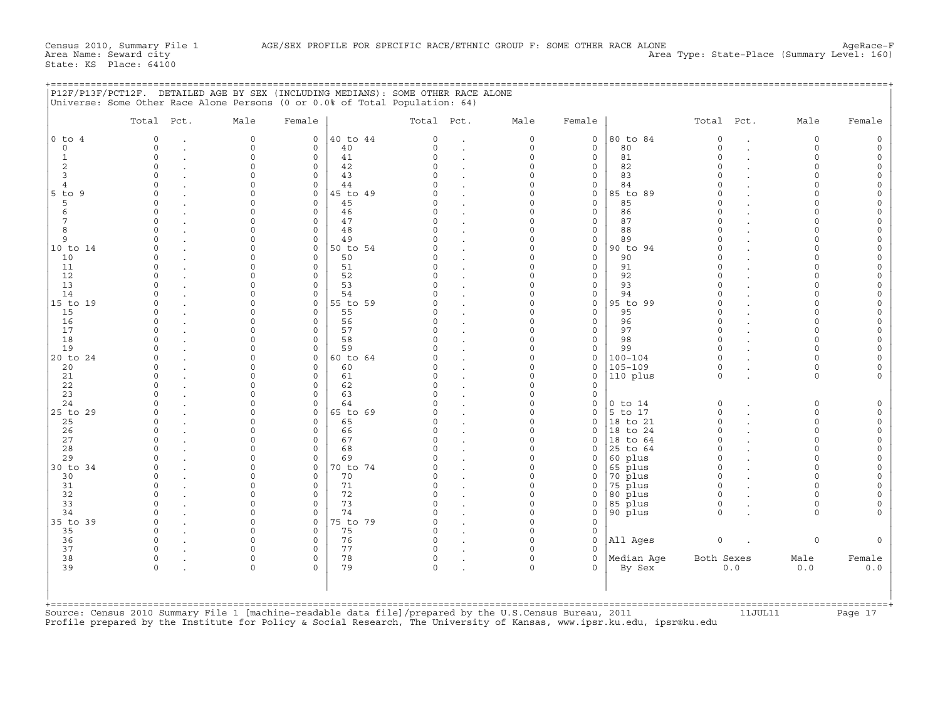| P12F/P13F/PCT12F. DETAILED AGE BY SEX (INCLUDING MEDIANS): SOME OTHER RACE ALONE |  |
|----------------------------------------------------------------------------------|--|
| Universe: Some Other Race Alone Persons (0 or 0.0% of Total Population: 64)      |  |
|                                                                                  |  |

|                                  | Total Pct.               | Male                 | Female               |          | Total Pct.           |                | Male                    | Female                 |                    | Total Pct.              |                      | Male                    | Female              |
|----------------------------------|--------------------------|----------------------|----------------------|----------|----------------------|----------------|-------------------------|------------------------|--------------------|-------------------------|----------------------|-------------------------|---------------------|
| $0$ to $4$                       | 0                        | 0                    | 0                    | 40 to 44 | $\mathbf 0$          |                | $\mathsf{O}$            | $\circ$                | 80 to 84           | $\mathsf{O}$            | $\cdot$              | $\circ$                 | $\circ$             |
| $\circ$                          | $\Omega$                 | $\circ$              | $\Omega$             | 40       | $\Omega$             | $\sim$         | $\mathbf 0$             | $\circ$                | 80                 | $\Omega$                | $\overline{a}$       | $\circ$                 | $\circ$             |
| $\mathbf{1}$                     | $\Omega$                 | $\circ$              | $\Omega$             | 41       | $\Omega$             |                | $\mathsf{O}\xspace$     | $\circ$                | 81                 | $\Omega$                |                      | $\circ$                 | $\circ$             |
| 2                                | $\Omega$                 | $\circ$              | $\Omega$             | 42       | $\Omega$<br>$\Omega$ |                | $\mathbf 0$             | $\circ$                | 82                 | $\Omega$                |                      | $\mathbf 0$             | $\circ$             |
| $\overline{3}$<br>$\overline{4}$ | $\cap$<br>$\Omega$       | $\Omega$<br>$\Omega$ | $\Omega$<br>$\Omega$ | 43<br>44 | $\Omega$             |                | $\Omega$<br>$\Omega$    | $\circ$<br>$\circ$     | 83<br>84           |                         |                      | $\Omega$<br>$\Omega$    | $\circ$<br>$\circ$  |
| $5$ to $9$                       | $\Omega$                 | $\circ$              | $\circ$              | 45 to 49 | $\Omega$             |                | $\Omega$                | $\circ$                | 85 to 89           |                         |                      | $\Omega$                | $\circ$             |
| 5                                | $\cap$                   | $\Omega$             | $\Omega$             | 45       | $\cap$               |                | $\Omega$                | $\circ$                | 85                 |                         |                      | $\Omega$                | $\circ$             |
| 6                                | $\Omega$                 | $\cap$               | $\Omega$             | 46       | $\cap$               |                | $\Omega$                | $\circ$                | 86                 |                         |                      | $\Omega$                | $\circ$             |
| $7\phantom{.0}$                  | 0                        | $\circ$              | $\circ$              | 47       | $\circ$              |                | $\mathbf 0$             | $\circ$                | 87                 | $\Omega$                |                      | $\Omega$                | $\circ$             |
| 8                                | $\cap$                   | $\Omega$             | $\Omega$             | 48       | $\Omega$             |                | $\Omega$                | $\circ$                | 88                 |                         |                      | $\Omega$                | $\circ$             |
| 9                                | $\Omega$                 | $\Omega$             | $\circ$              | 49       | $\Omega$             |                | $\Omega$                | $\circ$                | 89                 |                         |                      | $\Omega$                | $\circ$             |
| 10 to 14                         | $\Omega$                 | $\Omega$             | $\circ$              | 50 to 54 | $\Omega$             |                | $\Omega$                | $\circ$                | 90 to 94           |                         |                      | $\mathbf 0$             | $\circ$             |
| 10                               | U                        | $\cap$               | $\Omega$             | 50       | $\cap$               |                | $\Omega$                | $\circ$                | 90                 | $\cap$                  |                      | $\Omega$                | $\circ$             |
| 11                               | $\Omega$                 | $\Omega$             | $\circ$              | 51       | $\Omega$             |                | $\mathbf 0$             | $\circ$                | 91                 | $\cap$                  |                      | $\Omega$                | $\circ$             |
| 12<br>13                         | $\Omega$<br>$\Omega$     | $\Omega$<br>$\Omega$ | $\circ$<br>$\Omega$  | 52<br>53 | $\Omega$<br>$\Omega$ |                | $\Omega$<br>$\Omega$    | $\circ$<br>$\circ$     | 92<br>93           |                         |                      | $\Omega$<br>$\Omega$    | $\circ$             |
| 14                               |                          | $\Omega$             | $\Omega$             | 54       | $\Omega$             |                | $\mathbf 0$             | $\circ$                | 94                 |                         |                      | $\Omega$                | $\circ$<br>$\circ$  |
| 15 to 19                         | $\Omega$                 | $\Omega$             | $\Omega$             | 55 to 59 |                      |                | $\Omega$                | $\mathbf 0$            | 95 to 99           |                         |                      | $\Omega$                | $\circ$             |
| 15                               | $\Omega$                 | $\Omega$             | $\circ$              | 55       | $\Omega$             |                | $\Omega$                | $\mathbf 0$            | 95                 |                         |                      | $\Omega$                | $\Omega$            |
| 16                               | $\Omega$                 | $\Omega$             | $\circ$              | 56       | $\Omega$             | $\sim$         | $\Omega$                | $\circ$                | 96                 | $\cap$                  |                      | $\Omega$                | $\circ$             |
| 17                               | $\Omega$                 | $\Omega$             | $\circ$              | 57       | $\Omega$             |                | $\Omega$                | $\circ$                | 97                 |                         |                      | $\circ$                 | $\circ$             |
| 18                               | $\Omega$                 | $\Omega$             | $\Omega$             | 58       | $\Omega$             |                | $\Omega$                | $\circ$                | 98                 | $\Omega$                |                      | $\Omega$                | $\circ$             |
| 19                               | $\cap$                   | $\Omega$             | $\Omega$             | 59       | $\cap$               |                | $\Omega$                | $\circ$                | 99                 | $\Omega$                |                      | $\Omega$                | $\circ$             |
| 20 to 24                         | $\Omega$                 | $\Omega$             | $\circ$              | 60 to 64 | $\Omega$             |                | $\Omega$                | $\circ$                | $100 - 104$        |                         |                      | $\Omega$                | $\circ$             |
| 20                               | $\cap$                   | $\Omega$             | $\Omega$             | 60       | $\cap$               |                | $\Omega$                | $\mathbf 0$            | $105 - 109$        | $\Omega$                |                      | $\Omega$                | $\circ$             |
| 21                               | $\Omega$                 | $\Omega$             | $\Omega$             | 61       | $\mathbf 0$          |                | $\Omega$                | $\mathbf 0$            | 110 plus           | $\Omega$                |                      | $\Omega$                | $\Omega$            |
| 22                               | $\Omega$<br><sup>n</sup> | $\Omega$<br>$\cap$   | $\Omega$<br>$\Omega$ | 62       | $\Omega$<br>$\cap$   |                | $\mathbf 0$<br>$\Omega$ | $\circ$                |                    |                         |                      |                         |                     |
| 23<br>24                         | $\Omega$                 | $\Omega$             | $\circ$              | 63<br>64 | $\Omega$             |                | $\Omega$                | $\mathbf 0$<br>$\circ$ | $0$ to $14$        | $\Omega$                |                      | $\mathsf{O}$            |                     |
| 25 to 29                         | $\Omega$                 | $\Omega$             | $\circ$              | 65 to 69 | $\Omega$             |                | $\circ$                 | $\circ$                | 5 to 17            | $\Omega$                |                      | $\mathsf{O}$            | $\circ$<br>$\circ$  |
| 25                               | $\cap$                   | $\cap$               | $\Omega$             | 65       | $\cap$               |                | $\Omega$                | $\Omega$               | 18 to 21           | $\Omega$                |                      | $\Omega$                | $\circ$             |
| 26                               | $\Omega$                 | $\Omega$             | $\Omega$             | 66       | $\Omega$             |                | $\Omega$                | $\circ$                | 18 to 24           | $\Omega$                |                      | $\Omega$                | $\circ$             |
| 27                               | $\Omega$                 | $\Omega$             | $\Omega$             | 67       | $\Omega$             |                | $\Omega$                | $\mathbf 0$            | 18 to 64           | $\Omega$                |                      | $\Omega$                | $\circ$             |
| 28                               | U                        | $\Omega$             | $\Omega$             | 68       | $\Omega$             |                | $\circ$                 | $\mathbf 0$            | 25 to 64           | $\cap$                  |                      | $\Omega$                | $\circ$             |
| 29                               | $\Omega$                 | $\Omega$             | $\Omega$             | 69       | $\Omega$             | $\overline{a}$ | $\mathbf 0$             | $\circ$                | 60 plus            | $\Omega$                |                      | $\Omega$                | $\circ$             |
| 30 to 34                         | $\Omega$                 | $\circ$              | $\circ$              | 70 to 74 | $\Omega$             |                | $\Omega$                | $\circ$                | 65 plus            | $\Omega$                |                      | $\mathbf 0$             | $\circ$             |
| 30                               | U                        | $\Omega$             | $\Omega$             | 70       | $\Omega$             |                | $\Omega$                | $\circ$                | 70 plus            | $\Omega$                |                      | $\Omega$                | $\circ$             |
| 31                               | $\Omega$                 | $\cap$               | $\Omega$             | 71       | $\Omega$             |                | $\Omega$                | $\mathbf 0$            | $75$ plus          | $\Omega$                |                      | $\Omega$                | $\circ$             |
| 32                               | 0                        | $\circ$              | $\circ$              | 72       | $\circ$              |                | $\mathsf{O}\xspace$     | $\circ$                | 80 plus            | $\Omega$                |                      | $\Omega$                | $\circ$             |
| 33<br>34                         | <sup>n</sup><br>$\cap$   | $\Omega$<br>$\Omega$ | $\Omega$<br>$\Omega$ | 73<br>74 | $\Omega$<br>$\Omega$ | $\sim$         | $\circ$<br>$\Omega$     | $\mathbf 0$<br>$\circ$ | 85 plus<br>90 plus | $\mathbf 0$<br>$\Omega$ |                      | $\mathbf 0$<br>$\Omega$ | $\circ$<br>$\Omega$ |
| 35 to 39                         | $\Omega$                 | $\Omega$             | $\circ$              | 75 to 79 | $\Omega$             |                | $\mathbf 0$             | $\circ$                |                    |                         |                      |                         |                     |
| 35                               | $\cap$                   | $\Omega$             | $\Omega$             | 75       | $\Omega$             |                | $\Omega$                | $\mathbf 0$            |                    |                         |                      |                         |                     |
| 36                               | $\Omega$                 | $\Omega$             | $\circ$              | 76       | $\Omega$             |                | $\Omega$                | $\circ$                | All Ages           | $\mathsf O$             | $\ddot{\phantom{a}}$ | $\circ$                 | $\Omega$            |
| 37                               | $\Omega$                 | $\Omega$             | $\Omega$             | 77       | $\Omega$             |                | $\circ$                 | $\Omega$               |                    |                         |                      |                         |                     |
| 38                               | $\Omega$                 | $\circ$              | $\Omega$             | 78       | $\circ$              |                | $\circ$                 | $\Omega$               | Median Age         | Both Sexes              |                      | Male                    | Female              |
| 39                               | $\Omega$                 | $\circ$              | $\Omega$             | 79       | $\circ$              |                | $\circ$                 | $\Omega$               | By Sex             |                         | 0.0                  | 0.0                     | 0.0                 |
|                                  |                          |                      |                      |          |                      |                |                         |                        |                    |                         |                      |                         |                     |

Source: Census 2010 Summary File 1 [machine−readable data file]/prepared by the U.S.Census Bureau, 2011 11JUL11 Page 17 Profile prepared by the Institute for Policy & Social Research, The University of Kansas, www.ipsr.ku.edu, ipsr@ku.edu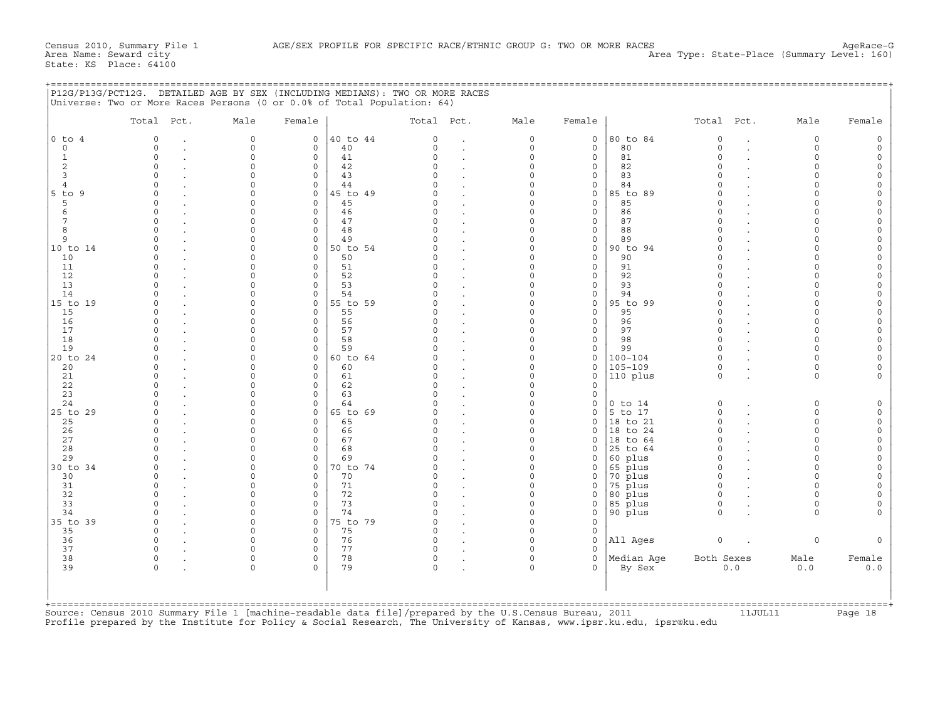| P12G/P13G/PCT12G. DETAILED AGE BY SEX (INCLUDING MEDIANS): TWO OR MORE RACES |            |                |            |      |        |
|------------------------------------------------------------------------------|------------|----------------|------------|------|--------|
| Universe: Two or More Races Persons (0 or 0.0% of Total Population: 64)      |            |                |            |      |        |
| Total Pct.<br>Female<br>Male                                                 | Total Pct. | Male<br>Female | Total Pct. | Male | Female |

|                     | Total Pct.           | Male                 | Female                  |                | Total Pct.           |        | Male                    | Female                 |                      | Total Pct.           |                      | Male                    | Female              |
|---------------------|----------------------|----------------------|-------------------------|----------------|----------------------|--------|-------------------------|------------------------|----------------------|----------------------|----------------------|-------------------------|---------------------|
| $0$ to $4$          | $\Omega$             | 0                    | 0                       | 40 to 44       | $\mathbf 0$          |        | $\mathsf{O}$            | $\circ$                | 80 to 84             | $\mathsf{O}$         | $\cdot$              | $\circ$                 | 0                   |
| $\circ$             | $\Omega$             | $\Omega$             | $\Omega$                | 40             | $\Omega$             | $\sim$ | $\mathbf 0$             | $\mathbf 0$            | 80                   | $\Omega$             | $\sim$               | $\mathbf 0$             | $\circ$             |
| $1\,$               | $\Omega$             | $\Omega$             | $\Omega$                | 41             | $\Omega$             |        | $\mathbf 0$             | $\circ$                | 81                   | $\Omega$             |                      | $\circ$                 | $\circ$             |
| 2<br>$\overline{3}$ | $\Omega$<br>U        | $\Omega$<br>$\Omega$ | $\mathbf 0$<br>$\Omega$ | 42             | $\Omega$<br>$\cap$   |        | $\mathbf 0$<br>$\Omega$ | $\circ$                | 82                   | $\Omega$             |                      | $\Omega$<br>$\Omega$    | $\circ$<br>$\Omega$ |
| $\overline{4}$      | $\Omega$             | $\Omega$             | $\Omega$                | 43<br>44       | $\cap$               |        | $\Omega$                | $\mathbf 0$<br>$\circ$ | 83<br>84             |                      |                      | $\Omega$                | $\Omega$            |
| $5$ to $9$          | $\Omega$             | $\Omega$             | $\circ$                 | 45 to 49       | $\Omega$             |        | $\Omega$                | $\circ$                | 85 to 89             |                      |                      | $\Omega$                | $\circ$             |
| 5                   |                      | $\Omega$             | $\mathbf 0$             | 45             | $\Omega$             |        | $\Omega$                | $\circ$                | 85                   |                      |                      | $\Omega$                | $\circ$             |
| 6                   | $\cap$               | $\cap$               | $\Omega$                | 46             | $\cap$               |        | $\Omega$                | $\circ$                | 86                   |                      |                      | $\Omega$                | $\Omega$            |
| $7\phantom{.0}$     | $\Omega$             | $\Omega$             | $\mathbf 0$             | 47             | $\Omega$             |        | $\Omega$                | $\circ$                | 87                   | $\cap$               |                      | $\Omega$                | $\Omega$            |
| 8                   | $\Omega$             | $\Omega$             | $\mathbf 0$             | 48             | $\Omega$             |        | $\mathbf 0$             | $\circ$                | 88                   |                      |                      | $\Omega$                | $\circ$             |
| 9                   | $\cap$               | $\Omega$             | $\Omega$                | 49             | $\Omega$             |        | $\Omega$                | $\circ$                | 89                   |                      |                      | $\Omega$                | $\circ$             |
| 10 to 14            | $\Omega$             | $\Omega$             | $\Omega$                | 50 to 54       | $\cap$               |        | $\Omega$                | $\circ$                | 90 to 94             |                      |                      | $\Omega$                | $\circ$             |
| 10                  | $\Omega$             | $\Omega$             | $\mathbf 0$             | 50             | $\Omega$             |        | $\Omega$                | $\circ$                | 90                   | $\Omega$             |                      | $\Omega$                | $\circ$             |
| 11<br>12            | O<br>$\Omega$        | $\Omega$<br>$\Omega$ | $\Omega$<br>$\Omega$    | 51<br>52       | $\Omega$<br>$\Omega$ |        | $\Omega$<br>$\Omega$    | $\circ$<br>$\circ$     | 91<br>92             | ∩                    |                      | $\Omega$<br>$\Omega$    | $\circ$<br>$\Omega$ |
| 13                  | 0                    | $\Omega$             | $\mathbf 0$             | 53             | $\Omega$             |        | $\mathbf 0$             | $\circ$                | 93                   |                      |                      | $\Omega$                | $\circ$             |
| 14                  |                      | $\Omega$             | $\Omega$                | 54             | $\cap$               |        | $\Omega$                | $\circ$                | 94                   |                      |                      | $\Omega$                | $\circ$             |
| 15 to 19            | $\cap$               | $\Omega$             | $\Omega$                | 55 to 59       |                      |        | $\Omega$                | $\circ$                | 95 to 99             |                      |                      | $\Omega$                | $\Omega$            |
| 15                  | 0                    | $\Omega$             | $\mathbf 0$             | 55             | $\Omega$             |        | $\Omega$                | $\circ$                | 95                   |                      |                      | $\Omega$                | $\circ$             |
| 16                  | U                    | $\cap$               | $\Omega$                | 56             | $\cap$               |        | $\Omega$                | $\mathbf 0$            | 96                   | ∩                    |                      | $\Omega$                | $\circ$             |
| 17                  | $\Omega$             | $\Omega$             | $\Omega$                | 57             | $\Omega$             |        | $\Omega$                | $\circ$                | 97                   |                      |                      | $\Omega$                | $\circ$             |
| 18                  | $\Omega$             | $\Omega$             | $\circ$                 | 58             | $\Omega$             |        | $\mathbf 0$             | $\circ$                | 98                   | $\Omega$             |                      | $\Omega$                | $\circ$             |
| 19                  | $\Omega$             | $\Omega$             | $\circ$                 | 59             | $\Omega$             |        | $\mathbf 0$             | $\circ$                | 99                   | $\Omega$             |                      | $\Omega$                | $\circ$             |
| 20 to 24            | $\Omega$             | $\Omega$             | $\circ$                 | 60 to 64       |                      |        | $\Omega$                | $\circ$                | $100 - 104$          |                      |                      | $\Omega$                | $\circ$             |
| 20                  | $\Omega$<br>$\Omega$ | $\Omega$<br>$\Omega$ | $\circ$<br>$\mathbf 0$  | 60             | $\Omega$<br>$\Omega$ |        | $\Omega$<br>$\Omega$    | $\mathbf 0$            | $105 - 109$          | $\Omega$<br>$\Omega$ |                      | $\Omega$<br>$\mathbf 0$ | $\circ$<br>$\Omega$ |
| 21<br>22            |                      | $\Omega$             | $\Omega$                | 61<br>62       | $\Omega$             |        | $\Omega$                | $\circ$<br>$\circ$     | 110 plus             |                      |                      |                         |                     |
| 23                  | $\cap$               | $\Omega$             | $\Omega$                | 63             | $\Omega$             |        | $\Omega$                | $\circ$                |                      |                      |                      |                         |                     |
| 24                  | $\Omega$             | $\Omega$             | $\circ$                 | 64             | $\Omega$             |        | $\mathbf 0$             | $\circ$                | $0$ to $14$          | $\mathbf 0$          |                      | $\circ$                 | $\circ$             |
| 25 to 29            | U                    | $\Omega$             | $\mathbf 0$             | 65 to 69       | $\cap$               |        | $\Omega$                | $\circ$                | 5 to 17              | $\Omega$             |                      | $\mathbf 0$             | $\circ$             |
| 25                  | $\Omega$             | $\Omega$             | $\circ$                 | 65             | $\Omega$             |        | $\Omega$                | $\circ$                | 18 to 21             | $\Omega$             |                      | $\circ$                 | $\circ$             |
| 26                  | $\Omega$             | $\Omega$             | $\circ$                 | 66             | $\Omega$             |        | $\Omega$                | $\circ$                | 18 to 24             | $\Omega$             |                      | $\mathbf 0$             | $\circ$             |
| 27                  | U                    | $\cap$               | $\Omega$                | 67             | $\cap$               |        | $\Omega$                | $\circ$                | 18 to 64             | $\cap$               |                      | $\Omega$                | $\circ$             |
| 28                  | U                    | $\Omega$             | $\Omega$                | 68             | $\Omega$             |        | $\Omega$                | $\circ$                | 25 to 64             | $\cap$               |                      | $\Omega$                | $\circ$             |
| 29                  | $\Omega$             | $\Omega$             | $\circ$                 | 69             | $\cap$               |        | $\Omega$                | $\circ$                | 60 plus              | $\Omega$             |                      | $\Omega$                | $\circ$             |
| 30 to 34<br>30      | $\Omega$<br>$\Omega$ | $\Omega$<br>$\Omega$ | $\circ$<br>$\circ$      | 70 to 74<br>70 | $\Omega$<br>$\Omega$ |        | $\Omega$<br>$\Omega$    | $\circ$<br>$\circ$     | $65$ plus<br>70 plus | $\Omega$<br>$\Omega$ |                      | $\Omega$<br>$\Omega$    | $\circ$<br>$\circ$  |
| 31                  | $\Omega$             | $\Omega$             | $\circ$                 | 71             | $\Omega$             |        | $\Omega$                | $\circ$                | 75 plus              | $\Omega$             |                      | $\Omega$                | $\Omega$            |
| 32                  | $\Omega$             | $\Omega$             | $\circ$                 | 72             | $\Omega$             |        | $\mathbf 0$             | $\circ$                | 80 plus              | $\Omega$             |                      | $\Omega$                | $\circ$             |
| 33                  | $\cap$               | $\Omega$             | $\Omega$                | 73             | $\Omega$             |        | $\Omega$                | $\circ$                | 85 plus              | $\mathbf 0$          |                      | $\Omega$                | $\circ$             |
| 34                  | $\Omega$             | $\circ$              | $\circ$                 | 74             | $\Omega$             |        | $\mathbf 0$             | $\circ$                | 90 plus              | $\Omega$             |                      | $\Omega$                | $\Omega$            |
| 35 to 39            | 0                    | $\circ$              | $\circ$                 | 75 to 79       | $\Omega$             |        | $\mathbf 0$             | $\circ$                |                      |                      |                      |                         |                     |
| 35                  | $\Omega$             | $\Omega$             | $\Omega$                | 75             | $\Omega$             |        | $\Omega$                | $\mathbf 0$            |                      |                      |                      |                         |                     |
| 36                  | $\Omega$             | $\Omega$             | $\circ$                 | 76             | $\Omega$             |        | $\Omega$                | $\circ$                | All Ages             | $\mathsf{O}$         | $\ddot{\phantom{a}}$ | $\mathbf 0$             |                     |
| 37                  | $\Omega$             | $\cap$               | $\Omega$                | 77             | $\cap$               |        | $\Omega$                | $\Omega$               |                      |                      |                      |                         |                     |
| 38                  | $\Omega$             | $\Omega$             | $\Omega$                | 78             | $\circ$              |        | $\Omega$                | $\mathbf 0$            | Median Age           | Both Sexes           |                      | Male                    | Female              |
| 39                  | $\Omega$             | $\circ$              | $\Omega$                | 79             | $\circ$              |        | $\circ$                 | $\Omega$               | By Sex               |                      | 0.0                  | 0.0                     | 0.0                 |
|                     |                      |                      |                         |                |                      |        |                         |                        |                      |                      |                      |                         |                     |

Source: Census 2010 Summary File 1 [machine−readable data file]/prepared by the U.S.Census Bureau, 2011 11JUL11 Page 18 Profile prepared by the Institute for Policy & Social Research, The University of Kansas, www.ipsr.ku.edu, ipsr@ku.edu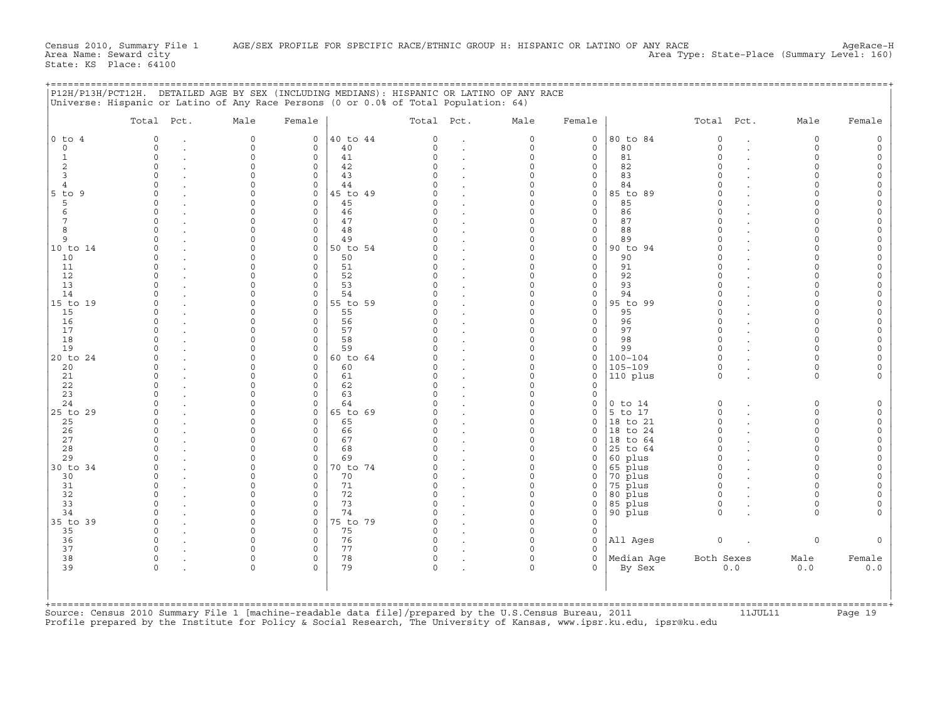|                                                                                                                                                                                        | P12H/P13H/PCT12H. DETAILED AGE BY SEX (INCLUDING MEDIANS): HISPANIC OR LATINO OF ANY RACE<br>Universe: Hispanic or Latino of Any Race Persons (0 or 0.0% of Total Population: 64)              |                                                                                                                                                                                                                                                                              |                                                                                                                                                                                                                                                                                                                                                                                             |                                                                                                                                                                                                                                                                         |                                                                                                                                                                                                                  |                                                                                                                                         |                                                                                                                                                                                                     |                                                                                                                                                                                                                                                                               |                                                                                                                                                                                        |                                                                                                                                                                                                                                              |
|----------------------------------------------------------------------------------------------------------------------------------------------------------------------------------------|------------------------------------------------------------------------------------------------------------------------------------------------------------------------------------------------|------------------------------------------------------------------------------------------------------------------------------------------------------------------------------------------------------------------------------------------------------------------------------|---------------------------------------------------------------------------------------------------------------------------------------------------------------------------------------------------------------------------------------------------------------------------------------------------------------------------------------------------------------------------------------------|-------------------------------------------------------------------------------------------------------------------------------------------------------------------------------------------------------------------------------------------------------------------------|------------------------------------------------------------------------------------------------------------------------------------------------------------------------------------------------------------------|-----------------------------------------------------------------------------------------------------------------------------------------|-----------------------------------------------------------------------------------------------------------------------------------------------------------------------------------------------------|-------------------------------------------------------------------------------------------------------------------------------------------------------------------------------------------------------------------------------------------------------------------------------|----------------------------------------------------------------------------------------------------------------------------------------------------------------------------------------|----------------------------------------------------------------------------------------------------------------------------------------------------------------------------------------------------------------------------------------------|
|                                                                                                                                                                                        | Total Pct.                                                                                                                                                                                     | Male                                                                                                                                                                                                                                                                         | Female                                                                                                                                                                                                                                                                                                                                                                                      | Total Pct.                                                                                                                                                                                                                                                              | Male                                                                                                                                                                                                             | Female                                                                                                                                  |                                                                                                                                                                                                     | Total Pct.                                                                                                                                                                                                                                                                    | Male                                                                                                                                                                                   | Female                                                                                                                                                                                                                                       |
| $0$ to $4$<br>$\circ$<br><sup>1</sup><br>2<br>3<br>$\overline{4}$<br>$5$ to $9$<br>5<br>6<br>7<br>8<br>9<br>10 to 14<br>10<br>11<br>12<br>13<br>14<br>15 to 19<br>15<br>16<br>17<br>18 | $\Omega$<br>$\Omega$<br>$\Omega$<br>$\Omega$<br>$\Omega$<br>$\Omega$<br>$\Omega$<br>$\Omega$<br>$\cap$<br>$\cap$<br>$\Omega$<br>$\cap$<br>$\cap$<br>$\Omega$<br>$\Omega$<br>$\Omega$<br>$\cap$ | 0<br>$\mathbf 0$<br>$\Omega$<br>$\Omega$<br>$\Omega$<br>$\Omega$<br>$\Omega$<br>$\Omega$<br>$\Omega$<br>$\Omega$<br>$\Omega$<br>$\Omega$<br>$\Omega$<br>$\Omega$<br>$\Omega$<br>$\Omega$<br>$\Omega$<br>$\Omega$<br>$\Omega$<br>$\Omega$<br>$\Omega$<br>$\Omega$<br>$\Omega$ | 40 to 44<br>0<br>40<br>$\mathbf 0$<br>$\circ$<br>41<br>42<br>0<br>$\mathbf 0$<br>43<br>$\mathbf 0$<br>44<br>45 to 49<br>0<br>$\Omega$<br>45<br>46<br>$\mathbf 0$<br>47<br>0<br>48<br>0<br>$\mathbf 0$<br>49<br>50 to 54<br>0<br>$\mathbf 0$<br>50<br>$\circ$<br>51<br>52<br>0<br>53<br>0<br>54<br>$\mathbf 0$<br>55 to 59<br>$\mathbf 0$<br>0<br>55<br>56<br>0<br>$\Omega$<br>57<br>58<br>0 | 0<br>$\Omega$<br>$\Omega$<br>$\Omega$<br>$\cap$<br>$\Omega$<br>$\Omega$<br>$\Omega$<br>$\Omega$<br>$\Omega$<br>$\Omega$<br>$\Omega$<br>$\Omega$<br>$\Omega$<br>$\Omega$<br>$\Omega$<br>$\Omega$<br>$\Omega$<br>$\Omega$<br>$\Omega$<br>$\Omega$<br>$\Omega$<br>$\Omega$ | 0<br>$\circ$<br>0<br>0<br>$\Omega$<br>$\Omega$<br>0<br>$\Omega$<br>0<br>0<br>$\Omega$<br>0<br>$\Omega$<br>$\Omega$<br>0<br>$\Omega$<br>$\Omega$<br>0<br>$\Omega$<br>$\Omega$<br>$\Omega$<br>$\Omega$<br>$\Omega$ | 0<br>0<br>$\circ$<br>0<br>0<br>0<br>0<br>$\circ$<br>0<br>0<br>$\circ$<br>0<br>0<br>$\circ$<br>0<br>0<br>0<br>0<br>0<br>0<br>0<br>0<br>0 | 80 to 84<br>80<br>81<br>82<br>83<br>84<br>85 to 89<br>85<br>86<br>87<br>88<br>89<br>90 to 94<br>90<br>91<br>92<br>93<br>94<br>95 to 99<br>95<br>96<br>97<br>98                                      | $\mathbf 0$<br>$\circ$<br>$\Omega$<br>$\Omega$<br>$\cap$<br>$\Omega$<br>$\Omega$<br>$\Omega$<br>$\Omega$<br>$\Omega$<br>$\Omega$<br>$\circ$<br>$\Omega$<br>$\Omega$<br>$\circ$<br>$\Omega$<br>$\Omega$<br>$\circ$<br>$\Omega$<br>$\Omega$<br>$\Omega$<br>$\Omega$<br>$\Omega$ | $\mathbf 0$<br>$\Omega$<br>$\Omega$<br>$\Omega$<br>O<br>$\Omega$<br>O<br>$\Omega$<br>$\Omega$<br>$\Omega$<br>$\Omega$<br>∩<br>O<br>$\Omega$<br>$\Omega$<br>$\Omega$                    | $\circ$<br>$\circ$<br>$\circ$<br>$\Omega$<br>$\Omega$<br>$\circ$<br>$\circ$<br>$\Omega$<br>$\circ$<br>0<br>$\circ$<br>$\circ$<br>$\Omega$<br>$\circ$<br>$\circ$<br>$\circ$<br>$\circ$<br>$\circ$<br>$\circ$<br>$\circ$<br>$\circ$<br>$\circ$ |
| 19<br>20 to 24<br>20<br>21<br>22<br>23<br>24<br>25 to 29<br>25<br>26<br>27<br>28<br>29<br>30 to 34<br>30<br>31<br>32<br>33<br>34                                                       | $\Omega$<br>$\Omega$<br>$\cap$<br>$\cap$<br>$\Omega$<br>$\Omega$<br>O<br>$\Omega$<br>$\Omega$<br>$\Omega$<br>$\Omega$<br>$\Omega$<br>$\cap$<br>$\cap$                                          | $\Omega$<br>$\Omega$<br>$\Omega$<br>$\Omega$<br>$\Omega$<br>$\Omega$<br>$\Omega$<br>$\Omega$<br>$\Omega$<br>$\Omega$<br>$\Omega$<br>$\Omega$<br>$\Omega$<br>$\Omega$<br>$\Omega$<br>$\Omega$<br>$\Omega$<br>$\Omega$<br>$\mathbf 0$                                          | 59<br>$\Omega$<br>$\circ$<br>60 to 64<br>0<br>60<br>0<br>61<br>0<br>62<br>63<br>0<br>$\Omega$<br>64<br>65 to 69<br>0<br>65<br>0<br>66<br>0<br>$\Omega$<br>67<br>68<br>0<br>$\Omega$<br>69<br>70 to 74<br>0<br>0<br>70<br>71<br>0<br>$\Omega$<br>72<br>$\circ$<br>73<br>74<br>0                                                                                                              | $\Omega$<br>$\Omega$<br>$\Omega$<br>$\Omega$<br>$\Omega$<br>$\Omega$<br>O<br>$\Omega$<br>$\Omega$<br>$\Omega$<br>$\Omega$<br>$\Omega$<br>O<br>$\Omega$<br>$\Omega$<br>$\Omega$<br>$\Omega$<br>$\Omega$<br>$\Omega$                                                      | $\Omega$<br>$\Omega$<br>$\Omega$<br>$\Omega$<br>0<br>0<br>$\Omega$<br>$\Omega$<br>0<br>$\Omega$<br>$\Omega$<br>0<br>$\Omega$<br>$\Omega$<br>0<br>$\Omega$<br>$\Omega$<br>$\Omega$<br>0                           | 0<br>0<br>0<br>0<br>$\circ$<br>$\circ$<br>0<br>0<br>$\circ$<br>$\circ$<br>0<br>0<br>$\circ$<br>0<br>0<br>$\circ$<br>0<br>0<br>0         | 99<br>$100 - 104$<br>$105 - 109$<br>110 plus<br>$0$ to $14$<br>5 to 17<br>18 to 21<br>18 to 24<br>18 to 64<br>25 to 64<br>60 plus<br>65 plus<br>70 plus<br>75 plus<br>80 plus<br>85 plus<br>90 plus | $\Omega$<br>$\Omega$<br>$\mathbf 0$<br>$\Omega$<br>0<br>$\Omega$<br>$\circ$<br>$\Omega$<br>$\Omega$<br>$\Omega$<br>$\Omega$<br>$\Omega$<br>$\circ$<br>$\Omega$<br>$\mathbf 0$<br>$\mathsf{O}\xspace$<br>$\Omega$                                                              | $\Omega$<br>$\Omega$<br>$\circ$<br>$\Omega$<br>$\Omega$<br>$\Omega$<br>$\Omega$<br>$\Omega$<br>$\cap$<br>$\Omega$<br>$\cap$<br>$\Omega$<br>$\Omega$<br>$\Omega$<br>$\circ$<br>$\Omega$ | $\circ$<br>0<br>$\Omega$<br>$\Omega$<br>$\circ$<br>$\circ$<br>$\circ$<br>$\circ$<br>$\Omega$<br>$\circ$<br>$\circ$<br>$\Omega$<br>$\circ$<br>$\circ$<br>$\Omega$<br>$\circ$<br>$\Omega$                                                      |
| 35 to 39<br>35<br>36<br>37<br>38<br>39<br>+============                                                                                                                                | $\Omega$<br>$\Omega$<br>$\Omega$<br>$\Omega$<br>$\mathbf 0$<br>$\Omega$                                                                                                                        | $\Omega$<br>$\Omega$<br>$\Omega$<br>$\Omega$<br>0<br>$\mathbf 0$                                                                                                                                                                                                             | 75 to 79<br>$\mathbf 0$<br>$\mathbf 0$<br>75<br>76<br>0<br>$\mathbf 0$<br>77<br>78<br>$\circ$<br>79<br>$\Omega$                                                                                                                                                                                                                                                                             | $\Omega$<br>$\Omega$<br>$\Omega$<br>$\circ$<br>0<br>0                                                                                                                                                                                                                   | $\Omega$<br>$\mathbf 0$<br>0<br>$\Omega$<br>$\Omega$<br>$\Omega$                                                                                                                                                 | $\circ$<br>0<br>0<br>$\Omega$<br>$\circ$<br>$\Omega$                                                                                    | All Ages<br>Median Age<br>By Sex                                                                                                                                                                    | $\mathsf O$<br>Both Sexes<br>0.0                                                                                                                                                                                                                                              | $\Omega$<br>Male<br>$0.0$                                                                                                                                                              | $\Omega$<br>Female<br>0.0                                                                                                                                                                                                                    |

+===================================================================================================================================================+

Source: Census 2010 Summary File 1 [machine-readable data file]/prepared by the U.S.Census Bureau, 2011 11JUL11 Page 19 Profile prepared by the Institute for Policy & Social Research, The University of Kansas, www.ipsr.ku.edu, ipsr@ku.edu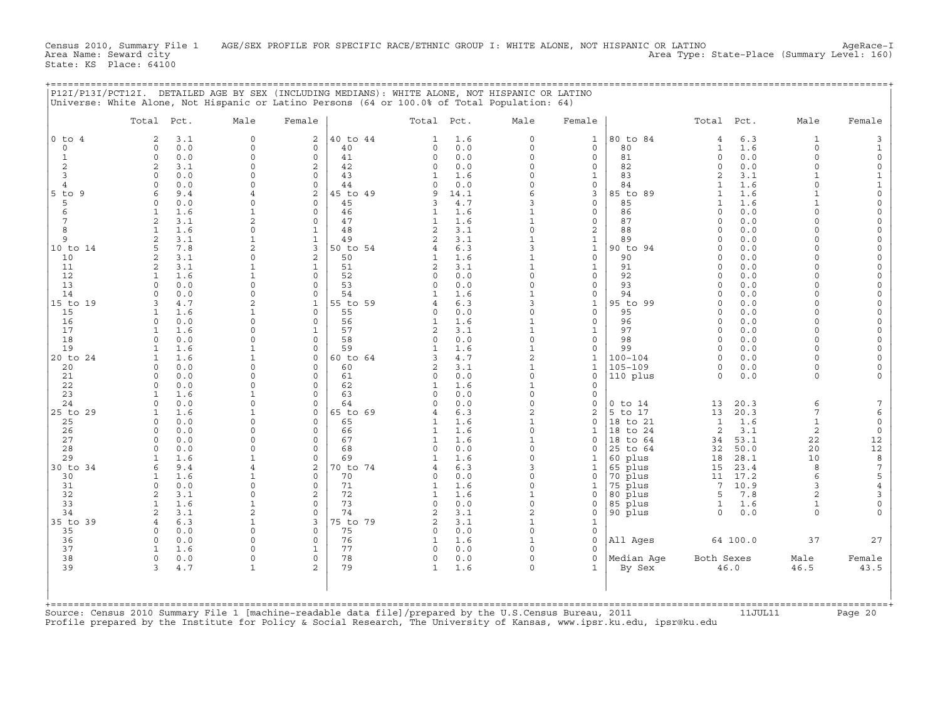Census 2010, Summary File 1 AGE/SEX PROFILE FOR SPECIFIC RACE/ETHNIC GROUP I: WHITE ALONE, NOT HISPANIC OR LATINO AgeRace−I<br>Area Name: Seward city Area Type: State-Place (Summary Level: 160) State: KS Place: 64100

## +===================================================================================================================================================+

|                     | Total Pct.                                                                                              | Male                       | Female                     |                | Total Pct.                     |            | Male                     | Female                       |                    | Total Pct.          |              | Male                     | Female                      |
|---------------------|---------------------------------------------------------------------------------------------------------|----------------------------|----------------------------|----------------|--------------------------------|------------|--------------------------|------------------------------|--------------------|---------------------|--------------|--------------------------|-----------------------------|
| $0$ to $4$          | 3.1<br>2                                                                                                | $\Omega$                   | $\overline{a}$             | 40 to 44       | $\mathbf{1}$                   | 1.6        | $\Omega$                 | $\mathbf{1}$                 | 80 to 84           | $\overline{4}$      | 6.3          | $\mathbf{1}$             | 3                           |
| $\circ$             | 0.0<br>$\Omega$                                                                                         | $\Omega$                   | $\Omega$                   | 40             | $\Omega$                       | 0.0        | $\Omega$                 | $\circ$                      | 80                 | $\mathbf{1}$        | 1.6          | $\circ$                  | $\mathbf{1}$                |
| $1\,$               | 0.0<br>$\Omega$                                                                                         | $\Omega$                   | $\Omega$                   | 41             | $\Omega$                       | 0.0        | $\Omega$                 | $\circ$                      | 81                 | $\Omega$            | 0.0          | $\circ$                  | $\mathbf 0$                 |
| 2                   | 2<br>3.1                                                                                                | $\Omega$                   | $\mathfrak{D}$             | 42             | 0                              | 0.0        | $\Omega$                 | 0                            | 82                 | $\Omega$            | 0.0          | $\mathbf 0$              | $\mathbb O$                 |
| 3<br>$\overline{4}$ | 0.0<br>$\cap$<br>0.0<br>$\Omega$                                                                        | $\Omega$<br>$\Omega$       | $\Omega$<br>$\Omega$       | 43<br>44       | $\mathbf{1}$<br>0              | 1.6<br>0.0 | $\Omega$<br>$\Omega$     | $\mathbf{1}$<br>$\circ$      | 83<br>84           | $\overline{2}$<br>1 | 3.1<br>1.6   | $\mathbf{1}$<br>$\Omega$ | $\mathbf 1$<br>$\mathbf{1}$ |
| $5$ to $9$          | 6<br>9.4                                                                                                | 4                          | $\overline{2}$             | 45 to 49       | 9                              | 14.1       | 6                        | $\overline{3}$               | 85 to 89           | $\mathbf{1}$        | 1.6          | $\mathbf{1}$             | $\mathbf 0$                 |
| 5                   | $\Omega$<br>0.0                                                                                         | $\Omega$                   | $\Omega$                   | 45             | 3                              | 4.7        | 3                        | $\circ$                      | 85                 | 1                   | 1.6          | $\mathbf{1}$             | $\circ$                     |
| 6                   | 1.6<br>1                                                                                                | $\mathbf{1}$               | $\Omega$                   | 46             | $\mathbf{1}$                   | 1.6        | $\mathbf{1}$             | $\mathbf 0$                  | 86                 | $\cap$              | 0.0          | $\Omega$                 | $\circ$                     |
| $\overline{7}$      | 3.1<br>2                                                                                                | $\overline{2}$             | $\Omega$                   | 47             | $\mathbf{1}$                   | 1.6        | $\mathbf{1}$             | $\circ$                      | 87                 |                     | 0.0          | $\Omega$                 | $\circ$                     |
| 8                   | 1.6<br>1                                                                                                | $\Omega$                   | 1                          | 48             | 2                              | 3.1        | $\Omega$                 | $\overline{c}$               | 88                 |                     | 0.0          | $\Omega$                 | $\circ$                     |
| 9                   | 3.1<br>2                                                                                                | $\mathbf{1}$               | $\mathbf{1}$               | 49             | 2                              | 3.1        | $\mathbf{1}$             | $\mathbf{1}$                 | 89                 | $\Omega$            | 0.0          | $\Omega$                 | $\circ$                     |
| 10 to 14<br>10      | 7.8<br>5<br>$\overline{a}$<br>3.1                                                                       | $\overline{2}$<br>$\Omega$ | 3<br>$\overline{2}$        | 50 to 54<br>50 | $\overline{4}$<br>$\mathbf{1}$ | 6.3<br>1.6 | 3<br>$\mathbf{1}$        | $\mathbf 1$<br>$\circ$       | 90 to 94<br>90     | $\cap$              | 0.0<br>0.0   | $\Omega$<br>$\Omega$     | $\circ$<br>$\circ$          |
| 11                  | 3.1<br>$\overline{2}$                                                                                   | $\mathbf{1}$               | $\mathbf{1}$               | 51             | 2                              | 3.1        | $\mathbf{1}$             | $\mathbf{1}$                 | 91                 | $\cap$              | 0.0          | $\Omega$                 | $\circ$                     |
| 12                  | 1.6<br>$\mathbf{1}$                                                                                     | $\mathbf{1}$               | $\Omega$                   | 52             | $\Omega$                       | 0.0        | $\Omega$                 | $\mathbf 0$                  | 92                 | $\Omega$            | 0.0          | $\Omega$                 | $\circ$                     |
| 13                  | 0.0<br>$\cap$                                                                                           | $\Omega$                   | $\cap$                     | 53             | $\Omega$                       | 0.0        | $\Omega$                 | $\circ$                      | 93                 |                     | 0.0          | $\Omega$                 | $\mathbf 0$                 |
| 14                  | $\Omega$<br>0.0                                                                                         | $\Omega$                   | $\Omega$                   | 54             | $\mathbf{1}$                   | 1.6        | $\mathbf{1}$             | $\Omega$                     | 94                 | $\cap$              | 0.0          | $\Omega$                 | $\mathbf 0$                 |
| 15 to 19            | 4.7<br>3                                                                                                | $\overline{2}$             | $\mathbf{1}$               | 55 to 59       | 4                              | 6.3        | 3                        | $\mathbf{1}$                 | 95 to 99           | $\cap$              | 0.0          | $\Omega$                 | $\circ$                     |
| 15                  | 1.6<br>-1                                                                                               | $\mathbf{1}$<br>$\Omega$   | $\Omega$<br>$\Omega$       | 55             | 0                              | 0.0        | $\Omega$<br>$\mathbf{1}$ | $\mathbf 0$<br>$\circ$       | 95                 | $\cap$<br>$\cap$    | 0.0<br>0.0   | $\Omega$<br>$\Omega$     | $\circ$                     |
| 16<br>17            | 0.0<br>$\Omega$<br>1.6                                                                                  | $\Omega$                   | $\mathbf{1}$               | 56<br>57       | $\mathbf{1}$<br>2              | 1.6<br>3.1 | $\mathbf{1}$             | $\mathbf{1}$                 | 96<br>97           | $\Omega$            | 0.0          | $\Omega$                 | $\circ$<br>$\circ$          |
| 18                  | $\Omega$<br>0.0                                                                                         | $\Omega$                   | $\Omega$                   | 58             | $\circ$                        | 0.0        | $\mathbf 0$              | $\mathbf 0$                  | 98                 | $\Omega$            | 0.0          | $\Omega$                 | $\circ$                     |
| 19                  | 1.6                                                                                                     | 1                          | $\cap$                     | 59             |                                | 1.6        | $\mathbf{1}$             | $\mathbf 0$                  | 99                 | $\Omega$            | 0.0          | $\Omega$                 | $\mathbf 0$                 |
| 20 to 24            | 1.6<br>$\mathbf 1$                                                                                      | $\mathbf{1}$               | $\circ$                    | 60 to 64       | 3                              | 4.7        | $\overline{a}$           | $\mathbf{1}$                 | $100 - 104$        | $\Omega$            | 0.0          | $\Omega$                 | $\circ$                     |
| 20                  | 0.0<br>$\Omega$                                                                                         | $\Omega$                   | $\Omega$                   | 60             | 2                              | 3.1        | $\mathbf{1}$             | $\mathbf{1}$                 | $105 - 109$        | $\Omega$            | 0.0          | $\Omega$                 | $\circ$                     |
| 21                  | $\Omega$<br>0.0                                                                                         | $\Omega$                   | $\Omega$                   | 61             | $\circ$                        | 0.0        | $\Omega$                 | $\mathbf 0$                  | 110 plus           | $\Omega$            | 0.0          | $\mathbf 0$              | $\Omega$                    |
| 22                  | 0.0<br>$\Omega$<br>$\mathbf{1}$                                                                         | $\Omega$<br>1              | $\Omega$<br>$\Omega$       | 62<br>63       | $\mathbf{1}$<br>$\Omega$       | 1.6<br>0.0 | $\mathbf{1}$<br>$\Omega$ | 0<br>$\mathbf 0$             |                    |                     |              |                          |                             |
| 23<br>24            | 1.6<br>0.0<br>$\Omega$                                                                                  | $\Omega$                   | $\Omega$                   | 64             | $\Omega$                       | 0.0        | $\Omega$                 | $\circ$                      | $0$ to $14$        | 13                  | 20.3         | 6                        | 7                           |
| 25 to 29            | 1.6<br>$\mathbf{1}$                                                                                     | $\mathbf{1}$               | $\Omega$                   | 65 to 69       | $\overline{4}$                 | 6.3        | $\overline{a}$           | $\overline{a}$               | 5 to 17            | 13                  | 20.3         | 7                        | 6                           |
| 25                  | 0.0<br>$\Omega$                                                                                         | $\Omega$                   | $\Omega$                   | 65             | $\mathbf{1}$                   | 1.6        | $\mathbf{1}$             | $\Omega$                     | 18 to 21           | $\mathbf{1}$        | 1.6          | $\mathbf{1}$             | $\circ$                     |
| 26                  | 0.0<br>$\Omega$                                                                                         | $\Omega$                   | $\Omega$                   | 66             | 1                              | 1.6        | $\mathbf 0$              | $\mathbf{1}$                 | 18 to 24           | 2                   | 3.1          | 2                        | $\circ$                     |
| 27                  | $\Omega$<br>0.0                                                                                         | $\Omega$                   | $\Omega$                   | 67             | $\mathbf{1}$                   | 1.6        | $\mathbf{1}$             | $\mathbf 0$                  | 18 to 64           | 34                  | 53.1         | 22                       | 12                          |
| 28                  | 0.0<br>$\Omega$                                                                                         | $\Omega$                   | $\Omega$                   | 68             | $\circ$                        | 0.0        | $\Omega$                 | 0                            | 25 to 64           | 32                  | 50.0         | 20                       | $12\,$                      |
| 29<br>30 to 34      | 1.6<br>9.4<br>6                                                                                         | 4                          | $\Omega$<br>$\overline{2}$ | 69<br>70 to 74 | $\mathbf{1}$<br>4              | 1.6<br>6.3 | $\Omega$<br>$\mathbf{z}$ | $\mathbf{1}$<br>$\mathbf{1}$ | 60 plus<br>65 plus | 18<br>15            | 28.1<br>23.4 | 10<br>8                  | $\,8\,$<br>$\sqrt{ }$       |
| 30                  | 1.6<br>1                                                                                                | $\mathbf{1}$               | $\Omega$                   | 70             | $\Omega$                       | 0.0        | $\Omega$                 | 0                            | 70 plus            | 11                  | 17.2         | 6                        | 5                           |
| 31                  | 0.0<br>$\Omega$                                                                                         | $\Omega$                   | $\Omega$                   | 71             | $\mathbf{1}$                   | 1.6        | $\Omega$                 | $\mathbf{1}$                 | 75 plus            | 7                   | 10.9         | $\mathbf{3}$             | $\overline{4}$              |
| 32                  | 2<br>3.1                                                                                                | $\Omega$                   | $\overline{2}$             | 72             | $\mathbf{1}$                   | 1.6        | $\mathbf{1}$             | $\circ$                      | 80 plus            | 5                   | 7.8          | $\overline{a}$           | $\mathbf{3}$                |
| 33                  | 1.6<br>1                                                                                                | $\mathbf{1}$               | $\Omega$                   | 73             | $\circ$                        | 0.0        | $\Omega$                 | 0                            | 85 plus            | $\mathbf{1}$        | 1.6          | 1                        | $\circ$                     |
| 34                  | 2<br>3.1                                                                                                | $\overline{2}$             | $\Omega$                   | 74             | 2                              | 3.1        | $\overline{a}$           | $\mathbf 0$                  | 90 plus            | $\Omega$            | 0.0          | $\Omega$                 |                             |
| 35 to 39<br>35      | 6.3<br>$\overline{4}$<br>$\Omega$<br>0.0                                                                | $\mathbf{1}$<br>$\Omega$   | 3<br>$\Omega$              | 75 to 79<br>75 | $\overline{c}$<br>$\circ$      | 3.1<br>0.0 | $\mathbf{1}$<br>$\Omega$ | $\mathbf{1}$<br>$\mathbf 0$  |                    |                     |              |                          |                             |
| 36                  | $\Omega$<br>0.0                                                                                         | $\Omega$                   | $\Omega$                   | 76             | $\mathbf{1}$                   | 1.6        | $\mathbf{1}$             | $\mathbf 0$                  | All Ages           |                     | 64 100.0     | 37                       | 27                          |
| 37                  | 1.6                                                                                                     | $\Omega$                   | 1                          | 77             | $\Omega$                       | 0.0        | $\cap$                   | $\Omega$                     |                    |                     |              |                          |                             |
| 38                  | 0.0<br>$\mathbf 0$                                                                                      | $\Omega$                   | $\circ$                    | 78             | $\circ$                        | 0.0        | $\Omega$                 | $\circ$                      | Median Age         | Both Sexes          |              | Male                     | Female                      |
| 39                  | 3<br>4.7                                                                                                | $\mathbf{1}$               | $\overline{2}$             | 79             | $\mathbf{1}$                   | 1.6        | $\Omega$                 | $\mathbf{1}$                 | By Sex             |                     | 46.0         | 46.5                     | 43.5                        |
|                     |                                                                                                         |                            |                            |                |                                |            |                          |                              |                    |                     |              |                          |                             |
|                     | Source: Census 2010 Summary File 1 [machine-readable data file]/prepared by the U.S.Census Bureau, 2011 |                            |                            |                |                                |            |                          |                              |                    |                     |              |                          | ==========+<br>Page 20      |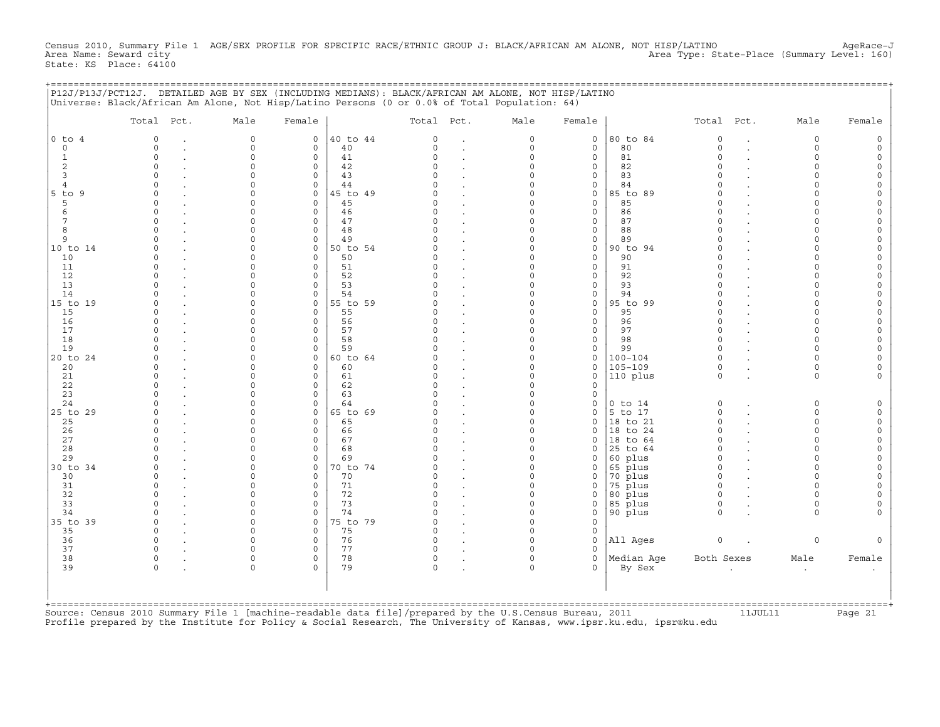Census 2010, Summary File 1 AGE/SEX PROFILE FOR SPECIFIC RACE/ETHNIC GROUP J: BLACK/AFRICAN AM ALONE, NOT HISP/LATINO AgeRace-J<br>Area Name: Seward city Area Type: State-Place (Summary Level: 160) State: KS Place: 64100

+===================================================================================================================================================+

|                                     | P12J/P13J/PCT12J. DETAILED AGE BY SEX (INCLUDING MEDIANS): BLACK/AFRICAN AM ALONE, NOT HISP/LATINO<br>Universe: Black/African Am Alone, Not Hisp/Latino Persons (0 or 0.0% of Total Population: 64) |                                  |                                   |                      |                                  |                                                           |                                           |                                           |                                 |                                  |                                   |                                 |                                                   |
|-------------------------------------|-----------------------------------------------------------------------------------------------------------------------------------------------------------------------------------------------------|----------------------------------|-----------------------------------|----------------------|----------------------------------|-----------------------------------------------------------|-------------------------------------------|-------------------------------------------|---------------------------------|----------------------------------|-----------------------------------|---------------------------------|---------------------------------------------------|
|                                     | Total Pct.                                                                                                                                                                                          | Male                             | Female                            |                      | Total Pct.                       |                                                           | Male                                      | Female                                    |                                 | Total                            | Pct.                              | Male                            | Female                                            |
| $0$ to $4$<br>$\circ$               | $\circ$<br>$\bullet$<br>$\circ$                                                                                                                                                                     | 0<br>0                           | $\circ$<br>$\circ$                | 40 to 44<br>40       | $\mathbf 0$<br>$\circ$           | $\ddot{\phantom{a}}$                                      | 0<br>$\mathsf{O}\xspace$                  | 0<br>$\mathsf O$                          | 80 to 84<br>80                  | $\circ$<br>$\circ$               | $\bullet$<br>$\ddot{\phantom{a}}$ | 0<br>$\mathsf{O}\xspace$        | 0<br>$\mathsf O$                                  |
| $\mathbf{1}$<br>$\overline{c}$<br>3 | $\mathbf 0$<br>$\mathbf 0$<br>$\circ$                                                                                                                                                               | $\circ$<br>0<br>$\Omega$         | $\mathbf 0$<br>$\circ$<br>$\circ$ | 41<br>42<br>43       | $\Omega$<br>$\Omega$<br>$\Omega$ | $\cdot$                                                   | $\mathbf 0$<br>0<br>0                     | $\circ$<br>0<br>0                         | 81<br>82<br>83                  | $\Omega$<br>$\Omega$<br>$\Omega$ |                                   | $\Omega$<br>0<br>$\mathbf 0$    | 0<br>$\mathsf O$<br>0                             |
| 4<br>$5$ to<br>9                    | $\mathbf 0$<br>$\Omega$                                                                                                                                                                             | $\circ$<br>$\circ$               | $\circ$<br>$\circ$                | 44<br>45 to 49       | O<br>$\Omega$                    | $\ddot{\phantom{0}}$                                      | $\mathbf 0$<br>$\mathbf 0$                | 0<br>0                                    | 84<br>85 to 89                  | $\Omega$<br>$\Omega$             |                                   | $\mathbf 0$<br>$\Omega$         | 0<br>0                                            |
| 5<br>6<br>$7\phantom{.0}$           | $\Omega$<br>$\Omega$<br>$\circ$                                                                                                                                                                     | 0<br>$\Omega$<br>$\Omega$        | $\mathbf 0$<br>$\circ$<br>$\circ$ | 45<br>46<br>47       | O<br>$\Omega$<br>$\Omega$        | $\ddot{\phantom{a}}$                                      | $\circ$<br>$\Omega$<br>0                  | 0<br>$\circ$<br>$\mathsf O$               | 85<br>86<br>87                  | $\Omega$<br>$\Omega$<br>$\Omega$ |                                   | 0<br>$\Omega$<br>0              | 0<br>0<br>$\mathsf O$                             |
| 8<br>9                              | $\circ$<br>$\Omega$                                                                                                                                                                                 | $\Omega$<br>$\Omega$             | $\circ$<br>$\mathbf 0$            | 48<br>49             | $\Omega$<br>O                    | $\cdot$<br>$\ddot{\phantom{a}}$                           | $\mathsf{O}\xspace$<br>$\circ$            | $\mathsf O$<br>0                          | 88<br>89                        | $\Omega$<br>$\Omega$             |                                   | $\Omega$<br>$\Omega$            | $\mathsf O$<br>0                                  |
| 10 to 14<br>10<br>11                | $\Omega$<br>$\mathbf 0$<br>$\circ$                                                                                                                                                                  | $\Omega$<br>0<br>$\circ$         | $\circ$<br>$\circ$<br>$\circ$     | 50 to 54<br>50<br>51 | $\Omega$<br>$\Omega$<br>$\Omega$ | $\blacksquare$<br>$\cdot$                                 | $\circ$<br>0<br>0                         | $\mathsf O$<br>$\mathsf O$<br>$\mathsf O$ | 90 to 94<br>90<br>91            | $\Omega$<br>$\Omega$<br>$\circ$  |                                   | $\Omega$<br>0<br>$\circ$        | $\mathsf O$<br>$\mathsf O$<br>$\mathsf O$         |
| 12<br>13                            | $\Omega$<br>$\Omega$                                                                                                                                                                                | $\Omega$<br>0                    | $\circ$<br>$\mathbf 0$            | 52<br>53             | $\Omega$<br>$\Omega$             | $\ddot{\phantom{a}}$                                      | $\Omega$<br>$\circ$                       | 0<br>0                                    | 92<br>93                        | $\Omega$<br>$\Omega$             |                                   | $\Omega$<br>0                   | $\mathsf{O}\xspace$<br>0                          |
| 14<br>15 to 19<br>15                | $\Omega$<br>$\mathbf 0$<br>$\mathbf 0$                                                                                                                                                              | $\Omega$<br>$\Omega$<br>$\circ$  | $\circ$<br>$\circ$<br>$\circ$     | 54<br>55 to 59<br>55 | O<br>$\Omega$<br>$\Omega$        | $\overline{a}$<br>$\ddot{\phantom{a}}$                    | $\circ$<br>0<br>0                         | $\mathbf 0$<br>$\mathsf O$<br>$\mathsf O$ | 94<br>95 to 99<br>95            | $\Omega$<br>$\Omega$<br>$\Omega$ |                                   | $\Omega$<br>$\Omega$<br>$\circ$ | 0<br>$\mathbb O$<br>$\mathsf O$                   |
| 16<br>17<br>18                      | $\mathbf 0$<br>$\Omega$<br>$\Omega$                                                                                                                                                                 | 0<br>$\Omega$<br>0               | 0<br>$\circ$<br>0                 | 56<br>57<br>58       | $\Omega$<br>$\Omega$<br>$\Omega$ |                                                           | $\circ$<br>$\Omega$<br>0                  | 0<br>$\mathsf O$<br>0                     | 96<br>97<br>98                  | $\circ$<br>$\Omega$<br>$\circ$   |                                   | 0<br>$\Omega$<br>0              | 0<br>$\circ$<br>$\mathsf O$                       |
| 19<br>20 to 24                      | $\mathbf 0$<br>$\Omega$                                                                                                                                                                             | $\Omega$<br>$\Omega$             | $\circ$<br>$\circ$                | 59<br>60 to 64       | 0<br>O                           | $\ddot{\phantom{a}}$<br>$\blacksquare$                    | 0<br>$\Omega$                             | 0<br>0                                    | 99<br>$100 - 104$               | $\circ$<br>$\Omega$              |                                   | $\circ$<br>$\Omega$             | $\mathsf O$<br>0                                  |
| 20<br>21<br>22                      | $\Omega$<br>$\mathbf 0$<br>$\Omega$                                                                                                                                                                 | 0<br>$\Omega$<br>$\Omega$        | $\circ$<br>$\circ$<br>$\circ$     | 60<br>61<br>62       | $\Omega$<br>$\Omega$<br>$\Omega$ | $\ddot{\phantom{0}}$<br>$\cdot$                           | 0<br>$\circ$<br>0                         | 0<br>0<br>$\mathsf O$                     | 105-109<br>110 plus             | $\circ$<br>$\circ$               | $\ddot{\phantom{a}}$              | 0<br>$\circ$                    | 0<br>0                                            |
| 23<br>24                            | $\mathbf 0$<br>$\Omega$                                                                                                                                                                             | $\Omega$<br>$\Omega$             | $\circ$<br>$\mathbf 0$            | 63<br>64             | $\Omega$<br>O                    | $\ddot{\phantom{a}}$                                      | $\circ$<br>$\circ$                        | $\mathsf O$<br>0                          | $0$ to $14$                     | $\circ$                          | $\bullet$                         | 0                               | 0                                                 |
| 25 to 29<br>25<br>26                | $\Omega$<br>$\Omega$<br>$\mathbf 0$                                                                                                                                                                 | $\Omega$<br>$\Omega$<br>$\circ$  | $\circ$<br>$\circ$<br>$\circ$     | 65 to 69<br>65<br>66 | $\Omega$<br>$\Omega$<br>$\Omega$ | $\ddot{\phantom{a}}$<br>$\blacksquare$                    | $\circ$<br>$\circ$<br>0                   | $\mathbf 0$<br>$\mathbf 0$<br>0           | 5 to 17<br>18 to 21<br>18 to 24 | $\circ$<br>$\Omega$<br>$\Omega$  | $\sim$                            | $\circ$<br>0<br>0               | $\mathsf O$<br>$\mathsf O$<br>$\mathsf{O}\xspace$ |
| 27<br>28<br>29                      | $\Omega$<br>$\mathbf 0$<br>$\Omega$                                                                                                                                                                 | $\Omega$<br>$\Omega$<br>$\Omega$ | $\circ$<br>$\mathbf 0$<br>$\circ$ | 67<br>68<br>69       | $\Omega$<br>$\Omega$<br>O        | $\blacksquare$<br>$\ddot{\phantom{0}}$                    | $\mathbf 0$<br>$\mathbf 0$<br>$\mathbf 0$ | $\circ$<br>0<br>$\mathbf 0$               | 18<br>to 64<br>25 to 64         | $\Omega$<br>$\circ$<br>$\Omega$  |                                   | $\mathbf 0$<br>0<br>$\Omega$    | $\mathsf O$<br>0<br>$\mathsf O$                   |
| 30 to 34<br>30                      | $\mathbf 0$<br>$\mathbf 0$                                                                                                                                                                          | $\Omega$<br>$\Omega$             | $\circ$<br>$\circ$                | 0 to 74<br>70        | $\Omega$<br>$\Omega$             | $\cdot$<br>$\bullet$<br>$\blacksquare$                    | 0<br>$\mathbf 0$                          | 0<br>0                                    | 60 plus<br>65 plus<br>70 plus   | $\mathbf 0$<br>$\circ$           |                                   | $\Omega$<br>$\Omega$            | 0<br>$\mathsf O$                                  |
| 31<br>32<br>33                      | $\Omega$<br>$\Omega$<br>$\Omega$                                                                                                                                                                    | 0<br>$\Omega$<br>$\Omega$        | 0<br>$\circ$<br>$\circ$           | 71<br>72<br>73       | 0<br>$\cap$<br>$\Omega$          | $\blacksquare$<br>$\cdot$<br>$\bullet$                    | 0<br>$\mathbf 0$<br>$\mathbf 0$           | 0<br>0<br>$\mathsf O$                     | 75 plus<br>80 plus<br>85 plus   | $\Omega$<br>$\Omega$<br>$\circ$  |                                   | 0<br>$\Omega$<br>$\mathbf 0$    | $\mathsf O$<br>0<br>0                             |
| 34<br>35 to 39                      | $\Omega$<br>$\mathbf 0$                                                                                                                                                                             | $\circ$<br>$\circ$               | $\mathbf 0$<br>$\circ$            | 74<br>5 to 79        | $\Omega$<br>$\Omega$             | $\blacksquare$<br>$\blacksquare$                          | $\mathsf{O}\xspace$<br>$\mathbf 0$        | $\mathsf O$<br>$\mathsf O$                | 90 plus                         | $\circ$                          |                                   | $\mathbf 0$                     | 0                                                 |
| 35<br>36<br>37                      | $\mathbf 0$<br>$\Omega$<br>$\circ$                                                                                                                                                                  | 0<br>$\circ$<br>$\circ$          | $\mathbf 0$<br>0<br>$\circ$       | 75<br>76<br>77       | $\circ$<br>$\Omega$<br>0         | $\ddot{\phantom{a}}$<br>$\ddot{\phantom{a}}$<br>$\bullet$ | $\mathbf 0$<br>$\mathbf 0$<br>0           | 0<br>$\mathsf O$<br>$\circ$               | All Ages                        | $\circ$                          |                                   | 0                               | $\circ$                                           |
| 38<br>39                            | $\mathsf{O}$<br>$\mathsf O$                                                                                                                                                                         | 0<br>$\circ$                     | $\circ$<br>0                      | 78<br>79             | $\circ$<br>$\mathsf{O}\xspace$   | $\bullet$<br>$\ddot{\phantom{a}}$                         | $\mathsf{O}\xspace$<br>$\mathbf 0$        | $\mathsf O$<br>0                          | Median Age<br>By Sex            | Both Sexes                       |                                   | Male<br>$\bullet$               | Female                                            |
|                                     |                                                                                                                                                                                                     |                                  |                                   |                      |                                  |                                                           |                                           |                                           |                                 |                                  |                                   |                                 |                                                   |

+===================================================================================================================================================+ Source: Census 2010 Summary File 1 [machine-readable data file]/prepared by the U.S.Census Bureau, 2011 11JUL11 11JUL11 Page 21 Profile prepared by the Institute for Policy & Social Research, The University of Kansas, www.ipsr.ku.edu, ipsr@ku.edu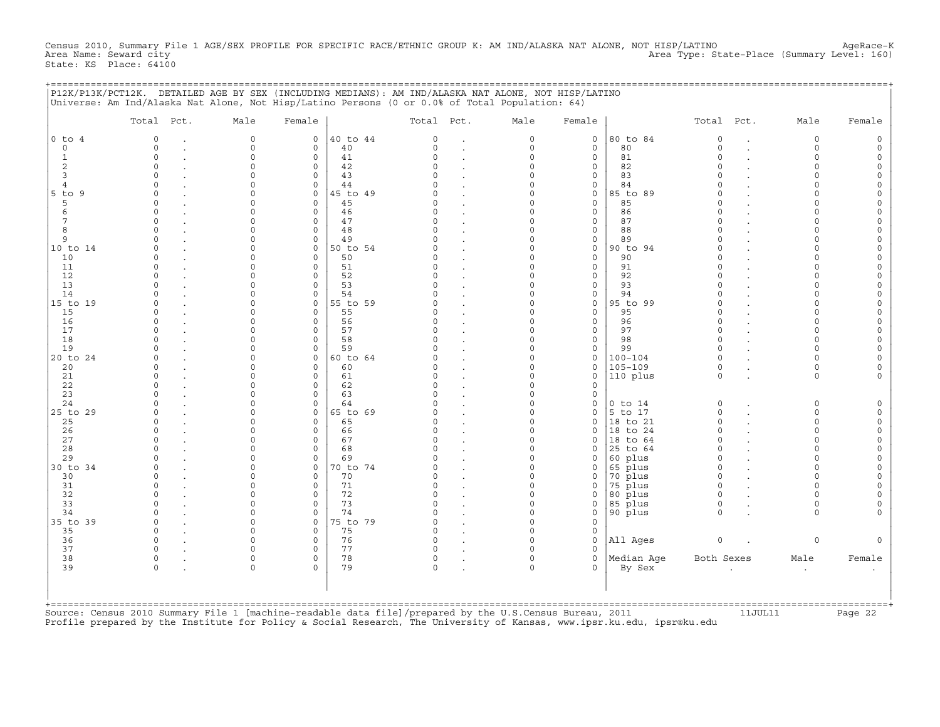Census 2010, Summary File 1 AGE/SEX PROFILE FOR SPECIFIC RACE/ETHNIC GROUP K: AM IND/ALASKA NAT ALONE, NOT HISP/LATINO AgeRace-K<br>Area Name: Seward city Area Type: State-Place (Summary Level: 160) State: KS Place: 64100

+===================================================================================================================================================+

|                                                                                | P12K/P13K/PCT12K. DETAILED AGE BY SEX (INCLUDING MEDIANS): AM IND/ALASKA NAT ALONE, NOT HISP/LATINO<br>Universe: Am Ind/Alaska Nat Alone, Not Hisp/Latino Persons (0 or 0.0% of Total Population: 64) |                                                                     |                                                                               |                                                    |                                                                            |                                                                                                         |                                                                                                      |                                                                    |                                                                          |                                                                                |                      |                                                                   |                                                                                                      |
|--------------------------------------------------------------------------------|-------------------------------------------------------------------------------------------------------------------------------------------------------------------------------------------------------|---------------------------------------------------------------------|-------------------------------------------------------------------------------|----------------------------------------------------|----------------------------------------------------------------------------|---------------------------------------------------------------------------------------------------------|------------------------------------------------------------------------------------------------------|--------------------------------------------------------------------|--------------------------------------------------------------------------|--------------------------------------------------------------------------------|----------------------|-------------------------------------------------------------------|------------------------------------------------------------------------------------------------------|
|                                                                                | Total Pct.                                                                                                                                                                                            | Male                                                                | Female                                                                        |                                                    | Total Pct.                                                                 |                                                                                                         | Male                                                                                                 | Female                                                             |                                                                          | Total                                                                          | Pct.                 | Male                                                              | Female                                                                                               |
| $0$ to $4$<br>$\circ$<br>$\mathbf 1$<br>$\overline{c}$<br>3<br>4<br>$5$ to $9$ | $\circ$<br>$\bullet$<br>$\circ$<br>$\ddot{\phantom{0}}$<br>$\circ$<br>$\circ$<br>$\mathbf 0$<br>$\Omega$<br>$\Omega$                                                                                  | $\circ$<br>0<br>0<br>$\circ$<br>0<br>0<br>$\Omega$                  | $\circ$<br>$\circ$<br>$\circ$<br>$\circ$<br>$\circ$<br>$\mathbf 0$<br>$\circ$ | 40 to 44<br>40<br>41<br>42<br>43<br>44<br>45 to 49 | $\Omega$<br>$\circ$<br>$\Omega$<br>$\Omega$<br>$\Omega$<br>O<br>$\Omega$   | $\ddot{\phantom{a}}$<br>$\cdot$<br>$\cdot$<br>$\ddot{\phantom{a}}$<br>$\cdot$                           | $\mathbf 0$<br>$\mathsf{O}\xspace$<br>$\mathsf{O}\xspace$<br>0<br>$\mathbf 0$<br>0<br>$\mathbf 0$    | 0<br>$\mathsf O$<br>0<br>0<br>0<br>0<br>$\circ$                    | 80 to 84<br>80<br>81<br>82<br>83<br>84<br>85 to 89                       | $\circ$<br>$\circ$<br>$\Omega$<br>$\Omega$<br>$\Omega$<br>$\Omega$<br>$\Omega$ | $\bullet$<br>$\cdot$ | 0<br>0<br>$\mathbf 0$<br>$\mathbf 0$<br>0<br>$\Omega$<br>$\Omega$ | 0<br>$\mathsf{O}\xspace$<br>$\mathsf{O}\xspace$<br>0<br>0<br>$\mathsf O$<br>$\mathsf{O}\xspace$      |
| 5<br>6<br>7<br>8<br>9<br>10 to 14                                              | $\circ$<br>$\circ$<br>$\Omega$<br>$\mathbf 0$<br>$\Omega$<br>$\Omega$                                                                                                                                 | $\Omega$<br>$\circ$<br>$\Omega$<br>$\Omega$<br>0<br>$\Omega$        | $\circ$<br>$\circ$<br>$\circ$<br>$\circ$<br>0<br>$\circ$                      | 45<br>46<br>47<br>48<br>49<br>50 to 54             | $\Omega$<br>$\Omega$<br>$\Omega$<br>$\Omega$<br>O<br>O                     | $\cdot$<br>$\cdot$<br>$\bullet$<br>$\cdot$                                                              | 0<br>$\mathsf{O}\xspace$<br>$\Omega$<br>$\mathbf 0$<br>0<br>$\mathbf 0$                              | $\mathsf O$<br>0<br>0<br>$\mathsf O$<br>0<br>$\mathsf O$           | 85<br>86<br>87<br>88<br>89<br>90 to 94                                   | $\Omega$<br>$\Omega$<br>$\Omega$<br>$\circ$<br>$\Omega$<br>$\Omega$            |                      | 0<br>$\Omega$<br>$\Omega$<br>$\Omega$<br>0<br>0                   | 0<br>$\mathsf{O}\xspace$<br>0<br>0<br>$\mathsf O$<br>$\mathsf O$                                     |
| 10<br>11<br>12<br>13<br>14<br>15 to 19                                         | $\mathbf 0$<br>$\circ$<br>$\Omega$<br>$\mathbf 0$<br>$\Omega$<br>$\Omega$                                                                                                                             | $\Omega$<br>$\circ$<br>$\circ$<br>0<br>0<br>$\Omega$                | $\circ$<br>0<br>$\circ$<br>$\mathbf 0$<br>0<br>$\circ$                        | 50<br>51<br>52<br>53<br>54<br>55 to 59             | $\Omega$<br>$\Omega$<br>O<br>$\Omega$<br>U<br>O                            | $\cdot$<br>$\cdot$<br>$\ddot{\phantom{a}}$<br>$\cdot$                                                   | $\mathsf{O}\xspace$<br>$\mathsf{O}\xspace$<br>$\mathbf 0$<br>0<br>$\mathbf 0$<br>$\mathbf 0$         | $\circ$<br>$\mathsf O$<br>0<br>0<br>0<br>$\mathsf O$               | 90<br>91<br>92<br>93<br>94<br>95 to 99                                   | $\Omega$<br>$\Omega$<br>$\Omega$<br>$\circ$<br>$\Omega$<br>$\Omega$            |                      | $\Omega$<br>$\mathbf 0$<br>$\Omega$<br>0<br>$\Omega$<br>$\Omega$  | $\mathsf O$<br>$\mathsf O$<br>0<br>0<br>$\mathsf O$<br>$\mathsf O$                                   |
| 15<br>16<br>17<br>18<br>19<br>20 to 24                                         | $\circ$<br>$\circ$<br>$\Omega$<br>$\mathbf 0$<br>$\Omega$<br>$\Omega$                                                                                                                                 | $\Omega$<br>$\circ$<br>$\circ$<br>$\Omega$<br>0<br>$\Omega$         | $\circ$<br>0<br>$\circ$<br>$\mathbf 0$<br>$\circ$<br>$\circ$                  | 55<br>56<br>57<br>58<br>59<br>60 to 64             | $\Omega$<br>$\Omega$<br>$\Omega$<br>$\Omega$<br>U<br>O                     | $\cdot$<br>$\cdot$<br>$\ddot{\phantom{a}}$                                                              | 0<br>$\mathsf{O}\xspace$<br>$\mathbf 0$<br>$\mathbf 0$<br>0<br>$\Omega$                              | $\mathsf O$<br>$\mathsf O$<br>$\mathsf O$<br>0<br>0<br>$\mathbf 0$ | 95<br>96<br>97<br>98<br>99<br>$100 - 104$                                | $\circ$<br>$\circ$<br>$\Omega$<br>$\circ$<br>$\Omega$<br>$\Omega$              |                      | $\Omega$<br>$\Omega$<br>$\mathbf 0$<br>0<br>0<br>$\Omega$         | $\mathsf O$<br>$\mathsf{O}\xspace$<br>$\mathsf{O}\xspace$<br>0<br>$\mathsf O$<br>$\mathsf O$         |
| 20<br>21<br>22<br>23<br>24                                                     | $\circ$<br>$\circ$<br>$\Omega$<br>$\mathbf 0$<br>$\Omega$                                                                                                                                             | $\Omega$<br>$\circ$<br>$\Omega$<br>$\Omega$<br>0                    | $\circ$<br>0<br>$\circ$<br>$\mathbf 0$<br>$\mathsf O$                         | 60<br>61<br>62<br>63<br>64                         | $\Omega$<br>$\Omega$<br>$\Omega$<br>$\Omega$<br>O                          | $\cdot$<br>$\ddot{\phantom{a}}$<br>$\cdot$<br>$\bullet$<br>$\ddot{\phantom{a}}$<br>$\ddot{\phantom{a}}$ | $\mathsf{O}\xspace$<br>$\mathsf{O}\xspace$<br>$\Omega$<br>$\mathbf 0$<br>0                           | $\mathsf O$<br>$\mathsf O$<br>$\mathsf O$<br>0<br>0                | $105 - 109$<br>110 plus<br>$0$ to $14$                                   | $\circ$<br>$\circ$<br>$\circ$                                                  | $\bullet$            | 0<br>$\mathbf 0$<br>0                                             | 0<br>$\mathsf O$<br>0                                                                                |
| 25 to 29<br>25<br>26<br>27<br>28<br>29                                         | $\Omega$<br>$\circ$<br>$\circ$<br>$\Omega$<br>$\mathbf 0$<br>$\Omega$                                                                                                                                 | $\Omega$<br>$\Omega$<br>$\circ$<br>$\circ$<br>0<br>0                | $\circ$<br>$\circ$<br>0<br>$\mathbf 0$<br>$\circ$<br>0                        | 65 to 69<br>65<br>66<br>67<br>68<br>69             | U<br>$\Omega$<br>$\Omega$<br>$\Omega$<br>$\Omega$<br>O                     | $\cdot$<br>$\cdot$<br>$\ddot{\phantom{0}}$<br>$\cdot$<br>$\ddot{\phantom{a}}$<br>$\ddot{\phantom{a}}$   | $\mathbf 0$<br>$\mathsf{O}\xspace$<br>$\mathsf{O}\xspace$<br>$\mathbf 0$<br>0<br>$\mathsf{O}\xspace$ | $\circ$<br>$\mathsf O$<br>0<br>$\circ$<br>0<br>0                   | 5 to 17<br>18 to 21<br>to 24<br>18<br>to 64<br>18<br>25 to 64<br>60 plus | $\Omega$<br>$\circ$<br>$\circ$<br>$\Omega$<br>$\circ$<br>$\Omega$              |                      | $\mathbf 0$<br>0<br>$\mathbf 0$<br>$\mathbf 0$<br>0<br>$\Omega$   | $\mathsf{O}\xspace$<br>$\mathsf O$<br>$\mathsf{O}\xspace$<br>$\mathsf{O}\xspace$<br>0<br>$\mathsf O$ |
| 30 to 34<br>30<br>31<br>32<br>33<br>34                                         | $\Omega$<br>$\mathbf 0$<br>$\mathbf 0$<br>$\Omega$<br>$\circ$<br>$\Omega$                                                                                                                             | $\Omega$<br>$\Omega$<br>$\Omega$<br>$\Omega$<br>$\Omega$<br>$\circ$ | $\circ$<br>$\circ$<br>$\mathbf 0$<br>$\circ$<br>$\circ$<br>$\mathbf 0$        | 0 to 74<br>70<br>71<br>72<br>73<br>74              | O<br>$\Omega$<br>0<br>$\cap$<br>$\Omega$<br>$\Omega$                       | $\cdot$<br>$\bullet$<br>$\cdot$<br>$\blacksquare$<br>$\blacksquare$<br>$\blacksquare$                   | $\mathbf 0$<br>0<br>0<br>$\mathbf 0$<br>0<br>$\mathsf{O}\xspace$                                     | 0<br>0<br>0<br>$\circ$<br>0<br>$\mathsf O$                         | 65 plus<br>70 plus<br>75 plus<br>80 plus<br>85 plus<br>90 plus           | $\Omega$<br>$\circ$<br>$\mathbf 0$<br>$\Omega$<br>$\circ$<br>$\circ$           |                      | $\Omega$<br>$\mathbf 0$<br>$\Omega$<br>$\Omega$<br>0<br>$\circ$   | $\mathsf O$<br>$\mathsf O$<br>$\mathbb O$<br>$\mathsf O$<br>0<br>0                                   |
| 35 to 39<br>35<br>36<br>37<br>38<br>39                                         | $\Omega$<br>$\circ$<br>$\circ$<br>$\circ$<br>$\circ$<br>$\bullet$<br>$\mathsf O$                                                                                                                      | $\Omega$<br>0<br>$\circ$<br>$\circ$<br>0<br>$\circ$                 | $\circ$<br>$\circ$<br>0<br>$\circ$<br>$\circ$<br>$\Omega$                     | 75 to 79<br>75<br>76<br>77<br>78<br>79             | O<br>$\mathbf 0$<br>$\Omega$<br>$\Omega$<br>$\circ$<br>$\mathsf{O}\xspace$ | $\cdot$<br>$\ddot{\phantom{a}}$<br>$\blacksquare$<br>$\ddot{\phantom{a}}$<br>$\ddot{\phantom{a}}$       | $\circ$<br>0<br>0<br>$\circ$<br>0<br>$\circ$                                                         | $\circ$<br>$\mathsf O$<br>$\mathsf O$<br>0<br>0<br>0               | All Ages<br>Median Age<br>By Sex                                         | $\mathsf{O}$<br>Both Sexes                                                     |                      | $\mathsf{O}\xspace$<br>Male                                       | $\mathsf{O}\xspace$<br>Female                                                                        |
|                                                                                |                                                                                                                                                                                                       |                                                                     |                                                                               |                                                    |                                                                            | $\blacksquare$                                                                                          |                                                                                                      |                                                                    |                                                                          |                                                                                |                      | $\cdot$                                                           |                                                                                                      |

+===================================================================================================================================================+ Source: Census 2010 Summary File 1 [machine-readable data file]/prepared by the U.S.Census Bureau, 2011 11JUL11 Page 22 Profile prepared by the Institute for Policy & Social Research, The University of Kansas, www.ipsr.ku.edu, ipsr@ku.edu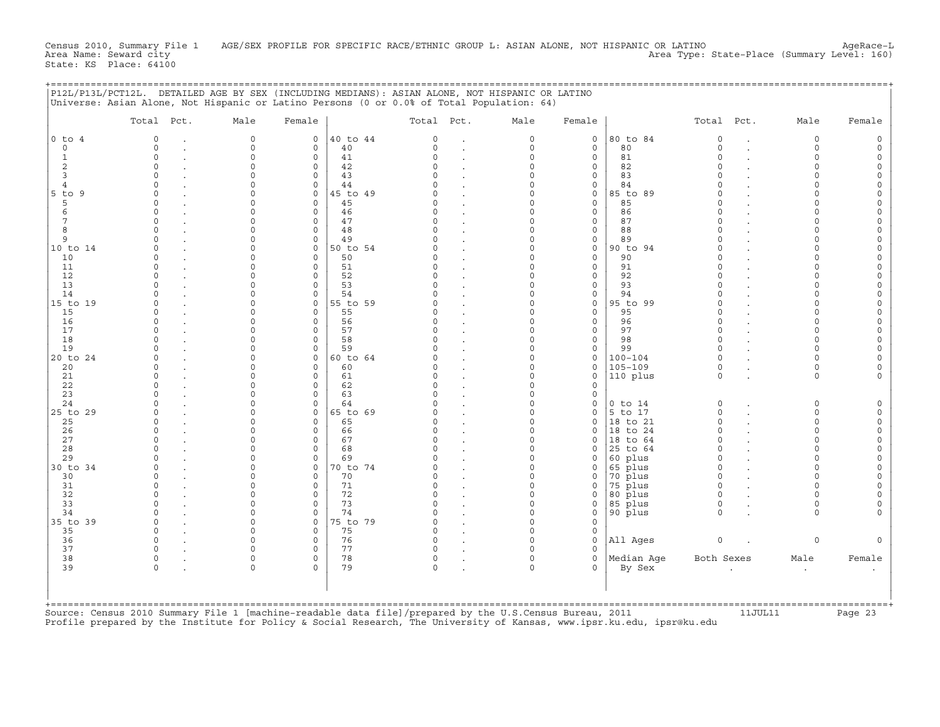Census 2010, Summary File 1 AGE/SEX PROFILE FOR SPECIFIC RACE/ETHNIC GROUP L: ASIAN ALONE, NOT HISPANIC OR LATINO AgeRace−L<br>Area Name: Seward city Area Type: State-Place (Summary Level: 160) State: KS Place: 64100

| State: KS Place: 64100 |  |  |
|------------------------|--|--|
|                        |  |  |
|                        |  |  |
|                        |  |  |

|                 | Total Pct.           | Male                 | Female                 |                | Total Pct.           |        | Male                    | Female                 |                    | Total Pct.           |                      | Male                 | Female               |
|-----------------|----------------------|----------------------|------------------------|----------------|----------------------|--------|-------------------------|------------------------|--------------------|----------------------|----------------------|----------------------|----------------------|
| $0$ to $4$      | $\Omega$             | $\circ$              | $\circ$                | 40 to 44       | $\Omega$             |        | $\mathbf 0$             | $\circ$                | 80 to 84           | $\mathsf{O}$         | $\ddot{\phantom{a}}$ | $\circ$              | $\Omega$             |
| $\circ$         | $\Omega$             | $\circ$              | $\circ$                | 40             | $\Omega$             | $\sim$ | $\mathbf 0$             | $\mathbf 0$            | 80                 | $\Omega$             | $\cdot$              | $\circ$              | $\Omega$             |
| $\mathbf{1}$    | 0                    | $\circ$              | $\circ$                | 41             | $\Omega$             |        | $\mathbf 0$             | $\mathbf 0$            | 81                 | $\Omega$             |                      | $\circ$              | $\Omega$<br>$\Omega$ |
| 2               | $\Omega$             | $\Omega$             | $\Omega$               | 42             | $\Omega$             |        | $\Omega$                | $\mathbf 0$            | 82                 | $\cap$               |                      | $\Omega$             | $\circ$              |
| 3               | $\Omega$             | $\Omega$             | $\mathbf 0$            | 43             | $\Omega$             |        | $\Omega$                | $\circ$                | 83                 |                      |                      | $\Omega$             |                      |
| $\overline{4}$  | U                    | $\Omega$<br>$\Omega$ | $\Omega$               | 44             | $\cap$<br>$\Omega$   |        | $\Omega$<br>$\Omega$    | $\circ$                | 84                 |                      |                      | $\Omega$<br>$\Omega$ |                      |
| $5$ to $9$<br>5 | $\Omega$<br>$\Omega$ | $\Omega$             | $\circ$<br>$\mathbf 0$ | 45 to 49<br>45 | $\Omega$             |        | $\Omega$                | $\circ$<br>$\circ$     | 85 to 89<br>85     |                      |                      | $\Omega$             |                      |
| 6               | $\Omega$             | $\cap$               | $\Omega$               | 46             | $\cap$               |        | $\Omega$                | $\mathbf 0$            | 86                 |                      |                      | $\Omega$             |                      |
| 7               | 0                    | $\Omega$             | $\mathbf 0$            | 47             | $\Omega$             |        | $\Omega$                | $\circ$                | 87                 |                      |                      | $\Omega$             |                      |
| 8               | U                    | $\Omega$             | $\Omega$               | 48             | $\Omega$             |        | $\Omega$                | $\mathbf 0$            | 88                 |                      |                      | $\Omega$             |                      |
| 9               | $\cap$               | $\Omega$             | $\Omega$               | 49             | $\cap$               |        | $\Omega$                | $\circ$                | 89                 |                      |                      | $\Omega$             |                      |
| 10 to 14        | $\Omega$             | $\Omega$             | $\mathbf 0$            | 50 to 54       | $\Omega$             |        | $\mathbf 0$             | $\circ$                | 90 to 94           |                      |                      | $\Omega$             |                      |
| 10              | U                    | $\Omega$             | $\Omega$               | 50             | $\cap$               |        | $\Omega$                | $\circ$                | 90                 |                      |                      | $\Omega$             |                      |
| 11              | $\Omega$             | $\Omega$             | $\mathbf 0$            | 51             | $\Omega$             |        | $\Omega$                | $\circ$                | 91                 |                      |                      | $\Omega$             |                      |
| 12              | 0                    | $\Omega$             | $\mathbf 0$            | 52             | $\Omega$             |        | $\Omega$                | $\mathsf O$            | 92                 |                      |                      | $\Omega$             |                      |
| 13              | $\cap$               | $\Omega$             | $\Omega$               | 53             | $\cap$               |        | $\Omega$                | $\circ$                | 93                 |                      |                      | $\Omega$             |                      |
| 14              | $\Omega$             | $\Omega$             | $\Omega$               | 54             |                      |        | $\Omega$                | $\circ$                | 94                 |                      |                      | $\Omega$             |                      |
| 15 to 19        | U                    | $\cap$               | $\Omega$               | 55 to 59       |                      |        | $\Omega$                | $\mathbf 0$            | 95 to 99           |                      |                      | $\Omega$             |                      |
| 15              | $\Omega$             | $\Omega$             | $\circ$                | 55             | $\Omega$             |        | $\Omega$                | $\circ$                | 95                 |                      |                      | $\Omega$             |                      |
| 16              | 0<br>$\cap$          | $\Omega$<br>$\cap$   | $\circ$                | 56             | $\Omega$<br>$\cap$   |        | $\mathbf 0$<br>$\Omega$ | $\circ$                | 96                 | $\Omega$             |                      | $\Omega$             |                      |
| 17<br>18        | $\Omega$             | $\Omega$             | $\Omega$<br>$\circ$    | 57<br>58       | $\Omega$             |        | $\mathbf 0$             | $\mathbf 0$<br>$\circ$ | 97<br>98           | $\Omega$             |                      | $\Omega$<br>$\Omega$ |                      |
| 19              | $\Omega$             | $\Omega$             | $\Omega$               | 59             | $\Omega$             |        | $\Omega$                | $\circ$                | 99                 | $\Omega$             |                      | $\Omega$             |                      |
| 20 to 24        | $\cap$               | $\Omega$             | $\circ$                | 60 to 64       |                      |        | $\Omega$                | $\mathbf 0$            | $100 - 104$        |                      |                      | $\Omega$             |                      |
| 20              | $\Omega$             | $\Omega$             | $\circ$                | 60             | $\Omega$             |        | $\mathbf 0$             | 0                      | $105 - 109$        | $\Omega$             |                      | $\circ$              |                      |
| 21              | U                    | $\cap$               | $\Omega$               | 61             | $\Omega$             |        | $\Omega$                | $\circ$                | 110 plus           | $\Omega$             |                      | $\Omega$             |                      |
| 22              | $\Omega$             | $\Omega$             | $\mathbf 0$            | 62             | $\Omega$             |        | $\Omega$                | $\mathbf 0$            |                    |                      |                      |                      |                      |
| 23              | $\Omega$             | $\Omega$             | $\mathbf 0$            | 63             | $\Omega$             |        | $\mathbf 0$             | $\circ$                |                    |                      |                      |                      |                      |
| 24              | $\cap$               | $\Omega$             | $\Omega$               | 64             | $\Omega$             |        | $\Omega$                | $\circ$                | $0$ to $14$        | $\Omega$             |                      | $\circ$              |                      |
| 25 to 29        | $\Omega$             | $\Omega$             | $\circ$                | 65 to 69       | $\Omega$             |        | $\Omega$                | 0                      | 5 to 17            | $\Omega$             |                      | $\circ$              |                      |
| 25              | $\cap$               | $\cap$               | $\Omega$               | 65             | $\cap$               |        | $\Omega$                | $\Omega$               | 18 to 21           | $\cap$               |                      | $\Omega$             |                      |
| 26              | $\Omega$             | $\Omega$             | $\circ$                | 66             | $\Omega$             |        | $\Omega$                | $\mathbf 0$            | 18 to 24           | $\Omega$             |                      | $\mathbf 0$          |                      |
| 27              | $\Omega$             | $\Omega$             | $\Omega$               | 67             | $\Omega$             |        | $\Omega$                | $\mathbf 0$            | to 64<br>18        |                      |                      | $\circ$              |                      |
| 28              | U                    | $\cap$               | $\Omega$               | 68             | $\cap$               |        | $\Omega$                | $\Omega$               | 25 to 64           |                      |                      | $\Omega$             |                      |
| 29              | $\Omega$             | $\Omega$             | $\circ$                | 69             | $\Omega$             |        | $\Omega$                | $\mathbf 0$            | 60 plus            | $\Omega$             |                      | $\Omega$             |                      |
| 30 to 34        | $\Omega$             | $\Omega$             | $\mathbf 0$            | 70 to 74       | $\Omega$             |        | $\Omega$                | $\circ$                | 65 plus            | $\Omega$<br>$\Omega$ |                      | $\Omega$             |                      |
| 30              | $\Omega$             | $\Omega$<br>$\Omega$ | $\circ$                | 70             | $\Omega$<br>$\Omega$ |        | $\Omega$<br>$\Omega$    | $\circ$                | 70 plus            | $\Omega$             |                      | $\Omega$<br>$\Omega$ |                      |
| 31<br>32        | $\Omega$<br>$\Omega$ | $\Omega$             | $\circ$<br>$\Omega$    | 71<br>72       | $\Omega$             |        | $\Omega$                | $\circ$<br>$\circ$     | 75 plus<br>80 plus | $\cap$               |                      | $\Omega$             |                      |
| 33              | $\Omega$             | $\Omega$             | $\circ$                | 73             | $\Omega$             |        | $\Omega$                | $\circ$                | 85 plus            | $\Omega$             |                      | $\mathbf 0$          |                      |
| 34              | $\Omega$             | $\Omega$             | $\Omega$               | 74             | $\cap$               |        | $\Omega$                | $\circ$                | 90 plus            | $\cap$               |                      | $\Omega$             |                      |
| 35 to 39        | $\Omega$             | $\Omega$             | $\circ$                | 75 to 79       | $\Omega$             |        | $\Omega$                | $\circ$                |                    |                      |                      |                      |                      |
| 35              | $\Omega$             | $\Omega$             | $\mathbf 0$            | 75             | $\Omega$             |        | $\mathbf 0$             | $\circ$                |                    |                      |                      |                      |                      |
| 36              | $\Omega$             | $\cap$               | $\Omega$               | 76             | $\Omega$             |        | $\Omega$                | $\circ$                | All Ages           | $\circ$              |                      | $\Omega$             |                      |
| 37              | $\Omega$             | $\Omega$             | $\Omega$               | 77             | $\Omega$             |        | $\Omega$                | $\circ$                |                    |                      |                      |                      |                      |
| 38              | 0                    | 0                    | $\mathbf 0$            | 78             | $\mathsf{O}$         |        | 0                       | $\mathbf 0$            | Median Age         | Both Sexes           |                      | Male                 | Female               |
| 39              | $\Omega$             | $\Omega$             | $\Omega$               | 79             | $\Omega$             |        | $\Omega$                | $\Omega$               | By Sex             |                      |                      | $\bullet$            |                      |
|                 |                      |                      |                        |                |                      |        |                         |                        |                    |                      |                      |                      |                      |

Source: Census 2010 Summary File 1 [machine−readable data file]/prepared by the U.S.Census Bureau, 2011 11JUL11 Page 23 Profile prepared by the Institute for Policy & Social Research, The University of Kansas, www.ipsr.ku.edu, ipsr@ku.edu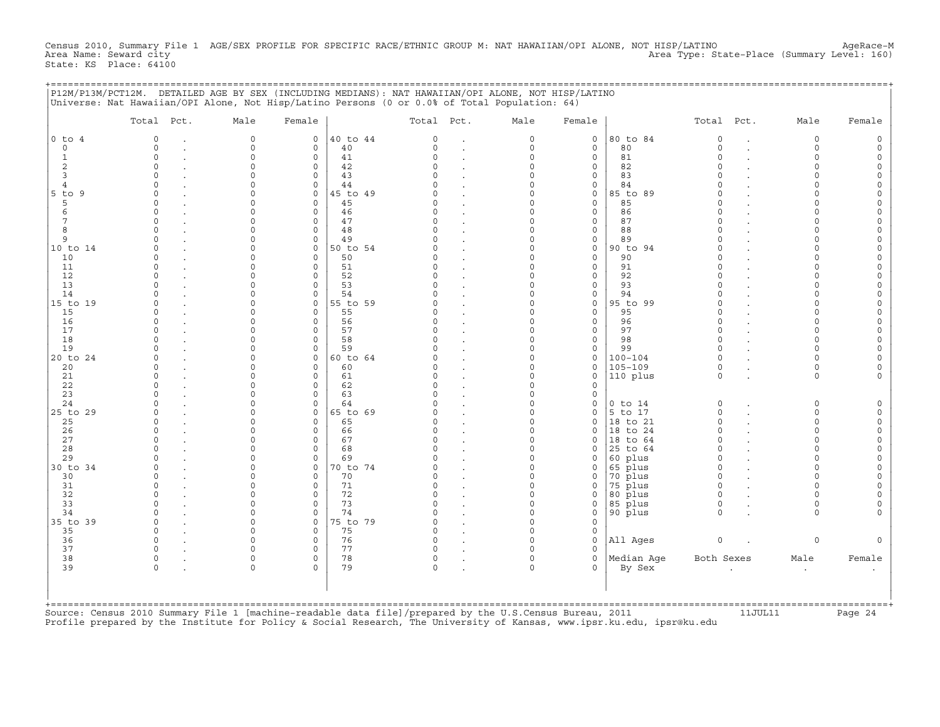Census 2010, Summary File 1 AGE/SEX PROFILE FOR SPECIFIC RACE/ETHNIC GROUP M: NAT HAWAIIAN/OPI ALONE, NOT HISP/LATINO AgeRace-M<br>Area Name: Seward city alice in ageRace-M Area Type: State-Place (Summary Level: 160) State: KS Place: 64100

|                                                                                                                                                                                                                                             | P12M/P13M/PCT12M. DETAILED AGE BY SEX (INCLUDING MEDIANS): NAT HAWAIIAN/OPI ALONE, NOT HISP/LATINO<br>Universe: Nat Hawaiian/OPI Alone, Not Hisp/Latino Persons (0 or 0.0% of Total Population: 64)                                                                                                                                                                                                                  |                                                                                                                                                                                                                                                                                                                             |                                                                                                                                                                                                                                                                                                                         |                                                                                                                                                                                              |                                                                                                                                                                                                                                                                                                              |                                                                                                                                                                                                                                                                                                                                                                                                                       |                                                                                                                                                                                                                                                                                       |                                                                                                                                                                                                                                                                                                       |                                                                                                                                                                                                            |                                                                                                                                                                                                                                                                                                              |                                                                                                                                                                           |                                                                                                                                                                                                                                                                                                                                   |                                                                                                                                                 |
|---------------------------------------------------------------------------------------------------------------------------------------------------------------------------------------------------------------------------------------------|----------------------------------------------------------------------------------------------------------------------------------------------------------------------------------------------------------------------------------------------------------------------------------------------------------------------------------------------------------------------------------------------------------------------|-----------------------------------------------------------------------------------------------------------------------------------------------------------------------------------------------------------------------------------------------------------------------------------------------------------------------------|-------------------------------------------------------------------------------------------------------------------------------------------------------------------------------------------------------------------------------------------------------------------------------------------------------------------------|----------------------------------------------------------------------------------------------------------------------------------------------------------------------------------------------|--------------------------------------------------------------------------------------------------------------------------------------------------------------------------------------------------------------------------------------------------------------------------------------------------------------|-----------------------------------------------------------------------------------------------------------------------------------------------------------------------------------------------------------------------------------------------------------------------------------------------------------------------------------------------------------------------------------------------------------------------|---------------------------------------------------------------------------------------------------------------------------------------------------------------------------------------------------------------------------------------------------------------------------------------|-------------------------------------------------------------------------------------------------------------------------------------------------------------------------------------------------------------------------------------------------------------------------------------------------------|------------------------------------------------------------------------------------------------------------------------------------------------------------------------------------------------------------|--------------------------------------------------------------------------------------------------------------------------------------------------------------------------------------------------------------------------------------------------------------------------------------------------------------|---------------------------------------------------------------------------------------------------------------------------------------------------------------------------|-----------------------------------------------------------------------------------------------------------------------------------------------------------------------------------------------------------------------------------------------------------------------------------------------------------------------------------|-------------------------------------------------------------------------------------------------------------------------------------------------|
|                                                                                                                                                                                                                                             | Total Pct.                                                                                                                                                                                                                                                                                                                                                                                                           | Male                                                                                                                                                                                                                                                                                                                        | Female                                                                                                                                                                                                                                                                                                                  |                                                                                                                                                                                              | Total Pct.                                                                                                                                                                                                                                                                                                   |                                                                                                                                                                                                                                                                                                                                                                                                                       | Male                                                                                                                                                                                                                                                                                  | Female                                                                                                                                                                                                                                                                                                |                                                                                                                                                                                                            | Total Pct.                                                                                                                                                                                                                                                                                                   |                                                                                                                                                                           | Male                                                                                                                                                                                                                                                                                                                              | Female                                                                                                                                          |
| $0$ to $4$<br>$\circ$<br>$\mathbf{1}$<br>$\overline{2}$<br>3<br>$\overline{4}$<br>5 to 9<br>5<br>6<br>$7\phantom{.0}$<br>8<br>9<br>10 to 14<br>10<br>11<br>12<br>13<br>14<br>15 to 19<br>15<br>16<br>17<br>18<br>19<br>20 to 24<br>20<br>21 | $\Omega$<br>$\Omega$<br>$\mathbf{r}$<br>$\Omega$<br>$\mathbf{r}$<br>$\Omega$<br>$\Omega$<br>$\cap$<br>$\Omega$<br>$\cap$<br>$\mathbf{r}$<br>$\Omega$<br>$\Omega$<br>$\cap$<br>$\Omega$<br>$\Omega$<br>$\mathbf{r}$<br>$\cap$<br>$\Omega$<br>$\Omega$<br>$\cap$<br>$\Omega$<br>$\cap$<br>$\Omega$<br>$\Omega$<br>$\Omega$<br>$\Omega$<br>$\mathbf{r}$<br>$\Omega$<br>$\Omega$<br>$\Omega$<br>$\mathbf{r}$<br>$\Omega$ | $\circ$<br>$\circ$<br>$\circ$<br>$\circ$<br>$\Omega$<br>$\Omega$<br>$\circ$<br>$\Omega$<br>$\Omega$<br>$\Omega$<br>$\Omega$<br>$\Omega$<br>$\Omega$<br>$\Omega$<br>$\Omega$<br>$\Omega$<br>$\Omega$<br>$\Omega$<br>$\Omega$<br>$\Omega$<br>$\Omega$<br>$\Omega$<br>$\Omega$<br>$\Omega$<br>$\Omega$<br>$\Omega$<br>$\Omega$ | $\circ$<br>$\circ$<br>$\mathbf 0$<br>$\circ$<br>$\circ$<br>$\Omega$<br>$\circ$<br>$\Omega$<br>$\circ$<br>$\circ$<br>$\Omega$<br>$\circ$<br>$\mathbf 0$<br>$\Omega$<br>$\circ$<br>$\circ$<br>$\circ$<br>$\circ$<br>$\Omega$<br>$\circ$<br>$\Omega$<br>$\circ$<br>$\circ$<br>$\circ$<br>$\circ$<br>$\circ$<br>$\mathbf 0$ | 40 to 44<br>40<br>41<br>42<br>43<br>44<br>45 to 49<br>45<br>46<br>47<br>48<br>49<br>50 to 54<br>50<br>51<br>52<br>53<br>54<br>55 to 59<br>55<br>56<br>57<br>58<br>59<br>60 to 64<br>60<br>61 | $\Omega$<br>$\mathbf 0$<br>$\Omega$<br>$\Omega$<br>$\Omega$<br>$\Omega$<br>$\Omega$<br>$\Omega$<br>$\Omega$<br>$\Omega$<br>U<br>$\Omega$<br>$\Omega$<br>$\Omega$<br>$\Omega$<br>$\Omega$<br>$\Omega$<br>$\Omega$<br>$\Omega$<br>O<br>$\Omega$<br>$\Omega$<br>$\Omega$<br>$\cap$<br>$\Omega$<br>$\Omega$<br>0 | $\ddot{\phantom{a}}$<br>$\ddot{\phantom{a}}$<br>$\cdot$<br>$\ddot{\phantom{a}}$<br>$\cdot$<br>$\cdot$<br>$\ddot{\phantom{0}}$<br>$\blacksquare$<br>$\ddot{\phantom{a}}$<br>$\cdot$<br>$\cdot$<br>$\cdot$<br>$\cdot$<br>$\ddot{\phantom{a}}$<br>$\ddot{\phantom{a}}$<br>$\cdot$<br>$\cdot$<br>$\cdot$<br>$\cdot$<br>$\ddot{\phantom{a}}$<br>$\cdot$<br>$\sim$<br>$\ddot{\phantom{a}}$<br>$\cdot$<br>$\cdot$<br>$\cdot$ | $\circ$<br>0<br>$\mathbf{0}$<br>$\circ$<br>0<br>$\Omega$<br>$\Omega$<br>$\Omega$<br>$\mathbf 0$<br>0<br>$\Omega$<br>$\mathsf{O}\xspace$<br>$\circ$<br>$\Omega$<br>0<br>0<br>$\Omega$<br>$\Omega$<br>$\circ$<br>$\Omega$<br>$\Omega$<br>$\Omega$<br>0<br>$\Omega$<br>0<br>$\circ$<br>0 | $\mathsf{O}\xspace$<br>$\circ$<br>$\circ$<br>$\circ$<br>0<br>$\circ$<br>$\circ$<br>$\circ$<br>$\circ$<br>0<br>0<br>$\mathsf{O}\xspace$<br>$\circ$<br>$\circ$<br>0<br>$\circ$<br>$\circ$<br>$\circ$<br>$\circ$<br>$\mathsf{O}\xspace$<br>0<br>$\circ$<br>$\circ$<br>$\circ$<br>0<br>$\circ$<br>$\circ$ | 80 to 84<br>80<br>81<br>82<br>83<br>84<br>85 to 89<br>85<br>86<br>87<br>88<br>89<br>90 to 94<br>90<br>91<br>92<br>93<br>94<br>95 to 99<br>95<br>96<br>97<br>98<br>99<br>100-104<br>$105 - 109$<br>110 plus | $\circ$<br>0<br>$\Omega$<br>$\Omega$<br>$\Omega$<br>$\Omega$<br>$\Omega$<br>$\Omega$<br>$\Omega$<br>$\circ$<br>$\Omega$<br>$\circ$<br>0<br>$\Omega$<br>$\Omega$<br>$\circ$<br>$\Omega$<br>$\Omega$<br>$\Omega$<br>$\Omega$<br>$\Omega$<br>$\Omega$<br>$\Omega$<br>$\Omega$<br>$\Omega$<br>$\circ$<br>$\circ$ | $\cdot$<br>$\cdot$<br>$\mathbf{r}$<br>$\cdot$<br>$\overline{a}$<br>$\cdot$<br>$\sim$<br>$\cdot$<br>$\cdot$<br>$\sim$<br>$\sim$<br>$\mathbf{r}$<br>$\mathbf{r}$<br>$\cdot$ | $\circ$<br>0<br>$\Omega$<br>$\Omega$<br>$\circ$<br>$\Omega$<br>$\Omega$<br>$\Omega$<br>$\Omega$<br>$\mathbf 0$<br>$\Omega$<br>$\mathbf 0$<br>$\mathbf 0$<br>$\Omega$<br>$\Omega$<br>$\mathbf 0$<br>$\Omega$<br>$\Omega$<br>$\Omega$<br>$\Omega$<br>$\Omega$<br>$\Omega$<br>$\Omega$<br>$\Omega$<br>$\Omega$<br>$\circ$<br>$\circ$ | 0<br>0<br>0<br>$\circ$<br>0<br>0<br>0<br>0<br>0<br>0<br>0<br>0<br>0<br>0<br>0<br>0<br>0<br>0<br>0<br>0<br>0<br>0<br>$\circ$<br>0<br>0<br>0<br>0 |
| 22<br>23<br>24<br>25 to 29<br>25<br>26<br>27<br>28<br>29<br>30 to 34<br>30<br>31<br>32<br>33<br>34<br>35 to 39<br>35<br>36<br>37<br>38<br>39                                                                                                | $\Omega$<br>$\Omega$<br>$\cap$<br>$\cap$<br>$\Omega$<br>$\Omega$<br>$\Omega$<br>$\Omega$<br>$\cap$<br>$\mathbf{r}$<br>$\Omega$<br>$\Omega$<br>$\Omega$<br>$\Omega$<br>$\cap$<br>$\mathbf{r}$<br>$\Omega$<br>$\Omega$<br>$\Omega$<br>$\Omega$<br>$\Omega$<br>$\Omega$<br>$\mathbf 0$                                                                                                                                  | $\Omega$<br>$\Omega$<br>$\Omega$<br>$\Omega$<br>$\Omega$<br>$\Omega$<br>$\Omega$<br>$\Omega$<br>$\Omega$<br>$\Omega$<br>$\Omega$<br>$\Omega$<br>$\Omega$<br>$\Omega$<br>$\circ$<br>$\Omega$<br>$\Omega$<br>$\Omega$<br>$\circ$<br>$\Omega$<br>$\circ$                                                                       | $\circ$<br>$\Omega$<br>$\mathbf 0$<br>$\circ$<br>$\circ$<br>$\circ$<br>$\Omega$<br>$\mathbf 0$<br>$\Omega$<br>$\circ$<br>$\circ$<br>$\Omega$<br>$\circ$<br>$\Omega$<br>$\circ$<br>$\circ$<br>$\Omega$<br>$\mathbf 0$<br>$\circ$<br>$\Omega$<br>$\Omega$                                                                 | 62<br>63<br>64<br>65 to 69<br>65<br>66<br>67<br>68<br>69<br>70 to 74<br>70<br>71<br>72<br>73<br>74<br>75 to 79<br>75<br>76<br>77<br>78<br>79                                                 | $\Omega$<br>$\Omega$<br>$\cap$<br>$\cap$<br>$\Omega$<br>$\Omega$<br>$\Omega$<br>O<br>$\Omega$<br>$\Omega$<br>$\Omega$<br>$\Omega$<br>$\Omega$<br>$\Omega$<br>$\Omega$<br>0<br>$\Omega$<br>$\circ$<br>$\mathbf{0}$<br>$\circ$<br>$\circ$                                                                      | $\ddot{\phantom{a}}$<br>$\ddot{\phantom{a}}$<br>$\overline{a}$<br>$\cdot$<br>$\ddot{\phantom{a}}$<br>$\ddot{\phantom{a}}$<br>$\ddot{\phantom{a}}$<br>$\ddot{\phantom{a}}$<br>$\cdot$<br>$\ddot{\phantom{a}}$<br>$\cdot$<br>$\ddot{\phantom{a}}$<br>$\ddot{\phantom{a}}$<br>$\cdot$<br>$\ddot{\phantom{a}}$<br>$\ddot{\phantom{a}}$<br>$\cdot$<br>$\cdot$<br>$\ddot{\phantom{a}}$<br>$\bullet$                         | $\Omega$<br>$\Omega$<br>$\Omega$<br>$\Omega$<br>$\circ$<br>$\circ$<br>$\Omega$<br>0<br>$\overline{0}$<br>$\circ$<br>$\Omega$<br>$\Omega$<br>0<br>$\Omega$<br>$\circ$<br>0<br>$\Omega$<br>$\mathsf{O}\xspace$<br>0<br>$\Omega$<br>$\mathsf{O}\xspace$                                  | $\circ$<br>$\mathsf{O}\xspace$<br>$\circ$<br>$\circ$<br>$\circ$<br>0<br>$\Omega$<br>0<br>$\circ$<br>$\circ$<br>0<br>0<br>0<br>0<br>$\circ$<br>$\circ$<br>$\circ$<br>$\circ$<br>$\circ$<br>$\Omega$<br>$\Omega$                                                                                        | $0$ to $14$<br>5 to 17<br>18 to 21<br>18 to 24<br>18 to 64<br>25 to 64<br>60 plus<br>65 plus<br>70 plus<br>75 plus<br>80 plus<br>85 plus<br>90 plus<br>All Ages<br>Median Age<br>By Sex                    | $\circ$<br>$\Omega$<br>$\circ$<br>$\Omega$<br>$\Omega$<br>0<br>$\Omega$<br>$\Omega$<br>$\Omega$<br>$\Omega$<br>$\circ$<br>$\Omega$<br>$\Omega$<br>$\circ$<br>Both Sexes                                                                                                                                      | $\ddot{\phantom{a}}$<br>$\cdot$<br>$\cdot$<br>$\cdot$<br>$\sim$<br>$\sim$<br>$\cdot$<br>$\sim$                                                                            | $\circ$<br>$\Omega$<br>$\circ$<br>$\Omega$<br>$\Omega$<br>$\circ$<br>$\Omega$<br>$\Omega$<br>$\Omega$<br>$\Omega$<br>$\Omega$<br>$\Omega$<br>$\circ$<br>$\mathbf 0$<br>Male<br>$\bullet$                                                                                                                                          | 0<br>$\circ$<br>0<br>0<br>0<br>0<br>$\circ$<br>0<br>$\circ$<br>0<br>0<br>0<br>$\circ$<br>0<br>Female                                            |

+===================================================================================================================================================+ Source: Census 2010 Summary File 1 [machine-readable data file]/prepared by the U.S.Census Bureau, 2011 11JUL11 Page 24 Profile prepared by the Institute for Policy & Social Research, The University of Kansas, www.ipsr.ku.edu, ipsr@ku.edu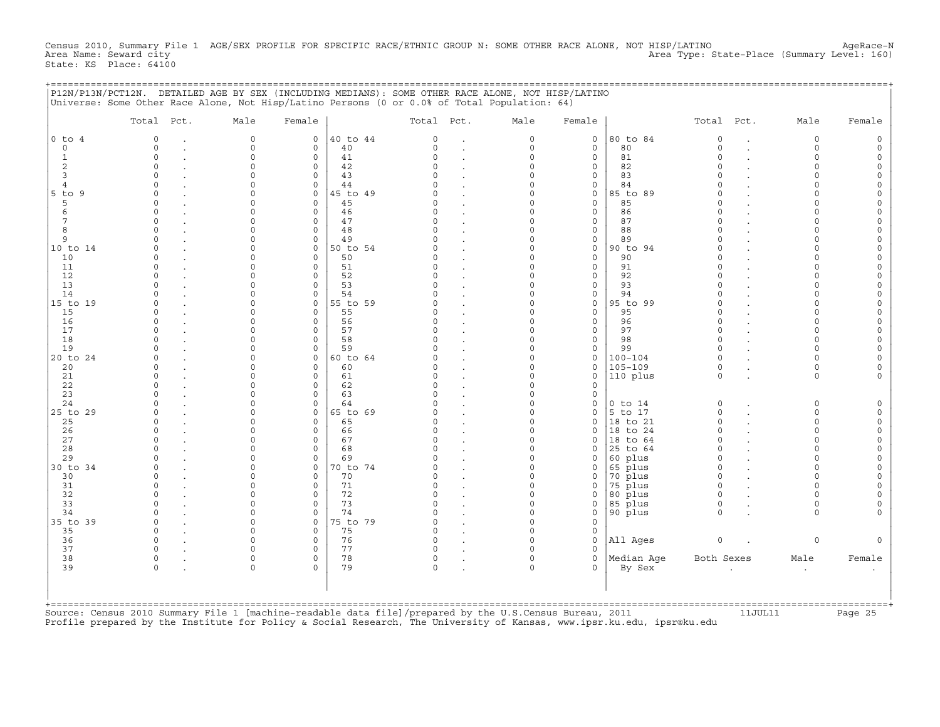Census 2010, Summary File 1 AGE/SEX PROFILE FOR SPECIFIC RACE/ETHNIC GROUP N: SOME OTHER RACE ALONE, NOT HISP/LATINO AgeRace-N<br>Area Name: Seward city Area Type: State-Place (Summary Level: 160) State: KS Place: 64100

+===================================================================================================================================================+

|                  | P12N/P13N/PCT12N. DETAILED AGE BY SEX (INCLUDING MEDIANS): SOME OTHER RACE ALONE, NOT HISP/LATINO |                     |                        |                |                      |                                   |                            |                        |                      |                      |                      |                         |                            |
|------------------|---------------------------------------------------------------------------------------------------|---------------------|------------------------|----------------|----------------------|-----------------------------------|----------------------------|------------------------|----------------------|----------------------|----------------------|-------------------------|----------------------------|
|                  | Universe: Some Other Race Alone, Not Hisp/Latino Persons (0 or 0.0% of Total Population: 64)      |                     |                        |                |                      |                                   |                            |                        |                      |                      |                      |                         |                            |
|                  | Total<br>Pct.                                                                                     | Male                | Female                 |                | Total Pct.           |                                   | Male                       | Female                 |                      | Total                | Pct.                 | Male                    | Female                     |
| $0$ to $4$       | $\circ$<br>$\bullet$                                                                              | 0                   | $\circ$                | 40 to 44       | $\mathbf 0$          |                                   | 0                          | 0                      | 80 to 84             | $\circ$              | $\bullet$            | 0                       | 0                          |
| $\circ$          | $\circ$                                                                                           | 0                   | $\circ$                | 40             | $\circ$              | $\ddot{\phantom{a}}$              | $\mathsf{O}\xspace$        | $\mathsf O$            | 80                   | $\circ$              | $\ddot{\phantom{a}}$ | 0                       | $\mathsf O$                |
| $\mathbf{1}$     | $\mathbf 0$                                                                                       | $\circ$             | $\mathbf 0$            | 41             | $\Omega$             |                                   | $\mathbf 0$                | $\circ$                | 81                   | $\Omega$             |                      | $\Omega$                | 0                          |
| $\overline{c}$   | $\mathbf 0$                                                                                       | 0                   | $\mathbf 0$            | 42             | $\Omega$             |                                   | 0                          | 0                      | 82                   | $\Omega$             |                      | 0                       | $\mathsf O$                |
| 3                | $\circ$                                                                                           | $\Omega$            | $\circ$                | 43             | $\Omega$             | $\cdot$                           | 0                          | 0                      | 83                   | $\Omega$             |                      | $\mathbf 0$             | 0                          |
| 4<br>$5$ to<br>9 | $\mathbf 0$<br>$\Omega$                                                                           | $\circ$<br>$\circ$  | $\mathbf 0$<br>$\circ$ | 44<br>45 to 49 | $\Omega$<br>$\Omega$ | $\ddot{\phantom{0}}$              | $\mathbf 0$<br>$\mathbf 0$ | 0<br>0                 | 84<br>85 to 89       | $\Omega$<br>$\Omega$ |                      | $\mathbf 0$<br>$\Omega$ | 0<br>0                     |
| 5                | $\Omega$                                                                                          | 0                   | $\mathbf 0$            | 45             | $\Omega$             | $\ddot{\phantom{a}}$              | $\mathbf 0$                | 0                      | 85                   | $\Omega$             |                      | 0                       | 0                          |
| 6                | $\Omega$                                                                                          | $\Omega$            | $\mathbf 0$            | 46             | $\Omega$             |                                   | $\Omega$                   | $\circ$                | 86                   | $\Omega$             |                      | $\Omega$                | 0                          |
| $7\phantom{.0}$  | $\mathbf 0$                                                                                       | $\Omega$            | $\circ$                | 47             | $\Omega$             |                                   | 0                          | $\mathsf O$            | 87                   | $\Omega$             |                      | 0                       | $\mathsf O$                |
| 8                | $\circ$                                                                                           | $\Omega$            | $\circ$                | 48             | $\Omega$             | $\cdot$                           | $\mathsf{O}\xspace$        | $\mathsf O$            | 88                   | $\Omega$             |                      | $\Omega$                | $\mathsf O$                |
| 9                | $\mathbf 0$                                                                                       | $\Omega$            | $\mathbf 0$            | 49             | O                    | $\ddot{\phantom{a}}$              | $\mathbf 0$                | 0                      | 89                   | $\Omega$             |                      | $\Omega$                | 0                          |
| 10 to 14         | $\Omega$                                                                                          | $\Omega$            | $\circ$                | 50 to 54       | $\Omega$             |                                   | $\mathbf 0$                | $\mathsf O$            | 90 to 94             | $\Omega$             |                      | $\Omega$                | $\mathsf O$                |
| 10               | $\mathbf 0$                                                                                       | 0                   | $\circ$                | 50             | $\Omega$             | $\blacksquare$                    | 0                          | $\mathsf O$            | 90                   | $\Omega$             |                      | 0                       | 0                          |
| 11               | $\circ$                                                                                           | $\circ$             | $\circ$                | 51             | $\Omega$             | $\cdot$                           | 0                          | $\mathsf O$            | 91                   | $\circ$              |                      | $\mathbf 0$             | $\mathsf O$                |
| 12               | $\mathbf 0$                                                                                       | $\Omega$            | $\circ$                | 52             | $\Omega$             |                                   | $\Omega$                   | 0                      | 92                   | $\Omega$             |                      | $\Omega$                | $\mathsf{O}\xspace$        |
| 13               | $\Omega$                                                                                          | 0                   | $\mathbf 0$            | 53             | $\Omega$             | $\ddot{\phantom{a}}$              | $\mathbf 0$                | 0                      | 93                   | $\Omega$             |                      | 0                       | 0                          |
| 14               | $\Omega$                                                                                          | $\Omega$            | $\circ$                | 54             | O                    | $\overline{a}$                    | $\mathbf 0$                | $\circ$                | 94                   | $\Omega$             |                      | $\Omega$                | 0                          |
| 15 to 19         | $\mathbf 0$                                                                                       | $\Omega$            | $\circ$                | 55 to 59       | $\Omega$<br>$\Omega$ |                                   | 0                          | $\mathsf O$            | 95 to 99             | $\Omega$             |                      | $\Omega$                | $\mathsf{O}\xspace$        |
| 15<br>16         | $\mathbf 0$<br>$\mathbf 0$                                                                        | $\circ$<br>0        | $\circ$<br>0           | 55<br>56       | $\Omega$             | $\ddot{\phantom{a}}$              | 0<br>$\mathbf 0$           | $\mathsf O$<br>0       | 95<br>96             | $\circ$<br>$\circ$   |                      | $\mathbf 0$<br>0        | $\mathsf O$<br>0           |
| 17               | $\Omega$                                                                                          | $\Omega$            | $\circ$                | 57             | $\Omega$             |                                   | $\Omega$                   | $\mathsf O$            | 97                   | $\Omega$             |                      | $\Omega$                | $\circ$                    |
| 18               | $\Omega$                                                                                          | 0                   | 0                      | 58             | $\Omega$             |                                   | 0                          | 0                      | 98                   | $\circ$              |                      | 0                       | $\mathsf O$                |
| 19               | $\mathbf 0$                                                                                       | $\Omega$            | $\circ$                | 59             | 0                    | $\ddot{\phantom{a}}$              | 0                          | 0                      | 99                   | $\circ$              |                      | $\mathbf 0$             | $\mathsf O$                |
| 20 to 24         | $\Omega$                                                                                          | $\Omega$            | $\circ$                | 60 to 64       | $\Omega$             | $\blacksquare$                    | $\Omega$                   | 0                      | $100 - 104$          | $\Omega$             |                      | $\Omega$                | 0                          |
| 20               | $\Omega$                                                                                          | 0                   | $\circ$                | 60             | $\Omega$             | $\ddot{\phantom{0}}$              | 0                          | 0                      | $105 - 109$          | $\circ$              |                      | 0                       | 0                          |
| 21               | $\mathbf 0$                                                                                       | $\Omega$            | $\circ$                | 61             | $\Omega$             | $\cdot$                           | $\mathbf 0$                | 0                      | 110 plus             | $\circ$              | $\ddot{\phantom{a}}$ | $\mathbf 0$             | 0                          |
| 22               | $\Omega$                                                                                          | $\Omega$            | $\circ$                | 62             | $\Omega$             |                                   | 0                          | $\mathsf O$            |                      |                      |                      |                         |                            |
| 23               | $\mathbf 0$                                                                                       | 0                   | $\circ$                | 63             | $\Omega$             |                                   | $\mathbf 0$                | $\mathsf O$            |                      |                      |                      |                         |                            |
| 24               | $\Omega$                                                                                          | 0                   | $\mathbf 0$            | 64             | O                    | $\ddot{\phantom{a}}$              | $\mathbf 0$                | 0                      | $0$ to $14$          | $\circ$              | $\bullet$            | 0                       | 0                          |
| 25 to 29         | $\Omega$                                                                                          | $\Omega$            | $\circ$                | 65 to 69       | $\Omega$             | $\cdot$                           | $\mathbf 0$                | $\circ$                | 5 to 17              | $\circ$              | $\sim$               | $\mathbf 0$             | $\mathsf O$                |
| 25<br>26         | $\Omega$<br>$\mathbf 0$                                                                           | $\Omega$<br>$\circ$ | $\circ$<br>$\circ$     | 65<br>66       | $\Omega$<br>$\Omega$ | $\ddot{\phantom{a}}$              | $\mathbf 0$<br>0           | $\circ$<br>0           | 18 to 21<br>18 to 24 | $\Omega$<br>$\Omega$ |                      | 0<br>0                  | $\mathsf O$<br>$\mathsf O$ |
| 27               | $\circ$                                                                                           | $\Omega$            | $\mathbf 0$            | 67             | $\Omega$             | $\blacksquare$                    | $\mathbf 0$                | $\circ$                | 18<br>to 64          | $\Omega$             |                      | $\Omega$                | $\mathsf O$                |
| 28               | $\mathbf 0$                                                                                       | $\Omega$            | $\mathbf 0$            | 68             | $\Omega$             | $\blacksquare$                    | $\mathbf 0$                | 0                      | 25 to 64             | $\circ$              |                      | 0                       | 0                          |
| 29               | $\Omega$                                                                                          | $\Omega$            | $\circ$                | 69             | O                    | $\cdot$                           | $\mathbf 0$                | $\mathbf 0$            | 60 plus              | $\Omega$             |                      | $\Omega$                | $\mathsf O$                |
| 30 to 34         | $\mathbf 0$                                                                                       | $\Omega$            | $\circ$                | 0 to 74        | $\Omega$             | $\bullet$                         | 0                          | 0                      | 65 plus              | $\circ$              |                      | $\Omega$                | 0                          |
| 30               | $\mathbf 0$                                                                                       | $\Omega$            | $\circ$                | 70             | $\Omega$             | $\blacksquare$                    | $\mathbf 0$                | 0                      | 70 plus              | $\circ$              |                      | $\Omega$                | $\mathsf O$                |
| 31               | $\Omega$                                                                                          | 0                   | 0                      | 71             | 0                    | $\bullet$                         | 0                          | 0                      | 75 plus              | $\Omega$             |                      | 0                       | $\mathsf O$                |
| 32               | $\Omega$                                                                                          | $\Omega$            | $\circ$                | 72             | $\cap$               | $\cdot$                           | $\mathbf 0$                | 0                      | 80 plus              | $\Omega$             |                      | $\Omega$                | 0                          |
| 33               | $\Omega$                                                                                          | $\Omega$            | $\circ$                | 73             | $\Omega$             | $\ddot{\phantom{a}}$              | $\mathbf 0$                | $\mathsf O$            | 85 plus              | $\circ$              |                      | $\mathbf 0$             | 0                          |
| 34               | $\Omega$                                                                                          | $\circ$             | $\mathbf 0$            | 74             | $\Omega$             | $\blacksquare$                    | $\mathsf{O}\xspace$        | $\mathsf O$            | 90 plus              | $\circ$              |                      | $\mathbf 0$             | $\mathsf O$                |
| 35 to 39         | $\mathbf 0$                                                                                       | $\circ$             | $\circ$                | 5 to 79        | 0                    | $\blacksquare$                    | $\mathbf 0$                | $\mathsf O$            |                      |                      |                      |                         |                            |
| 35               | $\mathbf 0$<br>$\Omega$                                                                           | 0                   | $\mathbf 0$            | 75             | $\circ$<br>$\Omega$  | $\ddot{\phantom{a}}$              | $\mathbf 0$                | 0                      |                      |                      |                      |                         |                            |
| 36<br>37         | $\circ$                                                                                           | $\circ$<br>$\circ$  | 0<br>$\circ$           | 76<br>77       | 0                    | $\ddot{\phantom{a}}$              | $\mathbf 0$<br>0           | $\mathsf O$<br>$\circ$ | All Ages             | $\circ$              |                      | 0                       | $\circ$                    |
| 38               | $\mathsf{O}$                                                                                      | 0                   | $\circ$                | 78             | $\circ$              | $\bullet$                         | $\mathsf{O}\xspace$        | $\mathsf O$            | Median Age           | Both Sexes           |                      | Male                    | Female                     |
| 39               | $\mathsf O$                                                                                       | $\circ$             | 0                      | 79             | $\mathsf{O}\xspace$  | $\bullet$<br>$\ddot{\phantom{a}}$ | $\mathbf 0$                | 0                      | By Sex               |                      |                      | $\bullet$               |                            |
|                  |                                                                                                   |                     |                        |                |                      |                                   |                            |                        |                      |                      |                      |                         |                            |
|                  |                                                                                                   |                     |                        |                |                      |                                   |                            |                        |                      |                      |                      |                         |                            |
|                  |                                                                                                   |                     |                        |                |                      |                                   |                            |                        |                      |                      |                      |                         |                            |

+===================================================================================================================================================+ Source: Census 2010 Summary File 1 [machine-readable data file]/prepared by the U.S.Census Bureau, 2011 11JUL11 Page 25 Profile prepared by the Institute for Policy & Social Research, The University of Kansas, www.ipsr.ku.edu, ipsr@ku.edu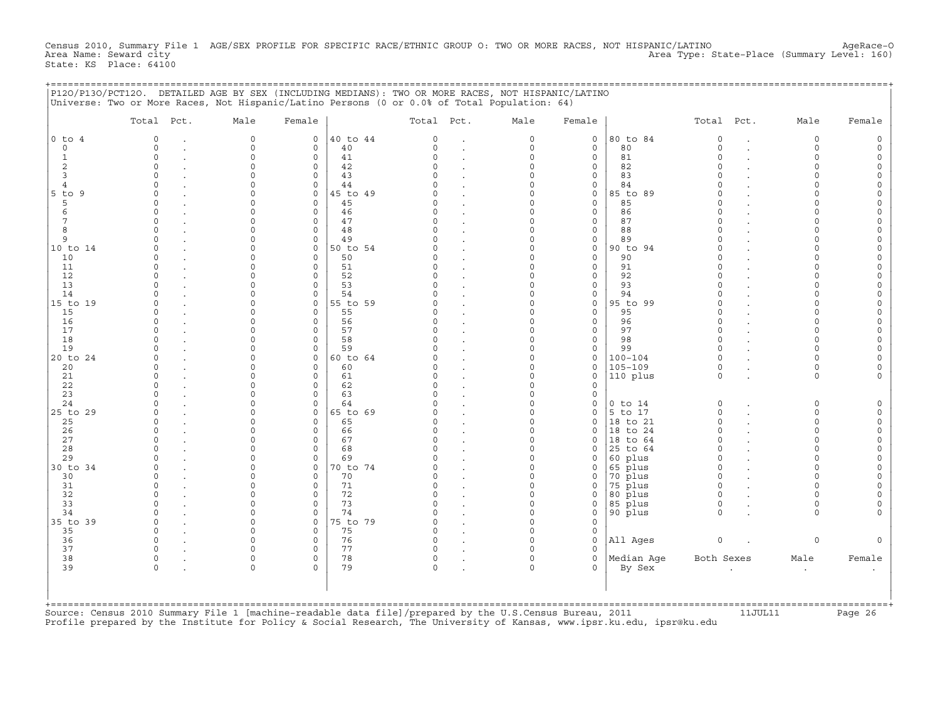Census 2010, Summary File 1 AGE/SEX PROFILE FOR SPECIFIC RACE/ETHNIC GROUP O: TWO OR MORE RACES, NOT HISPANIC/LATINO AgeRace−O<br>Area Name: Seward city Area Type: State-Place (Summary Level: 160) State: KS Place: 64100

+===================================================================================================================================================+

|                                                                                                                                                                                   | P120/P130/PCT120. DETAILED AGE BY SEX (INCLUDING MEDIANS): TWO OR MORE RACES, NOT HISPANIC/LATINO<br>Universe: Two or More Races, Not Hispanic/Latino Persons (0 or 0.0% of Total Population: 64)                                                                                                                               |                                                                                                                                                                                            |                                                                                                                                                                                                                         |                                                                                                                                        |                                                                                                                                                                                                                          |                                                                                                                                                                                                                                            |                                                                                                                                                                                                                                                        |                                                                                                                                                                                                                                             |                                                                                                                                        |                                                                                                                                                                                                                                   |                                                               |                                                                                                                                                                                                                   |                                                                                                                                                                                                                                                                                                                                             |
|-----------------------------------------------------------------------------------------------------------------------------------------------------------------------------------|---------------------------------------------------------------------------------------------------------------------------------------------------------------------------------------------------------------------------------------------------------------------------------------------------------------------------------|--------------------------------------------------------------------------------------------------------------------------------------------------------------------------------------------|-------------------------------------------------------------------------------------------------------------------------------------------------------------------------------------------------------------------------|----------------------------------------------------------------------------------------------------------------------------------------|--------------------------------------------------------------------------------------------------------------------------------------------------------------------------------------------------------------------------|--------------------------------------------------------------------------------------------------------------------------------------------------------------------------------------------------------------------------------------------|--------------------------------------------------------------------------------------------------------------------------------------------------------------------------------------------------------------------------------------------------------|---------------------------------------------------------------------------------------------------------------------------------------------------------------------------------------------------------------------------------------------|----------------------------------------------------------------------------------------------------------------------------------------|-----------------------------------------------------------------------------------------------------------------------------------------------------------------------------------------------------------------------------------|---------------------------------------------------------------|-------------------------------------------------------------------------------------------------------------------------------------------------------------------------------------------------------------------|---------------------------------------------------------------------------------------------------------------------------------------------------------------------------------------------------------------------------------------------------------------------------------------------------------------------------------------------|
|                                                                                                                                                                                   | Total Pct.                                                                                                                                                                                                                                                                                                                      | Male                                                                                                                                                                                       | Female                                                                                                                                                                                                                  |                                                                                                                                        | Total Pct.                                                                                                                                                                                                               |                                                                                                                                                                                                                                            | Male                                                                                                                                                                                                                                                   | Female                                                                                                                                                                                                                                      |                                                                                                                                        | Total Pct.                                                                                                                                                                                                                        |                                                               | Male                                                                                                                                                                                                              | Female                                                                                                                                                                                                                                                                                                                                      |
| $0$ to $4$<br>$\circ$<br>$\mathbf{1}$<br>$\sqrt{2}$<br>3<br>$\overline{4}$<br>$5$ to<br>9<br>5<br>$\epsilon$<br>7<br>8<br>9<br>10 to 14<br>10<br>11<br>12<br>13<br>14<br>15 to 19 | $\circ$<br>$\mathbf 0$<br>$\ddot{\phantom{a}}$<br>$\mathsf{O}$<br>$\Omega$<br>$\mathbf 0$<br>$\mathbf 0$<br>$\Omega$<br>$\circ$<br>$\ddot{\phantom{a}}$<br>$\mathbf 0$<br>$\Omega$<br>$\mathbf 0$<br>$\circ$<br>$\circ$<br>$\mathbf 0$<br>$\mathbf 0$<br>$\ddot{\phantom{a}}$<br>$\Omega$<br>$\mathbf 0$<br>$\Omega$<br>$\circ$ | 0<br>0<br>$\circ$<br>$\Omega$<br>$\circ$<br>$\circ$<br>$\Omega$<br>$\circ$<br>$\circ$<br>$\Omega$<br>$\circ$<br>$\circ$<br>$\Omega$<br>0<br>$\circ$<br>$\Omega$<br>0<br>$\circ$<br>$\circ$ | $\circ$<br>$\circ$<br>0<br>$\mathbf 0$<br>$\mathbf 0$<br>$\circ$<br>$\mathbf 0$<br>$\circ$<br>$\circ$<br>$\circ$<br>$\circ$<br>$\circ$<br>$\mathbf 0$<br>$\circ$<br>$\circ$<br>$\circ$<br>$\circ$<br>$\circ$<br>$\circ$ | 40 to 44<br>40<br>41<br>42<br>43<br>44<br>45 to 49<br>45<br>46<br>47<br>48<br>49<br>50 to 54<br>50<br>51<br>52<br>53<br>54<br>55 to 59 | $\mathbf 0$<br>$\Omega$<br>$\Omega$<br>$\Omega$<br>$\Omega$<br>$\Omega$<br>$\cap$<br>$\Omega$<br>0<br>$\Omega$<br>$\Omega$<br>$\Omega$<br>$\Omega$<br>$\Omega$<br>$\Omega$<br>$\cap$<br>$\Omega$<br>$\Omega$<br>$\Omega$ | $\cdot$<br>$\ddot{\phantom{a}}$<br>$\sim$<br>$\cdot$<br>$\blacksquare$<br>$\cdot$<br>$\ddot{\phantom{a}}$<br>$\ddot{\phantom{a}}$<br>$\sim$<br>$\cdot$<br>$\blacksquare$<br>$\ddot{\phantom{a}}$<br>$\blacksquare$<br>$\ddot{\phantom{a}}$ | 0<br>$\mathsf{O}\xspace$<br>0<br>$\mathbf 0$<br>$\mathbf 0$<br>$\mathbf 0$<br>$\mathbf 0$<br>$\mathsf{O}\xspace$<br>0<br>$\mathbf 0$<br>$\mathbf 0$<br>$\mathsf{O}\xspace$<br>$\mathbf 0$<br>0<br>0<br>$\Omega$<br>0<br>$\mathsf{O}\xspace$<br>$\circ$ | $\mathsf O$<br>$\mathsf O$<br>0<br>$\circ$<br>$\circ$<br>$\mathsf O$<br>$\mathsf O$<br>$\mathsf O$<br>0<br>$\mathsf O$<br>$\circ$<br>$\mathsf O$<br>$\circ$<br>$\mathsf O$<br>0<br>$\mathsf O$<br>$\mathsf O$<br>$\mathsf O$<br>$\mathsf O$ | 80 to 84<br>80<br>81<br>82<br>83<br>84<br>85 to 89<br>85<br>86<br>87<br>88<br>89<br>90 to 94<br>90<br>91<br>92<br>93<br>94<br>95 to 99 | $\mathbb O$<br>$\mathbf 0$<br>$\circ$<br>$\Omega$<br>$\Omega$<br>$\Omega$<br>$\Omega$<br>$\Omega$<br>$\circ$<br>$\Omega$<br>$\circ$<br>$\circ$<br>$\Omega$<br>$\Omega$<br>$\Omega$<br>$\Omega$<br>$\Omega$<br>$\Omega$<br>$\circ$ | $\blacksquare$<br>$\cdot$<br>$\overline{a}$<br>$\overline{a}$ | 0<br>0<br>$\mathbf 0$<br>$\Omega$<br>$\mathbf 0$<br>$\mathbf 0$<br>$\Omega$<br>$\mathbf 0$<br>$\Omega$<br>$\Omega$<br>$\Omega$<br>$\mathbf 0$<br>$\Omega$<br>0<br>$\circ$<br>$\Omega$<br>0<br>$\circ$<br>$\Omega$ | 0<br>$\mathsf{O}\xspace$<br>$\mathsf{O}\xspace$<br>$\mathsf O$<br>$\mathsf O$<br>$\mathsf O$<br>$\mathsf{O}\xspace$<br>$\mathsf{O}\xspace$<br>$\mathsf O$<br>$\mathsf O$<br>$\mathsf O$<br>$\mathsf{O}\xspace$<br>$\mathsf O$<br>$\mathsf{O}\xspace$<br>$\mathsf{O}\xspace$<br>$\mathsf O$<br>$\circ$<br>$\mathsf{O}\xspace$<br>$\mathsf O$ |
| 15<br>16<br>17<br>18<br>19<br>20 to 24<br>20<br>21<br>22<br>23                                                                                                                    | $\Omega$<br>$\mathbf 0$<br>$\Omega$<br>$\mathbf 0$<br>$\circ$<br>$\mathbf 0$<br>$\Omega$<br>$\mathbf 0$<br>$\sim$<br>$\circ$<br>$\Omega$                                                                                                                                                                                        | $\circ$<br>$\circ$<br>$\Omega$<br>0<br>$\circ$<br>$\Omega$<br>0<br>$\circ$<br>$\circ$<br>$\circ$                                                                                           | $\circ$<br>$\circ$<br>$\circ$<br>$\circ$<br>$\circ$<br>$\circ$<br>$\circ$<br>$\circ$<br>$\circ$<br>$\circ$                                                                                                              | 55<br>56<br>57<br>58<br>59<br>60 to 64<br>60<br>61<br>62<br>63                                                                         | $\Omega$<br>$\Omega$<br>$\Omega$<br>$\Omega$<br>$\Omega$<br>O<br>$\Omega$<br>$\Omega$<br>$\Omega$<br>O                                                                                                                   | $\cdot$<br>$\bullet$<br>$\blacksquare$<br>$\ddot{\phantom{a}}$<br>$\ddot{\phantom{a}}$<br>$\bullet$<br>$\blacksquare$<br>$\ddot{\phantom{a}}$                                                                                              | $\circ$<br>0<br>$\Omega$<br>$\mathsf{O}\xspace$<br>$\mathsf{O}\xspace$<br>$\circ$<br>$\circ$<br>$\circ$<br>$\mathsf{O}\xspace$<br>$\mathsf{O}\xspace$                                                                                                  | $\mathsf O$<br>0<br>$\circ$<br>$\mathsf O$<br>$\mathsf O$<br>0<br>0<br>$\mathsf O$<br>$\circ$<br>$\mathsf O$                                                                                                                                | 95<br>96<br>97<br>98<br>99<br>$100 - 104$<br>$105 - 109$<br>110 plus                                                                   | $\Omega$<br>$\circ$<br>$\Omega$<br>$\mathbf 0$<br>$\circ$<br>$\Omega$<br>$\mathbf 0$<br>$\circ$                                                                                                                                   | $\ddot{\phantom{a}}$<br>$\cdot$<br>$\ddot{\phantom{a}}$       | $\circ$<br>$\circ$<br>$\Omega$<br>0<br>$\circ$<br>$\Omega$<br>0<br>$\circ$                                                                                                                                        | $\mathsf O$<br>$\mathsf{O}\xspace$<br>$\mathsf O$<br>$\mathsf{O}\xspace$<br>$\mathsf{O}\xspace$<br>0<br>$\mathsf O$<br>0                                                                                                                                                                                                                    |
| 24<br>25 to 29<br>25<br>26<br>27<br>28<br>29                                                                                                                                      | $\Omega$<br>$\mathbf 0$<br>$\Omega$<br>$\mathbf 0$<br>$\sim$<br>$\circ$<br>$\Omega$<br>$\mathbf 0$                                                                                                                                                                                                                              | $\circ$<br>$\Omega$<br>$\circ$<br>$\circ$<br>$\circ$<br>$\circ$<br>$\circ$                                                                                                                 | $\mathbf 0$<br>$\circ$<br>$\circ$<br>$\circ$<br>$\circ$<br>$\circ$<br>$\circ$                                                                                                                                           | 64<br>65 to 69<br>65<br>66<br>67<br>68<br>69                                                                                           | $\Omega$<br>$\Omega$<br>$\Omega$<br>$\Omega$<br>$\Omega$<br>$\Omega$<br>$\Omega$                                                                                                                                         | $\ddot{\phantom{a}}$<br>$\ddot{\phantom{a}}$<br>$\sim$<br>$\cdot$<br>$\ddot{\phantom{a}}$<br>$\cdot$                                                                                                                                       | $\mathsf{O}\xspace$<br>$\circ$<br>$\circ$<br>$\circ$<br>$\circ$<br>$\mathsf{O}\xspace$<br>$\mathsf{O}\xspace$                                                                                                                                          | $\mathsf O$<br>$\circ$<br>$\mathbf 0$<br>$\mathbf 0$<br>$\circ$<br>0<br>$\mathbf 0$                                                                                                                                                         | $0$ to $14$<br>5 to 17<br>18 to 21<br>18 to 24<br>18 to 64<br>25 to 64<br>60 plus                                                      | $\circ$<br>$\Omega$<br>$\Omega$<br>$\circ$<br>$\Omega$<br>$\mathbf 0$<br>$\circ$                                                                                                                                                  | $\cdot$<br>$\ddot{\phantom{a}}$<br>$\sim$<br>$\overline{a}$   | $\mathsf{O}\xspace$<br>$\circ$<br>$\circ$<br>$\circ$<br>$\circ$<br>$\circ$<br>$\circ$                                                                                                                             | $\mathsf{O}\xspace$<br>$\mathsf O$<br>$\mathsf{O}\xspace$<br>$\mathsf{O}\xspace$<br>$\mathsf{O}\xspace$<br>$\mathsf{O}\xspace$<br>0                                                                                                                                                                                                         |
| 30 to 34<br>30<br>31<br>32<br>33<br>34<br>35 to 39                                                                                                                                | $\Omega$<br>$\Omega$<br>$\circ$<br>$\circ$<br>$\ddot{\phantom{a}}$<br>$\Omega$<br>$\mathbf 0$<br>$\Omega$                                                                                                                                                                                                                       | $\Omega$<br>$\Omega$<br>0<br>$\circ$<br>$\circ$<br>$\circ$<br>$\Omega$                                                                                                                     | $\circ$<br>$\circ$<br>$\circ$<br>$\circ$<br>0<br>$\circ$<br>$\circ$                                                                                                                                                     | 70 to 74<br>70<br>71<br>72<br>73<br>74<br>75 to 79                                                                                     | $\Omega$<br>$\Omega$<br>$\Omega$<br>$\Omega$<br>0<br>$\Omega$<br>$\Omega$                                                                                                                                                | $\ddot{\phantom{a}}$<br>$\bullet$<br>$\ddot{\phantom{a}}$<br>$\ddot{\phantom{a}}$<br>$\cdot$<br>$\blacksquare$                                                                                                                             | $\circ$<br>$\circ$<br>$\mathsf{O}\xspace$<br>$\circ$<br>0<br>0<br>$\circ$                                                                                                                                                                              | $\mathbf 0$<br>0<br>$\mathsf O$<br>$\mathsf O$<br>0<br>$\mathsf O$<br>$\circ$                                                                                                                                                               | $65$ plus<br>70 plus<br>75 plus<br>80 plus<br>85 plus<br>90 plus                                                                       | $\circ$<br>$\Omega$<br>$\mathbf 0$<br>$\circ$<br>$\mathbf 0$<br>$\circ$                                                                                                                                                           | $\ddot{\phantom{a}}$                                          | $\Omega$<br>$\Omega$<br>$\circ$<br>$\circ$<br>$\circ$<br>$\circ$                                                                                                                                                  | 0<br>$\mathsf{O}\xspace$<br>$\mathsf{O}\xspace$<br>$\mathsf O$<br>$\mathsf O$<br>0                                                                                                                                                                                                                                                          |
| 35<br>36<br>37<br>38<br>39                                                                                                                                                        | $\circ$<br>$\mathsf O$<br>$\circ$<br>$\mathbb O$<br>$\mathsf O$                                                                                                                                                                                                                                                                 | $\circ$<br>$\circ$<br>$\circ$<br>0<br>0                                                                                                                                                    | $\circ$<br>$\circ$<br>$\circ$<br>$\circ$<br>$\circ$                                                                                                                                                                     | 75<br>76<br>77<br>78<br>79                                                                                                             | $\circ$<br>$\circ$<br>$\circ$<br>$\circ$<br>$\circ$                                                                                                                                                                      | $\cdot$<br>$\ddot{\phantom{a}}$<br>$\ddot{\phantom{a}}$<br>$\ddot{\phantom{0}}$<br>$\blacksquare$                                                                                                                                          | $\circ$<br>$\mathsf{O}\xspace$<br>$\mathbf 0$<br>0<br>$\mathbf 0$                                                                                                                                                                                      | $\mathsf O$<br>$\mathsf O$<br>0<br>0<br>$\Omega$                                                                                                                                                                                            | All Ages<br>Median Age<br>By Sex                                                                                                       | $\circ$<br>Both Sexes                                                                                                                                                                                                             |                                                               | $\mathsf{O}\xspace$<br>Male<br>$\bullet$                                                                                                                                                                          | $\mathsf O$<br>Female                                                                                                                                                                                                                                                                                                                       |
|                                                                                                                                                                                   |                                                                                                                                                                                                                                                                                                                                 |                                                                                                                                                                                            |                                                                                                                                                                                                                         |                                                                                                                                        |                                                                                                                                                                                                                          |                                                                                                                                                                                                                                            |                                                                                                                                                                                                                                                        |                                                                                                                                                                                                                                             |                                                                                                                                        |                                                                                                                                                                                                                                   |                                                               |                                                                                                                                                                                                                   |                                                                                                                                                                                                                                                                                                                                             |

+===================================================================================================================================================+ Source: Census 2010 Summary File 1 [machine-readable data file]/prepared by the U.S.Census Bureau, 2011 11JUL11 Page 26 Profile prepared by the Institute for Policy & Social Research, The University of Kansas, www.ipsr.ku.edu, ipsr@ku.edu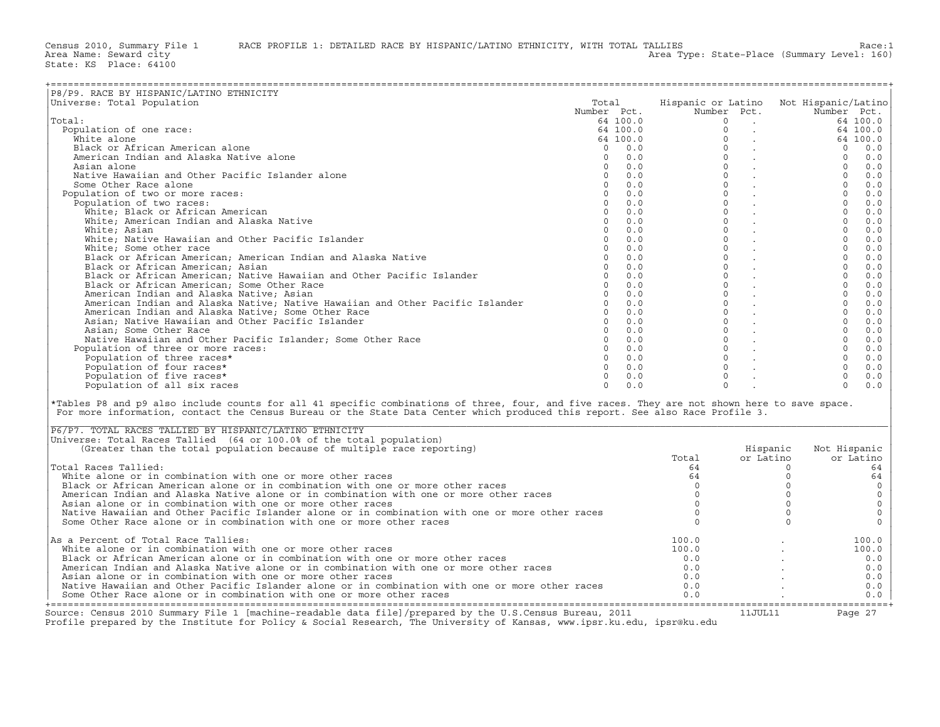| P8/P9. RACE BY HISPANIC/LATINO ETHNICITY                                                                                                                                                                                                                                                                                                  |             |                                                                      |                                        |                                                                           |                     |                |             |
|-------------------------------------------------------------------------------------------------------------------------------------------------------------------------------------------------------------------------------------------------------------------------------------------------------------------------------------------|-------------|----------------------------------------------------------------------|----------------------------------------|---------------------------------------------------------------------------|---------------------|----------------|-------------|
| Universe: Total Population                                                                                                                                                                                                                                                                                                                | Total       |                                                                      | Hispanic or Latino Not Hispanic/Latino |                                                                           |                     |                |             |
|                                                                                                                                                                                                                                                                                                                                           | Number Pct. |                                                                      |                                        | Number Pct.                                                               |                     | Number Pct.    |             |
| Total:                                                                                                                                                                                                                                                                                                                                    |             | 64 100.0                                                             |                                        |                                                                           |                     |                | 64 100.0    |
| Population of one race:                                                                                                                                                                                                                                                                                                                   |             | $64 100.0$<br>$64 100.0$<br>$0 0.0$<br>$0 0.0$<br>$0 0.0$<br>$0 0.0$ |                                        |                                                                           |                     |                | 64 100.0    |
| White alone                                                                                                                                                                                                                                                                                                                               |             |                                                                      |                                        |                                                                           |                     |                | 64 100.0    |
| Black or African American alone                                                                                                                                                                                                                                                                                                           |             |                                                                      |                                        |                                                                           |                     | $\overline{0}$ | 0.0         |
| American Indian and Alaska Native alone                                                                                                                                                                                                                                                                                                   |             |                                                                      |                                        |                                                                           |                     | $\Omega$       | 0.0         |
|                                                                                                                                                                                                                                                                                                                                           |             |                                                                      |                                        |                                                                           |                     | $\overline{0}$ |             |
| Asian alone                                                                                                                                                                                                                                                                                                                               |             |                                                                      |                                        |                                                                           |                     |                | 0.0         |
| Native Hawaiian and Other Pacific Islander alone                                                                                                                                                                                                                                                                                          |             |                                                                      |                                        |                                                                           |                     | $\Omega$       | 0.0         |
| Some Other Race alone                                                                                                                                                                                                                                                                                                                     |             | $0 \t 0.0$                                                           |                                        |                                                                           |                     | $\Omega$       | 0.0         |
| Population of two or more races:                                                                                                                                                                                                                                                                                                          |             | $0 \t 0.0$                                                           |                                        | $\circ$<br><b>Contract Contract</b>                                       |                     | 0              | 0.0         |
| Population of two races:                                                                                                                                                                                                                                                                                                                  |             | $0 \t 0.0$                                                           |                                        | $\Omega$<br><b>Contract Contract</b>                                      |                     | $\Omega$       | 0.0         |
| White; Black or African American                                                                                                                                                                                                                                                                                                          |             | $0 \t 0.0$                                                           |                                        | $\begin{matrix} 0 & & \\ 0 & & \end{matrix}$                              |                     | $\Omega$       | 0.0         |
| White; American Indian and Alaska Native                                                                                                                                                                                                                                                                                                  | $\circ$     | 0.0                                                                  |                                        |                                                                           |                     | $\overline{0}$ | 0.0         |
| White; Asian                                                                                                                                                                                                                                                                                                                              |             | $0 \t 0.0$                                                           |                                        | $\Omega$<br><b>Contract Contract</b>                                      |                     | $\Omega$       | 0.0         |
| White; Native Hawaiian and Other Pacific Islander                                                                                                                                                                                                                                                                                         |             | $0 \t 0.0$                                                           |                                        | $\mathsf{O}\xspace$                                                       |                     | $\overline{0}$ | $0.0$       |
| White; Some other race                                                                                                                                                                                                                                                                                                                    |             | $0 \t 0.0$                                                           |                                        | $\Omega$                                                                  |                     | $\circ$        | $0.0$       |
| Black or African American; American Indian and Alaska Native                                                                                                                                                                                                                                                                              |             | $0 \t 0.0$                                                           |                                        | $\Omega$                                                                  |                     | $\Omega$       | 0.0         |
| Black or African American; Asian                                                                                                                                                                                                                                                                                                          |             | $0 \t 0.0$                                                           |                                        | $\circ$                                                                   |                     | $\circ$        | $0.0$       |
| Black or African American; Native Hawaiian and Other Pacific Islander                                                                                                                                                                                                                                                                     |             | $0 \t 0.0$                                                           |                                        | $\Omega$                                                                  |                     | $\Omega$       | 0.0         |
| Black or African American; Some Other Race                                                                                                                                                                                                                                                                                                |             | $0 \t 0.0$                                                           |                                        | $\circ$                                                                   |                     | $\overline{0}$ | 0.0         |
|                                                                                                                                                                                                                                                                                                                                           |             | $0 \t 0.0$                                                           |                                        | $\Omega$                                                                  |                     | $\Omega$       |             |
| American Indian and Alaska Native; Asian                                                                                                                                                                                                                                                                                                  |             |                                                                      |                                        | $\frac{1}{2}$<br>$\Omega$                                                 |                     |                | $0.0$       |
| American Indian and Alaska Native; Native Hawaiian and Other Pacific Islander                                                                                                                                                                                                                                                             |             | $0 \t 0.0$                                                           |                                        |                                                                           |                     | $\Omega$       | 0.0         |
| American Indian and Alaska Native; Some Other Race                                                                                                                                                                                                                                                                                        |             | $0 \t 0.0$                                                           |                                        | $\mathbf{0}$                                                              |                     | $\overline{0}$ | 0.0         |
| Asian; Native Hawaiian and Other Pacific Islander                                                                                                                                                                                                                                                                                         |             | $0 \t 0.0$                                                           |                                        | $\Omega$<br>$\mathcal{L}^{\text{max}}$ , where $\mathcal{L}^{\text{max}}$ |                     | $\circ$        | 0.0         |
| Asian; Some Other Race                                                                                                                                                                                                                                                                                                                    |             | $0 \t 0.0$                                                           |                                        | $\Omega$                                                                  |                     | $\Omega$       | 0.0         |
| Native Hawaiian and Other Pacific Islander; Some Other Race                                                                                                                                                                                                                                                                               |             | $0 \t 0.0$                                                           |                                        | $\circ$                                                                   |                     | $\overline{0}$ | 0.0         |
| Population of three or more races:                                                                                                                                                                                                                                                                                                        |             | $0 \t 0.0$                                                           |                                        | $\begin{matrix}0&\cdot\cr 0&\cdot\cr 0&\cdot\cr\end{matrix}$              |                     | $\Omega$       | 0.0         |
| Population of three races*                                                                                                                                                                                                                                                                                                                |             | $0 \t 0.0$                                                           |                                        |                                                                           |                     | $\overline{0}$ | $0.0$       |
| Population of four races*                                                                                                                                                                                                                                                                                                                 |             | $0 \t 0.0$                                                           |                                        |                                                                           |                     | $\circ$        | 0.0         |
| Population of five races*                                                                                                                                                                                                                                                                                                                 |             | $0 \t 0.0$                                                           |                                        | $\Omega$                                                                  |                     | $\Omega$       | 0.0         |
| Population of all six races                                                                                                                                                                                                                                                                                                               | $\Omega$    | 0.0                                                                  |                                        | $\Omega$                                                                  |                     | $\Omega$       | 0.0         |
|                                                                                                                                                                                                                                                                                                                                           |             |                                                                      |                                        |                                                                           |                     |                |             |
| *Tables P8 and p9 also include counts for all 41 specific combinations of three, four, and five races. They are not shown here to save space.<br>For more information, contact the Census Bureau or the State Data Center which produced this report. See also Race Profile 3.<br>P6/P7. TOTAL RACES TALLIED BY HISPANIC/LATINO ETHNICITY |             |                                                                      |                                        |                                                                           |                     |                |             |
| Universe: Total Races Tallied (64 or 100.0% of the total population)                                                                                                                                                                                                                                                                      |             |                                                                      |                                        |                                                                           |                     |                |             |
| (Greater than the total population because of multiple race reporting)                                                                                                                                                                                                                                                                    |             |                                                                      |                                        |                                                                           | Hispanic            | Not Hispanic   |             |
|                                                                                                                                                                                                                                                                                                                                           |             |                                                                      | Total                                  |                                                                           | or Latino           |                | or Latino   |
| Total Races Tallied:                                                                                                                                                                                                                                                                                                                      |             |                                                                      | 64                                     |                                                                           | $\Omega$            |                | 64          |
| White alone or in combination with one or more other races                                                                                                                                                                                                                                                                                |             |                                                                      | 64                                     |                                                                           | $\mathbf 0$         |                | 64          |
| Black or African American alone or in combination with one or more other races                                                                                                                                                                                                                                                            |             |                                                                      | $\Omega$                               |                                                                           | $\mathbf 0$         |                | $\circ$     |
| American Indian and Alaska Native alone or in combination with one or more other races                                                                                                                                                                                                                                                    |             |                                                                      | $\Omega$                               |                                                                           | $\mathbf 0$         |                | $\mathsf O$ |
| Asian alone or in combination with one or more other races                                                                                                                                                                                                                                                                                |             |                                                                      | $\mathbf 0$                            |                                                                           | $\mathsf{O}\xspace$ |                | $\mathsf O$ |
|                                                                                                                                                                                                                                                                                                                                           |             |                                                                      | $\mathbf{0}$                           |                                                                           | $\circ$             |                | $\mathbb O$ |
| Native Hawaiian and Other Pacific Islander alone or in combination with one or more other races                                                                                                                                                                                                                                           |             |                                                                      |                                        |                                                                           |                     |                |             |
| Some Other Race alone or in combination with one or more other races                                                                                                                                                                                                                                                                      |             |                                                                      | $\Omega$                               |                                                                           | $\Omega$            |                | $\circ$     |
| As a Percent of Total Race Tallies:                                                                                                                                                                                                                                                                                                       |             |                                                                      | 100.0                                  |                                                                           |                     |                | 100.0       |
| White alone or in combination with one or more other races                                                                                                                                                                                                                                                                                |             |                                                                      | 100.0                                  |                                                                           |                     |                | 100.0       |
| Black or African American alone or in combination with one or more other races                                                                                                                                                                                                                                                            |             |                                                                      | 0.0                                    |                                                                           |                     |                | 0.0         |
| American Indian and Alaska Native alone or in combination with one or more other races                                                                                                                                                                                                                                                    |             |                                                                      | 0.0                                    |                                                                           |                     |                | 0.0         |
| Asian alone or in combination with one or more other races                                                                                                                                                                                                                                                                                |             |                                                                      | 0.0                                    |                                                                           |                     |                | 0.0         |
|                                                                                                                                                                                                                                                                                                                                           |             |                                                                      |                                        |                                                                           |                     |                |             |
| Native Hawaiian and Other Pacific Islander alone or in combination with one or more other races                                                                                                                                                                                                                                           |             |                                                                      | 0.0                                    |                                                                           |                     |                | 0.0         |
| Some Other Race alone or in combination with one or more other races                                                                                                                                                                                                                                                                      |             |                                                                      | 0.0                                    |                                                                           |                     |                | 0.0         |

| P6/P7. TOTAL RACES TALLIED BY HISPANIC/LATINO ETHNICITY                                                 |       |           |              |
|---------------------------------------------------------------------------------------------------------|-------|-----------|--------------|
| Universe: Total Races Tallied (64 or 100.0% of the total population)                                    |       |           |              |
| (Greater than the total population because of multiple race reporting)                                  |       | Hispanic  | Not Hispanic |
|                                                                                                         | Total | or Latino | or Latino    |
| Total Races Tallied:                                                                                    | 64    |           | 64           |
| White alone or in combination with one or more other races                                              | 64    |           | 64           |
| Black or African American alone or in combination with one or more other races                          |       |           |              |
| American Indian and Alaska Native alone or in combination with one or more other races                  |       |           |              |
| Asian alone or in combination with one or more other races                                              |       |           |              |
| Native Hawaiian and Other Pacific Islander alone or in combination with one or more other races         |       |           |              |
| Some Other Race alone or in combination with one or more other races                                    |       |           |              |
| As a Percent of Total Race Tallies:                                                                     | 100.0 |           | 100.0        |
| White alone or in combination with one or more other races                                              | 100.0 |           | 100.0        |
| Black or African American alone or in combination with one or more other races                          | 0.0   |           | 0.0          |
| American Indian and Alaska Native alone or in combination with one or more other races                  | 0.0   |           | 0.0          |
| Asian alone or in combination with one or more other races                                              | 0.0   |           | 0.0          |
| Native Hawaiian and Other Pacific Islander alone or in combination with one or more other races         | 0.0   |           | 0.0          |
| Some Other Race alone or in combination with one or more other races                                    | 0.0   |           | 0.0          |
| Source: Census 2010 Summary File 1 [machine-readable data file]/prepared by the U.S.Census Bureau, 2011 |       | 11JUL11   | Page 27      |

Profile prepared by the Institute for Policy & Social Research, The University of Kansas, www.ipsr.ku.edu, ipsr@ku.edu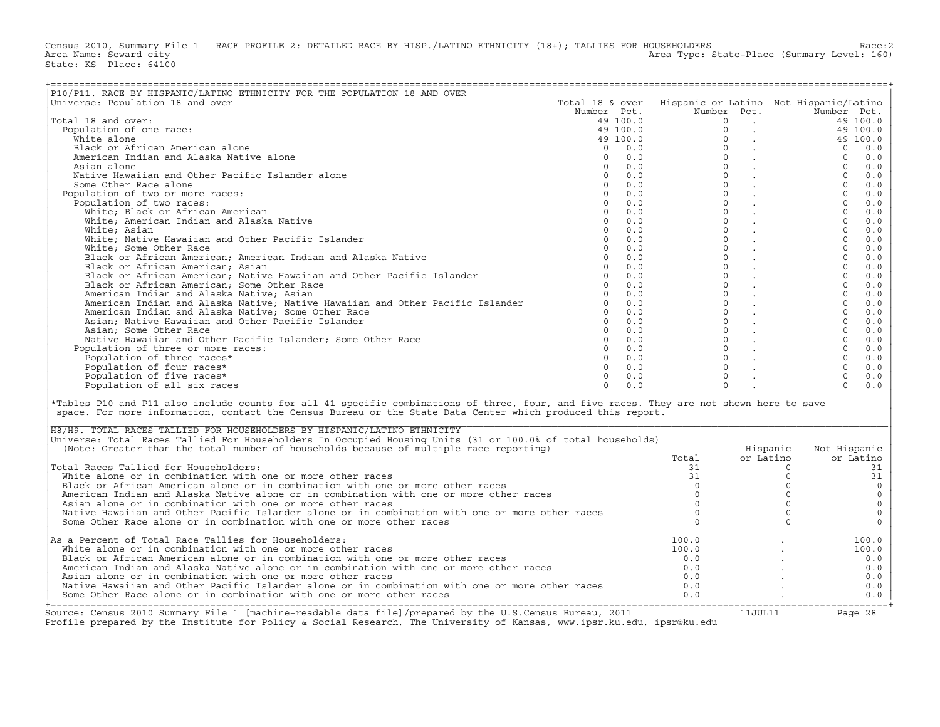Census 2010, Summary File 1 RACE PROFILE 2: DETAILED RACE BY HISP./LATINO ETHNICITY (18+); TALLIES FOR HOUSEHOLDERS Race:2<br>Area Name: Seward city Area Type: State-Place (Summary Level: 160) State: KS Place: 64100

| -------------------------------------                                                                                                                                                                                                                                                                                               |                 |          |              |                                                                      |                                        |             |
|-------------------------------------------------------------------------------------------------------------------------------------------------------------------------------------------------------------------------------------------------------------------------------------------------------------------------------------|-----------------|----------|--------------|----------------------------------------------------------------------|----------------------------------------|-------------|
| P10/P11. RACE BY HISPANIC/LATINO ETHNICITY FOR THE POPULATION 18 AND OVER                                                                                                                                                                                                                                                           |                 |          |              |                                                                      |                                        |             |
| Universe: Population 18 and over                                                                                                                                                                                                                                                                                                    | Total 18 & over |          |              |                                                                      | Hispanic or Latino Not Hispanic/Latino |             |
|                                                                                                                                                                                                                                                                                                                                     | Number Pct.     |          |              | Number Pct.                                                          | Number Pct.                            |             |
| Total 18 and over:                                                                                                                                                                                                                                                                                                                  |                 | 49 100.0 | $\mathbf 0$  | $\sim$ $-$                                                           |                                        | 49 100.0    |
| Population of one race:                                                                                                                                                                                                                                                                                                             |                 | 49 100.0 | $\Omega$     | $\mathcal{L}^{\text{max}}$                                           |                                        | 49 100.0    |
| White alone                                                                                                                                                                                                                                                                                                                         |                 | 49 100.0 | $\Omega$     |                                                                      |                                        | 49 100.0    |
|                                                                                                                                                                                                                                                                                                                                     |                 |          | $\mathbf 0$  |                                                                      |                                        |             |
| Black or African American alone                                                                                                                                                                                                                                                                                                     | $\Omega$        | 0.0      |              |                                                                      | $\Omega$                               | 0.0         |
| American Indian and Alaska Native alone                                                                                                                                                                                                                                                                                             | $\mathbf 0$     | 0.0      |              | $\circ$                                                              | $\circ$                                | 0.0         |
| Asian alone                                                                                                                                                                                                                                                                                                                         | $\Omega$        | 0.0      |              | $\Omega$                                                             | $\circ$                                | 0.0         |
| Native Hawaiian and Other Pacific Islander alone                                                                                                                                                                                                                                                                                    | $\Omega$        | 0.0      |              | $\Omega$<br><b>Contract Contract</b>                                 | $\Omega$                               | 0.0         |
| Some Other Race alone                                                                                                                                                                                                                                                                                                               | $\Omega$        | 0.0      |              | $\Omega$<br><b>Contractor</b>                                        | $\Omega$                               | 0.0         |
| Population of two or more races:                                                                                                                                                                                                                                                                                                    | $\Omega$        | 0.0      |              | $\Omega$<br><b>Contract Contract</b>                                 | $\Omega$                               | 0.0         |
| Population of two races:                                                                                                                                                                                                                                                                                                            | $\Omega$        | 0.0      |              | $\mathbf{0}$<br><b>Contract Contract</b>                             | $\circ$                                | 0.0         |
| White; Black or African American                                                                                                                                                                                                                                                                                                    | $\Omega$        | 0.0      | $\Omega$     | <b>Contract Contract</b>                                             | $\Omega$                               | 0.0         |
| White; American Indian and Alaska Native                                                                                                                                                                                                                                                                                            | $\mathbf{0}$    | 0.0      | $\circ$      | <b>Contract Contract</b>                                             | $\circ$                                | 0.0         |
| White; Asian                                                                                                                                                                                                                                                                                                                        | $\Omega$        | 0.0      | $\mathbf{0}$ | <b>Contract Contract</b>                                             | $\Omega$                               | 0.0         |
| White; Native Hawaiian and Other Pacific Islander                                                                                                                                                                                                                                                                                   | $\circ$         | 0.0      | $\mathbf{0}$ | $\mathcal{L}(\mathcal{A})$ .                                         | $\circ$                                | 0.0         |
| White; Some Other Race                                                                                                                                                                                                                                                                                                              | $\Omega$        | 0.0      |              | $\circ$<br><b>Contract Contract</b>                                  | $\circ$                                | 0.0         |
| Black or African American; American Indian and Alaska Native                                                                                                                                                                                                                                                                        | $\Omega$        | 0.0      | $\Omega$     |                                                                      | $\Omega$                               | 0.0         |
| Black or African American; Asian                                                                                                                                                                                                                                                                                                    | $\Omega$        | 0.0      | $\circ$      | $\sim 100$ km s $^{-1}$                                              | $\mathbf{0}$                           | 0.0         |
| Black or African American; Native Hawaiian and Other Pacific Islander                                                                                                                                                                                                                                                               | $\Omega$        | 0.0      | $\mathbf{0}$ | <b>Contract Contract</b>                                             | $\Omega$                               | $0.0$       |
| Black or African American; Some Other Race                                                                                                                                                                                                                                                                                          | $\Omega$        | 0.0      |              | $\Omega$                                                             | $\Omega$                               | 0.0         |
|                                                                                                                                                                                                                                                                                                                                     | $\Omega$        |          | $\circ$      | <b>Contractor</b>                                                    | $\mathbf{0}$                           |             |
| American Indian and Alaska Native; Asian                                                                                                                                                                                                                                                                                            |                 | 0.0      |              | $\sim 10^{-11}$                                                      |                                        | 0.0         |
| American Indian and Alaska Native; Native Hawaiian and Other Pacific Islander                                                                                                                                                                                                                                                       | $\circ$         | 0.0      |              | $\mathbf{0}$                                                         | $\circ$                                | 0.0         |
| American Indian and Alaska Native; Some Other Race                                                                                                                                                                                                                                                                                  | $\Omega$        | 0.0      | $\Omega$     | <b>Contract Contract</b>                                             | $\Omega$                               | 0.0         |
| Asian; Native Hawaiian and Other Pacific Islander                                                                                                                                                                                                                                                                                   | $\Omega$        | 0.0      | $\mathbf{0}$ | <b>Contract Contract</b>                                             | $\Omega$                               | 0.0         |
| Asian; Some Other Race                                                                                                                                                                                                                                                                                                              | $\Omega$        | 0.0      |              | $\circ$<br>$\mathcal{L}(\mathcal{A})$ and $\mathcal{L}(\mathcal{A})$ | $\mathbf{0}$                           | 0.0         |
| Native Hawaiian and Other Pacific Islander; Some Other Race                                                                                                                                                                                                                                                                         | $\Omega$        | 0.0      | $\Omega$     | <b>Contract Contract</b>                                             | $\Omega$                               | 0.0         |
| Population of three or more races:                                                                                                                                                                                                                                                                                                  | $\Omega$        | 0.0      |              | $\circ$                                                              | $\mathbf{0}$                           | $0.0$       |
| Population of three races*                                                                                                                                                                                                                                                                                                          | $\Omega$        | 0.0      |              | $\Omega$                                                             | $\Omega$                               | 0.0         |
| Population of four races*                                                                                                                                                                                                                                                                                                           | $\Omega$        | 0.0      | $\Omega$     |                                                                      | $\circ$                                | 0.0         |
| Population of five races*                                                                                                                                                                                                                                                                                                           | $\Omega$        | 0.0      | $\Omega$     |                                                                      | $\Omega$                               | 0.0         |
| Population of all six races                                                                                                                                                                                                                                                                                                         | $\Omega$        | 0.0      | $\Omega$     |                                                                      | $\Omega$                               | 0.0         |
|                                                                                                                                                                                                                                                                                                                                     |                 |          |              |                                                                      |                                        |             |
| *Tables P10 and P11 also include counts for all 41 specific combinations of three, four, and five races. They are not shown here to save<br>space. For more information, contact the Census Bureau or the State Data Center which produced this report.<br>H8/H9. TOTAL RACES TALLIED FOR HOUSEHOLDERS BY HISPANIC/LATINO ETHNICITY |                 |          |              |                                                                      |                                        |             |
| Universe: Total Races Tallied For Householders In Occupied Housing Units (31 or 100.0% of total households)                                                                                                                                                                                                                         |                 |          |              |                                                                      |                                        |             |
| (Note: Greater than the total number of households because of multiple race reporting)                                                                                                                                                                                                                                              |                 |          |              | Hispanic                                                             | Not Hispanic                           |             |
|                                                                                                                                                                                                                                                                                                                                     |                 |          | Total        | or Latino                                                            |                                        | or Latino   |
| Total Races Tallied for Householders:                                                                                                                                                                                                                                                                                               |                 |          | 31           |                                                                      | $\circ$                                | 31          |
| White alone or in combination with one or more other races                                                                                                                                                                                                                                                                          |                 |          | 31           |                                                                      | $\Omega$                               | 31          |
| Black or African American alone or in combination with one or more other races                                                                                                                                                                                                                                                      |                 |          | $\Omega$     |                                                                      | $\Omega$                               | $\mathbb O$ |
| American Indian and Alaska Native alone or in combination with one or more other races                                                                                                                                                                                                                                              |                 |          | $\mathbf 0$  |                                                                      | $\mathbf 0$                            | $\circ$     |
| Asian alone or in combination with one or more other races                                                                                                                                                                                                                                                                          |                 |          | $\Omega$     |                                                                      | $\mathbf 0$                            | $\mathsf O$ |
| Native Hawaiian and Other Pacific Islander alone or in combination with one or more other races                                                                                                                                                                                                                                     |                 |          | $\mathbf 0$  |                                                                      | $\mathbf 0$                            | $\circ$     |
| Some Other Race alone or in combination with one or more other races                                                                                                                                                                                                                                                                |                 |          | $\Omega$     |                                                                      | $\Omega$                               | $\circ$     |
|                                                                                                                                                                                                                                                                                                                                     |                 |          |              |                                                                      |                                        |             |
| As a Percent of Total Race Tallies for Householders:                                                                                                                                                                                                                                                                                |                 |          | 100.0        |                                                                      |                                        | 100.0       |
| White alone or in combination with one or more other races                                                                                                                                                                                                                                                                          |                 |          | 100.0        |                                                                      |                                        | 100.0       |
| Black or African American alone or in combination with one or more other races                                                                                                                                                                                                                                                      |                 |          | 0.0          |                                                                      |                                        | 0.0         |
| American Indian and Alaska Native alone or in combination with one or more other races                                                                                                                                                                                                                                              |                 |          | 0.0          |                                                                      |                                        | 0.0         |
| Asian alone or in combination with one or more other races                                                                                                                                                                                                                                                                          |                 |          | 0.0          |                                                                      |                                        | 0.0         |
| Native Hawaiian and Other Pacific Islander alone or in combination with one or more other races                                                                                                                                                                                                                                     |                 |          | 0.0          |                                                                      |                                        | 0.0         |
| Some Other Race alone or in combination with one or more other races                                                                                                                                                                                                                                                                |                 |          | 0.0          |                                                                      |                                        | 0.0         |
|                                                                                                                                                                                                                                                                                                                                     |                 |          |              |                                                                      |                                        |             |

| H8/H9. TOTAL RACES TALLIED FOR HOUSEHOLDERS BY HISPANIC/LATINO ETHNICITY                                    |       |           |              |
|-------------------------------------------------------------------------------------------------------------|-------|-----------|--------------|
| Universe: Total Races Tallied For Householders In Occupied Housing Units (31 or 100.0% of total households) |       |           |              |
| (Note: Greater than the total number of households because of multiple race reporting)                      |       | Hispanic  | Not Hispanic |
|                                                                                                             | Total | or Latino | or Latino    |
| Total Races Tallied for Householders:                                                                       |       |           |              |
| White alone or in combination with one or more other races                                                  |       |           |              |
| Black or African American alone or in combination with one or more other races                              |       |           |              |
| American Indian and Alaska Native alone or in combination with one or more other races                      |       |           |              |
| Asian alone or in combination with one or more other races                                                  |       |           |              |
| Native Hawaiian and Other Pacific Islander alone or in combination with one or more other races             |       |           |              |
| Some Other Race alone or in combination with one or more other races                                        |       |           |              |
| $\vert$ As a Percent of Total Race Tallies for Householders:                                                | 100.0 |           | 100.0        |
| White alone or in combination with one or more other races                                                  | 100.0 |           | 100.0        |
| Black or African American alone or in combination with one or more other races                              | 0.0   |           | 0.0          |
| American Indian and Alaska Native alone or in combination with one or more other races                      | 0.0   |           | 0.0          |
| Asian alone or in combination with one or more other races                                                  | 0.0   |           | 0.0          |
| Native Hawaiian and Other Pacific Islander alone or in combination with one or more other races             | 0.0   |           | 0.0          |
| Some Other Race alone or in combination with one or more other races                                        | 0.0   |           | 0.0          |
| Source: Census 2010 Summary File 1 [machine-readable data file]/prepared by the U.S.Census Bureau, 2011     |       | 11JUL11   | Page 28      |

Profile prepared by the Institute for Policy & Social Research, The University of Kansas, www.ipsr.ku.edu, ipsr@ku.edu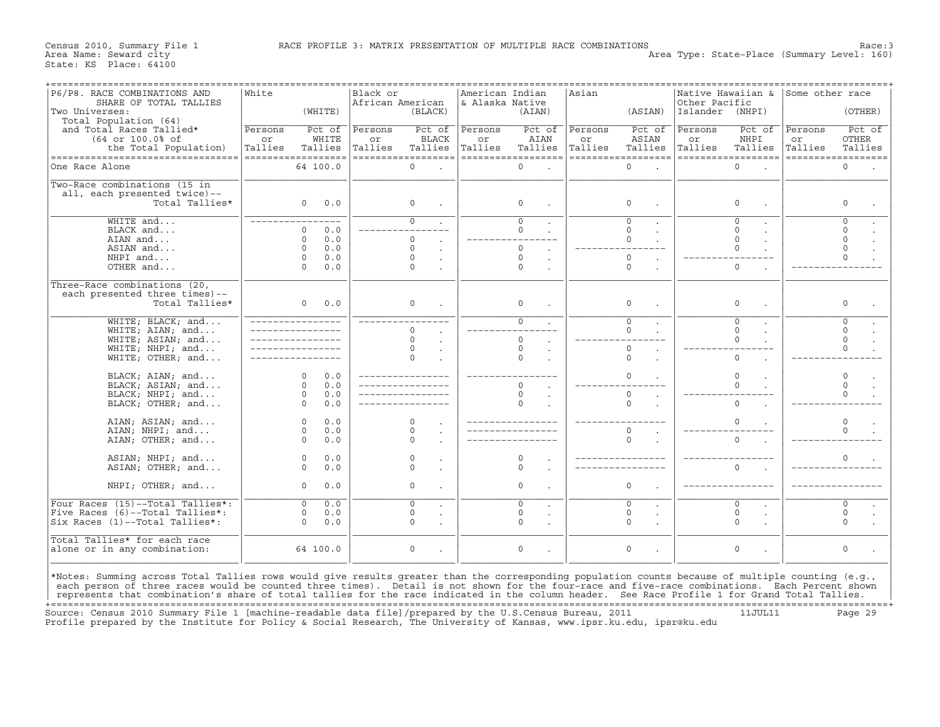Census 2010, Summary File 1 RACE PROFILE 3: MATRIX PRESENTATION OF MULTIPLE RACE COMBINATIONS Race:3<br>Area Name: Seward city Race:3 Area Type: State-Place (Summary Level: 160)

| P6/P8. RACE COMBINATIONS AND                                                                                                                      | White   |                    | Black or         |                      | American Indian |                    | Asian   |                          | Native Hawaiian &  |                | Some other race |                    |
|---------------------------------------------------------------------------------------------------------------------------------------------------|---------|--------------------|------------------|----------------------|-----------------|--------------------|---------|--------------------------|--------------------|----------------|-----------------|--------------------|
| SHARE OF TOTAL TALLIES                                                                                                                            |         |                    | African American |                      | & Alaska Native |                    |         |                          | Other Pacific      |                |                 |                    |
| Two Universes:                                                                                                                                    |         | (WHITE)            |                  | (BLACC)              |                 | (AIAN)             |         | (ASIAN)                  | Islander (NHPI)    |                |                 | (OTHER)            |
|                                                                                                                                                   |         |                    |                  |                      |                 |                    |         |                          |                    |                |                 |                    |
| Total Population (64)                                                                                                                             |         |                    |                  |                      |                 |                    |         |                          |                    |                |                 |                    |
| and Total Races Tallied*                                                                                                                          | Persons | Pct of             | Persons          | Pct of               | Persons         | Pct of             | Persons | Pct of                   | Persons            | Pct of         | Persons         | Pct of             |
| (64 or 100.0% of                                                                                                                                  | or      | WHITE              | or               | <b>BLACK</b>         | or              | AIAN               | or      | ASIAN                    | or                 | NHPI           | or              | <b>OTHER</b>       |
|                                                                                                                                                   | Tallies | Tallies            | Tallies          | Tallies              | Tallies         | Tallies            | Tallies | Tallies                  | Tallies            | Tallies        | Tallies         | Tallies            |
| the Total Population)                                                                                                                             |         |                    |                  |                      |                 |                    |         |                          |                    |                |                 |                    |
| ===================================                                                                                                               |         | ------------------ |                  | ------------------   |                 | ================== |         | ===================      | ================== |                |                 | ================== |
| One Race Alone                                                                                                                                    |         | 64 100.0           |                  | $\mathbf 0$          |                 | $\circ$            |         | $\circ$                  |                    | $\circ$        |                 | $\Omega$           |
|                                                                                                                                                   |         |                    |                  |                      |                 |                    |         |                          |                    |                |                 |                    |
|                                                                                                                                                   |         |                    |                  |                      |                 |                    |         |                          |                    |                |                 |                    |
| Two-Race combinations (15 in                                                                                                                      |         |                    |                  |                      |                 |                    |         |                          |                    |                |                 |                    |
| all, each presented twice)--                                                                                                                      |         |                    |                  |                      |                 |                    |         |                          |                    |                |                 |                    |
| Total Tallies*                                                                                                                                    |         | 0.0<br>$\circ$     |                  | $\mathsf{O}$         |                 | $\circ$            |         | $\circ$                  |                    | 0              |                 | $\Omega$           |
|                                                                                                                                                   |         |                    |                  |                      |                 |                    |         |                          |                    |                |                 |                    |
|                                                                                                                                                   |         |                    |                  |                      |                 |                    |         |                          |                    |                |                 |                    |
| $WHTTE$ and                                                                                                                                       |         |                    |                  | $\overline{0}$       |                 | $\overline{0}$     |         | $\overline{0}$           |                    | $\overline{0}$ |                 | $\Omega$           |
| BLACK and                                                                                                                                         |         | 0.0<br>$\Omega$    |                  |                      |                 | $\Omega$           |         | $\Omega$                 |                    | $\Omega$       |                 | $\Omega$           |
| AIAN and                                                                                                                                          |         | $\Omega$<br>0.0    |                  | $\Omega$             |                 |                    |         | $\Omega$                 |                    | $\Omega$       |                 | $\Omega$           |
|                                                                                                                                                   |         |                    |                  |                      |                 | $\Omega$           |         |                          |                    | $\Omega$       |                 | $\Omega$           |
| ASIAN and                                                                                                                                         |         | $\Omega$<br>0.0    |                  | $\circ$              |                 |                    |         |                          |                    |                |                 |                    |
| NHPI and                                                                                                                                          |         | $\Omega$<br>0.0    |                  | $\Omega$             |                 | $\circ$            |         | $\circ$                  |                    |                |                 | $\Omega$           |
| OTHER and                                                                                                                                         |         | $\Omega$<br>0.0    |                  | $\circ$              |                 | 0                  |         | $\mathbf 0$              |                    | $\circ$        |                 |                    |
|                                                                                                                                                   |         |                    |                  |                      |                 |                    |         |                          |                    |                |                 |                    |
|                                                                                                                                                   |         |                    |                  |                      |                 |                    |         |                          |                    |                |                 |                    |
| Three-Race combinations (20,                                                                                                                      |         |                    |                  |                      |                 |                    |         |                          |                    |                |                 |                    |
| each presented three times)--                                                                                                                     |         |                    |                  |                      |                 |                    |         |                          |                    |                |                 |                    |
| Total Tallies*                                                                                                                                    |         | 0.0<br>$\circ$     |                  | $\mathbf 0$          |                 | $\mathbf{0}$       |         | $\circ$                  |                    | 0              |                 | $\mathbf 0$        |
|                                                                                                                                                   |         |                    |                  |                      |                 |                    |         |                          |                    |                |                 |                    |
|                                                                                                                                                   |         |                    |                  |                      |                 |                    |         |                          |                    |                |                 |                    |
| WHITE; BLACK; and                                                                                                                                 |         |                    |                  |                      |                 | $\overline{0}$     |         | $\overline{0}$           |                    | $\overline{0}$ |                 | $\overline{0}$     |
| WHITE; AIAN; and                                                                                                                                  |         |                    |                  | $\Omega$             |                 |                    |         | $\Omega$                 |                    | $\Omega$       |                 | $\Omega$           |
| WHITE; ASIAN; and                                                                                                                                 |         |                    |                  | $\circ$              |                 | $\circ$            |         |                          |                    | $\Omega$       |                 | $\Omega$           |
|                                                                                                                                                   |         |                    |                  | $\ddot{\phantom{a}}$ |                 |                    |         |                          |                    |                |                 |                    |
| WHITE; NHPI; and                                                                                                                                  |         |                    |                  | $\Omega$             |                 | $\Omega$           |         | $\Omega$                 |                    |                |                 | $\Omega$           |
| WHITE; OTHER; and                                                                                                                                 |         |                    |                  | $\Omega$             |                 | $\Omega$           |         | $\circ$                  |                    | $\Omega$       |                 |                    |
|                                                                                                                                                   |         |                    |                  |                      |                 |                    |         |                          |                    |                |                 |                    |
|                                                                                                                                                   |         | $\mathbf 0$        |                  |                      |                 |                    |         | $\Omega$                 |                    | 0              |                 | $\mathbf 0$        |
| BLACK; AIAN; and                                                                                                                                  |         | 0.0                |                  |                      |                 |                    |         |                          |                    |                |                 |                    |
| BLACK; ASIAN; and                                                                                                                                 |         | $\Omega$<br>0.0    |                  |                      |                 | $\Omega$           |         |                          |                    | $\Omega$       |                 | $\Omega$           |
| BLACK; NHPI; and                                                                                                                                  |         | $\Omega$<br>0.0    |                  |                      |                 | $\Omega$           |         | $\circ$                  |                    |                |                 | $\Omega$           |
| BLACK; OTHER; and                                                                                                                                 |         | $\Omega$<br>0.0    |                  |                      |                 | $\Omega$           |         | $\Omega$                 |                    | $\Omega$       |                 |                    |
|                                                                                                                                                   |         |                    |                  |                      |                 |                    |         |                          |                    |                |                 |                    |
|                                                                                                                                                   |         |                    |                  |                      |                 |                    |         |                          |                    |                |                 |                    |
| AIAN; ASIAN; and                                                                                                                                  |         | 0.0<br>0           |                  | $\circ$              |                 |                    |         |                          |                    | $\Omega$       |                 | $\mathsf{O}$       |
| AIAN; NHPI; and                                                                                                                                   |         | 0.0<br>$\Omega$    |                  | $\Omega$             |                 |                    |         | $\Omega$                 |                    |                |                 | $\Omega$           |
|                                                                                                                                                   |         | $\Omega$<br>0.0    |                  | $\Omega$             |                 |                    |         | $\Omega$                 |                    | $\Omega$       |                 |                    |
| AIAN; OTHER; and                                                                                                                                  |         |                    |                  |                      |                 |                    |         |                          |                    |                |                 |                    |
|                                                                                                                                                   |         |                    |                  |                      |                 |                    |         |                          |                    |                |                 |                    |
| ASIAN; NHPI; and                                                                                                                                  |         | 0.0<br>$\Omega$    |                  | $\Omega$             |                 | $\Omega$           |         |                          |                    |                |                 | $\Omega$           |
| ASIAN; OTHER; and                                                                                                                                 |         | $\Omega$<br>0.0    |                  | $\Omega$             |                 | $\Omega$           |         |                          |                    | $\circ$        |                 |                    |
|                                                                                                                                                   |         |                    |                  |                      |                 |                    |         |                          |                    |                |                 |                    |
|                                                                                                                                                   |         |                    |                  |                      |                 |                    |         |                          |                    |                |                 |                    |
| NHPI; OTHER; and                                                                                                                                  |         | 0.0<br>$\circ$     |                  | $\mathsf{O}$         |                 | $\circ$            |         | $\mathsf O$<br>$\bullet$ |                    |                |                 |                    |
|                                                                                                                                                   |         |                    |                  |                      |                 |                    |         |                          |                    |                |                 |                    |
| Four Races (15)--Total Tallies*:                                                                                                                  |         | 0.0<br>$\Omega$    |                  | $\overline{0}$       |                 | $\Omega$           |         | $\mathbf 0$              |                    | 0              |                 | $\Omega$           |
|                                                                                                                                                   |         |                    |                  | $\mathbf{r}$ .       |                 |                    |         | $\sim$                   |                    |                |                 |                    |
| Five Races (6)--Total Tallies*:                                                                                                                   |         | $\circ$<br>0.0     |                  | 0                    |                 | 0                  |         | 0<br>$\cdot$             |                    | $\circ$        |                 | $\mathbf 0$        |
| Six Races (1)--Total Tallies*:                                                                                                                    |         | $\Omega$<br>0.0    |                  | $\Omega$             |                 | $\Omega$           |         | $\Omega$                 |                    | $\Omega$       |                 | $\Omega$           |
|                                                                                                                                                   |         |                    |                  |                      |                 |                    |         |                          |                    |                |                 |                    |
| Total Tallies* for each race                                                                                                                      |         |                    |                  |                      |                 |                    |         |                          |                    |                |                 |                    |
|                                                                                                                                                   |         |                    |                  |                      |                 |                    |         |                          |                    |                |                 |                    |
| alone or in any combination:                                                                                                                      |         | 64 100.0           |                  | $\mathsf{O}$         |                 | 0                  |         | $\mathsf O$              |                    | 0              |                 | $\mathbf 0$        |
|                                                                                                                                                   |         |                    |                  |                      |                 |                    |         |                          |                    |                |                 |                    |
|                                                                                                                                                   |         |                    |                  |                      |                 |                    |         |                          |                    |                |                 |                    |
|                                                                                                                                                   |         |                    |                  |                      |                 |                    |         |                          |                    |                |                 |                    |
| *Notes: Summing across Total Tallies rows would give results greater than the corresponding population counts because of multiple counting (e.g., |         |                    |                  |                      |                 |                    |         |                          |                    |                |                 |                    |
| each person of three races would be counted three times). Detail is not shown for the four-race and five-race combinations. Each Percent shown    |         |                    |                  |                      |                 |                    |         |                          |                    |                |                 |                    |
| represents that combination's share of total tallies for the race indicated in the column header. See Race Profile 1 for Grand Total Tallies.     |         |                    |                  |                      |                 |                    |         |                          |                    |                |                 |                    |

+===================================================================================================================================================+

Source: Census 2010 Summary File 1 [machine-readable data file]/prepared by the U.S.Census Bureau, 2011 11JUL11 Page 29 Profile prepared by the Institute for Policy & Social Research, The University of Kansas, www.ipsr.ku.edu, ipsr@ku.edu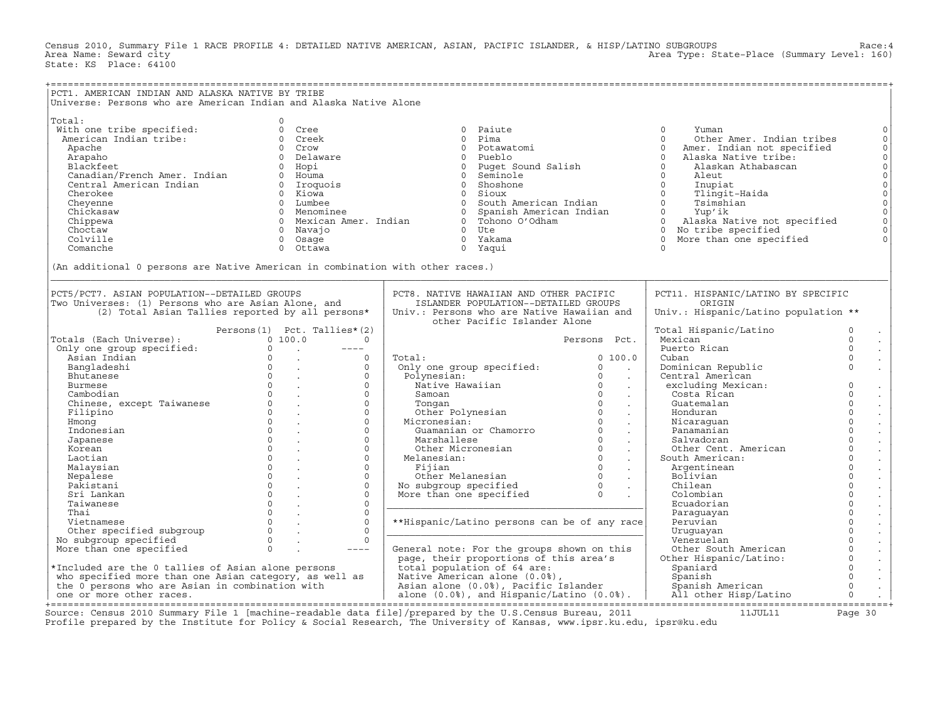Census 2010, Summary File 1 RACE PROFILE 4: DETAILED NATIVE AMERICAN, ASIAN, PACIFIC ISLANDER, & HISP/LATINO SUBGROUPS Race:4 Area Type: State-Place (Summary Level: 160) State: KS Place: 64100

| PCT1. AMERICAN INDIAN AND ALASKA NATIVE BY TRIBE                                                                                                                                                                                               |                                                                                                                                                                                             |                                                                                                                                                                                                                                                                                 |                                        |                                                                                                                                                                                                                                                                                                                                                                                                                                  |                                                                                                                                                                                         |
|------------------------------------------------------------------------------------------------------------------------------------------------------------------------------------------------------------------------------------------------|---------------------------------------------------------------------------------------------------------------------------------------------------------------------------------------------|---------------------------------------------------------------------------------------------------------------------------------------------------------------------------------------------------------------------------------------------------------------------------------|----------------------------------------|----------------------------------------------------------------------------------------------------------------------------------------------------------------------------------------------------------------------------------------------------------------------------------------------------------------------------------------------------------------------------------------------------------------------------------|-----------------------------------------------------------------------------------------------------------------------------------------------------------------------------------------|
| Universe: Persons who are American Indian and Alaska Native Alone                                                                                                                                                                              |                                                                                                                                                                                             |                                                                                                                                                                                                                                                                                 |                                        |                                                                                                                                                                                                                                                                                                                                                                                                                                  |                                                                                                                                                                                         |
| Total:<br>With one tribe specified:<br>American Indian tribe:<br>Apache<br>Arapaho<br>Blackfeet<br>Canadian/French Amer. Indian<br>Central American Indian<br>Cherokee<br>Cheyenne<br>Chickasaw<br>Chippewa<br>Choctaw<br>Colville<br>Comanche | $\Omega$<br>0 Cree<br>0 Creek<br>0 Crow<br>0 Delaware<br>0 Hopi<br>0 Houma<br>0 Iroquois<br>0 Kiowa<br>0 Lumbee<br>0 Menominee<br>0 Mexican Amer. Indian<br>0 Navajo<br>0 Osage<br>0 Ottawa | 0 Paiute<br>0 Pima<br>0 Potawatomi<br>0 Pueblo<br>0 Puget Sound Salish<br>Seminole<br>$\overline{0}$<br>Shoshone<br>$\Omega$<br>0 Sioux<br>South American Indian<br>$\overline{0}$<br>Spanish American Indian<br>$\Omega$<br>0 Tohono O'Odham<br>$0$ Ute<br>0 Yakama<br>0 Yaqui |                                        | $\circ$<br>Yuman<br>$\Omega$<br>Other Amer. Indian tribes<br>$\Omega$<br>Amer. Indian not specified<br>$\Omega$<br>Alaska Native tribe:<br>$\Omega$<br>Alaskan Athabascan<br>$\Omega$<br>Aleut<br>$\Omega$<br>Inupiat<br>$\Omega$<br>Tlingit-Haida<br>Tsimshian<br>$\Omega$<br>$\Omega$<br>Yup'ik<br>$\Omega$<br>Alaska Native not specified<br>No tribe specified<br>$\Omega$<br>$\circ$<br>More than one specified<br>$\Omega$ | $\circ$<br>$\circ$<br>$\circ$<br>$\mathsf{O}\xspace$<br>$\begin{matrix} 0 \\ 0 \end{matrix}$<br>$\mathsf{O}$<br>$\mathbb O$<br>$\mathbb O$<br>$\circ$<br>$\circ$<br>$\circ$<br>$\Omega$ |
| (An additional 0 persons are Native American in combination with other races.)                                                                                                                                                                 |                                                                                                                                                                                             |                                                                                                                                                                                                                                                                                 |                                        |                                                                                                                                                                                                                                                                                                                                                                                                                                  |                                                                                                                                                                                         |
| PCT5/PCT7. ASIAN POPULATION--DETAILED GROUPS<br>Two Universes: (1) Persons who are Asian Alone, and                                                                                                                                            | (2) Total Asian Tallies reported by all persons*                                                                                                                                            | PCT8. NATIVE HAWAIIAN AND OTHER PACIFIC<br>ISLANDER POPULATION--DETAILED GROUPS<br>Univ.: Persons who are Native Hawaiian and<br>other Pacific Islander Alone                                                                                                                   |                                        | PCT11. HISPANIC/LATINO BY SPECIFIC<br>ORIGIN<br>Univ.: Hispanic/Latino population **                                                                                                                                                                                                                                                                                                                                             |                                                                                                                                                                                         |
| Totals (Each Universe):                                                                                                                                                                                                                        | Persons (1) Pct. Tallies* (2)<br>0, 100, 0<br>$\Omega$                                                                                                                                      |                                                                                                                                                                                                                                                                                 | Persons Pct.                           | Total Hispanic/Latino<br>Mexican                                                                                                                                                                                                                                                                                                                                                                                                 | 0<br>$\Omega$                                                                                                                                                                           |
| Only one group specified:                                                                                                                                                                                                                      | $\Omega$<br>$\sim 10^{11}$ km $^{-1}$<br>$---$                                                                                                                                              |                                                                                                                                                                                                                                                                                 |                                        | Puerto Rican                                                                                                                                                                                                                                                                                                                                                                                                                     | $\Omega$                                                                                                                                                                                |
| Asian Indian<br>Bangladeshi                                                                                                                                                                                                                    | $\Omega$<br>$\Omega$<br><b>Contract</b><br>$0 \qquad \qquad .$<br>$\mathsf{O}$                                                                                                              | Total:<br>Only one group specified:                                                                                                                                                                                                                                             | 0, 100.0<br>$\circ$<br>$\sim 10^{-11}$ | Cuban<br>Dominican Republic                                                                                                                                                                                                                                                                                                                                                                                                      | $\circ$<br>$\Omega$                                                                                                                                                                     |
| Bhutanese                                                                                                                                                                                                                                      | $\Omega$<br>$\Omega$                                                                                                                                                                        | Polynesian:                                                                                                                                                                                                                                                                     | $\Omega$<br>$\ddot{\phantom{a}}$       | Central American                                                                                                                                                                                                                                                                                                                                                                                                                 |                                                                                                                                                                                         |
| Burmese                                                                                                                                                                                                                                        | $\Omega$<br>$\Omega$<br><b>Contract Contract</b>                                                                                                                                            | Native Hawaiian                                                                                                                                                                                                                                                                 | $\circ$<br>$\sim 10$                   | excluding Mexican:                                                                                                                                                                                                                                                                                                                                                                                                               | $\circ$<br>$\bullet$                                                                                                                                                                    |
| Cambodian                                                                                                                                                                                                                                      | $0 \qquad \qquad .$<br>$\circ$                                                                                                                                                              | Samoan                                                                                                                                                                                                                                                                          | $\circ$<br>$\sim$                      | Costa Rican                                                                                                                                                                                                                                                                                                                                                                                                                      | $\circ$<br>$\Box$                                                                                                                                                                       |
| Chinese, except Taiwanese                                                                                                                                                                                                                      | $\Omega$<br>$\Omega$                                                                                                                                                                        | Tonqan                                                                                                                                                                                                                                                                          | $\Omega$<br>$\sim$                     | Guatemalan                                                                                                                                                                                                                                                                                                                                                                                                                       | $\Omega$<br>$\frac{1}{2}$                                                                                                                                                               |
| Filipino                                                                                                                                                                                                                                       | $\Omega$<br>$\Omega$<br><b>Contract Contract</b>                                                                                                                                            | Other Polynesian                                                                                                                                                                                                                                                                | $\Omega$<br>$\sim$                     | Honduran                                                                                                                                                                                                                                                                                                                                                                                                                         | $\circ$                                                                                                                                                                                 |
| Hmong                                                                                                                                                                                                                                          | $\Omega$<br>$\Omega$<br>$\Omega$<br>$\circ$                                                                                                                                                 | Micronesian:<br>Guamanian or Chamorro                                                                                                                                                                                                                                           | $\Omega$<br>$\sim$<br>$\circ$          | Nicaraquan<br>Panamanian                                                                                                                                                                                                                                                                                                                                                                                                         | $\mathsf{O}\xspace$<br>$\mathcal{L}^{\pm}$<br>$\overline{0}$                                                                                                                            |
| Indonesian<br>Japanese                                                                                                                                                                                                                         | $\Omega$<br>$\Omega$<br>$\sim$                                                                                                                                                              | Marshallese                                                                                                                                                                                                                                                                     | $\sim$<br>$\Omega$<br>$\sim$           | Salvadoran                                                                                                                                                                                                                                                                                                                                                                                                                       | $\mathbb{Z}^2$<br>$\Omega$                                                                                                                                                              |
| Korean                                                                                                                                                                                                                                         | $\Omega$<br>$\circ$<br>$\sim$                                                                                                                                                               | Other Micronesian                                                                                                                                                                                                                                                               | $\circ$<br>$\sim$                      | Other Cent. American                                                                                                                                                                                                                                                                                                                                                                                                             | $\mathbb{Z}^2$<br>$\overline{0}$<br>$\Box$                                                                                                                                              |
| Laotian                                                                                                                                                                                                                                        | $\Omega$<br>$\circ$                                                                                                                                                                         | Melanesian:                                                                                                                                                                                                                                                                     | $\Omega$<br>$\sim$                     | South American:                                                                                                                                                                                                                                                                                                                                                                                                                  | $\mathsf{O}\xspace$                                                                                                                                                                     |
| Malaysian                                                                                                                                                                                                                                      | $\Omega$<br>$\Omega$                                                                                                                                                                        | Fijian                                                                                                                                                                                                                                                                          | $\Omega$<br>$\sim$                     | Argentinean                                                                                                                                                                                                                                                                                                                                                                                                                      | $\circ$                                                                                                                                                                                 |
| Nepalese                                                                                                                                                                                                                                       | $\Omega$<br>$\Omega$                                                                                                                                                                        | Other Melanesian 0<br>No subgroup specified 0<br>More than one specified 0                                                                                                                                                                                                      |                                        | Bolivian                                                                                                                                                                                                                                                                                                                                                                                                                         | $\circ$                                                                                                                                                                                 |
| Pakistani                                                                                                                                                                                                                                      | $\Omega$<br>$\Omega$                                                                                                                                                                        |                                                                                                                                                                                                                                                                                 | $\sim$                                 | Chilean                                                                                                                                                                                                                                                                                                                                                                                                                          | $\mathsf{O}\xspace$<br>$\epsilon$                                                                                                                                                       |
| Sri Lankan                                                                                                                                                                                                                                     | $\Omega$<br>$\circ$                                                                                                                                                                         |                                                                                                                                                                                                                                                                                 |                                        | Colombian                                                                                                                                                                                                                                                                                                                                                                                                                        | $\overline{0}$<br>$\mathcal{L}^{\mathcal{L}}$                                                                                                                                           |
| Taiwanese                                                                                                                                                                                                                                      | $\Omega$<br>$\Omega$                                                                                                                                                                        |                                                                                                                                                                                                                                                                                 |                                        | Ecuadorian                                                                                                                                                                                                                                                                                                                                                                                                                       | $\circ$<br>$\epsilon$                                                                                                                                                                   |
| Thai                                                                                                                                                                                                                                           | $\Omega$<br>$\circ$                                                                                                                                                                         |                                                                                                                                                                                                                                                                                 |                                        | Paraguayan                                                                                                                                                                                                                                                                                                                                                                                                                       | $\mathsf{O}\xspace$<br>$\Box$                                                                                                                                                           |
| Vietnamese                                                                                                                                                                                                                                     | $\circ$<br>$\Omega$                                                                                                                                                                         | **Hispanic/Latino persons can be of any race                                                                                                                                                                                                                                    |                                        | Peruvian                                                                                                                                                                                                                                                                                                                                                                                                                         | $\mathsf{O}\xspace$                                                                                                                                                                     |
| Other specified subgroup                                                                                                                                                                                                                       | $\Omega$<br>$\Omega$                                                                                                                                                                        |                                                                                                                                                                                                                                                                                 |                                        | Uruguayan                                                                                                                                                                                                                                                                                                                                                                                                                        | $\circ$<br>$\mathcal{L}_{\mathcal{A}}$                                                                                                                                                  |
| No subgroup specified                                                                                                                                                                                                                          | $\Omega$<br>$\Omega$<br>$\Omega$                                                                                                                                                            |                                                                                                                                                                                                                                                                                 |                                        | Venezuelan                                                                                                                                                                                                                                                                                                                                                                                                                       | $\mathsf{O}\xspace$<br>$\mathbb{Z}^2$                                                                                                                                                   |
| More than one specified                                                                                                                                                                                                                        | $---$                                                                                                                                                                                       | General note: For the groups shown on this                                                                                                                                                                                                                                      |                                        | Other South American                                                                                                                                                                                                                                                                                                                                                                                                             | $\begin{matrix} 0 \\ 0 \\ 0 \end{matrix}$<br>$\sim$                                                                                                                                     |
| *Included are the 0 tallies of Asian alone persons                                                                                                                                                                                             |                                                                                                                                                                                             | page, their proportions of this area's<br>total population of 64 are:                                                                                                                                                                                                           |                                        | Other Hispanic/Latino:                                                                                                                                                                                                                                                                                                                                                                                                           | $\frac{1}{2}$                                                                                                                                                                           |
| who specified more than one Asian category, as well as                                                                                                                                                                                         |                                                                                                                                                                                             | Native American alone (0.0%),                                                                                                                                                                                                                                                   |                                        | Spaniard<br>Spanish                                                                                                                                                                                                                                                                                                                                                                                                              | $\circ$                                                                                                                                                                                 |
| the 0 persons who are Asian in combination with                                                                                                                                                                                                |                                                                                                                                                                                             | Asian alone (0.0%), Pacific Islander                                                                                                                                                                                                                                            |                                        | Spanish American                                                                                                                                                                                                                                                                                                                                                                                                                 | $\Box$<br>$\mathbb O$                                                                                                                                                                   |
| one or more other races.                                                                                                                                                                                                                       |                                                                                                                                                                                             | alone $(0.0%),$ and Hispanic/Latino $(0.0%).$                                                                                                                                                                                                                                   |                                        | All other Hisp/Latino                                                                                                                                                                                                                                                                                                                                                                                                            | $\circ$                                                                                                                                                                                 |
| --------------------                                                                                                                                                                                                                           | ----------------------------------                                                                                                                                                          |                                                                                                                                                                                                                                                                                 |                                        |                                                                                                                                                                                                                                                                                                                                                                                                                                  |                                                                                                                                                                                         |

+===================================================================================================================================================+ Source: Census 2010 Summary File 1 [machine-readable data file]/prepared by the U.S.Census Bureau, 2011 11JUL11 Page 30 Profile prepared by the Institute for Policy & Social Research, The University of Kansas, www.ipsr.ku.edu, ipsr@ku.edu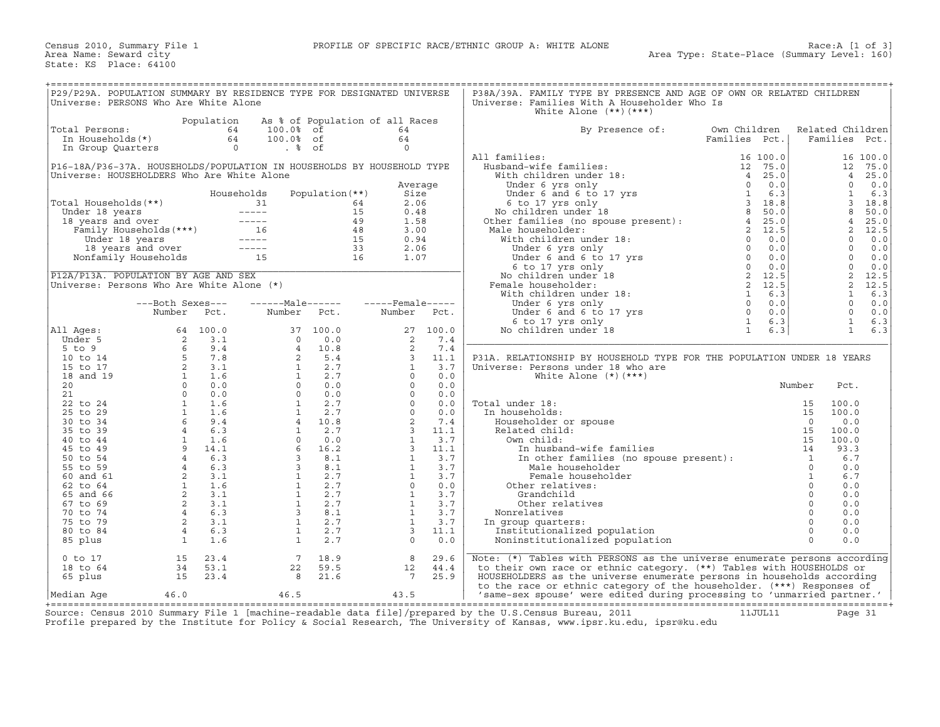| P29/P29A. POPULATION SUMMARY BY RESIDENCE TYPE FOR DESIGNATED UNIVERSE                |                                                                                                                                                                                                                                                                                                                                      |                |                                 |                          |                         |       | P38A/39A. FAMILY TYPE BY PRESENCE AND AGE OF OWN OR RELATED CHILDREN                                                                                                                                                                                           |               |              |                  |          |
|---------------------------------------------------------------------------------------|--------------------------------------------------------------------------------------------------------------------------------------------------------------------------------------------------------------------------------------------------------------------------------------------------------------------------------------|----------------|---------------------------------|--------------------------|-------------------------|-------|----------------------------------------------------------------------------------------------------------------------------------------------------------------------------------------------------------------------------------------------------------------|---------------|--------------|------------------|----------|
| Universe: PERSONS Who Are White Alone                                                 |                                                                                                                                                                                                                                                                                                                                      |                |                                 |                          |                         |       | Universe: Families With A Householder Who Is                                                                                                                                                                                                                   |               |              |                  |          |
|                                                                                       |                                                                                                                                                                                                                                                                                                                                      |                |                                 |                          |                         |       | White Alone $(**)$ $(***)$                                                                                                                                                                                                                                     |               |              |                  |          |
|                                                                                       |                                                                                                                                                                                                                                                                                                                                      |                |                                 |                          |                         |       |                                                                                                                                                                                                                                                                |               |              |                  |          |
|                                                                                       |                                                                                                                                                                                                                                                                                                                                      | Population     | As % of Population of all Races |                          |                         |       |                                                                                                                                                                                                                                                                |               |              |                  |          |
| Total Persons:                                                                        |                                                                                                                                                                                                                                                                                                                                      | 64             | 100.0% of                       |                          | 64                      |       | By Presence of:                                                                                                                                                                                                                                                | Own Children  |              | Related Children |          |
| In Households(*)                                                                      |                                                                                                                                                                                                                                                                                                                                      | 64             | 100.0% of                       |                          | 64                      |       |                                                                                                                                                                                                                                                                | Families Pct. |              | Families         | Pct.     |
| In Group Quarters                                                                     |                                                                                                                                                                                                                                                                                                                                      | $\overline{0}$ | . %                             |                          | $\Omega$                |       |                                                                                                                                                                                                                                                                |               |              |                  |          |
|                                                                                       |                                                                                                                                                                                                                                                                                                                                      |                |                                 |                          |                         |       | All families:                                                                                                                                                                                                                                                  | 16 100.0      |              |                  | 16 100.0 |
| P16-18A/P36-37A. HOUSEHOLDS/POPULATION IN HOUSEHOLDS BY HOUSEHOLD TYPE                |                                                                                                                                                                                                                                                                                                                                      |                |                                 |                          |                         |       | 11 tam11es:<br>Husband-wife families:<br>With children under 18:<br>Under 6 yrs only<br>Under 6 and 6 to 17 yrs<br>6 to 17 yrs<br>6 to 17 yrs 1<br>No children under 18<br>25.0<br>No children under 18<br>25.0<br>26.3<br>26.3<br>26.3<br>26.3<br>27.0<br>27. |               |              | 12               | 75.0     |
|                                                                                       |                                                                                                                                                                                                                                                                                                                                      |                |                                 |                          |                         |       |                                                                                                                                                                                                                                                                |               |              |                  |          |
| Universe: HOUSEHOLDERS Who Are White Alone                                            |                                                                                                                                                                                                                                                                                                                                      |                |                                 |                          |                         |       |                                                                                                                                                                                                                                                                |               |              | $\overline{4}$   | 25.0     |
|                                                                                       |                                                                                                                                                                                                                                                                                                                                      |                |                                 |                          | Average                 |       |                                                                                                                                                                                                                                                                |               |              | $\Omega$         | 0.0      |
|                                                                                       |                                                                                                                                                                                                                                                                                                                                      | Households     |                                 | Population (**)          | Size                    |       |                                                                                                                                                                                                                                                                |               |              | $\mathbf{1}$     | 6.3      |
| Total Households(**)                                                                  |                                                                                                                                                                                                                                                                                                                                      |                | 31                              | 64                       | 2.06                    |       |                                                                                                                                                                                                                                                                |               |              | 3                | 18.8     |
|                                                                                       |                                                                                                                                                                                                                                                                                                                                      |                |                                 | 15                       | 0.48                    |       |                                                                                                                                                                                                                                                                |               |              | 8                | 50.0     |
| Under 18 years -----<br>18 years and over -----<br>Family Households (***) 16<br>---- |                                                                                                                                                                                                                                                                                                                                      |                |                                 | 49                       | 1.58                    |       |                                                                                                                                                                                                                                                                |               |              | $\overline{4}$   | 25.0     |
|                                                                                       |                                                                                                                                                                                                                                                                                                                                      |                |                                 | 48                       | 3.00                    |       | Male householder:                                                                                                                                                                                                                                              |               |              | 2                | 12.5     |
|                                                                                       |                                                                                                                                                                                                                                                                                                                                      |                |                                 |                          |                         |       |                                                                                                                                                                                                                                                                |               |              |                  |          |
|                                                                                       | Under 18 years -----<br>18 years and over -----<br>Nonfamily Households 15                                                                                                                                                                                                                                                           |                |                                 | 15                       | 0.94                    |       | With children under 18:                                                                                                                                                                                                                                        |               |              | $\Omega$         | 0.0      |
|                                                                                       |                                                                                                                                                                                                                                                                                                                                      |                |                                 | $\frac{33}{16}$          | 2.06                    |       |                                                                                                                                                                                                                                                                |               |              | $\Omega$         | 0.0      |
|                                                                                       |                                                                                                                                                                                                                                                                                                                                      |                |                                 |                          | 1.07                    |       |                                                                                                                                                                                                                                                                |               |              | $\Omega$         | 0.0      |
|                                                                                       |                                                                                                                                                                                                                                                                                                                                      |                |                                 |                          |                         |       |                                                                                                                                                                                                                                                                |               |              | $\Omega$         | 0.0      |
| P12A/P13A. POPULATION BY AGE AND SEX                                                  |                                                                                                                                                                                                                                                                                                                                      |                |                                 |                          |                         |       | No children under 18                                                                                                                                                                                                                                           |               |              | 2                | 12.5     |
| Universe: Persons Who Are White Alone (*)                                             |                                                                                                                                                                                                                                                                                                                                      |                |                                 |                          |                         |       | Female householder:                                                                                                                                                                                                                                            |               |              | 2                | 12.5     |
|                                                                                       |                                                                                                                                                                                                                                                                                                                                      |                |                                 |                          |                         |       | male house noise<br>With children under 18:                                                                                                                                                                                                                    |               |              | $\mathbf{1}$     | 6.3      |
|                                                                                       |                                                                                                                                                                                                                                                                                                                                      |                |                                 |                          |                         |       |                                                                                                                                                                                                                                                                |               |              |                  |          |
|                                                                                       | ---Both Sexes---                                                                                                                                                                                                                                                                                                                     |                | ------Male------                |                          | $---$ Female $---$      |       |                                                                                                                                                                                                                                                                |               |              | $\Omega$         | 0.0      |
|                                                                                       | Number                                                                                                                                                                                                                                                                                                                               | Pct.           | Number                          | Pct.                     | Number                  | Pct.  |                                                                                                                                                                                                                                                                |               |              | $\Omega$         | 0.0      |
|                                                                                       |                                                                                                                                                                                                                                                                                                                                      |                |                                 |                          |                         |       |                                                                                                                                                                                                                                                                |               |              | $\mathbf{1}$     | 6.3      |
| All Ages:                                                                             |                                                                                                                                                                                                                                                                                                                                      |                | 37                              | 100.0                    | 27                      | 100.0 | No children under 18                                                                                                                                                                                                                                           |               |              | $\mathbf{1}$     | 6.3      |
| Under 5                                                                               |                                                                                                                                                                                                                                                                                                                                      |                | $\Omega$                        | 0.0                      | 2                       | 7.4   |                                                                                                                                                                                                                                                                |               |              |                  |          |
| $5$ to $9$                                                                            | $64$ 1.<br>$2$ 3.<br>$6$ 9.4<br>$5$ 7.8<br>$2$ 3.<br>$1$ 0<br>$0$                                                                                                                                                                                                                                                                    |                | $\overline{4}$                  | 10.8                     | 2                       | 7.4   |                                                                                                                                                                                                                                                                |               |              |                  |          |
| 10 to 14                                                                              |                                                                                                                                                                                                                                                                                                                                      |                |                                 | 2, 5.4                   | $\overline{3}$          | 11.1  | P31A. RELATIONSHIP BY HOUSEHOLD TYPE FOR THE POPULATION UNDER 18 YEARS                                                                                                                                                                                         |               |              |                  |          |
|                                                                                       |                                                                                                                                                                                                                                                                                                                                      |                |                                 |                          |                         |       |                                                                                                                                                                                                                                                                |               |              |                  |          |
| 15 to 17                                                                              |                                                                                                                                                                                                                                                                                                                                      |                | 1                               | 2.7                      | $\mathbf{1}$            | 3.7   | Universe: Persons under 18 who are                                                                                                                                                                                                                             |               |              |                  |          |
| 18 and 19                                                                             |                                                                                                                                                                                                                                                                                                                                      |                | $1 \quad \blacksquare$          | 2.7                      | $\Omega$                | 0.0   | White Alone $(*)$ $(***)$                                                                                                                                                                                                                                      |               |              |                  |          |
| 20                                                                                    |                                                                                                                                                                                                                                                                                                                                      |                |                                 | $0 \qquad \qquad$<br>0.0 | $\circ$                 | 0.0   |                                                                                                                                                                                                                                                                |               | Number       | Pct.             |          |
| 21                                                                                    |                                                                                                                                                                                                                                                                                                                                      |                |                                 | $0 \t 0.0$               | $\Omega$                | 0.0   |                                                                                                                                                                                                                                                                |               |              |                  |          |
| 22 to 24                                                                              |                                                                                                                                                                                                                                                                                                                                      |                | 1                               | 2.7                      | $\Omega$                | 0.0   | Total under 18:                                                                                                                                                                                                                                                |               | 15           | 100.0            |          |
| 25 to 29                                                                              |                                                                                                                                                                                                                                                                                                                                      |                | <sup>1</sup>                    | 2.7                      | $\Omega$                | 0.0   | In households:                                                                                                                                                                                                                                                 |               | 15           | 100.0            |          |
|                                                                                       |                                                                                                                                                                                                                                                                                                                                      |                |                                 | 4 10.8                   | 2                       | 7.4   |                                                                                                                                                                                                                                                                |               | $\Omega$     | 0.0              |          |
| 30 to 34                                                                              |                                                                                                                                                                                                                                                                                                                                      |                |                                 |                          |                         |       | Householder or spouse                                                                                                                                                                                                                                          |               |              |                  |          |
| 35 to 39                                                                              |                                                                                                                                                                                                                                                                                                                                      |                |                                 | $1 \quad 2.7$            | $\overline{\mathbf{3}}$ | 11.1  | Related child:                                                                                                                                                                                                                                                 |               | 15           | 100.0            |          |
| 40 to 44                                                                              |                                                                                                                                                                                                                                                                                                                                      |                | $\Omega$                        | 0.0                      | $\mathbf{1}$            | 3.7   | Own child:                                                                                                                                                                                                                                                     |               | 15           | 100.0            |          |
| 45 to 49                                                                              |                                                                                                                                                                                                                                                                                                                                      |                | 6                               | 16.2                     | $\overline{3}$          | 11.1  | In husband-wife families                                                                                                                                                                                                                                       |               | 14           | 93.3             |          |
| 50 to 54                                                                              |                                                                                                                                                                                                                                                                                                                                      |                |                                 | $3 \t 8.1$               | $\mathbf{1}$            | 3.7   | In other families (no spouse present): $\frac{1}{1}$                                                                                                                                                                                                           |               |              | 6.7              |          |
| 55 to 59                                                                              | $\begin{array}{cccc} 0 & 0.0 & 0 \\ 1 & 1.6 & \\ 1 & 1.6 & \\ 6 & 9.4 & \\ 4 & 6.3 & \\ 1 & 1.6 & \\ 9 & 14.1 & \\ 9 & 14.1 & \\ 4 & 6.3 & \\ 4 & 6.3 & \\ 2 & 3.1 & \\ 1 & 1.6 & \\ 2 & 3.1 & \\ 2 & 3.1 & \\ 2 & 3.1 & \\ 3 & 1 & \\ 4 & 2 & 3.1 \\ 3 & 1 & 4 & \\ 4 & 2 & 3.1 & \\ 4 & 2 & 3.1 & \\ 5 & 2 & 3.1 & \\ 5 & 2 & 3.1$ |                | $\overline{3}$                  | 8.1                      | $\mathbf{1}$            | 3.7   | Male householder                                                                                                                                                                                                                                               |               | $\Omega$     | 0.0              |          |
| 60 and 61                                                                             |                                                                                                                                                                                                                                                                                                                                      |                | 1                               | 2.7                      | $\mathbf{1}$            | 3.7   | Female householder                                                                                                                                                                                                                                             |               | $\mathbf{1}$ | 6.7              |          |
|                                                                                       |                                                                                                                                                                                                                                                                                                                                      |                | 1                               | 2.7                      | $\Omega$                | 0.0   |                                                                                                                                                                                                                                                                |               | $\circ$      | 0.0              |          |
| 62 to 64                                                                              |                                                                                                                                                                                                                                                                                                                                      |                |                                 |                          |                         |       | Other relatives:                                                                                                                                                                                                                                               |               |              |                  |          |
| 65 and 66                                                                             |                                                                                                                                                                                                                                                                                                                                      |                | 1                               | 2.7                      | $\mathbf{1}$            | 3.7   | Grandchild                                                                                                                                                                                                                                                     |               | $\circ$      | 0.0              |          |
| 67 to 69                                                                              |                                                                                                                                                                                                                                                                                                                                      | $2 \t3.1$      | $\mathbf{1}$                    | 2.7                      | <sup>1</sup>            | 3.7   | Other relatives                                                                                                                                                                                                                                                |               | $\circ$      | 0.0              |          |
| 70 to 74                                                                              |                                                                                                                                                                                                                                                                                                                                      | 4 6.3          | $3^{\circ}$                     | 8.1                      | $\mathbf{1}$            | 3.7   | Nonrelatives                                                                                                                                                                                                                                                   |               | $\mathbf{0}$ | 0.0              |          |
| 75 to 79                                                                              |                                                                                                                                                                                                                                                                                                                                      | 2 3.1          | 1                               | 2.7                      | $\mathbf{1}$            | 3.7   | In group quarters:                                                                                                                                                                                                                                             |               | $\Omega$     | 0.0              |          |
| 80 to 84                                                                              |                                                                                                                                                                                                                                                                                                                                      | 4 6.3          | $\mathbf{1}$                    | 2.7                      | $\mathbf{3}$            | 11.1  | Institutionalized population                                                                                                                                                                                                                                   |               | $\mathbf{0}$ | 0.0              |          |
| 85 plus                                                                               | $\overline{1}$                                                                                                                                                                                                                                                                                                                       | 1.6            | 1                               | 2.7                      | $\Omega$                | 0.0   | Noninstitutionalized population                                                                                                                                                                                                                                |               | $\Omega$     | 0.0              |          |
|                                                                                       |                                                                                                                                                                                                                                                                                                                                      |                |                                 |                          |                         |       |                                                                                                                                                                                                                                                                |               |              |                  |          |
|                                                                                       |                                                                                                                                                                                                                                                                                                                                      |                |                                 |                          |                         |       |                                                                                                                                                                                                                                                                |               |              |                  |          |
| $0$ to 17                                                                             | 15                                                                                                                                                                                                                                                                                                                                   | 23.4           | 7                               | 18.9                     | 8                       | 29.6  | Note: (*) Tables with PERSONS as the universe enumerate persons according                                                                                                                                                                                      |               |              |                  |          |
| 18 to 64                                                                              | 34                                                                                                                                                                                                                                                                                                                                   | 53.1           | 22                              | 59.5                     | 12                      | 44.4  | to their own race or ethnic category. (**) Tables with HOUSEHOLDS or                                                                                                                                                                                           |               |              |                  |          |
| 65 plus                                                                               | 15                                                                                                                                                                                                                                                                                                                                   | 23.4           | 8                               | 21.6                     | $7\overline{ }$         | 25.9  | HOUSEHOLDERS as the universe enumerate persons in households according                                                                                                                                                                                         |               |              |                  |          |
|                                                                                       |                                                                                                                                                                                                                                                                                                                                      |                |                                 |                          |                         |       | to the race or ethnic category of the householder. (***) Responses of                                                                                                                                                                                          |               |              |                  |          |
| Median Aqe                                                                            | 46.0                                                                                                                                                                                                                                                                                                                                 |                | 46.5                            |                          | 43.5                    |       | 'same-sex spouse' were edited during processing to 'unmarried partner.'                                                                                                                                                                                        |               |              |                  |          |
|                                                                                       |                                                                                                                                                                                                                                                                                                                                      |                |                                 |                          |                         |       |                                                                                                                                                                                                                                                                |               |              |                  |          |

+===================================================================================================================================================+ Source: Census 2010 Summary File 1 [machine−readable data file]/prepared by the U.S.Census Bureau, 2011 11JUL11 Page 31 Profile prepared by the Institute for Policy & Social Research, The University of Kansas, www.ipsr.ku.edu, ipsr@ku.edu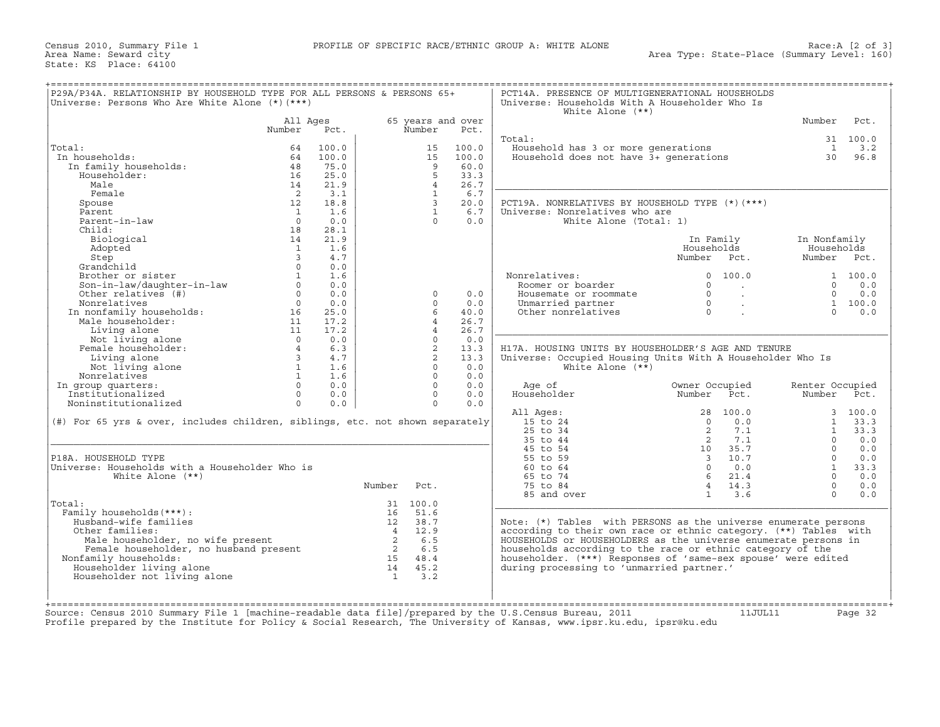| Universe: Persons Who Are White Alone (*) (***)                               |                    |       |                |                             |       | Universe: Households With A Householder Who Is<br>White Alone $(**)$ |                        |                 |          |
|-------------------------------------------------------------------------------|--------------------|-------|----------------|-----------------------------|-------|----------------------------------------------------------------------|------------------------|-----------------|----------|
|                                                                               | All Ages<br>Number | Pct.  |                | 65 years and over<br>Number | Pct.  |                                                                      |                        | Number          | Pct.     |
|                                                                               |                    |       |                |                             |       | Total:                                                               |                        |                 | 31 100.0 |
| Total:                                                                        | 64                 | 100.0 |                | 15                          | 100.0 | Household has 3 or more generations                                  |                        | $\mathbf{1}$    | 3.2      |
| In households:                                                                | 64                 | 100.0 |                | 15                          | 100.0 | Household does not have 3+ generations                               |                        | 30              | 96.8     |
| In family households:                                                         | 48                 | 75.0  |                | 9                           | 60.0  |                                                                      |                        |                 |          |
| Householder:                                                                  | 16                 | 25.0  |                | 5                           | 33.3  |                                                                      |                        |                 |          |
| Male                                                                          | 14                 | 21.9  |                | $\overline{4}$              | 26.7  |                                                                      |                        |                 |          |
| Female                                                                        | $\overline{2}$     | 3.1   |                | $\mathbf{1}$                | 6.7   |                                                                      |                        |                 |          |
| Spouse                                                                        | 12                 | 18.8  |                | $\mathbf{3}$                | 20.0  | PCT19A. NONRELATIVES BY HOUSEHOLD TYPE (*) (***)                     |                        |                 |          |
| Parent                                                                        | $\mathbf{1}$       | 1.6   |                | $\mathbf{1}$                | 6.7   | Universe: Nonrelatives who are                                       |                        |                 |          |
| Parent-in-law                                                                 | $\Omega$           | 0.0   |                | $\Omega$                    | 0.0   | White Alone (Total: 1)                                               |                        |                 |          |
| Child:                                                                        | 18                 | 28.1  |                |                             |       |                                                                      |                        |                 |          |
| Biological                                                                    | 14                 | 21.9  |                |                             |       |                                                                      | In Family              | In Nonfamily    |          |
| Adopted                                                                       | $\mathbf{1}$       | 1.6   |                |                             |       |                                                                      | Households             | Households      |          |
| Step                                                                          | $\mathcal{E}$      | 4.7   |                |                             |       |                                                                      | Number Pct.            | Number Pct.     |          |
| Grandchild                                                                    | $\Omega$           | 0.0   |                |                             |       |                                                                      |                        |                 |          |
| Brother or sister                                                             | $\mathbf{1}$       | 1.6   |                |                             |       | Nonrelatives:                                                        | $\Omega$<br>100.0      |                 | 1 100.0  |
| Son-in-law/daughter-in-law                                                    | $\circ$            | 0.0   |                |                             |       | Roomer or boarder                                                    | $\circ$                | $\Omega$        | 0.0      |
| Other relatives (#)                                                           | $\Omega$           | 0.0   |                | $\Omega$                    | 0.0   | Housemate or roommate                                                | $\Omega$<br>$\sim$     | $\Omega$        | 0.0      |
| Nonrelatives                                                                  | $\Omega$           | 0.0   |                | $\Omega$                    | 0.0   | Unmarried partner                                                    | $\Omega$               |                 | 1 100.0  |
|                                                                               |                    | 25.0  |                | 6                           | 40.0  | Other nonrelatives                                                   | $\Omega$               | $\cap$          | 0.0      |
| In nonfamily households:                                                      | 16                 |       |                |                             |       |                                                                      |                        |                 |          |
| Male householder:                                                             | 11                 | 17.2  |                | $\overline{4}$              | 26.7  |                                                                      |                        |                 |          |
| Living alone                                                                  | 11                 | 17.2  |                | $\overline{4}$              | 26.7  |                                                                      |                        |                 |          |
| Not living alone                                                              | $\Omega$           | 0.0   |                | $\Omega$                    | 0.0   |                                                                      |                        |                 |          |
| Female householder:                                                           | $\overline{4}$     | 6.3   |                | 2                           | 13.3  | H17A. HOUSING UNITS BY HOUSEHOLDER'S AGE AND TENURE                  |                        |                 |          |
| Living alone                                                                  | $\overline{3}$     | 4.7   |                | 2                           | 13.3  | Universe: Occupied Housing Units With A Householder Who Is           |                        |                 |          |
| Not living alone                                                              | $\mathbf{1}$       | 1.6   |                | $\Omega$                    | 0.0   | White Alone $(**)$                                                   |                        |                 |          |
| Nonrelatives                                                                  | $\mathbf{1}$       | 1.6   |                | $\Omega$                    | 0.0   |                                                                      |                        |                 |          |
| In group quarters:                                                            | $\Omega$           | 0.0   |                | $\Omega$                    | 0.0   | Age of                                                               | Owner Occupied         | Renter Occupied |          |
| Institutionalized                                                             | $\circ$            | 0.0   |                | $\circ$                     | 0.0   | Householder                                                          | Number<br>Pct.         | Number          | Pct.     |
| Noninstitutionalized                                                          | $\Omega$           | 0.0   |                | $\Omega$                    | 0.0   |                                                                      |                        |                 |          |
|                                                                               |                    |       |                |                             |       | All Ages:                                                            | 28 100.0               |                 | 3, 100.0 |
| (#) For 65 yrs & over, includes children, siblings, etc. not shown separately |                    |       |                |                             |       | 15 to 24                                                             | $\Omega$<br>0.0        | $\mathbf{1}$    | 33.3     |
|                                                                               |                    |       |                |                             |       | 25 to 34                                                             | 2<br>7.1               | $\mathbf{1}$    | 33.3     |
|                                                                               |                    |       |                |                             |       | 35 to 44                                                             | 2<br>7.1               | $\Omega$        | 0.0      |
|                                                                               |                    |       |                |                             |       | 45 to 54                                                             | 10<br>35.7             | $\Omega$        | 0.0      |
| P18A. HOUSEHOLD TYPE                                                          |                    |       |                |                             |       | 55 to 59                                                             | 3 10.7                 | $\Omega$        | 0.0      |
| Universe: Households with a Householder Who is                                |                    |       |                |                             |       | 60 to 64                                                             | $\Omega$<br>0.0        | $\mathbf{1}$    | 33.3     |
|                                                                               |                    |       |                |                             |       | 65 to 74                                                             | 21.4<br>- 6            | $\Omega$        | 0.0      |
|                                                                               |                    |       | Number         | Pct.                        |       | 75 to 84                                                             | $\overline{4}$<br>14.3 | $\Omega$        | 0.0      |
| White Alone $(**)$                                                            |                    |       |                |                             |       |                                                                      | $\mathbf{1}$           | $\Omega$        | 0.0      |
|                                                                               |                    |       |                |                             |       | 85 and over                                                          | 3.6                    |                 |          |
|                                                                               |                    |       | 16             | 31 100.0                    |       |                                                                      |                        |                 |          |
|                                                                               |                    |       |                | 51.6                        |       |                                                                      |                        |                 |          |
| Family households (***):                                                      |                    |       |                |                             |       | Note: (*) Tables with PERSONS as the universe enumerate persons      |                        |                 |          |
| Husband-wife families                                                         |                    |       | 12             | 38.7                        |       |                                                                      |                        |                 |          |
| Other families:                                                               |                    |       | $\overline{4}$ | 12.9                        |       | according to their own race or ethnic category. (**) Tables with     |                        |                 |          |
| Male householder, no wife present                                             |                    |       | $\overline{2}$ | 6.5                         |       | HOUSEHOLDS or HOUSEHOLDERS as the universe enumerate persons in      |                        |                 |          |
| Female householder, no husband present                                        |                    |       | $\overline{2}$ | 6.5                         |       | households according to the race or ethnic category of the           |                        |                 |          |
| Nonfamily households:                                                         |                    |       | 15             | 48.4                        |       | householder. (***) Responses of 'same-sex spouse' were edited        |                        |                 |          |
| Householder living alone                                                      |                    |       | 14             | 45.2                        |       | during processing to 'unmarried partner.'                            |                        |                 |          |
| Total:                                                                        |                    |       | $\mathbf{1}$   | 3.2                         |       |                                                                      |                        |                 |          |
| Householder not living alone                                                  |                    |       |                |                             |       |                                                                      |                        |                 |          |
|                                                                               |                    |       |                |                             |       |                                                                      |                        |                 |          |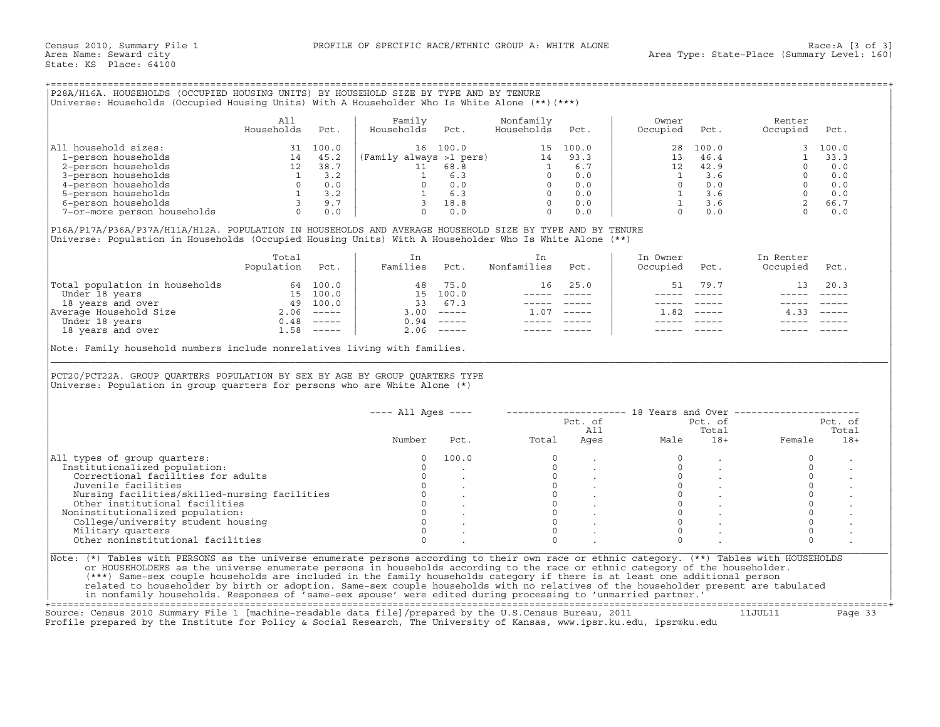+===================================================================================================================================================+

|                             | All<br>Households | Pct.  | Family<br>Households    | Pct.  | Nonfamily<br>Households | Pct.  | Owner<br>Occupied | Pct.  | Renter<br>Occupied | Pct.     |
|-----------------------------|-------------------|-------|-------------------------|-------|-------------------------|-------|-------------------|-------|--------------------|----------|
| All household sizes:        |                   | 100.0 | 16                      | 100.0 | 15.                     | 100.0 | 28                | 100.0 |                    | 3, 100.0 |
| 1-person households         | 14                | 45.2  | (Family always >1 pers) |       | 14                      | 93.3  | 13                | 46.4  |                    | 33.3     |
| 2-person households         | 12                | 38.7  |                         | 68.8  |                         | 6.7   | 12                | 42.9  |                    | 0.0      |
| 3-person households         |                   | 3.2   |                         | 6.3   |                         | 0.0   |                   | 3.6   |                    | 0.0      |
| 4-person households         |                   | 0.0   |                         | 0.0   |                         | 0.0   |                   | 0.0   |                    | 0.0      |
| 5-person households         |                   | 3.2   |                         | 6.3   |                         | 0.0   |                   | 3.6   |                    | 0.0      |
| 6-person households         |                   | 9.7   |                         | 18.8  |                         | 0.0   |                   | 3.6   |                    | 66.7     |
| 7-or-more person households |                   | 0.0   |                         | 0.0   |                         | 0.0   |                   | 0.0   |                    | 0.0      |

|                                | Total<br>Population | Pct.     | Families | Pct.                      | Nonfamilies | Pct.     | In Owner<br>Occupied | Pct.                      | In Renter<br>Occupied | Pct.                      |
|--------------------------------|---------------------|----------|----------|---------------------------|-------------|----------|----------------------|---------------------------|-----------------------|---------------------------|
| Total population in households |                     | 64 100.0 | 48       | 75.0                      | 16          | 25.0     | 51                   | 79.7                      | 13                    | 20.3                      |
| Under 18 years                 | 15 -                | 100.0    | 15       | 100.0                     |             |          |                      |                           |                       |                           |
| 18 years and over              | 49                  | 100.0    | 33       | 67.3                      |             |          |                      |                           |                       |                           |
| Average Household Size         | 2.06                | $------$ | 3.00     | $\qquad \qquad - - - - -$ | .07         | $------$ | .82                  | $\qquad \qquad - - - - -$ |                       | $\qquad \qquad - - - - -$ |
| Under 18 years                 | 0.48                | $------$ | 0.94     |                           |             |          |                      |                           |                       |                           |
| 18 years and over              | 58                  | $------$ | 2.06     | $\qquad \qquad - - - - -$ |             |          |                      |                           |                       |                           |

| All<br>Family<br>Nonfamily<br>Owner<br>Renter<br>Households<br>Households<br>Households<br>Occupied<br>Occupied<br>Pct.<br>Pct.<br>Pct.<br>Pct.<br>Pct.<br>All household sizes:<br>100.0<br>$\begin{tabular}{l c c c c c c c c c c c} \textbf{11} \text{ household sizes:} & \textbf{31} & \textbf{100.0} & \textbf{16} & \textbf{100.0} & \textbf{15} & \textbf{100.0} \\ \textbf{1-person households} & \textbf{2-person households} & \textbf{12} & \textbf{38.7} & \textbf{11} & \textbf{68.8} & \textbf{1} & \textbf{6.7} \\ \textbf{3-person households} & \textbf{12} & \textbf{38.7} & \textbf{11} & \textbf{68.8} &$<br>28<br>100.0<br>3<br>33.3<br>$\mathbf{1}$<br>$\begin{array}{ccc} 1.1 & & & & \\ 12 & & & & \\ 1 & & 3 & .6 \\ 0 & & 0 & .0 \\ 1 & & 3 & .6 \\ & & 3 & . \end{array}$<br>$\begin{bmatrix} 1 & 0 & 0 \\ 0 & 0 & 0 \\ 0 & 0 & 0 \\ 0 & 0 & 0 \\ 0 & 0 & 0 \\ 2 & 66 & 7 \\ 0 & 0 & 0 \\ 0 & 0 & 0 \\ 0 & 0 & 0 \\ 0 & 0 & 0 \\ 0 & 0 & 0 \\ 0 & 0 & 0 \\ 0 & 0 & 0 \\ 0 & 0 & 0 \\ 0 & 0 & 0 \\ 0 & 0 & 0 \\ 0 & 0 & 0 \\ 0 & 0 & 0 \\ 0 & 0 & 0 \\ 0 & 0 & 0 \\ 0 & 0 & 0 \\ 0 & 0 & 0 \\ 0 & 0 & 0 \\ 0 & 0 &$<br>0.0<br>P16A/P17A/P36A/P37A/H11A/H12A. POPULATION IN HOUSEHOLDS AND AVERAGE HOUSEHOLD SIZE BY TYPE AND BY TENURE<br>Universe: Population in Households (Occupied Housing Units) With A Householder Who Is White Alone (**)<br>Total<br>In Owner<br>In Renter<br>In<br>In<br>Population Pct.<br>Families Pct.<br>Nonfamilies<br>Pct.<br>Occupied<br>Occupied<br>Pct.<br>Pct.<br>$\begin{tabular}{ l l l l l } \hline \texttt{Total population in households} & \texttt{64} & \texttt{100.0} & \texttt{48} & \texttt{75.0} \\ \texttt{Under 18 years} & \texttt{54} & \texttt{100.0} & \texttt{15} & \texttt{100.0} \\ \texttt{18 years and over} & \texttt{49} & \texttt{100.0} & \texttt{33} & \texttt{67.3} \\ \texttt{Nerage Household Size} & \texttt{2.06} & \texttt{---} & \texttt{3.00} & \texttt{---} \\ \texttt{Under 18 years$<br>48 75.0<br>16 25.0<br>51 79.7<br>13<br>20.3<br>_______________<br>______________<br>----- -----<br>$1.07$ -----<br>$1.82$ -----<br>$4.33$ $---$<br>Note: Family household numbers include nonrelatives living with families.<br>PCT20/PCT22A. GROUP QUARTERS POPULATION BY SEX BY AGE BY GROUP QUARTERS TYPE<br>Universe: Population in group quarters for persons who are White Alone (*)<br>$---$ All Ages $---$<br>-------------------- 18 Years and Over ------------------<br>Pct. of<br>Pct. of<br>Total<br>All<br>Ages Male<br>Female<br>Total<br>Number<br>$18 +$<br>Pct.<br>100.0<br>$\circ$<br>All types of group quarters:<br>$\circ$<br>$\circ$<br>$\circ$<br>Institutionalized population:<br>$\Omega$<br>$\mathbf{0}$<br>$\Omega$<br>$\mathsf{O}\xspace$<br>Correctional facilities for adults<br>$\circ$<br>$\begin{bmatrix} 0 \\ 0 \\ 0 \end{bmatrix}$<br>$\begin{bmatrix} 0 & & & & \\ 0 & & & & \\ 0 & & & & \\ 0 & & & & \\ 0 & & & & \\ 0 & & & & \\ 0 & & & & \\ 0 & & & & \\ 0 & & & & \\ 0 & & & & \\ 0 & & & & \\ 0 & & & & \\ 0 & & & & \\ 0 & & & & \\ 0 & & & & \\ 0 & & & & \\ 0 & & & & \\ 0 & & & & \\ 0 & & & & \\ 0 & & & & \\ 0 & & & & \\ 0 & & & & \\ 0 & & & & \\ 0 & & & & & \\ 0 & & & & & \\ 0 & & & & & \\ 0 & & & & & \\ 0 & & & & & \\ 0 & & & & & & \\ 0 & &$<br>$\mathsf{O}$<br>Juvenile facilities<br>$\overline{0}$<br><b>Contractor</b><br>$\sim$<br>$\begin{array}{ccc} 0 & & \cdot \\ 0 & & \cdot \\ 0 & & \cdot \end{array}$<br>$\mathbf{0}$<br>Nursing facilities/skilled-nursing facilities<br>$\begin{matrix}0\\0\end{matrix}$<br>$\mathsf{O}$<br>Other institutional facilities<br>$\begin{matrix} 0\\ 0\\ \end{matrix} \qquad \qquad \begin{matrix} \cdot\\ \cdot \end{matrix}$<br>$\mathsf{O}\xspace$<br>Noninstitutionalized population:<br>$\Omega$<br>$\circ$<br>$\overline{0}$<br>$\Omega$<br>College/university student housing<br>$\Omega$<br>$\overline{0}$<br>$\circ$<br>$\Omega$<br>Military quarters<br>Other noninstitutional facilities<br>$\Omega$<br>$\Omega$<br>$\Omega$<br>Note: (*) Tables with PERSONS as the universe enumerate persons according to their own race or ethnic category. (**) Tables with HOUSEHOLDS<br>or HOUSEHOLDERS as the universe enumerate persons in households according to the race or ethnic category of the householder.<br>(***) Same-sex couple households are included in the family households category if there is at least one additional person |  |  |  |  |  |         |
|---------------------------------------------------------------------------------------------------------------------------------------------------------------------------------------------------------------------------------------------------------------------------------------------------------------------------------------------------------------------------------------------------------------------------------------------------------------------------------------------------------------------------------------------------------------------------------------------------------------------------------------------------------------------------------------------------------------------------------------------------------------------------------------------------------------------------------------------------------------------------------------------------------------------------------------------------------------------------------------------------------------------------------------------------------------------------------------------------------------------------------------------------------------------------------------------------------------------------------------------------------------------------------------------------------------------------------------------------------------------------------------------------------------------------------------------------------------------------------------------------------------------------------------------------------------------------------------------------------------------------------------------------------------------------------------------------------------------------------------------------------------------------------------------------------------------------------------------------------------------------------------------------------------------------------------------------------------------------------------------------------------------------------------------------------------------------------------------------------------------------------------------------------------------------------------------------------------------------------------------------------------------------------------------------------------------------------------------------------------------------------------------------------------------------------------------------------------------------------------------------------------------------------------------------------------------------------------------------------------------------------------------------------------------------------------------------------------------------------------------------------------------------------------------------------------------------------------------------------------------------------------------------------------------------------------------------------------------------------------------------------------------------------------------------------------------------------------------------------------------------------------------------------------------------------------------------------------------------------------------------------------------------------------------------------------------------------------------------------------------------------------------------------------------------------------------------------------------------------------------------------------------------------------------------------------------------------------------------------------------------------------------------------------------------------------------------------------------------------------------------------------------------------------------------------------------------------------------------------------------------------------------------------------------------------------------------------------------------------------------------------------------------------------------------------------------------------------------------------------------------------------------------------------------------------------------------------------------------------------------------------------------------------------------------------------------------------------------------------------------------------------------------------------------------------------------------------|--|--|--|--|--|---------|
|                                                                                                                                                                                                                                                                                                                                                                                                                                                                                                                                                                                                                                                                                                                                                                                                                                                                                                                                                                                                                                                                                                                                                                                                                                                                                                                                                                                                                                                                                                                                                                                                                                                                                                                                                                                                                                                                                                                                                                                                                                                                                                                                                                                                                                                                                                                                                                                                                                                                                                                                                                                                                                                                                                                                                                                                                                                                                                                                                                                                                                                                                                                                                                                                                                                                                                                                                                                                                                                                                                                                                                                                                                                                                                                                                                                                                                                                                                                                                                                                                                                                                                                                                                                                                                                                                                                                                                                                                                                         |  |  |  |  |  |         |
|                                                                                                                                                                                                                                                                                                                                                                                                                                                                                                                                                                                                                                                                                                                                                                                                                                                                                                                                                                                                                                                                                                                                                                                                                                                                                                                                                                                                                                                                                                                                                                                                                                                                                                                                                                                                                                                                                                                                                                                                                                                                                                                                                                                                                                                                                                                                                                                                                                                                                                                                                                                                                                                                                                                                                                                                                                                                                                                                                                                                                                                                                                                                                                                                                                                                                                                                                                                                                                                                                                                                                                                                                                                                                                                                                                                                                                                                                                                                                                                                                                                                                                                                                                                                                                                                                                                                                                                                                                                         |  |  |  |  |  |         |
|                                                                                                                                                                                                                                                                                                                                                                                                                                                                                                                                                                                                                                                                                                                                                                                                                                                                                                                                                                                                                                                                                                                                                                                                                                                                                                                                                                                                                                                                                                                                                                                                                                                                                                                                                                                                                                                                                                                                                                                                                                                                                                                                                                                                                                                                                                                                                                                                                                                                                                                                                                                                                                                                                                                                                                                                                                                                                                                                                                                                                                                                                                                                                                                                                                                                                                                                                                                                                                                                                                                                                                                                                                                                                                                                                                                                                                                                                                                                                                                                                                                                                                                                                                                                                                                                                                                                                                                                                                                         |  |  |  |  |  |         |
|                                                                                                                                                                                                                                                                                                                                                                                                                                                                                                                                                                                                                                                                                                                                                                                                                                                                                                                                                                                                                                                                                                                                                                                                                                                                                                                                                                                                                                                                                                                                                                                                                                                                                                                                                                                                                                                                                                                                                                                                                                                                                                                                                                                                                                                                                                                                                                                                                                                                                                                                                                                                                                                                                                                                                                                                                                                                                                                                                                                                                                                                                                                                                                                                                                                                                                                                                                                                                                                                                                                                                                                                                                                                                                                                                                                                                                                                                                                                                                                                                                                                                                                                                                                                                                                                                                                                                                                                                                                         |  |  |  |  |  |         |
|                                                                                                                                                                                                                                                                                                                                                                                                                                                                                                                                                                                                                                                                                                                                                                                                                                                                                                                                                                                                                                                                                                                                                                                                                                                                                                                                                                                                                                                                                                                                                                                                                                                                                                                                                                                                                                                                                                                                                                                                                                                                                                                                                                                                                                                                                                                                                                                                                                                                                                                                                                                                                                                                                                                                                                                                                                                                                                                                                                                                                                                                                                                                                                                                                                                                                                                                                                                                                                                                                                                                                                                                                                                                                                                                                                                                                                                                                                                                                                                                                                                                                                                                                                                                                                                                                                                                                                                                                                                         |  |  |  |  |  |         |
|                                                                                                                                                                                                                                                                                                                                                                                                                                                                                                                                                                                                                                                                                                                                                                                                                                                                                                                                                                                                                                                                                                                                                                                                                                                                                                                                                                                                                                                                                                                                                                                                                                                                                                                                                                                                                                                                                                                                                                                                                                                                                                                                                                                                                                                                                                                                                                                                                                                                                                                                                                                                                                                                                                                                                                                                                                                                                                                                                                                                                                                                                                                                                                                                                                                                                                                                                                                                                                                                                                                                                                                                                                                                                                                                                                                                                                                                                                                                                                                                                                                                                                                                                                                                                                                                                                                                                                                                                                                         |  |  |  |  |  |         |
|                                                                                                                                                                                                                                                                                                                                                                                                                                                                                                                                                                                                                                                                                                                                                                                                                                                                                                                                                                                                                                                                                                                                                                                                                                                                                                                                                                                                                                                                                                                                                                                                                                                                                                                                                                                                                                                                                                                                                                                                                                                                                                                                                                                                                                                                                                                                                                                                                                                                                                                                                                                                                                                                                                                                                                                                                                                                                                                                                                                                                                                                                                                                                                                                                                                                                                                                                                                                                                                                                                                                                                                                                                                                                                                                                                                                                                                                                                                                                                                                                                                                                                                                                                                                                                                                                                                                                                                                                                                         |  |  |  |  |  |         |
|                                                                                                                                                                                                                                                                                                                                                                                                                                                                                                                                                                                                                                                                                                                                                                                                                                                                                                                                                                                                                                                                                                                                                                                                                                                                                                                                                                                                                                                                                                                                                                                                                                                                                                                                                                                                                                                                                                                                                                                                                                                                                                                                                                                                                                                                                                                                                                                                                                                                                                                                                                                                                                                                                                                                                                                                                                                                                                                                                                                                                                                                                                                                                                                                                                                                                                                                                                                                                                                                                                                                                                                                                                                                                                                                                                                                                                                                                                                                                                                                                                                                                                                                                                                                                                                                                                                                                                                                                                                         |  |  |  |  |  |         |
|                                                                                                                                                                                                                                                                                                                                                                                                                                                                                                                                                                                                                                                                                                                                                                                                                                                                                                                                                                                                                                                                                                                                                                                                                                                                                                                                                                                                                                                                                                                                                                                                                                                                                                                                                                                                                                                                                                                                                                                                                                                                                                                                                                                                                                                                                                                                                                                                                                                                                                                                                                                                                                                                                                                                                                                                                                                                                                                                                                                                                                                                                                                                                                                                                                                                                                                                                                                                                                                                                                                                                                                                                                                                                                                                                                                                                                                                                                                                                                                                                                                                                                                                                                                                                                                                                                                                                                                                                                                         |  |  |  |  |  |         |
|                                                                                                                                                                                                                                                                                                                                                                                                                                                                                                                                                                                                                                                                                                                                                                                                                                                                                                                                                                                                                                                                                                                                                                                                                                                                                                                                                                                                                                                                                                                                                                                                                                                                                                                                                                                                                                                                                                                                                                                                                                                                                                                                                                                                                                                                                                                                                                                                                                                                                                                                                                                                                                                                                                                                                                                                                                                                                                                                                                                                                                                                                                                                                                                                                                                                                                                                                                                                                                                                                                                                                                                                                                                                                                                                                                                                                                                                                                                                                                                                                                                                                                                                                                                                                                                                                                                                                                                                                                                         |  |  |  |  |  |         |
|                                                                                                                                                                                                                                                                                                                                                                                                                                                                                                                                                                                                                                                                                                                                                                                                                                                                                                                                                                                                                                                                                                                                                                                                                                                                                                                                                                                                                                                                                                                                                                                                                                                                                                                                                                                                                                                                                                                                                                                                                                                                                                                                                                                                                                                                                                                                                                                                                                                                                                                                                                                                                                                                                                                                                                                                                                                                                                                                                                                                                                                                                                                                                                                                                                                                                                                                                                                                                                                                                                                                                                                                                                                                                                                                                                                                                                                                                                                                                                                                                                                                                                                                                                                                                                                                                                                                                                                                                                                         |  |  |  |  |  |         |
|                                                                                                                                                                                                                                                                                                                                                                                                                                                                                                                                                                                                                                                                                                                                                                                                                                                                                                                                                                                                                                                                                                                                                                                                                                                                                                                                                                                                                                                                                                                                                                                                                                                                                                                                                                                                                                                                                                                                                                                                                                                                                                                                                                                                                                                                                                                                                                                                                                                                                                                                                                                                                                                                                                                                                                                                                                                                                                                                                                                                                                                                                                                                                                                                                                                                                                                                                                                                                                                                                                                                                                                                                                                                                                                                                                                                                                                                                                                                                                                                                                                                                                                                                                                                                                                                                                                                                                                                                                                         |  |  |  |  |  |         |
|                                                                                                                                                                                                                                                                                                                                                                                                                                                                                                                                                                                                                                                                                                                                                                                                                                                                                                                                                                                                                                                                                                                                                                                                                                                                                                                                                                                                                                                                                                                                                                                                                                                                                                                                                                                                                                                                                                                                                                                                                                                                                                                                                                                                                                                                                                                                                                                                                                                                                                                                                                                                                                                                                                                                                                                                                                                                                                                                                                                                                                                                                                                                                                                                                                                                                                                                                                                                                                                                                                                                                                                                                                                                                                                                                                                                                                                                                                                                                                                                                                                                                                                                                                                                                                                                                                                                                                                                                                                         |  |  |  |  |  |         |
|                                                                                                                                                                                                                                                                                                                                                                                                                                                                                                                                                                                                                                                                                                                                                                                                                                                                                                                                                                                                                                                                                                                                                                                                                                                                                                                                                                                                                                                                                                                                                                                                                                                                                                                                                                                                                                                                                                                                                                                                                                                                                                                                                                                                                                                                                                                                                                                                                                                                                                                                                                                                                                                                                                                                                                                                                                                                                                                                                                                                                                                                                                                                                                                                                                                                                                                                                                                                                                                                                                                                                                                                                                                                                                                                                                                                                                                                                                                                                                                                                                                                                                                                                                                                                                                                                                                                                                                                                                                         |  |  |  |  |  |         |
|                                                                                                                                                                                                                                                                                                                                                                                                                                                                                                                                                                                                                                                                                                                                                                                                                                                                                                                                                                                                                                                                                                                                                                                                                                                                                                                                                                                                                                                                                                                                                                                                                                                                                                                                                                                                                                                                                                                                                                                                                                                                                                                                                                                                                                                                                                                                                                                                                                                                                                                                                                                                                                                                                                                                                                                                                                                                                                                                                                                                                                                                                                                                                                                                                                                                                                                                                                                                                                                                                                                                                                                                                                                                                                                                                                                                                                                                                                                                                                                                                                                                                                                                                                                                                                                                                                                                                                                                                                                         |  |  |  |  |  |         |
|                                                                                                                                                                                                                                                                                                                                                                                                                                                                                                                                                                                                                                                                                                                                                                                                                                                                                                                                                                                                                                                                                                                                                                                                                                                                                                                                                                                                                                                                                                                                                                                                                                                                                                                                                                                                                                                                                                                                                                                                                                                                                                                                                                                                                                                                                                                                                                                                                                                                                                                                                                                                                                                                                                                                                                                                                                                                                                                                                                                                                                                                                                                                                                                                                                                                                                                                                                                                                                                                                                                                                                                                                                                                                                                                                                                                                                                                                                                                                                                                                                                                                                                                                                                                                                                                                                                                                                                                                                                         |  |  |  |  |  |         |
|                                                                                                                                                                                                                                                                                                                                                                                                                                                                                                                                                                                                                                                                                                                                                                                                                                                                                                                                                                                                                                                                                                                                                                                                                                                                                                                                                                                                                                                                                                                                                                                                                                                                                                                                                                                                                                                                                                                                                                                                                                                                                                                                                                                                                                                                                                                                                                                                                                                                                                                                                                                                                                                                                                                                                                                                                                                                                                                                                                                                                                                                                                                                                                                                                                                                                                                                                                                                                                                                                                                                                                                                                                                                                                                                                                                                                                                                                                                                                                                                                                                                                                                                                                                                                                                                                                                                                                                                                                                         |  |  |  |  |  |         |
|                                                                                                                                                                                                                                                                                                                                                                                                                                                                                                                                                                                                                                                                                                                                                                                                                                                                                                                                                                                                                                                                                                                                                                                                                                                                                                                                                                                                                                                                                                                                                                                                                                                                                                                                                                                                                                                                                                                                                                                                                                                                                                                                                                                                                                                                                                                                                                                                                                                                                                                                                                                                                                                                                                                                                                                                                                                                                                                                                                                                                                                                                                                                                                                                                                                                                                                                                                                                                                                                                                                                                                                                                                                                                                                                                                                                                                                                                                                                                                                                                                                                                                                                                                                                                                                                                                                                                                                                                                                         |  |  |  |  |  |         |
|                                                                                                                                                                                                                                                                                                                                                                                                                                                                                                                                                                                                                                                                                                                                                                                                                                                                                                                                                                                                                                                                                                                                                                                                                                                                                                                                                                                                                                                                                                                                                                                                                                                                                                                                                                                                                                                                                                                                                                                                                                                                                                                                                                                                                                                                                                                                                                                                                                                                                                                                                                                                                                                                                                                                                                                                                                                                                                                                                                                                                                                                                                                                                                                                                                                                                                                                                                                                                                                                                                                                                                                                                                                                                                                                                                                                                                                                                                                                                                                                                                                                                                                                                                                                                                                                                                                                                                                                                                                         |  |  |  |  |  |         |
|                                                                                                                                                                                                                                                                                                                                                                                                                                                                                                                                                                                                                                                                                                                                                                                                                                                                                                                                                                                                                                                                                                                                                                                                                                                                                                                                                                                                                                                                                                                                                                                                                                                                                                                                                                                                                                                                                                                                                                                                                                                                                                                                                                                                                                                                                                                                                                                                                                                                                                                                                                                                                                                                                                                                                                                                                                                                                                                                                                                                                                                                                                                                                                                                                                                                                                                                                                                                                                                                                                                                                                                                                                                                                                                                                                                                                                                                                                                                                                                                                                                                                                                                                                                                                                                                                                                                                                                                                                                         |  |  |  |  |  |         |
|                                                                                                                                                                                                                                                                                                                                                                                                                                                                                                                                                                                                                                                                                                                                                                                                                                                                                                                                                                                                                                                                                                                                                                                                                                                                                                                                                                                                                                                                                                                                                                                                                                                                                                                                                                                                                                                                                                                                                                                                                                                                                                                                                                                                                                                                                                                                                                                                                                                                                                                                                                                                                                                                                                                                                                                                                                                                                                                                                                                                                                                                                                                                                                                                                                                                                                                                                                                                                                                                                                                                                                                                                                                                                                                                                                                                                                                                                                                                                                                                                                                                                                                                                                                                                                                                                                                                                                                                                                                         |  |  |  |  |  |         |
|                                                                                                                                                                                                                                                                                                                                                                                                                                                                                                                                                                                                                                                                                                                                                                                                                                                                                                                                                                                                                                                                                                                                                                                                                                                                                                                                                                                                                                                                                                                                                                                                                                                                                                                                                                                                                                                                                                                                                                                                                                                                                                                                                                                                                                                                                                                                                                                                                                                                                                                                                                                                                                                                                                                                                                                                                                                                                                                                                                                                                                                                                                                                                                                                                                                                                                                                                                                                                                                                                                                                                                                                                                                                                                                                                                                                                                                                                                                                                                                                                                                                                                                                                                                                                                                                                                                                                                                                                                                         |  |  |  |  |  | Pct. of |
|                                                                                                                                                                                                                                                                                                                                                                                                                                                                                                                                                                                                                                                                                                                                                                                                                                                                                                                                                                                                                                                                                                                                                                                                                                                                                                                                                                                                                                                                                                                                                                                                                                                                                                                                                                                                                                                                                                                                                                                                                                                                                                                                                                                                                                                                                                                                                                                                                                                                                                                                                                                                                                                                                                                                                                                                                                                                                                                                                                                                                                                                                                                                                                                                                                                                                                                                                                                                                                                                                                                                                                                                                                                                                                                                                                                                                                                                                                                                                                                                                                                                                                                                                                                                                                                                                                                                                                                                                                                         |  |  |  |  |  | Total   |
|                                                                                                                                                                                                                                                                                                                                                                                                                                                                                                                                                                                                                                                                                                                                                                                                                                                                                                                                                                                                                                                                                                                                                                                                                                                                                                                                                                                                                                                                                                                                                                                                                                                                                                                                                                                                                                                                                                                                                                                                                                                                                                                                                                                                                                                                                                                                                                                                                                                                                                                                                                                                                                                                                                                                                                                                                                                                                                                                                                                                                                                                                                                                                                                                                                                                                                                                                                                                                                                                                                                                                                                                                                                                                                                                                                                                                                                                                                                                                                                                                                                                                                                                                                                                                                                                                                                                                                                                                                                         |  |  |  |  |  | $18+$   |
|                                                                                                                                                                                                                                                                                                                                                                                                                                                                                                                                                                                                                                                                                                                                                                                                                                                                                                                                                                                                                                                                                                                                                                                                                                                                                                                                                                                                                                                                                                                                                                                                                                                                                                                                                                                                                                                                                                                                                                                                                                                                                                                                                                                                                                                                                                                                                                                                                                                                                                                                                                                                                                                                                                                                                                                                                                                                                                                                                                                                                                                                                                                                                                                                                                                                                                                                                                                                                                                                                                                                                                                                                                                                                                                                                                                                                                                                                                                                                                                                                                                                                                                                                                                                                                                                                                                                                                                                                                                         |  |  |  |  |  |         |
|                                                                                                                                                                                                                                                                                                                                                                                                                                                                                                                                                                                                                                                                                                                                                                                                                                                                                                                                                                                                                                                                                                                                                                                                                                                                                                                                                                                                                                                                                                                                                                                                                                                                                                                                                                                                                                                                                                                                                                                                                                                                                                                                                                                                                                                                                                                                                                                                                                                                                                                                                                                                                                                                                                                                                                                                                                                                                                                                                                                                                                                                                                                                                                                                                                                                                                                                                                                                                                                                                                                                                                                                                                                                                                                                                                                                                                                                                                                                                                                                                                                                                                                                                                                                                                                                                                                                                                                                                                                         |  |  |  |  |  |         |
|                                                                                                                                                                                                                                                                                                                                                                                                                                                                                                                                                                                                                                                                                                                                                                                                                                                                                                                                                                                                                                                                                                                                                                                                                                                                                                                                                                                                                                                                                                                                                                                                                                                                                                                                                                                                                                                                                                                                                                                                                                                                                                                                                                                                                                                                                                                                                                                                                                                                                                                                                                                                                                                                                                                                                                                                                                                                                                                                                                                                                                                                                                                                                                                                                                                                                                                                                                                                                                                                                                                                                                                                                                                                                                                                                                                                                                                                                                                                                                                                                                                                                                                                                                                                                                                                                                                                                                                                                                                         |  |  |  |  |  |         |
|                                                                                                                                                                                                                                                                                                                                                                                                                                                                                                                                                                                                                                                                                                                                                                                                                                                                                                                                                                                                                                                                                                                                                                                                                                                                                                                                                                                                                                                                                                                                                                                                                                                                                                                                                                                                                                                                                                                                                                                                                                                                                                                                                                                                                                                                                                                                                                                                                                                                                                                                                                                                                                                                                                                                                                                                                                                                                                                                                                                                                                                                                                                                                                                                                                                                                                                                                                                                                                                                                                                                                                                                                                                                                                                                                                                                                                                                                                                                                                                                                                                                                                                                                                                                                                                                                                                                                                                                                                                         |  |  |  |  |  |         |
|                                                                                                                                                                                                                                                                                                                                                                                                                                                                                                                                                                                                                                                                                                                                                                                                                                                                                                                                                                                                                                                                                                                                                                                                                                                                                                                                                                                                                                                                                                                                                                                                                                                                                                                                                                                                                                                                                                                                                                                                                                                                                                                                                                                                                                                                                                                                                                                                                                                                                                                                                                                                                                                                                                                                                                                                                                                                                                                                                                                                                                                                                                                                                                                                                                                                                                                                                                                                                                                                                                                                                                                                                                                                                                                                                                                                                                                                                                                                                                                                                                                                                                                                                                                                                                                                                                                                                                                                                                                         |  |  |  |  |  |         |
|                                                                                                                                                                                                                                                                                                                                                                                                                                                                                                                                                                                                                                                                                                                                                                                                                                                                                                                                                                                                                                                                                                                                                                                                                                                                                                                                                                                                                                                                                                                                                                                                                                                                                                                                                                                                                                                                                                                                                                                                                                                                                                                                                                                                                                                                                                                                                                                                                                                                                                                                                                                                                                                                                                                                                                                                                                                                                                                                                                                                                                                                                                                                                                                                                                                                                                                                                                                                                                                                                                                                                                                                                                                                                                                                                                                                                                                                                                                                                                                                                                                                                                                                                                                                                                                                                                                                                                                                                                                         |  |  |  |  |  |         |
|                                                                                                                                                                                                                                                                                                                                                                                                                                                                                                                                                                                                                                                                                                                                                                                                                                                                                                                                                                                                                                                                                                                                                                                                                                                                                                                                                                                                                                                                                                                                                                                                                                                                                                                                                                                                                                                                                                                                                                                                                                                                                                                                                                                                                                                                                                                                                                                                                                                                                                                                                                                                                                                                                                                                                                                                                                                                                                                                                                                                                                                                                                                                                                                                                                                                                                                                                                                                                                                                                                                                                                                                                                                                                                                                                                                                                                                                                                                                                                                                                                                                                                                                                                                                                                                                                                                                                                                                                                                         |  |  |  |  |  |         |
|                                                                                                                                                                                                                                                                                                                                                                                                                                                                                                                                                                                                                                                                                                                                                                                                                                                                                                                                                                                                                                                                                                                                                                                                                                                                                                                                                                                                                                                                                                                                                                                                                                                                                                                                                                                                                                                                                                                                                                                                                                                                                                                                                                                                                                                                                                                                                                                                                                                                                                                                                                                                                                                                                                                                                                                                                                                                                                                                                                                                                                                                                                                                                                                                                                                                                                                                                                                                                                                                                                                                                                                                                                                                                                                                                                                                                                                                                                                                                                                                                                                                                                                                                                                                                                                                                                                                                                                                                                                         |  |  |  |  |  |         |
|                                                                                                                                                                                                                                                                                                                                                                                                                                                                                                                                                                                                                                                                                                                                                                                                                                                                                                                                                                                                                                                                                                                                                                                                                                                                                                                                                                                                                                                                                                                                                                                                                                                                                                                                                                                                                                                                                                                                                                                                                                                                                                                                                                                                                                                                                                                                                                                                                                                                                                                                                                                                                                                                                                                                                                                                                                                                                                                                                                                                                                                                                                                                                                                                                                                                                                                                                                                                                                                                                                                                                                                                                                                                                                                                                                                                                                                                                                                                                                                                                                                                                                                                                                                                                                                                                                                                                                                                                                                         |  |  |  |  |  |         |
|                                                                                                                                                                                                                                                                                                                                                                                                                                                                                                                                                                                                                                                                                                                                                                                                                                                                                                                                                                                                                                                                                                                                                                                                                                                                                                                                                                                                                                                                                                                                                                                                                                                                                                                                                                                                                                                                                                                                                                                                                                                                                                                                                                                                                                                                                                                                                                                                                                                                                                                                                                                                                                                                                                                                                                                                                                                                                                                                                                                                                                                                                                                                                                                                                                                                                                                                                                                                                                                                                                                                                                                                                                                                                                                                                                                                                                                                                                                                                                                                                                                                                                                                                                                                                                                                                                                                                                                                                                                         |  |  |  |  |  |         |
|                                                                                                                                                                                                                                                                                                                                                                                                                                                                                                                                                                                                                                                                                                                                                                                                                                                                                                                                                                                                                                                                                                                                                                                                                                                                                                                                                                                                                                                                                                                                                                                                                                                                                                                                                                                                                                                                                                                                                                                                                                                                                                                                                                                                                                                                                                                                                                                                                                                                                                                                                                                                                                                                                                                                                                                                                                                                                                                                                                                                                                                                                                                                                                                                                                                                                                                                                                                                                                                                                                                                                                                                                                                                                                                                                                                                                                                                                                                                                                                                                                                                                                                                                                                                                                                                                                                                                                                                                                                         |  |  |  |  |  |         |
|                                                                                                                                                                                                                                                                                                                                                                                                                                                                                                                                                                                                                                                                                                                                                                                                                                                                                                                                                                                                                                                                                                                                                                                                                                                                                                                                                                                                                                                                                                                                                                                                                                                                                                                                                                                                                                                                                                                                                                                                                                                                                                                                                                                                                                                                                                                                                                                                                                                                                                                                                                                                                                                                                                                                                                                                                                                                                                                                                                                                                                                                                                                                                                                                                                                                                                                                                                                                                                                                                                                                                                                                                                                                                                                                                                                                                                                                                                                                                                                                                                                                                                                                                                                                                                                                                                                                                                                                                                                         |  |  |  |  |  |         |
|                                                                                                                                                                                                                                                                                                                                                                                                                                                                                                                                                                                                                                                                                                                                                                                                                                                                                                                                                                                                                                                                                                                                                                                                                                                                                                                                                                                                                                                                                                                                                                                                                                                                                                                                                                                                                                                                                                                                                                                                                                                                                                                                                                                                                                                                                                                                                                                                                                                                                                                                                                                                                                                                                                                                                                                                                                                                                                                                                                                                                                                                                                                                                                                                                                                                                                                                                                                                                                                                                                                                                                                                                                                                                                                                                                                                                                                                                                                                                                                                                                                                                                                                                                                                                                                                                                                                                                                                                                                         |  |  |  |  |  |         |
| related to householder by birth or adoption. Same-sex couple households with no relatives of the householder present are tabulated<br>in nonfamily households. Responses of 'same-sex spouse' were edited during processing to 'unmarried partner.'                                                                                                                                                                                                                                                                                                                                                                                                                                                                                                                                                                                                                                                                                                                                                                                                                                                                                                                                                                                                                                                                                                                                                                                                                                                                                                                                                                                                                                                                                                                                                                                                                                                                                                                                                                                                                                                                                                                                                                                                                                                                                                                                                                                                                                                                                                                                                                                                                                                                                                                                                                                                                                                                                                                                                                                                                                                                                                                                                                                                                                                                                                                                                                                                                                                                                                                                                                                                                                                                                                                                                                                                                                                                                                                                                                                                                                                                                                                                                                                                                                                                                                                                                                                                     |  |  |  |  |  |         |

+===================================================================================================================================================+ Source: Census 2010 Summary File 1 [machine-readable data file]/prepared by the U.S.Census Bureau, 2011 11JUL11 Page 33 Profile prepared by the Institute for Policy & Social Research, The University of Kansas, www.ipsr.ku.edu, ipsr@ku.edu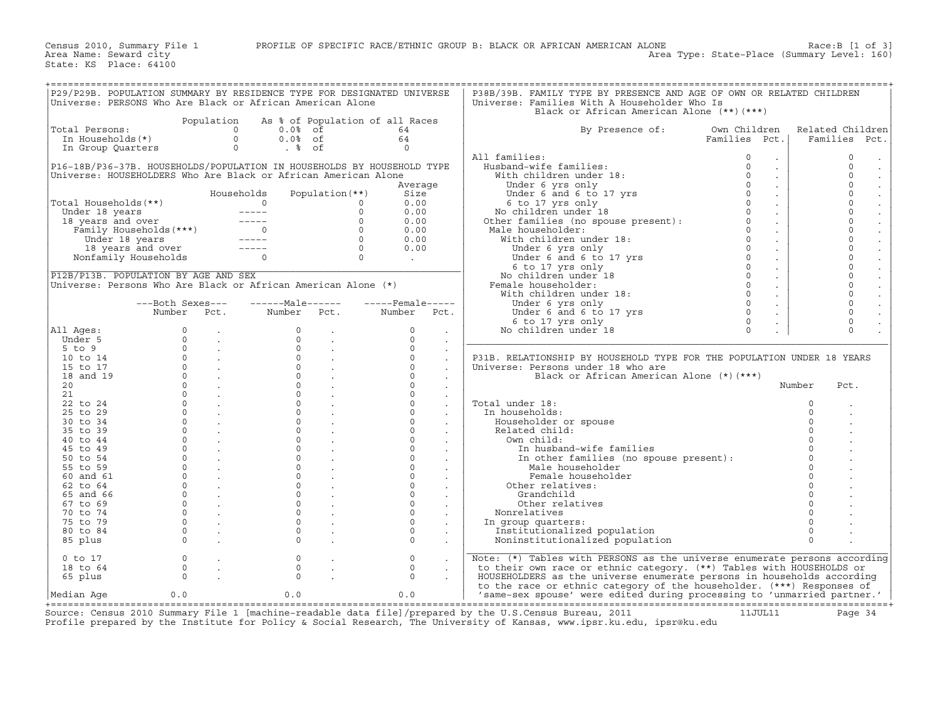|                                      |          |                                                   | Universe: PERSONS Who Are Black or African American Alone                                                                                                                                                                                          |                                                            | P29/P29B. POPULATION SUMMARY BY RESIDENCE TYPE FOR DESIGNATED UNIVERSE |                      | P38B/39B. FAMILY TYPE BY PRESENCE AND AGE OF OWN OR RELATED CHILDREN<br>Universe: Families With A Householder Who Is<br>Black or African American Alone (**)(***)                                                                                |                                  |          |                                           |
|--------------------------------------|----------|---------------------------------------------------|----------------------------------------------------------------------------------------------------------------------------------------------------------------------------------------------------------------------------------------------------|------------------------------------------------------------|------------------------------------------------------------------------|----------------------|--------------------------------------------------------------------------------------------------------------------------------------------------------------------------------------------------------------------------------------------------|----------------------------------|----------|-------------------------------------------|
|                                      |          |                                                   |                                                                                                                                                                                                                                                    |                                                            | Population As % of Population of all Races                             |                      |                                                                                                                                                                                                                                                  |                                  |          |                                           |
| Total Persons:                       |          |                                                   | otal Persons:<br>In Households(*) $\begin{array}{ccc} 0 & 0.08 & 01 \ 0.08 & 06 \ 0.08 & 06 \end{array}$<br>In Group Quarters $\begin{array}{ccc} 0 & 0.08 \ 0.08 & 06 \ 0.08 & 0.08 \end{array}$                                                  |                                                            |                                                                        |                      | By Presence of:                                                                                                                                                                                                                                  | Own Children                     |          | Related Children                          |
|                                      |          |                                                   |                                                                                                                                                                                                                                                    |                                                            |                                                                        |                      |                                                                                                                                                                                                                                                  |                                  |          |                                           |
|                                      |          |                                                   | $\begin{matrix} 0\cdot 0\ast & \circ\cdot \\ 0\cdot 0\ast & \circ f \\ \circ & \circ f \end{matrix} \qquad \begin{matrix} 0\star \\ & \circ\star \\ & 0 \end{matrix}$                                                                              |                                                            |                                                                        |                      |                                                                                                                                                                                                                                                  | Families Pct.                    |          | Families Pct.                             |
|                                      |          |                                                   |                                                                                                                                                                                                                                                    |                                                            |                                                                        |                      |                                                                                                                                                                                                                                                  |                                  |          |                                           |
|                                      |          |                                                   |                                                                                                                                                                                                                                                    |                                                            |                                                                        |                      | All families:                                                                                                                                                                                                                                    | $\sim$                           |          | $\circ$                                   |
|                                      |          |                                                   |                                                                                                                                                                                                                                                    |                                                            | P16-18B/P36-37B. HOUSEHOLDS/POPULATION IN HOUSEHOLDS BY HOUSEHOLD TYPE |                      |                                                                                                                                                                                                                                                  | $\sim$                           |          | $\circ$<br>$\cdot$                        |
|                                      |          |                                                   | Universe: HOUSEHOLDERS Who Are Black or African American Alone                                                                                                                                                                                     |                                                            |                                                                        |                      |                                                                                                                                                                                                                                                  | $\mathcal{L}^{\mathcal{L}}$      |          | $\circ$                                   |
|                                      |          |                                                   |                                                                                                                                                                                                                                                    |                                                            | Average                                                                |                      |                                                                                                                                                                                                                                                  | $\mathbb{Z}^{\mathbb{Z}}$        |          | $\mathsf{O}\xspace$                       |
|                                      |          |                                                   | Households                                                                                                                                                                                                                                         | Population $(**)$                                          | Size                                                                   |                      |                                                                                                                                                                                                                                                  | $\sim$                           |          | $\circ$                                   |
| Total Households (**)                |          |                                                   |                                                                                                                                                                                                                                                    |                                                            | 0.00                                                                   |                      |                                                                                                                                                                                                                                                  | $\mathcal{L}^{\mathcal{L}}$      |          | $\check{\circ}$                           |
|                                      |          |                                                   | otal Households (**)<br>Under 18 years<br>18 years and over<br>Family Households (***)<br>Under 18 years and over<br>Family Households (***)<br>18 years and over<br>18 years and over<br>18 years and over<br>Nonfamily Households<br>19 years an |                                                            | 0.00                                                                   |                      | All families:<br>With children under 18:<br>With children under 18:<br>Under 6 yrs only<br>Under 6 and 6 to 17 yrs<br>6 to 17 yrs only<br>No children under 18<br>Other families (no spouse present):<br>Other families (no spouse present):<br> | $\sim$                           |          |                                           |
|                                      |          |                                                   |                                                                                                                                                                                                                                                    |                                                            | 0.00                                                                   |                      |                                                                                                                                                                                                                                                  | $\sim$                           |          | $_{\rm 0}^{\rm 0}$                        |
|                                      |          |                                                   |                                                                                                                                                                                                                                                    |                                                            | 0.00                                                                   |                      |                                                                                                                                                                                                                                                  |                                  |          |                                           |
|                                      |          |                                                   |                                                                                                                                                                                                                                                    |                                                            |                                                                        |                      |                                                                                                                                                                                                                                                  | $\mathcal{L}^{\mathcal{L}}$      |          | $\begin{matrix} 0 \\ 0 \\ 0 \end{matrix}$ |
|                                      |          |                                                   |                                                                                                                                                                                                                                                    |                                                            | 0.00                                                                   |                      |                                                                                                                                                                                                                                                  | $\sim$                           |          |                                           |
|                                      |          |                                                   |                                                                                                                                                                                                                                                    |                                                            | 0.00                                                                   |                      |                                                                                                                                                                                                                                                  | $\sim$                           |          |                                           |
|                                      |          |                                                   |                                                                                                                                                                                                                                                    |                                                            | <b>Contract</b>                                                        |                      |                                                                                                                                                                                                                                                  | $\sim$                           |          | $\overline{0}$<br>0                       |
|                                      |          |                                                   |                                                                                                                                                                                                                                                    |                                                            |                                                                        |                      |                                                                                                                                                                                                                                                  | $\sim$                           |          |                                           |
| P12B/P13B. POPULATION BY AGE AND SEX |          |                                                   |                                                                                                                                                                                                                                                    |                                                            |                                                                        |                      |                                                                                                                                                                                                                                                  | $\sim$                           |          | $\mathsf{O}\xspace$                       |
|                                      |          |                                                   | Universe: Persons Who Are Black or African American Alone (*)                                                                                                                                                                                      |                                                            |                                                                        |                      |                                                                                                                                                                                                                                                  | $\sim$                           |          | $\overline{0}$                            |
|                                      |          |                                                   |                                                                                                                                                                                                                                                    |                                                            |                                                                        |                      |                                                                                                                                                                                                                                                  | $\mathcal{L}^{\pm}$              |          | $\overline{0}$                            |
|                                      |          |                                                   |                                                                                                                                                                                                                                                    |                                                            | ---Both Sexes---    ------Male------    -----Female-----               |                      | Under 6 yrs only                                                                                                                                                                                                                                 | $\sim$                           |          | $\mathsf{O}\xspace$                       |
|                                      |          |                                                   |                                                                                                                                                                                                                                                    |                                                            | Number Pct. Number Pct. Number Pct.                                    |                      | Under 6 yrs only<br>Under 6 and 6 to 17 yrs<br>6 to 17 yrs only                                                                                                                                                                                  | $\Omega$<br>$\ddot{\phantom{0}}$ |          | $\circ$                                   |
|                                      |          |                                                   |                                                                                                                                                                                                                                                    |                                                            |                                                                        |                      | 6 to 17 yrs only                                                                                                                                                                                                                                 | $\Omega$<br>$\mathcal{L}^{\pm}$  |          | $\mathsf{O}\xspace$                       |
| All Ages:                            |          |                                                   |                                                                                                                                                                                                                                                    |                                                            | $\circ$                                                                |                      | No children under 18                                                                                                                                                                                                                             | $\Omega$                         |          | $\Omega$                                  |
| Under 5                              |          |                                                   |                                                                                                                                                                                                                                                    |                                                            | $\Omega$                                                               | $\sim$               |                                                                                                                                                                                                                                                  |                                  |          |                                           |
|                                      |          |                                                   |                                                                                                                                                                                                                                                    |                                                            |                                                                        | $\sim$               |                                                                                                                                                                                                                                                  |                                  |          |                                           |
| $5$ to $9$                           |          |                                                   |                                                                                                                                                                                                                                                    |                                                            | $\Omega$                                                               | $\mathbf{r}$         |                                                                                                                                                                                                                                                  |                                  |          |                                           |
| 10 to 14                             |          |                                                   |                                                                                                                                                                                                                                                    |                                                            | $\circ$                                                                | $\sim$               | P31B. RELATIONSHIP BY HOUSEHOLD TYPE FOR THE POPULATION UNDER 18 YEARS                                                                                                                                                                           |                                  |          |                                           |
| 15 to 17                             |          |                                                   |                                                                                                                                                                                                                                                    |                                                            | $\Omega$                                                               | $\sim$               | Universe: Persons under 18 who are                                                                                                                                                                                                               |                                  |          |                                           |
| 18 and 19                            |          |                                                   |                                                                                                                                                                                                                                                    |                                                            | $\Omega$                                                               | $\sim$               | Black or African American Alone (*)(***)                                                                                                                                                                                                         |                                  |          |                                           |
| 20 <sub>o</sub>                      |          |                                                   |                                                                                                                                                                                                                                                    | $0 \qquad \qquad .$                                        | $\Omega$                                                               | $\ddot{\phantom{a}}$ |                                                                                                                                                                                                                                                  |                                  | Number   | Pct.                                      |
| 21                                   |          | $0 \qquad \qquad .$                               | $\Omega$                                                                                                                                                                                                                                           |                                                            | $\Omega$                                                               | $\sim$               |                                                                                                                                                                                                                                                  |                                  |          |                                           |
| 22 to 24                             |          | $\overline{0}$ .                                  |                                                                                                                                                                                                                                                    | $\begin{matrix} 0 & \cdots & \cdots & \cdots \end{matrix}$ | $\Omega$                                                               | $\ddot{\phantom{a}}$ | Total under 18:                                                                                                                                                                                                                                  |                                  | $\Omega$ |                                           |
| 25 to 29                             |          | $\overline{0}$ .                                  |                                                                                                                                                                                                                                                    | $\begin{matrix} 0 & \cdots & \cdots & \cdots \end{matrix}$ | $\Omega$                                                               | $\ddot{\phantom{a}}$ | In households:                                                                                                                                                                                                                                   |                                  | $\Omega$ |                                           |
| 30 to 34                             |          | $\overline{0}$ .                                  | $\Omega$                                                                                                                                                                                                                                           | $\sim 10^{11}$ km $^{-1}$                                  | $\Omega$                                                               |                      | Householder or spouse                                                                                                                                                                                                                            |                                  |          |                                           |
| 35 to 39                             |          | $\overline{0}$ .                                  |                                                                                                                                                                                                                                                    | $\begin{matrix} 0 & \cdots & \cdots & \cdots \end{matrix}$ | $\Omega$                                                               |                      | Related child:                                                                                                                                                                                                                                   |                                  |          |                                           |
| 40 to 44                             |          | $\overline{0}$ .                                  | $\overline{0}$                                                                                                                                                                                                                                     |                                                            | $\circ$                                                                |                      | Own child:                                                                                                                                                                                                                                       |                                  |          |                                           |
| 45 to 49                             |          | $\begin{matrix}0\\0\end{matrix}$ .                | $\overline{0}$                                                                                                                                                                                                                                     | <b>Contractor</b>                                          | $\overline{0}$                                                         | $\ddot{\phantom{a}}$ | In husband-wife families                                                                                                                                                                                                                         |                                  |          |                                           |
|                                      |          |                                                   | $\circ$                                                                                                                                                                                                                                            |                                                            | $\Omega$                                                               |                      |                                                                                                                                                                                                                                                  |                                  |          |                                           |
| 50 to 54                             |          | $\begin{matrix} 0 & & \cdot \end{matrix}$         |                                                                                                                                                                                                                                                    | $\sim 100$ km $^{-1}$                                      |                                                                        |                      | In other families (no spouse present) :                                                                                                                                                                                                          |                                  |          |                                           |
| 55 to 59                             |          | $\overline{0}$ .                                  | $\overline{0}$                                                                                                                                                                                                                                     | $\sim$ $\sim$ $\sim$                                       | $\Omega$                                                               |                      | Male householder                                                                                                                                                                                                                                 |                                  |          |                                           |
| 60 and 61                            |          | $\begin{matrix} 0 & & \\ & & \end{matrix}$        |                                                                                                                                                                                                                                                    | $\begin{matrix} 0 & \cdots & \cdots & \cdots \end{matrix}$ | $\mathbf{0}$                                                           |                      | Female householder                                                                                                                                                                                                                               |                                  |          |                                           |
| 62 to 64                             | $\Omega$ | $\sim 100$ km s $^{-1}$                           | $\Omega$                                                                                                                                                                                                                                           |                                                            | $\Omega$                                                               |                      | Other relatives:                                                                                                                                                                                                                                 |                                  |          |                                           |
| 65 and 66                            |          | $\overline{0}$ .                                  |                                                                                                                                                                                                                                                    | $\overline{0}$ .                                           | $\Omega$                                                               |                      | Grandchild                                                                                                                                                                                                                                       |                                  |          |                                           |
| $67$ to $69$                         |          | $\begin{matrix} 0 & \cdots & \cdots \end{matrix}$ |                                                                                                                                                                                                                                                    | $0 \qquad \qquad .$                                        | $\Omega$                                                               | $\ddot{\phantom{a}}$ | Other relatives                                                                                                                                                                                                                                  |                                  |          |                                           |
| 70 to 74                             |          | $\begin{matrix} 0 & & \cdot \end{matrix}$         | $\Omega$                                                                                                                                                                                                                                           | $\sim 100$ km s $^{-1}$                                    | $\Omega$                                                               |                      | Nonrelatives                                                                                                                                                                                                                                     |                                  |          |                                           |
| 75 to 79                             |          | $\overline{0}$ .                                  |                                                                                                                                                                                                                                                    | $\overline{0}$ .                                           | $\Omega$                                                               |                      | In group quarters:                                                                                                                                                                                                                               |                                  |          |                                           |
| 80 to 84                             |          | $\overline{0}$ .                                  | $\circ$                                                                                                                                                                                                                                            | $\sim$                                                     | $\Omega$                                                               | $\ddot{\phantom{a}}$ | Institutionalized population                                                                                                                                                                                                                     |                                  | $\Omega$ |                                           |
| 85 plus                              |          | $\begin{matrix} 0 & & \cdot \end{matrix}$         | $\Omega$                                                                                                                                                                                                                                           |                                                            | $\Omega$                                                               |                      | Noninstitutionalized population                                                                                                                                                                                                                  |                                  | $\Omega$ |                                           |
|                                      |          |                                                   |                                                                                                                                                                                                                                                    |                                                            |                                                                        |                      |                                                                                                                                                                                                                                                  |                                  |          |                                           |
| $0$ to $17$                          | $\circ$  | $\sim 10$                                         | $\circ$                                                                                                                                                                                                                                            |                                                            | $\Omega$                                                               |                      | Note: (*) Tables with PERSONS as the universe enumerate persons according                                                                                                                                                                        |                                  |          |                                           |
|                                      | $\circ$  |                                                   | $\circ$                                                                                                                                                                                                                                            |                                                            |                                                                        |                      |                                                                                                                                                                                                                                                  |                                  |          |                                           |
| 18 to 64                             |          | $\sim$ $\sim$                                     |                                                                                                                                                                                                                                                    | $\mathbb{Z}^2$                                             | $\circ$                                                                |                      | to their own race or ethnic category. (**) Tables with HOUSEHOLDS or                                                                                                                                                                             |                                  |          |                                           |
| 65 plus                              | $\Omega$ |                                                   | $\Omega$                                                                                                                                                                                                                                           |                                                            | $\Omega$                                                               |                      | HOUSEHOLDERS as the universe enumerate persons in households according                                                                                                                                                                           |                                  |          |                                           |
|                                      |          |                                                   |                                                                                                                                                                                                                                                    |                                                            |                                                                        |                      | to the race or ethnic category of the householder. (***) Responses of                                                                                                                                                                            |                                  |          |                                           |
| Median Age                           | 0.0      |                                                   | 0.0                                                                                                                                                                                                                                                |                                                            | 0.0                                                                    |                      | 'same-sex spouse' were edited during processing to 'unmarried partner.'                                                                                                                                                                          |                                  |          |                                           |

+===================================================================================================================================================+ Source: Census 2010 Summary File 1 [machine-readable data file]/prepared by the U.S.Census Bureau, 2011 11JUL11 Page 34 Profile prepared by the Institute for Policy & Social Research, The University of Kansas, www.ipsr.ku.edu, ipsr@ku.edu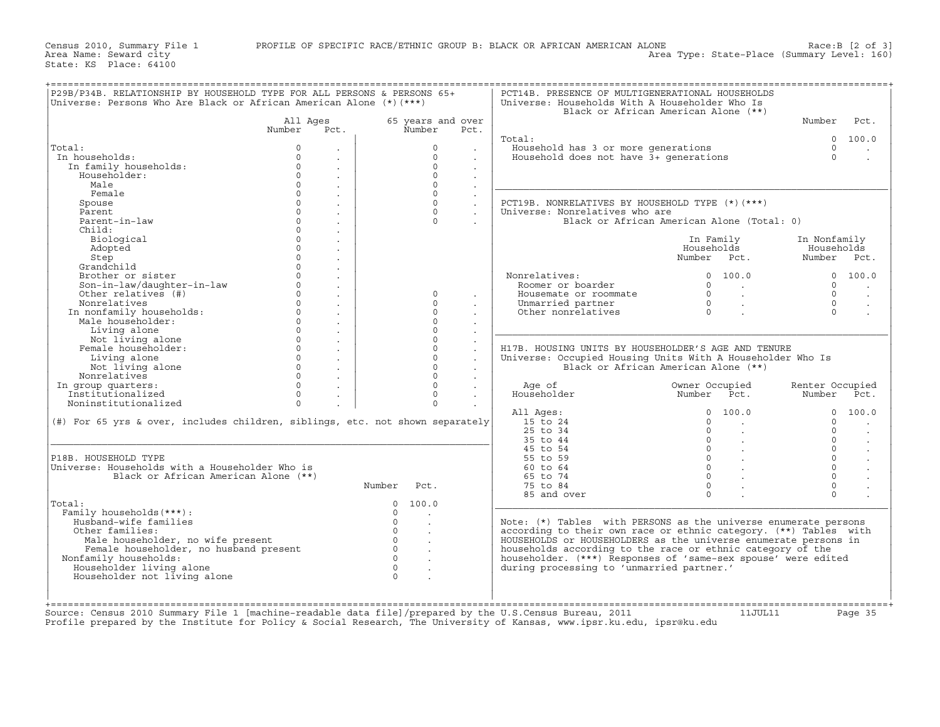| Universe: Persons Who Are Black or African American Alone $(*)$ (***)         |                      |                      |                      |        | Universe: Households With A Householder Who Is                                                                                        | Black or African American Alone (**)       |                 |                      |
|-------------------------------------------------------------------------------|----------------------|----------------------|----------------------|--------|---------------------------------------------------------------------------------------------------------------------------------------|--------------------------------------------|-----------------|----------------------|
|                                                                               | All Ages             |                      | 65 years and over    |        |                                                                                                                                       |                                            | Number          | Pct.                 |
|                                                                               | Number               | Pct.                 | Number               | Pct.   | Total:                                                                                                                                |                                            |                 |                      |
| Total:                                                                        | $\Omega$             |                      | $\Omega$             |        | Household has 3 or more generations                                                                                                   |                                            | $\Omega$        | 0 100.0              |
| In households:                                                                | $\Omega$             |                      | $\Omega$             |        | Household does not have 3+ generations                                                                                                |                                            | $\Omega$        |                      |
| In family households:                                                         | $\Omega$             | $\cdot$              | $\Omega$             |        |                                                                                                                                       |                                            |                 |                      |
| Householder:                                                                  | $\Omega$             | $\cdot$              | $\Omega$             |        |                                                                                                                                       |                                            |                 |                      |
| Male                                                                          | $\Omega$             | $\sim$               | $\Omega$             | $\sim$ |                                                                                                                                       |                                            |                 |                      |
| Female                                                                        | $\Omega$             | $\ddot{\phantom{a}}$ | $\Omega$             |        |                                                                                                                                       |                                            |                 |                      |
| Spouse                                                                        | $\Omega$             |                      | $\Omega$             |        | PCT19B. NONRELATIVES BY HOUSEHOLD TYPE (*) (***)                                                                                      |                                            |                 |                      |
| Parent                                                                        | $\Omega$             |                      | $\Omega$             |        | Universe: Nonrelatives who are                                                                                                        |                                            |                 |                      |
| Parent-in-law                                                                 | $\Omega$             |                      | $\Omega$             |        |                                                                                                                                       | Black or African American Alone (Total: 0) |                 |                      |
| Child:                                                                        | $\Omega$             |                      |                      |        |                                                                                                                                       |                                            |                 |                      |
| Biological                                                                    | $\Omega$             |                      |                      |        |                                                                                                                                       | In Family                                  | In Nonfamily    |                      |
| Adopted                                                                       | $\Omega$             |                      |                      |        |                                                                                                                                       | Households                                 | Households      |                      |
| Step                                                                          | $\Omega$             |                      |                      |        |                                                                                                                                       | Number Pct.                                | Number Pct.     |                      |
| Grandchild                                                                    | $\cap$               |                      |                      |        |                                                                                                                                       |                                            |                 |                      |
| Brother or sister                                                             | $\Omega$             |                      |                      |        | Nonrelatives:                                                                                                                         | 0 100.0                                    |                 | 0 100.0              |
| Son-in-law/daughter-in-law                                                    | $\Omega$             | $\overline{a}$       |                      |        | Roomer or boarder                                                                                                                     | $\Omega$<br>$\sim$ $\sim$                  | $\Omega$        |                      |
| Other relatives (#)                                                           | $\Omega$<br>$\Omega$ | $\sim$               | $\Omega$             |        | Housemate or roommate                                                                                                                 | $\overline{0}$<br>$\sim$                   | $\Omega$        | $\ddot{\phantom{a}}$ |
| Nonrelatives                                                                  |                      |                      | $\Omega$             |        | Unmarried partner                                                                                                                     | $\overline{0}$<br>$\sim$                   | $\Omega$        |                      |
| In nonfamily households:                                                      | $\circ$<br>$\circ$   |                      | $\Omega$<br>$\Omega$ |        | Other nonrelatives                                                                                                                    | $\Omega$                                   | $\Omega$        |                      |
| Male householder:                                                             | $\Omega$             |                      | $\Omega$             |        |                                                                                                                                       |                                            |                 |                      |
| Living alone<br>Not living alone                                              | $\Omega$             |                      | $\Omega$             |        |                                                                                                                                       |                                            |                 |                      |
| Female householder:                                                           | $\Omega$             |                      | $\Omega$             |        | H17B. HOUSING UNITS BY HOUSEHOLDER'S AGE AND TENURE                                                                                   |                                            |                 |                      |
| Living alone                                                                  | $\Omega$             |                      | $\Omega$             |        | Universe: Occupied Housing Units With A Householder Who Is                                                                            |                                            |                 |                      |
| Not living alone                                                              | $\Omega$             | $\mathbf{r}$         | $\cap$               |        |                                                                                                                                       | Black or African American Alone (**)       |                 |                      |
| Nonrelatives                                                                  | $\Omega$             |                      | $\cap$               |        |                                                                                                                                       |                                            |                 |                      |
| In group quarters:                                                            | $\circ$              | $\ddot{\phantom{a}}$ | $\Omega$             |        | Age of                                                                                                                                | Owner Occupied                             | Renter Occupied |                      |
| Institutionalized                                                             | $\mathbf 0$          |                      | $\Omega$             |        | Householder                                                                                                                           | Number Pct.                                | Number Pct.     |                      |
| Noninstitutionalized                                                          | $\Omega$             |                      | $\Omega$             |        |                                                                                                                                       |                                            |                 |                      |
|                                                                               |                      |                      |                      |        | All Ages:                                                                                                                             | $\Omega$<br>100.0                          | $\Omega$        | 100.0                |
| (#) For 65 yrs & over, includes children, siblings, etc. not shown separately |                      |                      |                      |        | 15 to 24                                                                                                                              | $\Omega$                                   | $\Omega$        |                      |
|                                                                               |                      |                      |                      |        | $25$ to $34$                                                                                                                          | $\Omega$                                   | $\Omega$        |                      |
|                                                                               |                      |                      |                      |        | 35 to 44                                                                                                                              | $\Omega$                                   | $\Omega$        |                      |
|                                                                               |                      |                      |                      |        | 45 to 54                                                                                                                              | $\Omega$                                   | $\Omega$        |                      |
| P18B. HOUSEHOLD TYPE                                                          |                      |                      |                      |        | 55 to 59                                                                                                                              | $\Omega$                                   | $\Omega$        |                      |
| Universe: Households with a Householder Who is                                |                      |                      |                      |        | 60 to 64                                                                                                                              | $\Omega$                                   | $\Omega$        |                      |
| Black or African American Alone (**)                                          |                      |                      |                      |        | 65 to 74                                                                                                                              | $\Omega$                                   | $\Omega$        |                      |
|                                                                               |                      | Number               | Pct.                 |        | 75 to 84                                                                                                                              | $\Omega$                                   | $\circ$         |                      |
|                                                                               |                      |                      |                      |        | 85 and over                                                                                                                           | $\Omega$                                   | $\Omega$        |                      |
| Total:                                                                        |                      | $\Omega$             | 100.0                |        |                                                                                                                                       |                                            |                 |                      |
| Family households (***) :                                                     |                      | $\Omega$<br>$\Omega$ | $\sim$               |        |                                                                                                                                       |                                            |                 |                      |
| Husband-wife families<br>Other families:                                      |                      | $\Omega$             |                      |        | Note: $(*)$ Tables with PERSONS as the universe enumerate persons<br>according to their own race or ethnic category. (**) Tables with |                                            |                 |                      |
|                                                                               |                      | $\Omega$             |                      |        |                                                                                                                                       |                                            |                 |                      |
| Male householder, no wife present<br>Female householder, no husband present   |                      | $\Omega$             |                      |        | HOUSEHOLDS or HOUSEHOLDERS as the universe enumerate persons in<br>households according to the race or ethnic category of the         |                                            |                 |                      |
|                                                                               |                      | $\Omega$             |                      |        | householder. (***) Responses of 'same-sex spouse' were edited                                                                         |                                            |                 |                      |
|                                                                               |                      | $\Omega$             |                      |        | during processing to 'unmarried partner.'                                                                                             |                                            |                 |                      |
| Nonfamily households:                                                         |                      |                      |                      |        |                                                                                                                                       |                                            |                 |                      |
| Householder living alone<br>Householder not living alone                      |                      | $\Omega$             |                      |        |                                                                                                                                       |                                            |                 |                      |

Source: Census 2010 Summary File 1 [machine−readable data file]/prepared by the U.S.Census Bureau, 2011 11JUL11 Page 35 Profile prepared by the Institute for Policy & Social Research, The University of Kansas, www.ipsr.ku.edu, ipsr@ku.edu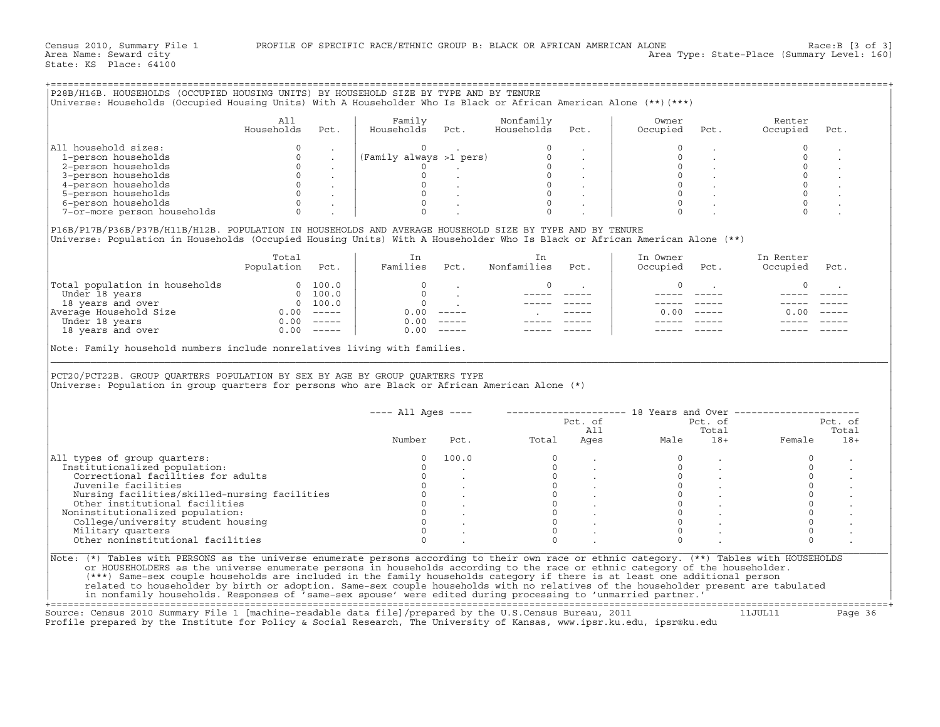|                                                                                                                                                                                                                                        | All                      |                      | Family                               |                                                          | Nonfamily                        |                                                                                                                                                                                 | Owner                 |                      | Renter                                                    |                |
|----------------------------------------------------------------------------------------------------------------------------------------------------------------------------------------------------------------------------------------|--------------------------|----------------------|--------------------------------------|----------------------------------------------------------|----------------------------------|---------------------------------------------------------------------------------------------------------------------------------------------------------------------------------|-----------------------|----------------------|-----------------------------------------------------------|----------------|
|                                                                                                                                                                                                                                        | Households               | Pct.                 | Households                           | Pct.                                                     | Households                       | Pct.                                                                                                                                                                            | Occupied              | Pct.                 | Occupied                                                  | Pct.           |
| All household sizes:                                                                                                                                                                                                                   | $\circ$                  |                      |                                      |                                                          |                                  |                                                                                                                                                                                 |                       |                      | $\mathbf 0$                                               |                |
| 1-person households                                                                                                                                                                                                                    | $\mathbf 0$              |                      | (Family always >1 pers)              |                                                          | $\circ$                          |                                                                                                                                                                                 |                       |                      |                                                           |                |
| 2-person households                                                                                                                                                                                                                    | $\circ$                  |                      | $\circ$                              | and the company of                                       |                                  | $\overline{0}$                                                                                                                                                                  | $\mathbf 0$           |                      | $\mathbf 0$                                               |                |
| 3-person households                                                                                                                                                                                                                    | $\circ$                  |                      | $\circ$                              |                                                          |                                  |                                                                                                                                                                                 | $\circ$               |                      |                                                           |                |
| 4-person households                                                                                                                                                                                                                    |                          | $0\qquad \quad \, .$ | $\circ$                              |                                                          |                                  | $\begin{bmatrix} 0 & & \cdot & & \cdot & \cdot & \ 0 & & \cdot & & \cdot & \cdot & \ 0 & & & \cdot & & \cdot & \cdot & \cdot \ 0 & & & & \cdot & & \cdot & \cdot \end{bmatrix}$ | $\circ$               |                      |                                                           |                |
| 5-person households                                                                                                                                                                                                                    |                          | $\overline{0}$ .     | $\mathsf{O}$                         |                                                          |                                  |                                                                                                                                                                                 | $\Omega$              |                      |                                                           |                |
| 6-person households                                                                                                                                                                                                                    | $\circ$                  |                      | $\circ$                              |                                                          | $\circ$                          |                                                                                                                                                                                 | $\circ$               |                      |                                                           |                |
| 7-or-more person households                                                                                                                                                                                                            | $\Omega$                 |                      |                                      |                                                          |                                  |                                                                                                                                                                                 |                       |                      |                                                           |                |
| P16B/P17B/P36B/P37B/H11B/H12B. POPULATION IN HOUSEHOLDS AND AVERAGE HOUSEHOLD SIZE BY TYPE AND BY TENURE<br>Universe: Population in Households (Occupied Housing Units) With A Householder Who Is Black or African American Alone (**) |                          |                      |                                      |                                                          |                                  |                                                                                                                                                                                 |                       |                      |                                                           |                |
|                                                                                                                                                                                                                                        | Total<br>Population Pct. |                      | In<br>Families Pct.                  |                                                          | In<br>Nonfamilies                | Pct.                                                                                                                                                                            | In Owner<br>Occupied  | Pct.                 | In Renter<br>Occupied                                     | Pct.           |
| Total population in households                                                                                                                                                                                                         |                          | 0 100.0              | $\Omega$                             |                                                          | 0                                | <b>Contract Contract</b>                                                                                                                                                        | $\circ$               | $\sim$ 100 $\mu$     | $\mathbf 0$                                               |                |
|                                                                                                                                                                                                                                        |                          |                      |                                      |                                                          |                                  |                                                                                                                                                                                 |                       |                      |                                                           |                |
|                                                                                                                                                                                                                                        |                          |                      |                                      | $\begin{matrix} 0 & & \cdot \\ 0 & & \cdot \end{matrix}$ |                                  |                                                                                                                                                                                 |                       |                      |                                                           |                |
| Under 18 years<br>18 years<br>18 years<br>18 years<br>19 years<br>20 100.0<br>Number 18 years<br>20 100.0<br>Under 18 years<br>20 100.0<br>Under 18 years<br>20 100.0<br>20 100.0<br>20 100.0<br>20 100.0<br>20 100.0<br>20 100.0      |                          |                      | $0.00$ -----                         |                                                          | <b>Contractor</b>                |                                                                                                                                                                                 |                       | $0.00$ -----         | 0.00                                                      |                |
|                                                                                                                                                                                                                                        |                          |                      | 0.00                                 |                                                          |                                  |                                                                                                                                                                                 |                       |                      |                                                           |                |
| 18 years and over 0.00 -----                                                                                                                                                                                                           |                          |                      | $0.00$ -----                         |                                                          |                                  |                                                                                                                                                                                 |                       |                      |                                                           |                |
| Note: Family household numbers include nonrelatives living with families.<br>PCT20/PCT22B. GROUP QUARTERS POPULATION BY SEX BY AGE BY GROUP QUARTERS TYPE                                                                              |                          |                      |                                      |                                                          |                                  |                                                                                                                                                                                 |                       |                      |                                                           |                |
| Universe: Population in group quarters for persons who are Black or African American Alone (*)                                                                                                                                         |                          |                      |                                      |                                                          |                                  |                                                                                                                                                                                 |                       |                      |                                                           |                |
|                                                                                                                                                                                                                                        |                          |                      | $--- All Aqes ---$                   |                                                          |                                  |                                                                                                                                                                                 |                       |                      | -------------------- 18 Years and Over ------------------ |                |
|                                                                                                                                                                                                                                        |                          |                      |                                      |                                                          |                                  | Pct. of                                                                                                                                                                         |                       | Pct. of              |                                                           | Pct. of        |
|                                                                                                                                                                                                                                        |                          |                      | Number                               | Pct.                                                     | Total                            | A11                                                                                                                                                                             | Male                  | Total                | 18+ Female                                                | Total<br>$18+$ |
|                                                                                                                                                                                                                                        |                          |                      | $\circ$                              | 100.0                                                    | $\Omega$                         |                                                                                                                                                                                 | Ages Male<br>$\Omega$ |                      | $\Omega$                                                  |                |
|                                                                                                                                                                                                                                        |                          |                      | $\circ$                              |                                                          | $\circ$                          |                                                                                                                                                                                 | $\circ$               | $\ddot{\phantom{a}}$ | $\mathbf 0$                                               |                |
| Correctional facilities for adults                                                                                                                                                                                                     |                          |                      | $\circ$                              |                                                          | $\overline{0}$                   |                                                                                                                                                                                 | $\circ$               |                      |                                                           |                |
| Juvenile facilities                                                                                                                                                                                                                    |                          |                      | $\circ$                              |                                                          |                                  |                                                                                                                                                                                 | $\circ$               |                      |                                                           |                |
| All types of group quarters:<br>Institutionalized population:<br>Nursing facilities/skilled-nursing facilities                                                                                                                         |                          |                      | $\mathbb O$                          |                                                          | $\begin{matrix}0\\0\end{matrix}$ |                                                                                                                                                                                 | $\circ$               |                      | $\Omega$                                                  |                |
| Other institutional facilities                                                                                                                                                                                                         |                          |                      |                                      |                                                          | $\overline{0}$                   |                                                                                                                                                                                 | $\Omega$              |                      |                                                           |                |
|                                                                                                                                                                                                                                        |                          |                      | $\begin{matrix} 0 \\ 0 \end{matrix}$ |                                                          | $\circ$                          |                                                                                                                                                                                 | $\circ$               |                      | $\Omega$                                                  |                |
| Noninstitutionalized population:<br>College/university student housing                                                                                                                                                                 |                          |                      | $\circ$                              |                                                          | $\Omega$                         |                                                                                                                                                                                 | $\Omega$              |                      | $\Omega$                                                  |                |
| Military quarters                                                                                                                                                                                                                      |                          |                      | $\Omega$                             |                                                          | $\Omega$                         |                                                                                                                                                                                 | $\Omega$              |                      | $\mathbf 0$                                               |                |
| Other noninstitutional facilities<br>Note: (*) Tables with PERSONS as the universe enumerate persons according to their own race or ethnic category. (**) Tables with HOUSEHOLDS                                                       |                          |                      | $\Omega$                             |                                                          |                                  |                                                                                                                                                                                 | $\Omega$              |                      |                                                           |                |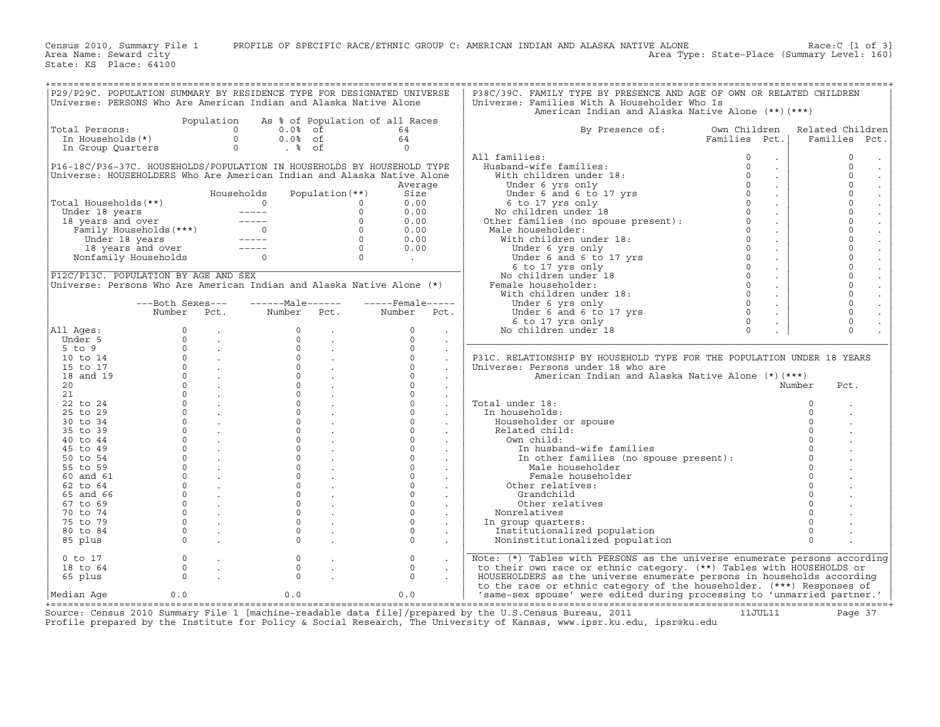Census 2010, Summary File 1 PROFILE OF SPECIFIC RACE/ETHNIC GROUP C: AMERICAN INDIAN AND ALASKA NATIVE ALONE Race:C [1 of 3]<br>Area Name: Seward city Level: 160)

State: KS Place: 64100

Area Type: State-Place (Summary Level: 160)

| P29/P29C. POPULATION SUMMARY BY RESIDENCE TYPE FOR DESIGNATED UNIVERSE                                                                                                                                                                     |                                                                                                                                                                                       |                                                          |                                                                                                         |                                                                                                                                                                                                                                                                                                                                                                  |                                                                        |                      | P38C/39C. FAMILY TYPE BY PRESENCE AND AGE OF OWN OR RELATED CHILDREN                                                                                                                                                                                                                                                                                                                                                                                                         |               |                |                                  |
|--------------------------------------------------------------------------------------------------------------------------------------------------------------------------------------------------------------------------------------------|---------------------------------------------------------------------------------------------------------------------------------------------------------------------------------------|----------------------------------------------------------|---------------------------------------------------------------------------------------------------------|------------------------------------------------------------------------------------------------------------------------------------------------------------------------------------------------------------------------------------------------------------------------------------------------------------------------------------------------------------------|------------------------------------------------------------------------|----------------------|------------------------------------------------------------------------------------------------------------------------------------------------------------------------------------------------------------------------------------------------------------------------------------------------------------------------------------------------------------------------------------------------------------------------------------------------------------------------------|---------------|----------------|----------------------------------|
| Universe: PERSONS Who Are American Indian and Alaska Native Alone                                                                                                                                                                          |                                                                                                                                                                                       |                                                          |                                                                                                         |                                                                                                                                                                                                                                                                                                                                                                  |                                                                        |                      | Universe: Families With A Householder Who Is                                                                                                                                                                                                                                                                                                                                                                                                                                 |               |                |                                  |
|                                                                                                                                                                                                                                            |                                                                                                                                                                                       |                                                          |                                                                                                         |                                                                                                                                                                                                                                                                                                                                                                  |                                                                        |                      | American Indian and Alaska Native Alone (**) (***)                                                                                                                                                                                                                                                                                                                                                                                                                           |               |                |                                  |
|                                                                                                                                                                                                                                            |                                                                                                                                                                                       |                                                          |                                                                                                         |                                                                                                                                                                                                                                                                                                                                                                  |                                                                        |                      |                                                                                                                                                                                                                                                                                                                                                                                                                                                                              |               |                |                                  |
|                                                                                                                                                                                                                                            |                                                                                                                                                                                       |                                                          |                                                                                                         |                                                                                                                                                                                                                                                                                                                                                                  | Population As % of Population of all Races                             |                      |                                                                                                                                                                                                                                                                                                                                                                                                                                                                              |               |                |                                  |
| Total Persons:                                                                                                                                                                                                                             |                                                                                                                                                                                       |                                                          | otal Persons:<br>In Households(*) 0 0.0% of<br>In Group Quarters 0 .0% of                               |                                                                                                                                                                                                                                                                                                                                                                  | 64                                                                     |                      | By Presence of:                                                                                                                                                                                                                                                                                                                                                                                                                                                              | Own Children  |                | Related Children                 |
|                                                                                                                                                                                                                                            |                                                                                                                                                                                       |                                                          |                                                                                                         |                                                                                                                                                                                                                                                                                                                                                                  | 64                                                                     |                      |                                                                                                                                                                                                                                                                                                                                                                                                                                                                              | Families Pct. |                | Families Pct.                    |
|                                                                                                                                                                                                                                            |                                                                                                                                                                                       |                                                          |                                                                                                         |                                                                                                                                                                                                                                                                                                                                                                  | $\overline{0}$                                                         |                      |                                                                                                                                                                                                                                                                                                                                                                                                                                                                              |               |                |                                  |
|                                                                                                                                                                                                                                            |                                                                                                                                                                                       |                                                          |                                                                                                         |                                                                                                                                                                                                                                                                                                                                                                  |                                                                        |                      | All families:                                                                                                                                                                                                                                                                                                                                                                                                                                                                | $\circ$       |                | $\mathbf 0$                      |
|                                                                                                                                                                                                                                            |                                                                                                                                                                                       |                                                          |                                                                                                         |                                                                                                                                                                                                                                                                                                                                                                  | P16-18C/P36-37C. HOUSEHOLDS/POPULATION IN HOUSEHOLDS BY HOUSEHOLD TYPE |                      |                                                                                                                                                                                                                                                                                                                                                                                                                                                                              |               |                | $\Omega$<br>$\sim$               |
| Universe: HOUSEHOLDERS Who Are American Indian and Alaska Native Alone                                                                                                                                                                     |                                                                                                                                                                                       |                                                          |                                                                                                         |                                                                                                                                                                                                                                                                                                                                                                  |                                                                        |                      |                                                                                                                                                                                                                                                                                                                                                                                                                                                                              |               |                | $\Omega$<br>$\ddot{\phantom{a}}$ |
|                                                                                                                                                                                                                                            |                                                                                                                                                                                       |                                                          |                                                                                                         |                                                                                                                                                                                                                                                                                                                                                                  | Average                                                                |                      |                                                                                                                                                                                                                                                                                                                                                                                                                                                                              |               |                | $\Omega$                         |
|                                                                                                                                                                                                                                            |                                                                                                                                                                                       |                                                          |                                                                                                         |                                                                                                                                                                                                                                                                                                                                                                  |                                                                        |                      |                                                                                                                                                                                                                                                                                                                                                                                                                                                                              |               |                | $\mathcal{L}$<br>$\Omega$        |
|                                                                                                                                                                                                                                            |                                                                                                                                                                                       |                                                          | Households                                                                                              | Population (**)                                                                                                                                                                                                                                                                                                                                                  | Size                                                                   |                      |                                                                                                                                                                                                                                                                                                                                                                                                                                                                              |               |                |                                  |
|                                                                                                                                                                                                                                            |                                                                                                                                                                                       |                                                          |                                                                                                         |                                                                                                                                                                                                                                                                                                                                                                  | 0.00                                                                   |                      |                                                                                                                                                                                                                                                                                                                                                                                                                                                                              |               |                | $\Omega$                         |
|                                                                                                                                                                                                                                            |                                                                                                                                                                                       |                                                          |                                                                                                         |                                                                                                                                                                                                                                                                                                                                                                  | 0.00                                                                   |                      |                                                                                                                                                                                                                                                                                                                                                                                                                                                                              |               |                | $\mathbf 0$<br>$\mathbb{Z}^2$    |
|                                                                                                                                                                                                                                            |                                                                                                                                                                                       |                                                          |                                                                                                         |                                                                                                                                                                                                                                                                                                                                                                  | 0.00                                                                   |                      |                                                                                                                                                                                                                                                                                                                                                                                                                                                                              |               |                | $\Omega$                         |
|                                                                                                                                                                                                                                            |                                                                                                                                                                                       |                                                          |                                                                                                         |                                                                                                                                                                                                                                                                                                                                                                  | 0.00                                                                   |                      |                                                                                                                                                                                                                                                                                                                                                                                                                                                                              |               |                | $\Omega$                         |
|                                                                                                                                                                                                                                            |                                                                                                                                                                                       |                                                          |                                                                                                         |                                                                                                                                                                                                                                                                                                                                                                  | 0.00                                                                   |                      |                                                                                                                                                                                                                                                                                                                                                                                                                                                                              |               |                | $\Omega$<br>$\ddot{\phantom{a}}$ |
|                                                                                                                                                                                                                                            |                                                                                                                                                                                       |                                                          |                                                                                                         |                                                                                                                                                                                                                                                                                                                                                                  | 0.00                                                                   |                      |                                                                                                                                                                                                                                                                                                                                                                                                                                                                              |               |                | $\circ$                          |
| Total Households (**)<br>Total Households (**)<br>Under 18 years<br>18 years and over<br>Family Households (***)<br>18 years and over<br>The Taylor of the Contract of Contract of Contract of Contract of Contract of Contract of Contrac |                                                                                                                                                                                       |                                                          |                                                                                                         |                                                                                                                                                                                                                                                                                                                                                                  | <b>Contract Contract</b>                                               |                      | $\begin{tabular}{llllll} \texttt{A1I} families: & & & & & & & & \texttt{0} & \texttt{.} & \texttt{[mubland-wilt] } & \texttt{[mubland-wilt] } & \texttt{[mubland-wilt] } & \texttt{[mubland-wilt] } & \texttt{[mubland-wilt] } & \texttt{[mubland-wilt] } & \texttt{[mubland-wilt] } & \texttt{[mubland-wilt] } & \texttt{[mubland-wilt] } & \texttt{[mubland-wilt] } & \texttt{[mubland-wilt] } & \texttt{[mubland-wilt] } & \texttt{[mubland-wilt] } & \texttt{[mubland-w$ |               |                | $\Omega$                         |
|                                                                                                                                                                                                                                            |                                                                                                                                                                                       |                                                          |                                                                                                         |                                                                                                                                                                                                                                                                                                                                                                  |                                                                        |                      |                                                                                                                                                                                                                                                                                                                                                                                                                                                                              |               |                | $\Omega$                         |
|                                                                                                                                                                                                                                            |                                                                                                                                                                                       |                                                          |                                                                                                         |                                                                                                                                                                                                                                                                                                                                                                  |                                                                        |                      |                                                                                                                                                                                                                                                                                                                                                                                                                                                                              |               |                | $\blacksquare$<br>$\Omega$       |
| P12C/P13C. POPULATION BY AGE AND SEX                                                                                                                                                                                                       |                                                                                                                                                                                       |                                                          |                                                                                                         |                                                                                                                                                                                                                                                                                                                                                                  |                                                                        |                      |                                                                                                                                                                                                                                                                                                                                                                                                                                                                              |               |                |                                  |
| Universe: Persons Who Are American Indian and Alaska Native Alone (*)                                                                                                                                                                      |                                                                                                                                                                                       |                                                          |                                                                                                         |                                                                                                                                                                                                                                                                                                                                                                  |                                                                        |                      |                                                                                                                                                                                                                                                                                                                                                                                                                                                                              |               |                | $\Omega$                         |
|                                                                                                                                                                                                                                            |                                                                                                                                                                                       |                                                          |                                                                                                         |                                                                                                                                                                                                                                                                                                                                                                  |                                                                        |                      |                                                                                                                                                                                                                                                                                                                                                                                                                                                                              |               |                | $\Omega$<br>$\mathbb{Z}^2$       |
|                                                                                                                                                                                                                                            | ---Both Sexes---                                                                                                                                                                      |                                                          | ------Male------                                                                                        |                                                                                                                                                                                                                                                                                                                                                                  | $---$ Female-----                                                      |                      |                                                                                                                                                                                                                                                                                                                                                                                                                                                                              |               |                | $\circ$                          |
|                                                                                                                                                                                                                                            | Number Pct.                                                                                                                                                                           |                                                          | Number Pct.                                                                                             |                                                                                                                                                                                                                                                                                                                                                                  | Number Pct.                                                            |                      |                                                                                                                                                                                                                                                                                                                                                                                                                                                                              |               |                | $\Omega$                         |
|                                                                                                                                                                                                                                            |                                                                                                                                                                                       |                                                          |                                                                                                         |                                                                                                                                                                                                                                                                                                                                                                  |                                                                        |                      |                                                                                                                                                                                                                                                                                                                                                                                                                                                                              |               |                | $\circ$                          |
| All Ages:                                                                                                                                                                                                                                  |                                                                                                                                                                                       |                                                          |                                                                                                         | $\begin{matrix} 0 & & \cdot \\ & & \cdot \\ 0 & & \cdot \end{matrix}$                                                                                                                                                                                                                                                                                            | $\Omega$                                                               | $\sim$               |                                                                                                                                                                                                                                                                                                                                                                                                                                                                              |               |                | $\Omega$                         |
| Under 5                                                                                                                                                                                                                                    |                                                                                                                                                                                       |                                                          |                                                                                                         |                                                                                                                                                                                                                                                                                                                                                                  | $\Omega$                                                               |                      |                                                                                                                                                                                                                                                                                                                                                                                                                                                                              |               |                |                                  |
|                                                                                                                                                                                                                                            | $\begin{array}{ccccc} & 0 & & \cdot & & \\ & 0 & & \cdot & & \\ & 0 & & \cdot & & \\ & 0 & & \cdot & & \\ & & 0 & & \cdot & & \\ & & & \cdot & & \\ & & & & \cdot & & \\ \end{array}$ |                                                          | $\begin{array}{cc} 0 & & \cdot \\ 0 & & \cdot \\ 0 & & \cdot \\ 0 & & \cdot \\ 0 & & \cdot \end{array}$ |                                                                                                                                                                                                                                                                                                                                                                  | $\Omega$                                                               | $\sim$               |                                                                                                                                                                                                                                                                                                                                                                                                                                                                              |               |                |                                  |
| $5$ to $9$                                                                                                                                                                                                                                 |                                                                                                                                                                                       |                                                          |                                                                                                         |                                                                                                                                                                                                                                                                                                                                                                  | $\begin{array}{ccc} 0 & . & . \\ 0 & . & . \\ 0 & . & . \end{array}$   | $\ddot{\phantom{a}}$ |                                                                                                                                                                                                                                                                                                                                                                                                                                                                              |               |                |                                  |
| 10 to 14                                                                                                                                                                                                                                   |                                                                                                                                                                                       |                                                          |                                                                                                         |                                                                                                                                                                                                                                                                                                                                                                  | $\overline{0}$                                                         | $\ddot{\phantom{a}}$ | P31C. RELATIONSHIP BY HOUSEHOLD TYPE FOR THE POPULATION UNDER 18 YEARS                                                                                                                                                                                                                                                                                                                                                                                                       |               |                |                                  |
| 15 to 17                                                                                                                                                                                                                                   |                                                                                                                                                                                       |                                                          |                                                                                                         |                                                                                                                                                                                                                                                                                                                                                                  | $\Omega$                                                               |                      | Universe: Persons under 18 who are                                                                                                                                                                                                                                                                                                                                                                                                                                           |               |                |                                  |
| 18 and 19                                                                                                                                                                                                                                  |                                                                                                                                                                                       | $\begin{matrix} 0 & & \cdot \\ 0 & & \cdot \end{matrix}$ |                                                                                                         | $\begin{matrix} 0 & 0 \\ 0 & 0 \\ 0 & 0 \end{matrix}$                                                                                                                                                                                                                                                                                                            | $\Omega$                                                               |                      | American Indian and Alaska Native Alone (*) (***)                                                                                                                                                                                                                                                                                                                                                                                                                            |               |                |                                  |
| 20                                                                                                                                                                                                                                         |                                                                                                                                                                                       |                                                          |                                                                                                         |                                                                                                                                                                                                                                                                                                                                                                  | $\Omega$                                                               | $\ddot{\phantom{a}}$ |                                                                                                                                                                                                                                                                                                                                                                                                                                                                              |               | Number         | Pct.                             |
| 21                                                                                                                                                                                                                                         |                                                                                                                                                                                       | $\overline{0}$ .                                         | $\check{\circ}$                                                                                         | <b>Contract Contract</b>                                                                                                                                                                                                                                                                                                                                         | $\circ$                                                                | $\sim$               |                                                                                                                                                                                                                                                                                                                                                                                                                                                                              |               |                |                                  |
| 22 to 24                                                                                                                                                                                                                                   |                                                                                                                                                                                       |                                                          | $\Omega$                                                                                                |                                                                                                                                                                                                                                                                                                                                                                  | $\Omega$                                                               |                      | Total under 18:                                                                                                                                                                                                                                                                                                                                                                                                                                                              |               | $\Omega$       |                                  |
| 25 to 29                                                                                                                                                                                                                                   |                                                                                                                                                                                       | $\begin{matrix}0&\cdot\end{matrix}$                      | $\circ$                                                                                                 | $\label{eq:2} \frac{1}{\sqrt{2}}\sum_{i=1}^n\frac{1}{\sqrt{2}}\sum_{i=1}^n\frac{1}{\sqrt{2}}\sum_{i=1}^n\frac{1}{\sqrt{2}}\sum_{i=1}^n\frac{1}{\sqrt{2}}\sum_{i=1}^n\frac{1}{\sqrt{2}}\sum_{i=1}^n\frac{1}{\sqrt{2}}\sum_{i=1}^n\frac{1}{\sqrt{2}}\sum_{i=1}^n\frac{1}{\sqrt{2}}\sum_{i=1}^n\frac{1}{\sqrt{2}}\sum_{i=1}^n\frac{1}{\sqrt{2}}\sum_{i=1}^n\frac{1$ | $\Omega$                                                               |                      | In households:                                                                                                                                                                                                                                                                                                                                                                                                                                                               |               | $\circ$        |                                  |
| 30 to 34                                                                                                                                                                                                                                   |                                                                                                                                                                                       | $\overline{0}$ .                                         | $\circ$                                                                                                 |                                                                                                                                                                                                                                                                                                                                                                  | $\circ$                                                                |                      |                                                                                                                                                                                                                                                                                                                                                                                                                                                                              |               | $\Omega$       |                                  |
|                                                                                                                                                                                                                                            | $\Omega$                                                                                                                                                                              |                                                          | $\Omega$                                                                                                |                                                                                                                                                                                                                                                                                                                                                                  | $\circ$                                                                |                      | Householder or spouse                                                                                                                                                                                                                                                                                                                                                                                                                                                        |               | $\Omega$       |                                  |
| 35 to 39                                                                                                                                                                                                                                   |                                                                                                                                                                                       |                                                          |                                                                                                         |                                                                                                                                                                                                                                                                                                                                                                  |                                                                        | $\sim$               | Related child:                                                                                                                                                                                                                                                                                                                                                                                                                                                               |               |                |                                  |
| 40 to 44                                                                                                                                                                                                                                   |                                                                                                                                                                                       | $\overline{0}$ .                                         | $\Omega$                                                                                                |                                                                                                                                                                                                                                                                                                                                                                  | $\circ$                                                                | $\sim$               | Own child:                                                                                                                                                                                                                                                                                                                                                                                                                                                                   |               | $\Omega$       |                                  |
| 45 to 49                                                                                                                                                                                                                                   |                                                                                                                                                                                       | $\begin{array}{ccc} & 0 & \end{array}$                   | $\overline{0}$                                                                                          |                                                                                                                                                                                                                                                                                                                                                                  | $\circ$                                                                | $\sim$               | In husband-wife families                                                                                                                                                                                                                                                                                                                                                                                                                                                     |               | $\overline{0}$ |                                  |
| 50 to 54                                                                                                                                                                                                                                   | $\Omega$                                                                                                                                                                              |                                                          | $\Omega$                                                                                                |                                                                                                                                                                                                                                                                                                                                                                  | $\circ$                                                                |                      | In other families (no spouse present):                                                                                                                                                                                                                                                                                                                                                                                                                                       |               | $\overline{0}$ |                                  |
| 55 to 59                                                                                                                                                                                                                                   | $\overline{0}$                                                                                                                                                                        | <b>Contract Contract Street</b>                          | $\circ$                                                                                                 |                                                                                                                                                                                                                                                                                                                                                                  | $\circ$                                                                |                      | Male householder                                                                                                                                                                                                                                                                                                                                                                                                                                                             |               |                |                                  |
| 60 and 61                                                                                                                                                                                                                                  |                                                                                                                                                                                       | $\begin{matrix} 0 & \cdots & \cdots \end{matrix}$        | $\Omega$                                                                                                | $\sim$                                                                                                                                                                                                                                                                                                                                                           | $\circ$                                                                | $\sim$               | Female householder                                                                                                                                                                                                                                                                                                                                                                                                                                                           |               | $\overline{0}$ |                                  |
| 62 to 64                                                                                                                                                                                                                                   | $\Omega$                                                                                                                                                                              |                                                          | $\Omega$                                                                                                |                                                                                                                                                                                                                                                                                                                                                                  | $\Omega$                                                               |                      | Other relatives:                                                                                                                                                                                                                                                                                                                                                                                                                                                             |               | $\circ$        |                                  |
| 65 and 66                                                                                                                                                                                                                                  |                                                                                                                                                                                       | $0 \qquad \qquad .$                                      | $\Omega$                                                                                                |                                                                                                                                                                                                                                                                                                                                                                  | $\Omega$                                                               |                      | Grandchild                                                                                                                                                                                                                                                                                                                                                                                                                                                                   |               | $\Omega$       |                                  |
|                                                                                                                                                                                                                                            |                                                                                                                                                                                       |                                                          | $\circ$                                                                                                 |                                                                                                                                                                                                                                                                                                                                                                  | $\circ$                                                                |                      |                                                                                                                                                                                                                                                                                                                                                                                                                                                                              |               | $\circ$        |                                  |
| 67 to 69                                                                                                                                                                                                                                   |                                                                                                                                                                                       | $0 \qquad \qquad .$                                      |                                                                                                         |                                                                                                                                                                                                                                                                                                                                                                  |                                                                        | $\sim$               | Other relatives                                                                                                                                                                                                                                                                                                                                                                                                                                                              |               |                |                                  |
| 70 to 74                                                                                                                                                                                                                                   |                                                                                                                                                                                       | $\overline{0}$ .                                         | $\circ$                                                                                                 | <b>Contract</b>                                                                                                                                                                                                                                                                                                                                                  | $\circ$                                                                | $\sim$               | Nonrelatives                                                                                                                                                                                                                                                                                                                                                                                                                                                                 |               |                |                                  |
| 75 to 79                                                                                                                                                                                                                                   | $\circ$                                                                                                                                                                               | <b>Contract</b>                                          | $\circ$                                                                                                 |                                                                                                                                                                                                                                                                                                                                                                  | $\Omega$                                                               |                      | In group quarters:                                                                                                                                                                                                                                                                                                                                                                                                                                                           |               |                |                                  |
| 80 to 84                                                                                                                                                                                                                                   |                                                                                                                                                                                       | $\begin{matrix} 0 & \cdots & \cdots \end{matrix}$        | $\Omega$                                                                                                |                                                                                                                                                                                                                                                                                                                                                                  | $\Omega$                                                               |                      | Institutionalized population                                                                                                                                                                                                                                                                                                                                                                                                                                                 |               | $\Omega$       |                                  |
| 85 plus                                                                                                                                                                                                                                    | $\Omega$                                                                                                                                                                              | <b>Contract State</b>                                    | $\Omega$                                                                                                |                                                                                                                                                                                                                                                                                                                                                                  | $\Omega$                                                               |                      | Noninstitutionalized population                                                                                                                                                                                                                                                                                                                                                                                                                                              |               | $\Omega$       |                                  |
|                                                                                                                                                                                                                                            |                                                                                                                                                                                       |                                                          |                                                                                                         |                                                                                                                                                                                                                                                                                                                                                                  |                                                                        |                      |                                                                                                                                                                                                                                                                                                                                                                                                                                                                              |               |                |                                  |
| $0$ to $17$                                                                                                                                                                                                                                | $\circ$                                                                                                                                                                               | $\mathcal{L}_{\mathbf{a}}$                               | $\circ$                                                                                                 |                                                                                                                                                                                                                                                                                                                                                                  | $\circ$                                                                |                      | Note: (*) Tables with PERSONS as the universe enumerate persons according                                                                                                                                                                                                                                                                                                                                                                                                    |               |                |                                  |
| 18 to 64                                                                                                                                                                                                                                   | $\circ$                                                                                                                                                                               | $\sim$                                                   | $\mathbf 0$                                                                                             | $\sim$                                                                                                                                                                                                                                                                                                                                                           | $\mathsf{O}\xspace$                                                    |                      | to their own race or ethnic category. (**) Tables with HOUSEHOLDS or                                                                                                                                                                                                                                                                                                                                                                                                         |               |                |                                  |
|                                                                                                                                                                                                                                            | $\Omega$                                                                                                                                                                              |                                                          | $\Omega$                                                                                                |                                                                                                                                                                                                                                                                                                                                                                  | $\Omega$                                                               |                      |                                                                                                                                                                                                                                                                                                                                                                                                                                                                              |               |                |                                  |
| 65 plus                                                                                                                                                                                                                                    |                                                                                                                                                                                       |                                                          |                                                                                                         |                                                                                                                                                                                                                                                                                                                                                                  |                                                                        |                      | HOUSEHOLDERS as the universe enumerate persons in households according                                                                                                                                                                                                                                                                                                                                                                                                       |               |                |                                  |
|                                                                                                                                                                                                                                            |                                                                                                                                                                                       |                                                          |                                                                                                         |                                                                                                                                                                                                                                                                                                                                                                  |                                                                        |                      | to the race or ethnic category of the householder. (***) Responses of                                                                                                                                                                                                                                                                                                                                                                                                        |               |                |                                  |
| Median Age                                                                                                                                                                                                                                 | 0.0                                                                                                                                                                                   |                                                          | 0.0                                                                                                     |                                                                                                                                                                                                                                                                                                                                                                  | 0.0                                                                    |                      | 'same-sex spouse' were edited during processing to 'unmarried partner.'                                                                                                                                                                                                                                                                                                                                                                                                      |               |                |                                  |

+===================================================================================================================================================+ Source: Census 2010 Summary File 1 [machine−readable data file]/prepared by the U.S.Census Bureau, 2011 11JUL11 Page 37 Profile prepared by the Institute for Policy & Social Research, The University of Kansas, www.ipsr.ku.edu, ipsr@ku.edu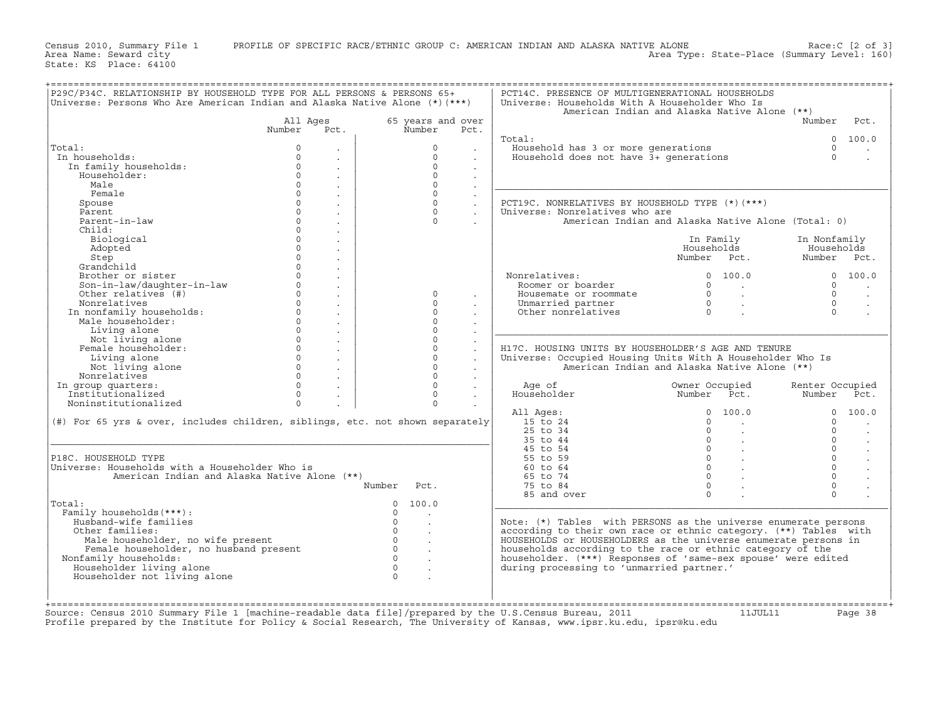Census 2010, Summary File 1 PROFILE OF SPECIFIC RACE/ETHNIC GROUP C: AMERICAN INDIAN AND ALASKA NATIVE ALONE Race:C [2 of 3]<br>Area Name: Seward city Level: 160) Area Type: State-Place (Summary Level: 160)

State: KS Place: 64100

|                                                                                                                                                                                               |                                  |                                 |                      |                                                                   | American Indian and Alaska Native Alone (**)                  | Number          | Pct.                                                                                              |
|-----------------------------------------------------------------------------------------------------------------------------------------------------------------------------------------------|----------------------------------|---------------------------------|----------------------|-------------------------------------------------------------------|---------------------------------------------------------------|-----------------|---------------------------------------------------------------------------------------------------|
|                                                                                                                                                                                               | All Ages<br>Number<br>Pct.       | 65 years and over<br>Number     | Pct.                 |                                                                   |                                                               |                 |                                                                                                   |
|                                                                                                                                                                                               |                                  |                                 |                      | Total:                                                            |                                                               |                 | 0 100.0                                                                                           |
| Total:                                                                                                                                                                                        | $\Omega$                         | $\Omega$                        |                      | Household has 3 or more generations                               |                                                               | $\Omega$        | $\bullet$                                                                                         |
| In households:                                                                                                                                                                                | $\Omega$                         | $\Omega$                        |                      | Household does not have 3+ generations                            |                                                               | $\Omega$        |                                                                                                   |
| In family households:                                                                                                                                                                         | $\circ$                          | $\Omega$                        |                      |                                                                   |                                                               |                 |                                                                                                   |
| Householder:                                                                                                                                                                                  | $\Omega$                         | $\Omega$                        |                      |                                                                   |                                                               |                 |                                                                                                   |
| Male                                                                                                                                                                                          | $\Omega$<br>$\bullet$            | $\Omega$                        | $\sim$               |                                                                   |                                                               |                 |                                                                                                   |
| Female                                                                                                                                                                                        | $\Omega$                         | $\Omega$                        |                      |                                                                   |                                                               |                 |                                                                                                   |
| Spouse                                                                                                                                                                                        | $\Omega$<br>$\ddot{\phantom{a}}$ | $\Omega$                        | $\ddot{\phantom{a}}$ | PCT19C. NONRELATIVES BY HOUSEHOLD TYPE (*) (***)                  |                                                               |                 |                                                                                                   |
| Parent.                                                                                                                                                                                       | $\Omega$<br>$\ddot{\phantom{a}}$ | $\Omega$                        |                      | Universe: Nonrelatives who are                                    |                                                               |                 |                                                                                                   |
| Parent-in-law                                                                                                                                                                                 | $\Omega$<br>$\ddot{\phantom{a}}$ | $\Omega$                        |                      |                                                                   | American Indian and Alaska Native Alone (Total: 0)            |                 |                                                                                                   |
| Child:                                                                                                                                                                                        | $\circ$                          |                                 |                      |                                                                   |                                                               |                 |                                                                                                   |
| Biological                                                                                                                                                                                    | $\Omega$<br>$\ddot{\phantom{a}}$ |                                 |                      |                                                                   | In Family                                                     | In Nonfamily    |                                                                                                   |
| Adopted                                                                                                                                                                                       | $\circ$                          |                                 |                      |                                                                   | Households                                                    | Households      |                                                                                                   |
| Step                                                                                                                                                                                          | $\Omega$<br>$\ddot{\phantom{a}}$ |                                 |                      |                                                                   | Number Pct.                                                   | Number Pct.     |                                                                                                   |
| Grandchild                                                                                                                                                                                    | $\Omega$                         |                                 |                      |                                                                   |                                                               |                 |                                                                                                   |
| Brother or sister                                                                                                                                                                             | $\Omega$<br>$\ddot{\phantom{a}}$ |                                 |                      | Nonrelatives:                                                     | $\Omega$<br>100.0                                             |                 | 0, 100, 0                                                                                         |
| Son-in-law/daughter-in-law                                                                                                                                                                    | $\circ$<br>$\ddot{\phantom{a}}$  |                                 |                      | Roomer or boarder                                                 | $\Omega$<br><b>Contract</b>                                   | $\circ$         |                                                                                                   |
| Other relatives (#)                                                                                                                                                                           | $\Omega$                         | $\Omega$                        |                      | Housemate or roommate                                             | $\Omega$<br>$\sim 100$                                        | $\Omega$        | $\ddot{\phantom{a}}$                                                                              |
| Nonrelatives                                                                                                                                                                                  | $\ddot{\phantom{a}}$<br>$\Omega$ | $\Omega$                        | $\bullet$            | Unmarried partner                                                 | $\Omega$                                                      | $\Omega$        | $\ddot{\phantom{a}}$                                                                              |
| In nonfamily households:                                                                                                                                                                      | $\ddot{\phantom{a}}$<br>$\Omega$ | $\Omega$                        |                      | Other nonrelatives                                                | $\sim 100$<br>$\Omega$                                        | $\Omega$        | $\ddot{\phantom{a}}$                                                                              |
| Male householder:                                                                                                                                                                             | $\mathbb{Z}^2$<br>$\circ$        | $\circ$                         |                      |                                                                   |                                                               |                 |                                                                                                   |
|                                                                                                                                                                                               | $\sim$                           |                                 | $\sim$               |                                                                   |                                                               |                 |                                                                                                   |
| Living alone                                                                                                                                                                                  | $\Omega$<br>$\ddot{\phantom{a}}$ | $\Omega$                        | $\ddot{\phantom{a}}$ |                                                                   |                                                               |                 |                                                                                                   |
| Not living alone                                                                                                                                                                              | $\circ$<br>$\sim$                | $\Omega$                        | $\Box$               |                                                                   |                                                               |                 |                                                                                                   |
|                                                                                                                                                                                               |                                  |                                 |                      |                                                                   |                                                               |                 |                                                                                                   |
| Female householder:                                                                                                                                                                           | $\Omega$<br>$\mathbb{Z}^2$       | $\Omega$                        | $\mathbb{Z}^2$       | H17C. HOUSING UNITS BY HOUSEHOLDER'S AGE AND TENURE               |                                                               |                 |                                                                                                   |
| Living alone                                                                                                                                                                                  | $\circ$<br>$\sim$                | $\circ$                         |                      | Universe: Occupied Housing Units With A Householder Who Is        |                                                               |                 |                                                                                                   |
| Not living alone                                                                                                                                                                              | $\circ$<br>$\mathbb{Z}^2$        | $\circ$                         | $\sim$               |                                                                   | American Indian and Alaska Native Alone (**)                  |                 |                                                                                                   |
| Nonrelatives                                                                                                                                                                                  | $\Omega$<br>$\sim$               | $\Omega$                        | $\sim$               |                                                                   |                                                               |                 |                                                                                                   |
| In group quarters:                                                                                                                                                                            | $\Omega$<br>$\mathbb{Z}^2$       | $\circ$                         | $\mathbf{r}$         | Age of                                                            | Owner Occupied                                                | Renter Occupied |                                                                                                   |
| Institutionalized                                                                                                                                                                             | $\Omega$<br>$\ddot{\phantom{a}}$ | $\Omega$                        |                      | Householder                                                       | Number<br>Pct.                                                | Number          |                                                                                                   |
| Noninstitutionalized                                                                                                                                                                          | $\Omega$                         | $\Omega$                        |                      |                                                                   |                                                               |                 |                                                                                                   |
|                                                                                                                                                                                               |                                  |                                 |                      | All Ages:                                                         | 100.0<br>$\Omega$                                             | $\Omega$        |                                                                                                   |
|                                                                                                                                                                                               |                                  |                                 |                      | 15 to 24                                                          | $\Omega$<br><b>Contract</b>                                   | $\Omega$        |                                                                                                   |
|                                                                                                                                                                                               |                                  |                                 |                      | $25$ to $34$                                                      | $\Omega$<br>$\sim$                                            | $\Omega$        |                                                                                                   |
|                                                                                                                                                                                               |                                  |                                 |                      | 35 to 44                                                          | $\circ$<br>$\sim 10$                                          | $\Omega$        |                                                                                                   |
|                                                                                                                                                                                               |                                  |                                 |                      | 45 to 54                                                          | $\Omega$<br>$\sim$ $\sim$                                     | $\Omega$        |                                                                                                   |
|                                                                                                                                                                                               |                                  |                                 |                      | 55 to 59                                                          |                                                               | $\circ$         |                                                                                                   |
|                                                                                                                                                                                               |                                  |                                 |                      | 60 to 64                                                          | $\begin{matrix} 0 & \cdots & \cdots \end{matrix}$<br>$\Omega$ | $\Omega$        |                                                                                                   |
| American Indian and Alaska Native Alone (**)                                                                                                                                                  |                                  |                                 |                      | 65 to 74                                                          | $\Omega$                                                      | $\Omega$        |                                                                                                   |
|                                                                                                                                                                                               |                                  | Number                          |                      | 75 to 84                                                          | $\Omega$                                                      | $\Omega$        |                                                                                                   |
|                                                                                                                                                                                               |                                  | Pct.                            |                      |                                                                   | $\Omega$                                                      | $\Omega$        |                                                                                                   |
|                                                                                                                                                                                               |                                  | $\Omega$                        |                      | 85 and over                                                       |                                                               |                 |                                                                                                   |
|                                                                                                                                                                                               |                                  | 100.0<br>$\Omega$               |                      |                                                                   |                                                               |                 |                                                                                                   |
| Family households (***):                                                                                                                                                                      |                                  | $\ddot{\phantom{a}}$            |                      |                                                                   |                                                               |                 |                                                                                                   |
| Husband-wife families                                                                                                                                                                         |                                  | $\circ$<br>$\ddot{\phantom{a}}$ |                      | Note: $(*)$ Tables with PERSONS as the universe enumerate persons |                                                               |                 |                                                                                                   |
| Other families:                                                                                                                                                                               |                                  | $\circ$                         |                      | according to their own race or ethnic category. (**) Tables with  |                                                               |                 |                                                                                                   |
| Male householder, no wife present                                                                                                                                                             |                                  | $\circ$<br>$\ddot{\phantom{a}}$ |                      | HOUSEHOLDS or HOUSEHOLDERS as the universe enumerate persons in   |                                                               |                 |                                                                                                   |
| Female householder, no husband present                                                                                                                                                        |                                  | $\Omega$                        |                      | households according to the race or ethnic category of the        |                                                               |                 |                                                                                                   |
| Nonfamily households:                                                                                                                                                                         |                                  | $\Omega$                        |                      | householder. (***) Responses of 'same-sex spouse' were edited     |                                                               |                 |                                                                                                   |
| (#) For 65 yrs & over, includes children, siblings, etc. not shown separately<br>P18C. HOUSEHOLD TYPE<br>Universe: Households with a Householder Who is<br>Total:<br>Householder living alone |                                  | $\Omega$                        |                      | during processing to 'unmarried partner.'                         |                                                               |                 | Pct.<br>100.0<br>$\ddot{\phantom{a}}$<br>$\mathbf{r}$<br>$\sim$<br>$\ddot{\phantom{a}}$<br>$\sim$ |
| Householder not living alone                                                                                                                                                                  |                                  | $\Omega$                        |                      |                                                                   |                                                               |                 |                                                                                                   |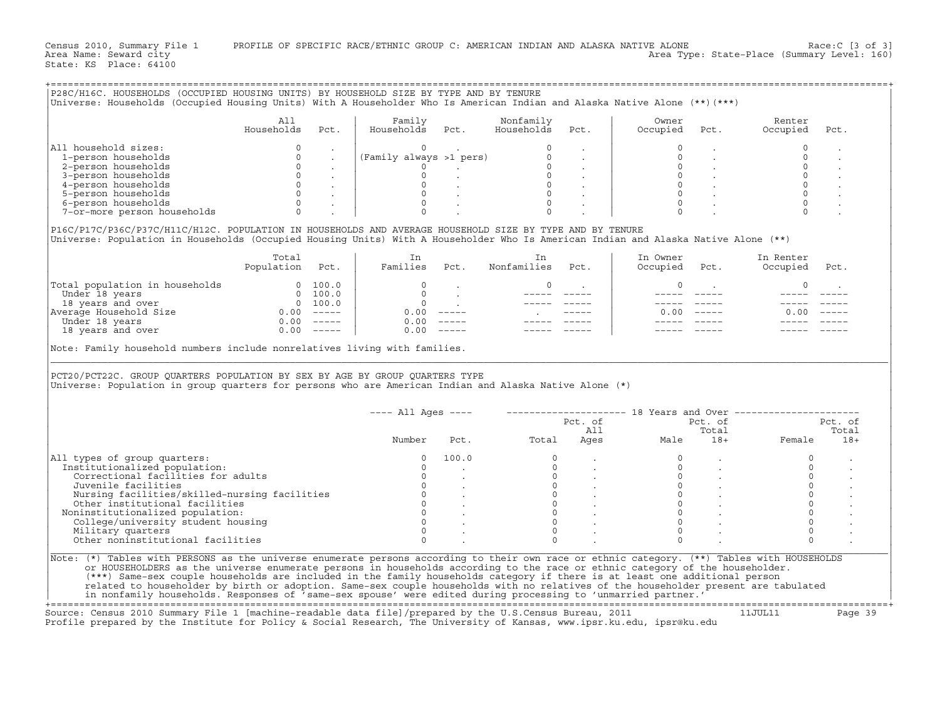| Universe: Households (Occupied Housing Units) With A Householder Who Is American Indian and Alaska Native Alone (**)(***)<br>All household sizes:<br>1-person households<br>2-person households<br>3-person households<br>4-person households<br>5-person households | All<br>Households<br>$\mathbf 0$<br>$\mathbf 0$ | Pct. | Family                  |                                                                   |                                                                                                                                                                                                                                                                                                                                                                                                                                 |                         |                                                          |                      |                     |                |
|----------------------------------------------------------------------------------------------------------------------------------------------------------------------------------------------------------------------------------------------------------------------|-------------------------------------------------|------|-------------------------|-------------------------------------------------------------------|---------------------------------------------------------------------------------------------------------------------------------------------------------------------------------------------------------------------------------------------------------------------------------------------------------------------------------------------------------------------------------------------------------------------------------|-------------------------|----------------------------------------------------------|----------------------|---------------------|----------------|
|                                                                                                                                                                                                                                                                      |                                                 |      |                         |                                                                   |                                                                                                                                                                                                                                                                                                                                                                                                                                 |                         |                                                          |                      |                     |                |
|                                                                                                                                                                                                                                                                      |                                                 |      | Households              | Pct.                                                              | Nonfamily<br>Households                                                                                                                                                                                                                                                                                                                                                                                                         | Pct.                    | Owner<br>Occupied                                        | Pct.                 | Renter<br>Occupied  | Pct.           |
|                                                                                                                                                                                                                                                                      |                                                 |      | $\Omega$                |                                                                   |                                                                                                                                                                                                                                                                                                                                                                                                                                 |                         | $\Omega$                                                 |                      | $\circ$             |                |
|                                                                                                                                                                                                                                                                      |                                                 |      | (Family always >1 pers) |                                                                   | $\circ$                                                                                                                                                                                                                                                                                                                                                                                                                         |                         | $\Omega$                                                 |                      | $\circ$             |                |
|                                                                                                                                                                                                                                                                      | $\circ$                                         |      | $\Omega$                | and the state of the state                                        | $\begin{matrix} 0 & & & & \\ 0 & & & & \\ 0 & & & & \\ 0 & & & & \\ 0 & & & & \\ 0 & & & & \\ 0 & & & & \\ 0 & & & & \\ 0 & & & & \\ 0 & & & & \\ 0 & & & & \\ 0 & & & & \\ 0 & & & & \\ 0 & & & & \\ 0 & & & & \\ 0 & & & & \\ 0 & & & & \\ 0 & & & & \\ 0 & & & & \\ 0 & & & & \\ 0 & & & & \\ 0 & & & & \\ 0 & & & & \\ 0 & & & & & \\ 0 & & & & & \\ 0 & & & & & \\ 0 & & & & & \\ 0 & & & & & \\ 0 & & & & & \\ 0 & & & &$ |                         | $\Omega$                                                 |                      | $\circ$             |                |
|                                                                                                                                                                                                                                                                      | $\mathbf{0}$                                    |      | $\circ$                 |                                                                   |                                                                                                                                                                                                                                                                                                                                                                                                                                 |                         | $\circ$                                                  |                      | $\mathbb O$         |                |
|                                                                                                                                                                                                                                                                      | $\overline{0}$                                  |      | $\circ$                 |                                                                   |                                                                                                                                                                                                                                                                                                                                                                                                                                 |                         | $\circ$                                                  |                      | $\mathsf{O}$        |                |
|                                                                                                                                                                                                                                                                      | $\Omega$                                        |      | $\circ$                 |                                                                   |                                                                                                                                                                                                                                                                                                                                                                                                                                 |                         | $\Omega$                                                 |                      |                     |                |
| 6-person households                                                                                                                                                                                                                                                  | $\Omega$                                        |      | $\circ$                 |                                                                   | $\circ$                                                                                                                                                                                                                                                                                                                                                                                                                         |                         | $\Omega$                                                 |                      | $\mathbf 0$         |                |
| 7-or-more person households                                                                                                                                                                                                                                          | $\Omega$                                        |      |                         |                                                                   |                                                                                                                                                                                                                                                                                                                                                                                                                                 |                         |                                                          |                      |                     |                |
|                                                                                                                                                                                                                                                                      |                                                 |      |                         |                                                                   |                                                                                                                                                                                                                                                                                                                                                                                                                                 |                         |                                                          |                      |                     |                |
| P16C/P17C/P36C/P37C/H11C/H12C. POPULATION IN HOUSEHOLDS AND AVERAGE HOUSEHOLD SIZE BY TYPE AND BY TENURE<br>Universe: Population in Households (Occupied Housing Units) With A Householder Who Is American Indian and Alaska Native Alone (**)                       |                                                 |      |                         |                                                                   |                                                                                                                                                                                                                                                                                                                                                                                                                                 |                         |                                                          |                      |                     |                |
|                                                                                                                                                                                                                                                                      | Total                                           |      | In                      |                                                                   | In                                                                                                                                                                                                                                                                                                                                                                                                                              |                         | In Owner                                                 |                      | In Renter           |                |
|                                                                                                                                                                                                                                                                      | Population Pct.                                 |      | Families Pct.           |                                                                   | Nonfamilies                                                                                                                                                                                                                                                                                                                                                                                                                     | Pct.                    | Occupied                                                 | Pct.                 | Occupied            | Pct.           |
| Total population in households<br>Under 18 years 0 100.0<br>18 years and over 0 100.0<br>Average Household Size 0.00 -----<br>Under 18 years 0.00 -----                                                                                                              |                                                 |      | $\circ$                 |                                                                   | 0                                                                                                                                                                                                                                                                                                                                                                                                                               | $\sim 100$ km s $^{-1}$ | 0                                                        | $\sim 10^{-11}$      | 0                   |                |
|                                                                                                                                                                                                                                                                      |                                                 |      |                         |                                                                   | $------$                                                                                                                                                                                                                                                                                                                                                                                                                        |                         |                                                          |                      |                     |                |
|                                                                                                                                                                                                                                                                      |                                                 |      |                         | $\begin{matrix} 0 & & \cdot \\ & & 0 \\ 0 & & \cdot \end{matrix}$ |                                                                                                                                                                                                                                                                                                                                                                                                                                 |                         |                                                          |                      |                     |                |
|                                                                                                                                                                                                                                                                      |                                                 |      | $0.00$ -----            |                                                                   |                                                                                                                                                                                                                                                                                                                                                                                                                                 |                         |                                                          | $0.00 - - - - -$     | $0.00 - - - - -$    |                |
|                                                                                                                                                                                                                                                                      |                                                 |      | $0.00$ -----            |                                                                   |                                                                                                                                                                                                                                                                                                                                                                                                                                 |                         |                                                          |                      |                     |                |
| 18 years and over                                                                                                                                                                                                                                                    | $0.00$ -----                                    |      | $0.00$ -----            |                                                                   |                                                                                                                                                                                                                                                                                                                                                                                                                                 |                         |                                                          |                      |                     |                |
|                                                                                                                                                                                                                                                                      |                                                 |      |                         |                                                                   |                                                                                                                                                                                                                                                                                                                                                                                                                                 |                         |                                                          |                      |                     |                |
| Note: Family household numbers include nonrelatives living with families.<br>PCT20/PCT22C. GROUP QUARTERS POPULATION BY SEX BY AGE BY GROUP QUARTERS TYPE<br>Universe: Population in group quarters for persons who are American Indian and Alaska Native Alone (*)  |                                                 |      |                         |                                                                   |                                                                                                                                                                                                                                                                                                                                                                                                                                 |                         |                                                          |                      |                     |                |
|                                                                                                                                                                                                                                                                      |                                                 |      | $---$ All Ages $---$    |                                                                   |                                                                                                                                                                                                                                                                                                                                                                                                                                 |                         | -------------------- 18 Years and Over ----------------- |                      |                     |                |
|                                                                                                                                                                                                                                                                      |                                                 |      |                         |                                                                   |                                                                                                                                                                                                                                                                                                                                                                                                                                 | Pct. of                 |                                                          | Pct. of              |                     | Pct. of        |
|                                                                                                                                                                                                                                                                      |                                                 |      | Number                  |                                                                   | Pct. Total                                                                                                                                                                                                                                                                                                                                                                                                                      |                         | All<br>Ages<br>Male                                      | Total                | 10cai<br>18+ Female | Total<br>$18+$ |
|                                                                                                                                                                                                                                                                      |                                                 |      | $\Omega$                | 100.0                                                             | $\Omega$                                                                                                                                                                                                                                                                                                                                                                                                                        |                         | $\Omega$                                                 |                      | $\circ$             |                |
|                                                                                                                                                                                                                                                                      |                                                 |      | $\Omega$                |                                                                   | $\Omega$                                                                                                                                                                                                                                                                                                                                                                                                                        |                         | $\Omega$                                                 | $\ddot{\phantom{a}}$ | $\circ$             |                |
| Correctional facilities for adults                                                                                                                                                                                                                                   |                                                 |      | $\circ$                 |                                                                   |                                                                                                                                                                                                                                                                                                                                                                                                                                 |                         | $\circ$                                                  |                      |                     |                |
| Juvenile facilities                                                                                                                                                                                                                                                  |                                                 |      | $\Omega$                |                                                                   |                                                                                                                                                                                                                                                                                                                                                                                                                                 |                         | $\Omega$                                                 |                      |                     |                |
| Nursing facilities/skilled-nursing facilities                                                                                                                                                                                                                        |                                                 |      | $\circ$                 |                                                                   |                                                                                                                                                                                                                                                                                                                                                                                                                                 |                         | $\circ$                                                  |                      | $\mathbb O$         |                |
|                                                                                                                                                                                                                                                                      |                                                 |      |                         |                                                                   | $\begin{bmatrix} 0 \\ 0 \\ 0 \\ 0 \end{bmatrix}$                                                                                                                                                                                                                                                                                                                                                                                |                         | $\Omega$                                                 |                      |                     |                |
| Other institutional facilities                                                                                                                                                                                                                                       |                                                 |      | $\circ$                 |                                                                   | $\overline{0}$<br>$\circ$                                                                                                                                                                                                                                                                                                                                                                                                       |                         | $\Omega$                                                 |                      | $\mathbb O$         |                |
|                                                                                                                                                                                                                                                                      |                                                 |      | $\mathbb O$             |                                                                   |                                                                                                                                                                                                                                                                                                                                                                                                                                 |                         | $\Omega$                                                 |                      | $\circ$             |                |
| College/university student housing                                                                                                                                                                                                                                   |                                                 |      | $\circ$<br>$\Omega$     |                                                                   | $\circ$<br>$\Omega$                                                                                                                                                                                                                                                                                                                                                                                                             |                         | $\Omega$                                                 |                      | $\mathsf{O}$        |                |
| All types of group quarters:<br>Institutionalized population:<br>Noninstitutionalized population:<br>Military quarters<br>Other noninstitutional facilities                                                                                                          |                                                 |      | $\Omega$                |                                                                   | $\Omega$                                                                                                                                                                                                                                                                                                                                                                                                                        |                         | $\Omega$                                                 |                      | $\mathbf 0$         |                |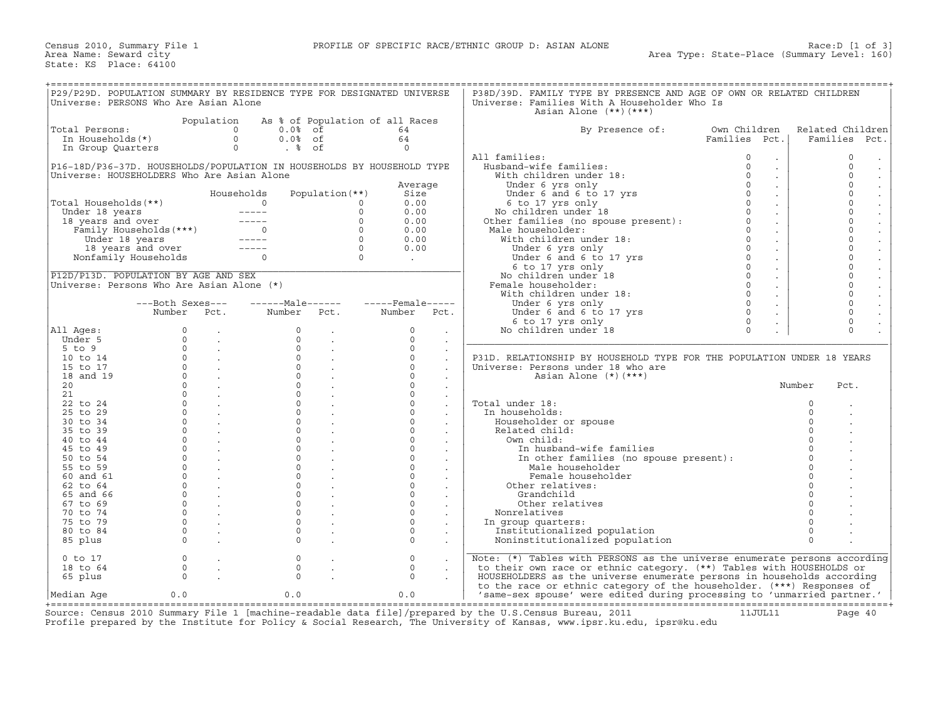| P29/P29D. POPULATION SUMMARY BY RESIDENCE TYPE FOR DESIGNATED UNIVERSE                                                                                                                                                                                                                                                                                                                                                                                                                                        |                  |                                                                         |                                 |                                                          |                                                           |                      | P38D/39D. FAMILY TYPE BY PRESENCE AND AGE OF OWN OR RELATED CHILDREN                                                                  |                                       |          |                                     |
|---------------------------------------------------------------------------------------------------------------------------------------------------------------------------------------------------------------------------------------------------------------------------------------------------------------------------------------------------------------------------------------------------------------------------------------------------------------------------------------------------------------|------------------|-------------------------------------------------------------------------|---------------------------------|----------------------------------------------------------|-----------------------------------------------------------|----------------------|---------------------------------------------------------------------------------------------------------------------------------------|---------------------------------------|----------|-------------------------------------|
| Universe: PERSONS Who Are Asian Alone                                                                                                                                                                                                                                                                                                                                                                                                                                                                         |                  |                                                                         |                                 |                                                          |                                                           |                      | Universe: Families With A Householder Who Is                                                                                          |                                       |          |                                     |
|                                                                                                                                                                                                                                                                                                                                                                                                                                                                                                               |                  |                                                                         |                                 |                                                          |                                                           |                      | Asian Alone $(**)$ $(***)$                                                                                                            |                                       |          |                                     |
|                                                                                                                                                                                                                                                                                                                                                                                                                                                                                                               |                  | Population                                                              | As % of Population of all Races |                                                          |                                                           |                      |                                                                                                                                       |                                       |          |                                     |
| Total Persons:                                                                                                                                                                                                                                                                                                                                                                                                                                                                                                |                  |                                                                         | $0.0$ % of                      |                                                          | 64                                                        |                      | By Presence of:                                                                                                                       | Own Children                          |          | Related Children                    |
|                                                                                                                                                                                                                                                                                                                                                                                                                                                                                                               |                  |                                                                         | $0.0%$ of                       |                                                          | 64                                                        |                      |                                                                                                                                       | Families Pct.                         |          | Families Pct.                       |
|                                                                                                                                                                                                                                                                                                                                                                                                                                                                                                               |                  |                                                                         | . %                             |                                                          | $\Omega$                                                  |                      |                                                                                                                                       |                                       |          |                                     |
|                                                                                                                                                                                                                                                                                                                                                                                                                                                                                                               |                  |                                                                         |                                 |                                                          |                                                           |                      | All families:                                                                                                                         | $\circ$<br>$\ddot{\phantom{0}}$       |          | $\mathbf 0$<br>$\cdot$              |
| P16-18D/P36-37D. HOUSEHOLDS/POPULATION IN HOUSEHOLDS BY HOUSEHOLD TYPE                                                                                                                                                                                                                                                                                                                                                                                                                                        |                  |                                                                         |                                 |                                                          |                                                           |                      | Husband-wife families:                                                                                                                | $\Omega$<br>$\mathcal{L}^{\pm}$       |          | $\Omega$<br>$\sim$                  |
| Universe: HOUSEHOLDERS Who Are Asian Alone                                                                                                                                                                                                                                                                                                                                                                                                                                                                    |                  |                                                                         |                                 |                                                          |                                                           |                      | With children under 18:                                                                                                               | $\Omega$<br>$\mathbb{Z}^{\mathbb{Z}}$ |          | $\circ$<br>$\blacksquare$           |
|                                                                                                                                                                                                                                                                                                                                                                                                                                                                                                               |                  |                                                                         |                                 |                                                          | Average                                                   |                      |                                                                                                                                       | $\Omega$<br>$\mathcal{L}^{\pm}$       |          | $\Omega$<br>$\Box$                  |
|                                                                                                                                                                                                                                                                                                                                                                                                                                                                                                               |                  |                                                                         | Households                      | Population $(**)$                                        | Size                                                      |                      |                                                                                                                                       | $\Omega$<br>$\sim$                    |          | $\circ$<br>$\frac{1}{2}$            |
|                                                                                                                                                                                                                                                                                                                                                                                                                                                                                                               |                  |                                                                         |                                 |                                                          | 0.00                                                      |                      | With children under is:<br>Under 6 and 6 to 17 yrs<br>6 to 17 yrs only<br>No children under 18<br>Other families (no spouse present): | $\Omega$<br>$\sim$                    |          | $\Omega$                            |
|                                                                                                                                                                                                                                                                                                                                                                                                                                                                                                               |                  |                                                                         |                                 |                                                          | 0.00                                                      |                      |                                                                                                                                       | $\Omega$<br>$\sim$                    |          | $\circ$<br>$\frac{1}{2}$            |
|                                                                                                                                                                                                                                                                                                                                                                                                                                                                                                               |                  |                                                                         |                                 |                                                          | 0.00                                                      |                      |                                                                                                                                       | $\Omega$<br>$\sim$                    |          | $\Omega$                            |
|                                                                                                                                                                                                                                                                                                                                                                                                                                                                                                               |                  |                                                                         |                                 |                                                          | 0.00                                                      |                      | Male householder:                                                                                                                     | $\Omega$<br>$\mathcal{L}^{\pm}$       |          | $\mathbf 0$<br>$\ddot{\phantom{a}}$ |
|                                                                                                                                                                                                                                                                                                                                                                                                                                                                                                               |                  |                                                                         |                                 |                                                          | 0.00                                                      |                      | With children under 18:                                                                                                               | $\Omega$<br>$\sim$                    |          | $\Omega$<br>$\frac{1}{2}$           |
|                                                                                                                                                                                                                                                                                                                                                                                                                                                                                                               |                  |                                                                         |                                 |                                                          | 0.00                                                      |                      |                                                                                                                                       | $\Omega$<br>$\sim$                    |          | $\mathbf 0$                         |
| $\begin{tabular}{ l l } \hline \texttt{Total Households} }(\ast\star) & \texttt{houseintus} & \texttt{reputation}(\cdot\cdot) \\ \hline \texttt{Under 18 years} & \texttt{0} & \texttt{0} \\ \texttt{18 years} & \texttt{0} & \texttt{0} \\ \texttt{Family Households} (\ast\star\star) & \texttt{0} & \texttt{0} \\ \texttt{Under 18 years} & \texttt{0} & \texttt{0} \\ \texttt{18 years} & \texttt{190} & \texttt{100} \\ \texttt{Nonfamily Households} & \texttt{0} & \texttt{0} \\ \hline \end{tabular}$ |                  |                                                                         |                                 |                                                          | $\mathcal{L}^{\text{max}}$ and $\mathcal{L}^{\text{max}}$ |                      | Under 6 yrs only<br>Under 6 and 6 to 17 yrs<br>6 to 17 yrs only                                                                       | $\Omega$<br>$\sim$                    |          | $\Omega$<br>$\ddot{\phantom{a}}$    |
|                                                                                                                                                                                                                                                                                                                                                                                                                                                                                                               |                  |                                                                         |                                 |                                                          |                                                           |                      | 6 to 17 yrs only                                                                                                                      | $\Omega$<br>$\sim$                    |          | $\circ$<br>$\frac{1}{2}$            |
| P12D/P13D. POPULATION BY AGE AND SEX                                                                                                                                                                                                                                                                                                                                                                                                                                                                          |                  |                                                                         |                                 |                                                          |                                                           |                      | No children under 18                                                                                                                  | $\Omega$                              |          | $\Omega$                            |
| Universe: Persons Who Are Asian Alone (*)                                                                                                                                                                                                                                                                                                                                                                                                                                                                     |                  |                                                                         |                                 |                                                          |                                                           |                      | Female householder:                                                                                                                   | $\Omega$<br>$\sim$                    |          | $\circ$                             |
|                                                                                                                                                                                                                                                                                                                                                                                                                                                                                                               |                  |                                                                         |                                 |                                                          |                                                           |                      | With children under 18:                                                                                                               | $\Omega$<br>$\sim$                    |          | $\Omega$                            |
|                                                                                                                                                                                                                                                                                                                                                                                                                                                                                                               | ---Both Sexes--- |                                                                         |                                 |                                                          |                                                           |                      | Under 6 yrs only                                                                                                                      | $\Omega$                              |          | $\circ$                             |
|                                                                                                                                                                                                                                                                                                                                                                                                                                                                                                               | Number Pct.      |                                                                         | Number Pct.                     |                                                          | Number Pct.                                               |                      | Under 6 yrs only<br>Under 6 and 6 to 17 yrs                                                                                           | $\Omega$                              |          | $\Omega$                            |
|                                                                                                                                                                                                                                                                                                                                                                                                                                                                                                               |                  |                                                                         |                                 |                                                          |                                                           |                      | 6 to 17 yrs only                                                                                                                      | $\circ$<br>$\ddot{\phantom{a}}$       |          | $\circ$                             |
| All Ages:                                                                                                                                                                                                                                                                                                                                                                                                                                                                                                     | $\Omega$         | $\sim 10^{-11}$                                                         | $\Omega$                        | $\sim$ $-$                                               | $\Omega$                                                  | $\bullet$            | No children under 18                                                                                                                  | $\Omega$<br>$\ddot{\phantom{a}}$      |          | $\Omega$                            |
| Under 5                                                                                                                                                                                                                                                                                                                                                                                                                                                                                                       | $\Omega$         | <b>Contract Contract</b>                                                | $\circ$                         | $\sim 10^{-11}$                                          | $\Omega$                                                  | $\sim$               |                                                                                                                                       |                                       |          |                                     |
| $5$ to $9$                                                                                                                                                                                                                                                                                                                                                                                                                                                                                                    | $\Omega$         | <b>Contract Contract Contract</b>                                       | $\circ$                         |                                                          | $\Omega$                                                  | $\bullet$            |                                                                                                                                       |                                       |          |                                     |
| 10 to 14                                                                                                                                                                                                                                                                                                                                                                                                                                                                                                      |                  | $\begin{matrix} 0 & & \cdot \\ 0 & & \cdot \\ 0 & & \cdot \end{matrix}$ |                                 | $\begin{matrix} 0 & & \cdot \\ 0 & & \cdot \end{matrix}$ | $\mathbf{0}$                                              | $\sim$               | P31D. RELATIONSHIP BY HOUSEHOLD TYPE FOR THE POPULATION UNDER 18 YEARS                                                                |                                       |          |                                     |
| 15 to 17                                                                                                                                                                                                                                                                                                                                                                                                                                                                                                      |                  |                                                                         |                                 |                                                          | $\Omega$                                                  |                      | Universe: Persons under 18 who are                                                                                                    |                                       |          |                                     |
| 18 and 19                                                                                                                                                                                                                                                                                                                                                                                                                                                                                                     |                  | $\overline{0}$ .                                                        | $\overline{0}$                  |                                                          | $\Omega$                                                  |                      | Asian Alone (*) (***)                                                                                                                 |                                       |          |                                     |
| 20 <sub>o</sub>                                                                                                                                                                                                                                                                                                                                                                                                                                                                                               |                  | $0 \qquad \qquad .$                                                     | $\Omega$                        |                                                          | $\Omega$                                                  | $\ddot{\phantom{0}}$ |                                                                                                                                       |                                       | Number   | Pct.                                |
| 21                                                                                                                                                                                                                                                                                                                                                                                                                                                                                                            |                  | $\overline{0}$ .                                                        | $\overline{0}$                  |                                                          | $\Omega$                                                  | $\sim$               |                                                                                                                                       |                                       |          |                                     |
| 22 to 24                                                                                                                                                                                                                                                                                                                                                                                                                                                                                                      | $\Omega$         | <b>Contractor</b>                                                       | $\Omega$                        |                                                          | $\Omega$                                                  |                      | Total under 18:                                                                                                                       |                                       | $\Omega$ |                                     |
| 25 to 29                                                                                                                                                                                                                                                                                                                                                                                                                                                                                                      |                  | $\overline{0}$ $\overline{1}$                                           | $\circ$                         |                                                          | $\Omega$                                                  |                      | In households:                                                                                                                        |                                       | $\Omega$ |                                     |
| 30 to 34                                                                                                                                                                                                                                                                                                                                                                                                                                                                                                      |                  | $\overline{0}$ .                                                        | $\circ$                         | $\sim$                                                   | $\Omega$                                                  |                      | Householder or spouse                                                                                                                 |                                       | $\Omega$ |                                     |
| 35 to 39                                                                                                                                                                                                                                                                                                                                                                                                                                                                                                      | $\Omega$         |                                                                         | $\Omega$                        |                                                          | $\Omega$                                                  | $\bullet$            | Related child:                                                                                                                        |                                       | $\Omega$ |                                     |
| 40 to 44                                                                                                                                                                                                                                                                                                                                                                                                                                                                                                      | $\Omega$         | <b>Contractor</b>                                                       | $\circ$                         |                                                          | $\Omega$                                                  |                      | Own child:                                                                                                                            |                                       | $\Omega$ |                                     |
| 45 to 49                                                                                                                                                                                                                                                                                                                                                                                                                                                                                                      |                  | $\overline{0}$ .                                                        | $\circ$                         | $\sim$                                                   | $\circ$                                                   |                      | In husband-wife families                                                                                                              |                                       | $\Omega$ |                                     |
| 50 to 54                                                                                                                                                                                                                                                                                                                                                                                                                                                                                                      | $\Omega$         |                                                                         | $\Omega$                        |                                                          | $\Omega$                                                  |                      | In other families (no spouse present):                                                                                                |                                       | $\Omega$ |                                     |
| 55 to 59                                                                                                                                                                                                                                                                                                                                                                                                                                                                                                      | $\circ$          | <b>Contract Contract</b>                                                | $\circ$                         |                                                          | $\circ$                                                   |                      | Male householder                                                                                                                      |                                       |          |                                     |
| 60 and 61                                                                                                                                                                                                                                                                                                                                                                                                                                                                                                     | $\Omega$         | <b>Contractor</b>                                                       | $\Omega$                        | $\mathcal{L}^{\text{max}}$                               | $\circ$                                                   | $\mathcal{L}^{\pm}$  | Female householder                                                                                                                    |                                       | $\Omega$ |                                     |
| 62 to 64                                                                                                                                                                                                                                                                                                                                                                                                                                                                                                      | $\Omega$         |                                                                         | $\Omega$                        |                                                          | $\Omega$                                                  |                      | Other relatives:                                                                                                                      |                                       | $\Omega$ |                                     |
| 65 and 66                                                                                                                                                                                                                                                                                                                                                                                                                                                                                                     | $\Omega$         | $\sim$ $\sim$ $\sim$                                                    | $\Omega$                        |                                                          | $\Omega$                                                  |                      | Grandchild                                                                                                                            |                                       |          |                                     |
| 67 to 69                                                                                                                                                                                                                                                                                                                                                                                                                                                                                                      | $\overline{0}$   | <b>Contractor</b>                                                       | $\circ$                         |                                                          | $\circ$                                                   | $\sim$               | Other relatives                                                                                                                       |                                       | $\Omega$ |                                     |
| 70 to 74                                                                                                                                                                                                                                                                                                                                                                                                                                                                                                      | $\Omega$         | <b>Contract</b>                                                         | $\circ$                         |                                                          | $\Omega$                                                  | $\ddot{\phantom{a}}$ | Nonrelatives                                                                                                                          |                                       |          |                                     |
| 75 to 79                                                                                                                                                                                                                                                                                                                                                                                                                                                                                                      | $\Omega$         | <b>Contract</b>                                                         | $\Omega$                        |                                                          | $\Omega$                                                  |                      | In group quarters:                                                                                                                    |                                       | $\Omega$ |                                     |
| 80 to 84                                                                                                                                                                                                                                                                                                                                                                                                                                                                                                      | $\Omega$         | $\sim 100$ km s $^{-1}$                                                 | $\circ$                         |                                                          | $\Omega$                                                  | $\bullet$            | Institutionalized population                                                                                                          |                                       | $\Omega$ |                                     |
| 85 plus                                                                                                                                                                                                                                                                                                                                                                                                                                                                                                       | $\Omega$         |                                                                         | $\Omega$                        |                                                          | $\circ$                                                   |                      | Noninstitutionalized population                                                                                                       |                                       | $\Omega$ |                                     |
|                                                                                                                                                                                                                                                                                                                                                                                                                                                                                                               |                  |                                                                         |                                 |                                                          |                                                           |                      |                                                                                                                                       |                                       |          |                                     |
| $0$ to $17$                                                                                                                                                                                                                                                                                                                                                                                                                                                                                                   | $\circ$          |                                                                         | $\circ$                         |                                                          | $\mathbf{0}$                                              |                      | Note: (*) Tables with PERSONS as the universe enumerate persons according                                                             |                                       |          |                                     |
| 18 to 64                                                                                                                                                                                                                                                                                                                                                                                                                                                                                                      | $\circ$          | $\sim$                                                                  | $\mathsf{O}$                    | $\ddot{\phantom{a}}$                                     | $\mathbf{0}$                                              |                      | to their own race or ethnic category. (**) Tables with HOUSEHOLDS or                                                                  |                                       |          |                                     |
| 65 plus                                                                                                                                                                                                                                                                                                                                                                                                                                                                                                       | $\Omega$         |                                                                         | $\Omega$                        |                                                          | $\Omega$                                                  |                      | HOUSEHOLDERS as the universe enumerate persons in households according                                                                |                                       |          |                                     |
|                                                                                                                                                                                                                                                                                                                                                                                                                                                                                                               |                  |                                                                         |                                 |                                                          |                                                           |                      | to the race or ethnic category of the householder. (***) Responses of                                                                 |                                       |          |                                     |
| Median Age                                                                                                                                                                                                                                                                                                                                                                                                                                                                                                    | 0.0              |                                                                         | 0.0                             |                                                          | 0.0                                                       |                      | 'same-sex spouse' were edited during processing to 'unmarried partner.'                                                               |                                       |          |                                     |

+===================================================================================================================================================+ Source: Census 2010 Summary File 1 [machine−readable data file]/prepared by the U.S.Census Bureau, 2011 11JUL11 Page 40 Profile prepared by the Institute for Policy & Social Research, The University of Kansas, www.ipsr.ku.edu, ipsr@ku.edu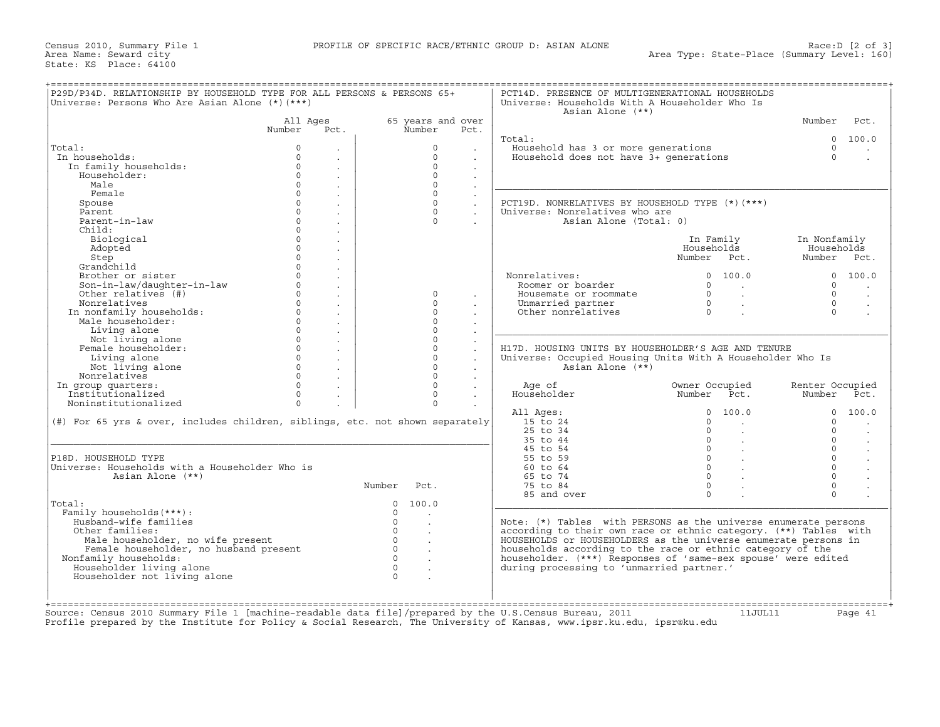|                                                                                  | All Ages                             |          | 65 years and over |                           | Asian Alone (**)                                                 |                                                            | Number          | Pct.                 |
|----------------------------------------------------------------------------------|--------------------------------------|----------|-------------------|---------------------------|------------------------------------------------------------------|------------------------------------------------------------|-----------------|----------------------|
|                                                                                  | Number<br>Pct.                       |          | Number            | Pct.                      |                                                                  |                                                            |                 |                      |
|                                                                                  |                                      |          |                   |                           | Total:                                                           |                                                            | $\Omega$        | 100.0                |
| Total:                                                                           | $\mathbf 0$<br>$\ddot{\phantom{a}}$  |          | $\circ$           | $\blacksquare$            | Household has 3 or more generations                              |                                                            | $\circ$         | $\bullet$            |
| In households:                                                                   | $\Omega$                             |          | $\Omega$          |                           | Household does not have 3+ generations                           |                                                            | $\Omega$        |                      |
| In family households:                                                            | $\mathbf{0}$<br>$\ddot{\phantom{a}}$ |          | $\mathbf{0}$      | $\mathbf{r}$              |                                                                  |                                                            |                 |                      |
| Householder:                                                                     | $\Omega$<br>$\cdot$                  |          | $\Omega$          |                           |                                                                  |                                                            |                 |                      |
| Male                                                                             | $\circ$<br>$\epsilon$                |          | $\mathbf{0}$      | $\epsilon$                |                                                                  |                                                            |                 |                      |
| Female                                                                           | $\Omega$<br>$\ddot{\phantom{a}}$     |          | $\Omega$          | $\ddot{\phantom{a}}$      |                                                                  |                                                            |                 |                      |
| Spouse                                                                           | $\circ$                              |          | $\circ$           | $\ddot{\phantom{a}}$      | PCT19D. NONRELATIVES BY HOUSEHOLD TYPE (*) (***)                 |                                                            |                 |                      |
| Parent                                                                           | $\epsilon$<br>$\circ$                |          | $\mathbf{0}$      |                           | Universe: Nonrelatives who are                                   |                                                            |                 |                      |
| Parent-in-law                                                                    | $\ddot{\phantom{a}}$<br>$\circ$      |          | $\Omega$          |                           | Asian Alone (Total: 0)                                           |                                                            |                 |                      |
|                                                                                  | $\sim$<br>$\Omega$                   |          |                   |                           |                                                                  |                                                            |                 |                      |
| Child:                                                                           | $\cdot$                              |          |                   |                           |                                                                  |                                                            |                 |                      |
| Biological                                                                       | $\circ$<br>$\ddot{\phantom{a}}$      |          |                   |                           |                                                                  | In Family                                                  | In Nonfamily    |                      |
| Adopted                                                                          | $\mathbf{0}$<br>$\sim$               |          |                   |                           |                                                                  | Households                                                 | Households      |                      |
| Step                                                                             | $\circ$<br>$\sim$                    |          |                   |                           |                                                                  | Number Pct.                                                | Number Pct.     |                      |
| Grandchild                                                                       | $\Omega$<br>$\sim$                   |          |                   |                           |                                                                  |                                                            |                 |                      |
| Brother or sister                                                                | $\circ$<br>$\sim$                    |          |                   |                           | Nonrelatives:                                                    | 0 100.0                                                    |                 | 0 100.0              |
| Son-in-law/daughter-in-law                                                       | $\circ$<br>$\sim$                    |          |                   |                           | Roomer or boarder                                                | $\Omega$<br>$\sim$ 100 $\sim$                              | $\Omega$        | $\sim$               |
| Other relatives (#)                                                              | $\circ$<br>$\epsilon$                |          | $\circ$           | $\blacksquare$            | Housemate or roommate                                            | $\Omega$<br>$\sim 100$                                     | $\Omega$        | $\ddot{\phantom{a}}$ |
| Nonrelatives                                                                     | $\Omega$<br>$\sim$                   |          | $\Omega$          |                           | Unmarried partner                                                | $\Omega$<br><b>Contract</b>                                | $\Omega$        | $\sim$               |
| In nonfamily households:                                                         | $\circ$<br>$\sim$                    |          | $\Omega$          |                           | Other nonrelatives                                               | $\Omega$                                                   | $\Omega$        |                      |
| Male householder:                                                                | $\Omega$<br>$\sim$                   |          | $\Omega$          | $\mathbf{r}$              |                                                                  |                                                            |                 |                      |
| Living alone                                                                     | $\Omega$<br>$\ddot{\phantom{a}}$     |          | $\Omega$          | $\sim$                    |                                                                  |                                                            |                 |                      |
| Not living alone                                                                 | $\Omega$<br>$\sim$                   |          | $\Omega$          | $\mathbf{r}$              |                                                                  |                                                            |                 |                      |
| Female householder:                                                              | $\circ$                              |          | $\mathbf{0}$      | $\mathbb{Z}^{\mathbb{Z}}$ | H17D. HOUSING UNITS BY HOUSEHOLDER'S AGE AND TENURE              |                                                            |                 |                      |
| Living alone                                                                     | $\sim$<br>$\circ$<br>$\sim$          |          | $\Omega$          |                           | Universe: Occupied Housing Units With A Householder Who Is       |                                                            |                 |                      |
|                                                                                  | $\circ$                              |          | $\Omega$          | $\sim$                    |                                                                  |                                                            |                 |                      |
| Not living alone                                                                 | $\sim$<br>$\Omega$                   |          | $\Omega$          | $\sim$                    | Asian Alone (**)                                                 |                                                            |                 |                      |
| Nonrelatives                                                                     | $\sim$                               |          |                   | $\sim$                    |                                                                  |                                                            |                 |                      |
| In group quarters:                                                               | $\Omega$<br>$\ddot{\phantom{a}}$     |          | $\Omega$          | $\mathbf{r}$              | Age of                                                           | Owner Occupied                                             | Renter Occupied |                      |
| Institutionalized                                                                | $\circ$<br>$\sim$                    |          | $\mathbf{0}$      | $\mathbf{r}$              | Householder                                                      | Number<br>Pct.                                             | Number          | Pct.                 |
| Noninstitutionalized                                                             | $\Omega$                             |          | $\Omega$          |                           |                                                                  |                                                            |                 |                      |
|                                                                                  |                                      |          |                   |                           | All Ages:                                                        | 0 100.0                                                    | $\circ$         | 100.0                |
| $(\#)$ For 65 yrs & over, includes children, siblings, etc. not shown separately |                                      |          |                   |                           | 15 to 24                                                         | $\Omega$<br><b>Contract Contract</b>                       | $\Omega$        | $\sim$               |
|                                                                                  |                                      |          |                   |                           | 25 to 34                                                         | $\Omega$<br>$\sim$                                         | $\Omega$        | $\mathbf{r}$         |
|                                                                                  |                                      |          |                   |                           | 35 to 44                                                         | $\Omega$<br>$\sim 100$                                     | $\Omega$        | $\sim$               |
|                                                                                  |                                      |          |                   |                           | 45 to 54                                                         | $\Omega$<br><b>Contract</b>                                | $\Omega$        | $\bullet$            |
| P18D. HOUSEHOLD TYPE                                                             |                                      |          |                   |                           | 55 to 59                                                         | $\begin{matrix} 0 & \cdots & \cdots & \cdots \end{matrix}$ | $\Omega$        | $\sim$               |
| Universe: Households with a Householder Who is                                   |                                      |          |                   |                           | 60 to 64                                                         | $\Omega$ .                                                 | $\Omega$        | $\ddot{\phantom{a}}$ |
|                                                                                  |                                      |          |                   |                           | 65 to 74                                                         | $\Omega$                                                   | $\Omega$        |                      |
|                                                                                  |                                      | Number   | Pct.              |                           | 75 to 84                                                         | $\Omega$<br>$\ddot{\phantom{a}}$                           | $\mathbf 0$     |                      |
| Asian Alone (**)                                                                 |                                      |          |                   |                           | 85 and over                                                      | $\Omega$                                                   | $\Omega$        |                      |
|                                                                                  |                                      |          |                   |                           |                                                                  |                                                            |                 |                      |
|                                                                                  |                                      |          |                   |                           |                                                                  |                                                            |                 |                      |
|                                                                                  |                                      | $\circ$  | 100.0             |                           |                                                                  |                                                            |                 |                      |
| Family households (***):                                                         |                                      | $\Omega$ |                   |                           |                                                                  |                                                            |                 |                      |
| Husband-wife families                                                            |                                      | $\Omega$ | $\overline{a}$    |                           | Note: (*) Tables with PERSONS as the universe enumerate persons  |                                                            |                 |                      |
| Other families:                                                                  |                                      | $\circ$  |                   |                           | according to their own race or ethnic category. (**) Tables with |                                                            |                 |                      |
| Male householder, no wife present                                                |                                      | $\circ$  | $\mathbf{r}$      |                           | HOUSEHOLDS or HOUSEHOLDERS as the universe enumerate persons in  |                                                            |                 |                      |
| Female householder, no husband present                                           |                                      | $\circ$  |                   |                           | households according to the race or ethnic category of the       |                                                            |                 |                      |
| Nonfamily households:                                                            |                                      | $\Omega$ |                   |                           | householder. (***) Responses of 'same-sex spouse' were edited    |                                                            |                 |                      |
| Householder living alone                                                         |                                      | $\Omega$ |                   |                           | during processing to 'unmarried partner.'                        |                                                            |                 |                      |
| Total:<br>Householder not living alone                                           |                                      | $\Omega$ |                   |                           |                                                                  |                                                            |                 |                      |
|                                                                                  |                                      |          |                   |                           |                                                                  |                                                            |                 |                      |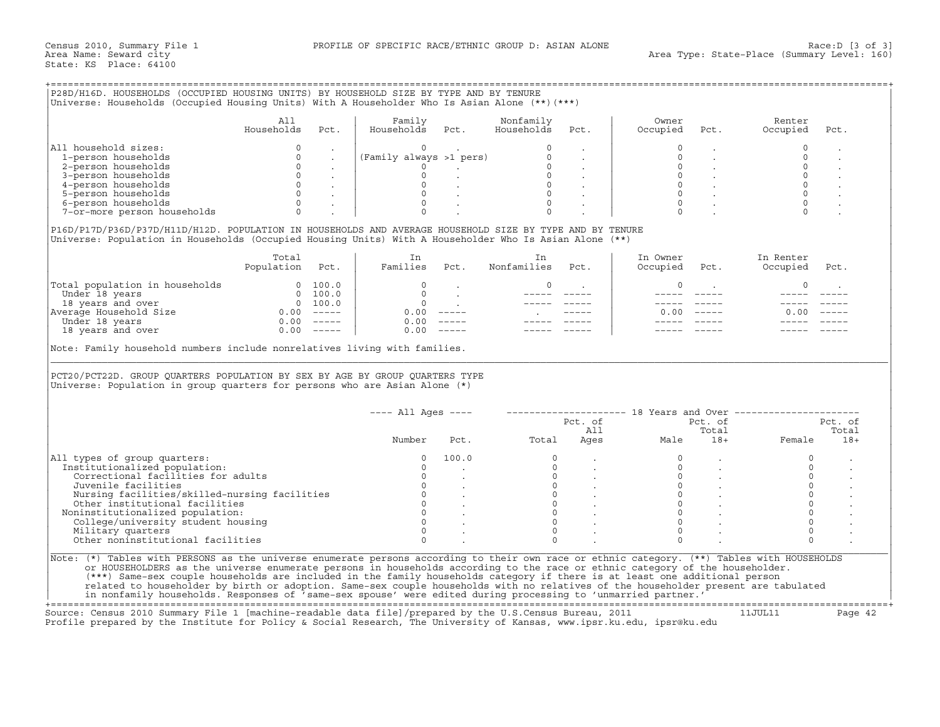| All household sizes:<br>$\Omega$<br>$\circ$<br>$\mathbf 0$<br>$\Omega$<br>1-person households<br>$\Omega$<br>$\circ$<br>$\sim$ 100 $\mu$<br>$\sim$<br>$\Omega$<br>$\circ$<br>$\circ$<br>2-person households<br>$0 \qquad \qquad .$<br>$\begin{matrix} 0 & & \cdot \\ & & \cdot \\ 0 & & \cdot \end{matrix}$<br>$\Omega$<br>3-person households<br>$\circ$<br>$\begin{matrix} 0 & \cdots & \cdots \end{matrix}$<br>4-person households<br>$\begin{array}{ccc} & & 0 & \end{array}$<br>$\begin{matrix} 0 & & \cdot \end{matrix}$<br>$\Omega$<br>5-person households<br>$\overline{0}$<br>6-person households<br>$0 \qquad \qquad .$<br>$\circ$<br>$\Omega$<br>$\Omega$<br>7-or-more person households<br>In Owner<br>In Renter<br>Total<br>In<br>In<br>Population Pct.<br>Families Pct.<br>Nonfamilies<br>Pct.<br>Occupied Pct.<br>Occupied<br>$\circ$<br>$\circ$<br>$\mathbf 0$<br>$\Omega$<br>$\Omega$<br>$\overline{0}$<br>______ ____<br>$0.00$ -----<br>0.00<br>0.00<br>$0.00$ -----<br>$0.00$ -----<br>18 years and over<br>0.00<br>---- All Ages ----       -------------------- 18 Years and Over -----------------<br>Pct. of<br>Pct. of<br>All<br>Total<br>Total<br>Ages<br>Male<br>$18+$<br>Female<br>Number<br>Pct.<br>$\circ$<br>$\Omega$<br>100.0<br>$\circ$<br>$\circ$<br>Institutionalized population:<br>$\Omega$<br>$\circ$<br>$\Omega$<br>Correctional facilities for adults<br>$\Omega$<br>$\overline{0}$<br>$\overline{0}$<br>$\mathbb O$ |                     | All<br>Households | Pct. | Family<br>Households Pct. | Nonfamily<br>Households                                         | Pct.                                                     | Owner<br>Occupied | Pct.                                         | Renter<br>Occupied  | Pct.                 |
|--------------------------------------------------------------------------------------------------------------------------------------------------------------------------------------------------------------------------------------------------------------------------------------------------------------------------------------------------------------------------------------------------------------------------------------------------------------------------------------------------------------------------------------------------------------------------------------------------------------------------------------------------------------------------------------------------------------------------------------------------------------------------------------------------------------------------------------------------------------------------------------------------------------------------------------------------------------------------------------------------------------------------------------------------------------------------------------------------------------------------------------------------------------------------------------------------------------------------------------------------------------------------------------------------------------------------------------------------------------------------------------------------------------------------------------------------------------|---------------------|-------------------|------|---------------------------|-----------------------------------------------------------------|----------------------------------------------------------|-------------------|----------------------------------------------|---------------------|----------------------|
|                                                                                                                                                                                                                                                                                                                                                                                                                                                                                                                                                                                                                                                                                                                                                                                                                                                                                                                                                                                                                                                                                                                                                                                                                                                                                                                                                                                                                                                              |                     |                   |      |                           |                                                                 |                                                          |                   |                                              |                     |                      |
| P16D/P17D/P36D/P37D/H11D/H12D. POPULATION IN HOUSEHOLDS AND AVERAGE HOUSEHOLD SIZE BY TYPE AND BY TENURE<br>Universe: Population in Households (Occupied Housing Units) With A Householder Who Is Asian Alone (**)<br>$\begin{tabular}{ l l } \hline \texttt{Total population in households} & 0 & 100.0 \\ \hline \texttt{Under 18 years} & 0 & 100.0 \\ \texttt{18 years and over} & 0 & 100.0 \\ \texttt{Average Household Size} & 0.00 & --- \\ \hline \texttt{Under 18 years} & 0.00 & --- \\ \hline \end{tabular}$<br>Note: Family household numbers include nonrelatives living with families.<br>PCT20/PCT22D. GROUP QUARTERS POPULATION BY SEX BY AGE BY GROUP QUARTERS TYPE<br>Universe: Population in group quarters for persons who are Asian Alone $(*)$<br>All types of group quarters:                                                                                                                                                                                                                                                                                                                                                                                                                                                                                                                                                                                                                                                        |                     |                   |      |                           |                                                                 |                                                          |                   |                                              |                     | $\ddot{\phantom{a}}$ |
|                                                                                                                                                                                                                                                                                                                                                                                                                                                                                                                                                                                                                                                                                                                                                                                                                                                                                                                                                                                                                                                                                                                                                                                                                                                                                                                                                                                                                                                              |                     |                   |      |                           |                                                                 |                                                          |                   |                                              |                     |                      |
|                                                                                                                                                                                                                                                                                                                                                                                                                                                                                                                                                                                                                                                                                                                                                                                                                                                                                                                                                                                                                                                                                                                                                                                                                                                                                                                                                                                                                                                              |                     |                   |      |                           |                                                                 |                                                          |                   |                                              |                     |                      |
|                                                                                                                                                                                                                                                                                                                                                                                                                                                                                                                                                                                                                                                                                                                                                                                                                                                                                                                                                                                                                                                                                                                                                                                                                                                                                                                                                                                                                                                              |                     |                   |      |                           |                                                                 |                                                          |                   |                                              |                     |                      |
|                                                                                                                                                                                                                                                                                                                                                                                                                                                                                                                                                                                                                                                                                                                                                                                                                                                                                                                                                                                                                                                                                                                                                                                                                                                                                                                                                                                                                                                              |                     |                   |      |                           |                                                                 |                                                          |                   |                                              |                     |                      |
|                                                                                                                                                                                                                                                                                                                                                                                                                                                                                                                                                                                                                                                                                                                                                                                                                                                                                                                                                                                                                                                                                                                                                                                                                                                                                                                                                                                                                                                              |                     |                   |      |                           |                                                                 |                                                          |                   |                                              |                     |                      |
|                                                                                                                                                                                                                                                                                                                                                                                                                                                                                                                                                                                                                                                                                                                                                                                                                                                                                                                                                                                                                                                                                                                                                                                                                                                                                                                                                                                                                                                              |                     |                   |      |                           |                                                                 |                                                          |                   |                                              |                     |                      |
|                                                                                                                                                                                                                                                                                                                                                                                                                                                                                                                                                                                                                                                                                                                                                                                                                                                                                                                                                                                                                                                                                                                                                                                                                                                                                                                                                                                                                                                              |                     |                   |      |                           |                                                                 |                                                          |                   |                                              |                     |                      |
|                                                                                                                                                                                                                                                                                                                                                                                                                                                                                                                                                                                                                                                                                                                                                                                                                                                                                                                                                                                                                                                                                                                                                                                                                                                                                                                                                                                                                                                              |                     |                   |      |                           |                                                                 |                                                          |                   |                                              |                     | Pct.                 |
|                                                                                                                                                                                                                                                                                                                                                                                                                                                                                                                                                                                                                                                                                                                                                                                                                                                                                                                                                                                                                                                                                                                                                                                                                                                                                                                                                                                                                                                              |                     |                   |      |                           |                                                                 |                                                          |                   |                                              |                     |                      |
|                                                                                                                                                                                                                                                                                                                                                                                                                                                                                                                                                                                                                                                                                                                                                                                                                                                                                                                                                                                                                                                                                                                                                                                                                                                                                                                                                                                                                                                              |                     |                   |      |                           |                                                                 |                                                          |                   |                                              |                     |                      |
|                                                                                                                                                                                                                                                                                                                                                                                                                                                                                                                                                                                                                                                                                                                                                                                                                                                                                                                                                                                                                                                                                                                                                                                                                                                                                                                                                                                                                                                              |                     |                   |      |                           |                                                                 |                                                          |                   |                                              |                     |                      |
|                                                                                                                                                                                                                                                                                                                                                                                                                                                                                                                                                                                                                                                                                                                                                                                                                                                                                                                                                                                                                                                                                                                                                                                                                                                                                                                                                                                                                                                              |                     |                   |      |                           |                                                                 |                                                          |                   |                                              |                     |                      |
|                                                                                                                                                                                                                                                                                                                                                                                                                                                                                                                                                                                                                                                                                                                                                                                                                                                                                                                                                                                                                                                                                                                                                                                                                                                                                                                                                                                                                                                              |                     |                   |      |                           |                                                                 |                                                          |                   |                                              |                     |                      |
|                                                                                                                                                                                                                                                                                                                                                                                                                                                                                                                                                                                                                                                                                                                                                                                                                                                                                                                                                                                                                                                                                                                                                                                                                                                                                                                                                                                                                                                              |                     |                   |      |                           |                                                                 |                                                          |                   |                                              |                     |                      |
|                                                                                                                                                                                                                                                                                                                                                                                                                                                                                                                                                                                                                                                                                                                                                                                                                                                                                                                                                                                                                                                                                                                                                                                                                                                                                                                                                                                                                                                              |                     |                   |      |                           |                                                                 |                                                          |                   |                                              |                     |                      |
|                                                                                                                                                                                                                                                                                                                                                                                                                                                                                                                                                                                                                                                                                                                                                                                                                                                                                                                                                                                                                                                                                                                                                                                                                                                                                                                                                                                                                                                              |                     |                   |      |                           |                                                                 |                                                          |                   |                                              |                     |                      |
|                                                                                                                                                                                                                                                                                                                                                                                                                                                                                                                                                                                                                                                                                                                                                                                                                                                                                                                                                                                                                                                                                                                                                                                                                                                                                                                                                                                                                                                              |                     |                   |      |                           |                                                                 |                                                          |                   |                                              |                     |                      |
|                                                                                                                                                                                                                                                                                                                                                                                                                                                                                                                                                                                                                                                                                                                                                                                                                                                                                                                                                                                                                                                                                                                                                                                                                                                                                                                                                                                                                                                              |                     |                   |      |                           |                                                                 |                                                          |                   |                                              |                     | Pct. of              |
|                                                                                                                                                                                                                                                                                                                                                                                                                                                                                                                                                                                                                                                                                                                                                                                                                                                                                                                                                                                                                                                                                                                                                                                                                                                                                                                                                                                                                                                              |                     |                   |      |                           |                                                                 |                                                          |                   |                                              |                     | Total                |
|                                                                                                                                                                                                                                                                                                                                                                                                                                                                                                                                                                                                                                                                                                                                                                                                                                                                                                                                                                                                                                                                                                                                                                                                                                                                                                                                                                                                                                                              |                     |                   |      |                           |                                                                 |                                                          |                   |                                              |                     | $18+$                |
|                                                                                                                                                                                                                                                                                                                                                                                                                                                                                                                                                                                                                                                                                                                                                                                                                                                                                                                                                                                                                                                                                                                                                                                                                                                                                                                                                                                                                                                              |                     |                   |      |                           |                                                                 |                                                          |                   |                                              |                     |                      |
|                                                                                                                                                                                                                                                                                                                                                                                                                                                                                                                                                                                                                                                                                                                                                                                                                                                                                                                                                                                                                                                                                                                                                                                                                                                                                                                                                                                                                                                              |                     |                   |      |                           |                                                                 |                                                          |                   |                                              |                     |                      |
|                                                                                                                                                                                                                                                                                                                                                                                                                                                                                                                                                                                                                                                                                                                                                                                                                                                                                                                                                                                                                                                                                                                                                                                                                                                                                                                                                                                                                                                              |                     |                   |      |                           |                                                                 |                                                          |                   |                                              |                     |                      |
| Nursing facilities/skilled-nursing facilities<br>$\overline{0}$                                                                                                                                                                                                                                                                                                                                                                                                                                                                                                                                                                                                                                                                                                                                                                                                                                                                                                                                                                                                                                                                                                                                                                                                                                                                                                                                                                                              | Juvenile facilities |                   |      | $\Omega$                  |                                                                 |                                                          | $\Omega$          |                                              | $\Omega$            |                      |
| $\overline{0}$ .<br>Other institutional facilities                                                                                                                                                                                                                                                                                                                                                                                                                                                                                                                                                                                                                                                                                                                                                                                                                                                                                                                                                                                                                                                                                                                                                                                                                                                                                                                                                                                                           |                     |                   |      |                           |                                                                 |                                                          |                   |                                              | $\mathsf{O}\xspace$ |                      |
| $\begin{matrix}0&0\\0&0\end{matrix}$<br>$\begin{matrix} 0 & \cdot & \cdot \end{matrix}$<br>Noninstitutionalized population:                                                                                                                                                                                                                                                                                                                                                                                                                                                                                                                                                                                                                                                                                                                                                                                                                                                                                                                                                                                                                                                                                                                                                                                                                                                                                                                                  |                     |                   |      |                           |                                                                 | $\begin{matrix} 0 & & \cdot \\ 0 & & \cdot \end{matrix}$ |                   |                                              | $\mathsf 0$         |                      |
| $\Omega$<br>College/university student housing                                                                                                                                                                                                                                                                                                                                                                                                                                                                                                                                                                                                                                                                                                                                                                                                                                                                                                                                                                                                                                                                                                                                                                                                                                                                                                                                                                                                               |                     |                   |      |                           |                                                                 |                                                          |                   | $\begin{matrix} 0 & & \\ 0 & & \end{matrix}$ | $\mathbf 0$         |                      |
| $\Omega$<br>Military quarters<br>$\Omega$                                                                                                                                                                                                                                                                                                                                                                                                                                                                                                                                                                                                                                                                                                                                                                                                                                                                                                                                                                                                                                                                                                                                                                                                                                                                                                                                                                                                                    |                     |                   |      | $\Omega$                  | $\begin{bmatrix} 0 \\ 0 \\ 0 \\ 0 \\ 0 \\ 0 \\ 0 \end{bmatrix}$ |                                                          | $\Omega$          |                                              | $\mathsf 0$         |                      |
| Other noninstitutional facilities<br>$\Omega$<br>$\cap$<br>$\Omega$<br>$\Omega$                                                                                                                                                                                                                                                                                                                                                                                                                                                                                                                                                                                                                                                                                                                                                                                                                                                                                                                                                                                                                                                                                                                                                                                                                                                                                                                                                                              |                     |                   |      | $\Omega$                  |                                                                 |                                                          |                   |                                              | $\mathbf 0$         |                      |
|                                                                                                                                                                                                                                                                                                                                                                                                                                                                                                                                                                                                                                                                                                                                                                                                                                                                                                                                                                                                                                                                                                                                                                                                                                                                                                                                                                                                                                                              |                     |                   |      |                           |                                                                 |                                                          |                   |                                              |                     |                      |
|                                                                                                                                                                                                                                                                                                                                                                                                                                                                                                                                                                                                                                                                                                                                                                                                                                                                                                                                                                                                                                                                                                                                                                                                                                                                                                                                                                                                                                                              |                     |                   |      |                           |                                                                 |                                                          |                   |                                              |                     |                      |
|                                                                                                                                                                                                                                                                                                                                                                                                                                                                                                                                                                                                                                                                                                                                                                                                                                                                                                                                                                                                                                                                                                                                                                                                                                                                                                                                                                                                                                                              |                     |                   |      |                           |                                                                 |                                                          |                   |                                              |                     |                      |
|                                                                                                                                                                                                                                                                                                                                                                                                                                                                                                                                                                                                                                                                                                                                                                                                                                                                                                                                                                                                                                                                                                                                                                                                                                                                                                                                                                                                                                                              |                     |                   |      |                           |                                                                 |                                                          |                   |                                              |                     |                      |
|                                                                                                                                                                                                                                                                                                                                                                                                                                                                                                                                                                                                                                                                                                                                                                                                                                                                                                                                                                                                                                                                                                                                                                                                                                                                                                                                                                                                                                                              |                     |                   |      |                           |                                                                 |                                                          |                   |                                              |                     |                      |
|                                                                                                                                                                                                                                                                                                                                                                                                                                                                                                                                                                                                                                                                                                                                                                                                                                                                                                                                                                                                                                                                                                                                                                                                                                                                                                                                                                                                                                                              |                     |                   |      |                           |                                                                 |                                                          |                   |                                              |                     |                      |
|                                                                                                                                                                                                                                                                                                                                                                                                                                                                                                                                                                                                                                                                                                                                                                                                                                                                                                                                                                                                                                                                                                                                                                                                                                                                                                                                                                                                                                                              |                     |                   |      |                           |                                                                 |                                                          |                   |                                              |                     |                      |
|                                                                                                                                                                                                                                                                                                                                                                                                                                                                                                                                                                                                                                                                                                                                                                                                                                                                                                                                                                                                                                                                                                                                                                                                                                                                                                                                                                                                                                                              |                     |                   |      |                           |                                                                 |                                                          |                   |                                              |                     |                      |
|                                                                                                                                                                                                                                                                                                                                                                                                                                                                                                                                                                                                                                                                                                                                                                                                                                                                                                                                                                                                                                                                                                                                                                                                                                                                                                                                                                                                                                                              |                     |                   |      |                           |                                                                 |                                                          |                   |                                              |                     |                      |
|                                                                                                                                                                                                                                                                                                                                                                                                                                                                                                                                                                                                                                                                                                                                                                                                                                                                                                                                                                                                                                                                                                                                                                                                                                                                                                                                                                                                                                                              |                     |                   |      |                           |                                                                 |                                                          |                   |                                              |                     |                      |
|                                                                                                                                                                                                                                                                                                                                                                                                                                                                                                                                                                                                                                                                                                                                                                                                                                                                                                                                                                                                                                                                                                                                                                                                                                                                                                                                                                                                                                                              |                     |                   |      |                           |                                                                 |                                                          |                   |                                              |                     |                      |
|                                                                                                                                                                                                                                                                                                                                                                                                                                                                                                                                                                                                                                                                                                                                                                                                                                                                                                                                                                                                                                                                                                                                                                                                                                                                                                                                                                                                                                                              |                     |                   |      |                           |                                                                 |                                                          |                   |                                              |                     |                      |
|                                                                                                                                                                                                                                                                                                                                                                                                                                                                                                                                                                                                                                                                                                                                                                                                                                                                                                                                                                                                                                                                                                                                                                                                                                                                                                                                                                                                                                                              |                     |                   |      |                           |                                                                 |                                                          |                   |                                              |                     |                      |
|                                                                                                                                                                                                                                                                                                                                                                                                                                                                                                                                                                                                                                                                                                                                                                                                                                                                                                                                                                                                                                                                                                                                                                                                                                                                                                                                                                                                                                                              |                     |                   |      |                           |                                                                 |                                                          |                   |                                              |                     |                      |
|                                                                                                                                                                                                                                                                                                                                                                                                                                                                                                                                                                                                                                                                                                                                                                                                                                                                                                                                                                                                                                                                                                                                                                                                                                                                                                                                                                                                                                                              |                     |                   |      |                           |                                                                 |                                                          |                   |                                              |                     |                      |
|                                                                                                                                                                                                                                                                                                                                                                                                                                                                                                                                                                                                                                                                                                                                                                                                                                                                                                                                                                                                                                                                                                                                                                                                                                                                                                                                                                                                                                                              |                     |                   |      |                           |                                                                 |                                                          |                   |                                              |                     |                      |
|                                                                                                                                                                                                                                                                                                                                                                                                                                                                                                                                                                                                                                                                                                                                                                                                                                                                                                                                                                                                                                                                                                                                                                                                                                                                                                                                                                                                                                                              |                     |                   |      |                           |                                                                 |                                                          |                   |                                              |                     |                      |
|                                                                                                                                                                                                                                                                                                                                                                                                                                                                                                                                                                                                                                                                                                                                                                                                                                                                                                                                                                                                                                                                                                                                                                                                                                                                                                                                                                                                                                                              |                     |                   |      |                           |                                                                 |                                                          |                   |                                              |                     |                      |
|                                                                                                                                                                                                                                                                                                                                                                                                                                                                                                                                                                                                                                                                                                                                                                                                                                                                                                                                                                                                                                                                                                                                                                                                                                                                                                                                                                                                                                                              |                     |                   |      |                           |                                                                 |                                                          |                   |                                              |                     |                      |
|                                                                                                                                                                                                                                                                                                                                                                                                                                                                                                                                                                                                                                                                                                                                                                                                                                                                                                                                                                                                                                                                                                                                                                                                                                                                                                                                                                                                                                                              |                     |                   |      |                           |                                                                 |                                                          |                   |                                              |                     |                      |
|                                                                                                                                                                                                                                                                                                                                                                                                                                                                                                                                                                                                                                                                                                                                                                                                                                                                                                                                                                                                                                                                                                                                                                                                                                                                                                                                                                                                                                                              |                     |                   |      |                           |                                                                 |                                                          |                   |                                              |                     |                      |

| 100.0 |  |  |  |
|-------|--|--|--|
|       |  |  |  |
|       |  |  |  |
|       |  |  |  |
|       |  |  |  |
|       |  |  |  |
|       |  |  |  |
|       |  |  |  |
|       |  |  |  |
|       |  |  |  |
|       |  |  |  |

+===================================================================================================================================================+ Source: Census 2010 Summary File 1 [machine-readable data file]/prepared by the U.S.Census Bureau, 2011 11JUL11 Page 42 Profile prepared by the Institute for Policy & Social Research, The University of Kansas, www.ipsr.ku.edu, ipsr@ku.edu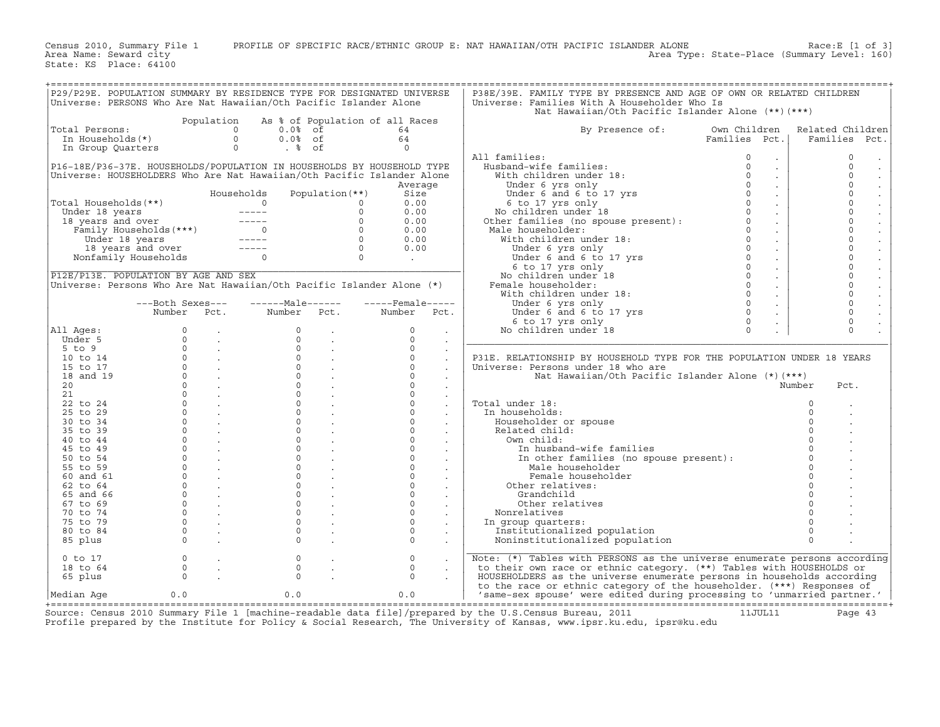Census 2010, Summary File 1 PROFILE OF SPECIFIC RACE/ETHNIC GROUP E: NAT HAWAIIAN/OTH PACIFIC ISLANDER ALONE Race:E [1 of 3]<br>Area Name: Seward city Level: 160)

State: KS Place: 64100

|                                                                                                                                                                                                                                                    |                |                                                            | P29/P29E. POPULATION SUMMARY BY RESIDENCE TYPE FOR DESIGNATED UNIVERSE                                                                                                                                               |                                                                                              |                    |                             | P38E/39E. FAMILY TYPE BY PRESENCE AND AGE OF OWN OR RELATED CHILDREN                                                                                                                                                                               |                            |                |                                        |
|----------------------------------------------------------------------------------------------------------------------------------------------------------------------------------------------------------------------------------------------------|----------------|------------------------------------------------------------|----------------------------------------------------------------------------------------------------------------------------------------------------------------------------------------------------------------------|----------------------------------------------------------------------------------------------|--------------------|-----------------------------|----------------------------------------------------------------------------------------------------------------------------------------------------------------------------------------------------------------------------------------------------|----------------------------|----------------|----------------------------------------|
|                                                                                                                                                                                                                                                    |                |                                                            |                                                                                                                                                                                                                      |                                                                                              |                    |                             |                                                                                                                                                                                                                                                    |                            |                |                                        |
|                                                                                                                                                                                                                                                    |                |                                                            | Universe: PERSONS Who Are Nat Hawaiian/Oth Pacific Islander Alone                                                                                                                                                    |                                                                                              |                    |                             | Universe: Families With A Householder Who Is                                                                                                                                                                                                       |                            |                |                                        |
|                                                                                                                                                                                                                                                    |                |                                                            |                                                                                                                                                                                                                      |                                                                                              |                    |                             | Nat Hawaiian/Oth Pacific Islander Alone (**) (***)                                                                                                                                                                                                 |                            |                |                                        |
|                                                                                                                                                                                                                                                    |                |                                                            | Population As % of Population of all Races<br>otal Persons:<br>In Households(*) $\begin{array}{cccccc} 0 & 0.08 & \text{of} \\ 0 & 0.08 & \text{of} \\ \text{In Group Quatters} & 0 & .8 & \text{of} \\ \end{array}$ |                                                                                              |                    |                             |                                                                                                                                                                                                                                                    |                            |                |                                        |
| Total Persons:                                                                                                                                                                                                                                     |                |                                                            |                                                                                                                                                                                                                      |                                                                                              | 64                 |                             | By Presence of:                                                                                                                                                                                                                                    | Own Children               |                | Related Children                       |
|                                                                                                                                                                                                                                                    |                |                                                            |                                                                                                                                                                                                                      |                                                                                              | 64                 |                             |                                                                                                                                                                                                                                                    | Families Pct.              |                | Families Pct.                          |
|                                                                                                                                                                                                                                                    |                |                                                            |                                                                                                                                                                                                                      |                                                                                              | $\Omega$           |                             |                                                                                                                                                                                                                                                    |                            |                |                                        |
|                                                                                                                                                                                                                                                    |                |                                                            |                                                                                                                                                                                                                      |                                                                                              |                    |                             |                                                                                                                                                                                                                                                    |                            |                |                                        |
|                                                                                                                                                                                                                                                    |                |                                                            |                                                                                                                                                                                                                      |                                                                                              |                    |                             | All families:                                                                                                                                                                                                                                      | $\Omega$<br>$\sim$         |                | $\Omega$<br>$\cdot$                    |
|                                                                                                                                                                                                                                                    |                |                                                            | P16-18E/P36-37E. HOUSEHOLDS/POPULATION IN HOUSEHOLDS BY HOUSEHOLD TYPE                                                                                                                                               |                                                                                              |                    |                             |                                                                                                                                                                                                                                                    | $\sim$                     |                | $\circ$<br>$\cdot$                     |
|                                                                                                                                                                                                                                                    |                |                                                            | Universe: HOUSEHOLDERS Who Are Nat Hawaiian/Oth Pacific Islander Alone                                                                                                                                               |                                                                                              |                    |                             |                                                                                                                                                                                                                                                    | $\sim$                     |                | $\Omega$<br>$\epsilon$                 |
|                                                                                                                                                                                                                                                    |                |                                                            |                                                                                                                                                                                                                      |                                                                                              | Average            |                             |                                                                                                                                                                                                                                                    | $\sim$                     |                | $\circ$<br>$\mathbb{Z}^2$              |
|                                                                                                                                                                                                                                                    |                |                                                            | Households                                                                                                                                                                                                           | Population (**)                                                                              | Size               |                             |                                                                                                                                                                                                                                                    |                            |                | $\circ$                                |
|                                                                                                                                                                                                                                                    |                |                                                            |                                                                                                                                                                                                                      |                                                                                              | 0.00               |                             |                                                                                                                                                                                                                                                    | $\sim$                     |                | $\bullet$<br>$\circ$                   |
|                                                                                                                                                                                                                                                    |                |                                                            |                                                                                                                                                                                                                      |                                                                                              |                    |                             |                                                                                                                                                                                                                                                    | $\sim$                     |                | $\mathcal{L}^{\mathcal{L}}$            |
|                                                                                                                                                                                                                                                    |                |                                                            |                                                                                                                                                                                                                      |                                                                                              | 0.00               |                             |                                                                                                                                                                                                                                                    | $\sim 10^{-11}$            |                | $\circ$<br>$\ddot{\phantom{a}}$        |
|                                                                                                                                                                                                                                                    |                |                                                            |                                                                                                                                                                                                                      |                                                                                              | 0.00               |                             |                                                                                                                                                                                                                                                    | $\sim 10^{-10}$            |                | $\circ$<br>$\Box$                      |
|                                                                                                                                                                                                                                                    |                |                                                            |                                                                                                                                                                                                                      |                                                                                              | 0.00               |                             |                                                                                                                                                                                                                                                    | $\sim$                     |                | $\circ$<br>$\ddot{\phantom{a}}$        |
| Total Households (**)<br>Under 18 years<br>18 years and over<br>Family Households (***)<br>18 years and over<br>Family Households (***)<br>18 years and over<br>18 years and over<br>18 years and over<br>Nonfamily Households<br>18 years and ove |                |                                                            |                                                                                                                                                                                                                      |                                                                                              | 0.00               |                             |                                                                                                                                                                                                                                                    | $\sim 10^{-11}$            |                | $\circ$<br>$\mathcal{L}^{\mathcal{L}}$ |
|                                                                                                                                                                                                                                                    |                |                                                            |                                                                                                                                                                                                                      |                                                                                              | 0.00               |                             |                                                                                                                                                                                                                                                    | $\sim 10^{-11}$            |                | $\circ$<br>$\mathcal{L}^{\mathcal{L}}$ |
|                                                                                                                                                                                                                                                    |                |                                                            |                                                                                                                                                                                                                      |                                                                                              |                    |                             |                                                                                                                                                                                                                                                    |                            |                | $\circ$                                |
|                                                                                                                                                                                                                                                    |                |                                                            |                                                                                                                                                                                                                      |                                                                                              | <b>Contract</b>    |                             |                                                                                                                                                                                                                                                    | $\sim$                     |                | $\mathcal{L}^{\mathcal{L}}$            |
|                                                                                                                                                                                                                                                    |                |                                                            |                                                                                                                                                                                                                      |                                                                                              |                    |                             |                                                                                                                                                                                                                                                    | $\sim$                     |                | $\circ$<br>$\ddot{\phantom{a}}$        |
| P12E/P13E. POPULATION BY AGE AND SEX                                                                                                                                                                                                               |                |                                                            |                                                                                                                                                                                                                      |                                                                                              |                    |                             |                                                                                                                                                                                                                                                    | $\sim$                     |                | $\Omega$<br>$\ddot{\phantom{a}}$       |
|                                                                                                                                                                                                                                                    |                |                                                            | Universe: Persons Who Are Nat Hawaiian/Oth Pacific Islander Alone (*)                                                                                                                                                |                                                                                              |                    |                             | All families:<br>With children under 18:<br>With children under 18:<br>Under 6 and 6 to 17 yrs<br>Under 6 and 6 to 17 yrs<br>6 to 17 yrs<br>6 to 17 yrs<br>0 6 to 17 yrs<br>No children under 18<br>Other families (no spouse present):<br>Male ho | $\sim$                     |                | $\circ$<br>$\Box$                      |
|                                                                                                                                                                                                                                                    |                |                                                            |                                                                                                                                                                                                                      |                                                                                              |                    |                             |                                                                                                                                                                                                                                                    | $\sim 10^{-11}$            |                | $\circ$<br>$\mathcal{L}^{\mathcal{L}}$ |
|                                                                                                                                                                                                                                                    |                |                                                            | ---Both Sexes--- -------Male------                                                                                                                                                                                   |                                                                                              | $---$ Female $---$ |                             |                                                                                                                                                                                                                                                    | $\sim 10^{-11}$            |                | $\circ$                                |
|                                                                                                                                                                                                                                                    |                |                                                            | Number Pct. Number Pct. Number Pct.                                                                                                                                                                                  |                                                                                              |                    |                             | Under 6 and 6 to 17 yrs<br>6 to 17 yrs only<br>6 to 17 yrs only<br>6 children under 18                                                                                                                                                             | $\circ$                    |                | $\circ$                                |
|                                                                                                                                                                                                                                                    |                |                                                            |                                                                                                                                                                                                                      |                                                                                              |                    |                             |                                                                                                                                                                                                                                                    | $\sim 10^{-1}$<br>$\Omega$ |                | $\Omega$                               |
|                                                                                                                                                                                                                                                    |                |                                                            |                                                                                                                                                                                                                      |                                                                                              |                    |                             |                                                                                                                                                                                                                                                    | $\sim$                     |                | $\mathbb{Z}^2$                         |
| All Ages:                                                                                                                                                                                                                                          |                |                                                            |                                                                                                                                                                                                                      |                                                                                              | $\circ$            | $\sim$                      | No children under 18                                                                                                                                                                                                                               | $\Omega$<br>$\mathbb{Z}^2$ |                | $\Omega$                               |
| Under 5                                                                                                                                                                                                                                            |                |                                                            |                                                                                                                                                                                                                      |                                                                                              | $\Omega$           | $\sim$                      |                                                                                                                                                                                                                                                    |                            |                |                                        |
| $5$ to $9$                                                                                                                                                                                                                                         |                |                                                            |                                                                                                                                                                                                                      | $\begin{matrix} 0 & & & \\ 0 & & & \\ 0 & & & \\ 0 & & & \\ 0 & & & \\ 0 & & & \end{matrix}$ | $\circ$            | $\sim$                      |                                                                                                                                                                                                                                                    |                            |                |                                        |
| 10 to 14                                                                                                                                                                                                                                           |                |                                                            |                                                                                                                                                                                                                      |                                                                                              | $\circ$            | $\sim$                      | P31E. RELATIONSHIP BY HOUSEHOLD TYPE FOR THE POPULATION UNDER 18 YEARS                                                                                                                                                                             |                            |                |                                        |
| 15 to 17                                                                                                                                                                                                                                           |                |                                                            |                                                                                                                                                                                                                      | $\overline{0}$ .                                                                             | $\Omega$           | $\ddot{\phantom{a}}$        | Universe: Persons under 18 who are                                                                                                                                                                                                                 |                            |                |                                        |
| 18 and 19                                                                                                                                                                                                                                          |                | $0 \qquad \qquad .$                                        |                                                                                                                                                                                                                      | $\overline{0}$ .                                                                             | $\circ$            |                             | Nat Hawaiian/Oth Pacific Islander Alone $(*)$ $(***)$                                                                                                                                                                                              |                            |                |                                        |
|                                                                                                                                                                                                                                                    |                | $\begin{matrix} 0 & & \cdot \\ 0 & & \cdot \end{matrix}$   | $\Omega$                                                                                                                                                                                                             |                                                                                              |                    | $\sim$                      |                                                                                                                                                                                                                                                    |                            |                |                                        |
| 20                                                                                                                                                                                                                                                 |                |                                                            |                                                                                                                                                                                                                      | $\sim 100$ km s $^{-1}$                                                                      | $\circ$            | $\ddot{\phantom{a}}$        |                                                                                                                                                                                                                                                    |                            | Number         | Pct.                                   |
| 21                                                                                                                                                                                                                                                 |                | $0 \qquad \qquad .$                                        | $\circ$                                                                                                                                                                                                              | $\sim 10^{11}$ km $^{-1}$                                                                    | $\circ$            | $\sim$                      |                                                                                                                                                                                                                                                    |                            |                |                                        |
| 22 to 24                                                                                                                                                                                                                                           |                | $\begin{matrix} 0 & \cdots & \cdots & \cdots \end{matrix}$ | $\mathbf{0}$                                                                                                                                                                                                         | $\sim$                                                                                       | $\circ$            | $\sim$                      | Total under 18:                                                                                                                                                                                                                                    |                            | $\Omega$       |                                        |
| 25 to 29                                                                                                                                                                                                                                           |                | $0 \qquad \qquad$<br>$\sim$                                | $\circ$                                                                                                                                                                                                              | $\mathcal{L}^{\mathcal{L}}$                                                                  | $\circ$            | $\ddot{\phantom{a}}$        | In households:                                                                                                                                                                                                                                     |                            | $\circ$        |                                        |
| 30 to 34                                                                                                                                                                                                                                           | $\Omega$       | $\sim$ 100 $\sim$ 100 $\sim$                               | $\Omega$                                                                                                                                                                                                             | $\sim$ $\sim$                                                                                | $\Omega$           | $\sim$                      | Householder or spouse                                                                                                                                                                                                                              |                            | $\Omega$       |                                        |
| 35 to 39                                                                                                                                                                                                                                           | $\Omega$       | $\sim 10^{11}$ km $^{-1}$                                  | $\circ$                                                                                                                                                                                                              | $\sim 10^{11}$                                                                               | $\circ$            |                             | Related child:                                                                                                                                                                                                                                     |                            | $\Omega$       |                                        |
|                                                                                                                                                                                                                                                    |                |                                                            | $\Omega$                                                                                                                                                                                                             |                                                                                              |                    | $\sim$                      |                                                                                                                                                                                                                                                    |                            | $\Omega$       |                                        |
| 40 to 44                                                                                                                                                                                                                                           |                | $\begin{array}{ccc} & 0 & \end{array}$                     |                                                                                                                                                                                                                      | $\sim 10^{11}$ km $^{-1}$                                                                    | $\circ$            | $\sim$                      | Own child:                                                                                                                                                                                                                                         |                            |                |                                        |
| 45 to 49                                                                                                                                                                                                                                           |                | $\overline{0}$ .                                           | $\circ$                                                                                                                                                                                                              | $\sim 100$ km s $^{-1}$                                                                      | $\overline{0}$     | $\sim$                      | In husband-wife families                                                                                                                                                                                                                           |                            | $\overline{0}$ |                                        |
| 50 to 54                                                                                                                                                                                                                                           | $\Omega$       | $\mathcal{L}^{\text{max}}$ .                               | $\Omega$                                                                                                                                                                                                             |                                                                                              | $\circ$            | $\sim$                      | In other families (no spouse present):                                                                                                                                                                                                             |                            | $\overline{0}$ |                                        |
| 55 to 59                                                                                                                                                                                                                                           |                | $0 \qquad \qquad .$                                        | $\circ$                                                                                                                                                                                                              | $\sim 10^{11}$ km s $^{-1}$                                                                  | $\overline{0}$     | $\sim$                      | Male householder                                                                                                                                                                                                                                   |                            | $\overline{0}$ |                                        |
| 60 and 61                                                                                                                                                                                                                                          |                | $0 \qquad \qquad .$                                        | $\overline{0}$                                                                                                                                                                                                       | $\sim$                                                                                       | $\overline{0}$     | $\sim$                      | Female householder                                                                                                                                                                                                                                 |                            | $\circ$        |                                        |
| 62 to 64                                                                                                                                                                                                                                           | $\Omega$       | $\mathcal{L}^{\mathcal{L}}$                                | $\Omega$                                                                                                                                                                                                             |                                                                                              | $\Omega$           |                             | Other relatives:                                                                                                                                                                                                                                   |                            | $\Omega$       |                                        |
|                                                                                                                                                                                                                                                    |                |                                                            | $\circ$                                                                                                                                                                                                              |                                                                                              | $\circ$            |                             |                                                                                                                                                                                                                                                    |                            |                |                                        |
| 65 and 66                                                                                                                                                                                                                                          |                | $0 \qquad \qquad .$                                        |                                                                                                                                                                                                                      | <b>Contract</b>                                                                              |                    |                             | Grandchild                                                                                                                                                                                                                                         |                            |                |                                        |
| 67 to 69                                                                                                                                                                                                                                           |                | $\overline{0}$ .                                           | $\circ$                                                                                                                                                                                                              | $\sim 100$ km s $^{-1}$                                                                      | $\overline{0}$     | $\mathcal{L}^{\pm}$         | Other relatives                                                                                                                                                                                                                                    |                            | $\circ$        |                                        |
| 70 to 74                                                                                                                                                                                                                                           |                | $\overline{0}$ .                                           | $\circ$                                                                                                                                                                                                              | $\sim 10^{11}$ km $^{-1}$                                                                    | $\circ$            | $\sim$                      | Nonrelatives                                                                                                                                                                                                                                       |                            |                |                                        |
| 75 to 79                                                                                                                                                                                                                                           | $\Omega$       | $\sim 100$ km s $^{-1}$                                    | $\circ$                                                                                                                                                                                                              | $\sim 10^{11}$ km                                                                            | $\circ$            |                             | In group quarters:                                                                                                                                                                                                                                 |                            |                |                                        |
| 80 to 84                                                                                                                                                                                                                                           | $\circ$        | $\mathcal{L}^{\text{max}}$                                 | $\mathsf{O}$                                                                                                                                                                                                         | $\sim$                                                                                       | $\circ$            | $\mathcal{L}_{\mathcal{A}}$ | Institutionalized population                                                                                                                                                                                                                       |                            | $\Omega$       |                                        |
|                                                                                                                                                                                                                                                    | $\Omega$       | $\sim$                                                     | $\Omega$                                                                                                                                                                                                             |                                                                                              | $\Omega$           |                             | Noninstitutionalized population                                                                                                                                                                                                                    |                            | $\cap$         |                                        |
| 85 plus                                                                                                                                                                                                                                            |                |                                                            |                                                                                                                                                                                                                      |                                                                                              |                    | $\sim$                      |                                                                                                                                                                                                                                                    |                            |                |                                        |
|                                                                                                                                                                                                                                                    |                |                                                            |                                                                                                                                                                                                                      |                                                                                              |                    |                             |                                                                                                                                                                                                                                                    |                            |                |                                        |
| $0$ to $17$                                                                                                                                                                                                                                        | $\Omega$       | $\mathbb{R}^2$                                             | $\circ$                                                                                                                                                                                                              | $\mathbb{R}^2$                                                                               | $\circ$            | $\ddot{\phantom{a}}$        | Note: (*) Tables with PERSONS as the universe enumerate persons according                                                                                                                                                                          |                            |                |                                        |
| 18 to 64                                                                                                                                                                                                                                           | $\overline{0}$ | $\sim$                                                     | $\mathsf{O}$                                                                                                                                                                                                         | $\mathbb{Z}^2$                                                                               | $\mathbf 0$        | $\sim$                      | to their own race or ethnic category. (**) Tables with HOUSEHOLDS or                                                                                                                                                                               |                            |                |                                        |
| 65 plus                                                                                                                                                                                                                                            | $\Omega$       |                                                            | $\Omega$                                                                                                                                                                                                             |                                                                                              | $\circ$            |                             | HOUSEHOLDERS as the universe enumerate persons in households according                                                                                                                                                                             |                            |                |                                        |
|                                                                                                                                                                                                                                                    |                |                                                            |                                                                                                                                                                                                                      |                                                                                              |                    |                             | to the race or ethnic category of the householder. (***) Responses of                                                                                                                                                                              |                            |                |                                        |
| Median Aqe                                                                                                                                                                                                                                         | 0.0            |                                                            | 0.0                                                                                                                                                                                                                  |                                                                                              | 0.0                |                             | 'same-sex spouse' were edited during processing to 'unmarried partner.'                                                                                                                                                                            |                            |                |                                        |
|                                                                                                                                                                                                                                                    |                |                                                            |                                                                                                                                                                                                                      |                                                                                              |                    |                             |                                                                                                                                                                                                                                                    |                            |                |                                        |

+===================================================================================================================================================+ Source: Census 2010 Summary File 1 [machine−readable data file]/prepared by the U.S.Census Bureau, 2011 11JUL11 Page 43 Profile prepared by the Institute for Policy & Social Research, The University of Kansas, www.ipsr.ku.edu, ipsr@ku.edu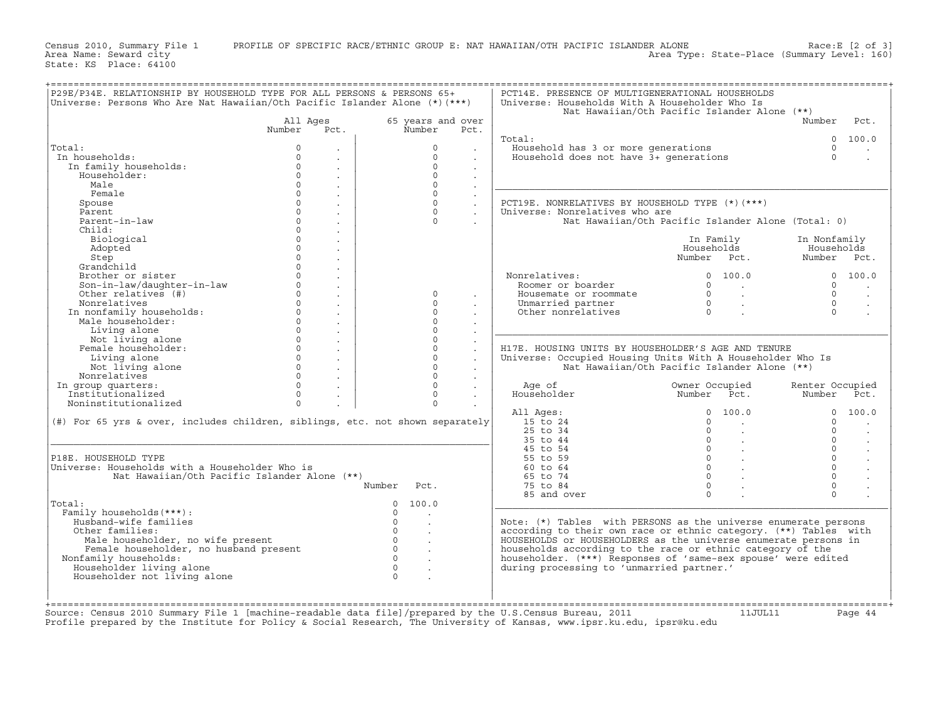Census 2010, Summary File 1 PROFILE OF SPECIFIC RACE/ETHNIC GROUP E: NAT HAWAIIAN/OTH PACIFIC ISLANDER ALONE Race:E [2 of 3]<br>Area Name: Seward city Level: 160) Area Type: State-Place (Summary Level: 160)

State: KS Place: 64100

| 65 years and over<br>All Ages<br>Number<br>Number<br>Number<br>Pct.<br>Pct.<br>Total:<br>0 100.0<br>Household has 3 or more generations<br>Total:<br>$\Omega$<br>$\circ$<br>$\circ$<br>$\ddot{\phantom{0}}$<br>$\cdot$<br>$\bullet$<br>Household does not have $3+$ generations<br>$\Omega$<br>In households:<br>$\Omega$<br>$\Omega$<br>$\sim$<br>$\sim$<br>$\circ$<br>$\Omega$<br>In family households:<br>$\circ$<br>$\Omega$<br>Householder:<br>$\sim$<br>$\sim$<br>$\circ$<br>$\Omega$<br>Male<br>$\sim$<br>$\Omega$<br>$\Omega$<br>Female<br>$\ddot{\phantom{a}}$<br>$\mathbf{0}$<br>$\circ$<br>PCT19E. NONRELATIVES BY HOUSEHOLD TYPE (*) (***)<br>Spouse<br>$\ddot{\phantom{a}}$<br>$\sim$<br>$\circ$<br>$\circ$<br>Parent<br>Universe: Nonrelatives who are<br>$\sim$<br>$\sim$<br>$\overline{0}$<br>Parent-in-law<br>$\Omega$<br>Nat Hawaiian/Oth Pacific Islander Alone (Total: 0)<br>$\sim$<br>$\circ$<br>Child:<br>$\sim$<br>$\overline{0}$<br>Biological<br>In Family<br>In Nonfamily<br>$\overline{0}$<br>Adopted<br>Households<br>Households<br>$\ddot{\phantom{a}}$<br>nousenorus<br>Number Pct. Number Pct.<br>$\Omega$<br>Step<br>$\ddot{\phantom{a}}$<br>$\Omega$<br>Grandchild<br>$\sim$<br>$\circ$<br>Brother or sister<br>Nonrelatives:<br>$\begin{matrix} 0&100\ 0&\end{matrix}$<br>0 100.0<br>$\sim$<br>Son-in-law/daughter-in-law<br>$\circ$<br>Roomer or boarder<br>$\Omega$<br>$\sim$<br>$\sim$<br>$\begin{matrix} 0 & & & \ 0 & & \ 0 & & \ 0 & & \end{matrix}$<br>$\Omega$<br>Other relatives (#)<br>Housemate or roommate<br>$\Omega$<br>$\Omega$<br>$\overline{0}$<br>Nonrelatives<br>$\circ$<br>$\Omega$<br>Unmarried partner<br>$0 \qquad \qquad$<br>$\circ$<br>In nonfamily households:<br>Other nonrelatives<br>$\Omega$<br>$\ddot{\phantom{a}}$<br>$\overline{0}$<br>$\circ$<br>Male householder:<br>$\ddot{\phantom{a}}$<br>$\circ$<br>$\circ$<br>Living alone<br>$\sim$<br>$\sim$<br>$\circ$<br>$\circ$<br>Not living alone<br>$\sim$<br>$\overline{0}$<br>Female householder:<br>$\circ$<br>H17E. HOUSING UNITS BY HOUSEHOLDER'S AGE AND TENURE<br>$\ddot{\phantom{a}}$<br>$\sim$<br>$\overline{0}$<br>$\circ$<br>Living alone<br>Universe: Occupied Housing Units With A Householder Who Is<br>$\sim$<br>$\sim$<br>$\Omega$<br>$\Omega$<br>Not living alone<br>Nat Hawaiian/Oth Pacific Islander Alone (**)<br>$\sim$<br>$\sim$<br>$\Omega$<br>$\Omega$<br>Nonrelatives<br>$\sim$<br>$\sim$<br>$\Omega$<br>$\Omega$<br>In group quarters:<br>Age of<br>Owner Occupied      Renter Occupied<br>Number    Pct.          Number    Pct.<br>$\sim$<br>Institutionalized<br>$\Omega$<br>$\Omega$<br>Householder<br>$\Omega$<br>$\Omega$<br>Noninstitutionalized<br>0 100.0<br>0 100.0<br>All Ages:<br>(#) For 65 yrs & over, includes children, siblings, etc. not shown separately<br>15 to 24<br>$\circ$<br>$\circ$<br><b>Contract Contract</b><br>25 to 34<br>$\Omega$<br>$\Omega$<br>$\sim$ $\sim$<br>35 to 44<br>$0 \qquad \qquad .$<br>$\circ$<br>$\begin{matrix} 0 & & \cdot & \cdot \end{matrix}$<br>$\circ$<br>45 to 54<br>$0 \qquad \qquad .$<br>$\circ$<br>55 to 59<br>$\overline{0}$ .<br>$\Omega$<br>Universe: Households with a Householder Who is<br>60 to 64<br>$0 \qquad \qquad .$<br>$\circ$<br>Nat Hawaiian/Oth Pacific Islander Alone (**)<br>65 to 74<br>$\Omega$<br>$\circ$<br>75 to 84<br>Number Pct.<br>$\sim$<br>$\Omega$<br>$\Omega$<br>85 and over<br>0 100.0<br>Family households (***) :<br>$\Omega$<br>$\sim$<br>Husband-wife families<br>$\circ$<br>Note: $(*)$ Tables with PERSONS as the universe enumerate persons<br>$\ddot{\phantom{a}}$<br>$\overline{0}$<br>according to their own race or ethnic category. (**) Tables with<br>Other families:<br>$\overline{0}$<br>Male householder, no wife present<br>HOUSEHOLDS or HOUSEHOLDERS as the universe enumerate persons in<br>$\sim$<br>$\overline{0}$<br>Female householder, no husband present<br>households according to the race or ethnic category of the<br>$\ddot{\phantom{a}}$<br>$\overline{0}$<br>Nonfamily households:<br>householder. (***) Responses of 'same-sex spouse' were edited<br>Householder living alone<br>$\overline{0}$<br>during processing to 'unmarried partner.'<br>$\Omega$<br>Householder not living alone |                                |  | P29E/P34E. RELATIONSHIP BY HOUSEHOLD TYPE FOR ALL PERSONS & PERSONS 65+<br>Universe: Persons Who Are Nat Hawaiian/Oth Pacific Islander Alone (*)(***) | PCT14E. PRESENCE OF MULTIGENERATIONAL HOUSEHOLDS<br>Universe: Households With A Householder Who Is | Nat Hawaiian/Oth Pacific Islander Alone (**) |                      |
|--------------------------------------------------------------------------------------------------------------------------------------------------------------------------------------------------------------------------------------------------------------------------------------------------------------------------------------------------------------------------------------------------------------------------------------------------------------------------------------------------------------------------------------------------------------------------------------------------------------------------------------------------------------------------------------------------------------------------------------------------------------------------------------------------------------------------------------------------------------------------------------------------------------------------------------------------------------------------------------------------------------------------------------------------------------------------------------------------------------------------------------------------------------------------------------------------------------------------------------------------------------------------------------------------------------------------------------------------------------------------------------------------------------------------------------------------------------------------------------------------------------------------------------------------------------------------------------------------------------------------------------------------------------------------------------------------------------------------------------------------------------------------------------------------------------------------------------------------------------------------------------------------------------------------------------------------------------------------------------------------------------------------------------------------------------------------------------------------------------------------------------------------------------------------------------------------------------------------------------------------------------------------------------------------------------------------------------------------------------------------------------------------------------------------------------------------------------------------------------------------------------------------------------------------------------------------------------------------------------------------------------------------------------------------------------------------------------------------------------------------------------------------------------------------------------------------------------------------------------------------------------------------------------------------------------------------------------------------------------------------------------------------------------------------------------------------------------------------------------------------------------------------------------------------------------------------------------------------------------------------------------------------------------------------------------------------------------------------------------------------------------------------------------------------------------------------------------------------------------------------------------------------------------------------------------------------------------------------------------------------------------------------------------------------------------------------------------------------------------------------------------------------------------------------------------------------------------------------------------------------------------------------------------------------------------------------------------------------------------------------------------------------------------------------------------------------------------------------------------------------------------------------------------------------------------------------------------------------------------------------------------------|--------------------------------|--|-------------------------------------------------------------------------------------------------------------------------------------------------------|----------------------------------------------------------------------------------------------------|----------------------------------------------|----------------------|
|                                                                                                                                                                                                                                                                                                                                                                                                                                                                                                                                                                                                                                                                                                                                                                                                                                                                                                                                                                                                                                                                                                                                                                                                                                                                                                                                                                                                                                                                                                                                                                                                                                                                                                                                                                                                                                                                                                                                                                                                                                                                                                                                                                                                                                                                                                                                                                                                                                                                                                                                                                                                                                                                                                                                                                                                                                                                                                                                                                                                                                                                                                                                                                                                                                                                                                                                                                                                                                                                                                                                                                                                                                                                                                                                                                                                                                                                                                                                                                                                                                                                                                                                                                                                                                                                    |                                |  |                                                                                                                                                       |                                                                                                    |                                              | Pct.                 |
|                                                                                                                                                                                                                                                                                                                                                                                                                                                                                                                                                                                                                                                                                                                                                                                                                                                                                                                                                                                                                                                                                                                                                                                                                                                                                                                                                                                                                                                                                                                                                                                                                                                                                                                                                                                                                                                                                                                                                                                                                                                                                                                                                                                                                                                                                                                                                                                                                                                                                                                                                                                                                                                                                                                                                                                                                                                                                                                                                                                                                                                                                                                                                                                                                                                                                                                                                                                                                                                                                                                                                                                                                                                                                                                                                                                                                                                                                                                                                                                                                                                                                                                                                                                                                                                                    |                                |  |                                                                                                                                                       |                                                                                                    |                                              |                      |
|                                                                                                                                                                                                                                                                                                                                                                                                                                                                                                                                                                                                                                                                                                                                                                                                                                                                                                                                                                                                                                                                                                                                                                                                                                                                                                                                                                                                                                                                                                                                                                                                                                                                                                                                                                                                                                                                                                                                                                                                                                                                                                                                                                                                                                                                                                                                                                                                                                                                                                                                                                                                                                                                                                                                                                                                                                                                                                                                                                                                                                                                                                                                                                                                                                                                                                                                                                                                                                                                                                                                                                                                                                                                                                                                                                                                                                                                                                                                                                                                                                                                                                                                                                                                                                                                    |                                |  |                                                                                                                                                       |                                                                                                    |                                              |                      |
|                                                                                                                                                                                                                                                                                                                                                                                                                                                                                                                                                                                                                                                                                                                                                                                                                                                                                                                                                                                                                                                                                                                                                                                                                                                                                                                                                                                                                                                                                                                                                                                                                                                                                                                                                                                                                                                                                                                                                                                                                                                                                                                                                                                                                                                                                                                                                                                                                                                                                                                                                                                                                                                                                                                                                                                                                                                                                                                                                                                                                                                                                                                                                                                                                                                                                                                                                                                                                                                                                                                                                                                                                                                                                                                                                                                                                                                                                                                                                                                                                                                                                                                                                                                                                                                                    |                                |  |                                                                                                                                                       |                                                                                                    |                                              |                      |
|                                                                                                                                                                                                                                                                                                                                                                                                                                                                                                                                                                                                                                                                                                                                                                                                                                                                                                                                                                                                                                                                                                                                                                                                                                                                                                                                                                                                                                                                                                                                                                                                                                                                                                                                                                                                                                                                                                                                                                                                                                                                                                                                                                                                                                                                                                                                                                                                                                                                                                                                                                                                                                                                                                                                                                                                                                                                                                                                                                                                                                                                                                                                                                                                                                                                                                                                                                                                                                                                                                                                                                                                                                                                                                                                                                                                                                                                                                                                                                                                                                                                                                                                                                                                                                                                    |                                |  |                                                                                                                                                       |                                                                                                    |                                              |                      |
|                                                                                                                                                                                                                                                                                                                                                                                                                                                                                                                                                                                                                                                                                                                                                                                                                                                                                                                                                                                                                                                                                                                                                                                                                                                                                                                                                                                                                                                                                                                                                                                                                                                                                                                                                                                                                                                                                                                                                                                                                                                                                                                                                                                                                                                                                                                                                                                                                                                                                                                                                                                                                                                                                                                                                                                                                                                                                                                                                                                                                                                                                                                                                                                                                                                                                                                                                                                                                                                                                                                                                                                                                                                                                                                                                                                                                                                                                                                                                                                                                                                                                                                                                                                                                                                                    |                                |  |                                                                                                                                                       |                                                                                                    |                                              |                      |
|                                                                                                                                                                                                                                                                                                                                                                                                                                                                                                                                                                                                                                                                                                                                                                                                                                                                                                                                                                                                                                                                                                                                                                                                                                                                                                                                                                                                                                                                                                                                                                                                                                                                                                                                                                                                                                                                                                                                                                                                                                                                                                                                                                                                                                                                                                                                                                                                                                                                                                                                                                                                                                                                                                                                                                                                                                                                                                                                                                                                                                                                                                                                                                                                                                                                                                                                                                                                                                                                                                                                                                                                                                                                                                                                                                                                                                                                                                                                                                                                                                                                                                                                                                                                                                                                    |                                |  |                                                                                                                                                       |                                                                                                    |                                              |                      |
|                                                                                                                                                                                                                                                                                                                                                                                                                                                                                                                                                                                                                                                                                                                                                                                                                                                                                                                                                                                                                                                                                                                                                                                                                                                                                                                                                                                                                                                                                                                                                                                                                                                                                                                                                                                                                                                                                                                                                                                                                                                                                                                                                                                                                                                                                                                                                                                                                                                                                                                                                                                                                                                                                                                                                                                                                                                                                                                                                                                                                                                                                                                                                                                                                                                                                                                                                                                                                                                                                                                                                                                                                                                                                                                                                                                                                                                                                                                                                                                                                                                                                                                                                                                                                                                                    |                                |  |                                                                                                                                                       |                                                                                                    |                                              |                      |
|                                                                                                                                                                                                                                                                                                                                                                                                                                                                                                                                                                                                                                                                                                                                                                                                                                                                                                                                                                                                                                                                                                                                                                                                                                                                                                                                                                                                                                                                                                                                                                                                                                                                                                                                                                                                                                                                                                                                                                                                                                                                                                                                                                                                                                                                                                                                                                                                                                                                                                                                                                                                                                                                                                                                                                                                                                                                                                                                                                                                                                                                                                                                                                                                                                                                                                                                                                                                                                                                                                                                                                                                                                                                                                                                                                                                                                                                                                                                                                                                                                                                                                                                                                                                                                                                    |                                |  |                                                                                                                                                       |                                                                                                    |                                              |                      |
|                                                                                                                                                                                                                                                                                                                                                                                                                                                                                                                                                                                                                                                                                                                                                                                                                                                                                                                                                                                                                                                                                                                                                                                                                                                                                                                                                                                                                                                                                                                                                                                                                                                                                                                                                                                                                                                                                                                                                                                                                                                                                                                                                                                                                                                                                                                                                                                                                                                                                                                                                                                                                                                                                                                                                                                                                                                                                                                                                                                                                                                                                                                                                                                                                                                                                                                                                                                                                                                                                                                                                                                                                                                                                                                                                                                                                                                                                                                                                                                                                                                                                                                                                                                                                                                                    |                                |  |                                                                                                                                                       |                                                                                                    |                                              |                      |
|                                                                                                                                                                                                                                                                                                                                                                                                                                                                                                                                                                                                                                                                                                                                                                                                                                                                                                                                                                                                                                                                                                                                                                                                                                                                                                                                                                                                                                                                                                                                                                                                                                                                                                                                                                                                                                                                                                                                                                                                                                                                                                                                                                                                                                                                                                                                                                                                                                                                                                                                                                                                                                                                                                                                                                                                                                                                                                                                                                                                                                                                                                                                                                                                                                                                                                                                                                                                                                                                                                                                                                                                                                                                                                                                                                                                                                                                                                                                                                                                                                                                                                                                                                                                                                                                    |                                |  |                                                                                                                                                       |                                                                                                    |                                              |                      |
|                                                                                                                                                                                                                                                                                                                                                                                                                                                                                                                                                                                                                                                                                                                                                                                                                                                                                                                                                                                                                                                                                                                                                                                                                                                                                                                                                                                                                                                                                                                                                                                                                                                                                                                                                                                                                                                                                                                                                                                                                                                                                                                                                                                                                                                                                                                                                                                                                                                                                                                                                                                                                                                                                                                                                                                                                                                                                                                                                                                                                                                                                                                                                                                                                                                                                                                                                                                                                                                                                                                                                                                                                                                                                                                                                                                                                                                                                                                                                                                                                                                                                                                                                                                                                                                                    |                                |  |                                                                                                                                                       |                                                                                                    |                                              |                      |
|                                                                                                                                                                                                                                                                                                                                                                                                                                                                                                                                                                                                                                                                                                                                                                                                                                                                                                                                                                                                                                                                                                                                                                                                                                                                                                                                                                                                                                                                                                                                                                                                                                                                                                                                                                                                                                                                                                                                                                                                                                                                                                                                                                                                                                                                                                                                                                                                                                                                                                                                                                                                                                                                                                                                                                                                                                                                                                                                                                                                                                                                                                                                                                                                                                                                                                                                                                                                                                                                                                                                                                                                                                                                                                                                                                                                                                                                                                                                                                                                                                                                                                                                                                                                                                                                    |                                |  |                                                                                                                                                       |                                                                                                    |                                              |                      |
|                                                                                                                                                                                                                                                                                                                                                                                                                                                                                                                                                                                                                                                                                                                                                                                                                                                                                                                                                                                                                                                                                                                                                                                                                                                                                                                                                                                                                                                                                                                                                                                                                                                                                                                                                                                                                                                                                                                                                                                                                                                                                                                                                                                                                                                                                                                                                                                                                                                                                                                                                                                                                                                                                                                                                                                                                                                                                                                                                                                                                                                                                                                                                                                                                                                                                                                                                                                                                                                                                                                                                                                                                                                                                                                                                                                                                                                                                                                                                                                                                                                                                                                                                                                                                                                                    |                                |  |                                                                                                                                                       |                                                                                                    |                                              |                      |
|                                                                                                                                                                                                                                                                                                                                                                                                                                                                                                                                                                                                                                                                                                                                                                                                                                                                                                                                                                                                                                                                                                                                                                                                                                                                                                                                                                                                                                                                                                                                                                                                                                                                                                                                                                                                                                                                                                                                                                                                                                                                                                                                                                                                                                                                                                                                                                                                                                                                                                                                                                                                                                                                                                                                                                                                                                                                                                                                                                                                                                                                                                                                                                                                                                                                                                                                                                                                                                                                                                                                                                                                                                                                                                                                                                                                                                                                                                                                                                                                                                                                                                                                                                                                                                                                    |                                |  |                                                                                                                                                       |                                                                                                    |                                              |                      |
|                                                                                                                                                                                                                                                                                                                                                                                                                                                                                                                                                                                                                                                                                                                                                                                                                                                                                                                                                                                                                                                                                                                                                                                                                                                                                                                                                                                                                                                                                                                                                                                                                                                                                                                                                                                                                                                                                                                                                                                                                                                                                                                                                                                                                                                                                                                                                                                                                                                                                                                                                                                                                                                                                                                                                                                                                                                                                                                                                                                                                                                                                                                                                                                                                                                                                                                                                                                                                                                                                                                                                                                                                                                                                                                                                                                                                                                                                                                                                                                                                                                                                                                                                                                                                                                                    |                                |  |                                                                                                                                                       |                                                                                                    |                                              |                      |
|                                                                                                                                                                                                                                                                                                                                                                                                                                                                                                                                                                                                                                                                                                                                                                                                                                                                                                                                                                                                                                                                                                                                                                                                                                                                                                                                                                                                                                                                                                                                                                                                                                                                                                                                                                                                                                                                                                                                                                                                                                                                                                                                                                                                                                                                                                                                                                                                                                                                                                                                                                                                                                                                                                                                                                                                                                                                                                                                                                                                                                                                                                                                                                                                                                                                                                                                                                                                                                                                                                                                                                                                                                                                                                                                                                                                                                                                                                                                                                                                                                                                                                                                                                                                                                                                    |                                |  |                                                                                                                                                       |                                                                                                    |                                              |                      |
|                                                                                                                                                                                                                                                                                                                                                                                                                                                                                                                                                                                                                                                                                                                                                                                                                                                                                                                                                                                                                                                                                                                                                                                                                                                                                                                                                                                                                                                                                                                                                                                                                                                                                                                                                                                                                                                                                                                                                                                                                                                                                                                                                                                                                                                                                                                                                                                                                                                                                                                                                                                                                                                                                                                                                                                                                                                                                                                                                                                                                                                                                                                                                                                                                                                                                                                                                                                                                                                                                                                                                                                                                                                                                                                                                                                                                                                                                                                                                                                                                                                                                                                                                                                                                                                                    |                                |  |                                                                                                                                                       |                                                                                                    |                                              |                      |
|                                                                                                                                                                                                                                                                                                                                                                                                                                                                                                                                                                                                                                                                                                                                                                                                                                                                                                                                                                                                                                                                                                                                                                                                                                                                                                                                                                                                                                                                                                                                                                                                                                                                                                                                                                                                                                                                                                                                                                                                                                                                                                                                                                                                                                                                                                                                                                                                                                                                                                                                                                                                                                                                                                                                                                                                                                                                                                                                                                                                                                                                                                                                                                                                                                                                                                                                                                                                                                                                                                                                                                                                                                                                                                                                                                                                                                                                                                                                                                                                                                                                                                                                                                                                                                                                    |                                |  |                                                                                                                                                       |                                                                                                    |                                              |                      |
|                                                                                                                                                                                                                                                                                                                                                                                                                                                                                                                                                                                                                                                                                                                                                                                                                                                                                                                                                                                                                                                                                                                                                                                                                                                                                                                                                                                                                                                                                                                                                                                                                                                                                                                                                                                                                                                                                                                                                                                                                                                                                                                                                                                                                                                                                                                                                                                                                                                                                                                                                                                                                                                                                                                                                                                                                                                                                                                                                                                                                                                                                                                                                                                                                                                                                                                                                                                                                                                                                                                                                                                                                                                                                                                                                                                                                                                                                                                                                                                                                                                                                                                                                                                                                                                                    |                                |  |                                                                                                                                                       |                                                                                                    |                                              |                      |
|                                                                                                                                                                                                                                                                                                                                                                                                                                                                                                                                                                                                                                                                                                                                                                                                                                                                                                                                                                                                                                                                                                                                                                                                                                                                                                                                                                                                                                                                                                                                                                                                                                                                                                                                                                                                                                                                                                                                                                                                                                                                                                                                                                                                                                                                                                                                                                                                                                                                                                                                                                                                                                                                                                                                                                                                                                                                                                                                                                                                                                                                                                                                                                                                                                                                                                                                                                                                                                                                                                                                                                                                                                                                                                                                                                                                                                                                                                                                                                                                                                                                                                                                                                                                                                                                    |                                |  |                                                                                                                                                       |                                                                                                    |                                              |                      |
|                                                                                                                                                                                                                                                                                                                                                                                                                                                                                                                                                                                                                                                                                                                                                                                                                                                                                                                                                                                                                                                                                                                                                                                                                                                                                                                                                                                                                                                                                                                                                                                                                                                                                                                                                                                                                                                                                                                                                                                                                                                                                                                                                                                                                                                                                                                                                                                                                                                                                                                                                                                                                                                                                                                                                                                                                                                                                                                                                                                                                                                                                                                                                                                                                                                                                                                                                                                                                                                                                                                                                                                                                                                                                                                                                                                                                                                                                                                                                                                                                                                                                                                                                                                                                                                                    |                                |  |                                                                                                                                                       |                                                                                                    |                                              |                      |
|                                                                                                                                                                                                                                                                                                                                                                                                                                                                                                                                                                                                                                                                                                                                                                                                                                                                                                                                                                                                                                                                                                                                                                                                                                                                                                                                                                                                                                                                                                                                                                                                                                                                                                                                                                                                                                                                                                                                                                                                                                                                                                                                                                                                                                                                                                                                                                                                                                                                                                                                                                                                                                                                                                                                                                                                                                                                                                                                                                                                                                                                                                                                                                                                                                                                                                                                                                                                                                                                                                                                                                                                                                                                                                                                                                                                                                                                                                                                                                                                                                                                                                                                                                                                                                                                    |                                |  |                                                                                                                                                       |                                                                                                    |                                              |                      |
|                                                                                                                                                                                                                                                                                                                                                                                                                                                                                                                                                                                                                                                                                                                                                                                                                                                                                                                                                                                                                                                                                                                                                                                                                                                                                                                                                                                                                                                                                                                                                                                                                                                                                                                                                                                                                                                                                                                                                                                                                                                                                                                                                                                                                                                                                                                                                                                                                                                                                                                                                                                                                                                                                                                                                                                                                                                                                                                                                                                                                                                                                                                                                                                                                                                                                                                                                                                                                                                                                                                                                                                                                                                                                                                                                                                                                                                                                                                                                                                                                                                                                                                                                                                                                                                                    |                                |  |                                                                                                                                                       |                                                                                                    |                                              |                      |
|                                                                                                                                                                                                                                                                                                                                                                                                                                                                                                                                                                                                                                                                                                                                                                                                                                                                                                                                                                                                                                                                                                                                                                                                                                                                                                                                                                                                                                                                                                                                                                                                                                                                                                                                                                                                                                                                                                                                                                                                                                                                                                                                                                                                                                                                                                                                                                                                                                                                                                                                                                                                                                                                                                                                                                                                                                                                                                                                                                                                                                                                                                                                                                                                                                                                                                                                                                                                                                                                                                                                                                                                                                                                                                                                                                                                                                                                                                                                                                                                                                                                                                                                                                                                                                                                    |                                |  |                                                                                                                                                       |                                                                                                    |                                              |                      |
|                                                                                                                                                                                                                                                                                                                                                                                                                                                                                                                                                                                                                                                                                                                                                                                                                                                                                                                                                                                                                                                                                                                                                                                                                                                                                                                                                                                                                                                                                                                                                                                                                                                                                                                                                                                                                                                                                                                                                                                                                                                                                                                                                                                                                                                                                                                                                                                                                                                                                                                                                                                                                                                                                                                                                                                                                                                                                                                                                                                                                                                                                                                                                                                                                                                                                                                                                                                                                                                                                                                                                                                                                                                                                                                                                                                                                                                                                                                                                                                                                                                                                                                                                                                                                                                                    |                                |  |                                                                                                                                                       |                                                                                                    |                                              |                      |
|                                                                                                                                                                                                                                                                                                                                                                                                                                                                                                                                                                                                                                                                                                                                                                                                                                                                                                                                                                                                                                                                                                                                                                                                                                                                                                                                                                                                                                                                                                                                                                                                                                                                                                                                                                                                                                                                                                                                                                                                                                                                                                                                                                                                                                                                                                                                                                                                                                                                                                                                                                                                                                                                                                                                                                                                                                                                                                                                                                                                                                                                                                                                                                                                                                                                                                                                                                                                                                                                                                                                                                                                                                                                                                                                                                                                                                                                                                                                                                                                                                                                                                                                                                                                                                                                    |                                |  |                                                                                                                                                       |                                                                                                    |                                              |                      |
|                                                                                                                                                                                                                                                                                                                                                                                                                                                                                                                                                                                                                                                                                                                                                                                                                                                                                                                                                                                                                                                                                                                                                                                                                                                                                                                                                                                                                                                                                                                                                                                                                                                                                                                                                                                                                                                                                                                                                                                                                                                                                                                                                                                                                                                                                                                                                                                                                                                                                                                                                                                                                                                                                                                                                                                                                                                                                                                                                                                                                                                                                                                                                                                                                                                                                                                                                                                                                                                                                                                                                                                                                                                                                                                                                                                                                                                                                                                                                                                                                                                                                                                                                                                                                                                                    |                                |  |                                                                                                                                                       |                                                                                                    |                                              |                      |
|                                                                                                                                                                                                                                                                                                                                                                                                                                                                                                                                                                                                                                                                                                                                                                                                                                                                                                                                                                                                                                                                                                                                                                                                                                                                                                                                                                                                                                                                                                                                                                                                                                                                                                                                                                                                                                                                                                                                                                                                                                                                                                                                                                                                                                                                                                                                                                                                                                                                                                                                                                                                                                                                                                                                                                                                                                                                                                                                                                                                                                                                                                                                                                                                                                                                                                                                                                                                                                                                                                                                                                                                                                                                                                                                                                                                                                                                                                                                                                                                                                                                                                                                                                                                                                                                    |                                |  |                                                                                                                                                       |                                                                                                    |                                              |                      |
|                                                                                                                                                                                                                                                                                                                                                                                                                                                                                                                                                                                                                                                                                                                                                                                                                                                                                                                                                                                                                                                                                                                                                                                                                                                                                                                                                                                                                                                                                                                                                                                                                                                                                                                                                                                                                                                                                                                                                                                                                                                                                                                                                                                                                                                                                                                                                                                                                                                                                                                                                                                                                                                                                                                                                                                                                                                                                                                                                                                                                                                                                                                                                                                                                                                                                                                                                                                                                                                                                                                                                                                                                                                                                                                                                                                                                                                                                                                                                                                                                                                                                                                                                                                                                                                                    |                                |  |                                                                                                                                                       |                                                                                                    |                                              |                      |
|                                                                                                                                                                                                                                                                                                                                                                                                                                                                                                                                                                                                                                                                                                                                                                                                                                                                                                                                                                                                                                                                                                                                                                                                                                                                                                                                                                                                                                                                                                                                                                                                                                                                                                                                                                                                                                                                                                                                                                                                                                                                                                                                                                                                                                                                                                                                                                                                                                                                                                                                                                                                                                                                                                                                                                                                                                                                                                                                                                                                                                                                                                                                                                                                                                                                                                                                                                                                                                                                                                                                                                                                                                                                                                                                                                                                                                                                                                                                                                                                                                                                                                                                                                                                                                                                    |                                |  |                                                                                                                                                       |                                                                                                    |                                              |                      |
|                                                                                                                                                                                                                                                                                                                                                                                                                                                                                                                                                                                                                                                                                                                                                                                                                                                                                                                                                                                                                                                                                                                                                                                                                                                                                                                                                                                                                                                                                                                                                                                                                                                                                                                                                                                                                                                                                                                                                                                                                                                                                                                                                                                                                                                                                                                                                                                                                                                                                                                                                                                                                                                                                                                                                                                                                                                                                                                                                                                                                                                                                                                                                                                                                                                                                                                                                                                                                                                                                                                                                                                                                                                                                                                                                                                                                                                                                                                                                                                                                                                                                                                                                                                                                                                                    |                                |  |                                                                                                                                                       |                                                                                                    |                                              |                      |
|                                                                                                                                                                                                                                                                                                                                                                                                                                                                                                                                                                                                                                                                                                                                                                                                                                                                                                                                                                                                                                                                                                                                                                                                                                                                                                                                                                                                                                                                                                                                                                                                                                                                                                                                                                                                                                                                                                                                                                                                                                                                                                                                                                                                                                                                                                                                                                                                                                                                                                                                                                                                                                                                                                                                                                                                                                                                                                                                                                                                                                                                                                                                                                                                                                                                                                                                                                                                                                                                                                                                                                                                                                                                                                                                                                                                                                                                                                                                                                                                                                                                                                                                                                                                                                                                    |                                |  |                                                                                                                                                       |                                                                                                    |                                              |                      |
|                                                                                                                                                                                                                                                                                                                                                                                                                                                                                                                                                                                                                                                                                                                                                                                                                                                                                                                                                                                                                                                                                                                                                                                                                                                                                                                                                                                                                                                                                                                                                                                                                                                                                                                                                                                                                                                                                                                                                                                                                                                                                                                                                                                                                                                                                                                                                                                                                                                                                                                                                                                                                                                                                                                                                                                                                                                                                                                                                                                                                                                                                                                                                                                                                                                                                                                                                                                                                                                                                                                                                                                                                                                                                                                                                                                                                                                                                                                                                                                                                                                                                                                                                                                                                                                                    |                                |  |                                                                                                                                                       |                                                                                                    |                                              |                      |
|                                                                                                                                                                                                                                                                                                                                                                                                                                                                                                                                                                                                                                                                                                                                                                                                                                                                                                                                                                                                                                                                                                                                                                                                                                                                                                                                                                                                                                                                                                                                                                                                                                                                                                                                                                                                                                                                                                                                                                                                                                                                                                                                                                                                                                                                                                                                                                                                                                                                                                                                                                                                                                                                                                                                                                                                                                                                                                                                                                                                                                                                                                                                                                                                                                                                                                                                                                                                                                                                                                                                                                                                                                                                                                                                                                                                                                                                                                                                                                                                                                                                                                                                                                                                                                                                    |                                |  |                                                                                                                                                       |                                                                                                    |                                              |                      |
|                                                                                                                                                                                                                                                                                                                                                                                                                                                                                                                                                                                                                                                                                                                                                                                                                                                                                                                                                                                                                                                                                                                                                                                                                                                                                                                                                                                                                                                                                                                                                                                                                                                                                                                                                                                                                                                                                                                                                                                                                                                                                                                                                                                                                                                                                                                                                                                                                                                                                                                                                                                                                                                                                                                                                                                                                                                                                                                                                                                                                                                                                                                                                                                                                                                                                                                                                                                                                                                                                                                                                                                                                                                                                                                                                                                                                                                                                                                                                                                                                                                                                                                                                                                                                                                                    |                                |  |                                                                                                                                                       |                                                                                                    |                                              |                      |
|                                                                                                                                                                                                                                                                                                                                                                                                                                                                                                                                                                                                                                                                                                                                                                                                                                                                                                                                                                                                                                                                                                                                                                                                                                                                                                                                                                                                                                                                                                                                                                                                                                                                                                                                                                                                                                                                                                                                                                                                                                                                                                                                                                                                                                                                                                                                                                                                                                                                                                                                                                                                                                                                                                                                                                                                                                                                                                                                                                                                                                                                                                                                                                                                                                                                                                                                                                                                                                                                                                                                                                                                                                                                                                                                                                                                                                                                                                                                                                                                                                                                                                                                                                                                                                                                    |                                |  |                                                                                                                                                       |                                                                                                    |                                              |                      |
|                                                                                                                                                                                                                                                                                                                                                                                                                                                                                                                                                                                                                                                                                                                                                                                                                                                                                                                                                                                                                                                                                                                                                                                                                                                                                                                                                                                                                                                                                                                                                                                                                                                                                                                                                                                                                                                                                                                                                                                                                                                                                                                                                                                                                                                                                                                                                                                                                                                                                                                                                                                                                                                                                                                                                                                                                                                                                                                                                                                                                                                                                                                                                                                                                                                                                                                                                                                                                                                                                                                                                                                                                                                                                                                                                                                                                                                                                                                                                                                                                                                                                                                                                                                                                                                                    |                                |  |                                                                                                                                                       |                                                                                                    |                                              | $\sim$               |
|                                                                                                                                                                                                                                                                                                                                                                                                                                                                                                                                                                                                                                                                                                                                                                                                                                                                                                                                                                                                                                                                                                                                                                                                                                                                                                                                                                                                                                                                                                                                                                                                                                                                                                                                                                                                                                                                                                                                                                                                                                                                                                                                                                                                                                                                                                                                                                                                                                                                                                                                                                                                                                                                                                                                                                                                                                                                                                                                                                                                                                                                                                                                                                                                                                                                                                                                                                                                                                                                                                                                                                                                                                                                                                                                                                                                                                                                                                                                                                                                                                                                                                                                                                                                                                                                    |                                |  |                                                                                                                                                       |                                                                                                    |                                              |                      |
|                                                                                                                                                                                                                                                                                                                                                                                                                                                                                                                                                                                                                                                                                                                                                                                                                                                                                                                                                                                                                                                                                                                                                                                                                                                                                                                                                                                                                                                                                                                                                                                                                                                                                                                                                                                                                                                                                                                                                                                                                                                                                                                                                                                                                                                                                                                                                                                                                                                                                                                                                                                                                                                                                                                                                                                                                                                                                                                                                                                                                                                                                                                                                                                                                                                                                                                                                                                                                                                                                                                                                                                                                                                                                                                                                                                                                                                                                                                                                                                                                                                                                                                                                                                                                                                                    |                                |  |                                                                                                                                                       |                                                                                                    |                                              |                      |
|                                                                                                                                                                                                                                                                                                                                                                                                                                                                                                                                                                                                                                                                                                                                                                                                                                                                                                                                                                                                                                                                                                                                                                                                                                                                                                                                                                                                                                                                                                                                                                                                                                                                                                                                                                                                                                                                                                                                                                                                                                                                                                                                                                                                                                                                                                                                                                                                                                                                                                                                                                                                                                                                                                                                                                                                                                                                                                                                                                                                                                                                                                                                                                                                                                                                                                                                                                                                                                                                                                                                                                                                                                                                                                                                                                                                                                                                                                                                                                                                                                                                                                                                                                                                                                                                    |                                |  |                                                                                                                                                       |                                                                                                    |                                              |                      |
|                                                                                                                                                                                                                                                                                                                                                                                                                                                                                                                                                                                                                                                                                                                                                                                                                                                                                                                                                                                                                                                                                                                                                                                                                                                                                                                                                                                                                                                                                                                                                                                                                                                                                                                                                                                                                                                                                                                                                                                                                                                                                                                                                                                                                                                                                                                                                                                                                                                                                                                                                                                                                                                                                                                                                                                                                                                                                                                                                                                                                                                                                                                                                                                                                                                                                                                                                                                                                                                                                                                                                                                                                                                                                                                                                                                                                                                                                                                                                                                                                                                                                                                                                                                                                                                                    |                                |  |                                                                                                                                                       |                                                                                                    |                                              | $\ddot{\phantom{a}}$ |
|                                                                                                                                                                                                                                                                                                                                                                                                                                                                                                                                                                                                                                                                                                                                                                                                                                                                                                                                                                                                                                                                                                                                                                                                                                                                                                                                                                                                                                                                                                                                                                                                                                                                                                                                                                                                                                                                                                                                                                                                                                                                                                                                                                                                                                                                                                                                                                                                                                                                                                                                                                                                                                                                                                                                                                                                                                                                                                                                                                                                                                                                                                                                                                                                                                                                                                                                                                                                                                                                                                                                                                                                                                                                                                                                                                                                                                                                                                                                                                                                                                                                                                                                                                                                                                                                    |                                |  |                                                                                                                                                       |                                                                                                    |                                              | $\bullet$            |
|                                                                                                                                                                                                                                                                                                                                                                                                                                                                                                                                                                                                                                                                                                                                                                                                                                                                                                                                                                                                                                                                                                                                                                                                                                                                                                                                                                                                                                                                                                                                                                                                                                                                                                                                                                                                                                                                                                                                                                                                                                                                                                                                                                                                                                                                                                                                                                                                                                                                                                                                                                                                                                                                                                                                                                                                                                                                                                                                                                                                                                                                                                                                                                                                                                                                                                                                                                                                                                                                                                                                                                                                                                                                                                                                                                                                                                                                                                                                                                                                                                                                                                                                                                                                                                                                    |                                |  |                                                                                                                                                       |                                                                                                    |                                              | $\sim$               |
|                                                                                                                                                                                                                                                                                                                                                                                                                                                                                                                                                                                                                                                                                                                                                                                                                                                                                                                                                                                                                                                                                                                                                                                                                                                                                                                                                                                                                                                                                                                                                                                                                                                                                                                                                                                                                                                                                                                                                                                                                                                                                                                                                                                                                                                                                                                                                                                                                                                                                                                                                                                                                                                                                                                                                                                                                                                                                                                                                                                                                                                                                                                                                                                                                                                                                                                                                                                                                                                                                                                                                                                                                                                                                                                                                                                                                                                                                                                                                                                                                                                                                                                                                                                                                                                                    |                                |  |                                                                                                                                                       |                                                                                                    |                                              | $\sim$               |
|                                                                                                                                                                                                                                                                                                                                                                                                                                                                                                                                                                                                                                                                                                                                                                                                                                                                                                                                                                                                                                                                                                                                                                                                                                                                                                                                                                                                                                                                                                                                                                                                                                                                                                                                                                                                                                                                                                                                                                                                                                                                                                                                                                                                                                                                                                                                                                                                                                                                                                                                                                                                                                                                                                                                                                                                                                                                                                                                                                                                                                                                                                                                                                                                                                                                                                                                                                                                                                                                                                                                                                                                                                                                                                                                                                                                                                                                                                                                                                                                                                                                                                                                                                                                                                                                    |                                |  |                                                                                                                                                       |                                                                                                    |                                              |                      |
|                                                                                                                                                                                                                                                                                                                                                                                                                                                                                                                                                                                                                                                                                                                                                                                                                                                                                                                                                                                                                                                                                                                                                                                                                                                                                                                                                                                                                                                                                                                                                                                                                                                                                                                                                                                                                                                                                                                                                                                                                                                                                                                                                                                                                                                                                                                                                                                                                                                                                                                                                                                                                                                                                                                                                                                                                                                                                                                                                                                                                                                                                                                                                                                                                                                                                                                                                                                                                                                                                                                                                                                                                                                                                                                                                                                                                                                                                                                                                                                                                                                                                                                                                                                                                                                                    |                                |  |                                                                                                                                                       |                                                                                                    |                                              |                      |
|                                                                                                                                                                                                                                                                                                                                                                                                                                                                                                                                                                                                                                                                                                                                                                                                                                                                                                                                                                                                                                                                                                                                                                                                                                                                                                                                                                                                                                                                                                                                                                                                                                                                                                                                                                                                                                                                                                                                                                                                                                                                                                                                                                                                                                                                                                                                                                                                                                                                                                                                                                                                                                                                                                                                                                                                                                                                                                                                                                                                                                                                                                                                                                                                                                                                                                                                                                                                                                                                                                                                                                                                                                                                                                                                                                                                                                                                                                                                                                                                                                                                                                                                                                                                                                                                    |                                |  |                                                                                                                                                       |                                                                                                    |                                              |                      |
|                                                                                                                                                                                                                                                                                                                                                                                                                                                                                                                                                                                                                                                                                                                                                                                                                                                                                                                                                                                                                                                                                                                                                                                                                                                                                                                                                                                                                                                                                                                                                                                                                                                                                                                                                                                                                                                                                                                                                                                                                                                                                                                                                                                                                                                                                                                                                                                                                                                                                                                                                                                                                                                                                                                                                                                                                                                                                                                                                                                                                                                                                                                                                                                                                                                                                                                                                                                                                                                                                                                                                                                                                                                                                                                                                                                                                                                                                                                                                                                                                                                                                                                                                                                                                                                                    |                                |  |                                                                                                                                                       |                                                                                                    |                                              |                      |
|                                                                                                                                                                                                                                                                                                                                                                                                                                                                                                                                                                                                                                                                                                                                                                                                                                                                                                                                                                                                                                                                                                                                                                                                                                                                                                                                                                                                                                                                                                                                                                                                                                                                                                                                                                                                                                                                                                                                                                                                                                                                                                                                                                                                                                                                                                                                                                                                                                                                                                                                                                                                                                                                                                                                                                                                                                                                                                                                                                                                                                                                                                                                                                                                                                                                                                                                                                                                                                                                                                                                                                                                                                                                                                                                                                                                                                                                                                                                                                                                                                                                                                                                                                                                                                                                    |                                |  |                                                                                                                                                       |                                                                                                    |                                              |                      |
|                                                                                                                                                                                                                                                                                                                                                                                                                                                                                                                                                                                                                                                                                                                                                                                                                                                                                                                                                                                                                                                                                                                                                                                                                                                                                                                                                                                                                                                                                                                                                                                                                                                                                                                                                                                                                                                                                                                                                                                                                                                                                                                                                                                                                                                                                                                                                                                                                                                                                                                                                                                                                                                                                                                                                                                                                                                                                                                                                                                                                                                                                                                                                                                                                                                                                                                                                                                                                                                                                                                                                                                                                                                                                                                                                                                                                                                                                                                                                                                                                                                                                                                                                                                                                                                                    |                                |  |                                                                                                                                                       |                                                                                                    |                                              |                      |
|                                                                                                                                                                                                                                                                                                                                                                                                                                                                                                                                                                                                                                                                                                                                                                                                                                                                                                                                                                                                                                                                                                                                                                                                                                                                                                                                                                                                                                                                                                                                                                                                                                                                                                                                                                                                                                                                                                                                                                                                                                                                                                                                                                                                                                                                                                                                                                                                                                                                                                                                                                                                                                                                                                                                                                                                                                                                                                                                                                                                                                                                                                                                                                                                                                                                                                                                                                                                                                                                                                                                                                                                                                                                                                                                                                                                                                                                                                                                                                                                                                                                                                                                                                                                                                                                    |                                |  |                                                                                                                                                       |                                                                                                    |                                              |                      |
|                                                                                                                                                                                                                                                                                                                                                                                                                                                                                                                                                                                                                                                                                                                                                                                                                                                                                                                                                                                                                                                                                                                                                                                                                                                                                                                                                                                                                                                                                                                                                                                                                                                                                                                                                                                                                                                                                                                                                                                                                                                                                                                                                                                                                                                                                                                                                                                                                                                                                                                                                                                                                                                                                                                                                                                                                                                                                                                                                                                                                                                                                                                                                                                                                                                                                                                                                                                                                                                                                                                                                                                                                                                                                                                                                                                                                                                                                                                                                                                                                                                                                                                                                                                                                                                                    |                                |  |                                                                                                                                                       |                                                                                                    |                                              |                      |
|                                                                                                                                                                                                                                                                                                                                                                                                                                                                                                                                                                                                                                                                                                                                                                                                                                                                                                                                                                                                                                                                                                                                                                                                                                                                                                                                                                                                                                                                                                                                                                                                                                                                                                                                                                                                                                                                                                                                                                                                                                                                                                                                                                                                                                                                                                                                                                                                                                                                                                                                                                                                                                                                                                                                                                                                                                                                                                                                                                                                                                                                                                                                                                                                                                                                                                                                                                                                                                                                                                                                                                                                                                                                                                                                                                                                                                                                                                                                                                                                                                                                                                                                                                                                                                                                    |                                |  |                                                                                                                                                       |                                                                                                    |                                              |                      |
|                                                                                                                                                                                                                                                                                                                                                                                                                                                                                                                                                                                                                                                                                                                                                                                                                                                                                                                                                                                                                                                                                                                                                                                                                                                                                                                                                                                                                                                                                                                                                                                                                                                                                                                                                                                                                                                                                                                                                                                                                                                                                                                                                                                                                                                                                                                                                                                                                                                                                                                                                                                                                                                                                                                                                                                                                                                                                                                                                                                                                                                                                                                                                                                                                                                                                                                                                                                                                                                                                                                                                                                                                                                                                                                                                                                                                                                                                                                                                                                                                                                                                                                                                                                                                                                                    |                                |  |                                                                                                                                                       |                                                                                                    |                                              |                      |
|                                                                                                                                                                                                                                                                                                                                                                                                                                                                                                                                                                                                                                                                                                                                                                                                                                                                                                                                                                                                                                                                                                                                                                                                                                                                                                                                                                                                                                                                                                                                                                                                                                                                                                                                                                                                                                                                                                                                                                                                                                                                                                                                                                                                                                                                                                                                                                                                                                                                                                                                                                                                                                                                                                                                                                                                                                                                                                                                                                                                                                                                                                                                                                                                                                                                                                                                                                                                                                                                                                                                                                                                                                                                                                                                                                                                                                                                                                                                                                                                                                                                                                                                                                                                                                                                    |                                |  |                                                                                                                                                       |                                                                                                    |                                              |                      |
|                                                                                                                                                                                                                                                                                                                                                                                                                                                                                                                                                                                                                                                                                                                                                                                                                                                                                                                                                                                                                                                                                                                                                                                                                                                                                                                                                                                                                                                                                                                                                                                                                                                                                                                                                                                                                                                                                                                                                                                                                                                                                                                                                                                                                                                                                                                                                                                                                                                                                                                                                                                                                                                                                                                                                                                                                                                                                                                                                                                                                                                                                                                                                                                                                                                                                                                                                                                                                                                                                                                                                                                                                                                                                                                                                                                                                                                                                                                                                                                                                                                                                                                                                                                                                                                                    | P18E. HOUSEHOLD TYPE<br>Total: |  |                                                                                                                                                       |                                                                                                    |                                              |                      |
|                                                                                                                                                                                                                                                                                                                                                                                                                                                                                                                                                                                                                                                                                                                                                                                                                                                                                                                                                                                                                                                                                                                                                                                                                                                                                                                                                                                                                                                                                                                                                                                                                                                                                                                                                                                                                                                                                                                                                                                                                                                                                                                                                                                                                                                                                                                                                                                                                                                                                                                                                                                                                                                                                                                                                                                                                                                                                                                                                                                                                                                                                                                                                                                                                                                                                                                                                                                                                                                                                                                                                                                                                                                                                                                                                                                                                                                                                                                                                                                                                                                                                                                                                                                                                                                                    |                                |  |                                                                                                                                                       |                                                                                                    |                                              |                      |
|                                                                                                                                                                                                                                                                                                                                                                                                                                                                                                                                                                                                                                                                                                                                                                                                                                                                                                                                                                                                                                                                                                                                                                                                                                                                                                                                                                                                                                                                                                                                                                                                                                                                                                                                                                                                                                                                                                                                                                                                                                                                                                                                                                                                                                                                                                                                                                                                                                                                                                                                                                                                                                                                                                                                                                                                                                                                                                                                                                                                                                                                                                                                                                                                                                                                                                                                                                                                                                                                                                                                                                                                                                                                                                                                                                                                                                                                                                                                                                                                                                                                                                                                                                                                                                                                    |                                |  |                                                                                                                                                       |                                                                                                    |                                              |                      |
|                                                                                                                                                                                                                                                                                                                                                                                                                                                                                                                                                                                                                                                                                                                                                                                                                                                                                                                                                                                                                                                                                                                                                                                                                                                                                                                                                                                                                                                                                                                                                                                                                                                                                                                                                                                                                                                                                                                                                                                                                                                                                                                                                                                                                                                                                                                                                                                                                                                                                                                                                                                                                                                                                                                                                                                                                                                                                                                                                                                                                                                                                                                                                                                                                                                                                                                                                                                                                                                                                                                                                                                                                                                                                                                                                                                                                                                                                                                                                                                                                                                                                                                                                                                                                                                                    |                                |  |                                                                                                                                                       |                                                                                                    |                                              |                      |

Profile prepared by the Institute for Policy & Social Research, The University of Kansas, www.ipsr.ku.edu, ipsr@ku.edu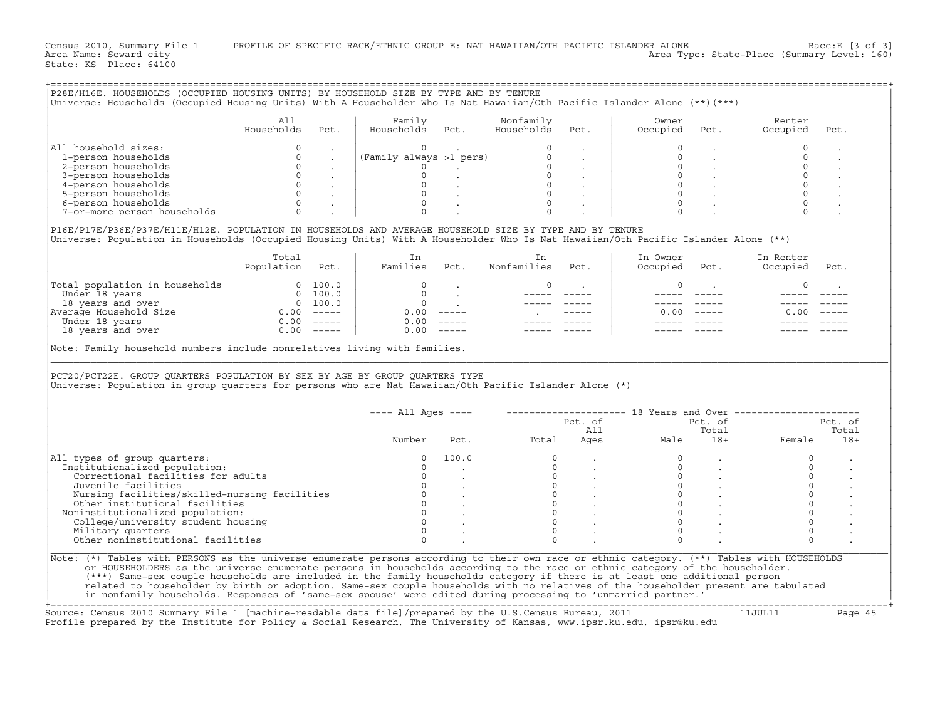| P28E/H16E. HOUSEHOLDS (OCCUPIED HOUSING UNITS) BY HOUSEHOLD SIZE BY TYPE AND BY TENURE                                                                                                                                                                                                                                                                                                                                                         |                 |                                           |                                                                                                                     |                                                       |                                        |                          |               |                                                                            |                                                                                        |                      |
|------------------------------------------------------------------------------------------------------------------------------------------------------------------------------------------------------------------------------------------------------------------------------------------------------------------------------------------------------------------------------------------------------------------------------------------------|-----------------|-------------------------------------------|---------------------------------------------------------------------------------------------------------------------|-------------------------------------------------------|----------------------------------------|--------------------------|---------------|----------------------------------------------------------------------------|----------------------------------------------------------------------------------------|----------------------|
|                                                                                                                                                                                                                                                                                                                                                                                                                                                |                 |                                           |                                                                                                                     |                                                       |                                        |                          |               |                                                                            |                                                                                        |                      |
| Universe: Households (Occupied Housing Units) With A Householder Who Is Nat Hawaiian/Oth Pacific Islander Alone (**) (***)                                                                                                                                                                                                                                                                                                                     |                 |                                           |                                                                                                                     |                                                       |                                        |                          |               |                                                                            |                                                                                        |                      |
|                                                                                                                                                                                                                                                                                                                                                                                                                                                |                 |                                           |                                                                                                                     |                                                       |                                        |                          |               |                                                                            |                                                                                        |                      |
|                                                                                                                                                                                                                                                                                                                                                                                                                                                | All             |                                           | Family                                                                                                              |                                                       | Nonfamily                              |                          | Owner         |                                                                            | Renter                                                                                 |                      |
|                                                                                                                                                                                                                                                                                                                                                                                                                                                |                 |                                           |                                                                                                                     |                                                       |                                        |                          |               |                                                                            |                                                                                        |                      |
|                                                                                                                                                                                                                                                                                                                                                                                                                                                | Households      | Pct.                                      | Households Pct.                                                                                                     |                                                       | Households                             | Pct.                     | Occupied      | Pct.                                                                       | Occupied                                                                               | Pct.                 |
|                                                                                                                                                                                                                                                                                                                                                                                                                                                |                 |                                           |                                                                                                                     |                                                       |                                        |                          |               |                                                                            |                                                                                        |                      |
| All household sizes:                                                                                                                                                                                                                                                                                                                                                                                                                           | $\circ$         | $\sim 100$ km $^{-1}$                     | $\begin{pmatrix}\n0 & 0 & 0 & 0 \\ 0 & 0 & 0 & 0 \\ 0 & 0 & 0 & 0 \\ 0 & 0 & 0 & 0 \\ 0 & 0 & 0 & 0\n\end{pmatrix}$ |                                                       |                                        |                          |               |                                                                            | $\circ$                                                                                | $\sim$               |
| 1-person households                                                                                                                                                                                                                                                                                                                                                                                                                            | $\mathbf 0$     | $\mathcal{L}$                             |                                                                                                                     |                                                       |                                        |                          |               |                                                                            | $\mathbf 0$                                                                            | $\ddot{\phantom{a}}$ |
| 2-person households                                                                                                                                                                                                                                                                                                                                                                                                                            | $\circ$         | $\sim 100$ km s $^{-1}$                   |                                                                                                                     |                                                       |                                        |                          | $\circ$       |                                                                            | $\circ$                                                                                |                      |
|                                                                                                                                                                                                                                                                                                                                                                                                                                                |                 |                                           |                                                                                                                     |                                                       |                                        |                          | $\circ$       |                                                                            | $\circ$                                                                                |                      |
| 3-person households                                                                                                                                                                                                                                                                                                                                                                                                                            |                 | $0 \qquad \qquad .$                       |                                                                                                                     |                                                       |                                        |                          |               |                                                                            |                                                                                        |                      |
| 4-person households                                                                                                                                                                                                                                                                                                                                                                                                                            |                 | $\begin{matrix} 0 & & \cdot \end{matrix}$ |                                                                                                                     |                                                       |                                        |                          | $\Omega$      |                                                                            | $\circ$                                                                                |                      |
| 5-person households                                                                                                                                                                                                                                                                                                                                                                                                                            |                 | $0 \qquad \qquad .$                       |                                                                                                                     |                                                       |                                        |                          | $\circ$       |                                                                            |                                                                                        |                      |
| 6-person households                                                                                                                                                                                                                                                                                                                                                                                                                            |                 | $0\qquad \quad \, .$                      | $\circ$                                                                                                             |                                                       | $\circ$                                |                          | $\mathbf 0$   |                                                                            | $\circ$                                                                                |                      |
| 7-or-more person households                                                                                                                                                                                                                                                                                                                                                                                                                    | $\Omega$        |                                           | $\Omega$                                                                                                            |                                                       |                                        |                          |               |                                                                            |                                                                                        |                      |
|                                                                                                                                                                                                                                                                                                                                                                                                                                                |                 |                                           |                                                                                                                     |                                                       |                                        |                          |               |                                                                            |                                                                                        |                      |
| P16E/P17E/P36E/P37E/H11E/H12E. POPULATION IN HOUSEHOLDS AND AVERAGE HOUSEHOLD SIZE BY TYPE AND BY TENURE                                                                                                                                                                                                                                                                                                                                       |                 |                                           |                                                                                                                     |                                                       |                                        |                          |               |                                                                            |                                                                                        |                      |
|                                                                                                                                                                                                                                                                                                                                                                                                                                                |                 |                                           |                                                                                                                     |                                                       |                                        |                          |               |                                                                            |                                                                                        |                      |
| Universe: Population in Households (Occupied Housing Units) With A Householder Who Is Nat Hawaiian/Oth Pacific Islander Alone (**)                                                                                                                                                                                                                                                                                                             |                 |                                           |                                                                                                                     |                                                       |                                        |                          |               |                                                                            |                                                                                        |                      |
|                                                                                                                                                                                                                                                                                                                                                                                                                                                |                 |                                           |                                                                                                                     |                                                       |                                        |                          |               |                                                                            |                                                                                        |                      |
|                                                                                                                                                                                                                                                                                                                                                                                                                                                | Total           |                                           | In                                                                                                                  |                                                       | In                                     |                          | In Owner      |                                                                            | In Renter                                                                              |                      |
|                                                                                                                                                                                                                                                                                                                                                                                                                                                | Population Pct. |                                           | Families Pct.                                                                                                       |                                                       | Nonfamilies Pct.                       |                          | Occupied Pct. |                                                                            | Occupied                                                                               | Pct.                 |
|                                                                                                                                                                                                                                                                                                                                                                                                                                                |                 |                                           |                                                                                                                     |                                                       |                                        |                          |               |                                                                            |                                                                                        |                      |
| $\begin{tabular}{ l l } \hline \texttt{Total population in households} & 0 100.0 \\ \hline Under 18 years & 0 100.0 \\ 18 years and over & 0 100.0 \\ \hline \texttt{Average Household Size} & 0.00 ----- \\ \hline \texttt{Under 18 years} & 0.00 ----- \\ \hline \texttt{18 years} & 0.00 ----- \\ \hline \end{tabular}$                                                                                                                     |                 |                                           | $\circ$                                                                                                             |                                                       | $\circ$                                |                          | $\circ$       |                                                                            | 0                                                                                      |                      |
|                                                                                                                                                                                                                                                                                                                                                                                                                                                |                 |                                           |                                                                                                                     |                                                       |                                        | <b>Contract Contract</b> |               |                                                                            |                                                                                        |                      |
|                                                                                                                                                                                                                                                                                                                                                                                                                                                |                 |                                           |                                                                                                                     | $\begin{matrix} 0 & & \cdot \\ & & 0 \\ \end{matrix}$ |                                        |                          |               | $\frac{1}{2}$                                                              |                                                                                        |                      |
|                                                                                                                                                                                                                                                                                                                                                                                                                                                |                 |                                           |                                                                                                                     |                                                       |                                        |                          |               |                                                                            |                                                                                        |                      |
|                                                                                                                                                                                                                                                                                                                                                                                                                                                |                 |                                           |                                                                                                                     | $0.00$ -----                                          | <b>Contract Contract</b>               |                          |               | $0.00$ -----                                                               | 0.00                                                                                   |                      |
|                                                                                                                                                                                                                                                                                                                                                                                                                                                |                 |                                           |                                                                                                                     | $0.00$ -----                                          |                                        |                          |               |                                                                            |                                                                                        |                      |
|                                                                                                                                                                                                                                                                                                                                                                                                                                                |                 |                                           | $0.00$ -----                                                                                                        |                                                       |                                        |                          |               |                                                                            |                                                                                        |                      |
|                                                                                                                                                                                                                                                                                                                                                                                                                                                |                 |                                           |                                                                                                                     |                                                       |                                        |                          |               |                                                                            |                                                                                        |                      |
| PCT20/PCT22E. GROUP QUARTERS POPULATION BY SEX BY AGE BY GROUP QUARTERS TYPE                                                                                                                                                                                                                                                                                                                                                                   |                 |                                           |                                                                                                                     |                                                       |                                        |                          |               |                                                                            |                                                                                        |                      |
| Universe: Population in group quarters for persons who are Nat Hawaiian/Oth Pacific Islander Alone (*)                                                                                                                                                                                                                                                                                                                                         |                 |                                           |                                                                                                                     |                                                       |                                        |                          |               |                                                                            |                                                                                        |                      |
|                                                                                                                                                                                                                                                                                                                                                                                                                                                |                 |                                           |                                                                                                                     |                                                       |                                        |                          |               |                                                                            |                                                                                        |                      |
|                                                                                                                                                                                                                                                                                                                                                                                                                                                |                 |                                           |                                                                                                                     |                                                       |                                        |                          |               |                                                                            | ---- All Ages ----    ---------------------    18 Years and Over --------------------- |                      |
|                                                                                                                                                                                                                                                                                                                                                                                                                                                |                 |                                           |                                                                                                                     |                                                       |                                        |                          |               |                                                                            |                                                                                        | Pct. of              |
|                                                                                                                                                                                                                                                                                                                                                                                                                                                |                 |                                           |                                                                                                                     |                                                       |                                        |                          |               |                                                                            |                                                                                        | Total                |
|                                                                                                                                                                                                                                                                                                                                                                                                                                                |                 |                                           | Number                                                                                                              |                                                       |                                        |                          |               |                                                                            | Pct. of Pct. of Pct. of Pct. of I<br>Pct. Total Ages Male 18+ Female                   | $18+$                |
|                                                                                                                                                                                                                                                                                                                                                                                                                                                |                 |                                           |                                                                                                                     |                                                       |                                        |                          |               |                                                                            |                                                                                        |                      |
| All types of group quarters:                                                                                                                                                                                                                                                                                                                                                                                                                   |                 |                                           | $\Omega$                                                                                                            | 100.0                                                 | $\Omega$                               |                          |               |                                                                            | $\circ$                                                                                |                      |
| Institutionalized population:                                                                                                                                                                                                                                                                                                                                                                                                                  |                 |                                           | $\circ$                                                                                                             |                                                       |                                        |                          | $\circ$       |                                                                            | $\circ$                                                                                |                      |
| Correctional facilities for adults                                                                                                                                                                                                                                                                                                                                                                                                             |                 |                                           |                                                                                                                     |                                                       |                                        |                          | $\circ$       |                                                                            | $\mathsf{O}$                                                                           |                      |
| Juvenile facilities                                                                                                                                                                                                                                                                                                                                                                                                                            |                 |                                           |                                                                                                                     |                                                       |                                        |                          |               |                                                                            |                                                                                        |                      |
|                                                                                                                                                                                                                                                                                                                                                                                                                                                |                 |                                           |                                                                                                                     |                                                       |                                        |                          |               |                                                                            | $\mathsf{O}\xspace$                                                                    |                      |
| Nursing facilities/skilled-nursing facilities                                                                                                                                                                                                                                                                                                                                                                                                  |                 |                                           |                                                                                                                     |                                                       |                                        |                          |               | $\begin{array}{ccc} 0 & & \cdot \\ 0 & & \cdot \\ 0 & & \cdot \end{array}$ | $\mathbf 0$                                                                            |                      |
| Other institutional facilities                                                                                                                                                                                                                                                                                                                                                                                                                 |                 |                                           |                                                                                                                     |                                                       |                                        |                          |               |                                                                            | $\mathsf{O}\xspace$                                                                    |                      |
| Noninstitutionalized population:                                                                                                                                                                                                                                                                                                                                                                                                               |                 |                                           |                                                                                                                     |                                                       | $0$<br>$0$<br>$0$<br>$0$<br>$0$<br>$0$ |                          |               | $\begin{matrix} 0 \\ 0 \end{matrix}$ .                                     | $\mathsf{O}\xspace$                                                                    |                      |
| College/university student housing                                                                                                                                                                                                                                                                                                                                                                                                             |                 |                                           | $\begin{bmatrix} 0 \\ 0 \\ 0 \\ 0 \\ 0 \\ 0 \end{bmatrix}$<br>$\circ$                                               |                                                       | $\overline{0}$                         |                          | $\Omega$      |                                                                            | $\mathsf{O}\xspace$                                                                    |                      |
| Military quarters                                                                                                                                                                                                                                                                                                                                                                                                                              |                 |                                           | $\Omega$                                                                                                            |                                                       | $\overline{0}$                         |                          | $\Omega$      |                                                                            | $\Omega$                                                                               |                      |
|                                                                                                                                                                                                                                                                                                                                                                                                                                                |                 |                                           | $\Omega$                                                                                                            |                                                       |                                        |                          |               |                                                                            |                                                                                        |                      |
| Other noninstitutional facilities<br>Note: (*) Tables with PERSONS as the universe enumerate persons according to their own race or ethnic category. (**) Tables with HOUSEHOLDS<br>or HOUSEHOLDERS as the universe enumerate persons in households according to the race or ethnic category of the householder.<br>(***) Same-sex couple households are included in the family households category if there is at least one additional person |                 |                                           |                                                                                                                     |                                                       |                                        |                          |               |                                                                            |                                                                                        |                      |
| related to householder by birth or adoption. Same-sex couple households with no relatives of the householder present are tabulated                                                                                                                                                                                                                                                                                                             |                 |                                           |                                                                                                                     |                                                       |                                        |                          |               |                                                                            |                                                                                        |                      |
| in nonfamily households. Responses of 'same-sex spouse' were edited during processing to 'unmarried partner.'                                                                                                                                                                                                                                                                                                                                  |                 |                                           |                                                                                                                     |                                                       |                                        |                          |               |                                                                            |                                                                                        |                      |
| Source: Census 2010 Summary File 1 [machine-readable data file]/prepared by the U.S.Census Bureau, 2011                                                                                                                                                                                                                                                                                                                                        |                 |                                           |                                                                                                                     |                                                       |                                        |                          |               | 11JUL11                                                                    |                                                                                        | Page 45              |

Profile prepared by the Institute for Policy & Social Research, The University of Kansas, www.ipsr.ku.edu, ipsr@ku.edu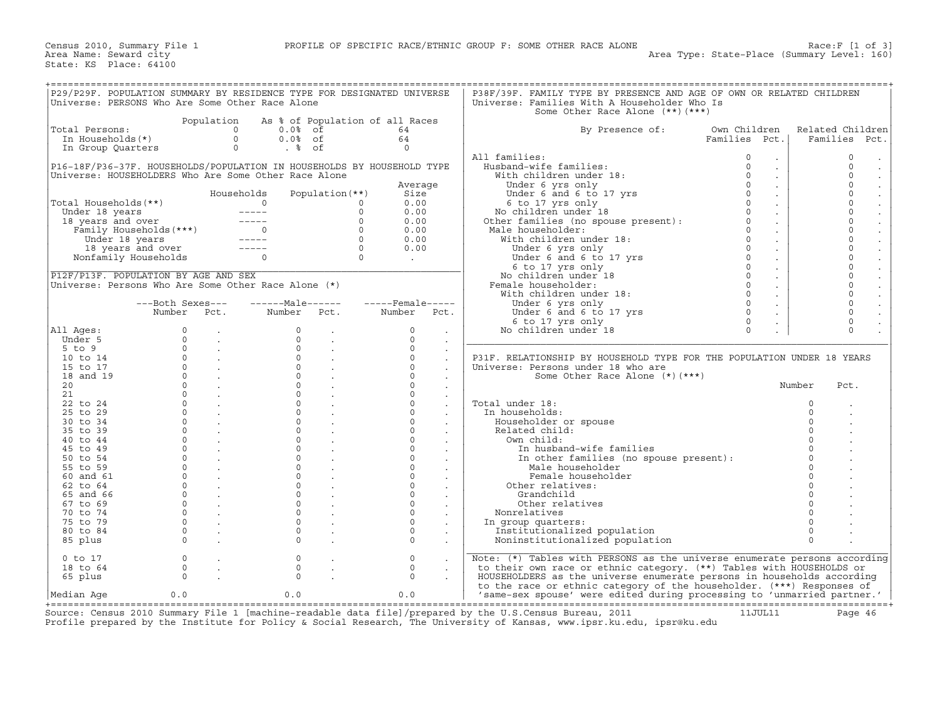| P29/P29F. POPULATION SUMMARY BY RESIDENCE TYPE FOR DESIGNATED UNIVERSE |                         |                         |                                 |                 |                             |                      | P38F/39F. FAMILY TYPE BY PRESENCE AND AGE OF OWN OR RELATED CHILDREN            |               |                             |                                 |
|------------------------------------------------------------------------|-------------------------|-------------------------|---------------------------------|-----------------|-----------------------------|----------------------|---------------------------------------------------------------------------------|---------------|-----------------------------|---------------------------------|
| Universe: PERSONS Who Are Some Other Race Alone                        |                         |                         |                                 |                 |                             |                      | Universe: Families With A Householder Who Is                                    |               |                             |                                 |
|                                                                        |                         |                         |                                 |                 |                             |                      |                                                                                 |               |                             |                                 |
|                                                                        |                         |                         |                                 |                 |                             |                      | Some Other Race Alone (**) (***)                                                |               |                             |                                 |
|                                                                        |                         | Population              | As % of Population of all Races |                 |                             |                      |                                                                                 |               |                             |                                 |
| Total Persons:                                                         |                         |                         | $\Omega$<br>$0.0\%$ of          |                 | 64                          |                      | By Presence of:                                                                 | Own Children  |                             | Related Children                |
| In Households(*)                                                       |                         | $\Omega$                | $0.0%$ of                       |                 | 64                          |                      |                                                                                 | Families Pct. |                             | Families Pct.                   |
| In Group Quarters                                                      |                         |                         | $.$ % of<br>$\circ$             |                 | $\cap$                      |                      |                                                                                 |               |                             |                                 |
|                                                                        |                         |                         |                                 |                 |                             |                      | All families:                                                                   | 0             | $\ddot{\phantom{0}}$        | $\mathbf 0$                     |
| P16-18F/P36-37F. HOUSEHOLDS/POPULATION IN HOUSEHOLDS BY HOUSEHOLD TYPE |                         |                         |                                 |                 |                             |                      | Husband-wife families:                                                          | $\Omega$      | $\mathcal{L}^{\mathcal{L}}$ | $\bullet$<br>$\Omega$           |
|                                                                        |                         |                         |                                 |                 |                             |                      |                                                                                 | $\Omega$      |                             | $\bullet$<br>$\Omega$           |
| Universe: HOUSEHOLDERS Who Are Some Other Race Alone                   |                         |                         |                                 |                 |                             |                      | With children under 18:                                                         |               | $\mathbb{Z}^2$              | $\cdot$                         |
|                                                                        |                         |                         |                                 |                 | Average                     |                      | Under 6 yrs only                                                                | $\Omega$      | $\mathbb{Z}^2$              | $\Omega$<br>$\bullet$           |
|                                                                        |                         |                         | Households                      | Population (**) | Size                        |                      | Under 6 and 6 to 17 yrs                                                         | $\Omega$      | $\sim$                      | $\Omega$                        |
| Total Households(**)                                                   |                         |                         | $\Omega$                        | $\Omega$        | 0.00                        |                      | 6 to 17 yrs only                                                                | $\Omega$      | $\ddot{\phantom{0}}$        | $\frac{1}{2}$<br>$\Omega$       |
| Under 18 years                                                         |                         |                         |                                 | $\Omega$        | 0.00                        |                      |                                                                                 | $\Omega$      | $\mathcal{L}^{\pm}$         | $\Omega$                        |
| 18 years and over                                                      |                         |                         |                                 | $\circ$         | 0.00                        |                      | 6 to 17 yrs only<br>No children under 18<br>Other families (no spouse present): | $\circ$       | $\mathbb{Z}^{\mathbb{Z}}$   | $\ddot{\cdot}$<br>$\circ$       |
|                                                                        | Family Households (***) |                         |                                 | $\Omega$        | 0.00                        |                      | Male householder:                                                               | $\Omega$      |                             | $\Omega$                        |
|                                                                        |                         |                         |                                 |                 |                             |                      |                                                                                 |               | $\sim$                      | $\ddot{\phantom{a}}$            |
| Under 18 years                                                         |                         |                         |                                 | $\overline{0}$  | 0.00                        |                      | With children under 18:                                                         | $\Omega$      | $\sim$                      | $\circ$<br>$\Box$               |
|                                                                        |                         |                         |                                 | $\overline{0}$  | 0.00                        |                      | Under 6 yrs only                                                                | $\Omega$      | $\mathcal{L}^{\mathcal{L}}$ | $\ddot{\phantom{a}}$<br>$\circ$ |
|                                                                        | Nonfamily Households    |                         |                                 | $\overline{0}$  | $\sim 10^{10}$ km s $^{-1}$ |                      | Under 6 yrs only<br>Under 6 and 6 to 17 yrs                                     | $\Omega$      | $\sim$                      | $\Omega$<br>$\Box$              |
|                                                                        |                         |                         |                                 |                 |                             |                      | 6 to 17 yrs only                                                                | $\circ$       | $\sim$                      | $\circ$<br>$\ddot{\phantom{a}}$ |
| P12F/P13F. POPULATION BY AGE AND SEX                                   |                         |                         |                                 |                 |                             |                      | No children under 18                                                            | $\Omega$      | $\sim$                      | $\circ$<br>$\Box$               |
| Universe: Persons Who Are Some Other Race Alone $(*)$                  |                         |                         |                                 |                 |                             |                      | Female householder:                                                             | $\Omega$      | $\sim$                      | $\circ$                         |
|                                                                        |                         |                         |                                 |                 |                             |                      |                                                                                 | $\Omega$      |                             | $\ddot{\cdot}$<br>$\circ$       |
|                                                                        |                         |                         |                                 |                 |                             |                      | With children under 18:                                                         |               | $\sim$                      |                                 |
|                                                                        | ---Both Sexes---        |                         | $---Male----$                   |                 | $---$ Female -----          |                      | Under 6 yrs only                                                                | $\Omega$      | $\sim$                      | $\circ$<br>$\Box$               |
|                                                                        | Number Pct.             |                         | Number Pct.                     |                 | Number                      | Pct.                 | Under 6 and 6 to 17 yrs                                                         | $\Omega$      | $\mathbb{Z}^{\mathbb{Z}}$   | $\Omega$<br>$\Box$              |
|                                                                        |                         |                         |                                 |                 |                             |                      | 6 to 17 yrs only                                                                | $\Omega$      |                             | $\Omega$                        |
| All Ages:                                                              | $\circ$                 |                         | $\Omega$                        |                 | $\Omega$                    | $\mathbf{r}$         | No children under 18                                                            | $\Omega$      | $\ddot{\phantom{a}}$        | $\Omega$                        |
| Under 5                                                                | $\Omega$                | $\sim 10^{-11}$         | $\Omega$                        | $\sim$          | $\Omega$                    | $\sim$               |                                                                                 |               |                             |                                 |
| $5$ to $9$                                                             | $\Omega$                | $\sim$                  | $\Omega$                        |                 | $\Omega$                    |                      |                                                                                 |               |                             |                                 |
| 10 to 14                                                               |                         |                         | $\Omega$                        |                 | $\Omega$                    |                      |                                                                                 |               |                             |                                 |
|                                                                        |                         | $0 \qquad \qquad .$     |                                 |                 |                             |                      | P31F. RELATIONSHIP BY HOUSEHOLD TYPE FOR THE POPULATION UNDER 18 YEARS          |               |                             |                                 |
| 15 to 17                                                               |                         | $\overline{0}$ .        | $\circ$                         |                 | $\circ$                     |                      | Universe: Persons under 18 who are                                              |               |                             |                                 |
| 18 and 19                                                              | $\Omega$                | $\sim$ $\sim$ $\sim$    | $\cap$                          |                 | $\cap$                      | $\ddot{\phantom{0}}$ | Some Other Race Alone $(*)$ $(***)$                                             |               |                             |                                 |
| 20                                                                     | $\Omega$                | $\sim 100$ km s $^{-1}$ | $\Omega$                        |                 | $\Omega$                    | $\ddot{\phantom{a}}$ |                                                                                 |               | Number                      | Pct.                            |
| 21                                                                     | $\Omega$                | $\sim 100$              | $\Omega$                        | $\sim$          | $\Omega$                    | $\bullet$            |                                                                                 |               |                             |                                 |
| 22 to 24                                                               | $\Omega$                | $\sim$                  | $\Omega$                        |                 | $\Omega$                    | $\sim$               | Total under 18:                                                                 |               | $\Omega$                    |                                 |
| 25 to 29                                                               | $\Omega$                | <b>Contract</b>         | $\Omega$                        |                 | $\circ$                     |                      | In households:                                                                  |               | $\Omega$                    |                                 |
|                                                                        | $\Omega$                |                         | $\Omega$                        |                 | $\Omega$                    |                      |                                                                                 |               | $\Omega$                    |                                 |
| 30 to 34                                                               |                         | $\sim$                  |                                 | $\sim$          |                             |                      | Householder or spouse                                                           |               |                             |                                 |
| 35 to 39                                                               | $\Omega$                |                         | $\Omega$                        |                 | $\Omega$                    |                      | Related child:                                                                  |               |                             |                                 |
| 40 to 44                                                               | $\Omega$                |                         | $\Omega$                        |                 | $\circ$                     |                      | Own child:                                                                      |               |                             |                                 |
| 45 to 49                                                               | $\Omega$                | $\sim 10^{-11}$         | $\Omega$                        | $\sim$          | $\mathsf{O}$                | $\mathcal{L}^{\pm}$  | In husband-wife families                                                        |               | $\Omega$                    |                                 |
| 50 to 54                                                               | $\Omega$                |                         | $\Omega$                        |                 | $\Omega$                    |                      | In other families (no spouse present):                                          |               | $\Omega$                    |                                 |
| 55 to 59                                                               | $\Omega$                |                         | $\Omega$                        |                 | $\circ$                     |                      | Male householder                                                                |               |                             |                                 |
| 60 and 61                                                              | $\Omega$                | $\sim$                  | $\Omega$                        |                 | $\mathbf{0}$                |                      | Female householder                                                              |               | $\Omega$                    |                                 |
|                                                                        | $\Omega$                |                         | $\Omega$                        |                 | $\Omega$                    |                      |                                                                                 |               | $\Omega$                    |                                 |
| $62$ to $64$                                                           |                         |                         |                                 |                 |                             |                      | Other relatives:                                                                |               |                             |                                 |
| 65 and 66                                                              | $\Omega$                |                         | $\Omega$                        |                 | $\Omega$                    |                      | Grandchild                                                                      |               |                             |                                 |
| 67 to 69                                                               | $\Omega$                |                         | $\Omega$                        |                 | $\Omega$                    |                      | Other relatives                                                                 |               |                             |                                 |
| 70 to 74                                                               | $\circ$                 | $\sim 10^{-11}$         | $\mathbf{0}$                    |                 | $\circ$                     | $\sim$               | Nonrelatives                                                                    |               |                             |                                 |
| 75 to 79                                                               | $\Omega$                | $\sim 10^{-11}$         | $\Omega$                        |                 | $\Omega$                    |                      | In group quarters:                                                              |               | $\Omega$                    |                                 |
| 80 to 84                                                               | $\circ$                 |                         | $\circ$                         |                 | $\circ$                     | $\bullet$            | Institutionalized population                                                    |               | $\circ$                     |                                 |
| 85 plus                                                                | $\Omega$                |                         | $\Omega$                        |                 | $\Omega$                    |                      | Noninstitutionalized population                                                 |               | $\Omega$                    |                                 |
|                                                                        |                         |                         |                                 |                 |                             |                      |                                                                                 |               |                             |                                 |
|                                                                        |                         |                         |                                 |                 |                             |                      |                                                                                 |               |                             |                                 |
| $0$ to $17$                                                            | $\mathbf{0}$            |                         | $\mathbf 0$                     |                 | $\mathbf 0$                 |                      | Note: (*) Tables with PERSONS as the universe enumerate persons according       |               |                             |                                 |
| 18 to 64                                                               | $\Omega$                |                         | $\mathbf{0}$                    |                 | $\mathbf 0$                 |                      | to their own race or ethnic category. (**) Tables with HOUSEHOLDS or            |               |                             |                                 |
| 65 plus                                                                | $\Omega$                |                         | $\Omega$                        |                 | $\Omega$                    |                      | HOUSEHOLDERS as the universe enumerate persons in households according          |               |                             |                                 |
|                                                                        |                         |                         |                                 |                 |                             |                      | to the race or ethnic category of the householder. (***) Responses of           |               |                             |                                 |
| Median Aqe                                                             | 0.0                     |                         | 0.0                             |                 | 0.0                         |                      | 'same-sex spouse' were edited during processing to 'unmarried partner.'         |               |                             |                                 |
|                                                                        |                         |                         |                                 |                 |                             |                      |                                                                                 |               |                             |                                 |

+===================================================================================================================================================+ Source: Census 2010 Summary File 1 [machine−readable data file]/prepared by the U.S.Census Bureau, 2011 11JUL11 Page 46 Profile prepared by the Institute for Policy & Social Research, The University of Kansas, www.ipsr.ku.edu, ipsr@ku.edu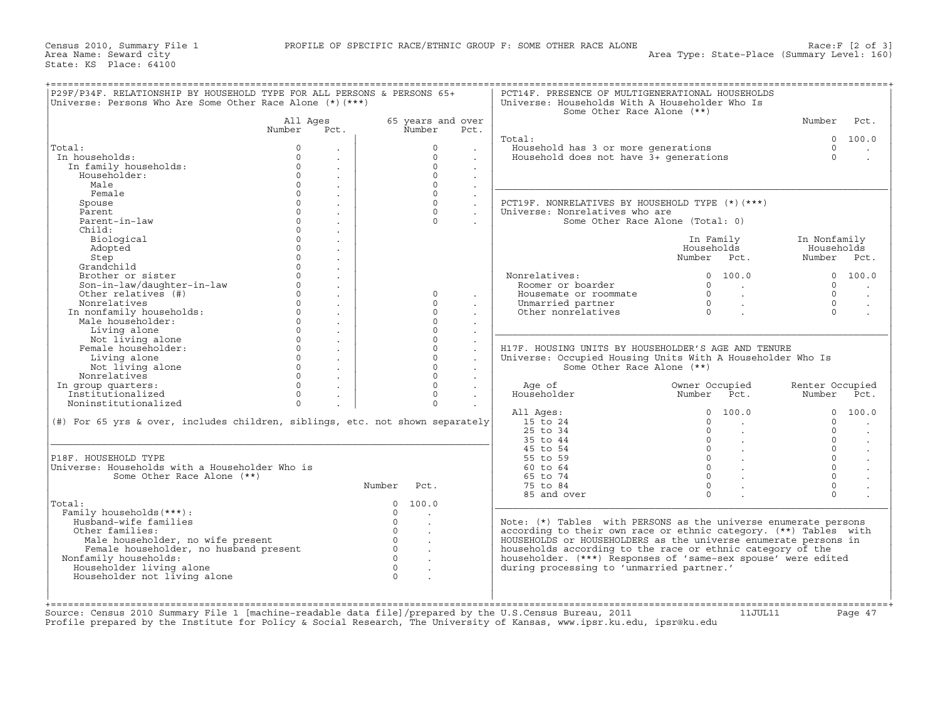|                                                                               | Universe: Persons Who Are Some Other Race Alone (*) (***) |          |                                        |                | Universe: Households With A Householder Who Is<br>Some Other Race Alone (**) |                                        |                 |                      |
|-------------------------------------------------------------------------------|-----------------------------------------------------------|----------|----------------------------------------|----------------|------------------------------------------------------------------------------|----------------------------------------|-----------------|----------------------|
|                                                                               | All Ages                                                  |          | 65 years and over                      |                |                                                                              |                                        | Number          | Pct.                 |
|                                                                               | Number<br>Pct.                                            |          | Number                                 | Pct.           |                                                                              |                                        |                 |                      |
|                                                                               |                                                           |          |                                        |                | Total:                                                                       |                                        | $\Omega$        | 100.0                |
| Total:                                                                        | $\mathbf 0$                                               |          | $\Omega$                               |                | Household has 3 or more generations                                          |                                        | $\Omega$        |                      |
| In households:                                                                | $\Omega$<br>$\circ$                                       |          | $\Omega$<br>$\Omega$                   |                | Household does not have 3+ qenerations                                       |                                        | $\Omega$        |                      |
| In family households:                                                         | $\ddot{\phantom{a}}$<br>$\Omega$                          |          | $\Omega$                               |                |                                                                              |                                        |                 |                      |
| Householder:<br>Male                                                          | $\mathbb{Z}^2$<br>$\Omega$                                |          | $\Omega$                               |                |                                                                              |                                        |                 |                      |
| Female                                                                        | $\ddot{\phantom{a}}$<br>$\Omega$                          |          | $\Omega$                               |                |                                                                              |                                        |                 |                      |
|                                                                               | $\blacksquare$<br>$\Omega$                                |          | $\Omega$                               | $\mathbb{Z}^2$ |                                                                              |                                        |                 |                      |
| Spouse<br>Parent                                                              | $\ddot{\phantom{a}}$<br>$\Omega$                          |          | $\Omega$                               |                | PCT19F. NONRELATIVES BY HOUSEHOLD TYPE (*) (***)                             |                                        |                 |                      |
| Parent-in-law                                                                 | $\blacksquare$<br>$\Omega$                                |          | $\Omega$                               |                | Universe: Nonrelatives who are<br>Some Other Race Alone (Total: 0)           |                                        |                 |                      |
| Child:                                                                        | $\cdot$<br>$\Omega$                                       |          |                                        |                |                                                                              |                                        |                 |                      |
| Biological                                                                    | $\ddot{\phantom{a}}$<br>$\circ$                           |          |                                        |                |                                                                              | In Family                              | In Nonfamily    |                      |
| Adopted                                                                       | $\cdot$<br>$\mathbf{0}$<br>$\sim$                         |          |                                        |                |                                                                              | Households                             | Households      |                      |
| Step                                                                          | $\Omega$                                                  |          |                                        |                |                                                                              | Number Pct.                            | Number Pct.     |                      |
| Grandchild                                                                    | $\cdot$<br>$\Omega$<br>$\sim$                             |          |                                        |                |                                                                              |                                        |                 |                      |
| Brother or sister                                                             | $\mathbf{0}$                                              |          |                                        |                | Nonrelatives:                                                                | 0 100.0                                | $\Omega$        | 100.0                |
| Son-in-law/daughter-in-law                                                    | $\sim$<br>$\mathbf{0}$<br>$\sim$                          |          |                                        |                | Roomer or boarder                                                            | $\circ$<br><b>Contract</b>             | $\circ$         | $\ddot{\phantom{a}}$ |
| Other relatives (#)                                                           | $\Omega$<br>$\sim$                                        |          | $\Omega$                               | $\sim$         | Housemate or roommate                                                        | $\Omega$<br>$\sim$ $\sim$              | $\Omega$        | $\sim$               |
| Nonrelatives                                                                  | $\circ$<br>$\sim$                                         |          | $\circ$                                |                | Unmarried partner                                                            | $\circ$                                | $\Omega$        | $\ddot{\phantom{a}}$ |
| In nonfamily households:                                                      | $\circ$<br>$\sim$                                         |          | $\Omega$                               | $\mathbf{r}$   | Other nonrelatives                                                           | $\Omega$                               | $\Omega$        |                      |
| Male householder:                                                             | $\circ$<br>$\ddot{\phantom{a}}$                           |          | $\Omega$                               |                |                                                                              |                                        |                 |                      |
| Living alone                                                                  | $\Omega$<br>$\sim$                                        |          | $\Omega$                               | $\mathbf{r}$   |                                                                              |                                        |                 |                      |
| Not living alone                                                              | $\circ$<br>$\sim$                                         |          | $\Omega$                               |                |                                                                              |                                        |                 |                      |
| Female householder:                                                           | $\circ$<br>$\ddot{\phantom{a}}$                           |          | $\Omega$                               | $\mathbf{r}$   | H17F. HOUSING UNITS BY HOUSEHOLDER'S AGE AND TENURE                          |                                        |                 |                      |
| Living alone                                                                  | $\circ$<br>$\sim$                                         |          | $\Omega$                               |                | Universe: Occupied Housing Units With A Householder Who Is                   |                                        |                 |                      |
| Not living alone                                                              | $\Omega$<br>$\sim$                                        |          | $\Omega$                               | $\sim$         | Some Other Race Alone (**)                                                   |                                        |                 |                      |
| Nonrelatives                                                                  | $\circ$<br>$\ddot{\phantom{a}}$                           |          | $\Omega$                               |                |                                                                              |                                        |                 |                      |
| In group quarters:                                                            | $\Omega$<br>$\sim$                                        |          | $\Omega$                               |                | Age of                                                                       | Owner Occupied                         | Renter Occupied |                      |
| Institutionalized                                                             | $\mathbf{0}$                                              |          | $\Omega$                               |                | Householder                                                                  | Number<br>Pct.                         | Number          | Pct.                 |
| Noninstitutionalized                                                          | $\Omega$                                                  |          | $\Omega$                               |                |                                                                              |                                        |                 |                      |
|                                                                               |                                                           |          |                                        |                | All Ages:                                                                    | 0 100.0                                | $\Omega$        | 100.0                |
| (#) For 65 yrs & over, includes children, siblings, etc. not shown separately |                                                           |          |                                        |                | 15 to 24                                                                     | $\Omega$<br><b>Contract</b>            | $\Omega$        |                      |
|                                                                               |                                                           |          |                                        |                | 25 to 34                                                                     | $\circ$<br>$\ddot{\phantom{a}}$        | $\Omega$        |                      |
|                                                                               |                                                           |          |                                        |                | 35 to 44                                                                     | $\Omega$<br>$\sim$                     | $\Omega$        | $\ddot{\phantom{a}}$ |
|                                                                               |                                                           |          |                                        |                | 45 to 54                                                                     | $\circ$                                | $\Omega$        |                      |
| P18F. HOUSEHOLD TYPE                                                          |                                                           |          |                                        |                | 55 to 59                                                                     | $\overline{0}$<br>$\ddot{\phantom{a}}$ | $\Omega$        | $\ddot{\phantom{a}}$ |
|                                                                               |                                                           |          |                                        |                | 60 to 64                                                                     | $\overline{0}$                         | $\mathbf 0$     |                      |
|                                                                               |                                                           |          |                                        |                | 65 to 74                                                                     | $\circ$                                | $\mathbf 0$     |                      |
| Universe: Households with a Householder Who is                                |                                                           |          |                                        |                | 75 to 84                                                                     | $\Omega$                               | $\Omega$        |                      |
| Some Other Race Alone (**)                                                    |                                                           |          |                                        |                |                                                                              |                                        | $\Omega$        |                      |
|                                                                               |                                                           | Number   | Pct.                                   |                |                                                                              | $\Omega$                               |                 |                      |
|                                                                               |                                                           | $\Omega$ | 100.0                                  |                | 85 and over                                                                  |                                        |                 |                      |
| Total:<br>Family households (***):                                            |                                                           | $\Omega$ | $\mathbf{r}$                           |                |                                                                              |                                        |                 |                      |
|                                                                               |                                                           | $\Omega$ |                                        |                |                                                                              |                                        |                 |                      |
| Husband-wife families<br>Other families:                                      |                                                           | $\Omega$ | $\ddot{\phantom{a}}$<br>$\overline{a}$ |                | Note: (*) Tables with PERSONS as the universe enumerate persons              |                                        |                 |                      |
|                                                                               |                                                           | $\Omega$ | $\mathbf{r}$                           |                | according to their own race or ethnic category. (**) Tables with             |                                        |                 |                      |
| Male householder, no wife present                                             |                                                           | $\Omega$ |                                        |                | HOUSEHOLDS or HOUSEHOLDERS as the universe enumerate persons in              |                                        |                 |                      |
| Female householder, no husband present                                        |                                                           | $\Omega$ |                                        |                | households according to the race or ethnic category of the                   |                                        |                 |                      |
| Nonfamily households:                                                         |                                                           | $\circ$  |                                        |                | householder. (***) Responses of 'same-sex spouse' were edited                |                                        |                 |                      |
| Householder living alone                                                      |                                                           | $\Omega$ |                                        |                | during processing to 'unmarried partner.'                                    |                                        |                 |                      |
| Householder not living alone                                                  |                                                           |          |                                        |                |                                                                              |                                        |                 |                      |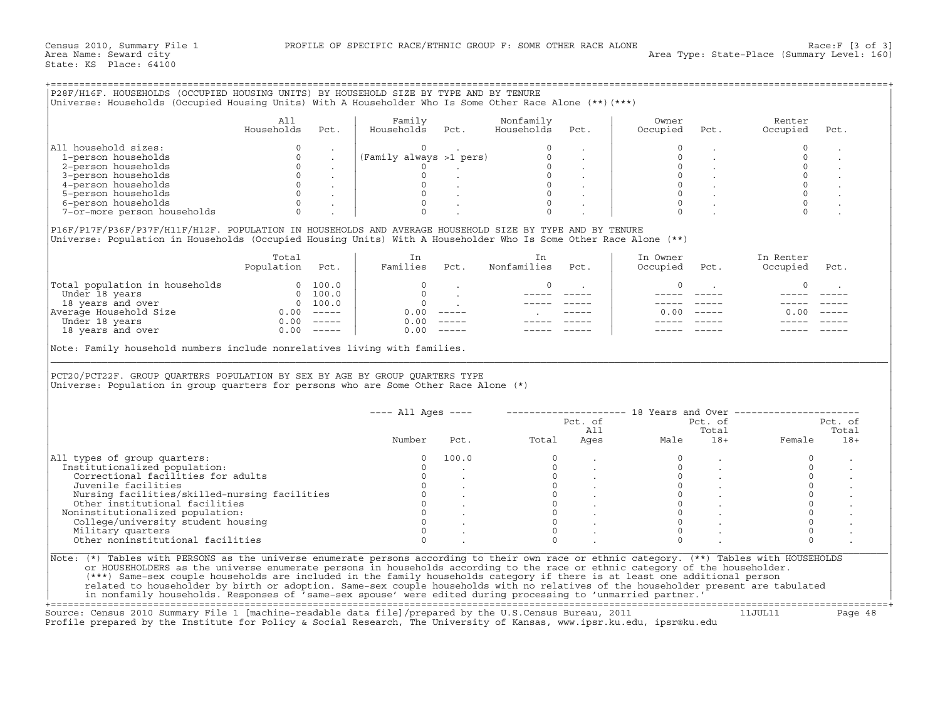|                                                                                                                                                                                                                                                                                                                                                                                                                                                                                                                                           | All<br>Households | Pct. | Family<br>Households Pct.                                                                                     |                      | Nonfamily<br>Households | Pct. | Owner<br>Occupied    | Pct.                                                                                              | Renter<br>Occupied                                        | Pct.           |
|-------------------------------------------------------------------------------------------------------------------------------------------------------------------------------------------------------------------------------------------------------------------------------------------------------------------------------------------------------------------------------------------------------------------------------------------------------------------------------------------------------------------------------------------|-------------------|------|---------------------------------------------------------------------------------------------------------------|----------------------|-------------------------|------|----------------------|---------------------------------------------------------------------------------------------------|-----------------------------------------------------------|----------------|
|                                                                                                                                                                                                                                                                                                                                                                                                                                                                                                                                           |                   |      |                                                                                                               |                      |                         |      |                      |                                                                                                   |                                                           |                |
| All household sizes:                                                                                                                                                                                                                                                                                                                                                                                                                                                                                                                      |                   |      |                                                                                                               |                      |                         |      |                      |                                                                                                   |                                                           |                |
| 1-person households                                                                                                                                                                                                                                                                                                                                                                                                                                                                                                                       |                   |      |                                                                                                               |                      |                         |      |                      |                                                                                                   | $\Omega$                                                  |                |
| 2-person households                                                                                                                                                                                                                                                                                                                                                                                                                                                                                                                       |                   |      |                                                                                                               |                      |                         |      | $\circ$              |                                                                                                   | $\mathbb O$                                               |                |
| 3-person households                                                                                                                                                                                                                                                                                                                                                                                                                                                                                                                       |                   |      |                                                                                                               |                      |                         |      |                      | $\begin{array}{ccc} 0 & & . & . & \\ 0 & & . & . & \\ 0 & & . & . & \\ 0 & & . & . & \end{array}$ | $\mathsf{O}$                                              |                |
| 4-person households                                                                                                                                                                                                                                                                                                                                                                                                                                                                                                                       |                   |      |                                                                                                               |                      |                         |      |                      |                                                                                                   | $\mathsf{O}$                                              |                |
| 5-person households                                                                                                                                                                                                                                                                                                                                                                                                                                                                                                                       |                   |      |                                                                                                               |                      |                         |      |                      |                                                                                                   | $\circ$                                                   |                |
| 6-person households                                                                                                                                                                                                                                                                                                                                                                                                                                                                                                                       |                   |      | $\begin{pmatrix}\n0 & 0 & 0 \\ 0 & -1 & 0 \\ 0 & 0 & 0 \\ 0 & 0 & 0 \\ 0 & 0 & 0 \\ 0 & 0 & 0\n\end{pmatrix}$ |                      |                         |      | $\Omega$             |                                                                                                   |                                                           |                |
| 7-or-more person households                                                                                                                                                                                                                                                                                                                                                                                                                                                                                                               | $\Omega$          |      | $\Omega$                                                                                                      |                      |                         |      |                      |                                                                                                   |                                                           |                |
| P16F/P17F/P36F/P37F/H11F/H12F. POPULATION IN HOUSEHOLDS AND AVERAGE HOUSEHOLD SIZE BY TYPE AND BY TENURE<br>Universe: Population in Households (Occupied Housing Units) With A Householder Who Is Some Other Race Alone (**)                                                                                                                                                                                                                                                                                                              |                   |      |                                                                                                               |                      |                         |      |                      |                                                                                                   |                                                           |                |
|                                                                                                                                                                                                                                                                                                                                                                                                                                                                                                                                           | Total             |      | In<br>Families Pct.                                                                                           |                      | In<br>Nonfamilies Pct.  |      | In Owner             |                                                                                                   | In Renter                                                 |                |
|                                                                                                                                                                                                                                                                                                                                                                                                                                                                                                                                           | Population Pct.   |      |                                                                                                               |                      |                         |      | Occupied             | Pct.                                                                                              | Occupied                                                  | Pct.           |
|                                                                                                                                                                                                                                                                                                                                                                                                                                                                                                                                           |                   |      | $\Omega$                                                                                                      |                      | $\Omega$                |      | $\Omega$             |                                                                                                   | $\Omega$                                                  |                |
|                                                                                                                                                                                                                                                                                                                                                                                                                                                                                                                                           |                   |      |                                                                                                               | and the state of the |                         |      |                      |                                                                                                   |                                                           |                |
|                                                                                                                                                                                                                                                                                                                                                                                                                                                                                                                                           |                   |      |                                                                                                               |                      |                         |      |                      |                                                                                                   |                                                           |                |
|                                                                                                                                                                                                                                                                                                                                                                                                                                                                                                                                           |                   |      |                                                                                                               |                      |                         |      | 0.00                 |                                                                                                   | 0.00                                                      |                |
|                                                                                                                                                                                                                                                                                                                                                                                                                                                                                                                                           |                   |      |                                                                                                               |                      |                         |      |                      |                                                                                                   |                                                           |                |
|                                                                                                                                                                                                                                                                                                                                                                                                                                                                                                                                           |                   |      |                                                                                                               |                      |                         |      |                      |                                                                                                   |                                                           |                |
|                                                                                                                                                                                                                                                                                                                                                                                                                                                                                                                                           |                   |      | 0.00                                                                                                          |                      |                         |      |                      |                                                                                                   |                                                           |                |
|                                                                                                                                                                                                                                                                                                                                                                                                                                                                                                                                           |                   |      |                                                                                                               |                      |                         |      |                      |                                                                                                   |                                                           |                |
| $\begin{tabular}{ l l } \hline \texttt{Total population in households} & 0 & 100.0 \\ \hline \texttt{Under 18 years} & 0 & 100.0 \\ 18 years and over & 0 & 100.0 \\ \texttt{Average House} & 0.00 & --- \\ \hline \texttt{Under 18 years} & 0 & 0.00 & --- \\ \hline \end{tabular}$<br>Note: Family household numbers include nonrelatives living with families.<br>PCT20/PCT22F. GROUP QUARTERS POPULATION BY SEX BY AGE BY GROUP QUARTERS TYPE<br>Universe: Population in group quarters for persons who are Some Other Race Alone (*) |                   |      | $---$ All Ages $---$                                                                                          |                      |                         |      |                      |                                                                                                   | --------------------- 18 Years and Over ----------------- |                |
|                                                                                                                                                                                                                                                                                                                                                                                                                                                                                                                                           |                   |      |                                                                                                               |                      |                         |      | Pct. of              | Pct. of                                                                                           |                                                           | Pct. of        |
|                                                                                                                                                                                                                                                                                                                                                                                                                                                                                                                                           |                   |      | Number                                                                                                        |                      |                         | All  |                      | Total                                                                                             |                                                           | Total<br>$18+$ |
|                                                                                                                                                                                                                                                                                                                                                                                                                                                                                                                                           |                   |      |                                                                                                               |                      | Pct. Total              |      |                      |                                                                                                   |                                                           |                |
|                                                                                                                                                                                                                                                                                                                                                                                                                                                                                                                                           |                   |      |                                                                                                               |                      | $\circ$                 |      | $\Omega$             |                                                                                                   | $\circ$                                                   |                |
|                                                                                                                                                                                                                                                                                                                                                                                                                                                                                                                                           |                   |      |                                                                                                               |                      |                         |      | $\circ$              |                                                                                                   | $\mathsf{O}$                                              |                |
| Correctional facilities for adults                                                                                                                                                                                                                                                                                                                                                                                                                                                                                                        |                   |      |                                                                                                               |                      |                         |      |                      |                                                                                                   | $\mathbf{0}$                                              |                |
| Institutionalized population:<br>Juvenile facilities                                                                                                                                                                                                                                                                                                                                                                                                                                                                                      |                   |      |                                                                                                               |                      |                         |      |                      |                                                                                                   | $\mathsf{O}\xspace$                                       |                |
| All types of group quarters:<br>Nursing facilities/skilled-nursing facilities                                                                                                                                                                                                                                                                                                                                                                                                                                                             |                   |      |                                                                                                               |                      |                         |      |                      |                                                                                                   | $\circ$                                                   |                |
| Other institutional facilities                                                                                                                                                                                                                                                                                                                                                                                                                                                                                                            |                   |      |                                                                                                               |                      |                         |      |                      |                                                                                                   | $\mathsf{O}\xspace$                                       |                |
| Noninstitutionalized population:                                                                                                                                                                                                                                                                                                                                                                                                                                                                                                          |                   |      |                                                                                                               |                      |                         |      |                      |                                                                                                   | $\mathsf{O}\xspace$                                       |                |
| College/university student housing                                                                                                                                                                                                                                                                                                                                                                                                                                                                                                        |                   |      |                                                                                                               |                      |                         |      |                      |                                                                                                   | $\mathsf{O}\xspace$                                       |                |
| Military quarters<br>Other noninstitutional facilities                                                                                                                                                                                                                                                                                                                                                                                                                                                                                    |                   |      |                                                                                                               |                      |                         |      | $\Omega$<br>$\Omega$ |                                                                                                   | $\Omega$                                                  |                |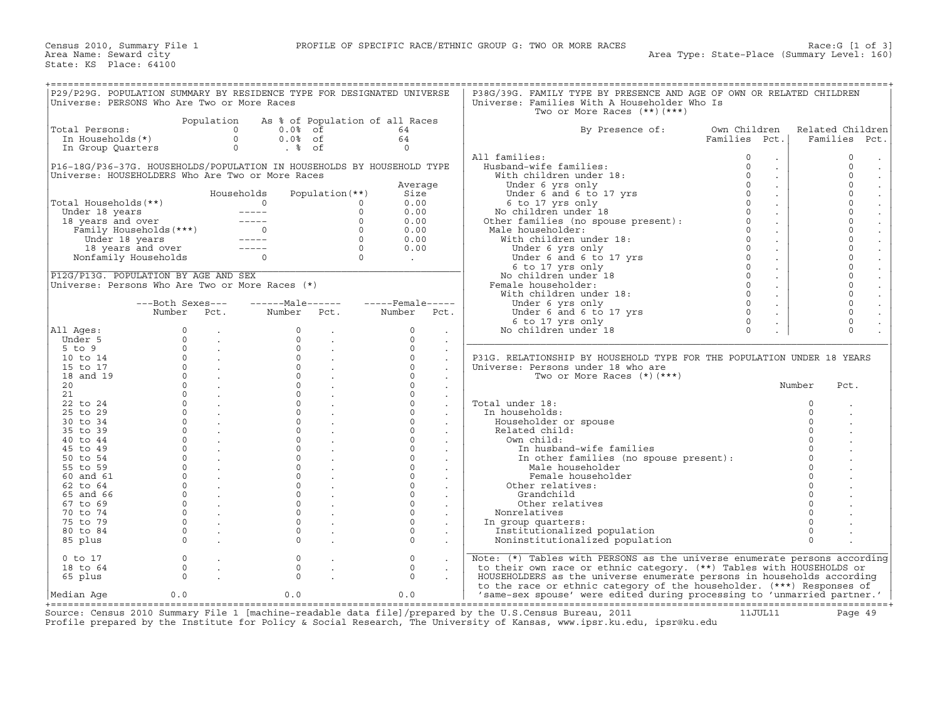| P29/P29G. POPULATION SUMMARY BY RESIDENCE TYPE FOR DESIGNATED UNIVERSE                                                                                                                                                                                                                     |                                                   |                                                                                                    |                  |                                       |                    |                      | P38G/39G. FAMILY TYPE BY PRESENCE AND AGE OF OWN OR RELATED CHILDREN                                                                                                                                                                                                     |               |                              |          |                                  |
|--------------------------------------------------------------------------------------------------------------------------------------------------------------------------------------------------------------------------------------------------------------------------------------------|---------------------------------------------------|----------------------------------------------------------------------------------------------------|------------------|---------------------------------------|--------------------|----------------------|--------------------------------------------------------------------------------------------------------------------------------------------------------------------------------------------------------------------------------------------------------------------------|---------------|------------------------------|----------|----------------------------------|
| Universe: PERSONS Who Are Two or More Races                                                                                                                                                                                                                                                |                                                   |                                                                                                    |                  |                                       |                    |                      | Universe: Families With A Householder Who Is                                                                                                                                                                                                                             |               |                              |          |                                  |
|                                                                                                                                                                                                                                                                                            |                                                   |                                                                                                    |                  |                                       |                    |                      | Two or More Races $(**)$ $(***)$                                                                                                                                                                                                                                         |               |                              |          |                                  |
|                                                                                                                                                                                                                                                                                            |                                                   | Population                                                                                         |                  | As % of Population of all Races       |                    |                      |                                                                                                                                                                                                                                                                          |               |                              |          |                                  |
| Total Persons:                                                                                                                                                                                                                                                                             |                                                   | $\overline{0}$                                                                                     | $0.0$ % of       |                                       | 64                 |                      | By Presence of:                                                                                                                                                                                                                                                          | Own Children  |                              |          | Related Children                 |
| In Households(*)                                                                                                                                                                                                                                                                           |                                                   | $\Omega$                                                                                           | $0.0%$ of        |                                       | 64                 |                      |                                                                                                                                                                                                                                                                          | Families Pct. |                              |          | Families Pct.                    |
| In Group Quarters                                                                                                                                                                                                                                                                          |                                                   | $\overline{0}$                                                                                     | . %              |                                       | $\Omega$           |                      |                                                                                                                                                                                                                                                                          |               |                              |          |                                  |
|                                                                                                                                                                                                                                                                                            |                                                   |                                                                                                    |                  |                                       |                    |                      | All families:                                                                                                                                                                                                                                                            | $\circ$       | $\bullet$                    |          | 0<br>$\bullet$                   |
| P16-18G/P36-37G. HOUSEHOLDS/POPULATION IN HOUSEHOLDS BY HOUSEHOLD TYPE                                                                                                                                                                                                                     |                                                   |                                                                                                    |                  |                                       |                    |                      | Husband-wife families:<br>Husband-wife families:<br>With children under 18:<br>Under 6 and 6 to 17 yrs<br>6 to 17 yrs only<br>6 to 17 yrs only<br>No children under 18<br>Other families (no spouse present):<br>Mort families (no spouse present):<br>Mort families (no | $\Omega$      | $\mathcal{L}^{\pm}$          |          | $\Omega$<br>$\cdot$              |
| Universe: HOUSEHOLDERS Who Are Two or More Races                                                                                                                                                                                                                                           |                                                   |                                                                                                    |                  |                                       |                    |                      |                                                                                                                                                                                                                                                                          | $\circ$       | $\sim$                       |          | $\circ$<br>$\bullet$             |
|                                                                                                                                                                                                                                                                                            |                                                   |                                                                                                    |                  |                                       | Average            |                      |                                                                                                                                                                                                                                                                          | $\Omega$      | $\sim$                       |          | $\Omega$<br>$\blacksquare$       |
|                                                                                                                                                                                                                                                                                            |                                                   |                                                                                                    | Households       | Population $(**)$                     | Size               |                      |                                                                                                                                                                                                                                                                          | $\circ$       | $\sim$                       |          | $\circ$<br>$\ddot{\phantom{a}}$  |
| Total Households(**)<br>under 18 years<br>18 years and over<br>Family Households (***)<br>Under 18 years<br>18 years<br>18 years<br>18 years<br>18 years<br>18 years<br>18 years<br>18 years<br>18 years<br>18 years<br>18 years<br>18 years<br>18 years<br>18 years<br>18 years<br>18 yea |                                                   |                                                                                                    |                  | $\Omega$                              | 0.00               |                      |                                                                                                                                                                                                                                                                          | $\Omega$      | $\sim$                       |          | $\Omega$                         |
|                                                                                                                                                                                                                                                                                            |                                                   |                                                                                                    |                  | $\Omega$                              | 0.00               |                      |                                                                                                                                                                                                                                                                          | $\Omega$      | $\sim$                       |          | $\Omega$<br>$\blacksquare$       |
|                                                                                                                                                                                                                                                                                            |                                                   |                                                                                                    |                  | $\Omega$                              | 0.00               |                      |                                                                                                                                                                                                                                                                          | $\mathbf{0}$  | $\sim$                       |          | $\mathsf{O}$                     |
|                                                                                                                                                                                                                                                                                            |                                                   |                                                                                                    |                  | $\Omega$                              | 0.00               |                      | Male householder:<br>ale householder:<br>With children under 18:<br>Under 6 yrs only<br>Under 6 and 6 to 17 yrs<br>No children under 18<br>No children under 18<br>emale householder:<br>With children under 18:<br>Under 6 yrs only                                     | $\Omega$      | $\sim$                       |          | $\Omega$<br>$\ddot{\phantom{0}}$ |
|                                                                                                                                                                                                                                                                                            |                                                   |                                                                                                    |                  | $\Omega$                              | 0.00               |                      |                                                                                                                                                                                                                                                                          | $\Omega$      | $\sim$                       |          | $\Omega$<br>$\ddot{\phantom{a}}$ |
|                                                                                                                                                                                                                                                                                            | 18 years and over -----<br>Nonfamily Households 0 |                                                                                                    |                  | $\begin{array}{c} 0 \\ 0 \end{array}$ | 0.00               |                      |                                                                                                                                                                                                                                                                          | $\circ$       | $\sim$                       |          | $\Omega$                         |
|                                                                                                                                                                                                                                                                                            |                                                   |                                                                                                    |                  |                                       | $\sim 10^{-10}$    |                      |                                                                                                                                                                                                                                                                          | $\circ$       | $\mathcal{L}_{\mathbf{a}}$ . |          | $\Omega$<br>$\bullet$            |
|                                                                                                                                                                                                                                                                                            |                                                   |                                                                                                    |                  |                                       |                    |                      |                                                                                                                                                                                                                                                                          | $\circ$       | $\sim$                       |          | $\circ$<br>$\blacksquare$        |
| P12G/P13G. POPULATION BY AGE AND SEX                                                                                                                                                                                                                                                       |                                                   |                                                                                                    |                  |                                       |                    |                      |                                                                                                                                                                                                                                                                          | $\circ$       | $\mathcal{L}^{\pm}$          |          | $\circ$                          |
| Universe: Persons Who Are Two or More Races (*)                                                                                                                                                                                                                                            |                                                   |                                                                                                    |                  |                                       |                    |                      | Female householder:                                                                                                                                                                                                                                                      | $\Omega$      | $\sim$                       |          | $\Omega$                         |
|                                                                                                                                                                                                                                                                                            |                                                   |                                                                                                    |                  |                                       |                    |                      |                                                                                                                                                                                                                                                                          | $\mathbf{0}$  | $\sim$                       |          | $\circ$<br>$\bullet$             |
|                                                                                                                                                                                                                                                                                            | ---Both Sexes---                                  |                                                                                                    | ------Male------ |                                       | $---$ Female ----- |                      |                                                                                                                                                                                                                                                                          | $\Omega$      | $\sim$                       |          | $\circ$<br>$\ddot{\phantom{a}}$  |
|                                                                                                                                                                                                                                                                                            | Number                                            | Pct.                                                                                               | Number Pct.      |                                       | Number Pct.        |                      | Under 6 yrs only<br>Under 6 and 6 to 17 yrs                                                                                                                                                                                                                              | $\Omega$      | $\sim$                       |          | $\Omega$                         |
|                                                                                                                                                                                                                                                                                            |                                                   |                                                                                                    |                  |                                       |                    |                      | 6 to 17 yrs only                                                                                                                                                                                                                                                         | $\circ$       |                              |          | $\circ$                          |
| All Ages:                                                                                                                                                                                                                                                                                  | $\Omega$                                          | $\sim$                                                                                             | $\Omega$         | $\sim$                                | $\Omega$           | $\sim$               | No children under 18                                                                                                                                                                                                                                                     | $\Omega$      | $\overline{a}$               |          | $\Omega$<br>$\sim$               |
| Under 5                                                                                                                                                                                                                                                                                    | $\circ$                                           | $\sim 10^{-11}$                                                                                    | $\circ$          | $\sim 10^{-1}$                        | $\Omega$           | $\sim$               |                                                                                                                                                                                                                                                                          |               |                              |          |                                  |
| $5 \text{ to } 9$                                                                                                                                                                                                                                                                          | $\Omega$                                          | $\sim 10^{-11}$                                                                                    | $\Omega$         |                                       | $\Omega$           |                      |                                                                                                                                                                                                                                                                          |               |                              |          |                                  |
| 10 to 14                                                                                                                                                                                                                                                                                   |                                                   | $\begin{array}{ccc} 0 & & \cdot & \cdot \\ 0 & & \cdot & \cdot \\ 0 & & \cdot & \cdot \end{array}$ | $\Omega$         |                                       | $\Omega$           | $\sim$               | P31G. RELATIONSHIP BY HOUSEHOLD TYPE FOR THE POPULATION UNDER 18 YEARS                                                                                                                                                                                                   |               |                              |          |                                  |
| 15 to 17                                                                                                                                                                                                                                                                                   |                                                   |                                                                                                    | $\Omega$         |                                       | $\Omega$           | $\ddot{\phantom{a}}$ | Universe: Persons under 18 who are                                                                                                                                                                                                                                       |               |                              |          |                                  |
| 18 and 19                                                                                                                                                                                                                                                                                  |                                                   | <b>Contract Contract</b>                                                                           | $\Omega$         |                                       | $\Omega$           | $\sim$               | Two or More Races $(*)$ $(***)$                                                                                                                                                                                                                                          |               |                              |          |                                  |
| 20                                                                                                                                                                                                                                                                                         |                                                   | $\overline{0}$ .                                                                                   | $\Omega$         |                                       | $\Omega$           |                      |                                                                                                                                                                                                                                                                          |               |                              | Number   | Pct.                             |
| 21                                                                                                                                                                                                                                                                                         |                                                   | $\overline{0}$ .                                                                                   | $\Omega$         |                                       | $\Omega$           | $\sim$               |                                                                                                                                                                                                                                                                          |               |                              |          |                                  |
| 22 to 24                                                                                                                                                                                                                                                                                   | $\Omega$                                          | $\sim$ $\sim$ $\sim$                                                                               | $\Omega$         |                                       | $\cap$             | $\sim$               | Total under 18:                                                                                                                                                                                                                                                          |               |                              | $\Omega$ |                                  |
| 25 to 29                                                                                                                                                                                                                                                                                   | $\overline{0}$                                    | <b>Contract Contract</b>                                                                           | $\mathbf{0}$     |                                       | $\Omega$           | $\sim$               | In households:                                                                                                                                                                                                                                                           |               |                              | $\circ$  |                                  |
| 30 to 34                                                                                                                                                                                                                                                                                   | $0 \qquad \qquad$                                 | <b>Contract</b>                                                                                    | $\Omega$         |                                       | $\Omega$           |                      | Householder or spouse                                                                                                                                                                                                                                                    |               |                              | $\Omega$ |                                  |
| 35 to 39                                                                                                                                                                                                                                                                                   | $\Omega$                                          |                                                                                                    | $\cap$           |                                       | $\cap$             |                      | Related child:                                                                                                                                                                                                                                                           |               |                              | $\Omega$ |                                  |
| 40 to 44                                                                                                                                                                                                                                                                                   | $\mathbf{0}$                                      | <b>Contract Contract</b>                                                                           | $\Omega$         |                                       | $\circ$            | $\sim$               | Own child:                                                                                                                                                                                                                                                               |               |                              | $\Omega$ |                                  |
| 45 to 49                                                                                                                                                                                                                                                                                   | $\Omega$                                          | <b>Carl Corporation</b>                                                                            | $\Omega$         | $\sim$                                | $\Omega$           | $\sim$               | In husband-wife families                                                                                                                                                                                                                                                 |               |                              | $\Omega$ |                                  |
| 50 to 54                                                                                                                                                                                                                                                                                   | $\Omega$                                          |                                                                                                    | $\Omega$         |                                       | $\Omega$           |                      | In other families (no spouse present):                                                                                                                                                                                                                                   |               |                              | $\Omega$ |                                  |
| 55 to 59                                                                                                                                                                                                                                                                                   | $\circ$                                           |                                                                                                    | $\Omega$         |                                       | $\Omega$           |                      | Male householder                                                                                                                                                                                                                                                         |               |                              |          |                                  |
| 60 and 61                                                                                                                                                                                                                                                                                  | $\circ$                                           | $\sim$ $-$                                                                                         | $\Omega$         | $\sim$                                | $\Omega$           | $\sim$               | Female householder                                                                                                                                                                                                                                                       |               |                              | $\Omega$ |                                  |
| 62 to 64                                                                                                                                                                                                                                                                                   | $\Omega$                                          |                                                                                                    | $\Omega$         |                                       | $\Omega$           |                      | Other relatives:                                                                                                                                                                                                                                                         |               |                              | $\Omega$ |                                  |
| 65 and 66                                                                                                                                                                                                                                                                                  | $\circ$                                           | $\sim 10^{-10}$                                                                                    | $\Omega$         |                                       | $\Omega$           |                      | Grandchild                                                                                                                                                                                                                                                               |               |                              | $\Omega$ |                                  |
| 67 to 69                                                                                                                                                                                                                                                                                   | $\circ$                                           |                                                                                                    | $\Omega$         |                                       | $\Omega$           | $\sim$               | Other relatives                                                                                                                                                                                                                                                          |               |                              | $\Omega$ |                                  |
| 70 to 74                                                                                                                                                                                                                                                                                   | $\circ$                                           | $\sim$ $-$                                                                                         | $\circ$          |                                       | $\circ$            | $\sim$               | Nonrelatives                                                                                                                                                                                                                                                             |               |                              | $\Omega$ |                                  |
| 75 to 79                                                                                                                                                                                                                                                                                   | $\Omega$                                          | $\sim$                                                                                             | $\Omega$         |                                       | $\Omega$           |                      | In group quarters:                                                                                                                                                                                                                                                       |               |                              | $\Omega$ |                                  |
| 80 to 84                                                                                                                                                                                                                                                                                   | $\circ$                                           |                                                                                                    | $\Omega$         |                                       | $\Omega$           | $\ddot{\phantom{a}}$ | Institutionalized population                                                                                                                                                                                                                                             |               |                              | $\Omega$ |                                  |
| 85 plus                                                                                                                                                                                                                                                                                    | $\Omega$                                          |                                                                                                    | $\Omega$         |                                       | $\Omega$           |                      | Noninstitutionalized population                                                                                                                                                                                                                                          |               |                              | $\Omega$ |                                  |
|                                                                                                                                                                                                                                                                                            |                                                   |                                                                                                    |                  |                                       |                    |                      |                                                                                                                                                                                                                                                                          |               |                              |          |                                  |
| $0$ to $17$                                                                                                                                                                                                                                                                                | $\circ$                                           |                                                                                                    | $\mathbf 0$      |                                       | $\mathbf 0$        |                      | Note: (*) Tables with PERSONS as the universe enumerate persons according                                                                                                                                                                                                |               |                              |          |                                  |
| 18 to 64                                                                                                                                                                                                                                                                                   | $\circ$                                           | $\ddot{\phantom{a}}$                                                                               | $\mathbf 0$      |                                       | $\mathbf 0$        |                      | to their own race or ethnic category. (**) Tables with HOUSEHOLDS or                                                                                                                                                                                                     |               |                              |          |                                  |
| 65 plus                                                                                                                                                                                                                                                                                    | $\Omega$                                          |                                                                                                    | $\Omega$         |                                       | $\Omega$           |                      | HOUSEHOLDERS as the universe enumerate persons in households according                                                                                                                                                                                                   |               |                              |          |                                  |
|                                                                                                                                                                                                                                                                                            |                                                   |                                                                                                    |                  |                                       |                    |                      | to the race or ethnic category of the householder. (***) Responses of                                                                                                                                                                                                    |               |                              |          |                                  |
| Median Aqe                                                                                                                                                                                                                                                                                 | 0.0                                               |                                                                                                    | 0.0              |                                       | 0.0                |                      | 'same-sex spouse' were edited during processing to 'unmarried partner.'                                                                                                                                                                                                  |               |                              |          |                                  |

+===================================================================================================================================================+ Source: Census 2010 Summary File 1 [machine−readable data file]/prepared by the U.S.Census Bureau, 2011 11JUL11 Page 49 Profile prepared by the Institute for Policy & Social Research, The University of Kansas, www.ipsr.ku.edu, ipsr@ku.edu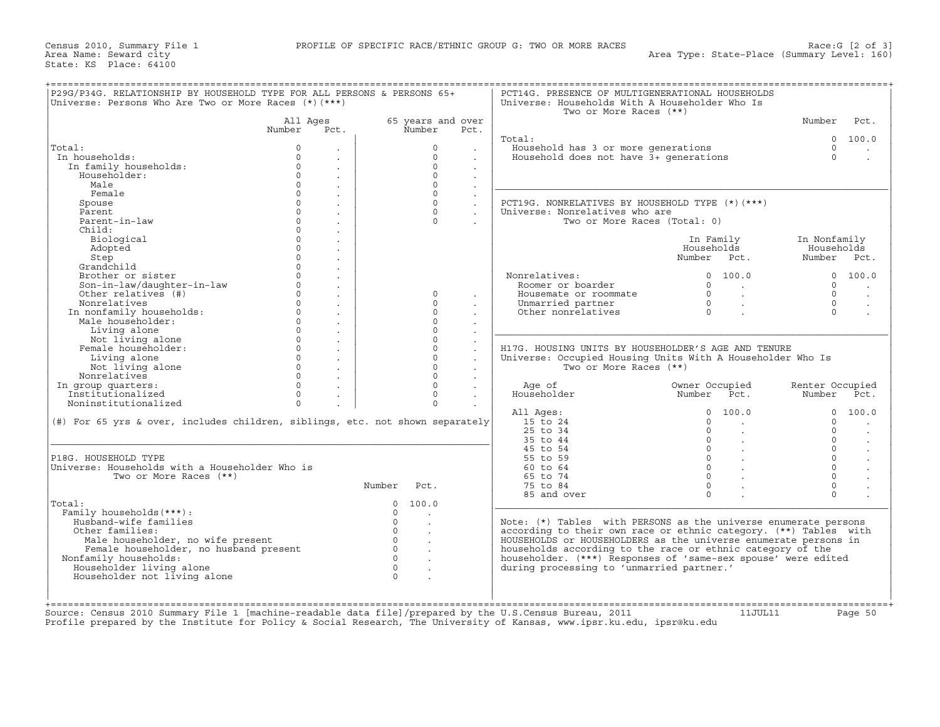| Universe: Persons Who Are Two or More Races $(*)$ $(***)$                     |                                        |                |                             |                           | Universe: Households With A Householder Who Is<br>Two or More Races (**) |                                                       |                 |                      |
|-------------------------------------------------------------------------------|----------------------------------------|----------------|-----------------------------|---------------------------|--------------------------------------------------------------------------|-------------------------------------------------------|-----------------|----------------------|
|                                                                               | All Aqes<br>Number Pct.                |                | 65 years and over<br>Number | Pct.                      |                                                                          |                                                       | Number          | Pct.                 |
|                                                                               |                                        |                |                             |                           | Total:                                                                   |                                                       |                 | 0 100.0              |
| Total:                                                                        | $\Omega$                               |                | $\Omega$                    |                           | Household has 3 or more generations                                      |                                                       | $\Omega$        | $\ddot{\phantom{a}}$ |
| In households:                                                                | $\circ$                                |                | $\circ$                     |                           | Household does not have 3+ generations                                   |                                                       | $\Omega$        | $\ddot{\phantom{a}}$ |
| In family households:                                                         | $\circ$                                |                | $\Omega$                    |                           |                                                                          |                                                       |                 |                      |
| Householder:                                                                  | $\circ$<br>$\ddot{\phantom{a}}$        |                | $\circ$                     | $\sim$                    |                                                                          |                                                       |                 |                      |
| Male                                                                          | $\Omega$<br>$\sim$                     |                | $\Omega$                    | $\sim$                    |                                                                          |                                                       |                 |                      |
| Female                                                                        | $\mathbf{0}$<br>$\sim$                 |                | $\circ$                     | $\sim$                    |                                                                          |                                                       |                 |                      |
| Spouse                                                                        | $\overline{0}$<br>$\ddot{\phantom{a}}$ |                | $\circ$                     | $\ddot{\phantom{a}}$      | PCT19G. NONRELATIVES BY HOUSEHOLD TYPE (*) (***)                         |                                                       |                 |                      |
| Parent                                                                        | $\circ$<br>$\sim$                      |                | $\circ$                     | $\sim$                    | Universe: Nonrelatives who are                                           |                                                       |                 |                      |
| Parent-in-law                                                                 | $\circ$<br>$\sim$                      |                | $\Omega$                    |                           | Two or More Races (Total: 0)                                             |                                                       |                 |                      |
| Child:                                                                        | $\Omega$                               |                |                             |                           |                                                                          |                                                       |                 |                      |
| Biological                                                                    | $\epsilon$<br>$\circ$                  |                |                             |                           |                                                                          | In Family                                             | In Nonfamily    |                      |
| Adopted                                                                       | $\sim$<br>$\mathbf{0}$                 |                |                             |                           |                                                                          | Households                                            | Households      |                      |
|                                                                               | $\sim$<br>$\circ$                      |                |                             |                           |                                                                          |                                                       |                 |                      |
| Step<br>Grandchild                                                            | $\ddot{\phantom{a}}$<br>$\Omega$       |                |                             |                           |                                                                          | Number Pct.                                           | Number Pct.     |                      |
|                                                                               | $\sim$                                 |                |                             |                           |                                                                          |                                                       |                 |                      |
| Brother or sister                                                             | $\mathsf{O}\xspace$<br>$\epsilon$      |                |                             |                           | Nonrelatives:                                                            | 0 100.0                                               |                 | 0 100.0              |
| Son-in-law/daughter-in-law                                                    | $\circ$<br>$\sim$                      |                |                             |                           | Roomer or boarder                                                        | $\Omega$<br><b>Contract Contract Contract</b>         | $\Omega$        | $\sim$               |
| Other relatives (#)                                                           | $\mathbf{0}$<br>$\sim$                 |                | $\Omega$                    |                           | Housemate or roommate                                                    | $\begin{matrix} 0 & & \cdot \\ & & 0 \\ \end{matrix}$ | $\Omega$        |                      |
| Nonrelatives                                                                  | $\overline{0}$<br>$\sim$               |                | $\Omega$                    | $\sim$                    | Unmarried partner                                                        |                                                       | $\Omega$        | $\mathbf{r}$         |
| In nonfamily households:                                                      | $\overline{0}$<br>$\sim$               |                | $\circ$                     |                           | Other nonrelatives                                                       | $\overline{0}$<br>$\sim$                              | $\Omega$        |                      |
| Male householder:                                                             | $\Omega$<br>$\ddot{\phantom{a}}$       |                | $\Omega$                    |                           |                                                                          |                                                       |                 |                      |
| Living alone                                                                  | $\circ$<br>$\ddot{\phantom{a}}$        |                | $\circ$                     | $\ddot{\phantom{a}}$      |                                                                          |                                                       |                 |                      |
| Not living alone                                                              | $\circ$<br>$\ddot{\phantom{a}}$        |                | $\circ$                     | $\sim$                    |                                                                          |                                                       |                 |                      |
| Female householder:                                                           | $\mathbf{0}$<br>$\sim$                 |                | $\circ$                     | $\mathbb{Z}^{\mathbb{Z}}$ | H17G. HOUSING UNITS BY HOUSEHOLDER'S AGE AND TENURE                      |                                                       |                 |                      |
| Living alone                                                                  | $\circ$<br>$\sim$                      |                | $\circ$                     | $\sim$                    | Universe: Occupied Housing Units With A Householder Who Is               |                                                       |                 |                      |
| Not living alone                                                              | $\circ$<br>$\sim$                      |                | $\circ$                     | $\ddot{\phantom{a}}$      | Two or More Races (**)                                                   |                                                       |                 |                      |
| Nonrelatives                                                                  | $\overline{0}$<br>$\sim$               |                | $\circ$                     | $\mathbf{r}$              |                                                                          |                                                       |                 |                      |
| In group quarters:                                                            | $\circ$<br>$\sim$                      |                | $\circ$                     | $\ddot{\phantom{a}}$      | Age of                                                                   |                                                       | Renter Occupied |                      |
| Institutionalized                                                             | $\Omega$<br>$\sim$                     |                | $\Omega$                    | $\sim$                    | Householder                                                              | Owner Occupied<br>Number Pct.                         | Number          | Pct.                 |
| Noninstitutionalized                                                          | $\Omega$                               |                | $\Omega$                    |                           |                                                                          |                                                       |                 |                      |
|                                                                               |                                        |                |                             |                           | All Ages:                                                                | 0, 100, 0                                             |                 | 0, 100, 0            |
| (#) For 65 yrs & over, includes children, siblings, etc. not shown separately |                                        |                |                             |                           | 15 to 24                                                                 | $\Omega$<br><b>Contract</b>                           | $\Omega$        | $\overline{a}$       |
|                                                                               |                                        |                |                             |                           | 25 to 34                                                                 | $\circ$<br>$\sim$                                     | $\Omega$        |                      |
|                                                                               |                                        |                |                             |                           | 35 to 44                                                                 | $\Omega$<br>$\sim 10^{11}$ km $^{-1}$                 | $\Omega$        |                      |
|                                                                               |                                        |                |                             |                           | 45 to 54                                                                 | $0 \qquad \qquad .$                                   | $\circ$         |                      |
| P18G. HOUSEHOLD TYPE                                                          |                                        |                |                             |                           | 55 to 59                                                                 | $\Omega$                                              | $\Omega$        |                      |
| Universe: Households with a Householder Who is                                |                                        |                |                             |                           | 60 to 64                                                                 | $\overline{0}$ .                                      | $\circ$         |                      |
|                                                                               |                                        |                |                             |                           |                                                                          | $0 \qquad \qquad$                                     | $\mathbf{0}$    |                      |
| Two or More Races (**)                                                        |                                        |                |                             |                           | 65 to 74                                                                 |                                                       |                 |                      |
|                                                                               |                                        | Number         | Pct.                        |                           | 75 to 84                                                                 | $\circ$                                               | $\circ$         |                      |
|                                                                               |                                        |                |                             |                           | 85 and over                                                              | $\Omega$                                              | $\cap$          |                      |
| Total:                                                                        |                                        | $\overline{0}$ | 100.0                       |                           |                                                                          |                                                       |                 |                      |
| Family households (***) :                                                     |                                        | $\Omega$       |                             |                           |                                                                          |                                                       |                 |                      |
| Husband-wife families                                                         |                                        | $\Omega$       | $\mathbf{r}$                |                           | Note: (*) Tables with PERSONS as the universe enumerate persons          |                                                       |                 |                      |
| Other families:                                                               |                                        | $\overline{a}$ |                             |                           | according to their own race or ethnic category. (**) Tables with         |                                                       |                 |                      |
| Male householder, no wife present                                             |                                        |                |                             |                           | HOUSEHOLDS or HOUSEHOLDERS as the universe enumerate persons in          |                                                       |                 |                      |
| Female householder, no husband present                                        |                                        | $\overline{O}$ | $\mathbf{r}$                |                           | households according to the race or ethnic category of the               |                                                       |                 |                      |
|                                                                               |                                        |                | $\Omega$                    |                           | householder. (***) Responses of 'same-sex spouse' were edited            |                                                       |                 |                      |
| Nonfamily households:                                                         |                                        | $\overline{0}$ |                             |                           | during processing to 'unmarried partner.'                                |                                                       |                 |                      |
| Householder living alone                                                      |                                        |                |                             |                           |                                                                          |                                                       |                 |                      |
|                                                                               |                                        | $\Omega$       |                             |                           |                                                                          |                                                       |                 |                      |
| Householder not living alone                                                  |                                        |                |                             |                           |                                                                          |                                                       |                 |                      |

Profile prepared by the Institute for Policy & Social Research, The University of Kansas, www.ipsr.ku.edu, ipsr@ku.edu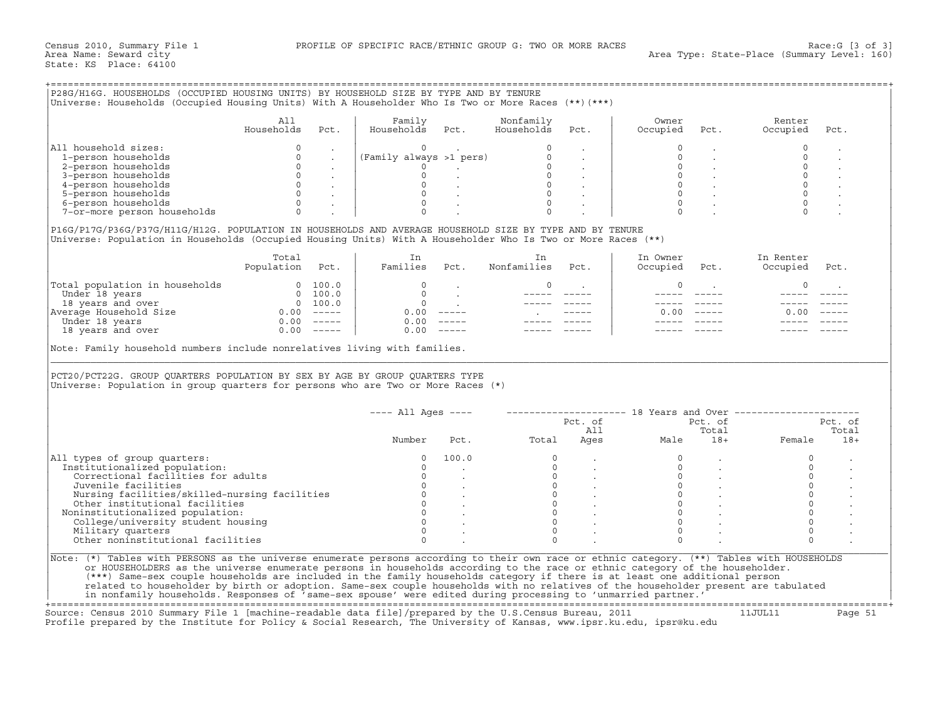| P28G/H16G. HOUSEHOLDS (OCCUPIED HOUSING UNITS) BY HOUSEHOLD SIZE BY TYPE AND BY TENURE<br>Universe: Households (Occupied Housing Units) With A Householder Who Is Two or More Races (**) (***)<br>All<br>Family<br>Nonfamily<br>Households<br>Pct.<br>Households Pct.<br>Households<br>Pct.<br>All household sizes:<br>1-person households<br>2-person households<br>3-person households<br>4-person households<br>5-person households<br>6-person households<br>$\Omega$<br>7-or-more person households<br>P16G/P17G/P36G/P37G/H11G/H12G. POPULATION IN HOUSEHOLDS AND AVERAGE HOUSEHOLD SIZE BY TYPE AND BY TENURE<br>Universe: Population in Households (Occupied Housing Units) With A Householder Who Is Two or More Races (**)<br>Total<br>In<br>In<br>Population Pct.<br>Families Pct. Nonfamilies Pct.<br>$\begin{tabular}{ l l } \hline \texttt{Total population in households} & 0 100.0 \\ \hline \texttt{Under 18 years} & 0 100.0 \\ 18 years and over \\ \hline \texttt{Average House} & 0 100.0 \\ \hline \texttt{Meter 18 years} & 0.00 ----- \\ \hline \texttt{Under 18 years} & 0.00 ----- \\ \hline \end{tabular}$<br>$\circ$<br>$\begin{matrix}0&\end{matrix}$<br>$\mathcal{L}^{\text{max}}$ and $\mathcal{L}^{\text{max}}$<br>$\begin{tabular}{ll} \bf -----& \bf -----& \end{tabular}$<br>Note: Family household numbers include nonrelatives living with families.<br>PCT20/PCT22G. GROUP QUARTERS POPULATION BY SEX BY AGE BY GROUP QUARTERS TYPE<br>Universe: Population in group quarters for persons who are Two or More Races $(*)$<br>---- All Ages ----     -------------------- 18 Years and Over --------------------<br>Pct. of Pct. of Pct. of I<br>Pct. Total Ages Male 18+ Female<br>Number<br>100.0<br>All types of group quarters:<br>Institutionalized population:<br>$\begin{bmatrix} 0 \\ 0 \\ 0 \\ 0 \\ 0 \\ 0 \\ \end{bmatrix}$<br>Correctional facilities for adults<br>Juvenile facilities<br>Nursing facilities/skilled-nursing facilities<br>Other institutional facilities<br>Noninstitutionalized population:<br>College/university student housing<br>Military quarters | Owner<br>Occupied | Pct.         | Renter<br>Occupied                            | Pct.    |
|---------------------------------------------------------------------------------------------------------------------------------------------------------------------------------------------------------------------------------------------------------------------------------------------------------------------------------------------------------------------------------------------------------------------------------------------------------------------------------------------------------------------------------------------------------------------------------------------------------------------------------------------------------------------------------------------------------------------------------------------------------------------------------------------------------------------------------------------------------------------------------------------------------------------------------------------------------------------------------------------------------------------------------------------------------------------------------------------------------------------------------------------------------------------------------------------------------------------------------------------------------------------------------------------------------------------------------------------------------------------------------------------------------------------------------------------------------------------------------------------------------------------------------------------------------------------------------------------------------------------------------------------------------------------------------------------------------------------------------------------------------------------------------------------------------------------------------------------------------------------------------------------------------------------------------------------------------------------------------------------------------------------------------------------------------------------------------------------------------------------------|-------------------|--------------|-----------------------------------------------|---------|
|                                                                                                                                                                                                                                                                                                                                                                                                                                                                                                                                                                                                                                                                                                                                                                                                                                                                                                                                                                                                                                                                                                                                                                                                                                                                                                                                                                                                                                                                                                                                                                                                                                                                                                                                                                                                                                                                                                                                                                                                                                                                                                                           |                   |              |                                               |         |
|                                                                                                                                                                                                                                                                                                                                                                                                                                                                                                                                                                                                                                                                                                                                                                                                                                                                                                                                                                                                                                                                                                                                                                                                                                                                                                                                                                                                                                                                                                                                                                                                                                                                                                                                                                                                                                                                                                                                                                                                                                                                                                                           |                   |              |                                               |         |
|                                                                                                                                                                                                                                                                                                                                                                                                                                                                                                                                                                                                                                                                                                                                                                                                                                                                                                                                                                                                                                                                                                                                                                                                                                                                                                                                                                                                                                                                                                                                                                                                                                                                                                                                                                                                                                                                                                                                                                                                                                                                                                                           |                   |              |                                               |         |
|                                                                                                                                                                                                                                                                                                                                                                                                                                                                                                                                                                                                                                                                                                                                                                                                                                                                                                                                                                                                                                                                                                                                                                                                                                                                                                                                                                                                                                                                                                                                                                                                                                                                                                                                                                                                                                                                                                                                                                                                                                                                                                                           |                   |              |                                               |         |
|                                                                                                                                                                                                                                                                                                                                                                                                                                                                                                                                                                                                                                                                                                                                                                                                                                                                                                                                                                                                                                                                                                                                                                                                                                                                                                                                                                                                                                                                                                                                                                                                                                                                                                                                                                                                                                                                                                                                                                                                                                                                                                                           |                   |              |                                               |         |
|                                                                                                                                                                                                                                                                                                                                                                                                                                                                                                                                                                                                                                                                                                                                                                                                                                                                                                                                                                                                                                                                                                                                                                                                                                                                                                                                                                                                                                                                                                                                                                                                                                                                                                                                                                                                                                                                                                                                                                                                                                                                                                                           |                   |              |                                               |         |
|                                                                                                                                                                                                                                                                                                                                                                                                                                                                                                                                                                                                                                                                                                                                                                                                                                                                                                                                                                                                                                                                                                                                                                                                                                                                                                                                                                                                                                                                                                                                                                                                                                                                                                                                                                                                                                                                                                                                                                                                                                                                                                                           |                   |              |                                               |         |
|                                                                                                                                                                                                                                                                                                                                                                                                                                                                                                                                                                                                                                                                                                                                                                                                                                                                                                                                                                                                                                                                                                                                                                                                                                                                                                                                                                                                                                                                                                                                                                                                                                                                                                                                                                                                                                                                                                                                                                                                                                                                                                                           |                   |              |                                               |         |
|                                                                                                                                                                                                                                                                                                                                                                                                                                                                                                                                                                                                                                                                                                                                                                                                                                                                                                                                                                                                                                                                                                                                                                                                                                                                                                                                                                                                                                                                                                                                                                                                                                                                                                                                                                                                                                                                                                                                                                                                                                                                                                                           |                   |              |                                               |         |
|                                                                                                                                                                                                                                                                                                                                                                                                                                                                                                                                                                                                                                                                                                                                                                                                                                                                                                                                                                                                                                                                                                                                                                                                                                                                                                                                                                                                                                                                                                                                                                                                                                                                                                                                                                                                                                                                                                                                                                                                                                                                                                                           |                   |              |                                               |         |
|                                                                                                                                                                                                                                                                                                                                                                                                                                                                                                                                                                                                                                                                                                                                                                                                                                                                                                                                                                                                                                                                                                                                                                                                                                                                                                                                                                                                                                                                                                                                                                                                                                                                                                                                                                                                                                                                                                                                                                                                                                                                                                                           |                   |              |                                               |         |
|                                                                                                                                                                                                                                                                                                                                                                                                                                                                                                                                                                                                                                                                                                                                                                                                                                                                                                                                                                                                                                                                                                                                                                                                                                                                                                                                                                                                                                                                                                                                                                                                                                                                                                                                                                                                                                                                                                                                                                                                                                                                                                                           |                   |              |                                               |         |
|                                                                                                                                                                                                                                                                                                                                                                                                                                                                                                                                                                                                                                                                                                                                                                                                                                                                                                                                                                                                                                                                                                                                                                                                                                                                                                                                                                                                                                                                                                                                                                                                                                                                                                                                                                                                                                                                                                                                                                                                                                                                                                                           |                   |              |                                               |         |
|                                                                                                                                                                                                                                                                                                                                                                                                                                                                                                                                                                                                                                                                                                                                                                                                                                                                                                                                                                                                                                                                                                                                                                                                                                                                                                                                                                                                                                                                                                                                                                                                                                                                                                                                                                                                                                                                                                                                                                                                                                                                                                                           | In Owner          |              | In Renter                                     |         |
|                                                                                                                                                                                                                                                                                                                                                                                                                                                                                                                                                                                                                                                                                                                                                                                                                                                                                                                                                                                                                                                                                                                                                                                                                                                                                                                                                                                                                                                                                                                                                                                                                                                                                                                                                                                                                                                                                                                                                                                                                                                                                                                           | Occupied          | Pct.         | Occupied                                      | Pct.    |
|                                                                                                                                                                                                                                                                                                                                                                                                                                                                                                                                                                                                                                                                                                                                                                                                                                                                                                                                                                                                                                                                                                                                                                                                                                                                                                                                                                                                                                                                                                                                                                                                                                                                                                                                                                                                                                                                                                                                                                                                                                                                                                                           | $\circ$           |              | $\mathbf 0$                                   |         |
|                                                                                                                                                                                                                                                                                                                                                                                                                                                                                                                                                                                                                                                                                                                                                                                                                                                                                                                                                                                                                                                                                                                                                                                                                                                                                                                                                                                                                                                                                                                                                                                                                                                                                                                                                                                                                                                                                                                                                                                                                                                                                                                           |                   |              |                                               |         |
|                                                                                                                                                                                                                                                                                                                                                                                                                                                                                                                                                                                                                                                                                                                                                                                                                                                                                                                                                                                                                                                                                                                                                                                                                                                                                                                                                                                                                                                                                                                                                                                                                                                                                                                                                                                                                                                                                                                                                                                                                                                                                                                           |                   |              |                                               |         |
|                                                                                                                                                                                                                                                                                                                                                                                                                                                                                                                                                                                                                                                                                                                                                                                                                                                                                                                                                                                                                                                                                                                                                                                                                                                                                                                                                                                                                                                                                                                                                                                                                                                                                                                                                                                                                                                                                                                                                                                                                                                                                                                           |                   | $0.00$ ----- | 0.00                                          |         |
|                                                                                                                                                                                                                                                                                                                                                                                                                                                                                                                                                                                                                                                                                                                                                                                                                                                                                                                                                                                                                                                                                                                                                                                                                                                                                                                                                                                                                                                                                                                                                                                                                                                                                                                                                                                                                                                                                                                                                                                                                                                                                                                           |                   |              |                                               |         |
|                                                                                                                                                                                                                                                                                                                                                                                                                                                                                                                                                                                                                                                                                                                                                                                                                                                                                                                                                                                                                                                                                                                                                                                                                                                                                                                                                                                                                                                                                                                                                                                                                                                                                                                                                                                                                                                                                                                                                                                                                                                                                                                           |                   |              |                                               |         |
|                                                                                                                                                                                                                                                                                                                                                                                                                                                                                                                                                                                                                                                                                                                                                                                                                                                                                                                                                                                                                                                                                                                                                                                                                                                                                                                                                                                                                                                                                                                                                                                                                                                                                                                                                                                                                                                                                                                                                                                                                                                                                                                           |                   |              |                                               |         |
|                                                                                                                                                                                                                                                                                                                                                                                                                                                                                                                                                                                                                                                                                                                                                                                                                                                                                                                                                                                                                                                                                                                                                                                                                                                                                                                                                                                                                                                                                                                                                                                                                                                                                                                                                                                                                                                                                                                                                                                                                                                                                                                           |                   |              |                                               |         |
|                                                                                                                                                                                                                                                                                                                                                                                                                                                                                                                                                                                                                                                                                                                                                                                                                                                                                                                                                                                                                                                                                                                                                                                                                                                                                                                                                                                                                                                                                                                                                                                                                                                                                                                                                                                                                                                                                                                                                                                                                                                                                                                           |                   |              |                                               | Pct. of |
|                                                                                                                                                                                                                                                                                                                                                                                                                                                                                                                                                                                                                                                                                                                                                                                                                                                                                                                                                                                                                                                                                                                                                                                                                                                                                                                                                                                                                                                                                                                                                                                                                                                                                                                                                                                                                                                                                                                                                                                                                                                                                                                           |                   |              |                                               | Total   |
|                                                                                                                                                                                                                                                                                                                                                                                                                                                                                                                                                                                                                                                                                                                                                                                                                                                                                                                                                                                                                                                                                                                                                                                                                                                                                                                                                                                                                                                                                                                                                                                                                                                                                                                                                                                                                                                                                                                                                                                                                                                                                                                           |                   |              |                                               | $18+$   |
|                                                                                                                                                                                                                                                                                                                                                                                                                                                                                                                                                                                                                                                                                                                                                                                                                                                                                                                                                                                                                                                                                                                                                                                                                                                                                                                                                                                                                                                                                                                                                                                                                                                                                                                                                                                                                                                                                                                                                                                                                                                                                                                           |                   |              | $\circ$                                       |         |
|                                                                                                                                                                                                                                                                                                                                                                                                                                                                                                                                                                                                                                                                                                                                                                                                                                                                                                                                                                                                                                                                                                                                                                                                                                                                                                                                                                                                                                                                                                                                                                                                                                                                                                                                                                                                                                                                                                                                                                                                                                                                                                                           |                   |              | $\circ$                                       |         |
|                                                                                                                                                                                                                                                                                                                                                                                                                                                                                                                                                                                                                                                                                                                                                                                                                                                                                                                                                                                                                                                                                                                                                                                                                                                                                                                                                                                                                                                                                                                                                                                                                                                                                                                                                                                                                                                                                                                                                                                                                                                                                                                           |                   |              | $\mathbb O$                                   |         |
|                                                                                                                                                                                                                                                                                                                                                                                                                                                                                                                                                                                                                                                                                                                                                                                                                                                                                                                                                                                                                                                                                                                                                                                                                                                                                                                                                                                                                                                                                                                                                                                                                                                                                                                                                                                                                                                                                                                                                                                                                                                                                                                           |                   |              | $\mathsf{O}$                                  |         |
|                                                                                                                                                                                                                                                                                                                                                                                                                                                                                                                                                                                                                                                                                                                                                                                                                                                                                                                                                                                                                                                                                                                                                                                                                                                                                                                                                                                                                                                                                                                                                                                                                                                                                                                                                                                                                                                                                                                                                                                                                                                                                                                           |                   |              | $\mathsf{O}\xspace$                           |         |
|                                                                                                                                                                                                                                                                                                                                                                                                                                                                                                                                                                                                                                                                                                                                                                                                                                                                                                                                                                                                                                                                                                                                                                                                                                                                                                                                                                                                                                                                                                                                                                                                                                                                                                                                                                                                                                                                                                                                                                                                                                                                                                                           |                   |              | $\begin{smallmatrix}0\\0\\0\end{smallmatrix}$ |         |
|                                                                                                                                                                                                                                                                                                                                                                                                                                                                                                                                                                                                                                                                                                                                                                                                                                                                                                                                                                                                                                                                                                                                                                                                                                                                                                                                                                                                                                                                                                                                                                                                                                                                                                                                                                                                                                                                                                                                                                                                                                                                                                                           |                   |              |                                               |         |
|                                                                                                                                                                                                                                                                                                                                                                                                                                                                                                                                                                                                                                                                                                                                                                                                                                                                                                                                                                                                                                                                                                                                                                                                                                                                                                                                                                                                                                                                                                                                                                                                                                                                                                                                                                                                                                                                                                                                                                                                                                                                                                                           |                   |              | $\circ$                                       |         |
|                                                                                                                                                                                                                                                                                                                                                                                                                                                                                                                                                                                                                                                                                                                                                                                                                                                                                                                                                                                                                                                                                                                                                                                                                                                                                                                                                                                                                                                                                                                                                                                                                                                                                                                                                                                                                                                                                                                                                                                                                                                                                                                           |                   |              | $\Omega$                                      |         |
| Other noninstitutional facilities<br>$\Omega$                                                                                                                                                                                                                                                                                                                                                                                                                                                                                                                                                                                                                                                                                                                                                                                                                                                                                                                                                                                                                                                                                                                                                                                                                                                                                                                                                                                                                                                                                                                                                                                                                                                                                                                                                                                                                                                                                                                                                                                                                                                                             |                   |              |                                               |         |
| Note: (*) Tables with PERSONS as the universe enumerate persons according to their own race or ethnic category. (**) Tables with HOUSEHOLDS<br>or HOUSEHOLDERS as the universe enumerate persons in households according to the race or ethnic category of the householder.<br>(***) Same-sex couple households are included in the family households category if there is at least one additional person<br>related to householder by birth or adoption. Same-sex couple households with no relatives of the householder present are tabulated<br>in nonfamily households. Responses of 'same-sex spouse' were edited during processing to 'unmarried partner.'                                                                                                                                                                                                                                                                                                                                                                                                                                                                                                                                                                                                                                                                                                                                                                                                                                                                                                                                                                                                                                                                                                                                                                                                                                                                                                                                                                                                                                                          | $\Omega$          |              |                                               |         |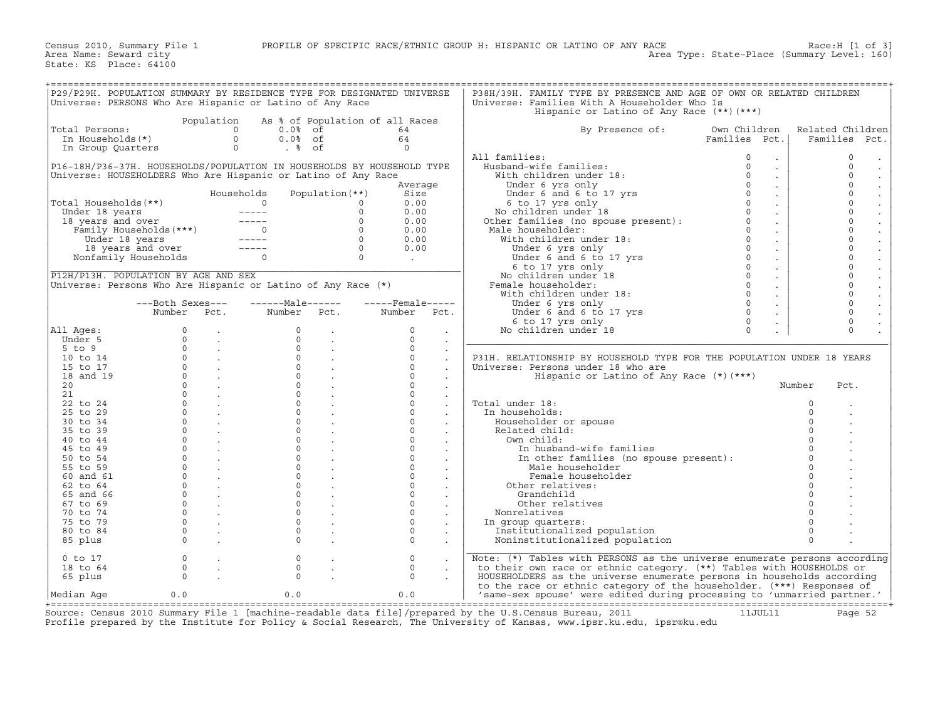| P29/P29H. POPULATION SUMMARY BY RESIDENCE TYPE FOR DESIGNATED UNIVERSE        |                                               |                            |                                                                                                                                                                                                                                                                                                                                                                                              |                 |                   |                             | P38H/39H. FAMILY TYPE BY PRESENCE AND AGE OF OWN OR RELATED CHILDREN                                       |                                         |             |                                 |
|-------------------------------------------------------------------------------|-----------------------------------------------|----------------------------|----------------------------------------------------------------------------------------------------------------------------------------------------------------------------------------------------------------------------------------------------------------------------------------------------------------------------------------------------------------------------------------------|-----------------|-------------------|-----------------------------|------------------------------------------------------------------------------------------------------------|-----------------------------------------|-------------|---------------------------------|
| Universe: PERSONS Who Are Hispanic or Latino of Any Race                      |                                               |                            |                                                                                                                                                                                                                                                                                                                                                                                              |                 |                   |                             | Universe: Families With A Householder Who Is                                                               |                                         |             |                                 |
|                                                                               |                                               |                            |                                                                                                                                                                                                                                                                                                                                                                                              |                 |                   |                             | Hispanic or Latino of Any Race (**) (***)                                                                  |                                         |             |                                 |
|                                                                               |                                               |                            |                                                                                                                                                                                                                                                                                                                                                                                              |                 |                   |                             |                                                                                                            |                                         |             |                                 |
|                                                                               |                                               | Population                 | As % of Population of all Races                                                                                                                                                                                                                                                                                                                                                              |                 |                   |                             |                                                                                                            |                                         |             |                                 |
| Total Persons:                                                                |                                               | $\Omega$                   | $0.0%$ of                                                                                                                                                                                                                                                                                                                                                                                    |                 | 64                |                             | By Presence of:                                                                                            | Own Children                            |             | Related Children                |
| In Households(*)                                                              |                                               | $\Omega$                   | $0.0%$ of                                                                                                                                                                                                                                                                                                                                                                                    |                 | 64                |                             |                                                                                                            | Families Pct.                           |             | Families Pct.                   |
| In Group Quarters                                                             |                                               | $\circ$                    | $. \, \, \text{\degree}$ of                                                                                                                                                                                                                                                                                                                                                                  |                 | $\Omega$          |                             |                                                                                                            |                                         |             |                                 |
|                                                                               |                                               |                            |                                                                                                                                                                                                                                                                                                                                                                                              |                 |                   |                             | All families:                                                                                              | $\circ$<br>$\bullet$                    |             | 0<br>$\bullet$                  |
| P16-18H/P36-37H. HOUSEHOLDS/POPULATION IN HOUSEHOLDS BY HOUSEHOLD TYPE        |                                               |                            |                                                                                                                                                                                                                                                                                                                                                                                              |                 |                   |                             | Husband-wife families:                                                                                     | $\Omega$<br>$\mathcal{L}_{\mathcal{A}}$ |             | $\Omega$                        |
| Universe: HOUSEHOLDERS Who Are Hispanic or Latino of Any Race                 |                                               |                            |                                                                                                                                                                                                                                                                                                                                                                                              |                 |                   |                             | With children under 18:                                                                                    | $\circ$<br>$\sim$                       |             | $\circ$<br>$\bullet$            |
|                                                                               |                                               |                            |                                                                                                                                                                                                                                                                                                                                                                                              |                 | Average           |                             | Under 6 yrs only                                                                                           | $\Omega$<br>$\sim$                      |             | $\circ$<br>$\Box$               |
|                                                                               |                                               |                            | Households                                                                                                                                                                                                                                                                                                                                                                                   | Population (**) | Size              |                             | Under 6 and 6 to 17 yrs                                                                                    | $\Omega$                                |             | $\circ$                         |
|                                                                               |                                               |                            | $\Omega$                                                                                                                                                                                                                                                                                                                                                                                     |                 |                   |                             |                                                                                                            | $\Omega$                                |             | $\circ$                         |
| Total Households(**)                                                          |                                               |                            |                                                                                                                                                                                                                                                                                                                                                                                              | $\Omega$        | 0.00              |                             |                                                                                                            | $\sim$                                  |             |                                 |
| Under 18 years<br>18 years and over<br>Family Households (***)<br>Trader 18 : |                                               |                            |                                                                                                                                                                                                                                                                                                                                                                                              | $\Omega$        | 0.00              |                             |                                                                                                            | $\circ$<br>$\ddot{\phantom{0}}$         |             | $\mathsf{O}\xspace$<br>$\Box$   |
|                                                                               |                                               |                            |                                                                                                                                                                                                                                                                                                                                                                                              | $\Omega$        | 0.00              |                             |                                                                                                            | $\circ$<br>$\sim$                       |             | $\circ$<br>$\ddot{\phantom{a}}$ |
|                                                                               |                                               |                            |                                                                                                                                                                                                                                                                                                                                                                                              | $\Omega$        | 0.00              |                             |                                                                                                            | $\circ$<br>$\sim$                       |             | $\circ$                         |
| Under 18 years                                                                |                                               |                            | $\begin{array}{c}\n0 \\ --\n--\n\end{array}$                                                                                                                                                                                                                                                                                                                                                 | $\Omega$        | 0.00              |                             | No children under 18<br>Other families (no spouse present):<br>Male householder:<br>With children under 11 | $\Omega$<br>$\sim$                      |             | $\circ$<br>$\ddot{\phantom{a}}$ |
|                                                                               |                                               |                            | $\frac{1}{2} \frac{1}{2} \frac{1}{2} \frac{1}{2} \frac{1}{2} \frac{1}{2} \frac{1}{2} \frac{1}{2} \frac{1}{2} \frac{1}{2} \frac{1}{2} \frac{1}{2} \frac{1}{2} \frac{1}{2} \frac{1}{2} \frac{1}{2} \frac{1}{2} \frac{1}{2} \frac{1}{2} \frac{1}{2} \frac{1}{2} \frac{1}{2} \frac{1}{2} \frac{1}{2} \frac{1}{2} \frac{1}{2} \frac{1}{2} \frac{1}{2} \frac{1}{2} \frac{1}{2} \frac{1}{2} \frac{$ | $\circ$         | 0.00              |                             | Under 6 yrs only                                                                                           | $\circ$<br>$\sim$                       |             | $\mathsf{O}\xspace$             |
|                                                                               | 18 years and over ---<br>Nonfamily Households |                            | $\Omega$                                                                                                                                                                                                                                                                                                                                                                                     | $\Omega$        | $\sim 10^{-10}$   |                             | Under 6 and 6 to 17 yrs                                                                                    | $\circ$<br>$\sim$                       |             | $\circ$<br>$\Box$               |
|                                                                               |                                               |                            |                                                                                                                                                                                                                                                                                                                                                                                              |                 |                   |                             | 6 to 17 yrs only                                                                                           | $\circ$<br>$\sim$                       |             | $\circ$<br>$\mathbb{Z}^2$       |
| P12H/P13H. POPULATION BY AGE AND SEX                                          |                                               |                            |                                                                                                                                                                                                                                                                                                                                                                                              |                 |                   |                             | No children under 18                                                                                       | $\circ$<br>$\ddot{\phantom{0}}$         |             | $\mathbf 0$                     |
| Universe: Persons Who Are Hispanic or Latino of Any Race (*)                  |                                               |                            |                                                                                                                                                                                                                                                                                                                                                                                              |                 |                   |                             | Female householder:                                                                                        | $\circ$<br>$\sim$                       |             | $\circ$<br>$\ddot{\phantom{a}}$ |
|                                                                               |                                               |                            |                                                                                                                                                                                                                                                                                                                                                                                              |                 |                   |                             |                                                                                                            | $\Omega$                                |             | $\circ$                         |
|                                                                               |                                               |                            |                                                                                                                                                                                                                                                                                                                                                                                              |                 |                   |                             | With children under 18:                                                                                    | $\sim$                                  |             | $\Box$                          |
|                                                                               | ---Both Sexes---                              |                            | ------Male------                                                                                                                                                                                                                                                                                                                                                                             |                 | $---$ Female----- |                             | Under 6 yrs only                                                                                           | $\Omega$<br>$\sim$                      |             | $\circ$<br>$\blacksquare$       |
|                                                                               | Number Pct.                                   |                            | Number Pct.                                                                                                                                                                                                                                                                                                                                                                                  |                 | Number Pct.       |                             | Under 6 and 6 to 17 yrs                                                                                    | $\Omega$                                |             | $\Omega$                        |
|                                                                               |                                               |                            |                                                                                                                                                                                                                                                                                                                                                                                              |                 |                   |                             | 6 to 17 yrs only                                                                                           | $\circ$                                 |             | $\Omega$                        |
| All Ages:                                                                     | $\circ$                                       | $\sim$                     | $\Omega$                                                                                                                                                                                                                                                                                                                                                                                     | $\sim$          | $\mathbf{0}$      | $\cdot$                     | No children under 18                                                                                       | $\Omega$<br>$\mathbb{Z}^2$              |             | $\Omega$                        |
| Under 5                                                                       | $\Omega$                                      | $\sim$                     | $\Omega$                                                                                                                                                                                                                                                                                                                                                                                     | $\sim$          | $\Omega$          | $\ddot{\phantom{a}}$        |                                                                                                            |                                         |             |                                 |
| $5$ to $9$                                                                    | $\Omega$                                      | $\sim$                     | $\Omega$                                                                                                                                                                                                                                                                                                                                                                                     |                 | $\Omega$          | $\blacksquare$              |                                                                                                            |                                         |             |                                 |
| 10 to 14                                                                      |                                               | $0 \qquad \qquad .$        | $\Omega$                                                                                                                                                                                                                                                                                                                                                                                     |                 | $\Omega$          | $\ddot{\phantom{a}}$        | P31H. RELATIONSHIP BY HOUSEHOLD TYPE FOR THE POPULATION UNDER 18 YEARS                                     |                                         |             |                                 |
| 15 to 17                                                                      | $\mathbf{0}$                                  | $\sim 100$ km s $^{-1}$    | $\Omega$                                                                                                                                                                                                                                                                                                                                                                                     |                 | $\Omega$          |                             | Universe: Persons under 18 who are                                                                         |                                         |             |                                 |
| 18 and 19                                                                     | $\Omega$                                      |                            | $\Omega$                                                                                                                                                                                                                                                                                                                                                                                     |                 | $\Omega$          |                             |                                                                                                            |                                         |             |                                 |
|                                                                               | $\Omega$                                      | <b>Contractor</b>          | $\Omega$                                                                                                                                                                                                                                                                                                                                                                                     |                 | $\Omega$          |                             | Hispanic or Latino of Any Race $(*)$ $(***)$                                                               |                                         |             |                                 |
| 20 <sub>o</sub>                                                               |                                               | $\mathcal{L}^{\text{max}}$ |                                                                                                                                                                                                                                                                                                                                                                                              |                 |                   | $\ddot{\phantom{a}}$        |                                                                                                            |                                         | Number      | Pct.                            |
| 21                                                                            | $\Omega$                                      | $\sim 100$                 | $\Omega$                                                                                                                                                                                                                                                                                                                                                                                     |                 | $\Omega$          | $\sim$                      |                                                                                                            |                                         |             |                                 |
| 22 to 24                                                                      | $\Omega$                                      | $\sim$                     | $\Omega$                                                                                                                                                                                                                                                                                                                                                                                     |                 | $\Omega$          | $\mathcal{L}_{\mathcal{A}}$ | Total under 18:                                                                                            |                                         | $\mathbf 0$ |                                 |
| 25 to 29                                                                      | $\Omega$                                      |                            | $\Omega$                                                                                                                                                                                                                                                                                                                                                                                     |                 | $\Omega$          |                             | In households:                                                                                             |                                         | $\Omega$    |                                 |
| 30 to 34                                                                      | $\Omega$                                      | $\sim$                     | $\Omega$                                                                                                                                                                                                                                                                                                                                                                                     |                 | $\Omega$          |                             | Householder or spouse                                                                                      |                                         | $\circ$     |                                 |
| 35 to 39                                                                      | $\Omega$                                      |                            | $\Omega$                                                                                                                                                                                                                                                                                                                                                                                     |                 | $\Omega$          |                             | Related child:                                                                                             |                                         |             |                                 |
| 40 to 44                                                                      | $\mathbf{0}$                                  |                            | $\Omega$                                                                                                                                                                                                                                                                                                                                                                                     |                 | $\mathbf{0}$      |                             | Own child:                                                                                                 |                                         |             |                                 |
| 45 to 49                                                                      | $\mathbf{0}$                                  | $\sim$                     | $\Omega$                                                                                                                                                                                                                                                                                                                                                                                     |                 | $\mathbf{0}$      |                             | In husband-wife families                                                                                   |                                         | $\circ$     |                                 |
| 50 to 54                                                                      | $\Omega$                                      |                            | $\Omega$                                                                                                                                                                                                                                                                                                                                                                                     |                 | $\Omega$          |                             | In other families (no spouse present):                                                                     |                                         | $\Omega$    |                                 |
|                                                                               | $\Omega$                                      |                            | $\Omega$                                                                                                                                                                                                                                                                                                                                                                                     |                 | $\circ$           |                             |                                                                                                            |                                         |             |                                 |
| 55 to 59                                                                      |                                               |                            |                                                                                                                                                                                                                                                                                                                                                                                              |                 |                   |                             | Male householder                                                                                           |                                         | $\Omega$    |                                 |
| 60 and 61                                                                     | $\Omega$                                      | $\mathcal{L}^{\text{max}}$ | $\Omega$                                                                                                                                                                                                                                                                                                                                                                                     |                 | $\Omega$          | $\mathbf{r}$                | Female householder                                                                                         |                                         |             |                                 |
| 62 to 64                                                                      | $\Omega$                                      |                            | $\Omega$                                                                                                                                                                                                                                                                                                                                                                                     |                 | $\Omega$          |                             | Other relatives:                                                                                           |                                         |             |                                 |
| 65 and 66                                                                     | $\Omega$                                      |                            | $\Omega$                                                                                                                                                                                                                                                                                                                                                                                     |                 | $\Omega$          |                             | Grandchild                                                                                                 |                                         |             |                                 |
| 67 to 69                                                                      | $\circ$                                       | $\sim$                     | $\Omega$                                                                                                                                                                                                                                                                                                                                                                                     |                 | $\Omega$          |                             | Other relatives                                                                                            |                                         |             |                                 |
| 70 to 74                                                                      | $\Omega$                                      | $\sim 10^{-1}$             | $\Omega$                                                                                                                                                                                                                                                                                                                                                                                     |                 | $\Omega$          | $\sim$                      | Nonrelatives                                                                                               |                                         |             |                                 |
| 75 to 79                                                                      | $\Omega$                                      |                            | $\mathbf{0}$                                                                                                                                                                                                                                                                                                                                                                                 |                 | $\Omega$          |                             | In group quarters:                                                                                         |                                         |             |                                 |
| 80 to 84                                                                      | $\circ$                                       |                            | $\Omega$                                                                                                                                                                                                                                                                                                                                                                                     |                 | $\Omega$          |                             | Institutionalized population                                                                               |                                         | $\Omega$    |                                 |
|                                                                               | $\Omega$                                      |                            | $\Omega$                                                                                                                                                                                                                                                                                                                                                                                     |                 | $\Omega$          |                             | Noninstitutionalized population                                                                            |                                         | $\Omega$    |                                 |
| 85 plus                                                                       |                                               |                            |                                                                                                                                                                                                                                                                                                                                                                                              |                 |                   |                             |                                                                                                            |                                         |             |                                 |
|                                                                               |                                               |                            |                                                                                                                                                                                                                                                                                                                                                                                              |                 |                   |                             |                                                                                                            |                                         |             |                                 |
| $0$ to $17$                                                                   | $\circ$                                       |                            | $\circ$                                                                                                                                                                                                                                                                                                                                                                                      |                 | $\circ$           |                             | Note: (*) Tables with PERSONS as the universe enumerate persons according                                  |                                         |             |                                 |
| 18 to 64                                                                      | $\circ$                                       | $\mathbb{Z}^2$             | $\circ$                                                                                                                                                                                                                                                                                                                                                                                      |                 | $\circ$           |                             | to their own race or ethnic category. (**) Tables with HOUSEHOLDS or                                       |                                         |             |                                 |
| 65 plus                                                                       | $\Omega$                                      |                            | $\Omega$                                                                                                                                                                                                                                                                                                                                                                                     |                 | $\Omega$          |                             | HOUSEHOLDERS as the universe enumerate persons in households according                                     |                                         |             |                                 |
|                                                                               |                                               |                            |                                                                                                                                                                                                                                                                                                                                                                                              |                 |                   |                             | to the race or ethnic category of the householder. (***) Responses of                                      |                                         |             |                                 |
| Median Age                                                                    | 0.0                                           |                            | 0.0                                                                                                                                                                                                                                                                                                                                                                                          |                 | 0.0               |                             | 'same-sex spouse' were edited during processing to 'unmarried partner.'                                    |                                         |             |                                 |

+===================================================================================================================================================+ Source: Census 2010 Summary File 1 [machine−readable data file]/prepared by the U.S.Census Bureau, 2011 11JUL11 Page 52 Profile prepared by the Institute for Policy & Social Research, The University of Kansas, www.ipsr.ku.edu, ipsr@ku.edu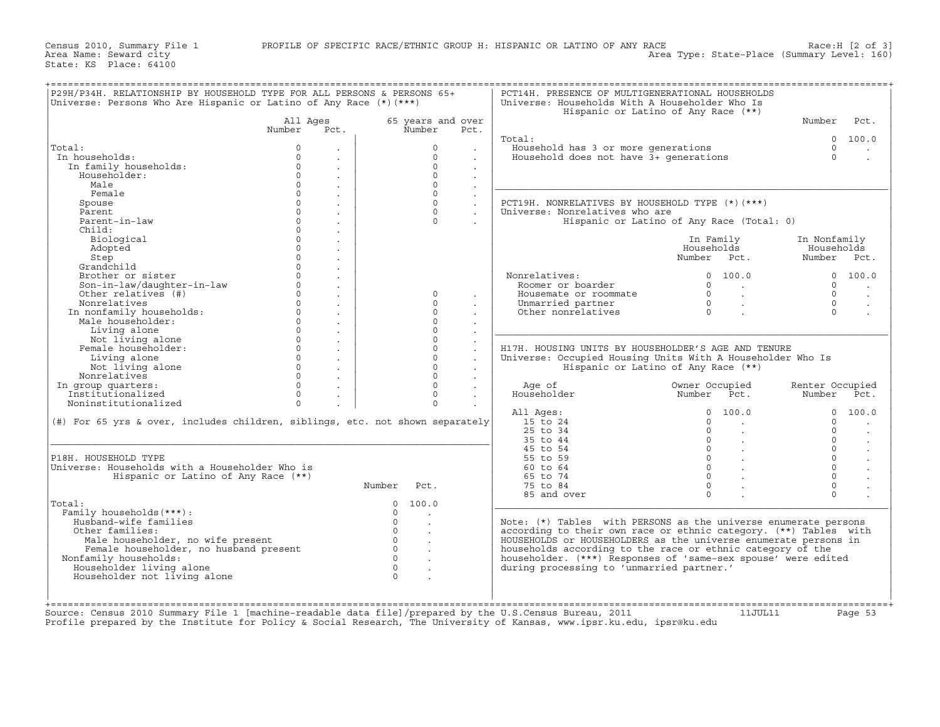+===================================================================================================================================================+|P29H/P34H. RELATIONSHIP BY HOUSEHOLD TYPE FOR ALL PERSONS & PERSONS 65+ | PCT14H. PRESENCE OF MULTIGENERATIONAL HOUSEHOLDS | |Universe: Persons Who Are Hispanic or Latino of Any Race (\*)(\*\*\*) | Universe: Households With A Householder Who Is | | | Hispanic or Latino of Any Race (\*\*) | | All Ages 65 years and over | Number Pct. | | Number Pct. Number Pct. | | | | | Total: 0 100.0 | |Total: 0 . | 0 . | Household has 3 or more generations 0 . | | In households: 0 . | 0 . | Household does not have 3+ generations 0 . | | In family households: 0 . | 0 . | | | Householder: 0 . | 0 . | | | Male 0 . | 0 . |\_\_\_\_\_\_\_\_\_\_\_\_\_\_\_\_\_\_\_\_\_\_\_\_\_\_\_\_\_\_\_\_\_\_\_\_\_\_\_\_\_\_\_\_\_\_\_\_\_\_\_\_\_\_\_\_\_\_\_\_\_\_\_\_\_\_\_\_\_| | Female 0 . | 0 . | | | Spouse 0 . | 0 . | PCT19H. NONRELATIVES BY HOUSEHOLD TYPE (\*)(\*\*\*) | | Parent 0 . | 0 . | Universe: Nonrelatives who are | | Parent−in−law 0 . | 0 . | Hispanic or Latino of Any Race (Total: 0) | | Child: 0 . | | | | Biological 0 . | | In Family In Nonfamily | | Adopted 0 . | | Households Households | | Step 0 . | | Number Pct. Number Pct. | | Grandchild 0 . | | | | Brother or sister 0 . | | Nonrelatives: 0 100.0 0 100.0 | | Son−in−law/daughter−in−law 0 . | | Roomer or boarder 0 . 0 . | | Other relatives (#) 0 . | 0 . | Housemate or roommate 0 . 0 . | | Nonrelatives 0 . | 0 . | Unmarried partner 0 . 0 . | | In nonfamily households: 0 . | 0 . | Other nonrelatives 0 . 0 . | | Male householder: 0 . | 0 . | | | Living alone 0 . | 0 . |\_\_\_\_\_\_\_\_\_\_\_\_\_\_\_\_\_\_\_\_\_\_\_\_\_\_\_\_\_\_\_\_\_\_\_\_\_\_\_\_\_\_\_\_\_\_\_\_\_\_\_\_\_\_\_\_\_\_\_\_\_\_\_\_\_\_\_\_\_| | Not living alone 0 . | 0 . | | | Female householder: 0 . | 0 . | H17H. HOUSING UNITS BY HOUSEHOLDER'S AGE AND TENURE | | Living alone 0 . | 0 . | Universe: Occupied Housing Units With A Householder Who Is | | Not living alone 0 . | 0 . | Hispanic or Latino of Any Race (\*\*) | | Nonrelatives 0 . | 0 . | | | In group quarters: 0 . | 0 . | Age of Owner Occupied Renter Occupied | | Institutionalized 0 . | 0 . | Householder Number Pct. Number Pct. | | Noninstitutionalized 0 . | 0 . | | | | All Ages: 0 100.0 0 100.0 | |(#) For 65 yrs & over, includes children, siblings, etc. not shown separately| 15 to 24 0 . 0 . | | | 25 to 34 0 . 0 . | |\_\_\_\_\_\_\_\_\_\_\_\_\_\_\_\_\_\_\_\_\_\_\_\_\_\_\_\_\_\_\_\_\_\_\_\_\_\_\_\_\_\_\_\_\_\_\_\_\_\_\_\_\_\_\_\_\_\_\_\_\_\_\_\_\_\_\_\_\_\_\_\_\_\_\_\_\_| 35 to 44 0 . 0 . | | | 45 to 54 0 . 0 . | |P18H. HOUSEHOLD TYPE | 55 to 59 0 . 0 . | |Universe: Households with a Householder Who is | 60 to 64 0 . 0 . | | Hispanic or Latino of Any Race (\*\*) | 65 to 74 0 . 0 . | | Number Pct. | 75 to 84 0 . 0 . | | | 85 and over 0 . 0 . | |Total: 0 100.0 |\_\_\_\_\_\_\_\_\_\_\_\_\_\_\_\_\_\_\_\_\_\_\_\_\_\_\_\_\_\_\_\_\_\_\_\_\_\_\_\_\_\_\_\_\_\_\_\_\_\_\_\_\_\_\_\_\_\_\_\_\_\_\_\_\_\_\_\_\_| | Family households(\*\*\*): 0 . | | | Husband−wife families 0 . | Note: (\*) Tables with PERSONS as the universe enumerate persons | | Other families: 0 . | according to their own race or ethnic category. (\*\*) Tables with | | Male householder, no wife present 0 . | HOUSEHOLDS or HOUSEHOLDERS as the universe enumerate persons in | | Female householder, no husband present 0 . | households according to the race or ethnic category of the | | Nonfamily households: 0 . | householder. (\*\*\*) Responses of 'same−sex spouse' were edited | | Householder living alone 0 . | during processing to 'unmarried partner.' | | Householder not living alone 0 . | | | | | | | | +===================================================================================================================================================+Source: Census 2010 Summary File 1 [machine-readable data file]/prepared by the U.S.Census Bureau, 2011 11JUL11 Page 53

Profile prepared by the Institute for Policy & Social Research, The University of Kansas, www.ipsr.ku.edu, ipsr@ku.edu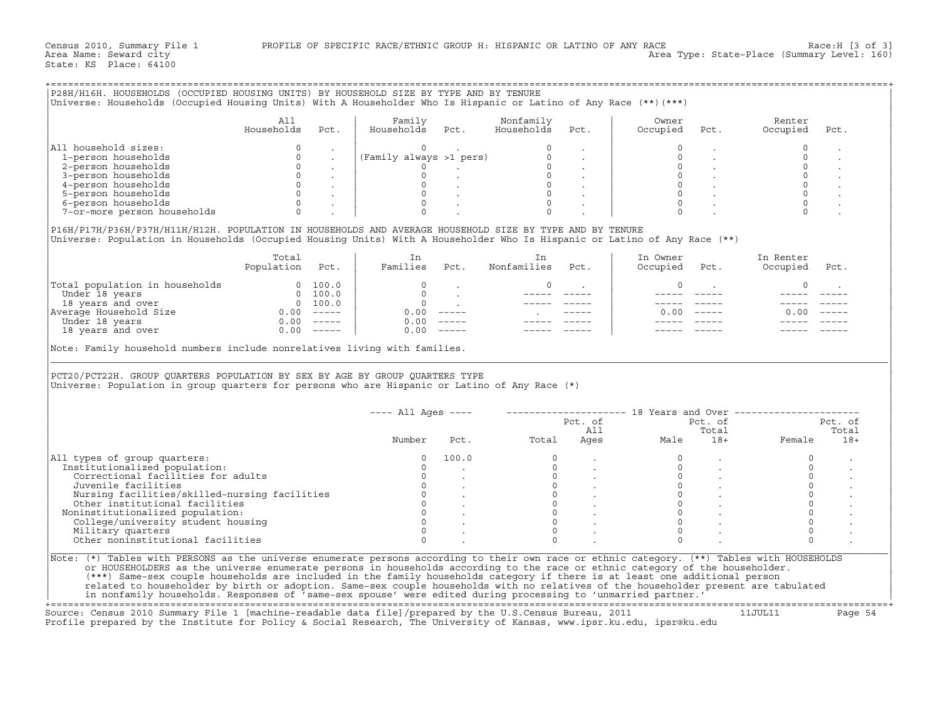| P28H/H16H. HOUSEHOLDS (OCCUPIED HOUSING UNITS) BY HOUSEHOLD SIZE BY TYPE AND BY TENURE<br>Universe: Households (Occupied Housing Units) With A Householder Who Is Hispanic or Latino of Any Race (**) (***)                                                                                                                                                                                                                                                                                                                                |                 |                                                                     |                                                                              |                                         |                                |                                                       |                     |                                               |                                                                                      |       |
|--------------------------------------------------------------------------------------------------------------------------------------------------------------------------------------------------------------------------------------------------------------------------------------------------------------------------------------------------------------------------------------------------------------------------------------------------------------------------------------------------------------------------------------------|-----------------|---------------------------------------------------------------------|------------------------------------------------------------------------------|-----------------------------------------|--------------------------------|-------------------------------------------------------|---------------------|-----------------------------------------------|--------------------------------------------------------------------------------------|-------|
|                                                                                                                                                                                                                                                                                                                                                                                                                                                                                                                                            |                 |                                                                     |                                                                              |                                         |                                |                                                       |                     |                                               |                                                                                      |       |
|                                                                                                                                                                                                                                                                                                                                                                                                                                                                                                                                            |                 |                                                                     |                                                                              |                                         |                                |                                                       |                     |                                               |                                                                                      |       |
|                                                                                                                                                                                                                                                                                                                                                                                                                                                                                                                                            |                 |                                                                     |                                                                              |                                         |                                |                                                       |                     |                                               |                                                                                      |       |
|                                                                                                                                                                                                                                                                                                                                                                                                                                                                                                                                            | All             |                                                                     | Family                                                                       |                                         | Nonfamily                      |                                                       | Owner               |                                               | Renter                                                                               |       |
|                                                                                                                                                                                                                                                                                                                                                                                                                                                                                                                                            | Households      | Pct.                                                                | Households Pct.                                                              |                                         | Households                     | Pct.                                                  | Occupied            | Pct.                                          | Occupied                                                                             | Pct.  |
|                                                                                                                                                                                                                                                                                                                                                                                                                                                                                                                                            |                 |                                                                     |                                                                              |                                         |                                |                                                       |                     |                                               |                                                                                      |       |
|                                                                                                                                                                                                                                                                                                                                                                                                                                                                                                                                            |                 |                                                                     |                                                                              |                                         |                                |                                                       |                     |                                               |                                                                                      |       |
| All household sizes:                                                                                                                                                                                                                                                                                                                                                                                                                                                                                                                       |                 |                                                                     |                                                                              |                                         |                                |                                                       |                     |                                               | $\Omega$                                                                             |       |
| 1-person households                                                                                                                                                                                                                                                                                                                                                                                                                                                                                                                        | $\circ$         | $\sim$                                                              |                                                                              |                                         |                                |                                                       | $\mathbb O$         |                                               | $\circ$                                                                              |       |
| 2-person households                                                                                                                                                                                                                                                                                                                                                                                                                                                                                                                        | $\Omega$        |                                                                     |                                                                              |                                         |                                |                                                       |                     |                                               |                                                                                      |       |
| 3-person households                                                                                                                                                                                                                                                                                                                                                                                                                                                                                                                        |                 |                                                                     |                                                                              |                                         |                                |                                                       |                     |                                               |                                                                                      |       |
| 4-person households                                                                                                                                                                                                                                                                                                                                                                                                                                                                                                                        |                 |                                                                     |                                                                              |                                         |                                |                                                       |                     |                                               |                                                                                      |       |
| 5-person households                                                                                                                                                                                                                                                                                                                                                                                                                                                                                                                        |                 | $\begin{bmatrix} 0 & 0 & 0 \\ 0 & 0 & 0 \\ 0 & 0 & 0 \end{bmatrix}$ |                                                                              |                                         |                                |                                                       |                     |                                               | $\begin{array}{c} 0 \\ 0 \\ \hline \zeta \end{array}$                                |       |
| 6-person households                                                                                                                                                                                                                                                                                                                                                                                                                                                                                                                        |                 | $\begin{array}{ccc} & & & \\ & & & \end{array}$                     |                                                                              |                                         |                                |                                                       | $\Omega$            |                                               |                                                                                      |       |
| 7-or-more person households                                                                                                                                                                                                                                                                                                                                                                                                                                                                                                                |                 | $0 \qquad \qquad$                                                   |                                                                              |                                         |                                |                                                       |                     |                                               |                                                                                      |       |
|                                                                                                                                                                                                                                                                                                                                                                                                                                                                                                                                            |                 |                                                                     |                                                                              |                                         |                                |                                                       |                     |                                               |                                                                                      |       |
| P16H/P17H/P36H/P37H/H11H/H12H. POPULATION IN HOUSEHOLDS AND AVERAGE HOUSEHOLD SIZE BY TYPE AND BY TENURE                                                                                                                                                                                                                                                                                                                                                                                                                                   |                 |                                                                     |                                                                              |                                         |                                |                                                       |                     |                                               |                                                                                      |       |
|                                                                                                                                                                                                                                                                                                                                                                                                                                                                                                                                            |                 |                                                                     |                                                                              |                                         |                                |                                                       |                     |                                               |                                                                                      |       |
| Universe: Population in Households (Occupied Housing Units) With A Householder Who Is Hispanic or Latino of Any Race (**)                                                                                                                                                                                                                                                                                                                                                                                                                  |                 |                                                                     |                                                                              |                                         |                                |                                                       |                     |                                               |                                                                                      |       |
|                                                                                                                                                                                                                                                                                                                                                                                                                                                                                                                                            |                 |                                                                     |                                                                              |                                         |                                |                                                       |                     |                                               |                                                                                      |       |
|                                                                                                                                                                                                                                                                                                                                                                                                                                                                                                                                            | Total           |                                                                     | In                                                                           |                                         | In                             |                                                       | In Owner            |                                               | In Renter                                                                            |       |
|                                                                                                                                                                                                                                                                                                                                                                                                                                                                                                                                            | Population Pct. |                                                                     |                                                                              |                                         | Families Pct. Nonfamilies Pct. |                                                       | Occupied Pct.       |                                               | Occupied Pct.                                                                        |       |
|                                                                                                                                                                                                                                                                                                                                                                                                                                                                                                                                            |                 |                                                                     |                                                                              |                                         |                                |                                                       |                     |                                               |                                                                                      |       |
| $\begin{tabular}{ l l } \hline \texttt{Total population in households} & 0 & 100.0 \\ \hline \texttt{Under 18 years} & 0 & 100.0 \\ 18 years and over & 0 & 100.0 \\ \texttt{Average House} & 0 & 100.0 \\ \texttt{Under 18 years} & 0.00 & --- \\ 18 years and over & 0.00 & --- \\ \hline \end{tabular}$                                                                                                                                                                                                                                 |                 |                                                                     | $\sim$ 0                                                                     |                                         | $\Omega$                       |                                                       | $\Omega$            |                                               | $\Omega$                                                                             |       |
|                                                                                                                                                                                                                                                                                                                                                                                                                                                                                                                                            |                 |                                                                     | $\circ$                                                                      | $\mathcal{L}^{\text{max}}_{\text{max}}$ |                                | ______                                                |                     |                                               |                                                                                      |       |
|                                                                                                                                                                                                                                                                                                                                                                                                                                                                                                                                            |                 |                                                                     | $\overline{0}$                                                               |                                         |                                |                                                       | $- - - - -$         |                                               | $\frac{1}{2}$                                                                        |       |
|                                                                                                                                                                                                                                                                                                                                                                                                                                                                                                                                            |                 |                                                                     |                                                                              |                                         | <b>Contractor</b>              |                                                       |                     | $0.00$ -----                                  | $0.00 - - - - -$                                                                     |       |
|                                                                                                                                                                                                                                                                                                                                                                                                                                                                                                                                            |                 |                                                                     | $0.00$ -----<br>0.00 -----                                                   |                                         |                                |                                                       |                     |                                               | $\frac{1}{2}$                                                                        |       |
|                                                                                                                                                                                                                                                                                                                                                                                                                                                                                                                                            |                 |                                                                     |                                                                              | $0.00$ -----                            |                                |                                                       |                     |                                               |                                                                                      |       |
|                                                                                                                                                                                                                                                                                                                                                                                                                                                                                                                                            |                 |                                                                     |                                                                              |                                         |                                |                                                       |                     |                                               |                                                                                      |       |
|                                                                                                                                                                                                                                                                                                                                                                                                                                                                                                                                            |                 |                                                                     | PCT20/PCT22H. GROUP QUARTERS POPULATION BY SEX BY AGE BY GROUP QUARTERS TYPE |                                         |                                |                                                       |                     |                                               |                                                                                      |       |
|                                                                                                                                                                                                                                                                                                                                                                                                                                                                                                                                            |                 |                                                                     |                                                                              |                                         |                                |                                                       |                     |                                               |                                                                                      |       |
|                                                                                                                                                                                                                                                                                                                                                                                                                                                                                                                                            |                 |                                                                     |                                                                              |                                         |                                |                                                       |                     |                                               |                                                                                      |       |
|                                                                                                                                                                                                                                                                                                                                                                                                                                                                                                                                            |                 |                                                                     |                                                                              |                                         |                                |                                                       |                     |                                               | ---- All Ages ----       ------------------- 18 Years and Over --------------------- |       |
|                                                                                                                                                                                                                                                                                                                                                                                                                                                                                                                                            |                 |                                                                     |                                                                              |                                         |                                |                                                       | Pct. of             |                                               | Pct. of Pct. of                                                                      |       |
|                                                                                                                                                                                                                                                                                                                                                                                                                                                                                                                                            |                 |                                                                     |                                                                              |                                         |                                | A11                                                   |                     | Total                                         |                                                                                      | Total |
|                                                                                                                                                                                                                                                                                                                                                                                                                                                                                                                                            |                 |                                                                     | Number                                                                       |                                         | Pct. Total                     |                                                       | All To<br>Ages Male |                                               |                                                                                      | $18+$ |
|                                                                                                                                                                                                                                                                                                                                                                                                                                                                                                                                            |                 |                                                                     |                                                                              |                                         |                                |                                                       |                     |                                               |                                                                                      |       |
|                                                                                                                                                                                                                                                                                                                                                                                                                                                                                                                                            |                 |                                                                     | $\circ$                                                                      | 100.0                                   | $\overline{0}$                 |                                                       | $\circ$             |                                               | $\Omega$                                                                             |       |
| Institutionalized population:                                                                                                                                                                                                                                                                                                                                                                                                                                                                                                              |                 |                                                                     | $\overline{0}$                                                               | $\sim 10^{-11}$                         |                                |                                                       | $\overline{0}$      |                                               | $\circ$                                                                              |       |
| Correctional facilities for adults                                                                                                                                                                                                                                                                                                                                                                                                                                                                                                         |                 |                                                                     | $\overline{0}$                                                               |                                         |                                |                                                       |                     |                                               | $\Omega$                                                                             |       |
| Juvenile facilities                                                                                                                                                                                                                                                                                                                                                                                                                                                                                                                        |                 |                                                                     |                                                                              |                                         |                                |                                                       |                     |                                               | $\mathbf{0}$                                                                         |       |
|                                                                                                                                                                                                                                                                                                                                                                                                                                                                                                                                            |                 |                                                                     |                                                                              |                                         |                                |                                                       |                     |                                               | $\circ$                                                                              |       |
| Nursing facilities/skilled-nursing facilities                                                                                                                                                                                                                                                                                                                                                                                                                                                                                              |                 |                                                                     |                                                                              |                                         |                                |                                                       |                     |                                               | $\Omega$                                                                             |       |
| Other institutional facilities                                                                                                                                                                                                                                                                                                                                                                                                                                                                                                             |                 |                                                                     |                                                                              |                                         |                                |                                                       |                     |                                               |                                                                                      |       |
|                                                                                                                                                                                                                                                                                                                                                                                                                                                                                                                                            |                 |                                                                     |                                                                              |                                         |                                |                                                       |                     |                                               | $\Omega$                                                                             |       |
| Noninstitutionalized population:<br>College/university student housing                                                                                                                                                                                                                                                                                                                                                                                                                                                                     |                 |                                                                     |                                                                              |                                         |                                |                                                       |                     | $\begin{array}{ccccccc}\n0 & & & \end{array}$ | $\mathbf{0}$                                                                         |       |
| Military quarters                                                                                                                                                                                                                                                                                                                                                                                                                                                                                                                          |                 |                                                                     | $\Omega$                                                                     |                                         |                                | $\begin{matrix} 0 & & \cdot \\ & & 0 \\ \end{matrix}$ | $\Omega$            |                                               | $\Omega$                                                                             |       |
| Other noninstitutional facilities                                                                                                                                                                                                                                                                                                                                                                                                                                                                                                          |                 |                                                                     | $\Omega$                                                                     |                                         |                                |                                                       | $\Omega$            |                                               | $\Omega$                                                                             |       |
| Universe: Population in group quarters for persons who are Hispanic or Latino of Any Race (*)<br>All types of group quarters:<br>Note: (*) Tables with PERSONS as the universe enumerate persons according to their own race or ethnic category. (**) Tables with HOUSEHOLDS<br>or HOUSEHOLDERS as the universe enumerate persons in households according to the race or ethnic category of the householder.<br>(***) Same-sex couple households are included in the family households category if there is at least one additional person |                 |                                                                     |                                                                              |                                         |                                |                                                       |                     |                                               |                                                                                      |       |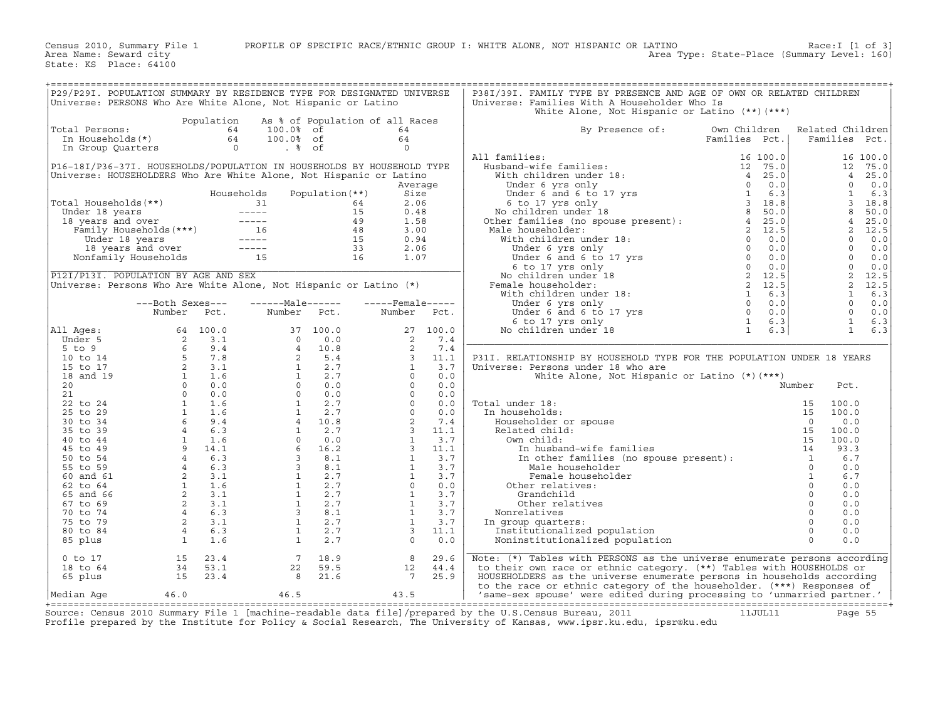| P29/P29I. POPULATION SUMMARY BY RESIDENCE TYPE FOR DESIGNATED UNIVERSE<br>P38I/39I. FAMILY TYPE BY PRESENCE AND AGE OF OWN OR RELATED CHILDREN<br>Universe: PERSONS Who Are White Alone, Not Hispanic or Latino<br>Universe: Families With A Householder Who Is<br>White Alone, Not Hispanic or Latino (**) (***)<br>Population As % of Population of all Races<br>64 100.0% of<br>By Presence of:<br>Total Persons:<br>64<br>Own Children<br>Related Children<br>64<br>Families Pct.<br>Families Pct.<br>$\overline{0}$<br>All families:<br>All families:<br>Husband-wife families:<br>Husband-wife families:<br>Under 6 yrs only<br>Under 6 and 6 to 17 yrs<br>6 to 17 yrs only<br>No children under 18<br>No children in the range of the state of the state of the families (no gouse<br>16 100.0<br>P16-18I/P36-37I. HOUSEHOLDS/POPULATION IN HOUSEHOLDS BY HOUSEHOLD TYPE<br>12 75.0<br>Universe: HOUSEHOLDERS Who Are White Alone, Not Hispanic or Latino<br>$\overline{4}$<br>25.0<br>$\Omega$<br>0.0<br>Average<br>$\mathbf{1}$<br>Households<br>Population (**)<br>6.3<br>Size<br>$\mathcal{E}$<br>Total Households(**)<br>otal Households (**)<br>Under 18 years<br>18 years and over<br>Family Households (***)<br>16 years and over<br>16 years<br>16 years<br>16 years and over<br>15 years and over<br>15 years and over<br>15 16 16 16 16<br>16 16 16 16<br>16 16 16<br>16 16<br>2.06<br>18.8<br>8<br>50.0<br>0.48<br>4<br>25.0<br>1.58<br>2<br>12.5<br>3.00<br>0.94<br>$\Omega$<br>0.0<br>$\Omega$<br>0.0<br>2.06<br>$\Omega$<br>0.0<br>1.07<br>$\overline{0}$<br>0.0<br>P12I/P13I. POPULATION BY AGE AND SEX<br>2, 12.5<br>Universe: Persons Who Are White Alone, Not Hispanic or Latino (*)<br>2, 12.5<br>$\mathbf{1}$<br>6.3<br>$\Omega$<br>---Both Sexes---<br>0.0<br>$\Omega$<br>0.0<br>Number<br>Pct.<br>Number<br>Pct.<br>Number Pct.<br>$\mathbf{1}$<br>6.3<br>Number Pct. Number Pct.<br>64 100.0 37 100.0<br>6 9.4 0 0.0<br>5 7.8 4 10.8<br>2 3.1<br>2 3.1<br>2 3.1<br>1 1.6 1 2.7<br>6 9.4 4 10.8<br>4 6.3 4 10.8<br>4 6.3 3 8.1<br>4 6.3 3 8.1<br>4 6.3<br>1 2.7<br>4 6.3<br>1 2.7<br>4 6.3<br>3 8.1<br>4 6.3<br>1 2.7<br>4 10.8<br><br>27 100.0<br>2 7.4<br>2 7.4<br>3 11.1<br>1 3.7<br>0 0.0<br>0 0.0<br>0 0.0<br>0 0.0<br>0 0.0<br>2 7.4<br>3 11.1<br>1 3.7<br>1 3.7<br>1 3.7<br>1 3.7<br>1 3.7<br>1 3.7<br>3 11.1<br>1 3.7<br>2 0.0<br>0 0.0<br>2 0.0<br>2 0.0<br>2 0.0<br>2 0.0<br>2 0.0<br>2 0.0<br>3 11.1<br>3 .7<br>1 3.7<br><br>1<br>6.3<br>All Ages:<br>Under 5<br>$5$ to $9$<br>P31I. RELATIONSHIP BY HOUSEHOLD TYPE FOR THE POPULATION UNDER 18 YEARS<br>10 to 14<br>15 to 17<br>Universe: Persons under 18 who are<br>18 and 19<br>White Alone, Not Hispanic or Latino $(*)$ $(***)$<br>Number<br>20<br>Pct.<br>21<br>al under 18:<br>n households:<br>Householder or spouse<br>0<br>Related child:<br>0wn child:<br>15<br>15<br>16<br>In husband-wife families<br>In other families (no spouse present):<br>14<br>14<br>Male householder<br>0<br>22 to 24<br>Total under 18:<br>100.0<br>25 to 29<br>100.0<br>In households:<br>0.0<br>30 to 34<br>35 to 39<br>100.0<br>100.0<br>40 to 44<br>93.3<br>45 to 49<br>50 to 54<br>6.7<br>0.0<br>55 to 59<br>$\mathcal{L}$ - $\mathcal{L}$ and $\mathcal{L}$ :<br>$\overline{1}$<br>Female householder<br>6.7<br>60 and 61<br>$\Omega$<br>0.0<br>62 to 64<br>Other relatives:<br>$\circ$<br>0.0<br>65 and 66<br>Grandchild<br>$\circ$<br>0.0<br>67 to 69<br>Other relatives<br>$\Omega$<br>70 to 74<br>0.0<br>Nonrelatives<br>$\circ$<br>75 to 79<br>0.0<br>In group quarters:<br>$\Omega$<br>80 to 84<br>0.0<br>Institutionalized population<br>$\Omega$<br>0.0<br>$\Omega$<br>0.0<br>85 plus<br>Noninstitutionalized population<br>Note: (*) Tables with PERSONS as the universe enumerate persons according<br>8 <sup>1</sup><br>$0$ to $17$<br>15<br>23.4<br>$\overline{7}$<br>18.9<br>29.6<br>59.5<br>to their own race or ethnic category. (**) Tables with HOUSEHOLDS or<br>18 to 64<br>34 53.1<br>22<br>12<br>44.4<br>23.4<br>$\overline{7}$<br>25.9<br>65 plus<br>15<br>21.6<br>HOUSEHOLDERS as the universe enumerate persons in households according<br>to the race or ethnic category of the householder. (***) Responses of |  |  |  |  |  |  |
|-------------------------------------------------------------------------------------------------------------------------------------------------------------------------------------------------------------------------------------------------------------------------------------------------------------------------------------------------------------------------------------------------------------------------------------------------------------------------------------------------------------------------------------------------------------------------------------------------------------------------------------------------------------------------------------------------------------------------------------------------------------------------------------------------------------------------------------------------------------------------------------------------------------------------------------------------------------------------------------------------------------------------------------------------------------------------------------------------------------------------------------------------------------------------------------------------------------------------------------------------------------------------------------------------------------------------------------------------------------------------------------------------------------------------------------------------------------------------------------------------------------------------------------------------------------------------------------------------------------------------------------------------------------------------------------------------------------------------------------------------------------------------------------------------------------------------------------------------------------------------------------------------------------------------------------------------------------------------------------------------------------------------------------------------------------------------------------------------------------------------------------------------------------------------------------------------------------------------------------------------------------------------------------------------------------------------------------------------------------------------------------------------------------------------------------------------------------------------------------------------------------------------------------------------------------------------------------------------------------------------------------------------------------------------------------------------------------------------------------------------------------------------------------------------------------------------------------------------------------------------------------------------------------------------------------------------------------------------------------------------------------------------------------------------------------------------------------------------------------------------------------------------------------------------------------------------------------------------------------------------------------------------------------------------------------------------------------------------------------------------------------------------------------------------------------------------------------------------------------------------------------------------------------------------------------------------------------------------------------------------------------------------------------------------------------------------------------------------------------------------------------------------------------------------------------------------------------------------------------------------------------------------------------------------------------------------------------------------------------------------------------------------------------------------------------------------------------------------------------------------------------------------------------------------------------------------------------------------------|--|--|--|--|--|--|
|                                                                                                                                                                                                                                                                                                                                                                                                                                                                                                                                                                                                                                                                                                                                                                                                                                                                                                                                                                                                                                                                                                                                                                                                                                                                                                                                                                                                                                                                                                                                                                                                                                                                                                                                                                                                                                                                                                                                                                                                                                                                                                                                                                                                                                                                                                                                                                                                                                                                                                                                                                                                                                                                                                                                                                                                                                                                                                                                                                                                                                                                                                                                                                                                                                                                                                                                                                                                                                                                                                                                                                                                                                                                                                                                                                                                                                                                                                                                                                                                                                                                                                                                                                                                                               |  |  |  |  |  |  |
|                                                                                                                                                                                                                                                                                                                                                                                                                                                                                                                                                                                                                                                                                                                                                                                                                                                                                                                                                                                                                                                                                                                                                                                                                                                                                                                                                                                                                                                                                                                                                                                                                                                                                                                                                                                                                                                                                                                                                                                                                                                                                                                                                                                                                                                                                                                                                                                                                                                                                                                                                                                                                                                                                                                                                                                                                                                                                                                                                                                                                                                                                                                                                                                                                                                                                                                                                                                                                                                                                                                                                                                                                                                                                                                                                                                                                                                                                                                                                                                                                                                                                                                                                                                                                               |  |  |  |  |  |  |
|                                                                                                                                                                                                                                                                                                                                                                                                                                                                                                                                                                                                                                                                                                                                                                                                                                                                                                                                                                                                                                                                                                                                                                                                                                                                                                                                                                                                                                                                                                                                                                                                                                                                                                                                                                                                                                                                                                                                                                                                                                                                                                                                                                                                                                                                                                                                                                                                                                                                                                                                                                                                                                                                                                                                                                                                                                                                                                                                                                                                                                                                                                                                                                                                                                                                                                                                                                                                                                                                                                                                                                                                                                                                                                                                                                                                                                                                                                                                                                                                                                                                                                                                                                                                                               |  |  |  |  |  |  |
|                                                                                                                                                                                                                                                                                                                                                                                                                                                                                                                                                                                                                                                                                                                                                                                                                                                                                                                                                                                                                                                                                                                                                                                                                                                                                                                                                                                                                                                                                                                                                                                                                                                                                                                                                                                                                                                                                                                                                                                                                                                                                                                                                                                                                                                                                                                                                                                                                                                                                                                                                                                                                                                                                                                                                                                                                                                                                                                                                                                                                                                                                                                                                                                                                                                                                                                                                                                                                                                                                                                                                                                                                                                                                                                                                                                                                                                                                                                                                                                                                                                                                                                                                                                                                               |  |  |  |  |  |  |
|                                                                                                                                                                                                                                                                                                                                                                                                                                                                                                                                                                                                                                                                                                                                                                                                                                                                                                                                                                                                                                                                                                                                                                                                                                                                                                                                                                                                                                                                                                                                                                                                                                                                                                                                                                                                                                                                                                                                                                                                                                                                                                                                                                                                                                                                                                                                                                                                                                                                                                                                                                                                                                                                                                                                                                                                                                                                                                                                                                                                                                                                                                                                                                                                                                                                                                                                                                                                                                                                                                                                                                                                                                                                                                                                                                                                                                                                                                                                                                                                                                                                                                                                                                                                                               |  |  |  |  |  |  |
|                                                                                                                                                                                                                                                                                                                                                                                                                                                                                                                                                                                                                                                                                                                                                                                                                                                                                                                                                                                                                                                                                                                                                                                                                                                                                                                                                                                                                                                                                                                                                                                                                                                                                                                                                                                                                                                                                                                                                                                                                                                                                                                                                                                                                                                                                                                                                                                                                                                                                                                                                                                                                                                                                                                                                                                                                                                                                                                                                                                                                                                                                                                                                                                                                                                                                                                                                                                                                                                                                                                                                                                                                                                                                                                                                                                                                                                                                                                                                                                                                                                                                                                                                                                                                               |  |  |  |  |  |  |
|                                                                                                                                                                                                                                                                                                                                                                                                                                                                                                                                                                                                                                                                                                                                                                                                                                                                                                                                                                                                                                                                                                                                                                                                                                                                                                                                                                                                                                                                                                                                                                                                                                                                                                                                                                                                                                                                                                                                                                                                                                                                                                                                                                                                                                                                                                                                                                                                                                                                                                                                                                                                                                                                                                                                                                                                                                                                                                                                                                                                                                                                                                                                                                                                                                                                                                                                                                                                                                                                                                                                                                                                                                                                                                                                                                                                                                                                                                                                                                                                                                                                                                                                                                                                                               |  |  |  |  |  |  |
|                                                                                                                                                                                                                                                                                                                                                                                                                                                                                                                                                                                                                                                                                                                                                                                                                                                                                                                                                                                                                                                                                                                                                                                                                                                                                                                                                                                                                                                                                                                                                                                                                                                                                                                                                                                                                                                                                                                                                                                                                                                                                                                                                                                                                                                                                                                                                                                                                                                                                                                                                                                                                                                                                                                                                                                                                                                                                                                                                                                                                                                                                                                                                                                                                                                                                                                                                                                                                                                                                                                                                                                                                                                                                                                                                                                                                                                                                                                                                                                                                                                                                                                                                                                                                               |  |  |  |  |  |  |
|                                                                                                                                                                                                                                                                                                                                                                                                                                                                                                                                                                                                                                                                                                                                                                                                                                                                                                                                                                                                                                                                                                                                                                                                                                                                                                                                                                                                                                                                                                                                                                                                                                                                                                                                                                                                                                                                                                                                                                                                                                                                                                                                                                                                                                                                                                                                                                                                                                                                                                                                                                                                                                                                                                                                                                                                                                                                                                                                                                                                                                                                                                                                                                                                                                                                                                                                                                                                                                                                                                                                                                                                                                                                                                                                                                                                                                                                                                                                                                                                                                                                                                                                                                                                                               |  |  |  |  |  |  |
|                                                                                                                                                                                                                                                                                                                                                                                                                                                                                                                                                                                                                                                                                                                                                                                                                                                                                                                                                                                                                                                                                                                                                                                                                                                                                                                                                                                                                                                                                                                                                                                                                                                                                                                                                                                                                                                                                                                                                                                                                                                                                                                                                                                                                                                                                                                                                                                                                                                                                                                                                                                                                                                                                                                                                                                                                                                                                                                                                                                                                                                                                                                                                                                                                                                                                                                                                                                                                                                                                                                                                                                                                                                                                                                                                                                                                                                                                                                                                                                                                                                                                                                                                                                                                               |  |  |  |  |  |  |
|                                                                                                                                                                                                                                                                                                                                                                                                                                                                                                                                                                                                                                                                                                                                                                                                                                                                                                                                                                                                                                                                                                                                                                                                                                                                                                                                                                                                                                                                                                                                                                                                                                                                                                                                                                                                                                                                                                                                                                                                                                                                                                                                                                                                                                                                                                                                                                                                                                                                                                                                                                                                                                                                                                                                                                                                                                                                                                                                                                                                                                                                                                                                                                                                                                                                                                                                                                                                                                                                                                                                                                                                                                                                                                                                                                                                                                                                                                                                                                                                                                                                                                                                                                                                                               |  |  |  |  |  |  |
|                                                                                                                                                                                                                                                                                                                                                                                                                                                                                                                                                                                                                                                                                                                                                                                                                                                                                                                                                                                                                                                                                                                                                                                                                                                                                                                                                                                                                                                                                                                                                                                                                                                                                                                                                                                                                                                                                                                                                                                                                                                                                                                                                                                                                                                                                                                                                                                                                                                                                                                                                                                                                                                                                                                                                                                                                                                                                                                                                                                                                                                                                                                                                                                                                                                                                                                                                                                                                                                                                                                                                                                                                                                                                                                                                                                                                                                                                                                                                                                                                                                                                                                                                                                                                               |  |  |  |  |  |  |
|                                                                                                                                                                                                                                                                                                                                                                                                                                                                                                                                                                                                                                                                                                                                                                                                                                                                                                                                                                                                                                                                                                                                                                                                                                                                                                                                                                                                                                                                                                                                                                                                                                                                                                                                                                                                                                                                                                                                                                                                                                                                                                                                                                                                                                                                                                                                                                                                                                                                                                                                                                                                                                                                                                                                                                                                                                                                                                                                                                                                                                                                                                                                                                                                                                                                                                                                                                                                                                                                                                                                                                                                                                                                                                                                                                                                                                                                                                                                                                                                                                                                                                                                                                                                                               |  |  |  |  |  |  |
|                                                                                                                                                                                                                                                                                                                                                                                                                                                                                                                                                                                                                                                                                                                                                                                                                                                                                                                                                                                                                                                                                                                                                                                                                                                                                                                                                                                                                                                                                                                                                                                                                                                                                                                                                                                                                                                                                                                                                                                                                                                                                                                                                                                                                                                                                                                                                                                                                                                                                                                                                                                                                                                                                                                                                                                                                                                                                                                                                                                                                                                                                                                                                                                                                                                                                                                                                                                                                                                                                                                                                                                                                                                                                                                                                                                                                                                                                                                                                                                                                                                                                                                                                                                                                               |  |  |  |  |  |  |
|                                                                                                                                                                                                                                                                                                                                                                                                                                                                                                                                                                                                                                                                                                                                                                                                                                                                                                                                                                                                                                                                                                                                                                                                                                                                                                                                                                                                                                                                                                                                                                                                                                                                                                                                                                                                                                                                                                                                                                                                                                                                                                                                                                                                                                                                                                                                                                                                                                                                                                                                                                                                                                                                                                                                                                                                                                                                                                                                                                                                                                                                                                                                                                                                                                                                                                                                                                                                                                                                                                                                                                                                                                                                                                                                                                                                                                                                                                                                                                                                                                                                                                                                                                                                                               |  |  |  |  |  |  |
|                                                                                                                                                                                                                                                                                                                                                                                                                                                                                                                                                                                                                                                                                                                                                                                                                                                                                                                                                                                                                                                                                                                                                                                                                                                                                                                                                                                                                                                                                                                                                                                                                                                                                                                                                                                                                                                                                                                                                                                                                                                                                                                                                                                                                                                                                                                                                                                                                                                                                                                                                                                                                                                                                                                                                                                                                                                                                                                                                                                                                                                                                                                                                                                                                                                                                                                                                                                                                                                                                                                                                                                                                                                                                                                                                                                                                                                                                                                                                                                                                                                                                                                                                                                                                               |  |  |  |  |  |  |
|                                                                                                                                                                                                                                                                                                                                                                                                                                                                                                                                                                                                                                                                                                                                                                                                                                                                                                                                                                                                                                                                                                                                                                                                                                                                                                                                                                                                                                                                                                                                                                                                                                                                                                                                                                                                                                                                                                                                                                                                                                                                                                                                                                                                                                                                                                                                                                                                                                                                                                                                                                                                                                                                                                                                                                                                                                                                                                                                                                                                                                                                                                                                                                                                                                                                                                                                                                                                                                                                                                                                                                                                                                                                                                                                                                                                                                                                                                                                                                                                                                                                                                                                                                                                                               |  |  |  |  |  |  |
|                                                                                                                                                                                                                                                                                                                                                                                                                                                                                                                                                                                                                                                                                                                                                                                                                                                                                                                                                                                                                                                                                                                                                                                                                                                                                                                                                                                                                                                                                                                                                                                                                                                                                                                                                                                                                                                                                                                                                                                                                                                                                                                                                                                                                                                                                                                                                                                                                                                                                                                                                                                                                                                                                                                                                                                                                                                                                                                                                                                                                                                                                                                                                                                                                                                                                                                                                                                                                                                                                                                                                                                                                                                                                                                                                                                                                                                                                                                                                                                                                                                                                                                                                                                                                               |  |  |  |  |  |  |
|                                                                                                                                                                                                                                                                                                                                                                                                                                                                                                                                                                                                                                                                                                                                                                                                                                                                                                                                                                                                                                                                                                                                                                                                                                                                                                                                                                                                                                                                                                                                                                                                                                                                                                                                                                                                                                                                                                                                                                                                                                                                                                                                                                                                                                                                                                                                                                                                                                                                                                                                                                                                                                                                                                                                                                                                                                                                                                                                                                                                                                                                                                                                                                                                                                                                                                                                                                                                                                                                                                                                                                                                                                                                                                                                                                                                                                                                                                                                                                                                                                                                                                                                                                                                                               |  |  |  |  |  |  |
|                                                                                                                                                                                                                                                                                                                                                                                                                                                                                                                                                                                                                                                                                                                                                                                                                                                                                                                                                                                                                                                                                                                                                                                                                                                                                                                                                                                                                                                                                                                                                                                                                                                                                                                                                                                                                                                                                                                                                                                                                                                                                                                                                                                                                                                                                                                                                                                                                                                                                                                                                                                                                                                                                                                                                                                                                                                                                                                                                                                                                                                                                                                                                                                                                                                                                                                                                                                                                                                                                                                                                                                                                                                                                                                                                                                                                                                                                                                                                                                                                                                                                                                                                                                                                               |  |  |  |  |  |  |
|                                                                                                                                                                                                                                                                                                                                                                                                                                                                                                                                                                                                                                                                                                                                                                                                                                                                                                                                                                                                                                                                                                                                                                                                                                                                                                                                                                                                                                                                                                                                                                                                                                                                                                                                                                                                                                                                                                                                                                                                                                                                                                                                                                                                                                                                                                                                                                                                                                                                                                                                                                                                                                                                                                                                                                                                                                                                                                                                                                                                                                                                                                                                                                                                                                                                                                                                                                                                                                                                                                                                                                                                                                                                                                                                                                                                                                                                                                                                                                                                                                                                                                                                                                                                                               |  |  |  |  |  |  |
|                                                                                                                                                                                                                                                                                                                                                                                                                                                                                                                                                                                                                                                                                                                                                                                                                                                                                                                                                                                                                                                                                                                                                                                                                                                                                                                                                                                                                                                                                                                                                                                                                                                                                                                                                                                                                                                                                                                                                                                                                                                                                                                                                                                                                                                                                                                                                                                                                                                                                                                                                                                                                                                                                                                                                                                                                                                                                                                                                                                                                                                                                                                                                                                                                                                                                                                                                                                                                                                                                                                                                                                                                                                                                                                                                                                                                                                                                                                                                                                                                                                                                                                                                                                                                               |  |  |  |  |  |  |
|                                                                                                                                                                                                                                                                                                                                                                                                                                                                                                                                                                                                                                                                                                                                                                                                                                                                                                                                                                                                                                                                                                                                                                                                                                                                                                                                                                                                                                                                                                                                                                                                                                                                                                                                                                                                                                                                                                                                                                                                                                                                                                                                                                                                                                                                                                                                                                                                                                                                                                                                                                                                                                                                                                                                                                                                                                                                                                                                                                                                                                                                                                                                                                                                                                                                                                                                                                                                                                                                                                                                                                                                                                                                                                                                                                                                                                                                                                                                                                                                                                                                                                                                                                                                                               |  |  |  |  |  |  |
|                                                                                                                                                                                                                                                                                                                                                                                                                                                                                                                                                                                                                                                                                                                                                                                                                                                                                                                                                                                                                                                                                                                                                                                                                                                                                                                                                                                                                                                                                                                                                                                                                                                                                                                                                                                                                                                                                                                                                                                                                                                                                                                                                                                                                                                                                                                                                                                                                                                                                                                                                                                                                                                                                                                                                                                                                                                                                                                                                                                                                                                                                                                                                                                                                                                                                                                                                                                                                                                                                                                                                                                                                                                                                                                                                                                                                                                                                                                                                                                                                                                                                                                                                                                                                               |  |  |  |  |  |  |
|                                                                                                                                                                                                                                                                                                                                                                                                                                                                                                                                                                                                                                                                                                                                                                                                                                                                                                                                                                                                                                                                                                                                                                                                                                                                                                                                                                                                                                                                                                                                                                                                                                                                                                                                                                                                                                                                                                                                                                                                                                                                                                                                                                                                                                                                                                                                                                                                                                                                                                                                                                                                                                                                                                                                                                                                                                                                                                                                                                                                                                                                                                                                                                                                                                                                                                                                                                                                                                                                                                                                                                                                                                                                                                                                                                                                                                                                                                                                                                                                                                                                                                                                                                                                                               |  |  |  |  |  |  |
|                                                                                                                                                                                                                                                                                                                                                                                                                                                                                                                                                                                                                                                                                                                                                                                                                                                                                                                                                                                                                                                                                                                                                                                                                                                                                                                                                                                                                                                                                                                                                                                                                                                                                                                                                                                                                                                                                                                                                                                                                                                                                                                                                                                                                                                                                                                                                                                                                                                                                                                                                                                                                                                                                                                                                                                                                                                                                                                                                                                                                                                                                                                                                                                                                                                                                                                                                                                                                                                                                                                                                                                                                                                                                                                                                                                                                                                                                                                                                                                                                                                                                                                                                                                                                               |  |  |  |  |  |  |
|                                                                                                                                                                                                                                                                                                                                                                                                                                                                                                                                                                                                                                                                                                                                                                                                                                                                                                                                                                                                                                                                                                                                                                                                                                                                                                                                                                                                                                                                                                                                                                                                                                                                                                                                                                                                                                                                                                                                                                                                                                                                                                                                                                                                                                                                                                                                                                                                                                                                                                                                                                                                                                                                                                                                                                                                                                                                                                                                                                                                                                                                                                                                                                                                                                                                                                                                                                                                                                                                                                                                                                                                                                                                                                                                                                                                                                                                                                                                                                                                                                                                                                                                                                                                                               |  |  |  |  |  |  |
|                                                                                                                                                                                                                                                                                                                                                                                                                                                                                                                                                                                                                                                                                                                                                                                                                                                                                                                                                                                                                                                                                                                                                                                                                                                                                                                                                                                                                                                                                                                                                                                                                                                                                                                                                                                                                                                                                                                                                                                                                                                                                                                                                                                                                                                                                                                                                                                                                                                                                                                                                                                                                                                                                                                                                                                                                                                                                                                                                                                                                                                                                                                                                                                                                                                                                                                                                                                                                                                                                                                                                                                                                                                                                                                                                                                                                                                                                                                                                                                                                                                                                                                                                                                                                               |  |  |  |  |  |  |
|                                                                                                                                                                                                                                                                                                                                                                                                                                                                                                                                                                                                                                                                                                                                                                                                                                                                                                                                                                                                                                                                                                                                                                                                                                                                                                                                                                                                                                                                                                                                                                                                                                                                                                                                                                                                                                                                                                                                                                                                                                                                                                                                                                                                                                                                                                                                                                                                                                                                                                                                                                                                                                                                                                                                                                                                                                                                                                                                                                                                                                                                                                                                                                                                                                                                                                                                                                                                                                                                                                                                                                                                                                                                                                                                                                                                                                                                                                                                                                                                                                                                                                                                                                                                                               |  |  |  |  |  |  |
|                                                                                                                                                                                                                                                                                                                                                                                                                                                                                                                                                                                                                                                                                                                                                                                                                                                                                                                                                                                                                                                                                                                                                                                                                                                                                                                                                                                                                                                                                                                                                                                                                                                                                                                                                                                                                                                                                                                                                                                                                                                                                                                                                                                                                                                                                                                                                                                                                                                                                                                                                                                                                                                                                                                                                                                                                                                                                                                                                                                                                                                                                                                                                                                                                                                                                                                                                                                                                                                                                                                                                                                                                                                                                                                                                                                                                                                                                                                                                                                                                                                                                                                                                                                                                               |  |  |  |  |  |  |
|                                                                                                                                                                                                                                                                                                                                                                                                                                                                                                                                                                                                                                                                                                                                                                                                                                                                                                                                                                                                                                                                                                                                                                                                                                                                                                                                                                                                                                                                                                                                                                                                                                                                                                                                                                                                                                                                                                                                                                                                                                                                                                                                                                                                                                                                                                                                                                                                                                                                                                                                                                                                                                                                                                                                                                                                                                                                                                                                                                                                                                                                                                                                                                                                                                                                                                                                                                                                                                                                                                                                                                                                                                                                                                                                                                                                                                                                                                                                                                                                                                                                                                                                                                                                                               |  |  |  |  |  |  |
|                                                                                                                                                                                                                                                                                                                                                                                                                                                                                                                                                                                                                                                                                                                                                                                                                                                                                                                                                                                                                                                                                                                                                                                                                                                                                                                                                                                                                                                                                                                                                                                                                                                                                                                                                                                                                                                                                                                                                                                                                                                                                                                                                                                                                                                                                                                                                                                                                                                                                                                                                                                                                                                                                                                                                                                                                                                                                                                                                                                                                                                                                                                                                                                                                                                                                                                                                                                                                                                                                                                                                                                                                                                                                                                                                                                                                                                                                                                                                                                                                                                                                                                                                                                                                               |  |  |  |  |  |  |
|                                                                                                                                                                                                                                                                                                                                                                                                                                                                                                                                                                                                                                                                                                                                                                                                                                                                                                                                                                                                                                                                                                                                                                                                                                                                                                                                                                                                                                                                                                                                                                                                                                                                                                                                                                                                                                                                                                                                                                                                                                                                                                                                                                                                                                                                                                                                                                                                                                                                                                                                                                                                                                                                                                                                                                                                                                                                                                                                                                                                                                                                                                                                                                                                                                                                                                                                                                                                                                                                                                                                                                                                                                                                                                                                                                                                                                                                                                                                                                                                                                                                                                                                                                                                                               |  |  |  |  |  |  |
|                                                                                                                                                                                                                                                                                                                                                                                                                                                                                                                                                                                                                                                                                                                                                                                                                                                                                                                                                                                                                                                                                                                                                                                                                                                                                                                                                                                                                                                                                                                                                                                                                                                                                                                                                                                                                                                                                                                                                                                                                                                                                                                                                                                                                                                                                                                                                                                                                                                                                                                                                                                                                                                                                                                                                                                                                                                                                                                                                                                                                                                                                                                                                                                                                                                                                                                                                                                                                                                                                                                                                                                                                                                                                                                                                                                                                                                                                                                                                                                                                                                                                                                                                                                                                               |  |  |  |  |  |  |
|                                                                                                                                                                                                                                                                                                                                                                                                                                                                                                                                                                                                                                                                                                                                                                                                                                                                                                                                                                                                                                                                                                                                                                                                                                                                                                                                                                                                                                                                                                                                                                                                                                                                                                                                                                                                                                                                                                                                                                                                                                                                                                                                                                                                                                                                                                                                                                                                                                                                                                                                                                                                                                                                                                                                                                                                                                                                                                                                                                                                                                                                                                                                                                                                                                                                                                                                                                                                                                                                                                                                                                                                                                                                                                                                                                                                                                                                                                                                                                                                                                                                                                                                                                                                                               |  |  |  |  |  |  |
|                                                                                                                                                                                                                                                                                                                                                                                                                                                                                                                                                                                                                                                                                                                                                                                                                                                                                                                                                                                                                                                                                                                                                                                                                                                                                                                                                                                                                                                                                                                                                                                                                                                                                                                                                                                                                                                                                                                                                                                                                                                                                                                                                                                                                                                                                                                                                                                                                                                                                                                                                                                                                                                                                                                                                                                                                                                                                                                                                                                                                                                                                                                                                                                                                                                                                                                                                                                                                                                                                                                                                                                                                                                                                                                                                                                                                                                                                                                                                                                                                                                                                                                                                                                                                               |  |  |  |  |  |  |
|                                                                                                                                                                                                                                                                                                                                                                                                                                                                                                                                                                                                                                                                                                                                                                                                                                                                                                                                                                                                                                                                                                                                                                                                                                                                                                                                                                                                                                                                                                                                                                                                                                                                                                                                                                                                                                                                                                                                                                                                                                                                                                                                                                                                                                                                                                                                                                                                                                                                                                                                                                                                                                                                                                                                                                                                                                                                                                                                                                                                                                                                                                                                                                                                                                                                                                                                                                                                                                                                                                                                                                                                                                                                                                                                                                                                                                                                                                                                                                                                                                                                                                                                                                                                                               |  |  |  |  |  |  |
|                                                                                                                                                                                                                                                                                                                                                                                                                                                                                                                                                                                                                                                                                                                                                                                                                                                                                                                                                                                                                                                                                                                                                                                                                                                                                                                                                                                                                                                                                                                                                                                                                                                                                                                                                                                                                                                                                                                                                                                                                                                                                                                                                                                                                                                                                                                                                                                                                                                                                                                                                                                                                                                                                                                                                                                                                                                                                                                                                                                                                                                                                                                                                                                                                                                                                                                                                                                                                                                                                                                                                                                                                                                                                                                                                                                                                                                                                                                                                                                                                                                                                                                                                                                                                               |  |  |  |  |  |  |
|                                                                                                                                                                                                                                                                                                                                                                                                                                                                                                                                                                                                                                                                                                                                                                                                                                                                                                                                                                                                                                                                                                                                                                                                                                                                                                                                                                                                                                                                                                                                                                                                                                                                                                                                                                                                                                                                                                                                                                                                                                                                                                                                                                                                                                                                                                                                                                                                                                                                                                                                                                                                                                                                                                                                                                                                                                                                                                                                                                                                                                                                                                                                                                                                                                                                                                                                                                                                                                                                                                                                                                                                                                                                                                                                                                                                                                                                                                                                                                                                                                                                                                                                                                                                                               |  |  |  |  |  |  |
|                                                                                                                                                                                                                                                                                                                                                                                                                                                                                                                                                                                                                                                                                                                                                                                                                                                                                                                                                                                                                                                                                                                                                                                                                                                                                                                                                                                                                                                                                                                                                                                                                                                                                                                                                                                                                                                                                                                                                                                                                                                                                                                                                                                                                                                                                                                                                                                                                                                                                                                                                                                                                                                                                                                                                                                                                                                                                                                                                                                                                                                                                                                                                                                                                                                                                                                                                                                                                                                                                                                                                                                                                                                                                                                                                                                                                                                                                                                                                                                                                                                                                                                                                                                                                               |  |  |  |  |  |  |
|                                                                                                                                                                                                                                                                                                                                                                                                                                                                                                                                                                                                                                                                                                                                                                                                                                                                                                                                                                                                                                                                                                                                                                                                                                                                                                                                                                                                                                                                                                                                                                                                                                                                                                                                                                                                                                                                                                                                                                                                                                                                                                                                                                                                                                                                                                                                                                                                                                                                                                                                                                                                                                                                                                                                                                                                                                                                                                                                                                                                                                                                                                                                                                                                                                                                                                                                                                                                                                                                                                                                                                                                                                                                                                                                                                                                                                                                                                                                                                                                                                                                                                                                                                                                                               |  |  |  |  |  |  |
|                                                                                                                                                                                                                                                                                                                                                                                                                                                                                                                                                                                                                                                                                                                                                                                                                                                                                                                                                                                                                                                                                                                                                                                                                                                                                                                                                                                                                                                                                                                                                                                                                                                                                                                                                                                                                                                                                                                                                                                                                                                                                                                                                                                                                                                                                                                                                                                                                                                                                                                                                                                                                                                                                                                                                                                                                                                                                                                                                                                                                                                                                                                                                                                                                                                                                                                                                                                                                                                                                                                                                                                                                                                                                                                                                                                                                                                                                                                                                                                                                                                                                                                                                                                                                               |  |  |  |  |  |  |
|                                                                                                                                                                                                                                                                                                                                                                                                                                                                                                                                                                                                                                                                                                                                                                                                                                                                                                                                                                                                                                                                                                                                                                                                                                                                                                                                                                                                                                                                                                                                                                                                                                                                                                                                                                                                                                                                                                                                                                                                                                                                                                                                                                                                                                                                                                                                                                                                                                                                                                                                                                                                                                                                                                                                                                                                                                                                                                                                                                                                                                                                                                                                                                                                                                                                                                                                                                                                                                                                                                                                                                                                                                                                                                                                                                                                                                                                                                                                                                                                                                                                                                                                                                                                                               |  |  |  |  |  |  |
|                                                                                                                                                                                                                                                                                                                                                                                                                                                                                                                                                                                                                                                                                                                                                                                                                                                                                                                                                                                                                                                                                                                                                                                                                                                                                                                                                                                                                                                                                                                                                                                                                                                                                                                                                                                                                                                                                                                                                                                                                                                                                                                                                                                                                                                                                                                                                                                                                                                                                                                                                                                                                                                                                                                                                                                                                                                                                                                                                                                                                                                                                                                                                                                                                                                                                                                                                                                                                                                                                                                                                                                                                                                                                                                                                                                                                                                                                                                                                                                                                                                                                                                                                                                                                               |  |  |  |  |  |  |
|                                                                                                                                                                                                                                                                                                                                                                                                                                                                                                                                                                                                                                                                                                                                                                                                                                                                                                                                                                                                                                                                                                                                                                                                                                                                                                                                                                                                                                                                                                                                                                                                                                                                                                                                                                                                                                                                                                                                                                                                                                                                                                                                                                                                                                                                                                                                                                                                                                                                                                                                                                                                                                                                                                                                                                                                                                                                                                                                                                                                                                                                                                                                                                                                                                                                                                                                                                                                                                                                                                                                                                                                                                                                                                                                                                                                                                                                                                                                                                                                                                                                                                                                                                                                                               |  |  |  |  |  |  |
|                                                                                                                                                                                                                                                                                                                                                                                                                                                                                                                                                                                                                                                                                                                                                                                                                                                                                                                                                                                                                                                                                                                                                                                                                                                                                                                                                                                                                                                                                                                                                                                                                                                                                                                                                                                                                                                                                                                                                                                                                                                                                                                                                                                                                                                                                                                                                                                                                                                                                                                                                                                                                                                                                                                                                                                                                                                                                                                                                                                                                                                                                                                                                                                                                                                                                                                                                                                                                                                                                                                                                                                                                                                                                                                                                                                                                                                                                                                                                                                                                                                                                                                                                                                                                               |  |  |  |  |  |  |
|                                                                                                                                                                                                                                                                                                                                                                                                                                                                                                                                                                                                                                                                                                                                                                                                                                                                                                                                                                                                                                                                                                                                                                                                                                                                                                                                                                                                                                                                                                                                                                                                                                                                                                                                                                                                                                                                                                                                                                                                                                                                                                                                                                                                                                                                                                                                                                                                                                                                                                                                                                                                                                                                                                                                                                                                                                                                                                                                                                                                                                                                                                                                                                                                                                                                                                                                                                                                                                                                                                                                                                                                                                                                                                                                                                                                                                                                                                                                                                                                                                                                                                                                                                                                                               |  |  |  |  |  |  |
|                                                                                                                                                                                                                                                                                                                                                                                                                                                                                                                                                                                                                                                                                                                                                                                                                                                                                                                                                                                                                                                                                                                                                                                                                                                                                                                                                                                                                                                                                                                                                                                                                                                                                                                                                                                                                                                                                                                                                                                                                                                                                                                                                                                                                                                                                                                                                                                                                                                                                                                                                                                                                                                                                                                                                                                                                                                                                                                                                                                                                                                                                                                                                                                                                                                                                                                                                                                                                                                                                                                                                                                                                                                                                                                                                                                                                                                                                                                                                                                                                                                                                                                                                                                                                               |  |  |  |  |  |  |
|                                                                                                                                                                                                                                                                                                                                                                                                                                                                                                                                                                                                                                                                                                                                                                                                                                                                                                                                                                                                                                                                                                                                                                                                                                                                                                                                                                                                                                                                                                                                                                                                                                                                                                                                                                                                                                                                                                                                                                                                                                                                                                                                                                                                                                                                                                                                                                                                                                                                                                                                                                                                                                                                                                                                                                                                                                                                                                                                                                                                                                                                                                                                                                                                                                                                                                                                                                                                                                                                                                                                                                                                                                                                                                                                                                                                                                                                                                                                                                                                                                                                                                                                                                                                                               |  |  |  |  |  |  |
|                                                                                                                                                                                                                                                                                                                                                                                                                                                                                                                                                                                                                                                                                                                                                                                                                                                                                                                                                                                                                                                                                                                                                                                                                                                                                                                                                                                                                                                                                                                                                                                                                                                                                                                                                                                                                                                                                                                                                                                                                                                                                                                                                                                                                                                                                                                                                                                                                                                                                                                                                                                                                                                                                                                                                                                                                                                                                                                                                                                                                                                                                                                                                                                                                                                                                                                                                                                                                                                                                                                                                                                                                                                                                                                                                                                                                                                                                                                                                                                                                                                                                                                                                                                                                               |  |  |  |  |  |  |
|                                                                                                                                                                                                                                                                                                                                                                                                                                                                                                                                                                                                                                                                                                                                                                                                                                                                                                                                                                                                                                                                                                                                                                                                                                                                                                                                                                                                                                                                                                                                                                                                                                                                                                                                                                                                                                                                                                                                                                                                                                                                                                                                                                                                                                                                                                                                                                                                                                                                                                                                                                                                                                                                                                                                                                                                                                                                                                                                                                                                                                                                                                                                                                                                                                                                                                                                                                                                                                                                                                                                                                                                                                                                                                                                                                                                                                                                                                                                                                                                                                                                                                                                                                                                                               |  |  |  |  |  |  |
|                                                                                                                                                                                                                                                                                                                                                                                                                                                                                                                                                                                                                                                                                                                                                                                                                                                                                                                                                                                                                                                                                                                                                                                                                                                                                                                                                                                                                                                                                                                                                                                                                                                                                                                                                                                                                                                                                                                                                                                                                                                                                                                                                                                                                                                                                                                                                                                                                                                                                                                                                                                                                                                                                                                                                                                                                                                                                                                                                                                                                                                                                                                                                                                                                                                                                                                                                                                                                                                                                                                                                                                                                                                                                                                                                                                                                                                                                                                                                                                                                                                                                                                                                                                                                               |  |  |  |  |  |  |
|                                                                                                                                                                                                                                                                                                                                                                                                                                                                                                                                                                                                                                                                                                                                                                                                                                                                                                                                                                                                                                                                                                                                                                                                                                                                                                                                                                                                                                                                                                                                                                                                                                                                                                                                                                                                                                                                                                                                                                                                                                                                                                                                                                                                                                                                                                                                                                                                                                                                                                                                                                                                                                                                                                                                                                                                                                                                                                                                                                                                                                                                                                                                                                                                                                                                                                                                                                                                                                                                                                                                                                                                                                                                                                                                                                                                                                                                                                                                                                                                                                                                                                                                                                                                                               |  |  |  |  |  |  |
|                                                                                                                                                                                                                                                                                                                                                                                                                                                                                                                                                                                                                                                                                                                                                                                                                                                                                                                                                                                                                                                                                                                                                                                                                                                                                                                                                                                                                                                                                                                                                                                                                                                                                                                                                                                                                                                                                                                                                                                                                                                                                                                                                                                                                                                                                                                                                                                                                                                                                                                                                                                                                                                                                                                                                                                                                                                                                                                                                                                                                                                                                                                                                                                                                                                                                                                                                                                                                                                                                                                                                                                                                                                                                                                                                                                                                                                                                                                                                                                                                                                                                                                                                                                                                               |  |  |  |  |  |  |
| 46.0<br>46.5<br>43.5<br>'same-sex spouse' were edited during processing to 'unmarried partner.'<br> Median Aqe                                                                                                                                                                                                                                                                                                                                                                                                                                                                                                                                                                                                                                                                                                                                                                                                                                                                                                                                                                                                                                                                                                                                                                                                                                                                                                                                                                                                                                                                                                                                                                                                                                                                                                                                                                                                                                                                                                                                                                                                                                                                                                                                                                                                                                                                                                                                                                                                                                                                                                                                                                                                                                                                                                                                                                                                                                                                                                                                                                                                                                                                                                                                                                                                                                                                                                                                                                                                                                                                                                                                                                                                                                                                                                                                                                                                                                                                                                                                                                                                                                                                                                                |  |  |  |  |  |  |

+===================================================================================================================================================+ Source: Census 2010 Summary File 1 [machine−readable data file]/prepared by the U.S.Census Bureau, 2011 11JUL11 Page 55 Profile prepared by the Institute for Policy & Social Research, The University of Kansas, www.ipsr.ku.edu, ipsr@ku.edu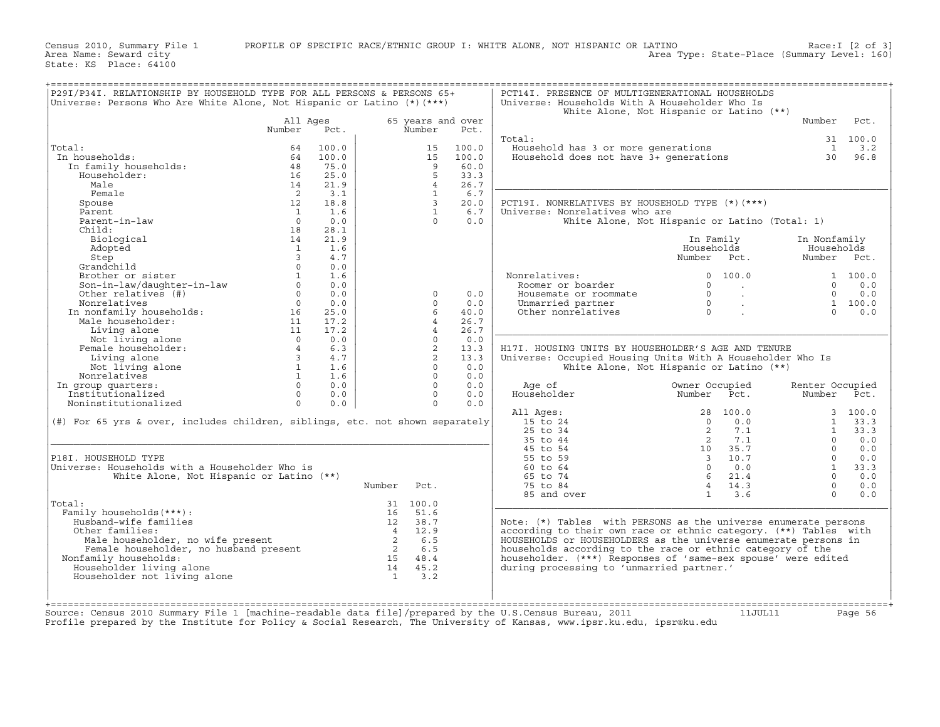+===================================================================================================================================================+|P29I/P34I. RELATIONSHIP BY HOUSEHOLD TYPE FOR ALL PERSONS & PERSONS 65+ | PCT14I. PRESENCE OF MULTIGENERATIONAL HOUSEHOLDS | |Universe: Persons Who Are White Alone, Not Hispanic or Latino (\*)(\*\*\*) | Universe: Households With A Householder Who Is | | | White Alone, Not Hispanic or Latino (\*\*) | | All Ages 65 years and over | Number Pct. | | Number Pct. Number Pct. | | | | | Total: 31 100.0 | |Total: 64 100.0 | 15 100.0 | Household has 3 or more generations 1 3.2 | | In households: 64 100.0 | 15 100.0 | Household does not have 3+ generations 30 96.8 | | In family households: 48 75.0 | 9 60.0 | | | Householder: 16 25.0 | 5 33.3 | | | Male 14 21.9 | 4 26.7 |\_\_\_\_\_\_\_\_\_\_\_\_\_\_\_\_\_\_\_\_\_\_\_\_\_\_\_\_\_\_\_\_\_\_\_\_\_\_\_\_\_\_\_\_\_\_\_\_\_\_\_\_\_\_\_\_\_\_\_\_\_\_\_\_\_\_\_\_\_| | Female 2 3.1 | 1 6.7 | | | Spouse 12 18.8 | 3 20.0 | PCT19I. NONRELATIVES BY HOUSEHOLD TYPE (\*)(\*\*\*) | | Parent 1 1.6 | 1 6.7 | Universe: Nonrelatives who are | | Parent−in−law 0 0.0 | 0 0.0 | White Alone, Not Hispanic or Latino (Total: 1) | | Child: 18 28.1 | | | | Biological 14 21.9 | | In Family In Nonfamily | | Adopted 1 1.6 | | Households Households | | Step 3 4.7 | | Number Pct. Number Pct. | | Grandchild 0 0.0 | | | | Brother or sister 1 1.6 | | Nonrelatives: 0 100.0 1 100.0 | | Son−in−law/daughter−in−law 0 0.0 | | Roomer or boarder 0 . 0 0.0 | | Other relatives (#) 0 0.0 | 0 0.0 | Housemate or roommate 0 . 0 0.0 | | Nonrelatives 0 0.0 | 0 0.0 | Unmarried partner 0 . 1 100.0 | | In nonfamily households: 16 25.0 | 6 40.0 | Other nonrelatives 0 . 0 0.0 | | Male householder: 11 17.2 | 4 26.7 | | | Living alone 11 17.2 | 4 26.7 |\_\_\_\_\_\_\_\_\_\_\_\_\_\_\_\_\_\_\_\_\_\_\_\_\_\_\_\_\_\_\_\_\_\_\_\_\_\_\_\_\_\_\_\_\_\_\_\_\_\_\_\_\_\_\_\_\_\_\_\_\_\_\_\_\_\_\_\_\_| | Not living alone 0 0.0 | 0 0.0 | | | Female householder: 4 6.3 | 2 13.3 | H17I. HOUSING UNITS BY HOUSEHOLDER'S AGE AND TENURE | | Living alone 3 4.7 | 2 13.3 | Universe: Occupied Housing Units With A Householder Who Is | | Not living alone 1 1.6 | 0 0.0 | White Alone, Not Hispanic or Latino (\*\*) | | Nonrelatives 1 1.6 | 0 0.0 | | | In group quarters: 0 0.0 | 0 0.0 | Age of Owner Occupied Renter Occupied | | Institutionalized 0 0.0 | 0 0.0 | Householder Number Pct. Number Pct. | | Noninstitutionalized 0 0.0 | 0 0.0 | | | | All Ages: 28 100.0 3 100.0 | |(#) For 65 yrs & over, includes children, siblings, etc. not shown separately| 15 to 24 0 0.0 1 33.3 | | | 25 to 34 2 7.1 1 33.3 | |\_\_\_\_\_\_\_\_\_\_\_\_\_\_\_\_\_\_\_\_\_\_\_\_\_\_\_\_\_\_\_\_\_\_\_\_\_\_\_\_\_\_\_\_\_\_\_\_\_\_\_\_\_\_\_\_\_\_\_\_\_\_\_\_\_\_\_\_\_\_\_\_\_\_\_\_\_| 35 to 44 2 7.1 0 0.0 | | | 45 to 54 10 35.7 0 0.0 | |P18I. HOUSEHOLD TYPE | 55 to 59 3 10.7 0 0.0 | |Universe: Households with a Householder Who is | 60 to 64 0 0.0 1 33.3 | | White Alone, Not Hispanic or Latino (\*\*) | 65 to 74 6 21.4 0 0.0 | | Number Pct. | 75 to 84 4 14.3 0 0.0 | | | 85 and over 1 3.6 0 0.0 | |Total: 31 100.0 |\_\_\_\_\_\_\_\_\_\_\_\_\_\_\_\_\_\_\_\_\_\_\_\_\_\_\_\_\_\_\_\_\_\_\_\_\_\_\_\_\_\_\_\_\_\_\_\_\_\_\_\_\_\_\_\_\_\_\_\_\_\_\_\_\_\_\_\_\_| | Family households(\*\*\*): 16 51.6 | | | Husband−wife families 12 38.7 | Note: (\*) Tables with PERSONS as the universe enumerate persons | | Other families: 4 12.9 | according to their own race or ethnic category. (\*\*) Tables with | | Male householder, no wife present 2 6.5 | HOUSEHOLDS or HOUSEHOLDERS as the universe enumerate persons in | | Female householder, no husband present 2 6.5 | households according to the race or ethnic category of the | | Nonfamily households: 15 48.4 | householder. (\*\*\*) Responses of 'same−sex spouse' were edited | | Householder living alone 14 45.2 | during processing to 'unmarried partner.' | | Householder not living alone 1 3.2 | | | | | | | | +===================================================================================================================================================+Source: Census 2010 Summary File 1 [machine-readable data file]/prepared by the U.S.Census Bureau, 2011 11JUL11 Page 56

Profile prepared by the Institute for Policy & Social Research, The University of Kansas, www.ipsr.ku.edu, ipsr@ku.edu